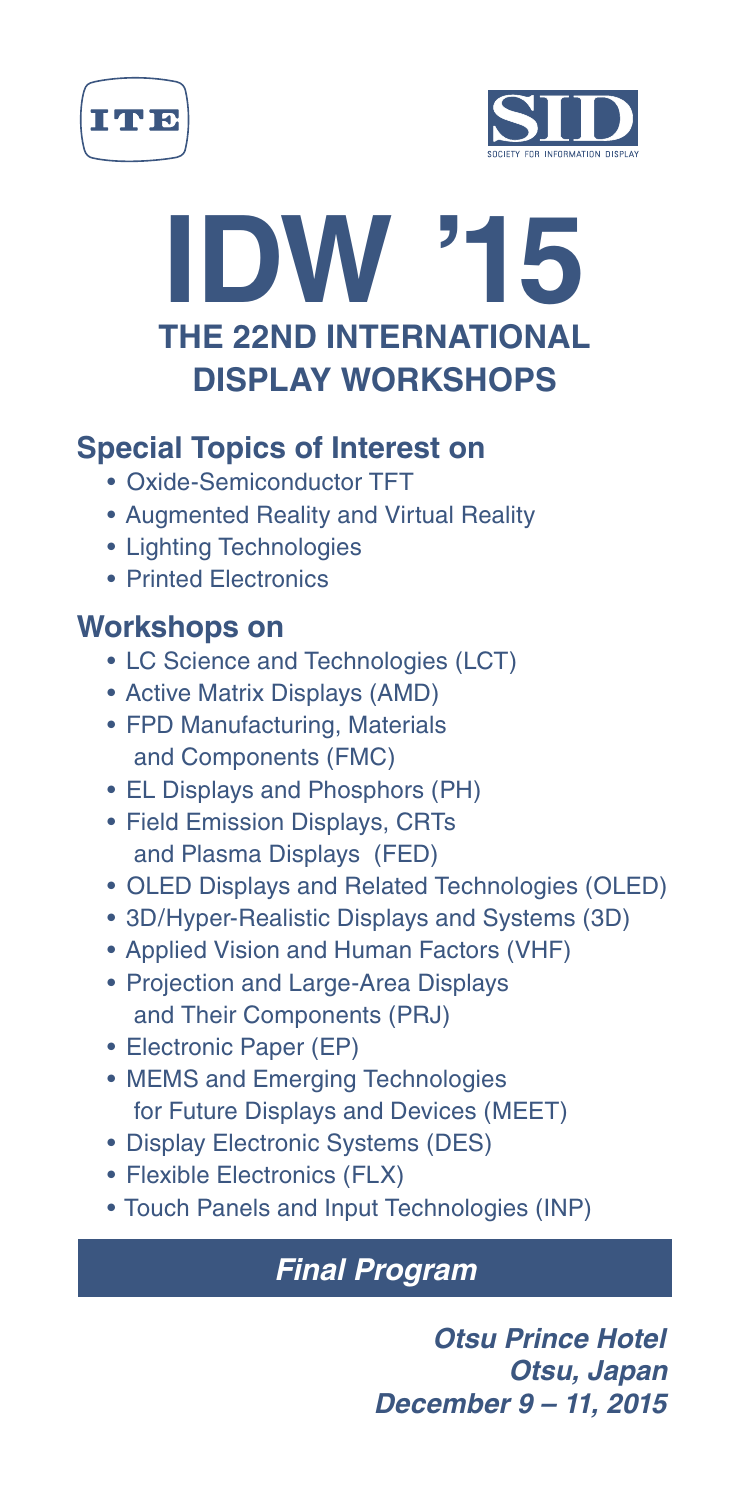





# **Special Topics of Interest on**

- Oxide-Semiconductor TFT
- Augmented Reality and Virtual Reality
- Lighting Technologies
- Printed Electronics

# **Workshops on**

- LC Science and Technologies (LCT)
- Active Matrix Displays (AMD)
- FPD Manufacturing, Materials and Components (FMC)
- EL Displays and Phosphors (PH)
- Field Emission Displays, CRTs and Plasma Displays (FED)
- OLED Displays and Related Technologies (OLED)
- 3D/Hyper-Realistic Displays and Systems (3D)
- Applied Vision and Human Factors (VHF)
- Projection and Large-Area Displays and Their Components (PRJ)
- Electronic Paper (EP)
- MEMS and Emerging Technologies for Future Displays and Devices (MEET)
- Display Electronic Systems (DES)
- Flexible Electronics (FLX)
- Touch Panels and Input Technologies (INP)

# *Final Program*

*Otsu Prince Hotel Otsu, Japan December 9 – 11, 2015*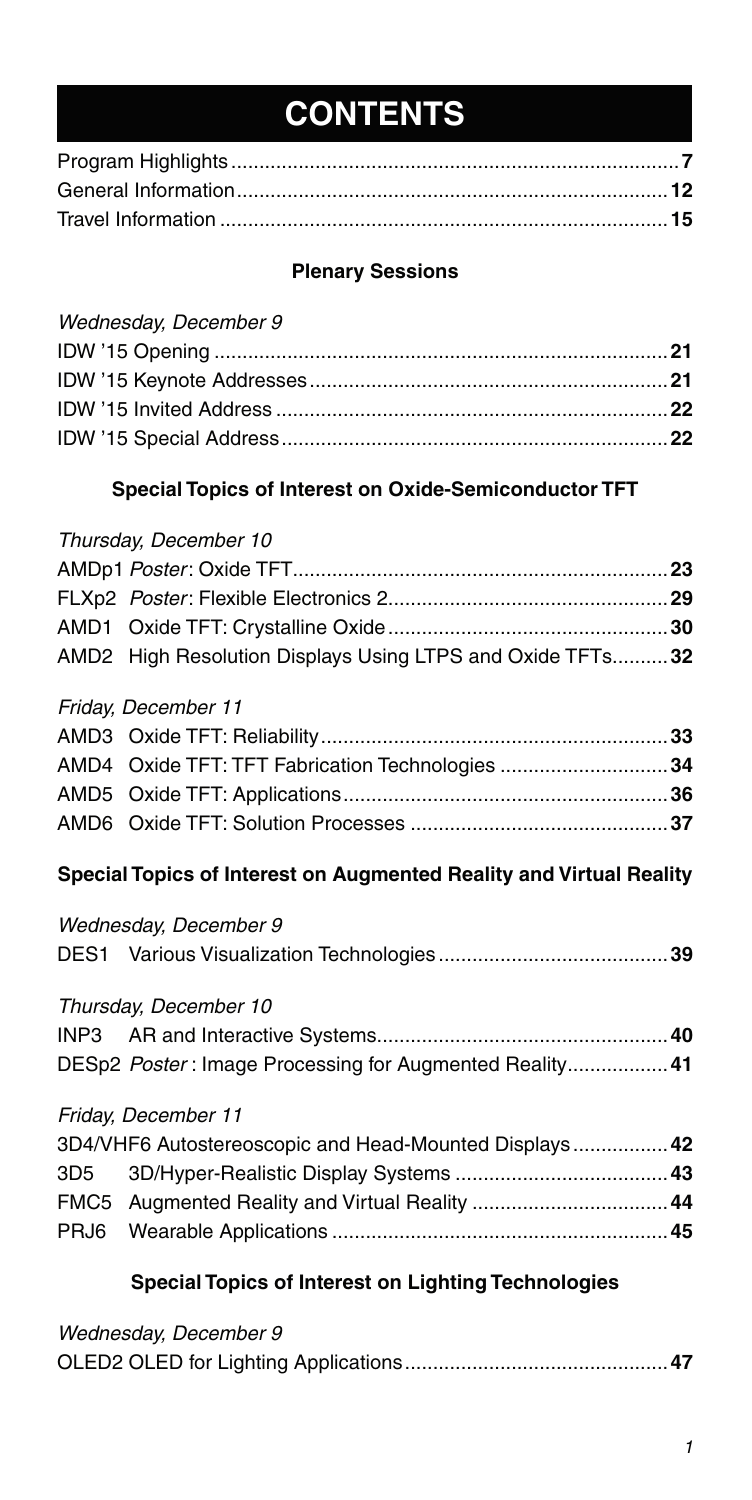# **CONTENTS**

#### **Plenary Sessions**

### **Special Topics of Interest on Oxide-Semiconductor TFT**

#### Thursday, December 10

| AMD2 High Resolution Displays Using LTPS and Oxide TFTs 32 |  |
|------------------------------------------------------------|--|

#### Friday, December 11

| AMD4 Oxide TFT: TFT Fabrication Technologies 34 |  |
|-------------------------------------------------|--|
|                                                 |  |
|                                                 |  |
|                                                 |  |

#### **Special Topics of Interest on Augmented Reality and Virtual Reality**

### Wednesday, December 9

#### Thursday, December 10

| DESp2 Poster: Image Processing for Augmented Reality 41 |  |
|---------------------------------------------------------|--|

#### Friday, December 11

| 3D4/VHF6 Autostereoscopic and Head-Mounted Displays 42 |  |
|--------------------------------------------------------|--|
|                                                        |  |
|                                                        |  |
|                                                        |  |

### **Special Topics of Interest on Lighting Technologies**

|--|--|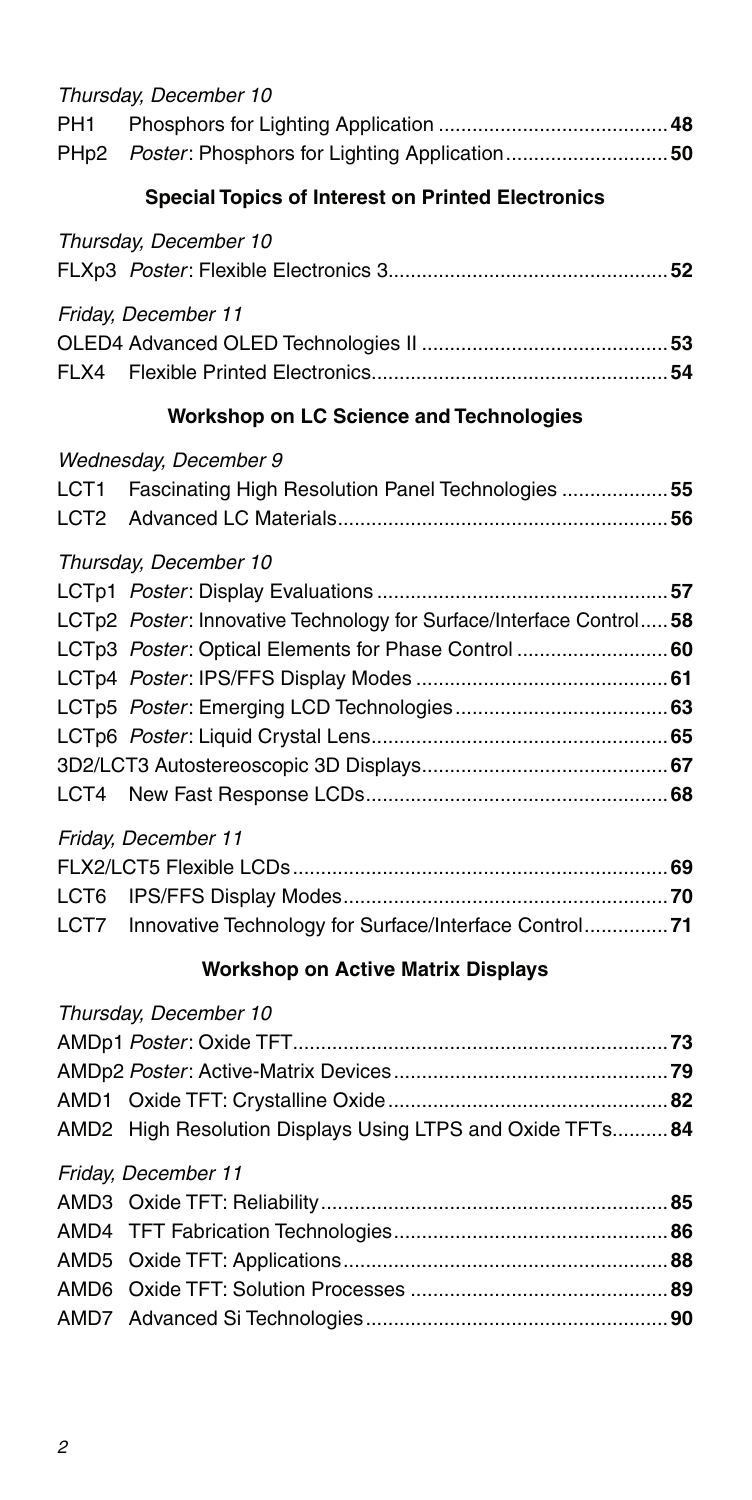| PH <sub>1</sub><br>PHp <sub>2</sub> | Thursday, December 10<br>Poster: Phosphors for Lighting Application 50                                                                               |  |  |
|-------------------------------------|------------------------------------------------------------------------------------------------------------------------------------------------------|--|--|
|                                     | <b>Special Topics of Interest on Printed Electronics</b>                                                                                             |  |  |
|                                     | Thursday, December 10                                                                                                                                |  |  |
|                                     | Friday, December 11                                                                                                                                  |  |  |
|                                     | Workshop on LC Science and Technologies                                                                                                              |  |  |
| LCT1<br>LCT2                        | Wednesday, December 9<br>Fascinating High Resolution Panel Technologies 55                                                                           |  |  |
|                                     | Thursday, December 10<br>LCTp2 Poster: Innovative Technology for Surface/Interface Control 58<br>LCTp3 Poster: Optical Elements for Phase Control 60 |  |  |
| LCT6<br>LCT7                        | Friday, December 11<br>Innovative Technology for Surface/Interface Control 71                                                                        |  |  |
|                                     | <b>Workshop on Active Matrix Displays</b>                                                                                                            |  |  |
|                                     | Thursday, December 10                                                                                                                                |  |  |

| AMD2 High Resolution Displays Using LTPS and Oxide TFTs 84 |    |
|------------------------------------------------------------|----|
| Friday, December 11                                        |    |
|                                                            |    |
| AMDA TET Eshrication Technologies                          | Яĥ |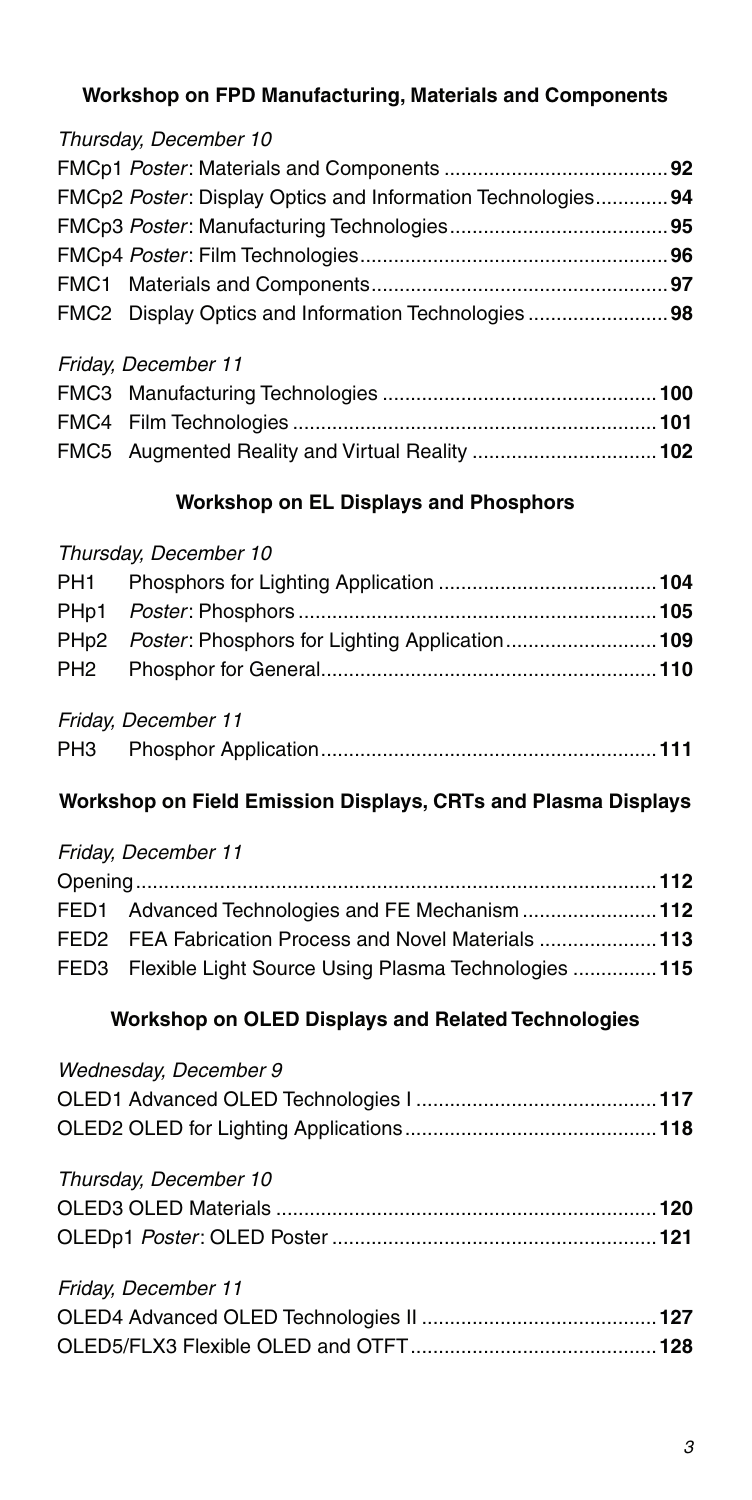### **Workshop on FPD Manufacturing, Materials and Components**

### Thursday, December 10

| FMCp2 Poster: Display Optics and Information Technologies 94 |  |
|--------------------------------------------------------------|--|
|                                                              |  |
|                                                              |  |
|                                                              |  |
| FMC2 Display Optics and Information Technologies 98          |  |
|                                                              |  |

#### Friday, December 11

| FMC5 Augmented Reality and Virtual Reality 102 |  |
|------------------------------------------------|--|

#### **Workshop on EL Displays and Phosphors**

#### Thursday, December 10

| Friday, December 11 |  |
|---------------------|--|
|                     |  |

### **Workshop on Field Emission Displays, CRTs and Plasma Displays**

#### Friday, December 11

| FED1 Advanced Technologies and FE Mechanism 112          |  |
|----------------------------------------------------------|--|
| FED2 FEA Fabrication Process and Novel Materials  113    |  |
| FED3 Flexible Light Source Using Plasma Technologies 115 |  |

### **Workshop on OLED Displays and Related Technologies**

| Wednesday, December 9 |  |
|-----------------------|--|
| Thursday, December 10 |  |
| Friday, December 11   |  |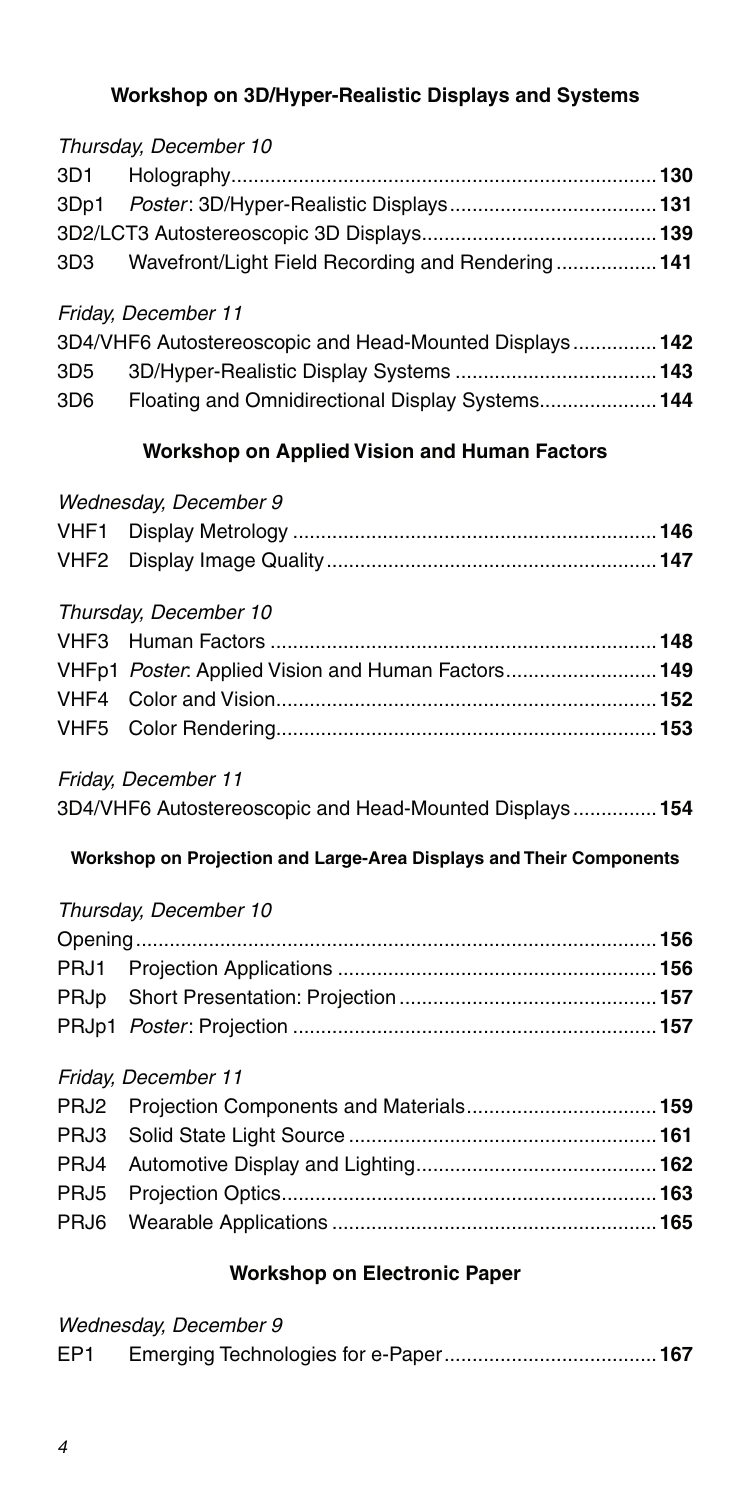#### **Workshop on 3D/Hyper-Realistic Displays and Systems**

# Thursday, December 10 3D1 Holography ............................................................................**130** 3Dp1 Poster: 3D/Hyper-Realistic Displays .....................................**131** 3D2/LCT3 Autostereoscopic 3D Displays ..........................................**139** 3D3 Wavefront/Light Field Recording and Rendering ..................**141**

#### Friday, December 11

|     | 3D4/VHF6 Autostereoscopic and Head-Mounted Displays  142 |  |
|-----|----------------------------------------------------------|--|
| 3D5 |                                                          |  |
| 3D6 | Floating and Omnidirectional Display Systems 144         |  |

#### **Workshop on Applied Vision and Human Factors**

#### Wednesday, December 9

#### Thursday, December 10

| VHFp1 Poster. Applied Vision and Human Factors149 |  |
|---------------------------------------------------|--|
|                                                   |  |
|                                                   |  |

#### Friday, December 11

| 3D4/VHF6 Autostereoscopic and Head-Mounted Displays 154 |  |
|---------------------------------------------------------|--|
|---------------------------------------------------------|--|

#### **Workshop on Projection and Large-Area Displays and Their Components**

#### Thursday, December 10

#### Friday, December 11

#### **Workshop on Electronic Paper**

| EP <sub>1</sub> |  |
|-----------------|--|
|                 |  |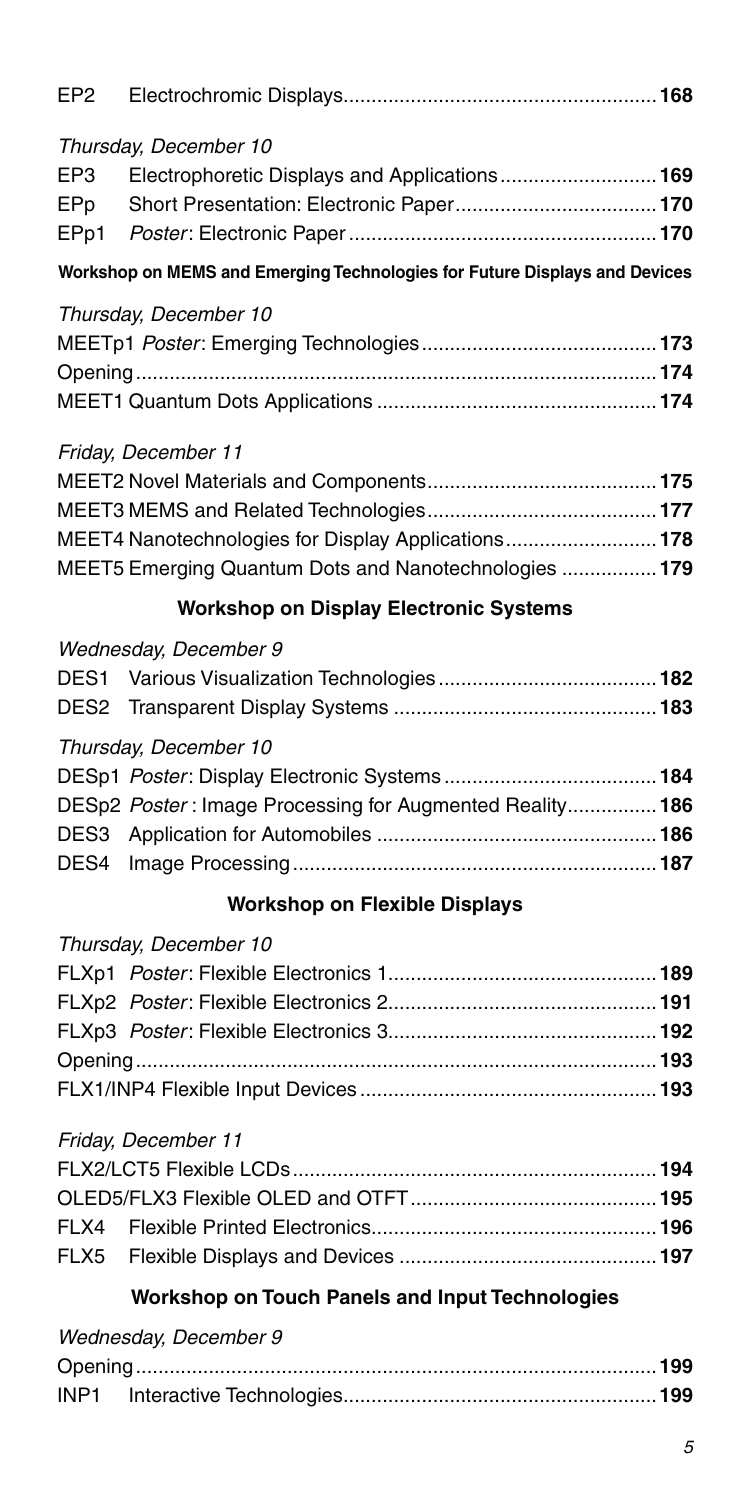| EP <sub>2</sub> |                                                                            |  |  |  |
|-----------------|----------------------------------------------------------------------------|--|--|--|
|                 | Thursday, December 10                                                      |  |  |  |
| EP3             | Electrophoretic Displays and Applications169                               |  |  |  |
| EPp             |                                                                            |  |  |  |
| EPp1            |                                                                            |  |  |  |
|                 | Workshop on MEMS and Emerging Technologies for Future Displays and Devices |  |  |  |
|                 | Thursday, December 10                                                      |  |  |  |
|                 |                                                                            |  |  |  |
|                 |                                                                            |  |  |  |
|                 |                                                                            |  |  |  |
|                 | Friday, December 11                                                        |  |  |  |
|                 |                                                                            |  |  |  |
|                 |                                                                            |  |  |  |
|                 | MEET4 Nanotechnologies for Display Applications 178                        |  |  |  |
|                 | MEET5 Emerging Quantum Dots and Nanotechnologies  179                      |  |  |  |

#### **Workshop on Display Electronic Systems**

#### Thursday, December 10

| DESp2 Poster: Image Processing for Augmented Reality186 |  |
|---------------------------------------------------------|--|
|                                                         |  |
|                                                         |  |
|                                                         |  |

### **Workshop on Flexible Displays**

# Thursday, December 10

#### Friday, December 11

### **Workshop on Touch Panels and Input Technologies**

| Wednesday, December 9 |  |
|-----------------------|--|
|                       |  |
|                       |  |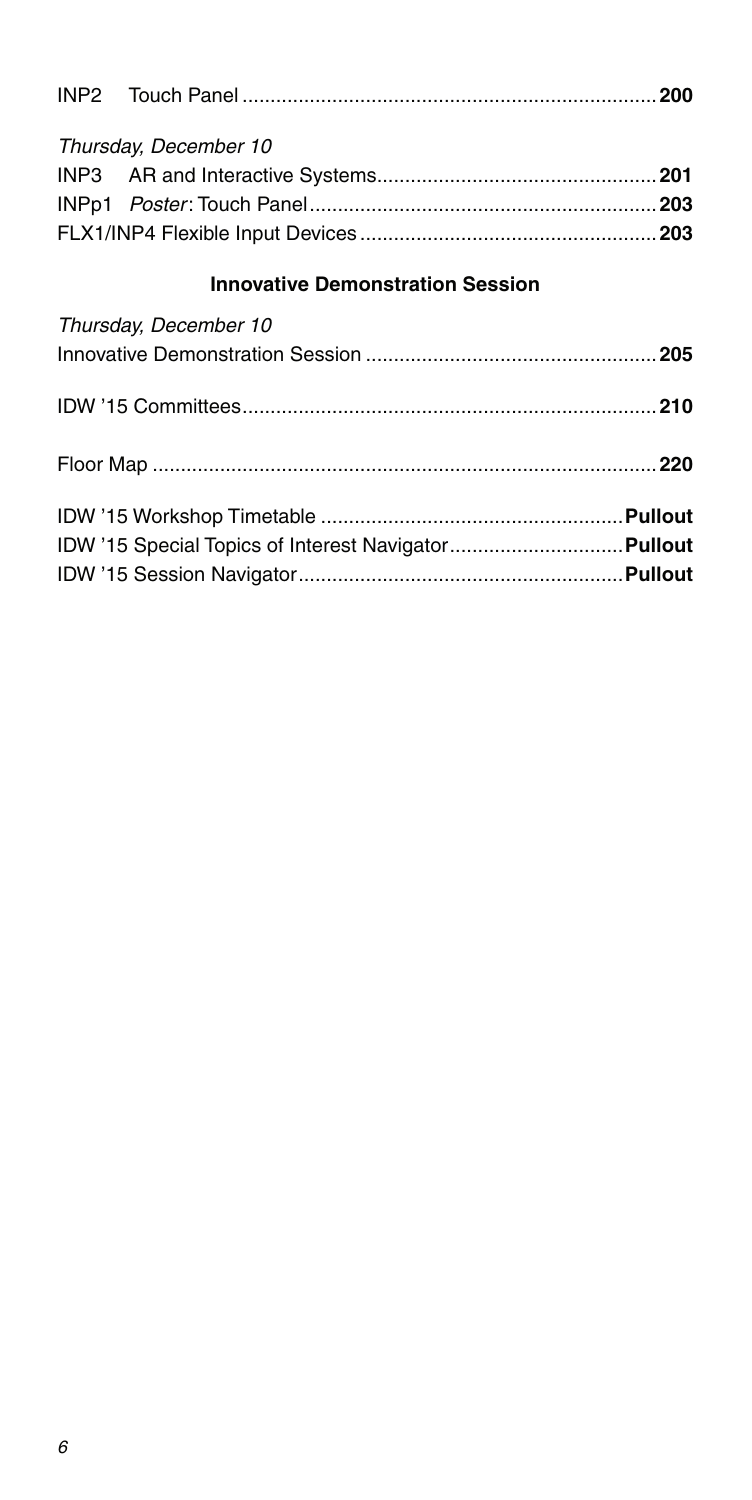| Thursday, December 10 |  |
|-----------------------|--|
|                       |  |
|                       |  |
|                       |  |

# **Innovative Demonstration Session**

| Thursday, December 10 |  |
|-----------------------|--|
|                       |  |
|                       |  |
|                       |  |
|                       |  |
|                       |  |
|                       |  |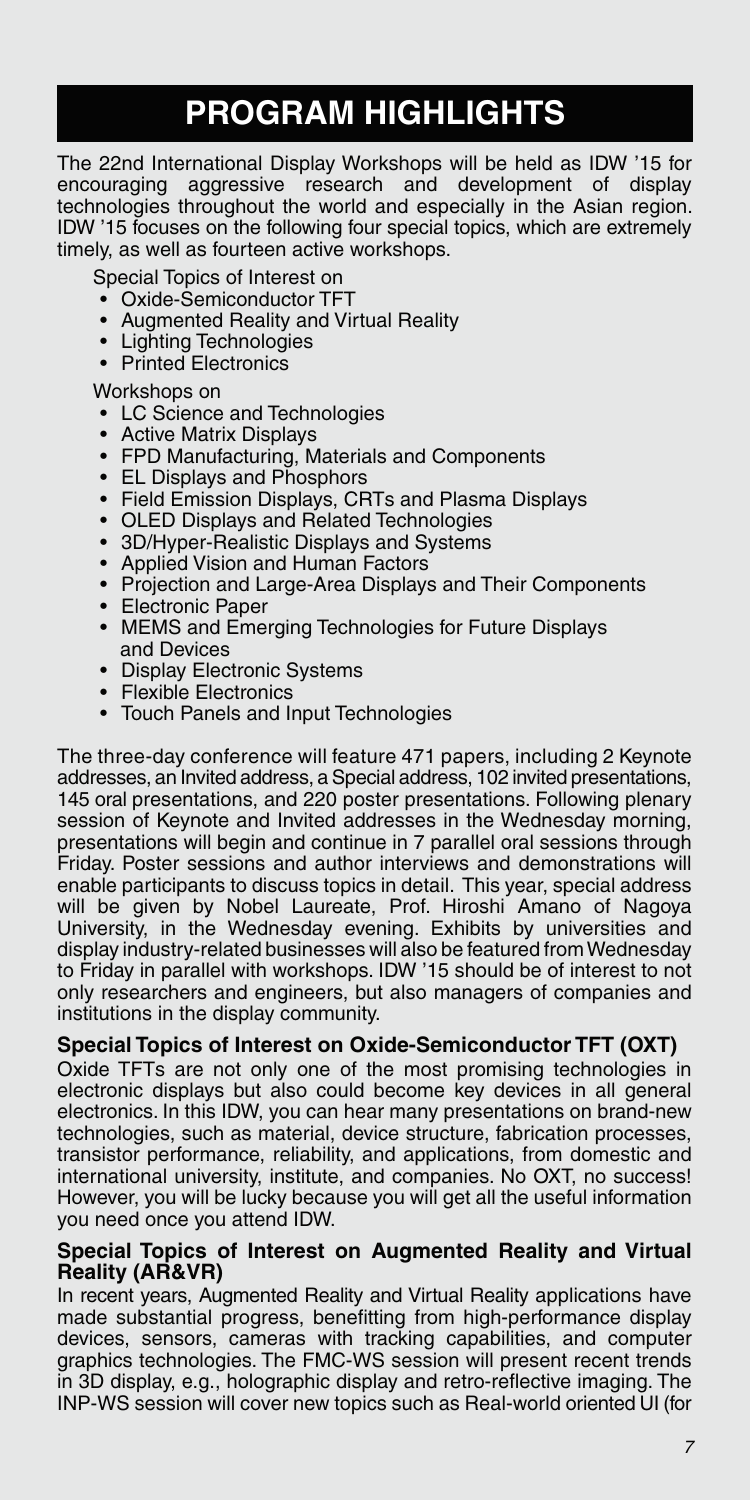# **PROGRAM HIGHLIGHTS**

The 22nd International Display Workshops will be held as IDW '15 for aggressive research and development of display technologies throughout the world and especially in the Asian region. IDW '15 focuses on the following four special topics, which are extremely timely, as well as fourteen active workshops.

Special Topics of Interest on

- Oxide-Semiconductor TFT
- Augmented Reality and Virtual Reality
- Lighting Technologies
- Printed Electronics

Workshops on

- LC Science and Technologies
- Active Matrix Displays
- FPD Manufacturing, Materials and Components
- EL Displays and Phosphors
- Field Emission Displays, CRTs and Plasma Displays
- OLED Displays and Related Technologies
- 3D/Hyper-Realistic Displays and Systems
- Applied Vision and Human Factors
- Projection and Large-Area Displays and Their Components
- Electronic Paper
- MEMS and Emerging Technologies for Future Displays and Devices
- Display Electronic Systems
- Flexible Electronics
- Touch Panels and Input Technologies

The three-day conference will feature 471 papers, including 2 Keynote addresses, an Invited address, a Special address, 102 invited presentations, 145 oral presentations, and 220 poster presentations. Following plenary session of Keynote and Invited addresses in the Wednesday morning, presentations will begin and continue in 7 parallel oral sessions through Friday, Poster sessions and author interviews and demonstrations will enable participants to discuss topics in detail. This year, special address will be given by Nobel Laureate, Prof. Hiroshi Amano of Nagoya University, in the Wednesday evening. Exhibits by universities and display industry-related businesses will also be featured from Wednesday to Friday in parallel with workshops. IDW '15 should be of interest to not only researchers and engineers, but also managers of companies and institutions in the display community.

#### **Special Topics of Interest on Oxide-Semiconductor TFT (OXT)**

Oxide TFTs are not only one of the most promising technologies in electronic displays but also could become key devices in all general electronics. In this IDW, you can hear many presentations on brand-new technologies, such as material, device structure, fabrication processes, transistor performance, reliability, and applications, from domestic and international university, institute, and companies. No OXT, no success! However, you will be lucky because you will get all the useful information you need once you attend IDW.

#### **Special Topics of Interest on Augmented Reality and Virtual Reality (AR&VR)**

In recent years, Augmented Reality and Virtual Reality applications have made substantial progress, benefitting from high-performance display devices, sensors, cameras with tracking capabilities, and computer graphics technologies. The FMC-WS session will present recent trends in 3D display, e.g., holographic display and retro-reflective imaging. The INP-WS session will cover new topics such as Real-world oriented UI (for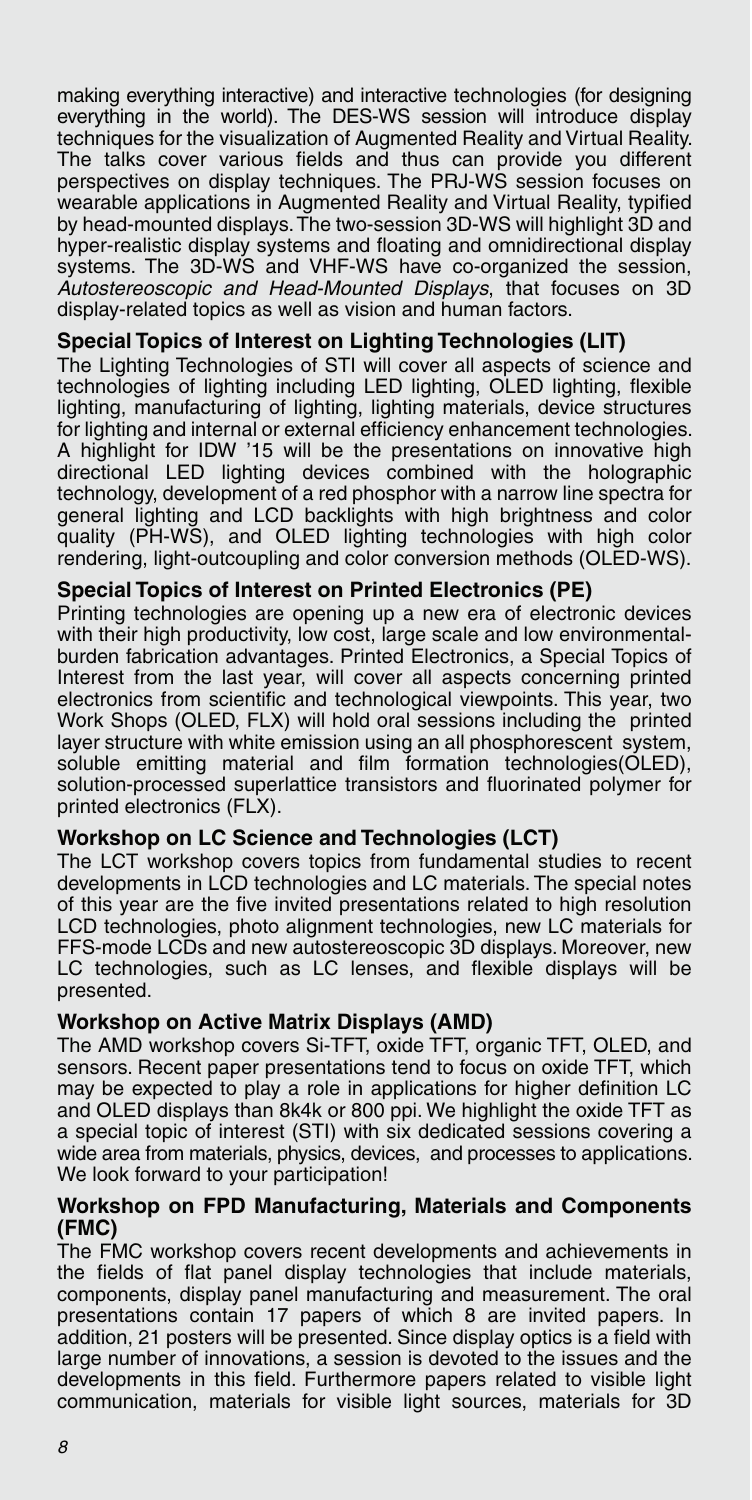making everything interactive) and interactive technologies (for designing everything in the world). The DES-WS session will introduce display techniques for the visualization of Augmented Reality and Virtual Reality. The talks cover various fields and thus can provide you different perspectives on display techniques. The PRJ-WS session focuses on wearable applications in Augmented Reality and Virtual Reality, typified by head-mounted displays. The two-session 3D-WS will highlight 3D and hyper-realistic display systems and floating and omnidirectional display systems. The 3D-WS and VHF-WS have co-organized the session, Autostereoscopic and Head-Mounted Displays, that focuses on 3D display-related topics as well as vision and human factors.

#### **Special Topics of Interest on Lighting Technologies (LIT)**

The Lighting Technologies of STI will cover all aspects of science and technologies of lighting including LED lighting, OLED lighting, flexible lighting, manufacturing of lighting, lighting materials, device structures for lighting and internal or external efficiency enhancement technologies. A highlight for IDW '15 will be the presentations on innovative high directional LED lighting devices combined with the holographic technology, development of a red phosphor with a narrow line spectra for general lighting and LCD backlights with high brightness and color quality (PH-WS), and OLED lighting technologies with high color rendering, light-outcoupling and color conversion methods (OLED-WS).

#### **Special Topics of Interest on Printed Electronics (PE)**

Printing technologies are opening up a new era of electronic devices with their high productivity, low cost, large scale and low environmentalburden fabrication advantages. Printed Electronics, a Special Topics of Interest from the last year, will cover all aspects concerning printed electronics from scientific and technological viewpoints. This year, two Work Shops (OLED, FLX) will hold oral sessions including the printed layer structure with white emission using an all phosphorescent system, soluble emitting material and film formation technologies(OLED), solution-processed superlattice transistors and fluorinated polymer for printed electronics (FLX).

#### **Workshop on LC Science and Technologies (LCT)**

The LCT workshop covers topics from fundamental studies to recent developments in LCD technologies and LC materials. The special notes of this year are the five invited presentations related to high resolution LCD technologies, photo alignment technologies, new LC materials for FFS-mode LCDs and new autostereoscopic 3D displays. Moreover, new LC technologies, such as LC lenses, and flexible displays will be presented.

#### **Workshop on Active Matrix Displays (AMD)**

The AMD workshop covers Si-TFT, oxide TFT, organic TFT, OLED, and sensors. Recent paper presentations tend to focus on oxide TFT, which may be expected to play a role in applications for higher definition LC and OLED displays than 8k4k or 800 ppi. We highlight the oxide TFT as a special topic of interest (STI) with six dedicated sessions covering a wide area from materials, physics, devices, and processes to applications. We look forward to your participation!

#### **Workshop on FPD Manufacturing, Materials and Components (FMC)**

The FMC workshop covers recent developments and achievements in the fields of flat panel display technologies that include materials, components, display panel manufacturing and measurement. The oral presentations contain 17 papers of which 8 are invited papers. In addition, 21 posters will be presented. Since display optics is a field with large number of innovations, a session is devoted to the issues and the developments in this field. Furthermore papers related to visible light communication, materials for visible light sources, materials for 3D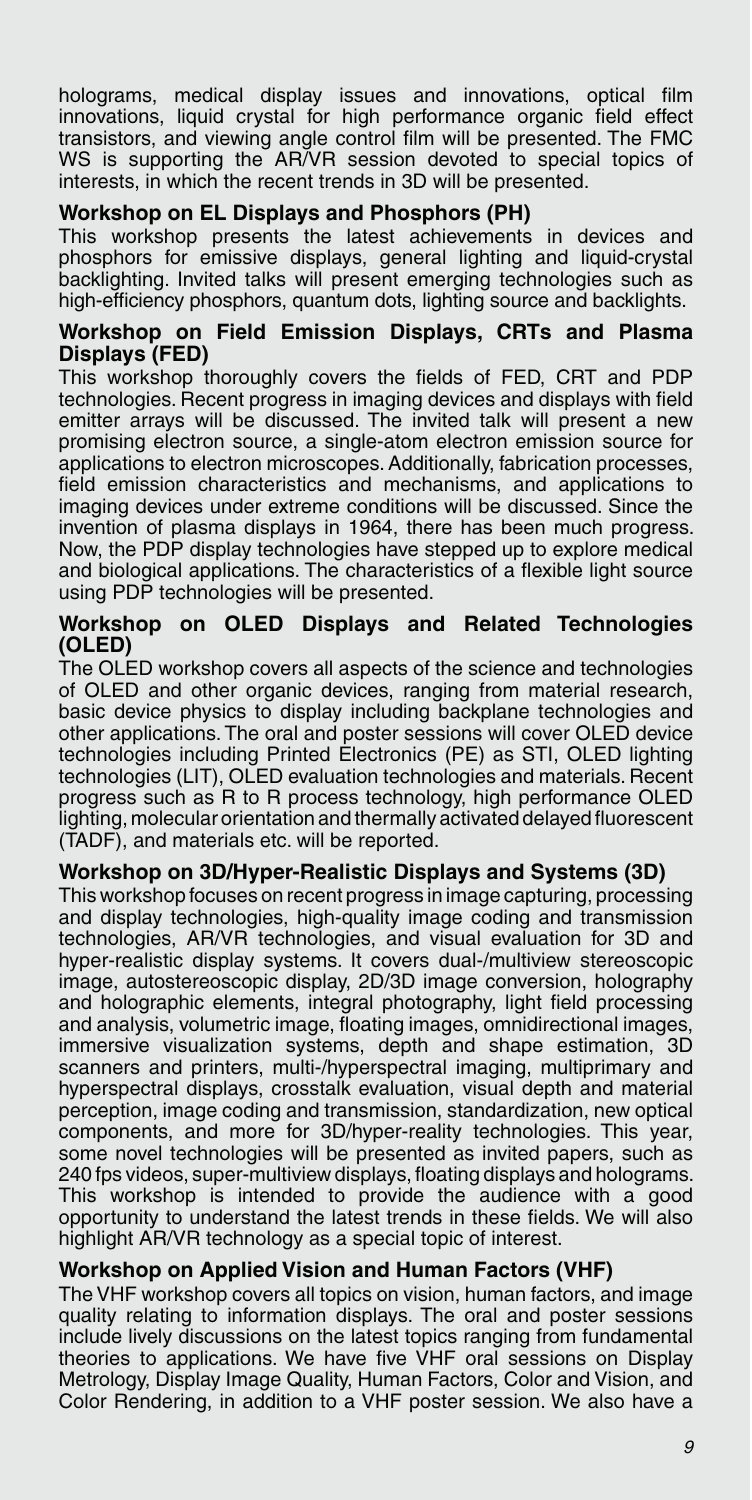holograms, medical display issues and innovations, optical film innovations, liquid crystal for high performance organic field effect transistors, and viewing angle control film will be presented. The FMC WS is supporting the AR/VR session devoted to special topics of interests, in which the recent trends in 3D will be presented.

#### **Workshop on EL Displays and Phosphors (PH)**

This workshop presents the latest achievements in devices and phosphors for emissive displays, general lighting and liquid-crystal backlighting. Invited talks will present emerging technologies such as high-efficiency phosphors, quantum dots, lighting source and backlights.

#### **Workshop on Field Emission Displays, CRTs and Plasma Displays (FED)**

This workshop thoroughly covers the fields of FED, CRT and PDP technologies. Recent progress in imaging devices and displays with field emitter arrays will be discussed. The invited talk will present a new promising electron source, a single-atom electron emission source for applications to electron microscopes. Additionally, fabrication processes, field emission characteristics and mechanisms, and applications to imaging devices under extreme conditions will be discussed. Since the invention of plasma displays in 1964, there has been much progress. Now, the PDP display technologies have stepped up to explore medical and biological applications. The characteristics of a flexible light source using PDP technologies will be presented.

#### **Workshop on OLED Displays and Related Technologies (OLED)**

The OLED workshop covers all aspects of the science and technologies of OLED and other organic devices, ranging from material research, basic device physics to display including backplane technologies and other applications. The oral and poster sessions will cover OLED device technologies including Printed Electronics (PE) as STI, OLED lighting technologies (LIT), OLED evaluation technologies and materials. Recent progress such as R to R process technology, high performance OLED lighting, molecular orientation and thermally activated delayed fluorescent (TADF), and materials etc. will be reported.

#### **Workshop on 3D/Hyper-Realistic Displays and Systems (3D)**

This workshop focuses on recent progress in image capturing, processing and display technologies, high-quality image coding and transmission technologies, AR/VR technologies, and visual evaluation for 3D and hyper-realistic display systems. It covers dual-/multiview stereoscopic image, autostereoscopic display, 2D/3D image conversion, holography and holographic elements, integral photography, light field processing and analysis, volumetric image, floating images, omnidirectional images, immersive visualization systems, depth and shape estimation, 3D scanners and printers, multi-/hyperspectral imaging, multiprimary and hyperspectral displays, crosstalk evaluation, visual depth and material perception, image coding and transmission, standardization, new optical components, and more for 3D/hyper-reality technologies. This year, some novel technologies will be presented as invited papers, such as 240 fps videos, super-multiview displays, floating displays and holograms. This workshop is intended to provide the audience with a good opportunity to understand the latest trends in these fields. We will also highlight AR/VR technology as a special topic of interest.

#### **Workshop on Applied Vision and Human Factors (VHF)**

The VHF workshop covers all topics on vision, human factors, and image quality relating to information displays. The oral and poster sessions include lively discussions on the latest topics ranging from fundamental theories to applications. We have five VHF oral sessions on Display Metrology, Display Image Quality, Human Factors, Color and Vision, and Color Rendering, in addition to a VHF poster session. We also have a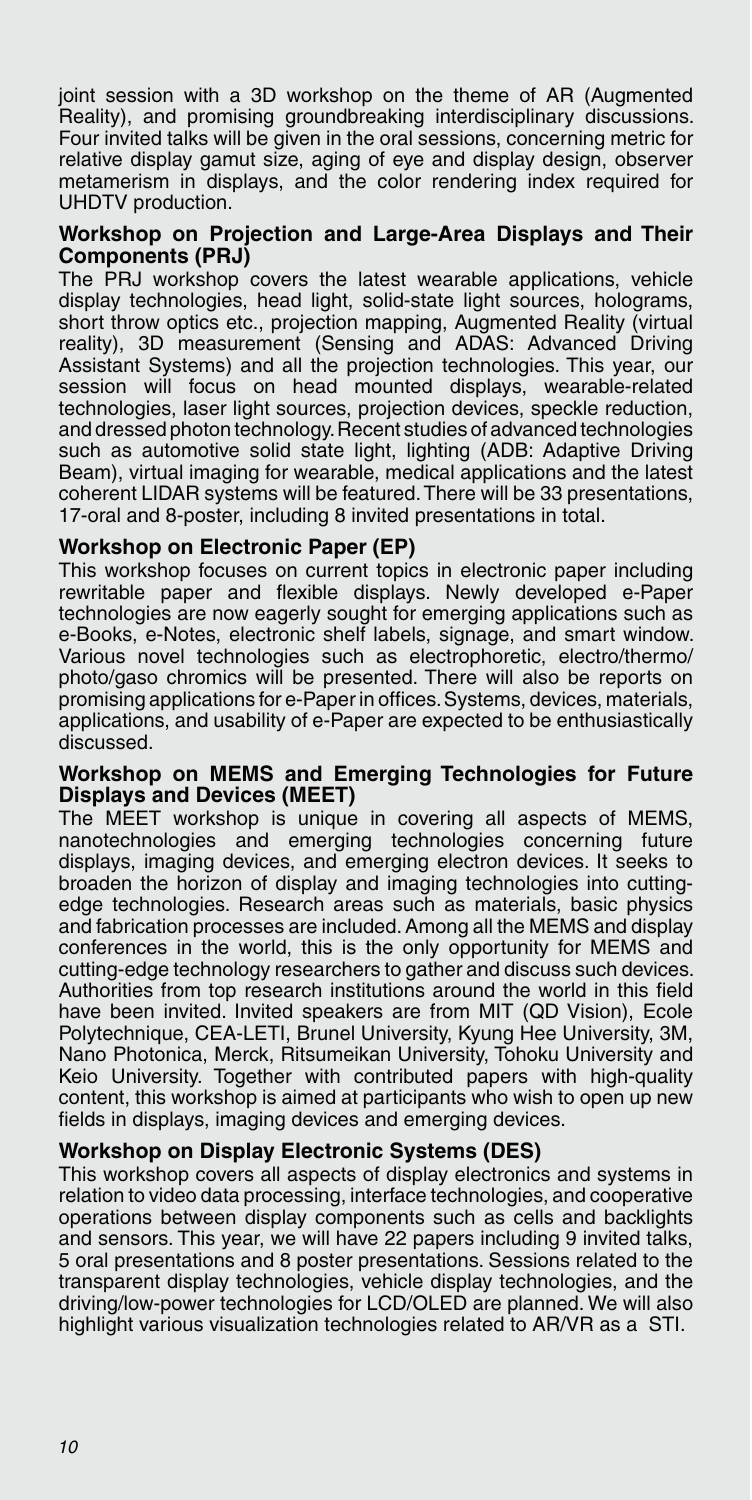joint session with a 3D workshop on the theme of AR (Augmented Reality), and promising groundbreaking interdisciplinary discussions. Four invited talks will be given in the oral sessions, concerning metric for relative display gamut size, aging of eye and display design, observer metamerism in displays, and the color rendering index required for UHDTV production.

#### **Workshop on Projection and Large-Area Displays and Their Components (PRJ)**

The PRJ workshop covers the latest wearable applications, vehicle display technologies, head light, solid-state light sources, holograms, short throw optics etc., projection mapping, Augmented Reality (virtual reality), 3D measurement (Sensing and ADAS: Advanced Driving Assistant Systems) and all the projection technologies. This year, our session will focus on head mounted displays, wearable-related technologies, laser light sources, projection devices, speckle reduction, and dressed photon technology. Recent studies of advanced technologies such as automotive solid state light, lighting (ADB: Adaptive Driving Beam), virtual imaging for wearable, medical applications and the latest coherent LIDAR systems will be featured. There will be 33 presentations. 17-oral and 8-poster, including 8 invited presentations in total.

#### **Workshop on Electronic Paper (EP)**

This workshop focuses on current topics in electronic paper including rewritable paper and flexible displays. Newly developed e-Paper technologies are now eagerly sought for emerging applications such as e-Books, e-Notes, electronic shelf labels, signage, and smart window. Various novel technologies such as electrophoretic, electro/thermo/ photo/gaso chromics will be presented. There will also be reports on promising applications for e-Paper in offices. Systems, devices, materials, applications, and usability of e-Paper are expected to be enthusiastically discussed.

#### **Workshop on MEMS and Emerging Technologies for Future Displays and Devices (MEET)**

The MEET workshop is unique in covering all aspects of MEMS, nanotechnologies and emerging technologies concerning future displays, imaging devices, and emerging electron devices. It seeks to broaden the horizon of display and imaging technologies into cuttingedge technologies. Research areas such as materials, basic physics and fabrication processes are included. Among all the MEMS and display conferences in the world, this is the only opportunity for MEMS and cutting-edge technology researchers to gather and discuss such devices. Authorities from top research institutions around the world in this field have been invited. Invited speakers are from MIT (QD Vision), Ecole Polytechnique, CEA-LETI, Brunel University, Kyung Hee University, 3M, Nano Photonica, Merck, Ritsumeikan University, Tohoku University and Keio University. Together with contributed papers with high-quality content, this workshop is aimed at participants who wish to open up new fields in displays, imaging devices and emerging devices.

#### **Workshop on Display Electronic Systems (DES)**

This workshop covers all aspects of display electronics and systems in relation to video data processing, interface technologies, and cooperative operations between display components such as cells and backlights and sensors. This year, we will have 22 papers including 9 invited talks, 5 oral presentations and 8 poster presentations. Sessions related to the transparent display technologies, vehicle display technologies, and the driving/low-power technologies for LCD/OLED are planned. We will also highlight various visualization technologies related to AR/VR as a STI.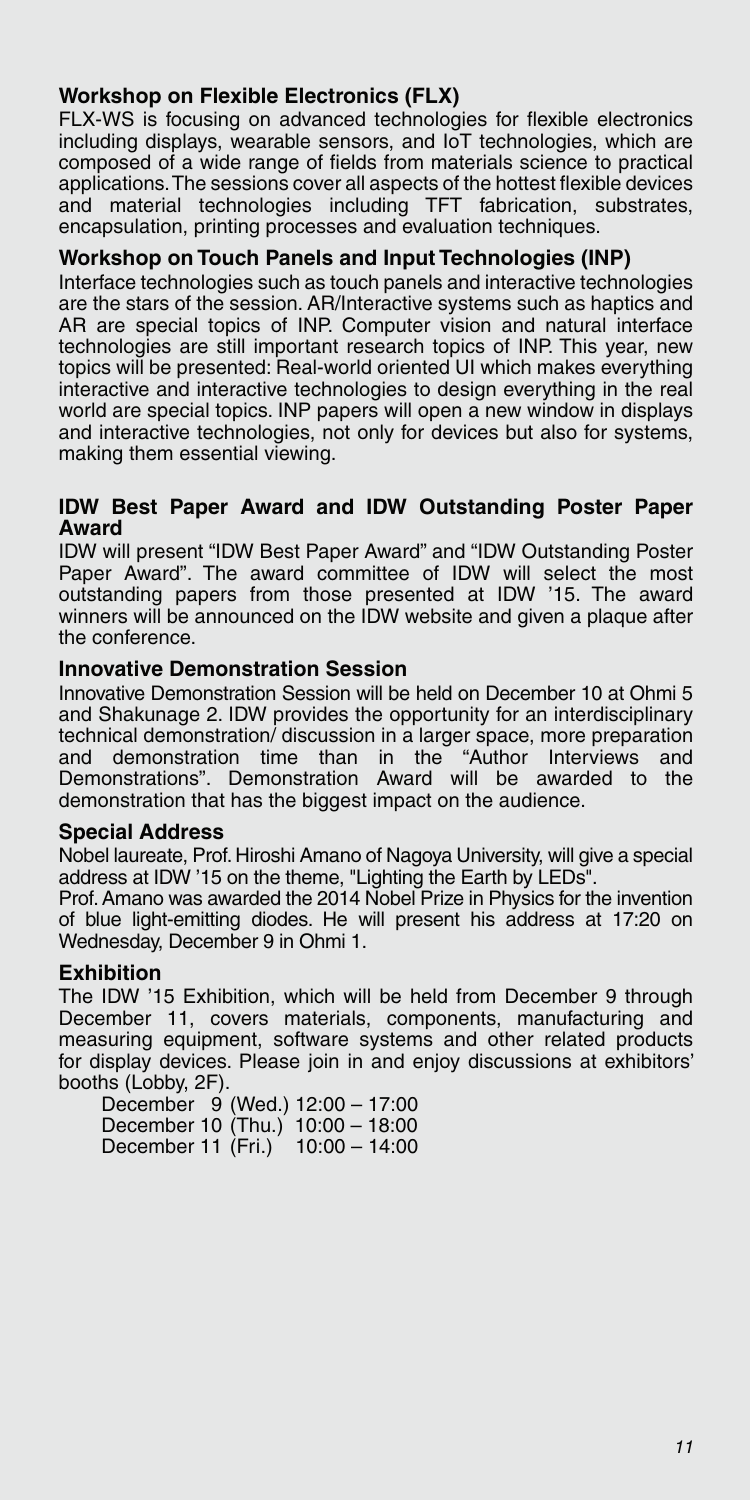#### **Workshop on Flexible Electronics (FLX)**

FLX-WS is focusing on advanced technologies for flexible electronics including displays, wearable sensors, and IoT technologies, which are composed of a wide range of fields from materials science to practical applications. The sessions cover all aspects of the hottest flexible devices and material technologies including TFT fabrication, substrates, encapsulation, printing processes and evaluation techniques.

#### **Workshop on Touch Panels and Input Technologies (INP)**

Interface technologies such as touch panels and interactive technologies are the stars of the session. AR/Interactive systems such as haptics and AR are special topics of INP. Computer vision and natural interface technologies are still important research topics of INP. This year, new topics will be presented: Real-world oriented UI which makes everything interactive and interactive technologies to design everything in the real world are special topics. INP papers will open a new window in displays and interactive technologies, not only for devices but also for systems, making them essential viewing.

#### **IDW Best Paper Award and IDW Outstanding Poster Paper Award**

IDW will present "IDW Best Paper Award" and "IDW Outstanding Poster Paper Award". The award committee of IDW will select the most outstanding papers from those presented at IDW '15. The award winners will be announced on the IDW website and given a plaque after the conference.

#### **Innovative Demonstration Session**

Innovative Demonstration Session will be held on December 10 at Ohmi 5 and Shakunage 2. IDW provides the opportunity for an interdisciplinary technical demonstration/ discussion in a larger space, more preparation and demonstration time than in the "Author Interviews and Demonstrations". Demonstration Award will be awarded to the demonstration that has the biggest impact on the audience.

#### **Special Address**

Nobel laureate, Prof. Hiroshi Amano of Nagoya University, will give a special address at IDW '15 on the theme, "Lighting the Earth by LEDs" .

Prof. Amano was awarded the 2014 Nobel Prize in Physics for the invention of blue light-emitting diodes. He will present his address at 17:20 on Wednesday, December 9 in Ohmi 1.

#### **Exhibition**

The IDW '15 Exhibition, which will be held from December 9 through December 11, covers materials, components, manufacturing and measuring equipment, software systems and other related products for display devices. Please join in and enjoy discussions at exhibitors' booths (Lobby, 2F).

December  $9$  (Wed.) 12:00 - 17:00 December 10  $(Thu.)$  10:00 - 18:00 December 11  $(Fri.)$  10:00 - 14:00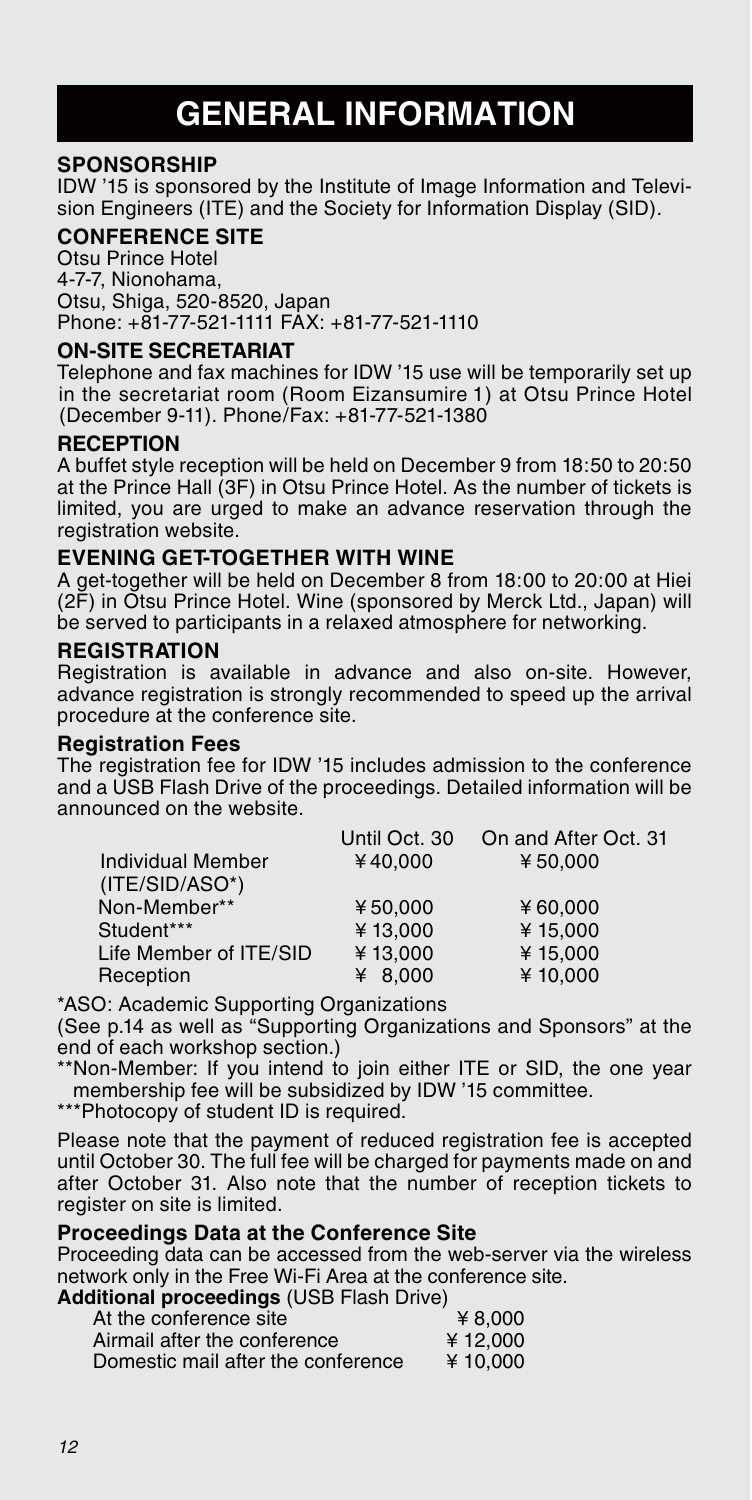# **GENERAL INFORMATION**

#### **SPONSORSHIP**

IDW '15 is sponsored by the Institute of Image Information and Television Engineers (ITE) and the Society for Information Display (SID).

#### **CONFERENCE SITE**

Otsu Prince Hotel 4-7-7, Nionohama, Otsu, Shiga, 520-8520, Japan Phone: +81-77-521-1111 FAX: +81-77-521-1110

#### **ON-SITE SECRETARIAT**

Telephone and fax machines for IDW '15 use will be temporarily set up in the secretariat room (Room Eizansumire 1) at Otsu Prince Hotel (December 9-11). Phone/Fax: +81-77-521-1380

#### **RECEPTION**

A buffet style reception will be held on December 9 from 18:50 to 20:50 at the Prince Hall (3F) in Otsu Prince Hotel. As the number of tickets is limited, you are urged to make an advance reservation through the registration website.

#### **EVENING GET-TOGETHER WITH WINE**

A get-together will be held on December 8 from 18:00 to 20:00 at Hiei (2F) in Otsu Prince Hotel. Wine (sponsored by Merck Ltd., Japan) will be served to participants in a relaxed atmosphere for networking.

#### **REGISTRATION**

Registration is available in advance and also on-site. However, advance registration is strongly recommended to speed up the arrival procedure at the conference site.

#### **Registration Fees**

The registration fee for IDW '15 includes admission to the conference and a USB Flash Drive of the proceedings. Detailed information will be announced on the website.

|                          | Until Oct. 30 | On and After Oct. 31 |
|--------------------------|---------------|----------------------|
| <b>Individual Member</b> | ¥40.000       | ¥ 50.000             |
| $(ITE/SID/ASO*)$         |               |                      |
| Non-Member**             | ¥50.000       | ¥ $60.000$           |
| Student***               | ¥13.000       | ¥15.000              |
| Life Member of ITE/SID   | ¥13.000       | ¥15.000              |
| Reception                | ¥ $8.000$     | ¥10,000              |

\*ASO: Academic Supporting Organizations

(See p.14 as well as "Supporting Organizations and Sponsors" at the end of each workshop section.)

\*\*Non-Member: If you intend to join either ITE or SID, the one year membership fee will be subsidized by IDW '15 committee.

\*\*\*Photocopy of student ID is required.

Please note that the payment of reduced registration fee is accepted until October 30. The full fee will be charged for payments made on and after October 31. Also note that the number of reception tickets to register on site is limited.

#### **Proceedings Data at the Conference Site**

Proceeding data can be accessed from the web-server via the wireless network only in the Free Wi-Fi Area at the conference site.

**Additional proceedings** (USB Flash Drive)

| At the conference site             | ¥ 8.000  |
|------------------------------------|----------|
| Airmail after the conference       | ¥12.000  |
| Domestic mail after the conference | ¥ 10.000 |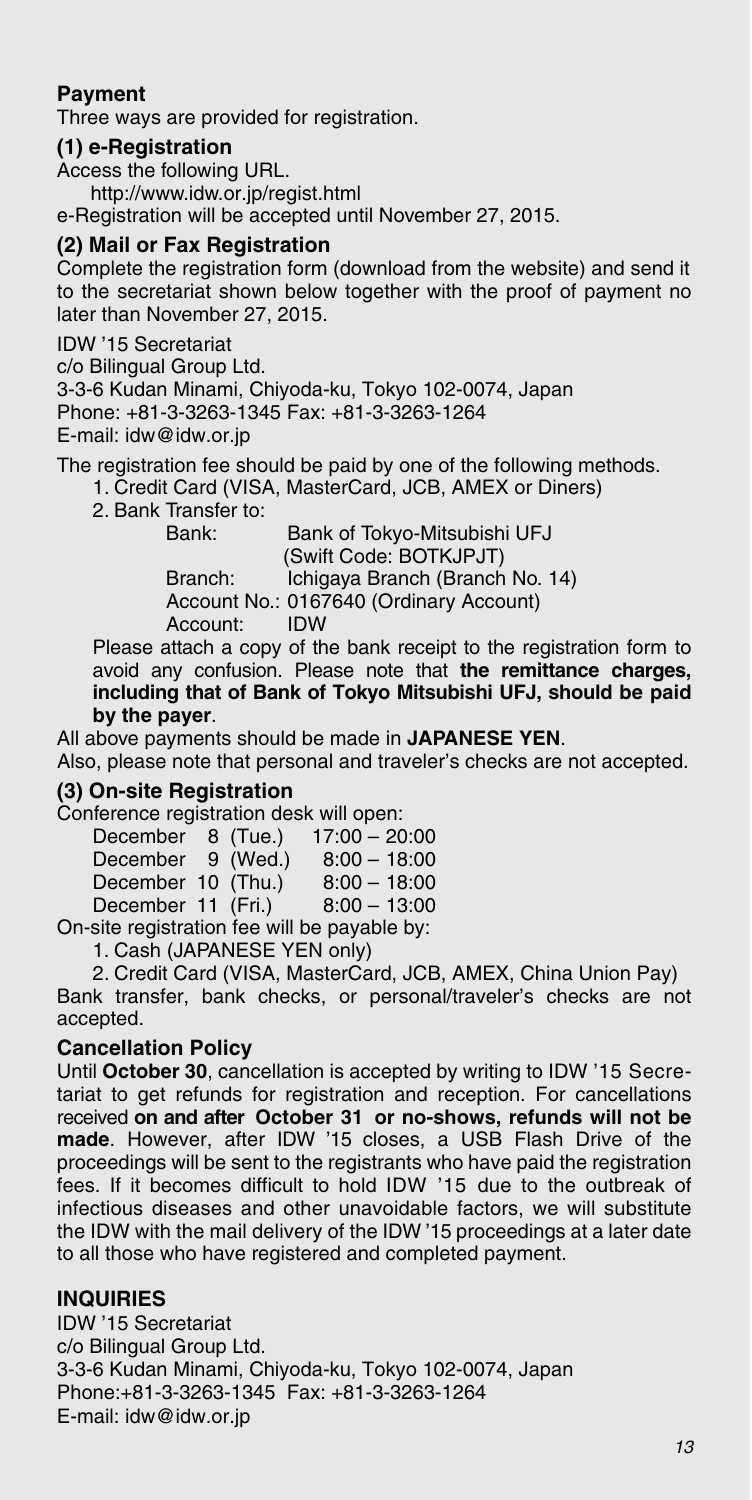#### **Payment**

Three ways are provided for registration.

#### **(1) e-Registration**

Access the following URL. http://www.idw.or.jp/regist.html e-Registration will be accepted until November 27, 2015.

#### **(2) Mail or Fax Registration**

Complete the registration form (download from the website) and send it to the secretariat shown below together with the proof of payment no later than November 27, 2015.

IDW '15 Secretariat

c/o Bilingual Group Ltd.

3-3-6 Kudan Minami, Chiyoda-ku, Tokyo 102-0074, Japan Phone: +81-3-3263-1345 Fax: +81-3-3263-1264 E-mail: idw@idw.or.jp

The registration fee should be paid by one of the following methods.

1. Credit Card (VISA, MasterCard, JCB, AMEX or Diners)

2. Bank Transfer to:

Bank of Tokyo-Mitsubishi UFJ (Swift Code: BOTKJPJT) Branch: Ichigaya Branch (Branch No. 14) Account No.: 0167640 (Ordinary Account) Account: IDW

Please attach a copy of the bank receipt to the registration form to avoid any confusion. Please note that **the remittance charges, including that of Bank of Tokyo Mitsubishi UFJ, should be paid by the payer**.

All above payments should be made in **JAPANESE YEN**.

Also, please note that personal and traveler's checks are not accepted.

#### **(3) On-site Registration**

Conference registration desk will open:

| December 8 (Tue.)  |  | $17:00 - 20:00$                                     |
|--------------------|--|-----------------------------------------------------|
| December 9 (Wed.)  |  | $8:00 - 18:00$                                      |
| December 10 (Thu.) |  | $8:00 - 18:00$                                      |
| December 11 (Fri.) |  | $8:00 - 13:00$                                      |
|                    |  | المنطا والطوينوس وعا الثبت وجاريه والمسلولة ومعتاره |

On-site registration fee will be payable by:

1. Cash (JAPANESE YEN only)

2. Credit Card (VISA, MasterCard, JCB, AMEX, China Union Pay) Bank transfer, bank checks, or personal/traveler's checks are not accepted.

#### **Cancellation Policy**

Until **October 30**, cancellation is accepted by writing to IDW '15 Secretariat to get refunds for registration and reception. For cancellations received **on and after October 31 or no-shows, refunds will not be made**. However, after IDW '15 closes, a USB Flash Drive of the proceedings will be sent to the registrants who have paid the registration fees. If it becomes difficult to hold IDW '15 due to the outbreak of infectious diseases and other unavoidable factors, we will substitute the IDW with the mail delivery of the IDW '15 proceedings at a later date to all those who have registered and completed payment.

#### **INQUIRIES**

IDW '15 Secretariat c/o Bilingual Group Ltd. 3-3-6 Kudan Minami, Chiyoda-ku, Tokyo 102-0074, Japan Phone:+81-3-3263-1345 Fax: +81-3-3263-1264 E-mail: idw@idw.or.jp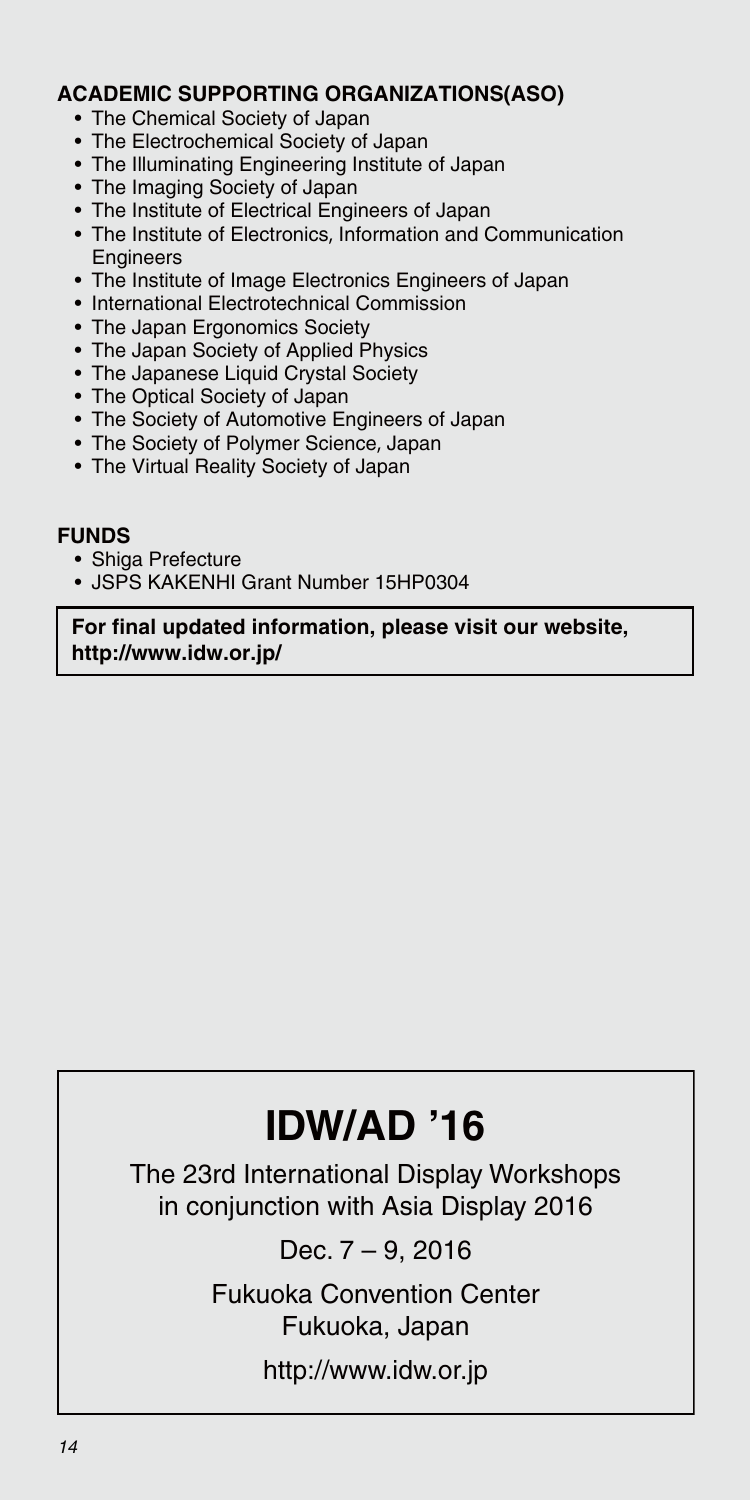#### **ACADEMIC SUPPORTING ORGANIZATIONS(ASO)**

- The Chemical Society of Japan
- The Electrochemical Society of Japan
- The Illuminating Engineering Institute of Japan
- The Imaging Society of Japan
- The Institute of Electrical Engineers of Japan
- The Institute of Electronics, Information and Communication **Engineers**
- The Institute of Image Electronics Engineers of Japan
- International Electrotechnical Commission
- The Japan Ergonomics Society
- The Japan Society of Applied Physics
- The Japanese Liquid Crystal Society
- The Optical Society of Japan
- The Society of Automotive Engineers of Japan
- The Society of Polymer Science, Japan
- The Virtual Reality Society of Japan

#### **FUNDS**

- Shiga Prefecture
- JSPS KAKENHI Grant Number 15HP0304

**For final updated information, please visit our website, http://www.idw.or.jp/**

# **IDW/AD '16**

The 23rd International Display Workshops in conjunction with Asia Display 2016

Dec. 7 – 9, 2016

Fukuoka Convention Center Fukuoka, Japan

http://www.idw.or.jp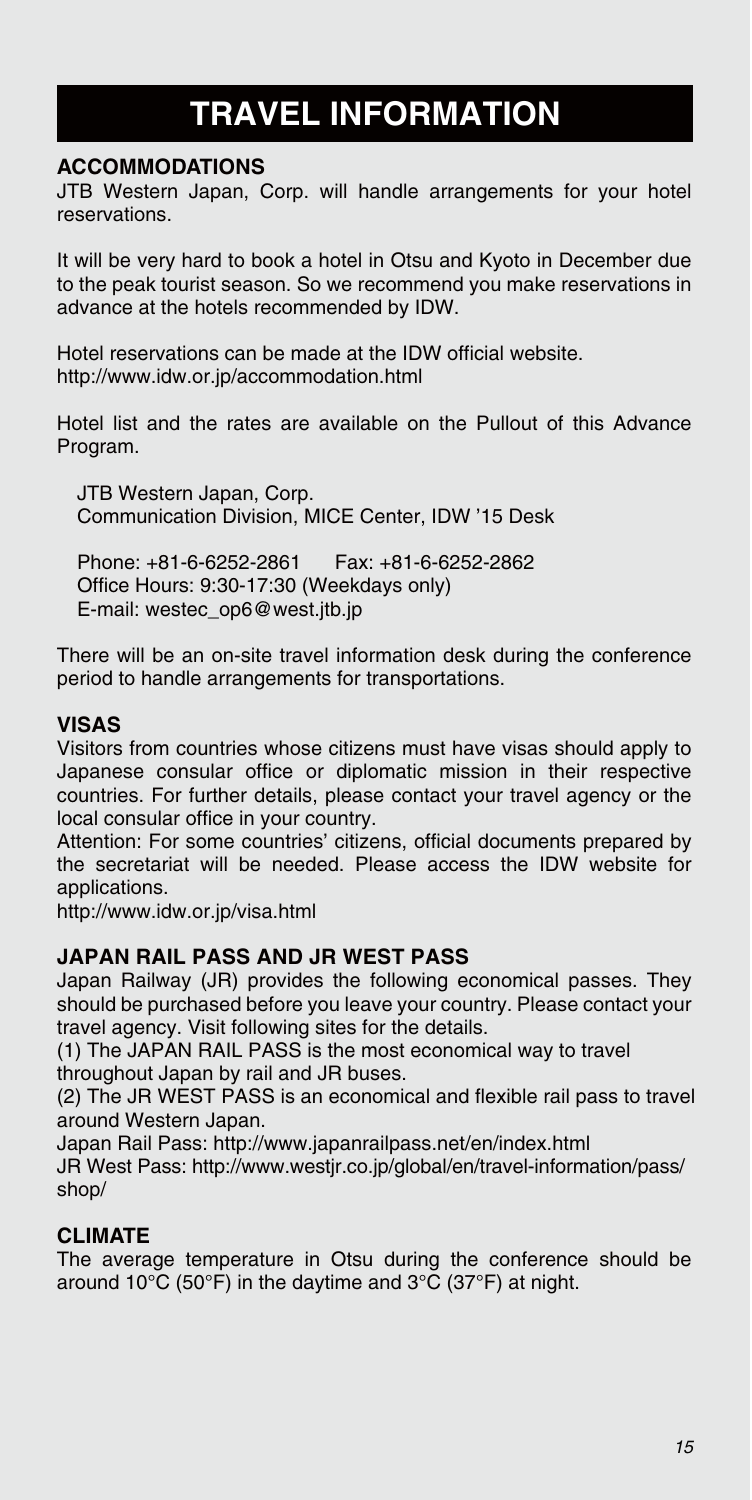# **TRAVEL INFORMATION**

#### **ACCOMMODATIONS**

JTB Western Japan, Corp. will handle arrangements for your hotel reservations.

It will be very hard to book a hotel in Otsu and Kyoto in December due to the peak tourist season. So we recommend you make reservations in advance at the hotels recommended by IDW.

Hotel reservations can be made at the IDW official website. http://www.idw.or.jp/accommodation.html

Hotel list and the rates are available on the Pullout of this Advance Program.

JTB Western Japan, Corp. Communication Division, MICE Center, IDW '15 Desk

Phone: +81-6-6252-2861 Fax: +81-6-6252-2862 Office Hours: 9:30-17:30 (Weekdays only) E-mail: westec\_op6@west.jtb.jp

There will be an on-site travel information desk during the conference period to handle arrangements for transportations.

#### **VISAS**

Visitors from countries whose citizens must have visas should apply to Japanese consular office or diplomatic mission in their respective countries. For further details, please contact your travel agency or the local consular office in your country.

Attention: For some countries' citizens, official documents prepared by the secretariat will be needed. Please access the IDW website for applications.

http://www.idw.or.jp/visa.html

#### **JAPAN RAIL PASS AND JR WEST PASS**

Japan Railway (JR) provides the following economical passes. They should be purchased before you leave your country. Please contact your travel agency. Visit following sites for the details.

(1) The JAPAN RAIL PASS is the most economical way to travel throughout Japan by rail and JR buses.

(2) The JR WEST PASS is an economical and flexible rail pass to travel around Western Japan.

Japan Rail Pass: http://www.japanrailpass.net/en/index.html JR West Pass: http://www.westjr.co.jp/global/en/travel-information/pass/ shop/

#### **CLIMATE**

The average temperature in Otsu during the conference should be around 10°C (50°F) in the daytime and 3°C (37°F) at night.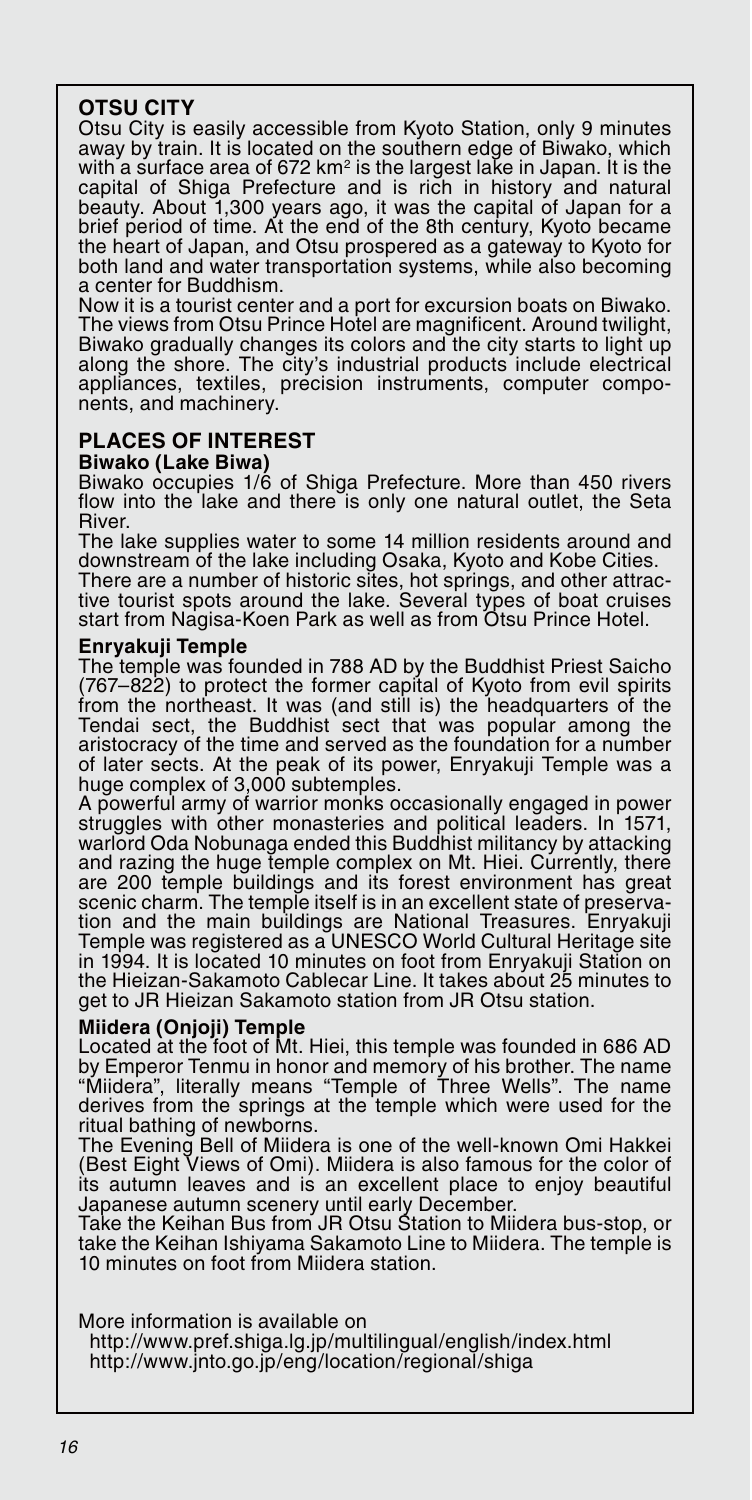#### **OTSU CITY**

Otsu City is easily accessible from Kyoto Station, only 9 minutes away by train. It is located on the southern edge of Biwako, which with a surface area of 672 km<sup>2</sup> is the largest lake in Japan. It is the capital of Shiga Prefecture and is rich in history and natural beauty. About 1,300 years ago, it was the capital of Japan for a brief period of time. At the end of the 8th century, Kyoto became the heart of Japan, and Otsu prospered as a gateway to Kyoto for both land and water transportation systems, while also becoming a center for Buddhism.

Now it is a tourist center and a port for excursion boats on Biwako. The views from Otsu Prince Hotel are magnificent. Around twilight, Biwako gradually changes its colors and the city starts to light up along the shore. The city's industrial products include electrical appliances, textiles, precision instruments, computer components, and machinery.

#### **PLACES OF INTEREST**

#### **Biwako (Lake Biwa)**

Biwako occupies 1/6 of Shiga Prefecture. More than 450 rivers flow into the lake and there is only one natural outlet, the Seta River.

The lake supplies water to some 14 million residents around and downstream of the lake including Osaka, Kyoto and Kobe Cities. There are a number of historic sites, hot springs, and other attrac-tive tourist spots around the lake. Several types of boat cruises

start from Nagisa-Koen Park as well as from Otsu Prince Hotel.

#### **Enryakuji Temple**

The temple was founded in 788 AD by the Buddhist Priest Saicho (767–822) to protect the former capital of Kyoto from evil spirits from the northeast. It was (and still is) the headquarters of the Tendai sect, the Buddhist sect that was popular among the aristocracy of the time and served as the foundation for a number of later sects. At the peak of its power, Enryakuji Temple was a huge complex of 3,000 subtemples.

A powerful army of warrior monks occasionally engaged in power struggles with other monasteries and political leaders. In 1571, warlord Oda Nobunaga ended this Buddhist militancy by attacking and razing the huge temple complex on Mt. Hiei. Currently, there are 200 temple buildings and its forest environment has great scenic charm. The temple itself is in an excellent state of preservation and the main buildings are National Treasures. Enryakuji Temple was registered as a UNESCO World Cultural Heritage site in 1994. It is located 10 minutes on foot from Enryakuji Station on the Hieizan-Sakamoto Cablecar Line. It takes about 25 minutes to get to JR Hieizan Sakamoto station from JR Otsu station.

#### **Miidera (Onjoji) Temple**

Located at the foot of Mt. Hiei, this temple was founded in 686 AD by Emperor Tenmu in honor and memory of his brother. The name "Miidera", literally means "Temple of Three Wells". The name derives from the springs at the temple which were used for the ritual bathing of newborns.

The Evening Bell of Miidera is one of the well-known Omi Hakkei (Best Eight Views of Omi). Miidera is also famous for the color of its autumn leaves and is an excellent place to enjoy beautiful

Japanese autumn scenery until early December. Take the Keihan Bus from JR Otsu Station to Miidera bus-stop, or take the Keihan Ishiyama Sakamoto Line to Miidera. The temple is 10 minutes on foot from Miidera station.

More information is available on

 http://www.pref.shiga.lg.jp/multilingual/english/index.html http://www.jnto.go.jp/eng/location/regional/shiga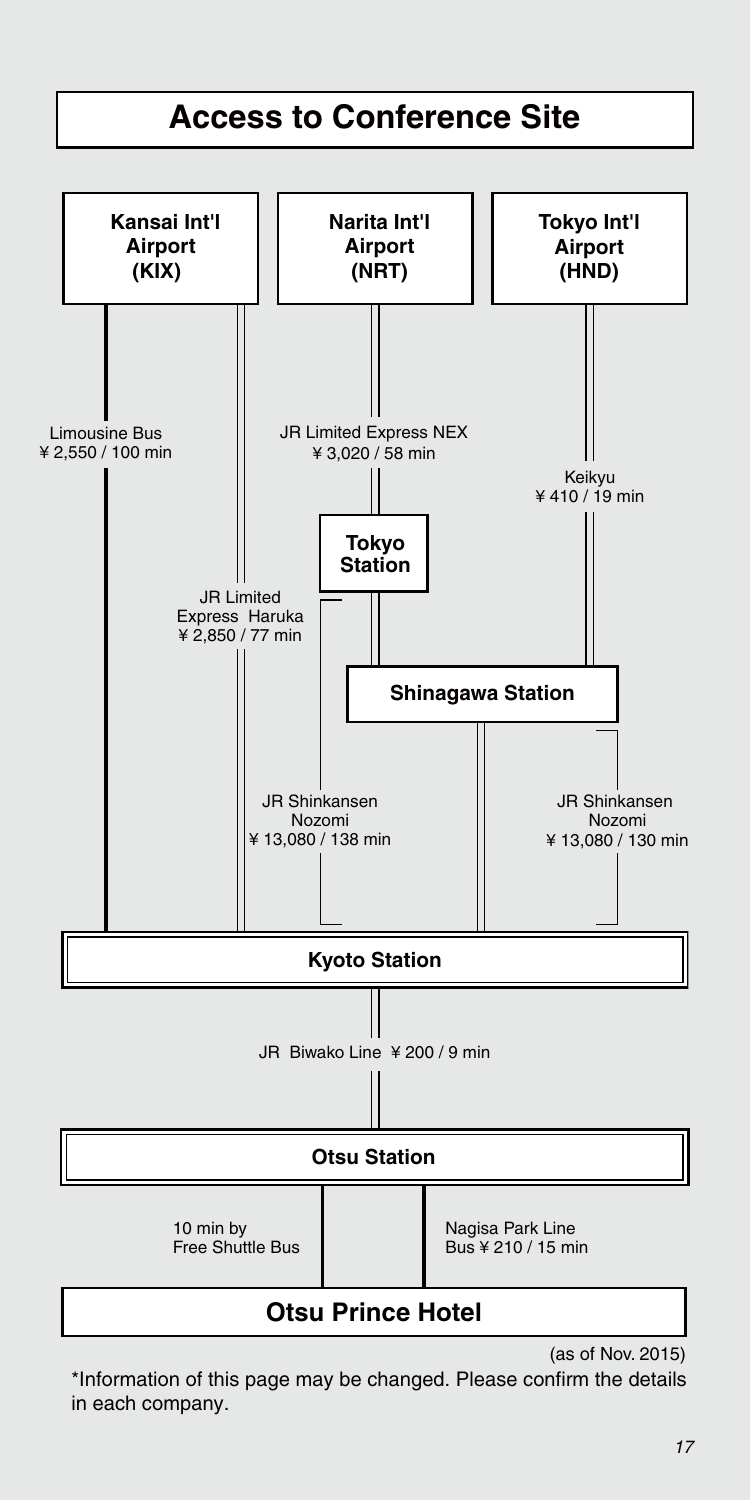

(as of Nov. 2015)

\*Information of this page may be changed. Please confirm the details in each company.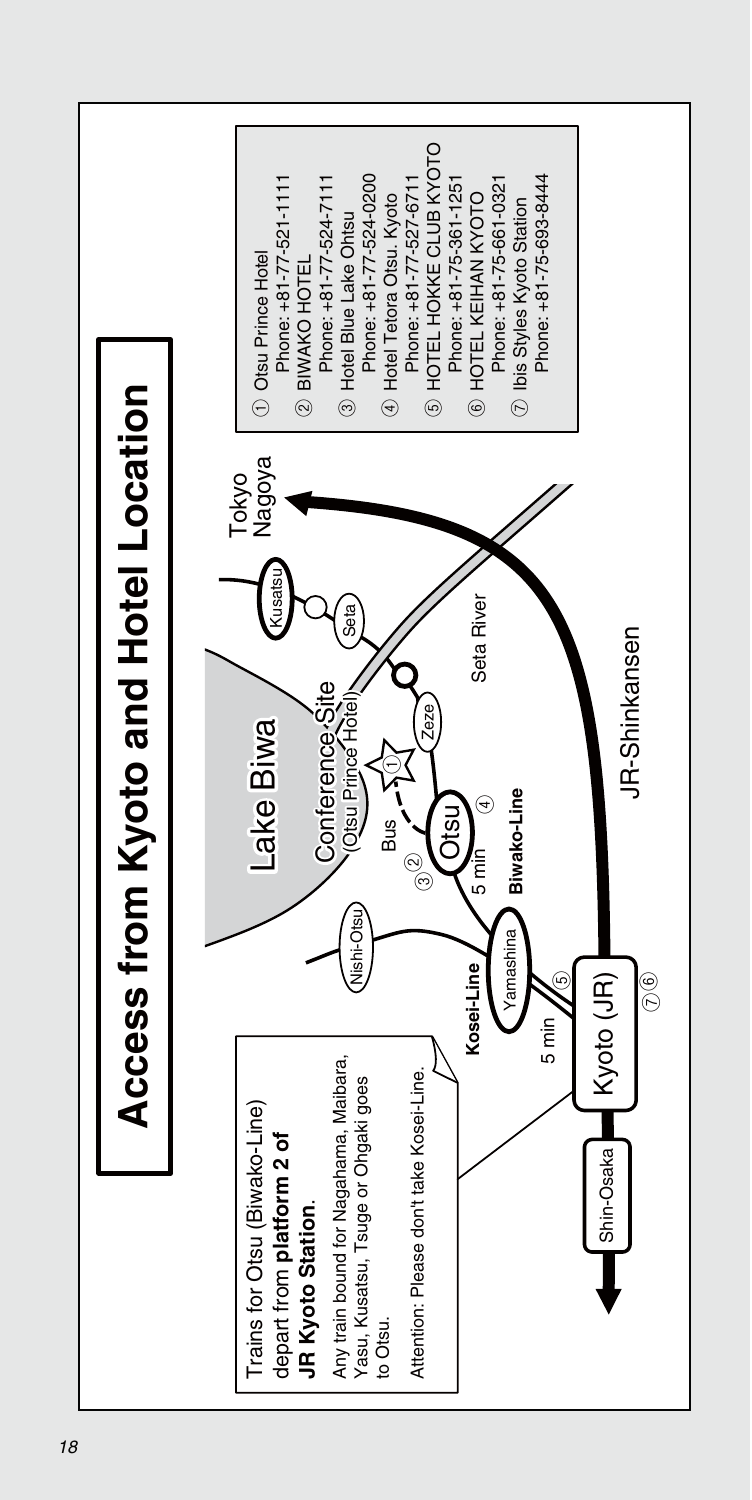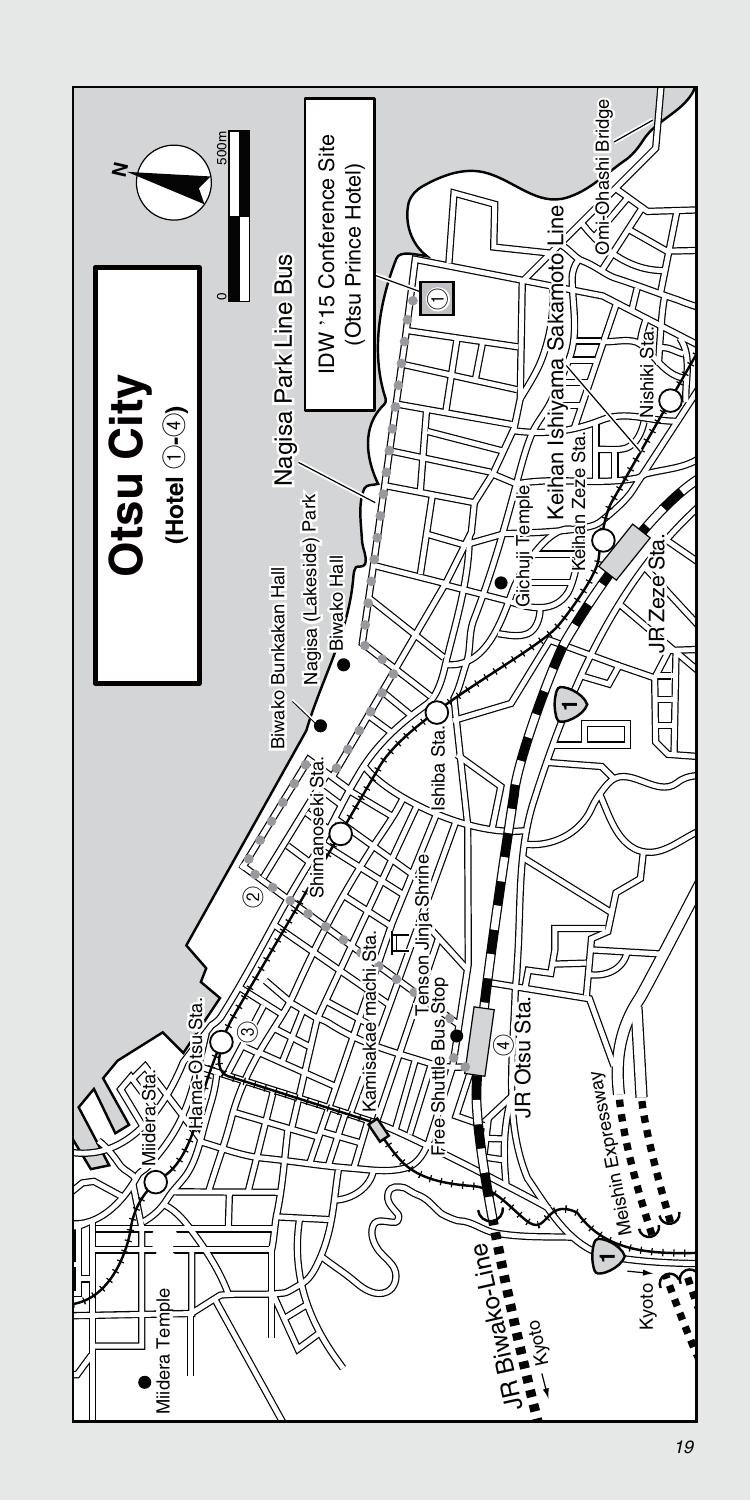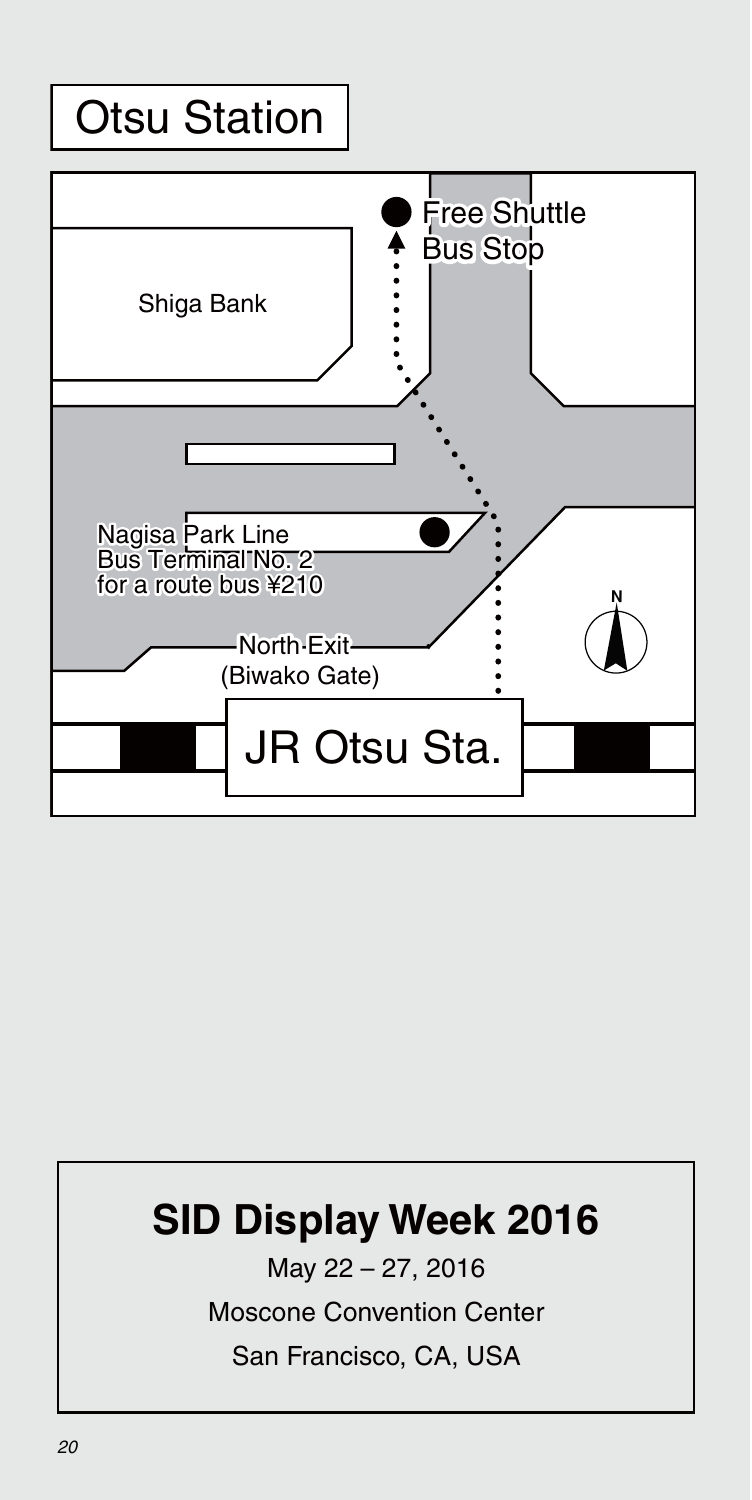# Otsu Station



# **SID Display Week 2016**

May 22 – 27, 2016

Moscone Convention Center

San Francisco, CA, USA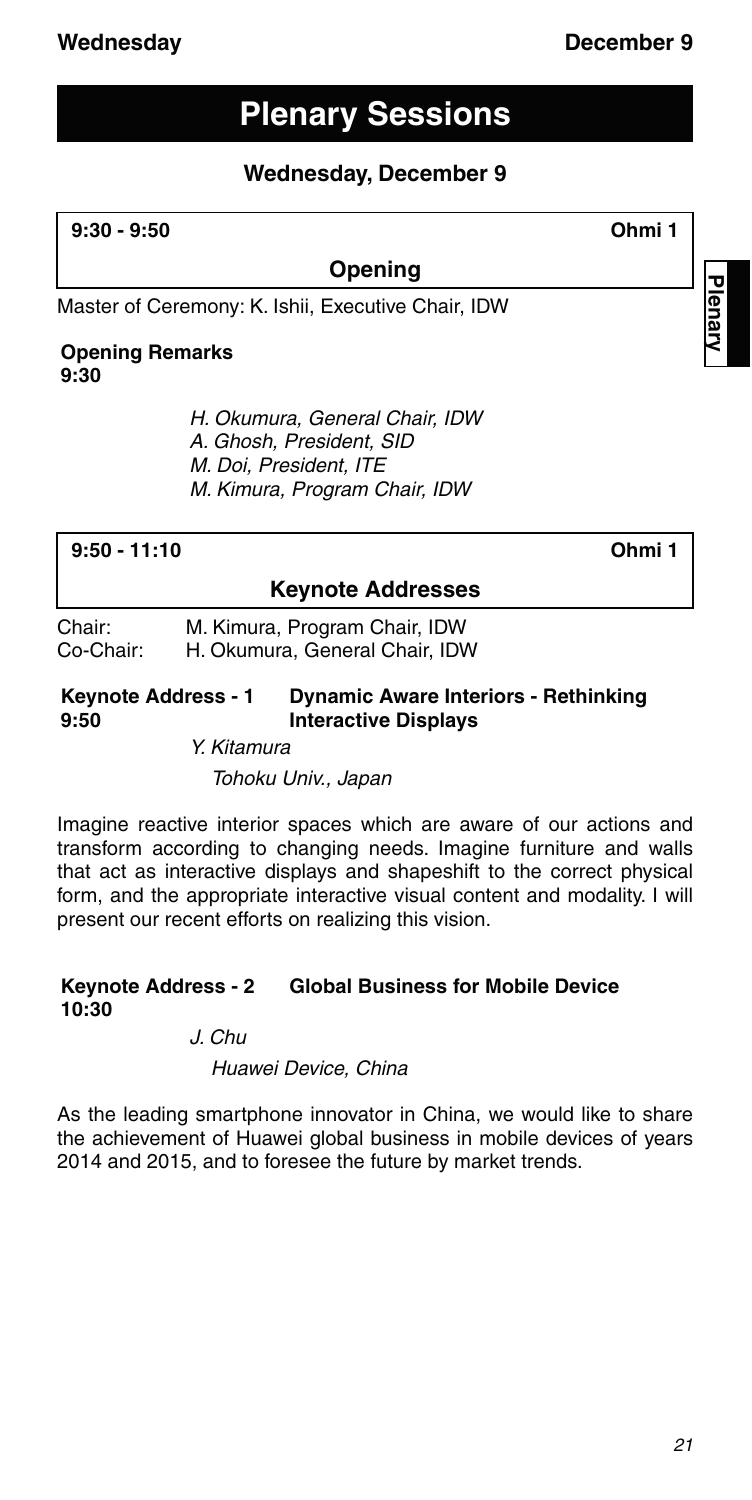# **Wednesday December 9**

# **Plenary Sessions**

### **Wednesday, December 9**

#### **9:30 - 9:50 Ohmi 1**

#### **Opening**

Master of Ceremony: K. Ishii, Executive Chair, IDW

#### **Opening Remarks 9:30**

H. Okumura, General Chair, IDW A. Ghosh, President, SID M. Doi, President, ITE M. Kimura, Program Chair, IDW

#### **9:50 - 11:10 Ohmi 1**

**Plenary**

#### **Keynote Addresses**

Chair: M. Kimura, Program Chair, IDW Co-Chair: H. Okumura, General Chair, IDW

**Keynote Address - 1 9:50 Dynamic Aware Interiors - Rethinking Interactive Displays**

Y. Kitamura

Tohoku Univ., Japan

Imagine reactive interior spaces which are aware of our actions and transform according to changing needs. Imagine furniture and walls that act as interactive displays and shapeshift to the correct physical form, and the appropriate interactive visual content and modality. I will present our recent efforts on realizing this vision.

#### **Keynote Address - 2 10:30 Global Business for Mobile Device**

J. Chu

Huawei Device, China

As the leading smartphone innovator in China, we would like to share the achievement of Huawei global business in mobile devices of years 2014 and 2015, and to foresee the future by market trends.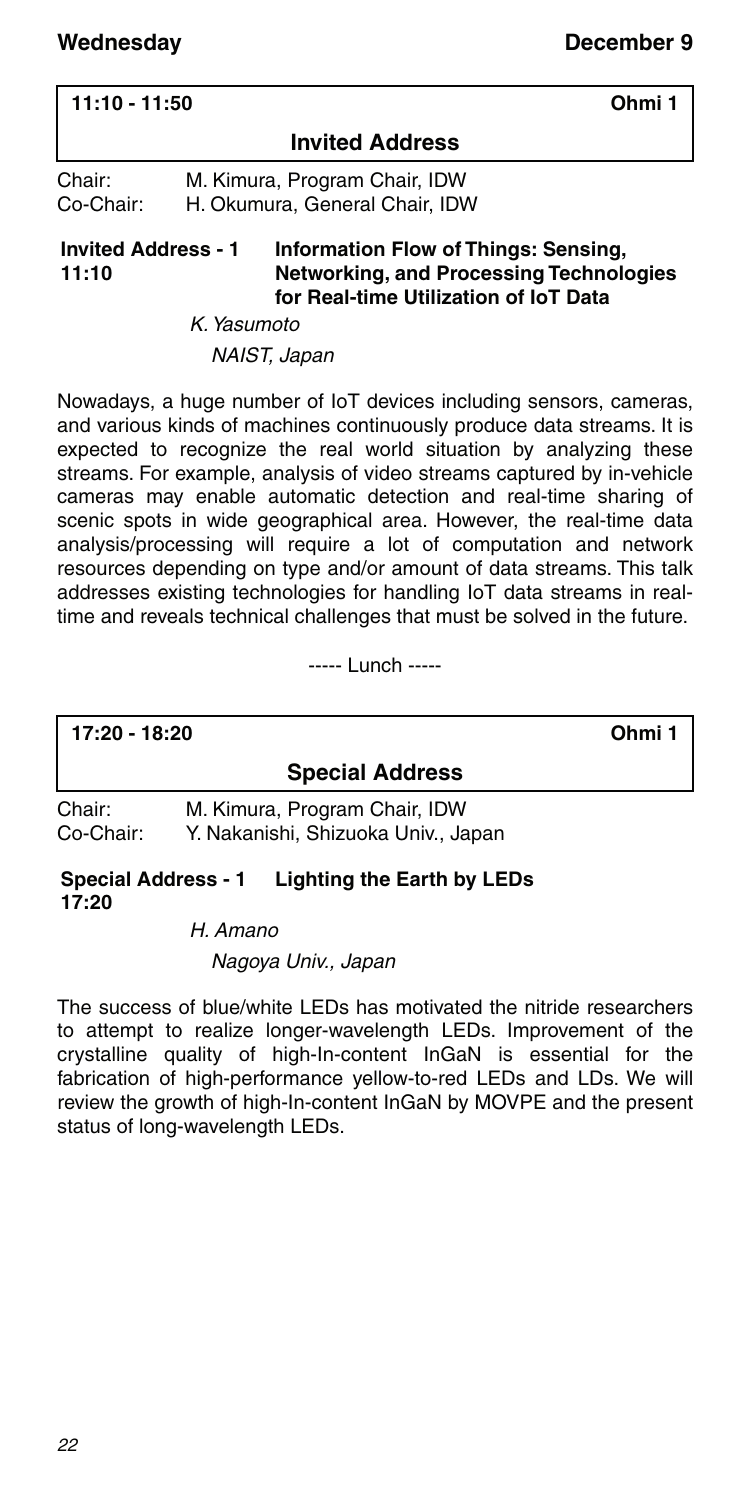| $11:10 - 11:50$     |                                                                 | Ohmi 1 |  |
|---------------------|-----------------------------------------------------------------|--------|--|
|                     | <b>Invited Address</b>                                          |        |  |
| Chair:<br>Co-Chair: | M. Kimura, Program Chair, IDW<br>H. Okumura, General Chair, IDW |        |  |

#### **Invited Address - 1 11:10 Information Flow of Things: Sensing, Networking, and Processing Technologies for Real-time Utilization of IoT Data**

K. Yasumoto

NAIST, Japan

Nowadays, a huge number of IoT devices including sensors, cameras, and various kinds of machines continuously produce data streams. It is expected to recognize the real world situation by analyzing these streams. For example, analysis of video streams captured by in-vehicle cameras may enable automatic detection and real-time sharing of scenic spots in wide geographical area. However, the real-time data analysis/processing will require a lot of computation and network resources depending on type and/or amount of data streams. This talk addresses existing technologies for handling IoT data streams in realtime and reveals technical challenges that must be solved in the future.

----- Lunch -----

**17:20 - 18:20 Ohmi 1**

**Special Address**

Chair: M. Kimura, Program Chair, IDW Co-Chair: Y. Nakanishi, Shizuoka Univ., Japan

**Special Address - 1 17:20 Lighting the Earth by LEDs**

H. Amano

Nagoya Univ., Japan

The success of blue/white LEDs has motivated the nitride researchers to attempt to realize longer-wavelength LEDs. Improvement of the crystalline quality of high-In-content InGaN is essential for the fabrication of high-performance yellow-to-red LEDs and LDs. We will review the growth of high-In-content InGaN by MOVPE and the present status of long-wavelength LEDs.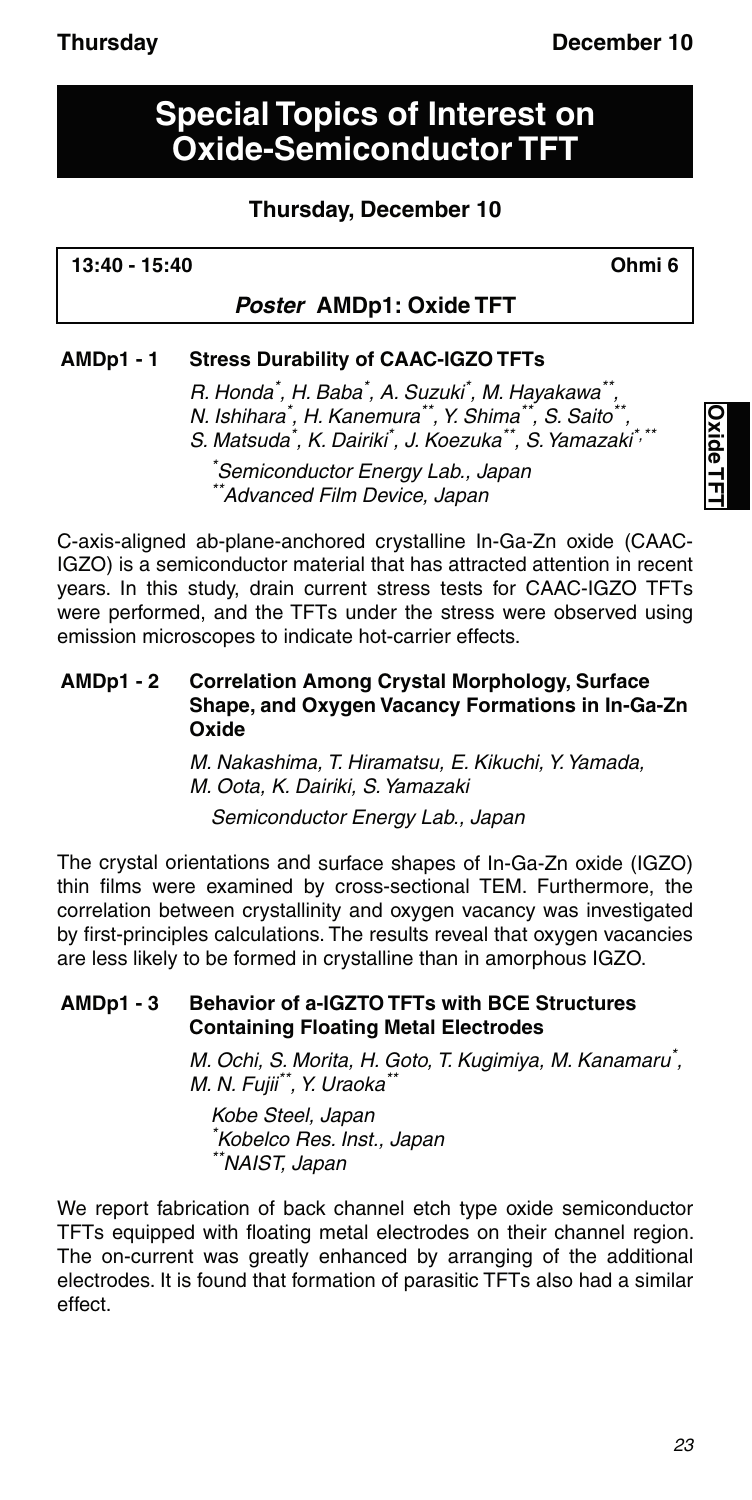# **Special Topics of Interest on Oxide-Semiconductor TFT**

### **Thursday, December 10**

**13:40 - 15:40 Ohmi 6**

#### *Poster* **AMDp1: Oxide TFT**

#### **AMDp1 - 1 Stress Durability of CAAC-IGZO TFTs**

R. Honda<sup>\*</sup>, H. Baba<sup>\*</sup>, A. Suzuki<sup>\*</sup>, M. Hayakawa<sup>\*\*</sup>, N. Ishihara\* , H. Kanemura\*\*, Y. Shima\*\*, S. Saito\*\*, S. Matsuda\*, K. Dairiki\*, J. Koezuka\*\*, S. Yamazaki\*,\*\* \* Semiconductor Energy Lab., Japan

\*Advanced Film Device, Japan

C-axis-aligned ab-plane-anchored crystalline In-Ga-Zn oxide (CAAC-IGZO) is a semiconductor material that has attracted attention in recent years. In this study, drain current stress tests for CAAC-IGZO TFTs were performed, and the TFTs under the stress were observed using emission microscopes to indicate hot-carrier effects.

#### **AMDp1 - 2 Correlation Among Crystal Morphology, Surface Shape, and Oxygen Vacancy Formations in In-Ga-Zn Oxide**

M. Nakashima, T. Hiramatsu, E. Kikuchi, Y. Yamada, M. Oota, K. Dairiki, S. Yamazaki Semiconductor Energy Lab., Japan

The crystal orientations and surface shapes of In-Ga-Zn oxide (IGZO) thin films were examined by cross-sectional TEM. Furthermore, the correlation between crystallinity and oxygen vacancy was investigated by first-principles calculations. The results reveal that oxygen vacancies are less likely to be formed in crystalline than in amorphous IGZO.

#### **AMDp1 - 3 Behavior of a-IGZTO TFTs with BCE Structures Containing Floating Metal Electrodes**

M. Ochi, S. Morita, H. Goto, T. Kugimiya, M. Kanamaru\* , M. N. Fujii<sup>\*\*</sup>, Y. Uraoka<sup>\*</sup>

Kobe Steel, Japan \* Kobelco Res. Inst., Japan \*\*NAIST, Japan

We report fabrication of back channel etch type oxide semiconductor TFTs equipped with floating metal electrodes on their channel region. The on-current was greatly enhanced by arranging of the additional electrodes. It is found that formation of parasitic TFTs also had a similar effect.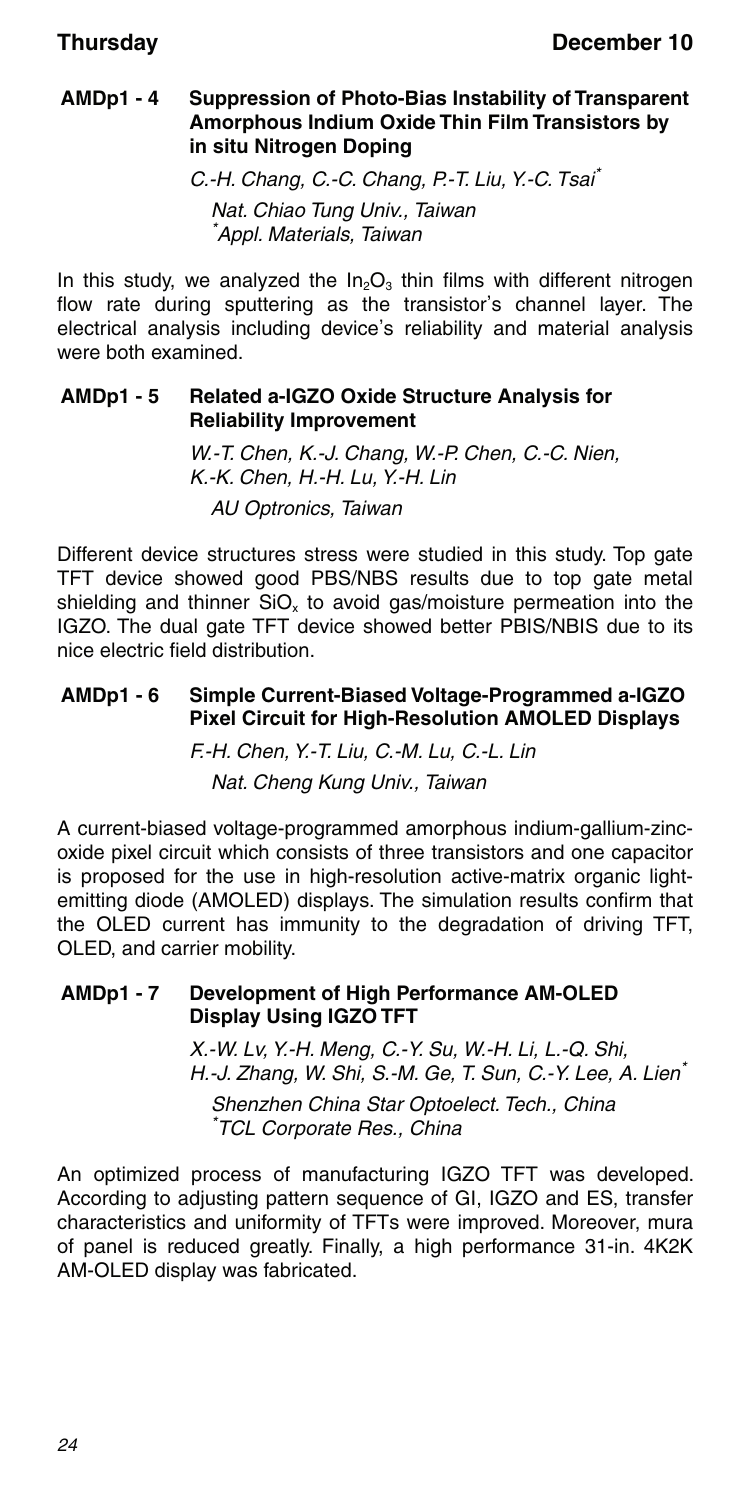#### **AMDp1 - 4 Suppression of Photo-Bias Instability of Transparent Amorphous Indium Oxide Thin Film Transistors by in situ Nitrogen Doping**

C.-H. Chang, C.-C. Chang, P.-T. Liu, Y.-C. Tsai\* Nat. Chiao Tung Univ., Taiwan \* Appl. Materials, Taiwan

In this study, we analyzed the  $In_2O_3$  thin films with different nitrogen flow rate during sputtering as the transistor's channel layer. The electrical analysis including device's reliability and material analysis were both examined.

#### **AMDp1 - 5 Related a-IGZO Oxide Structure Analysis for Reliability Improvement**

W.-T. Chen, K.-J. Chang, W.-P. Chen, C.-C. Nien, K.-K. Chen, H.-H. Lu, Y.-H. Lin AU Optronics, Taiwan

Different device structures stress were studied in this study. Top gate TFT device showed good PBS/NBS results due to top gate metal shielding and thinner  $SiO<sub>x</sub>$  to avoid gas/moisture permeation into the IGZO. The dual gate TFT device showed better PBIS/NBIS due to its nice electric field distribution.

#### **AMDp1 - 6 Simple Current-Biased Voltage-Programmed a-IGZO Pixel Circuit for High-Resolution AMOLED Displays**

F.-H. Chen, Y.-T. Liu, C.-M. Lu, C.-L. Lin Nat. Cheng Kung Univ., Taiwan

A current-biased voltage-programmed amorphous indium-gallium-zincoxide pixel circuit which consists of three transistors and one capacitor is proposed for the use in high-resolution active-matrix organic lightemitting diode (AMOLED) displays. The simulation results confirm that the OLED current has immunity to the degradation of driving TFT, OLED, and carrier mobility.

#### **AMDp1 - 7 Development of High Performance AM-OLED Display Using IGZO TFT**

X.-W. Lv, Y.-H. Meng, C.-Y. Su, W.-H. Li, L.-Q. Shi, H.-J. Zhang, W. Shi, S.-M. Ge, T. Sun, C.-Y. Lee, A. Lien\*

Shenzhen China Star Optoelect. Tech., China \* TCL Corporate Res., China

An optimized process of manufacturing IGZO TFT was developed. According to adjusting pattern sequence of GI, IGZO and ES, transfer characteristics and uniformity of TFTs were improved. Moreover, mura of panel is reduced greatly. Finally, a high performance 31-in. 4K2K AM-OLED display was fabricated.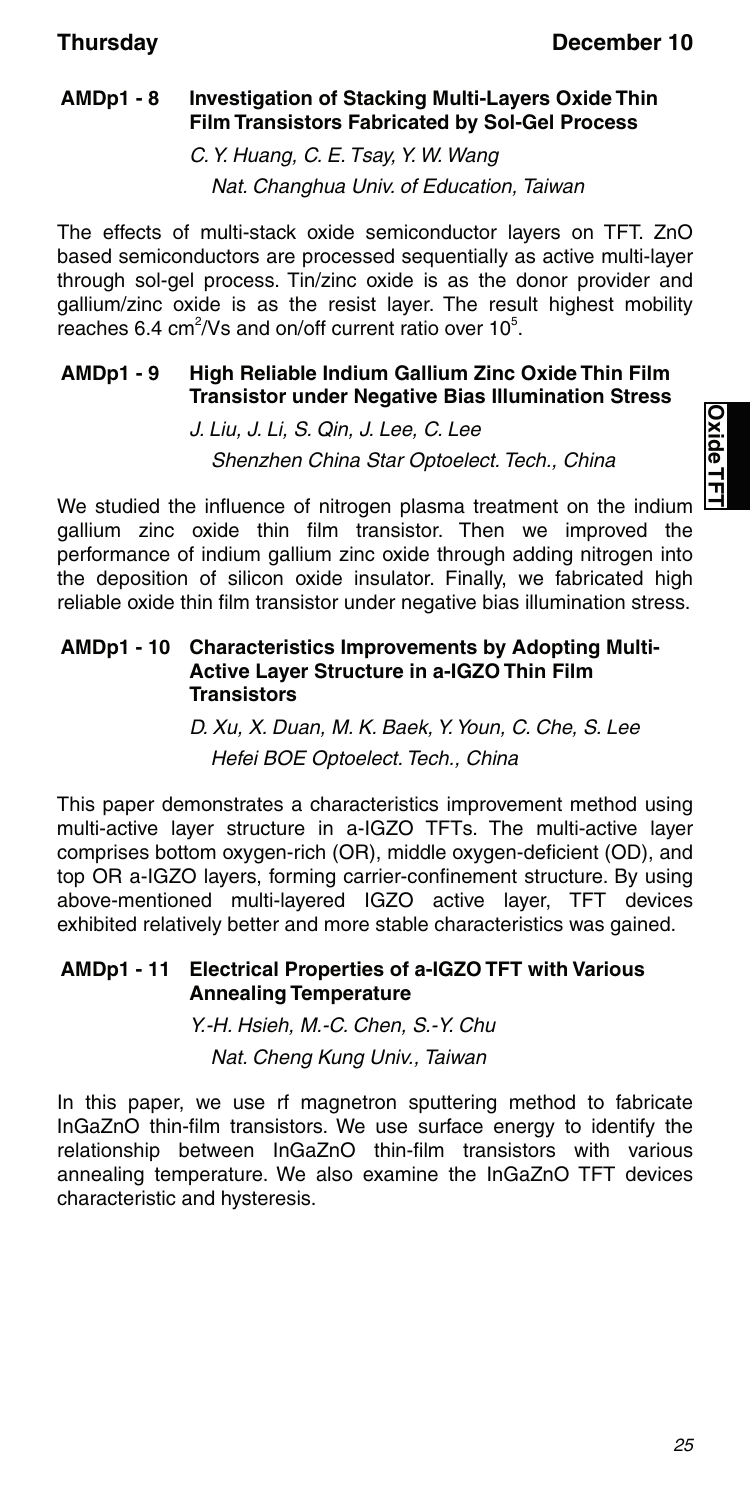#### **AMDp1 - 8 Investigation of Stacking Multi-Layers Oxide Thin Film Transistors Fabricated by Sol-Gel Process**

C. Y. Huang, C. E. Tsay, Y. W. Wang Nat. Changhua Univ. of Education, Taiwan

The effects of multi-stack oxide semiconductor layers on TFT. ZnO based semiconductors are processed sequentially as active multi-layer through sol-gel process. Tin/zinc oxide is as the donor provider and gallium/zinc oxide is as the resist layer. The result highest mobility reaches 6.4 cm<sup>2</sup>/Vs and on/off current ratio over  $10^5$ .

#### **AMDp1 - 9 High Reliable Indium Gallium Zinc Oxide Thin Film Transistor under Negative Bias Illumination Stress**

J. Liu, J. Li, S. Qin, J. Lee, C. Lee Shenzhen China Star Optoelect. Tech., China

We studied the influence of nitrogen plasma treatment on the indium gallium zinc oxide thin film transistor. Then we improved the performance of indium gallium zinc oxide through adding nitrogen into the deposition of silicon oxide insulator. Finally, we fabricated high reliable oxide thin film transistor under negative bias illumination stress.

#### **AMDp1 - 10 Characteristics Improvements by Adopting Multi-Active Layer Structure in a-IGZO Thin Film Transistors**

D. Xu, X. Duan, M. K. Baek, Y. Youn, C. Che, S. Lee Hefei BOE Optoelect. Tech., China

This paper demonstrates a characteristics improvement method using multi-active layer structure in a-IGZO TFTs. The multi-active layer comprises bottom oxygen-rich (OR), middle oxygen-deficient (OD), and top OR a-IGZO layers, forming carrier-confinement structure. By using above-mentioned multi-layered IGZO active layer, TFT devices exhibited relatively better and more stable characteristics was gained.

#### **AMDp1 - 11 Electrical Properties of a-IGZO TFT with Various Annealing Temperature**

Y.-H. Hsieh, M.-C. Chen, S.-Y. Chu Nat. Cheng Kung Univ., Taiwan

In this paper, we use rf magnetron sputtering method to fabricate InGaZnO thin-film transistors. We use surface energy to identify the relationship between InGaZnO thin-film transistors with various annealing temperature. We also examine the InGaZnO TFT devices characteristic and hysteresis.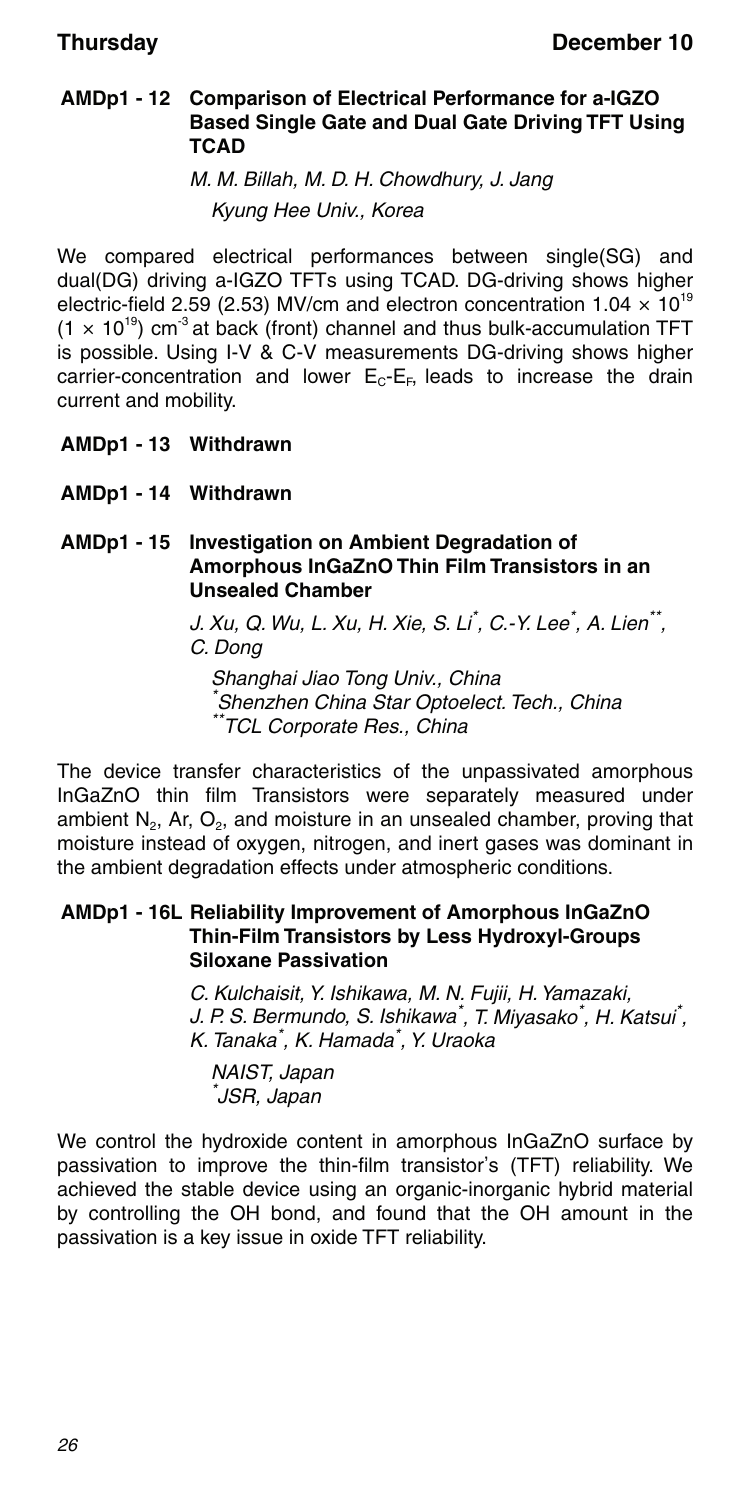#### **AMDp1 - 12 Comparison of Electrical Performance for a-IGZO Based Single Gate and Dual Gate Driving TFT Using TCAD**

M. M. Billah, M. D. H. Chowdhury, J. Jang Kyung Hee Univ., Korea

We compared electrical performances between single(SG) and dual(DG) driving a-IGZO TFTs using TCAD. DG-driving shows higher electric-field 2.59 (2.53) MV/cm and electron concentration  $1.04 \times 10^{19}$  $(1 \times 10^{19})$  cm<sup>3</sup> at back (front) channel and thus bulk-accumulation TFT is possible. Using I-V & C-V measurements DG-driving shows higher carrier-concentration and lower  $E_C-E_F$ , leads to increase the drain current and mobility.

- **AMDp1 13 Withdrawn**
- **AMDp1 14 Withdrawn**

**AMDp1 - 15 Investigation on Ambient Degradation of Amorphous InGaZnO Thin Film Transistors in an Unsealed Chamber**

> J. Xu, Q. Wu, L. Xu, H. Xie, S. Li<sup>\*</sup>, C.-Y. Lee<sup>\*</sup>, A. Lien<sup>\*\*</sup>, C. Dong

Shanghai Jiao Tong Univ., China \* Shenzhen China Star Optoelect. Tech., China \*\*TCL Corporate Res., China

The device transfer characteristics of the unpassivated amorphous InGaZnO thin film Transistors were separately measured under ambient  $N_2$ , Ar,  $O_2$ , and moisture in an unsealed chamber, proving that moisture instead of oxygen, nitrogen, and inert gases was dominant in the ambient degradation effects under atmospheric conditions.

#### **AMDp1 - 16L Reliability Improvement of Amorphous InGaZnO Thin-Film Transistors by Less Hydroxyl-Groups Siloxane Passivation**

C. Kulchaisit, Y. Ishikawa, M. N. Fujii, H. Yamazaki, J. P. S. Bermundo, S. Ishikawa<sup>\*</sup>, T. Miyasako<sup>\*</sup>, H. Katsui<sup>\*</sup>, K. Tanaka\* , K. Hamada\* , Y. Uraoka

NAIST, Japan \* JSR, Japan

We control the hydroxide content in amorphous InGaZnO surface by passivation to improve the thin-film transistor's (TFT) reliability. We achieved the stable device using an organic-inorganic hybrid material by controlling the OH bond, and found that the OH amount in the passivation is a key issue in oxide TFT reliability.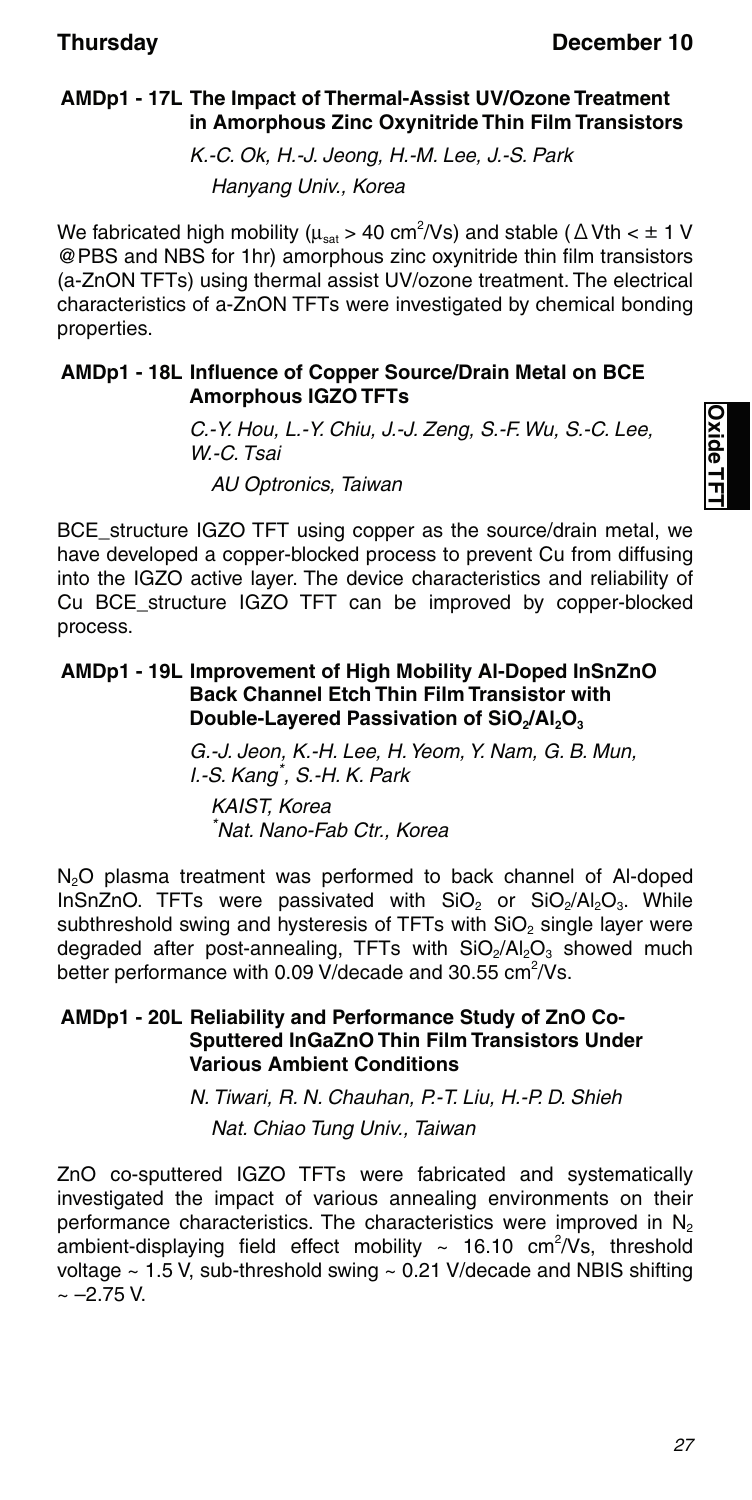#### **AMDp1 - 17L The Impact of Thermal-Assist UV/Ozone Treatment in Amorphous Zinc Oxynitride Thin Film Transistors**

K.-C. Ok, H.-J. Jeong, H.-M. Lee, J.-S. Park Hanyang Univ., Korea

We fabricated high mobility ( $\mu_{\text{sat}}$  > 40 cm<sup>2</sup>/Vs) and stable ( $\Delta$ Vth <  $\pm$  1 V @PBS and NBS for 1hr) amorphous zinc oxynitride thin film transistors (a-ZnON TFTs) using thermal assist UV/ozone treatment. The electrical characteristics of a-ZnON TFTs were investigated by chemical bonding properties.

#### **AMDp1 - 18L Influence of Copper Source/Drain Metal on BCE Amorphous IGZO TFTs**

C.-Y. Hou, L.-Y. Chiu, J.-J. Zeng, S.-F. Wu, S.-C. Lee, W.-C. Tsai

AU Optronics, Taiwan

BCE structure IGZO TFT using copper as the source/drain metal, we have developed a copper-blocked process to prevent Cu from diffusing into the IGZO active layer. The device characteristics and reliability of Cu BCE\_structure IGZO TFT can be improved by copper-blocked process.

#### **AMDp1 - 19L Improvement of High Mobility Al-Doped InSnZnO Back Channel Etch Thin Film Transistor with Double-Layered Passivation of SiO<sub>2</sub>/Al<sub>2</sub>O<sub>3</sub>**

G.-J. Jeon, K.-H. Lee, H. Yeom, Y. Nam, G. B. Mun, I.-S. Kang\* , S.-H. K. Park KAIST, Korea \* Nat. Nano-Fab Ctr., Korea

N<sub>2</sub>O plasma treatment was performed to back channel of Al-doped InSnZnO. TFTs were passivated with  $SiO<sub>2</sub>$  or  $SiO<sub>2</sub>/Al<sub>2</sub>O<sub>3</sub>$ . While subthreshold swing and hysteresis of TFTs with SiO<sub>2</sub> single layer were degraded after post-annealing, TFTs with SiO<sub>2</sub>/Al<sub>2</sub>O<sub>3</sub> showed much better performance with 0.09 V/decade and 30.55 cm<sup>2</sup>/Vs.

#### **AMDp1 - 20L Reliability and Performance Study of ZnO Co-Sputtered InGaZnO Thin Film Transistors Under Various Ambient Conditions**

N. Tiwari, R. N. Chauhan, P.-T. Liu, H.-P. D. Shieh Nat. Chiao Tung Univ., Taiwan

ZnO co-sputtered IGZO TFTs were fabricated and systematically investigated the impact of various annealing environments on their performance characteristics. The characteristics were improved in  $N_2$ ambient-displaying field effect mobility  $\sim$  16.10 cm<sup>2</sup>/Vs, threshold voltage  $\sim$  1.5 V, sub-threshold swing  $\sim$  0.21 V/decade and NBIS shifting  $\sim -2.75$  V.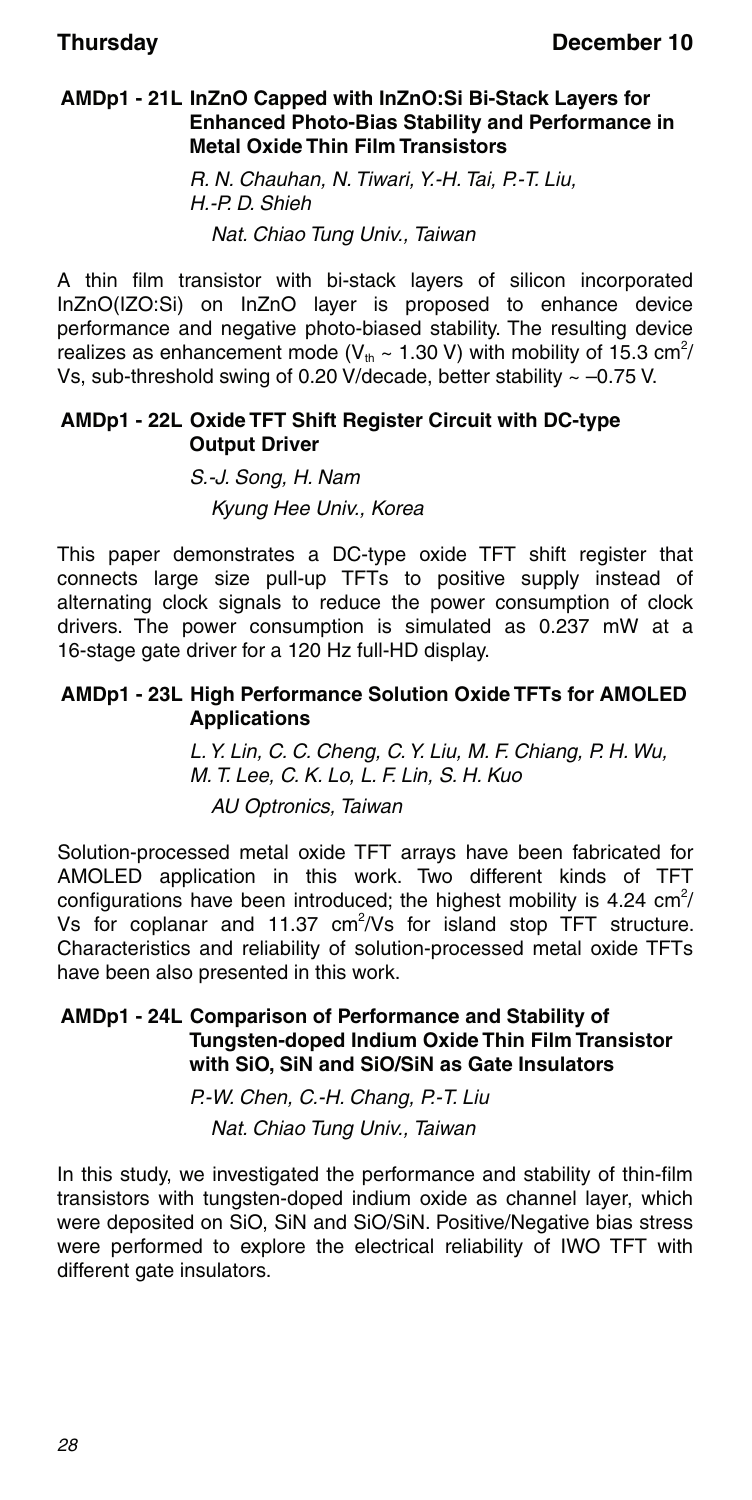#### **AMDp1 - 21L InZnO Capped with InZnO:Si Bi-Stack Layers for Enhanced Photo-Bias Stability and Performance in Metal Oxide Thin Film Transistors**

R. N. Chauhan, N. Tiwari, Y.-H. Tai, P.-T. Liu, H.-P. D. Shieh Nat. Chiao Tung Univ., Taiwan

A thin film transistor with bi-stack layers of silicon incorporated InZnO(IZO:Si) on InZnO layer is proposed to enhance device performance and negative photo-biased stability. The resulting device realizes as enhancement mode (V<sub>th</sub> ~ 1.30 V) with mobility of 15.3 cm<sup>2</sup>/ Vs, sub-threshold swing of 0.20 V/decade, better stability  $\sim -0.75$  V.

#### **AMDp1 - 22L Oxide TFT Shift Register Circuit with DC-type Output Driver**

S.-J. Song, H. Nam Kyung Hee Univ., Korea

This paper demonstrates a DC-type oxide TFT shift register that connects large size pull-up TFTs to positive supply instead of alternating clock signals to reduce the power consumption of clock drivers. The power consumption is simulated as 0.237 mW at a 16-stage gate driver for a 120 Hz full-HD display.

#### **AMDp1 - 23L High Performance Solution Oxide TFTs for AMOLED Applications**

L. Y. Lin, C. C. Cheng, C. Y. Liu, M. F. Chiang, P. H. Wu, M. T. Lee, C. K. Lo, L. F. Lin, S. H. Kuo AU Optronics, Taiwan

Solution-processed metal oxide TFT arrays have been fabricated for AMOLED application in this work. Two different kinds of TFT configurations have been introduced; the highest mobility is 4.24  $\text{cm}^2$ / Vs for coplanar and 11.37  $\text{cm}^2/\text{Vs}$  for island stop TFT structure. Characteristics and reliability of solution-processed metal oxide TFTs have been also presented in this work.

#### **AMDp1 - 24L Comparison of Performance and Stability of Tungsten-doped Indium Oxide Thin Film Transistor with SiO, SiN and SiO/SiN as Gate Insulators**

P.-W. Chen, C.-H. Chang, P.-T. Liu Nat. Chiao Tung Univ., Taiwan

In this study, we investigated the performance and stability of thin-film transistors with tungsten-doped indium oxide as channel layer, which were deposited on SiO, SiN and SiO/SiN. Positive/Negative bias stress were performed to explore the electrical reliability of IWO TFT with different gate insulators.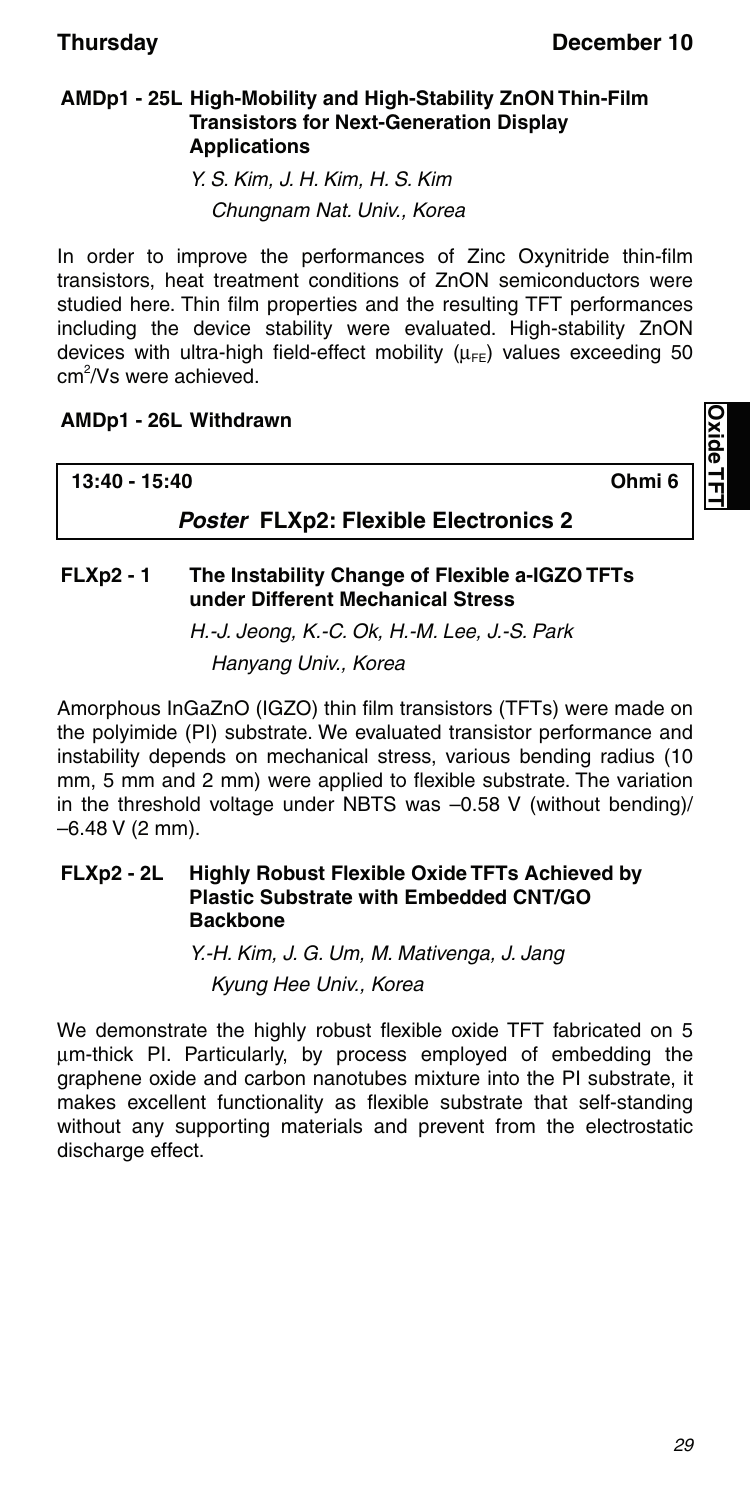**Oxide TFT**

#### **AMDp1 - 25L High-Mobility and High-Stability ZnON Thin-Film Transistors for Next-Generation Display Applications**

Y. S. Kim, J. H. Kim, H. S. Kim Chungnam Nat. Univ., Korea

In order to improve the performances of Zinc Oxynitride thin-film transistors, heat treatment conditions of ZnON semiconductors were studied here. Thin film properties and the resulting TFT performances including the device stability were evaluated. High-stability ZnON devices with ultra-high field-effect mobility  $(\mu_{FE})$  values exceeding 50 cm<sup>2</sup>/Vs were achieved.

#### **AMDp1 - 26L Withdrawn**

| <b>Poster FLXp2: Flexible Electronics 2</b> |  |
|---------------------------------------------|--|

#### **FLXp2 - 1 The Instability Change of Flexible a-IGZO TFTs under Different Mechanical Stress**

H.-J. Jeong, K.-C. Ok, H.-M. Lee, J.-S. Park Hanyang Univ., Korea

Amorphous InGaZnO (IGZO) thin film transistors (TFTs) were made on the polyimide (PI) substrate. We evaluated transistor performance and instability depends on mechanical stress, various bending radius (10 mm, 5 mm and 2 mm) were applied to flexible substrate. The variation in the threshold voltage under NBTS was –0.58 V (without bending)/  $-6.48$  V (2 mm).

#### **FLXp2 - 2L Highly Robust Flexible Oxide TFTs Achieved by Plastic Substrate with Embedded CNT/GO Backbone**

Y.-H. Kim, J. G. Um, M. Mativenga, J. Jang Kyung Hee Univ., Korea

We demonstrate the highly robust flexible oxide TFT fabricated on 5 um-thick PI. Particularly, by process employed of embedding the graphene oxide and carbon nanotubes mixture into the PI substrate, it makes excellent functionality as flexible substrate that self-standing without any supporting materials and prevent from the electrostatic discharge effect.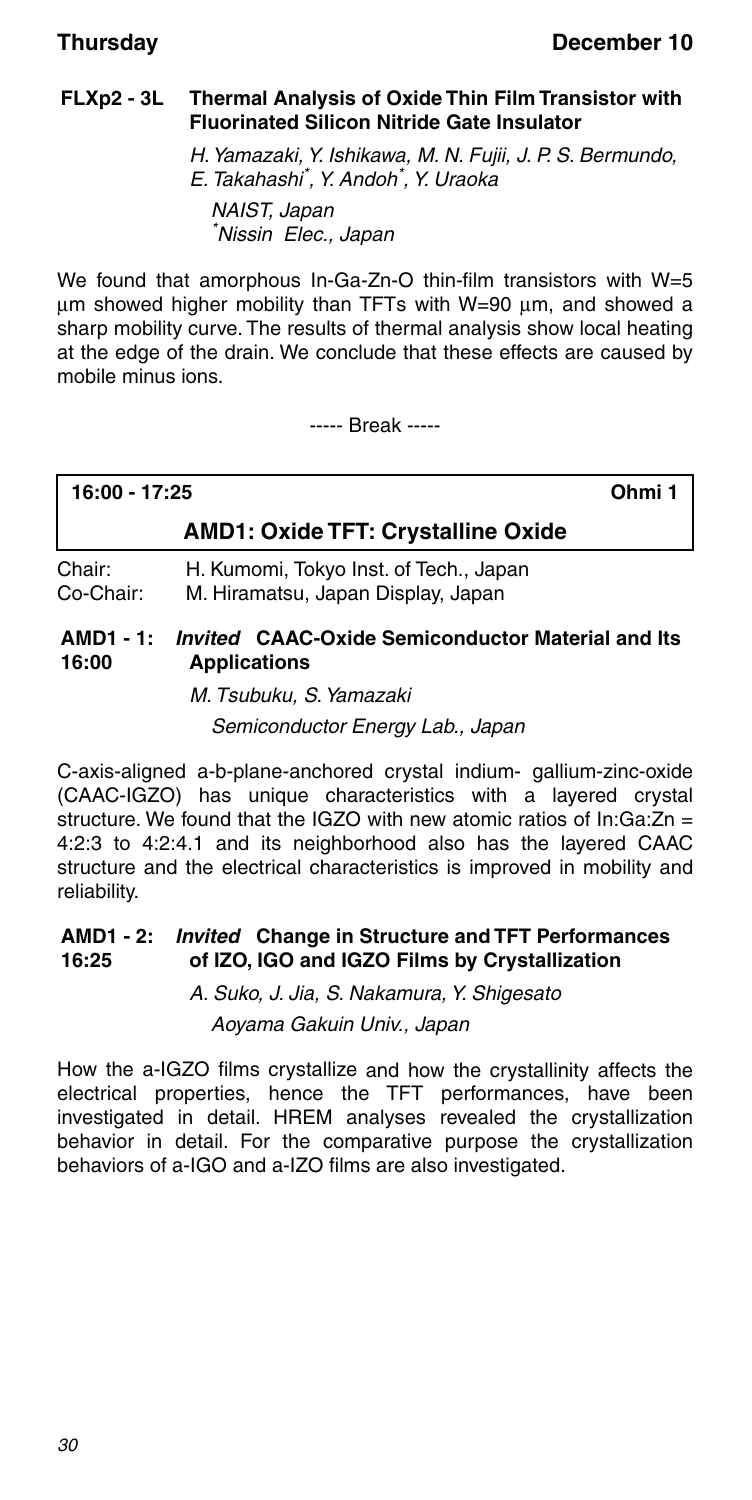#### **FLXp2 - 3L Thermal Analysis of Oxide Thin Film Transistor with Fluorinated Silicon Nitride Gate Insulator**

H. Yamazaki, Y. Ishikawa, M. N. Fujii, J. P. S. Bermundo, E. Takahashi\* , Y. Andoh\* , Y. Uraoka NAIST, Japan \* Nissin Elec., Japan

We found that amorphous In-Ga-Zn-O thin-film transistors with W=5  $\mu$ m showed higher mobility than TFTs with W=90  $\mu$ m, and showed a sharp mobility curve. The results of thermal analysis show local heating at the edge of the drain. We conclude that these effects are caused by mobile minus ions.

----- Break -----

| 16:00 - 17:25 | Ohmi 1 |
|---------------|--------|
|               |        |

#### **AMD1: Oxide TFT: Crystalline Oxide**

Chair: H. Kumomi, Tokyo Inst. of Tech., Japan Co-Chair: M. Hiramatsu, Japan Display, Japan

#### **AMD1 - 1:** *Invited* **CAAC-Oxide Semiconductor Material and Its 16:00 Applications**

M. Tsubuku, S. Yamazaki Semiconductor Energy Lab., Japan

C-axis-aligned a-b-plane-anchored crystal indium- gallium-zinc-oxide (CAAC-IGZO) has unique characteristics with a layered crystal structure. We found that the IGZO with new atomic ratios of In:Ga: $Zn =$ 4:2:3 to 4:2:4.1 and its neighborhood also has the layered CAAC structure and the electrical characteristics is improved in mobility and reliability.

#### **AMD1 - 2:** *Invited* **Change in Structure and TFT Performances 16:25 of IZO, IGO and IGZO Films by Crystallization**

A. Suko, J. Jia, S. Nakamura, Y. Shigesato

Aoyama Gakuin Univ., Japan

How the a-IGZO films crystallize and how the crystallinity affects the electrical properties, hence the TFT performances, have been investigated in detail. HREM analyses revealed the crystallization behavior in detail. For the comparative purpose the crystallization behaviors of a-IGO and a-IZO films are also investigated.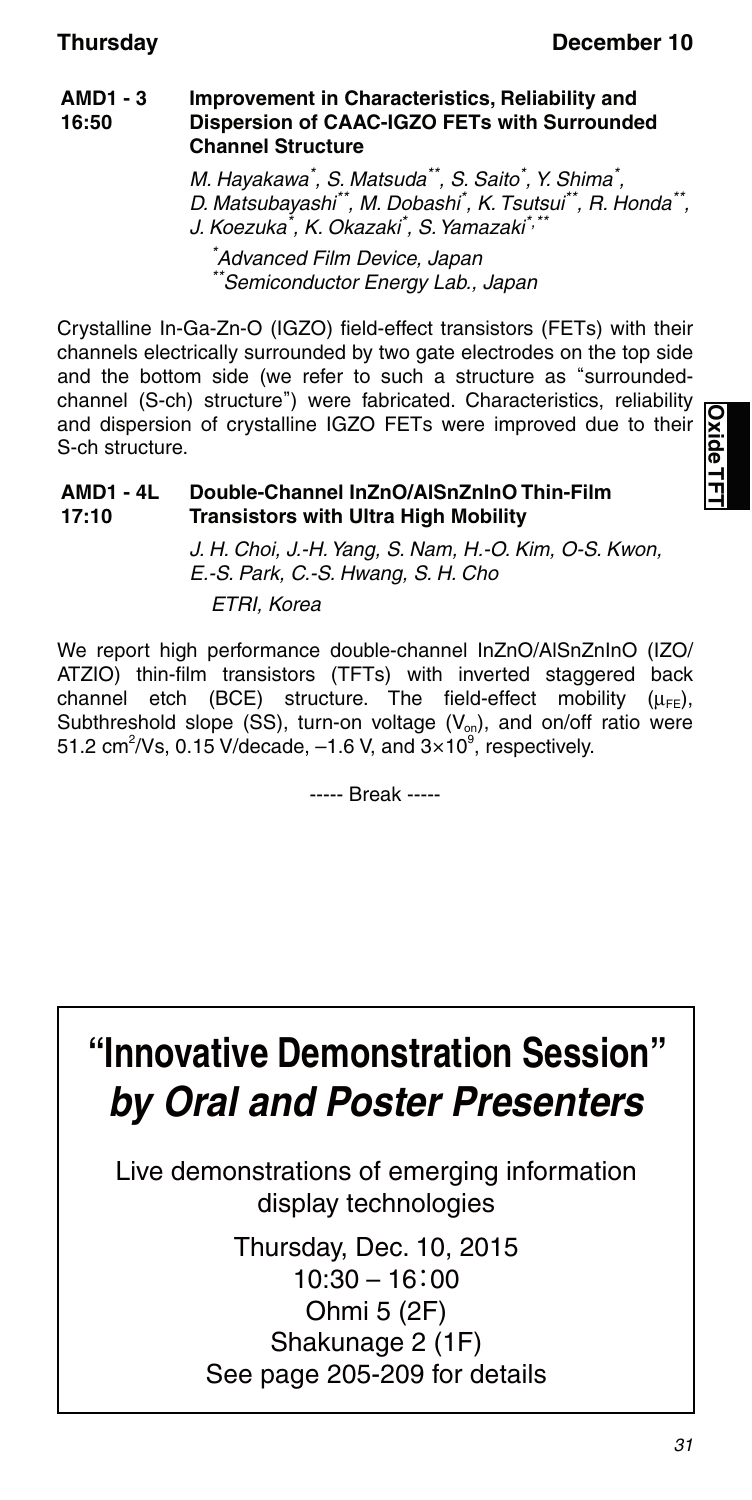#### **AMD1 - 3 16:50 Improvement in Characteristics, Reliability and Dispersion of CAAC-IGZO FETs with Surrounded Channel Structure**

M. Hayakawa\* , S. Matsuda\*\*, S. Saito\* , Y. Shima\* , D. Matsubayashi\*\*, M. Dobashi<sup>\*</sup>, K. Tsutsui\*\*, R. Honda\*\*, J. Koezuka<sup>\*</sup>, K. Okazaki<sup>\*</sup>, S. Yamazaki<sup>\*,\*\*</sup>

\* Advanced Film Device, Japan \*Semiconductor Energy Lab., Japan

Crystalline In-Ga-Zn-O (IGZO) field-effect transistors (FETs) with their channels electrically surrounded by two gate electrodes on the top side and the bottom side (we refer to such a structure as "surroundedchannel (S-ch) structure") were fabricated. Characteristics, reliability and dispersion of crystalline IGZO FETs were improved due to their S-ch structure.

#### **AMD1 - 4L 17:10 Double-Channel InZnO/AlSnZnInO Thin-Film Transistors with Ultra High Mobility**

J. H. Choi, J.-H. Yang, S. Nam, H.-O. Kim, O-S. Kwon, E.-S. Park, C.-S. Hwang, S. H. Cho ETRI, Korea

We report high performance double-channel InZnO/AlSnZnInO (IZO/ ATZIO) thin-film transistors (TFTs) with inverted staggered back channel etch (BCE) structure. The field-effect mobility  $(\mu_{FE})$ , Subthreshold slope (SS), turn-on voltage  $(V_{on})$ , and on/off ratio were 51.2 cm<sup>2</sup>/Vs, 0.15 V/decade,  $-1.6$  V, and  $3\times10^9$ , respectively.

----- Break -----

# **"Innovative Demonstration Session"** *by Oral and Poster Presenters*

Live demonstrations of emerging information display technologies

> Thursday, Dec. 10, 2015 10:30 – 16:00 Ohmi 5 (2F) Shakunage 2 (1F) See page 205-209 for details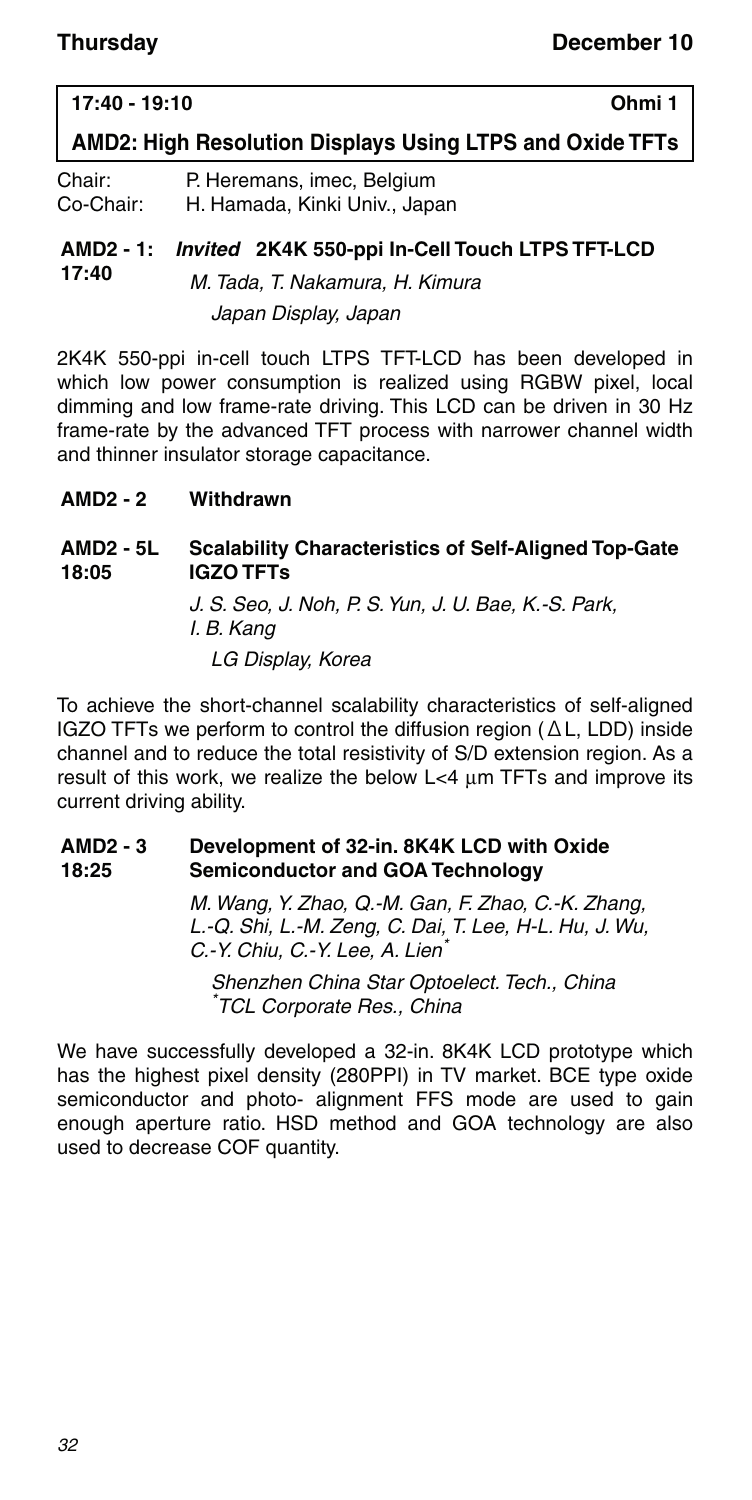#### **17:40 - 19:10 Ohmi 1**

### **AMD2: High Resolution Displays Using LTPS and Oxide TFTs**

| Chair:    | P. Heremans, imec, Belgium    |
|-----------|-------------------------------|
| Co-Chair: | H. Hamada, Kinki Univ., Japan |

#### **AMD2 - 1:** *Invited* **2K4K 550-ppi In-Cell Touch LTPS TFT-LCD 17:40**

M. Tada, T. Nakamura, H. Kimura Japan Display, Japan

2K4K 550-ppi in-cell touch LTPS TFT-LCD has been developed in which low power consumption is realized using RGBW pixel, local dimming and low frame-rate driving. This LCD can be driven in 30 Hz frame-rate by the advanced TFT process with narrower channel width and thinner insulator storage capacitance.

#### **AMD2 - 2 Withdrawn**

#### **AMD2 - 5L 18:05 Scalability Characteristics of Self-Aligned Top-Gate IGZO TFTs**

J. S. Seo, J. Noh, P. S. Yun, J. U. Bae, K.-S. Park, I. B. Kang LG Display, Korea

To achieve the short-channel scalability characteristics of self-aligned IGZO TFTs we perform to control the diffusion region (ΔL, LDD) inside channel and to reduce the total resistivity of S/D extension region. As a result of this work, we realize the below  $L < 4$   $\mu$ m TFTs and improve its current driving ability.

#### **AMD2 - 3 18:25 Development of 32-in. 8K4K LCD with Oxide Semiconductor and GOA Technology**

M. Wang, Y. Zhao, Q.-M. Gan, F. Zhao, C.-K. Zhang, L.-Q. Shi, L.-M. Zeng, C. Dai, T. Lee, H-L. Hu, J. Wu, C.-Y. Chiu, C.-Y. Lee, A. Lien<sup>\*</sup>

Shenzhen China Star Optoelect. Tech., China \* TCL Corporate Res., China

We have successfully developed a 32-in. 8K4K LCD prototype which has the highest pixel density (280PPI) in TV market. BCE type oxide semiconductor and photo- alignment FFS mode are used to gain enough aperture ratio. HSD method and GOA technology are also used to decrease COF quantity.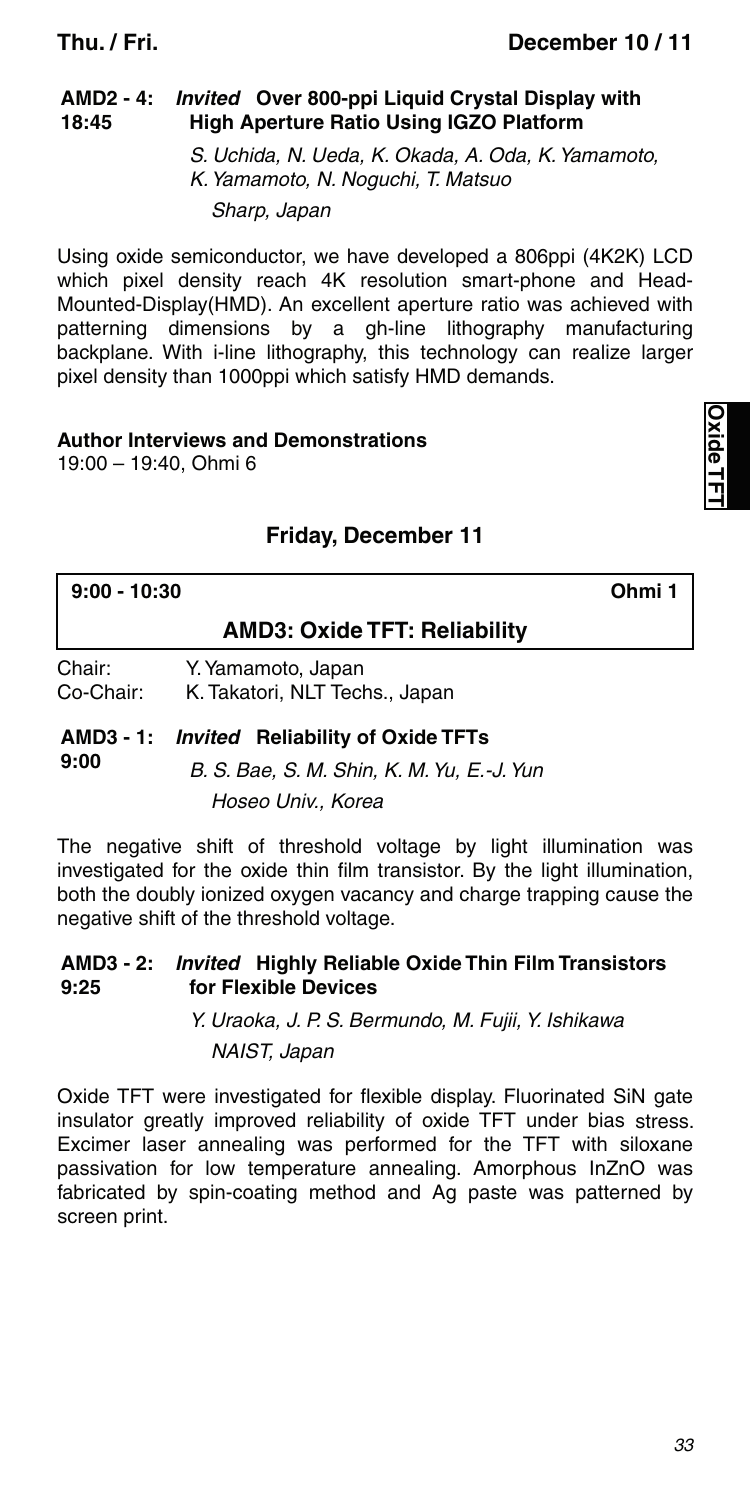#### **AMD2 - 4:** *Invited* **Over 800-ppi Liquid Crystal Display with 18:45 High Aperture Ratio Using IGZO Platform**

S. Uchida, N. Ueda, K. Okada, A. Oda, K. Yamamoto, K. Yamamoto, N. Noguchi, T. Matsuo Sharp, Japan

Using oxide semiconductor, we have developed a 806ppi (4K2K) LCD which pixel density reach 4K resolution smart-phone and Head-Mounted-Display(HMD). An excellent aperture ratio was achieved with patterning dimensions by a gh-line lithography manufacturing backplane. With i-line lithography, this technology can realize larger pixel density than 1000ppi which satisfy HMD demands.

### **Author Interviews and Demonstrations**

19:00 – 19:40, Ohmi 6

### **Friday, December 11**

| $9:00 - 10:30$      |                                                      | Ohmi 1 |
|---------------------|------------------------------------------------------|--------|
|                     | <b>AMD3: Oxide TFT: Reliability</b>                  |        |
| Chair:<br>Co-Chair: | Y. Yamamoto, Japan<br>K. Takatori, NLT Techs., Japan |        |

**AMD3 - 1:** *Invited* **Reliability of Oxide TFTs 9:00** B. S. Bae, S. M. Shin, K. M. Yu, E.-J. Yun Hoseo Univ., Korea

The negative shift of threshold voltage by light illumination was investigated for the oxide thin film transistor. By the light illumination, both the doubly ionized oxygen vacancy and charge trapping cause the negative shift of the threshold voltage.

#### **AMD3 - 2:** *Invited* **Highly Reliable Oxide Thin Film Transistors 9:25 for Flexible Devices**

Y. Uraoka, J. P. S. Bermundo, M. Fujii, Y. Ishikawa NAIST, Japan

Oxide TFT were investigated for flexible display. Fluorinated SiN gate insulator greatly improved reliability of oxide TFT under bias stress. Excimer laser annealing was performed for the TFT with siloxane passivation for low temperature annealing. Amorphous InZnO was fabricated by spin-coating method and Ag paste was patterned by screen print.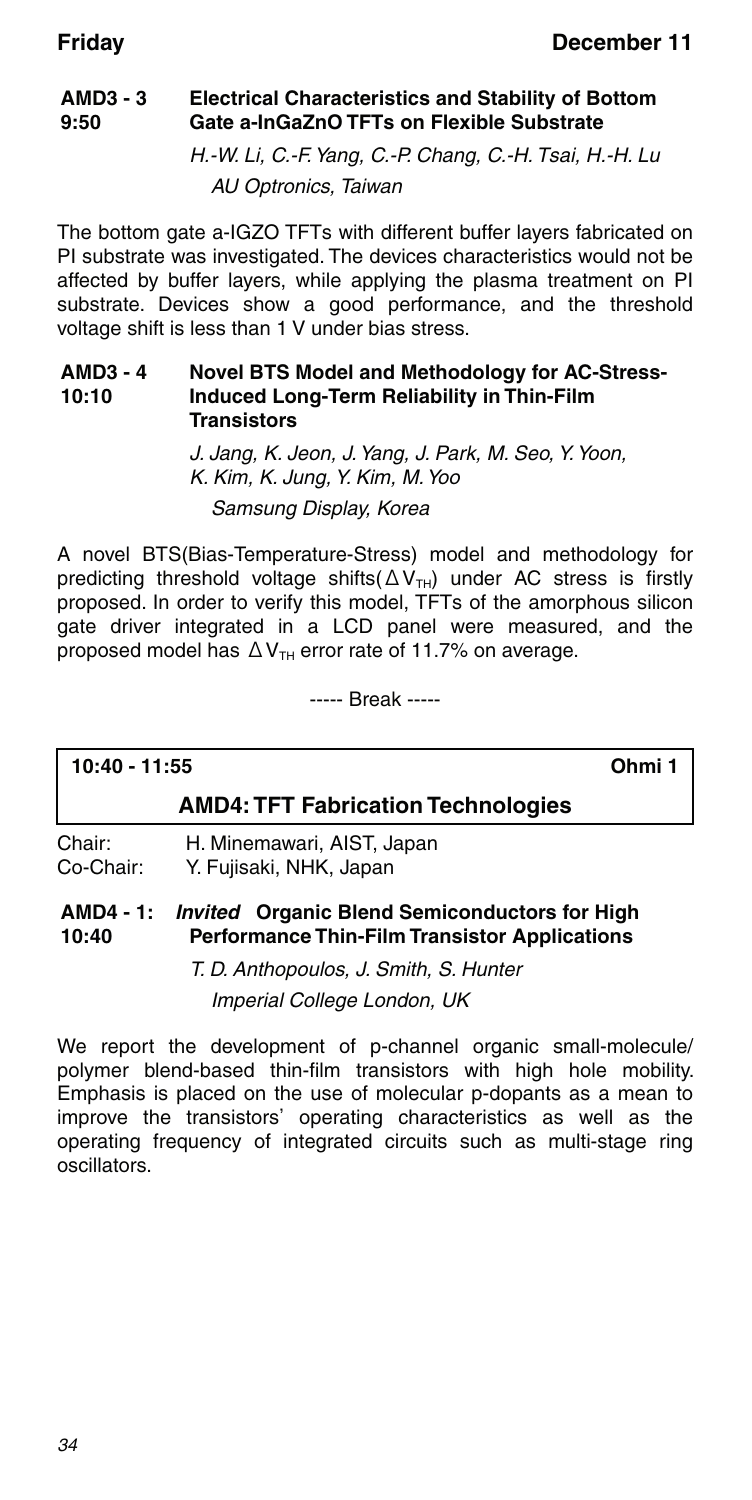#### **AMD3 - 3 9:50 Electrical Characteristics and Stability of Bottom Gate a-InGaZnO TFTs on Flexible Substrate**

H.-W. Li, C.-F. Yang, C.-P. Chang, C.-H. Tsai, H.-H. Lu AU Optronics, Taiwan

The bottom gate a-IGZO TFTs with different buffer layers fabricated on PI substrate was investigated. The devices characteristics would not be affected by buffer layers, while applying the plasma treatment on PI substrate. Devices show a good performance, and the threshold voltage shift is less than 1 V under bias stress.

#### **AMD3 - 4 10:10 Novel BTS Model and Methodology for AC-Stress-Induced Long-Term Reliability in Thin-Film Transistors**

J. Jang, K. Jeon, J. Yang, J. Park, M. Seo, Y. Yoon, K. Kim, K. Jung, Y. Kim, M. Yoo Samsung Display, Korea

A novel BTS(Bias-Temperature-Stress) model and methodology for predicting threshold voltage shifts( $\Delta V_{\text{TH}}$ ) under AC stress is firstly proposed. In order to verify this model, TFTs of the amorphous silicon gate driver integrated in a LCD panel were measured, and the proposed model has  $\Delta V_{TH}$  error rate of 11.7% on average.

----- Break -----

# **10:40 - 11:55 Ohmi 1**

### **AMD4: TFT Fabrication Technologies**

Chair: H. Minemawari, AIST, Japan Co-Chair: Y. Fujisaki, NHK, Japan

#### **AMD4 - 1: 10:40** *Invited* **Organic Blend Semiconductors for High Performance Thin-Film Transistor Applications**

T. D. Anthopoulos, J. Smith, S. Hunter Imperial College London, UK

We report the development of p-channel organic small-molecule/ polymer blend-based thin-film transistors with high hole mobility. Emphasis is placed on the use of molecular p-dopants as a mean to improve the transistors' operating characteristics as well as the operating frequency of integrated circuits such as multi-stage ring oscillators.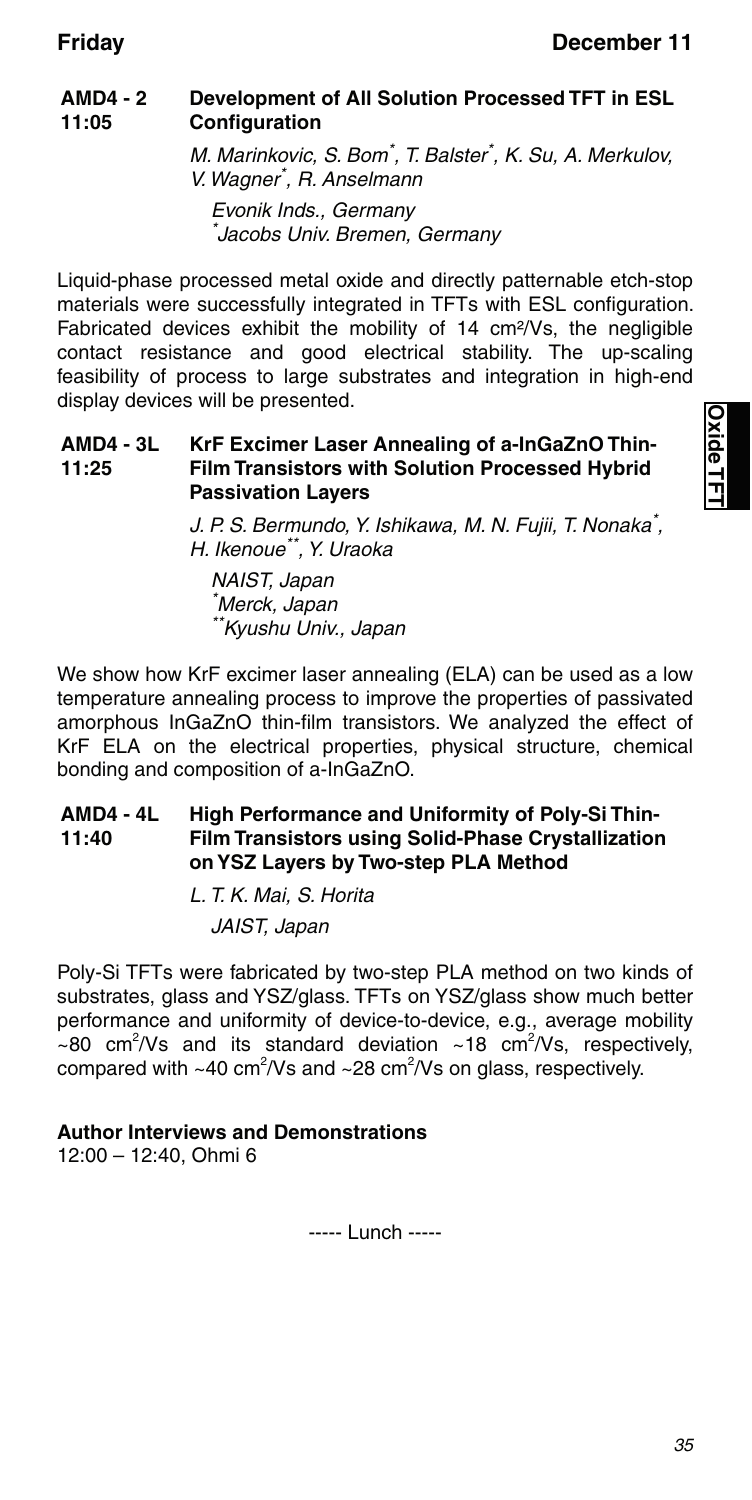#### **AMD4 - 2 11:05 Development of All Solution Processed TFT in ESL Configuration**

M. Marinkovic, S. Bom\* , T. Balster\* , K. Su, A. Merkulov, V. Wagner\* , R. Anselmann Evonik Inds., Germany

\* Jacobs Univ. Bremen, Germany

Liquid-phase processed metal oxide and directly patternable etch-stop materials were successfully integrated in TFTs with ESL configuration. Fabricated devices exhibit the mobility of 14 cm²/Vs, the negligible contact resistance and good electrical stability. The up-scaling feasibility of process to large substrates and integration in high-end display devices will be presented.

#### **AMD4 - 3L 11:25 KrF Excimer Laser Annealing of a-InGaZnO Thin-Film Transistors with Solution Processed Hybrid Passivation Layers**

J. P. S. Bermundo, Y. Ishikawa, M. N. Fujii, T. Nonaka<sup>\*</sup>, H. Ikenoue\*\*, Y. Uraoka

NAIST, Japan \* Merck, Japan \*\*Kyushu Univ., Japan

We show how KrF excimer laser annealing (ELA) can be used as a low temperature annealing process to improve the properties of passivated amorphous InGaZnO thin-film transistors. We analyzed the effect of KrF ELA on the electrical properties, physical structure, chemical bonding and composition of a-InGaZnO.

#### **AMD4 - 4L 11:40 High Performance and Uniformity of Poly-Si Thin-Film Transistors using Solid-Phase Crystallization on YSZ Layers by Two-step PLA Method**

L. T. K. Mai, S. Horita JAIST, Japan

Poly-Si TFTs were fabricated by two-step PLA method on two kinds of substrates, glass and YSZ/glass. TFTs on YSZ/glass show much better performance and uniformity of device-to-device, e.g., average mobility  $\sim$ 80 cm<sup>2</sup>/Vs and its standard deviation  $\sim$ 18 cm<sup>2</sup>/Vs, respectively, compared with ~40 cm<sup>2</sup>/Vs and ~28 cm<sup>2</sup>/Vs on glass, respectively.

### **Author Interviews and Demonstrations**

12:00 – 12:40, Ohmi 6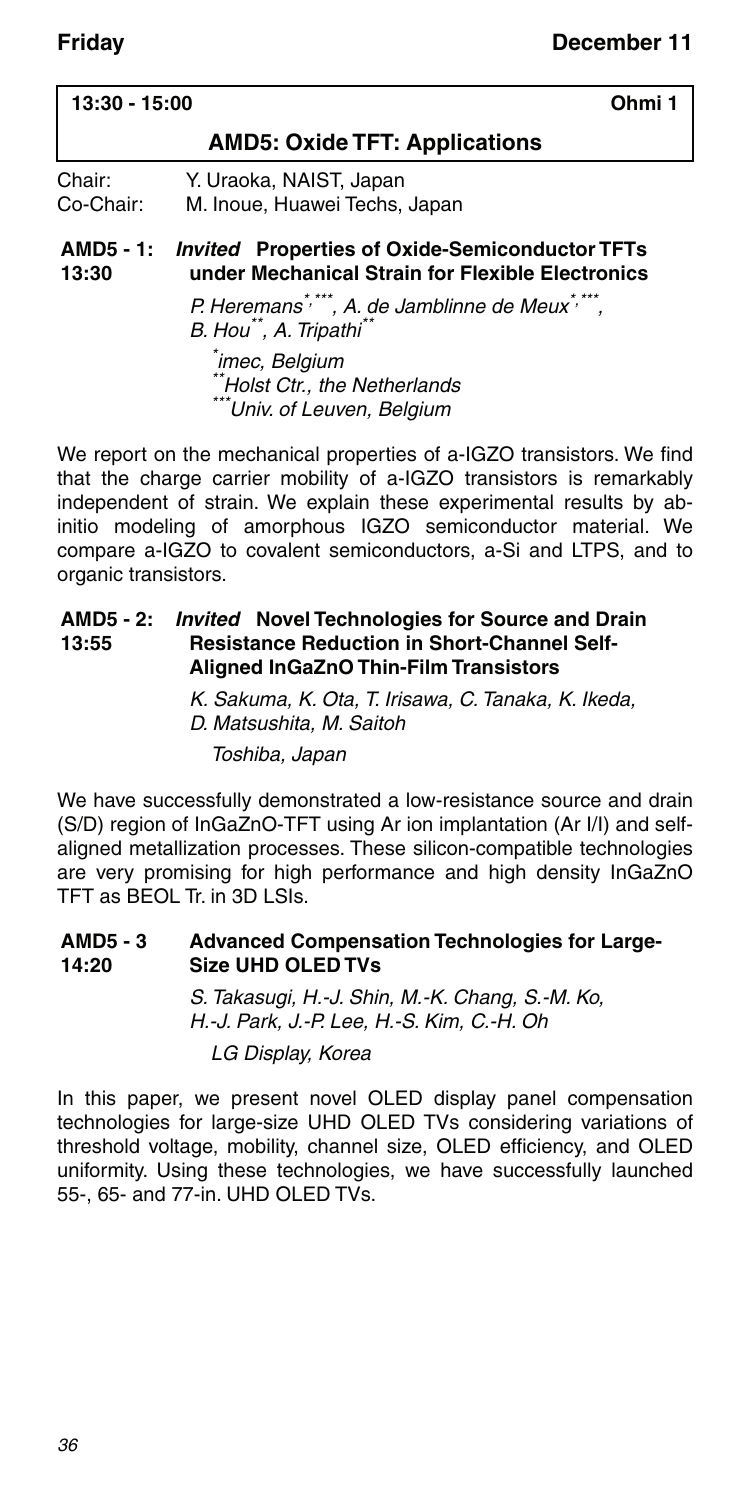## **13:30 - 15:00 Ohmi 1 AMD5: Oxide TFT: Applications** Chair: Y. Uraoka, NAIST, Japan Co-Chair: M. Inoue, Huawei Techs, Japan

#### **AMD5 - 1:** *Invited* **Properties of Oxide-Semiconductor TFTs 13:30 under Mechanical Strain for Flexible Electronics**

P. Heremans\*,\*\*\*, A. de Jamblinne de Meux\*,\*\*\*, B. Hou<sup>\*\*</sup>, A. Tripathi<sup>\*\*</sup>

\* imec, Belgium \*Holst Ctr., the Netherlands \*Univ. of Leuven, Belgium

We report on the mechanical properties of a-IGZO transistors. We find that the charge carrier mobility of a-IGZO transistors is remarkably independent of strain. We explain these experimental results by abinitio modeling of amorphous IGZO semiconductor material. We compare a-IGZO to covalent semiconductors, a-Si and LTPS, and to organic transistors.

#### **AMD5 - 2:** *Invited* **Novel Technologies for Source and Drain 13:55 Resistance Reduction in Short-Channel Self-Aligned InGaZnO Thin-Film Transistors**

K. Sakuma, K. Ota, T. Irisawa, C. Tanaka, K. Ikeda, D. Matsushita, M. Saitoh Toshiba, Japan

We have successfully demonstrated a low-resistance source and drain (S/D) region of InGaZnO-TFT using Ar ion implantation (Ar I/I) and selfaligned metallization processes. These silicon-compatible technologies are very promising for high performance and high density InGaZnO TFT as BEOL Tr. in 3D LSIs.

#### **AMD5 - 3 14:20 Advanced Compensation Technologies for Large-Size UHD OLED TVs**

S. Takasugi, H.-J. Shin, M.-K. Chang, S.-M. Ko, H.-J. Park, J.-P. Lee, H.-S. Kim, C.-H. Oh LG Display, Korea

In this paper, we present novel OLED display panel compensation technologies for large-size UHD OLED TVs considering variations of threshold voltage, mobility, channel size, OLED efficiency, and OLED uniformity. Using these technologies, we have successfully launched 55-, 65- and 77-in. UHD OLED TVs.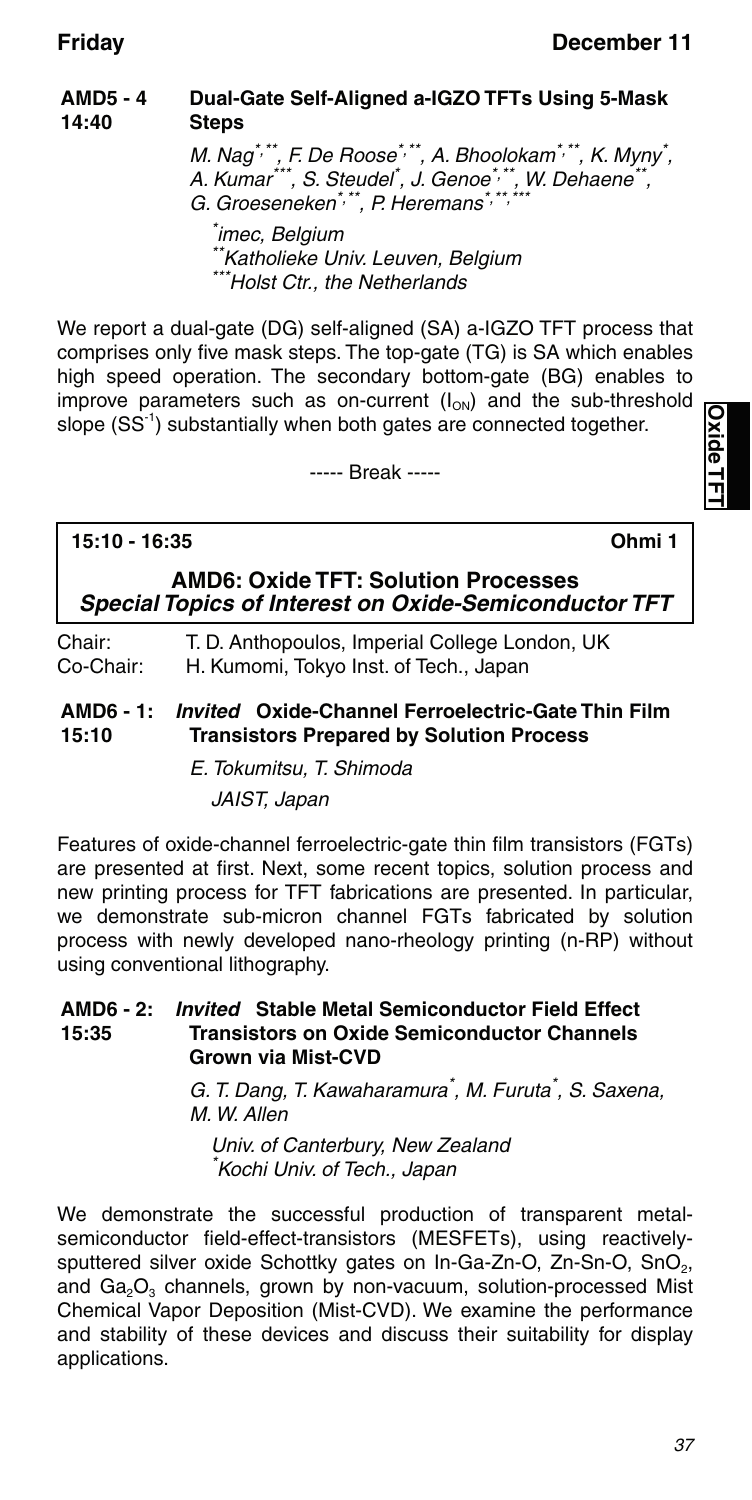#### **AMD5 - 4 14:40 Dual-Gate Self-Aligned a-IGZO TFTs Using 5-Mask Steps**

M. Nag\*\*\*, F. De Roose\*,\*\*, A. Bhoolokam\*,\*\*, K. Myny<sup>\*</sup>,<br>A. Kumar\*\*\*, S. Steudel<sup>\*</sup>, J. Genoe\*,\*\*, W. Dehaene\*\*, G. Groeseneken\*,\*\*, P. Heremans\*,\*

\* imec, Belgium \*\*Katholieke Univ. Leuven, Belgium \*Holst Ctr., the Netherlands

We report a dual-gate (DG) self-aligned (SA) a-IGZO TFT process that comprises only five mask steps. The top-gate (TG) is SA which enables high speed operation. The secondary bottom-gate (BG) enables to improve parameters such as on-current  $(I_{ON})$  and the sub-threshold slope (SS<sup>-1</sup>) substantially when both gates are connected together.

----- Break -----

### **15:10 - 16:35 Ohmi 1**

**Oxide Oxide TFT**

**AMD6: Oxide TFT: Solution Processes** *Special Topics of Interest on Oxide-Semiconductor TFT*

Chair: T. D. Anthopoulos, Imperial College London, UK Co-Chair: H. Kumomi, Tokyo Inst. of Tech., Japan

**AMD6 - 1:** *Invited* **Oxide-Channel Ferroelectric-Gate Thin Film 15:10 Transistors Prepared by Solution Process**

> E. Tokumitsu, T. Shimoda JAIST, Japan

Features of oxide-channel ferroelectric-gate thin film transistors (FGTs) are presented at first. Next, some recent topics, solution process and new printing process for TFT fabrications are presented. In particular, we demonstrate sub-micron channel FGTs fabricated by solution process with newly developed nano-rheology printing (n-RP) without using conventional lithography.

#### **AMD6 - 2: 15:35** *Invited* **Stable Metal Semiconductor Field Effect Transistors on Oxide Semiconductor Channels Grown via Mist-CVD**

G. T. Dang, T. Kawaharamura<sup>\*</sup>, M. Furuta<sup>\*</sup>, S. Saxena, M. W. Allen

Univ. of Canterbury, New Zealand Kochi Univ. of Tech., Japan

We demonstrate the successful production of transparent metalsemiconductor field-effect-transistors (MESFETs), using reactivelysputtered silver oxide Schottky gates on In-Ga-Zn-O, Zn-Sn-O, SnO<sub>2</sub>, and  $Ga<sub>2</sub>O<sub>3</sub>$  channels, grown by non-vacuum, solution-processed Mist Chemical Vapor Deposition (Mist-CVD). We examine the performance and stability of these devices and discuss their suitability for display applications.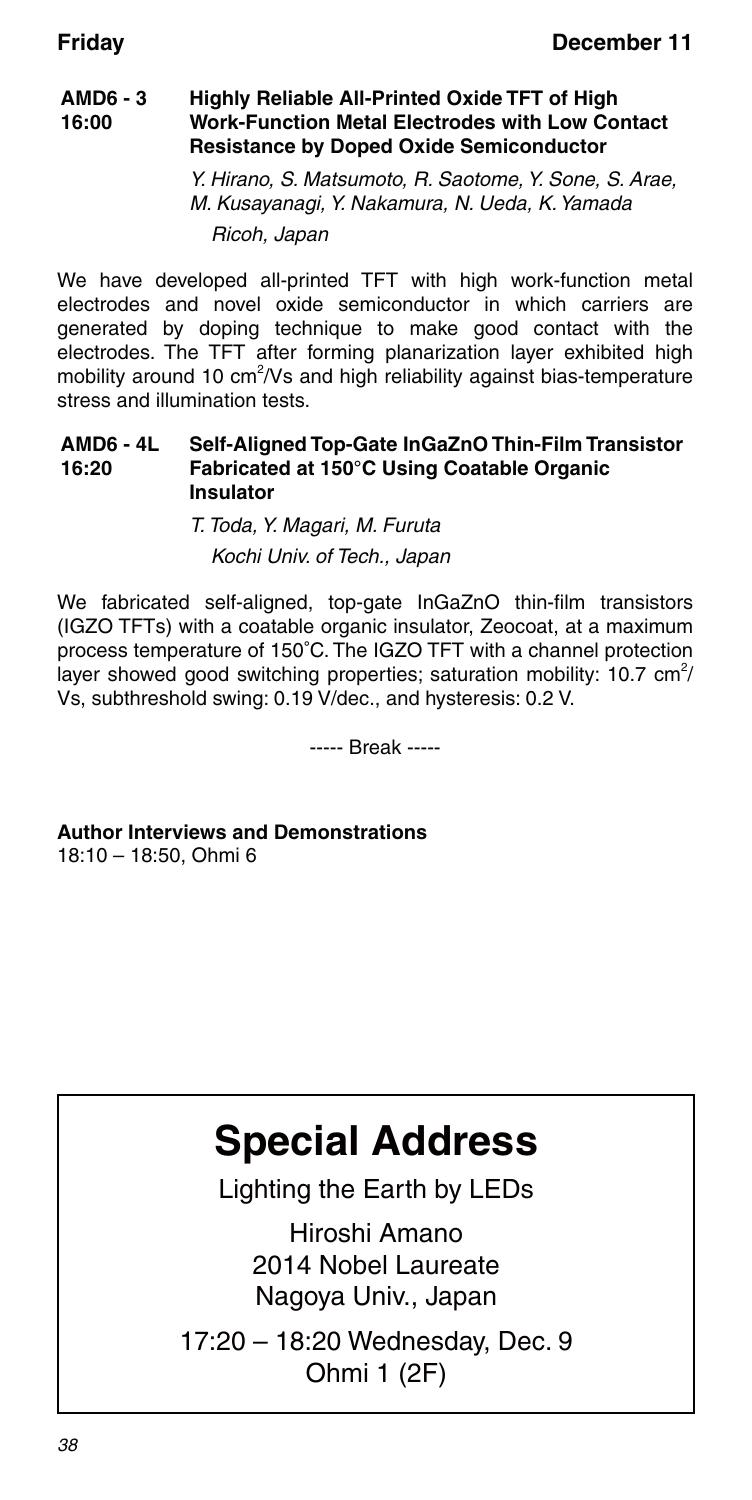#### **AMD6 - 3 16:00 Highly Reliable All-Printed Oxide TFT of High Work-Function Metal Electrodes with Low Contact Resistance by Doped Oxide Semiconductor**

Y. Hirano, S. Matsumoto, R. Saotome, Y. Sone, S. Arae, M. Kusayanagi, Y. Nakamura, N. Ueda, K. Yamada Ricoh, Japan

We have developed all-printed TFT with high work-function metal electrodes and novel oxide semiconductor in which carriers are generated by doping technique to make good contact with the electrodes. The TFT after forming planarization layer exhibited high mobility around 10 cm<sup>2</sup>/Vs and high reliability against bias-temperature stress and illumination tests.

#### **AMD6 - 4L 16:20 Self-Aligned Top-Gate InGaZnO Thin-Film Transistor Fabricated at 150°C Using Coatable Organic Insulator**

T. Toda, Y. Magari, M. Furuta Kochi Univ. of Tech., Japan

We fabricated self-aligned, top-gate InGaZnO thin-film transistors (IGZO TFTs) with a coatable organic insulator, Zeocoat, at a maximum process temperature of 150°C. The IGZO TFT with a channel protection layer showed good switching properties; saturation mobility: 10.7 cm<sup>2</sup>/ Vs, subthreshold swing: 0.19 V/dec., and hysteresis: 0.2 V.

----- Break -----

**Author Interviews and Demonstrations** 18:10 – 18:50, Ohmi 6

# **Special Address**

Lighting the Earth by LEDs

Hiroshi Amano 2014 Nobel Laureate Nagoya Univ., Japan

17:20 – 18:20 Wednesday, Dec. 9 Ohmi 1 (2F)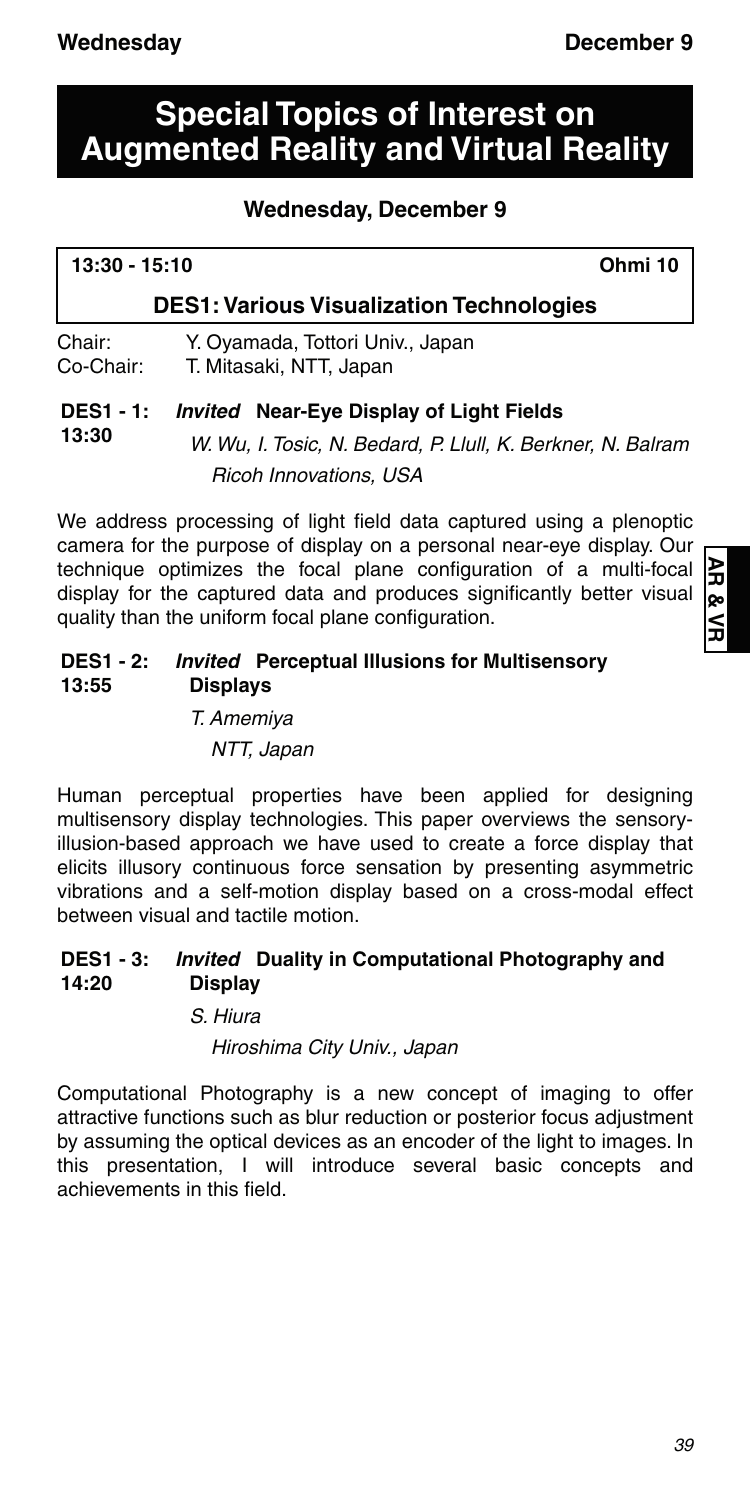**13:30**

# **Special Topics of Interest on Augmented Reality and Virtual Reality**

### **Wednesday, December 9**

| $13:30 - 15:10$                                 | Ohmi 10 |
|-------------------------------------------------|---------|
| <b>DES1: Various Visualization Technologies</b> |         |

Chair: Y. Oyamada, Tottori Univ., Japan Co-Chair: T. Mitasaki, NTT, Japan

### **DES1 - 1:** *Invited* **Near-Eye Display of Light Fields**

W. Wu, I. Tosic, N. Bedard, P. Llull, K. Berkner, N. Balram Ricoh Innovations, USA

We address processing of light field data captured using a plenoptic camera for the purpose of display on a personal near-eye display. Our technique optimizes the focal plane configuration of a multi-focal display for the captured data and produces significantly better visual quality than the uniform focal plane configuration.

#### **DES1 - 2:** *Invited* **Perceptual Illusions for Multisensory 13:55 Displays**

T. Amemiya

NTT, Japan

Human perceptual properties have been applied for designing multisensory display technologies. This paper overviews the sensoryillusion-based approach we have used to create a force display that elicits illusory continuous force sensation by presenting asymmetric vibrations and a self-motion display based on a cross-modal effect between visual and tactile motion.

#### **DES1 - 3: 14:20** *Invited* **Duality in Computational Photography and Display**

S. Hiura

Hiroshima City Univ., Japan

Computational Photography is a new concept of imaging to offer attractive functions such as blur reduction or posterior focus adjustment by assuming the optical devices as an encoder of the light to images. In this presentation, I will introduce several basic concepts and achievements in this field.

ЯR **AR & VR**œ \_<br>ธ

ı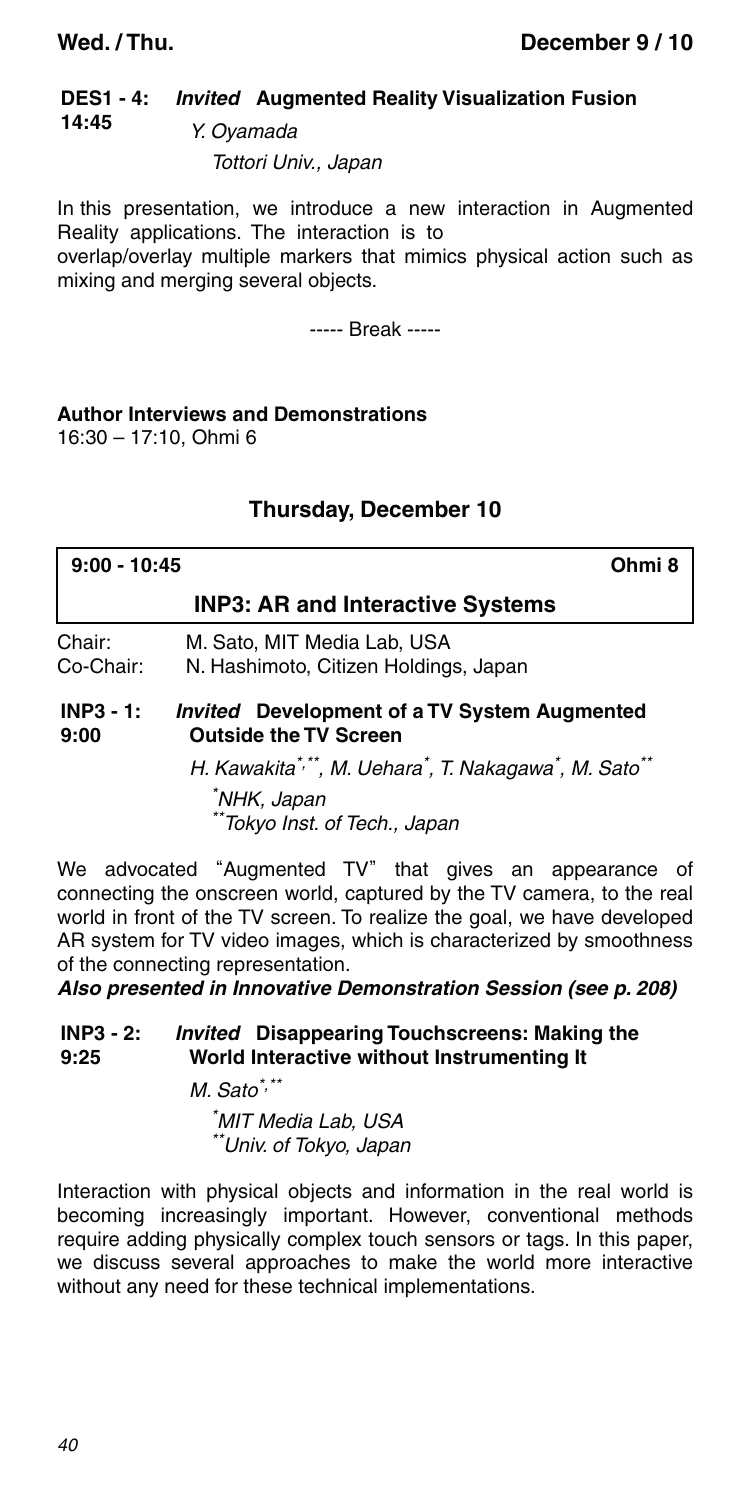#### **DES1 - 4: 14:45** *Invited* **Augmented Reality Visualization Fusion** Y. Oyamada

Tottori Univ., Japan

In this presentation, we introduce a new interaction in Augmented Reality applications. The interaction is to

overlap/overlay multiple markers that mimics physical action such as mixing and merging several objects.

----- Break -----

#### **Author Interviews and Demonstrations**

16:30 – 17:10, Ohmi 6

### **Thursday, December 10**

| $9:00 - 10:45$      |                                                                                     | Ohmi 8 |
|---------------------|-------------------------------------------------------------------------------------|--------|
|                     | <b>INP3: AR and Interactive Systems</b>                                             |        |
| Chair:<br>Co-Chair: | M. Sato, MIT Media Lab, USA<br>N. Hashimoto, Citizen Holdings, Japan                |        |
| $INP3 - 1:$<br>9:00 | <i>Invited</i> Development of a TV System Augmented<br><b>Outside the TV Screen</b> |        |

H. Kawakita\*<sup>,\*\*</sup>, M. Uehara<sup>\*</sup>, T. Nakagawa<sup>\*</sup>, M. Sato<sup>\*\*</sup>

\* NHK, Japan \*\*Tokyo Inst. of Tech., Japan

We advocated "Augmented TV" that gives an appearance of connecting the onscreen world, captured by the TV camera, to the real world in front of the TV screen. To realize the goal, we have developed AR system for TV video images, which is characterized by smoothness of the connecting representation.

*Also presented in Innovative Demonstration Session (see p. 208)*

#### **INP3 - 2: 9:25** *Invited* **Disappearing Touchscreens: Making the World Interactive without Instrumenting It**

 $M.$  Sato<sup>\*,\*\*</sup>

\* MIT Media Lab, USA \*\*Univ. of Tokyo, Japan

Interaction with physical objects and information in the real world is becoming increasingly important. However, conventional methods require adding physically complex touch sensors or tags. In this paper, we discuss several approaches to make the world more interactive without any need for these technical implementations.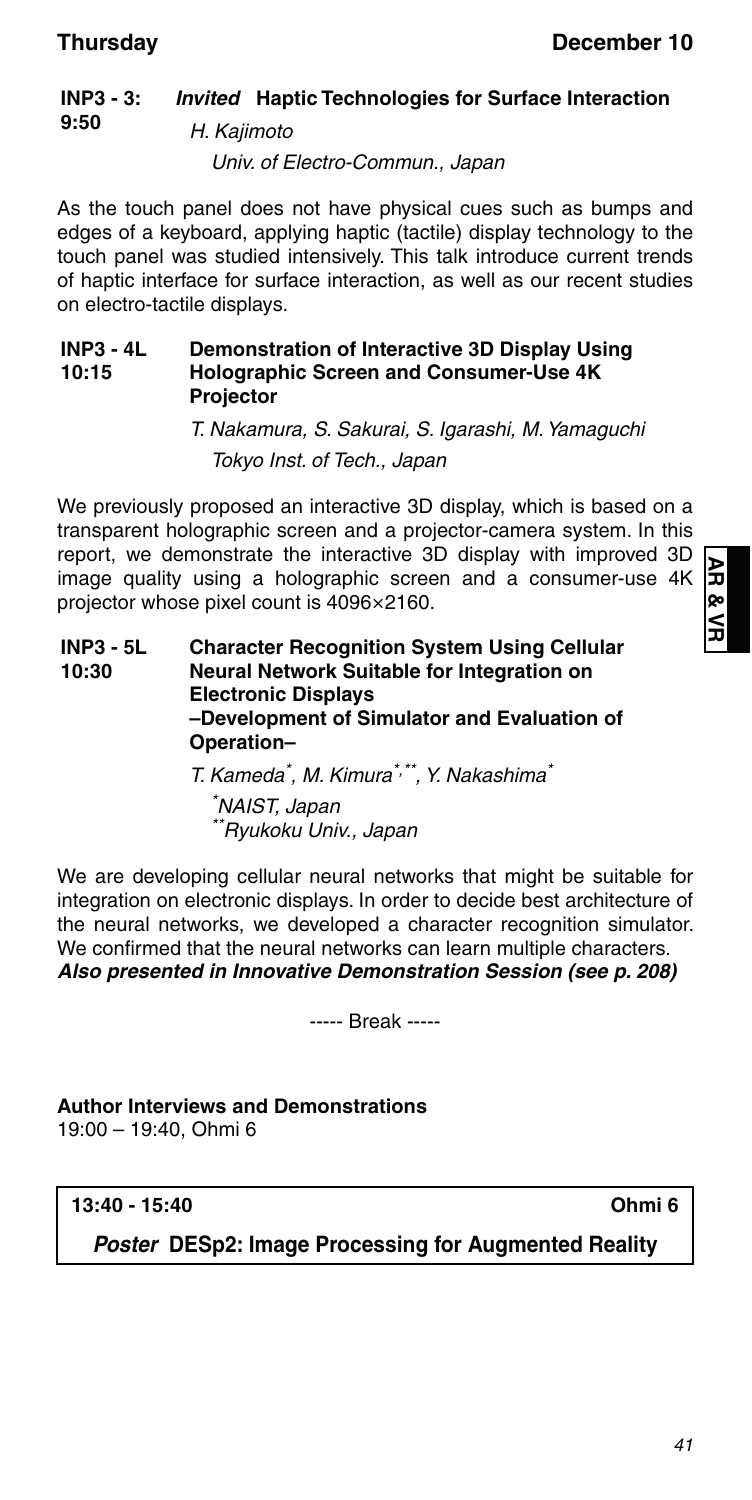#### **INP3 - 3: 9:50** *Invited* **Haptic Technologies for Surface Interaction** H. Kajimoto

Univ. of Electro-Commun., Japan

As the touch panel does not have physical cues such as bumps and edges of a keyboard, applying haptic (tactile) display technology to the touch panel was studied intensively. This talk introduce current trends of haptic interface for surface interaction, as well as our recent studies on electro-tactile displays.

#### **INP3 - 4L 10:15 Demonstration of Interactive 3D Display Using Holographic Screen and Consumer-Use 4K Projector**

T. Nakamura, S. Sakurai, S. Igarashi, M. Yamaguchi Tokyo Inst. of Tech., Japan

We previously proposed an interactive 3D display, which is based on a transparent holographic screen and a projector-camera system. In this report, we demonstrate the interactive 3D display with improved 3D image quality using a holographic screen and a consumer-use 4K projector whose pixel count is 4096×2160.

**INP3 - 5L 10:30 Character Recognition System Using Cellular Neural Network Suitable for Integration on Electronic Displays –Development of Simulator and Evaluation of Operation–**

T. Kameda<sup>\*</sup>, M. Kimura<sup>\*,\*\*</sup>, Y. Nakashima<sup>\*</sup>

\* NAIST, Japan \*\*Ryukoku Univ., Japan

We are developing cellular neural networks that might be suitable for integration on electronic displays. In order to decide best architecture of the neural networks, we developed a character recognition simulator. We confirmed that the neural networks can learn multiple characters. *Also presented in Innovative Demonstration Session (see p. 208)*

----- Break -----

**Author Interviews and Demonstrations** 19:00 – 19:40, Ohmi 6

**13:40 - 15:40 Ohmi 6**

*Poster* **DESp2: Image Processing for Augmented Reality**

ЯA œ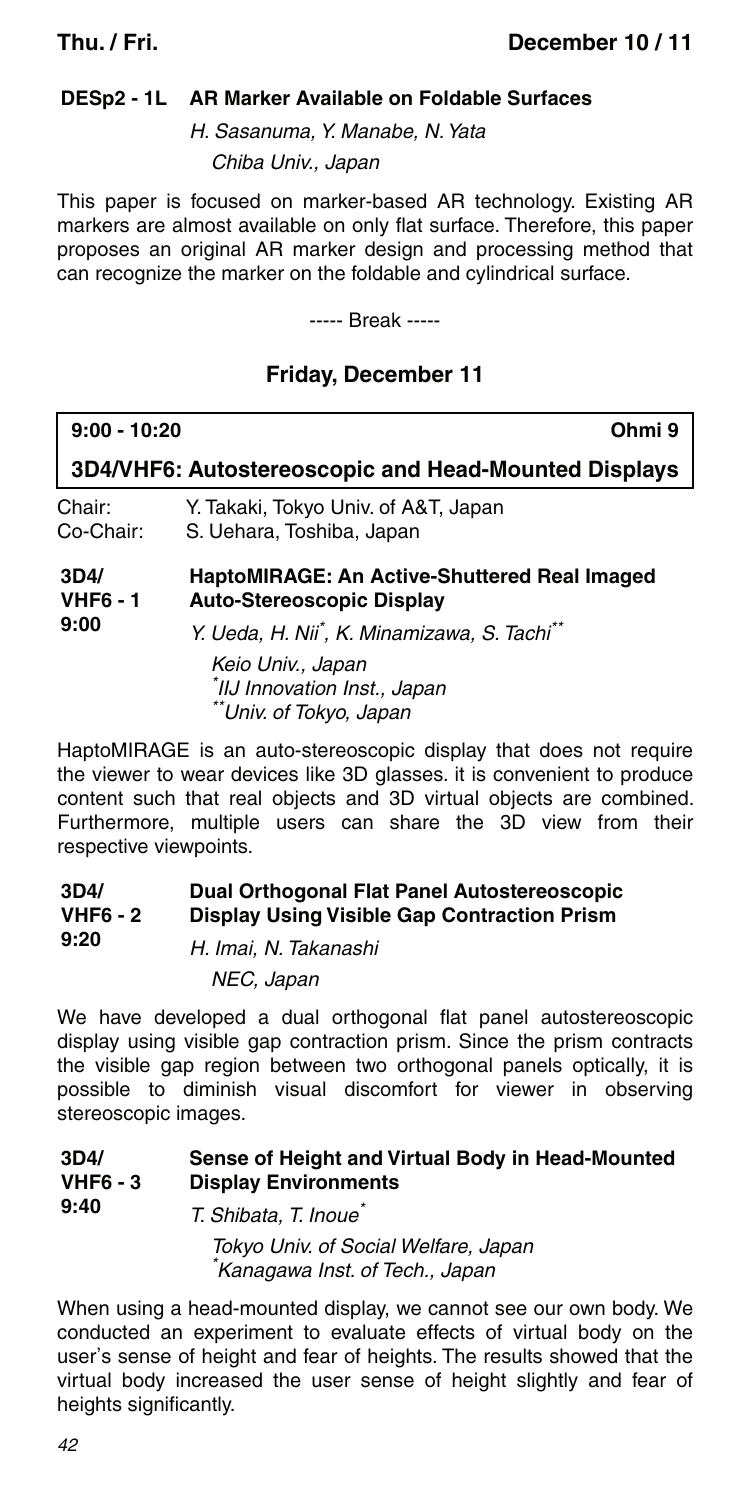### **DESp2 - 1L AR Marker Available on Foldable Surfaces**

H. Sasanuma, Y. Manabe, N. Yata Chiba Univ., Japan

This paper is focused on marker-based AR technology. Existing AR markers are almost available on only flat surface. Therefore, this paper proposes an original AR marker design and processing method that can recognize the marker on the foldable and cylindrical surface.

----- Break -----

### **Friday, December 11**

| $9:00 - 10:20$                  | Ohmi 9                                                                                                                    |
|---------------------------------|---------------------------------------------------------------------------------------------------------------------------|
|                                 | 3D4/VHF6: Autostereoscopic and Head-Mounted Displays                                                                      |
| Chair:<br>Co-Chair:             | Y. Takaki, Tokyo Univ. of A&T, Japan<br>S. Uehara, Toshiba, Japan                                                         |
| 3D4/<br><b>VHF6 - 1</b><br>9:00 | HaptoMIRAGE: An Active-Shuttered Real Imaged<br><b>Auto-Stereoscopic Display</b>                                          |
|                                 | Y. Ueda, H. Nii <sup>*</sup> , K. Minamizawa, S. Tachi <sup>**</sup><br>Keio Univ., Japan<br>*IIJ Innovation Inst., Japan |

HaptoMIRAGE is an auto-stereoscopic display that does not require the viewer to wear devices like 3D glasses. it is convenient to produce content such that real objects and 3D virtual objects are combined. Furthermore, multiple users can share the 3D view from their respective viewpoints.

#### **3D4/ VHF6 - 2 Dual Orthogonal Flat Panel Autostereoscopic Display Using Visible Gap Contraction Prism**

<sup>\*</sup>Univ. of Tokyo, Japan

| 9:20 | H. Imai. N. Takanashi |
|------|-----------------------|
|      | NEC, Japan            |

We have developed a dual orthogonal flat panel autostereoscopic display using visible gap contraction prism. Since the prism contracts the visible gap region between two orthogonal panels optically, it is possible to diminish visual discomfort for viewer in observing stereoscopic images.

#### **3D4/ VHF6 - 3 Sense of Height and Virtual Body in Head-Mounted Display Environments**

**9:40** T. Shibata, T. Inoue\* Tokyo Univ. of Social Welfare, Japan \* Kanagawa Inst. of Tech., Japan

When using a head-mounted display, we cannot see our own body. We conducted an experiment to evaluate effects of virtual body on the user's sense of height and fear of heights. The results showed that the virtual body increased the user sense of height slightly and fear of heights significantly.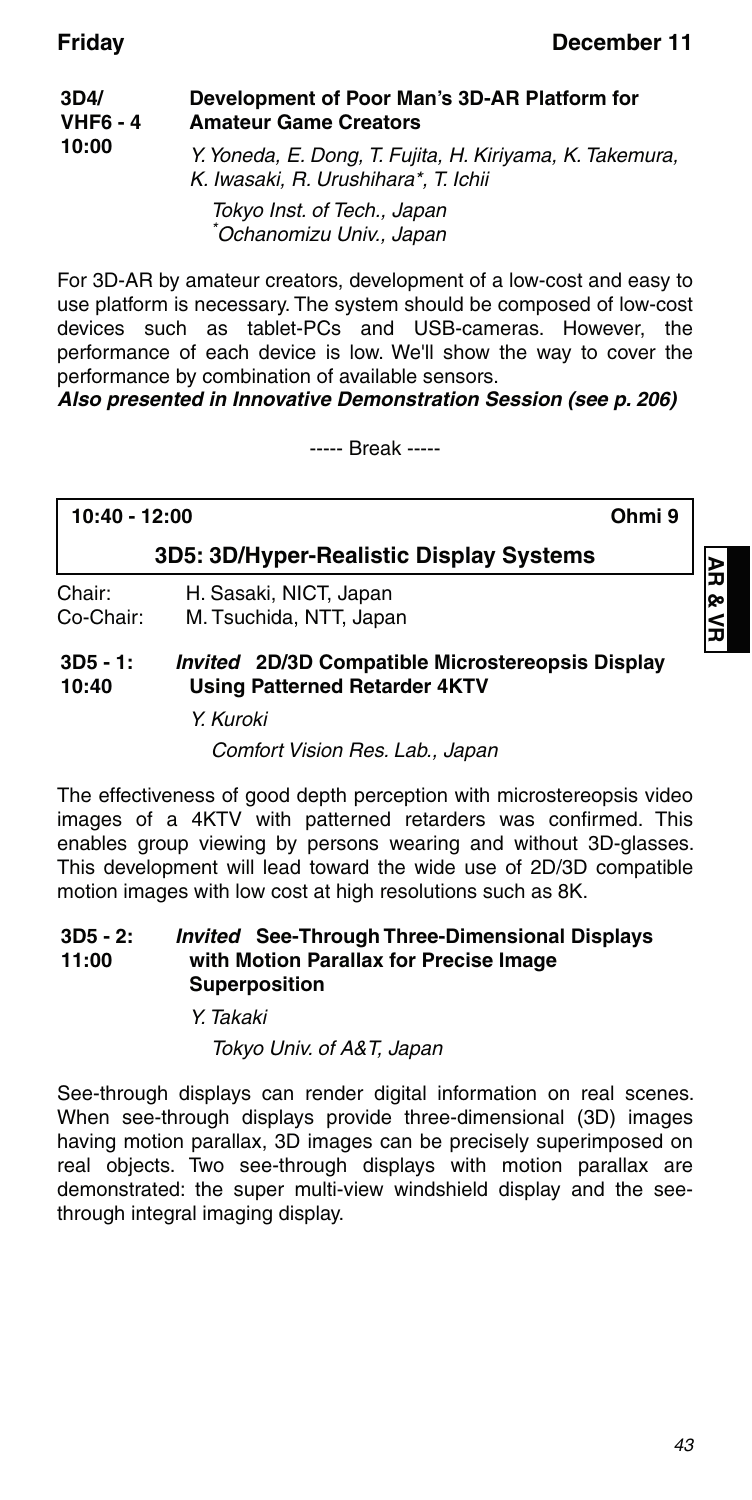| 3D4/<br><b>VHF6 - 4</b><br>10:00 | Development of Poor Man's 3D-AR Platform for<br><b>Amateur Game Creators</b>                     |
|----------------------------------|--------------------------------------------------------------------------------------------------|
|                                  | Y. Yoneda, E. Dong, T. Fujita, H. Kiriyama, K. Takemura,<br>K. Iwasaki, R. Urushihara*, T. Ichii |
|                                  | Tokyo Inst. of Tech., Japan<br>*Ochanomizu Univ., Japan                                          |

For 3D-AR by amateur creators, development of a low-cost and easy to use platform is necessary. The system should be composed of low-cost devices such as tablet-PCs and USB-cameras. However, the performance of each device is low. We'll show the way to cover the performance by combination of available sensors.

*Also presented in Innovative Demonstration Session (see p. 206)*

----- Break -----

# **10:40 - 12:00 Ohmi 9**

### **3D5: 3D/Hyper-Realistic Display Systems**

Chair: H. Sasaki, NICT, Japan<br>Co-Chair: M. Tsuchida, NTT, Japa M. Tsuchida, NTT, Japan

#### **3D5 - 1: 10:40** *Invited* **2D/3D Compatible Microstereopsis Display Using Patterned Retarder 4KTV**

Y. Kuroki

Comfort Vision Res. Lab., Japan

The effectiveness of good depth perception with microstereopsis video images of a 4KTV with patterned retarders was confirmed. This enables group viewing by persons wearing and without 3D-glasses. This development will lead toward the wide use of 2D/3D compatible motion images with low cost at high resolutions such as 8K.

#### **3D5 - 2: 11:00** *Invited* **See-Through Three-Dimensional Displays with Motion Parallax for Precise Image Superposition**

Y. Takaki

Tokyo Univ. of A&T, Japan

See-through displays can render digital information on real scenes. When see-through displays provide three-dimensional (3D) images having motion parallax, 3D images can be precisely superimposed on real objects. Two see-through displays with motion parallax are demonstrated: the super multi-view windshield display and the seethrough integral imaging display.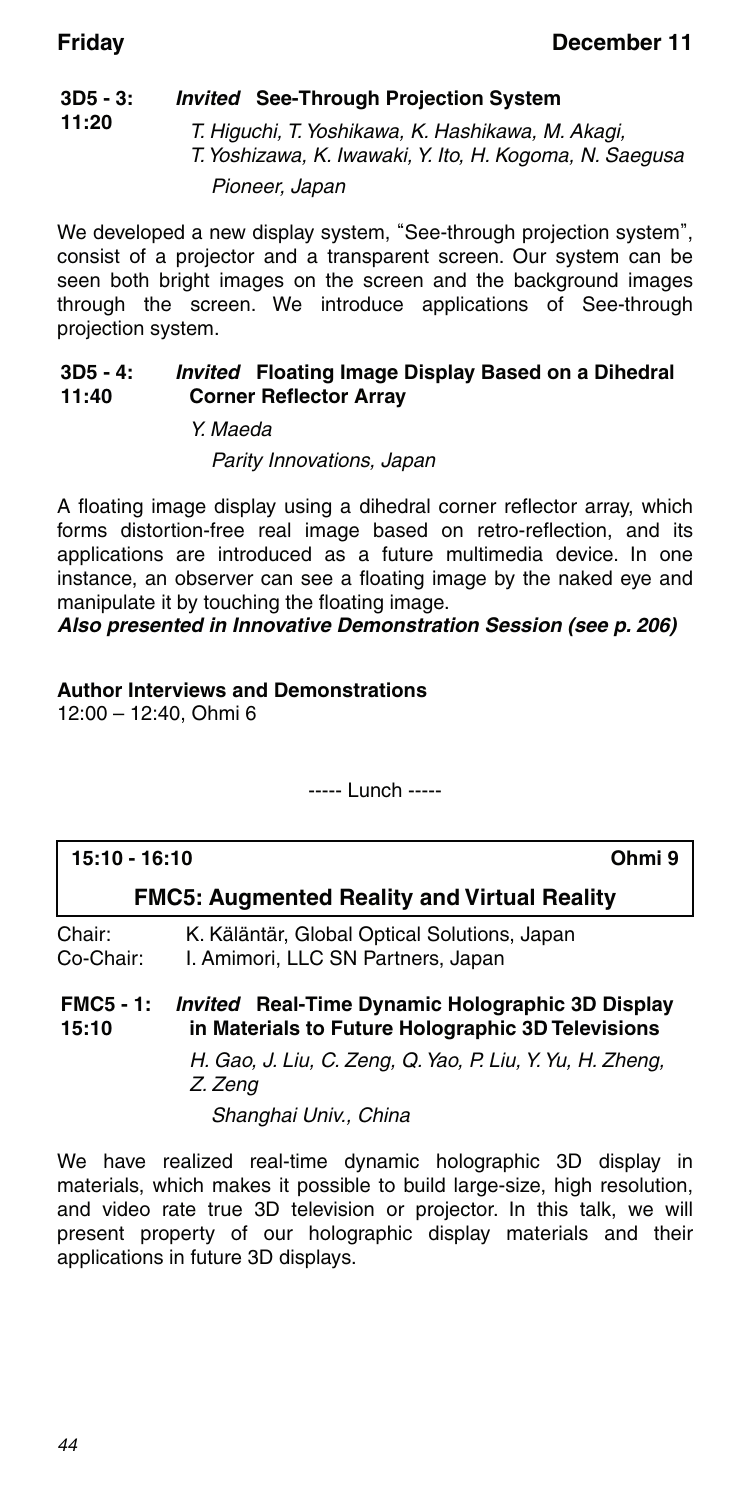#### **3D5 - 3: 11:20** *Invited* **See-Through Projection System**

T. Higuchi, T. Yoshikawa, K. Hashikawa, M. Akagi, T. Yoshizawa, K. Iwawaki, Y. Ito, H. Kogoma, N. Saegusa Pioneer, Japan

We developed a new display system, "See-through projection system", consist of a projector and a transparent screen. Our system can be seen both bright images on the screen and the background images through the screen. We introduce applications of See-through projection system.

#### **3D5 - 4: 11:40** *Invited* **Floating Image Display Based on a Dihedral Corner Reflector Array**

Y. Maeda

### Parity Innovations, Japan

A floating image display using a dihedral corner reflector array, which forms distortion-free real image based on retro-reflection, and its applications are introduced as a future multimedia device. In one instance, an observer can see a floating image by the naked eye and manipulate it by touching the floating image.

#### *Also presented in Innovative Demonstration Session (see p. 206)*

### **Author Interviews and Demonstrations**

12:00 – 12:40, Ohmi 6

----- Lunch -----

| 15:10 - 16:10    |                                                         |
|------------------|---------------------------------------------------------|
|                  | <b>FMC5: Augmented Reality and Virtual Reality</b>      |
| Chair:           | K. Käläntär, Global Optical Solutions, Japan            |
| Co-Chair:        | I. Amimori, LLC SN Partners, Japan                      |
| <b>FMC5 - 1:</b> | <i>Invited</i> Real-Time Dynamic Holographic 3D Display |
| 15:10            | in Materials to Future Holographic 3D Televisions       |

H. Gao, J. Liu, C. Zeng, Q. Yao, P. Liu, Y. Yu, H. Zheng, Z. Zeng

Shanghai Univ., China

We have realized real-time dynamic holographic 3D display in materials, which makes it possible to build large-size, high resolution, and video rate true 3D television or projector. In this talk, we will present property of our holographic display materials and their applications in future 3D displays.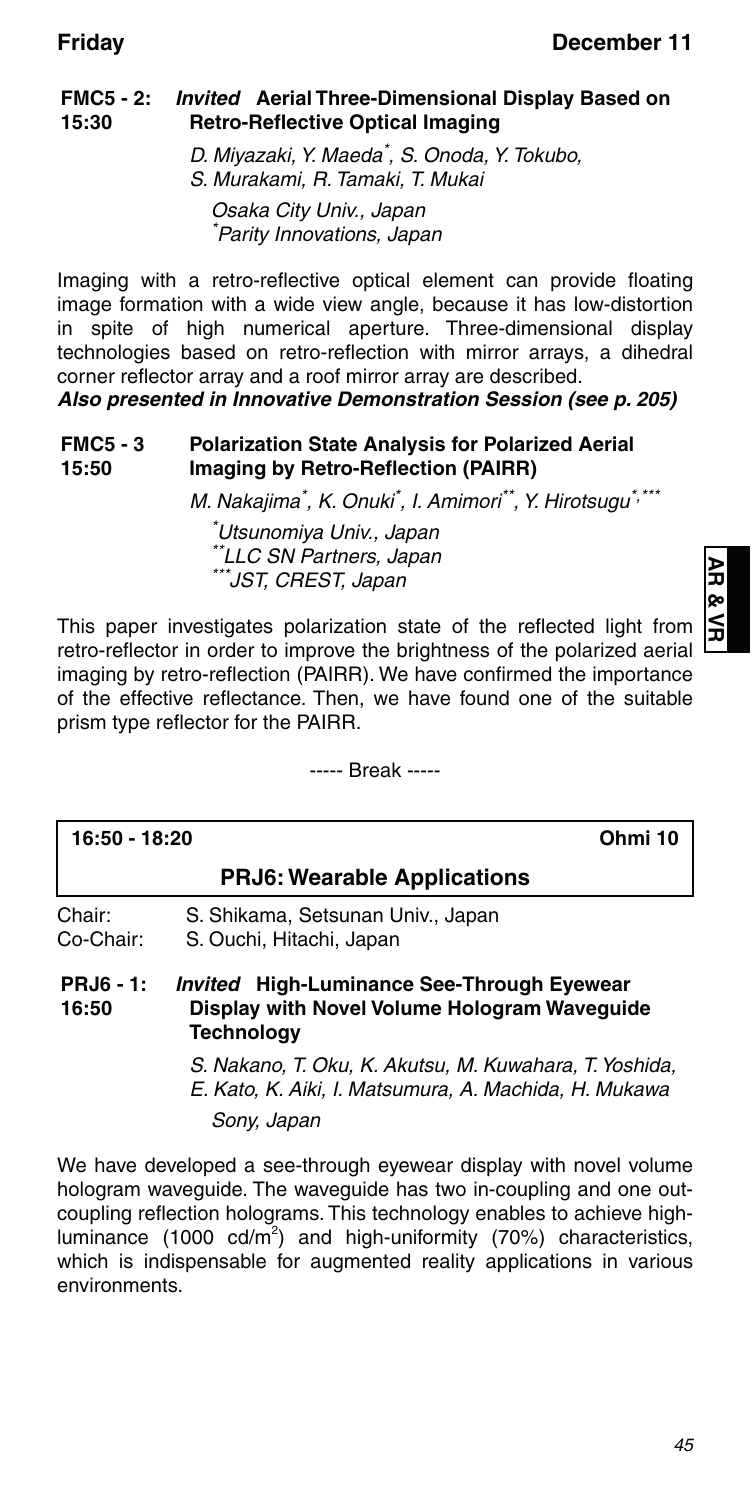#### **FMC5 - 2:** *Invited* **Aerial Three-Dimensional Display Based on 15:30 Retro-Reflective Optical Imaging**

D. Miyazaki, Y. Maeda\* , S. Onoda, Y. Tokubo, S. Murakami, R. Tamaki, T. Mukai

Osaka City Univ., Japan \* Parity Innovations, Japan

Imaging with a retro-reflective optical element can provide floating image formation with a wide view angle, because it has low-distortion in spite of high numerical aperture. Three-dimensional display technologies based on retro-reflection with mirror arrays, a dihedral corner reflector array and a roof mirror array are described.

*Also presented in Innovative Demonstration Session (see p. 205)*

#### **FMC5 - 3 15:50 Polarization State Analysis for Polarized Aerial Imaging by Retro-Reflection (PAIRR)**

M. Nakajima<sup>\*</sup>, K. Onuki<sup>\*</sup>, I. Amimori<sup>\*\*</sup>, Y. Hirotsugu<sup>\*,\*\*\*</sup>

\* Utsunomiya Univ., Japan \*\*LLC SN Partners, Japan \*JST, CREST, Japan

AR & VR **AR & VR**

This paper investigates polarization state of the reflected light from retro-reflector in order to improve the brightness of the polarized aerial imaging by retro-reflection (PAIRR). We have confirmed the importance of the effective reflectance. Then, we have found one of the suitable prism type reflector for the PAIRR.

----- Break -----

| 16:50 - 18:20             | Ohmi 10                                                                                                                        |
|---------------------------|--------------------------------------------------------------------------------------------------------------------------------|
|                           | <b>PRJ6: Wearable Applications</b>                                                                                             |
| Chair:<br>Co-Chair:       | S. Shikama, Setsunan Univ., Japan<br>S. Ouchi, Hitachi, Japan                                                                  |
| <b>PRJ6 - 1:</b><br>16:50 | <b>Invited</b> High-Luminance See-Through Eyewear<br>Display with Novel Volume Hologram Wavequide<br>Technology                |
|                           | S. Nakano, T. Oku, K. Akutsu, M. Kuwahara, T. Yoshida,<br>E. Kato, K. Aiki, I. Matsumura, A. Machida, H. Mukawa<br>Sony, Japan |

We have developed a see-through eyewear display with novel volume hologram waveguide. The waveguide has two in-coupling and one outcoupling reflection holograms. This technology enables to achieve highluminance (1000 cd/m<sup>2</sup>) and high-uniformity (70%) characteristics, which is indispensable for augmented reality applications in various environments.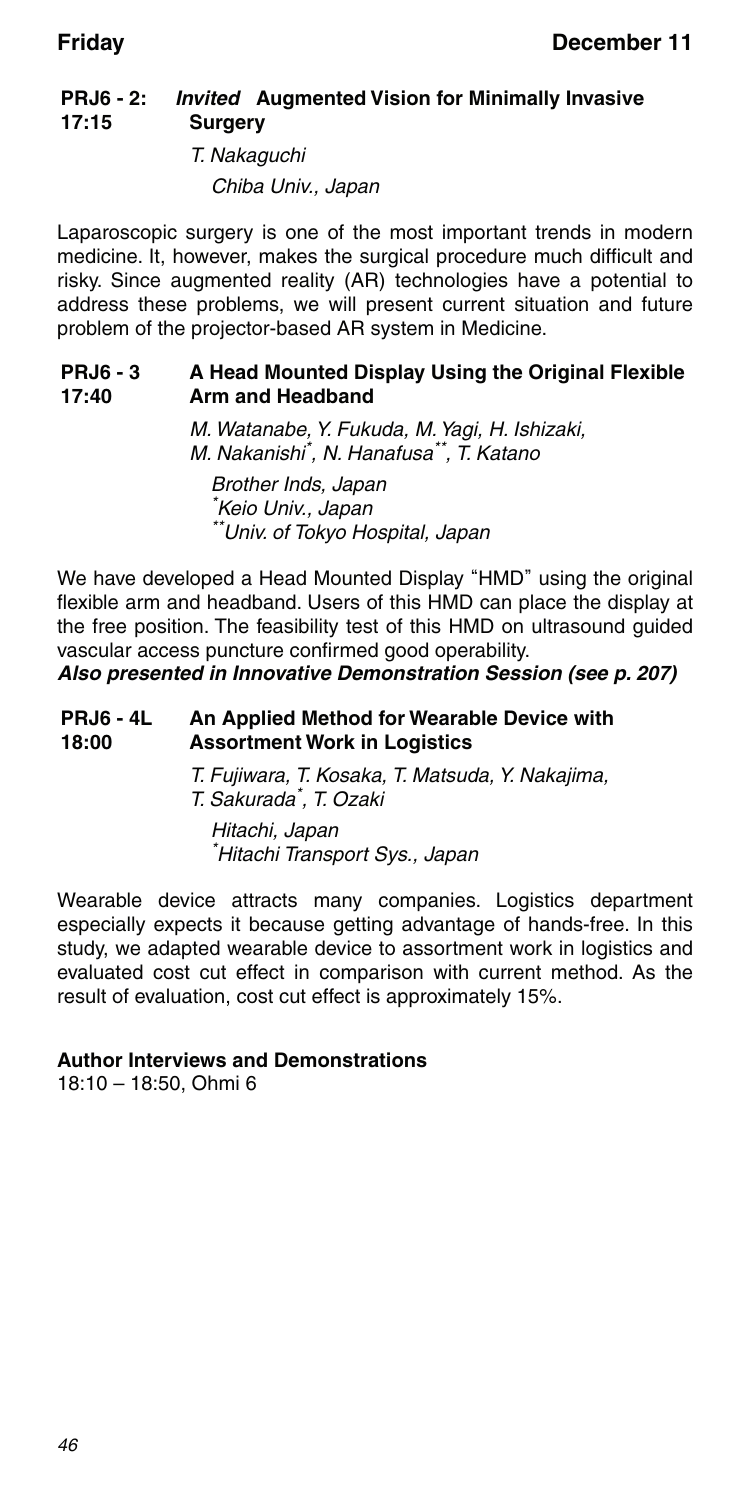#### **PRJ6 - 2: 17:15** *Invited* **Augmented Vision for Minimally Invasive Surgery**

T. Nakaguchi

Chiba Univ., Japan

Laparoscopic surgery is one of the most important trends in modern medicine. It, however, makes the surgical procedure much difficult and risky. Since augmented reality (AR) technologies have a potential to address these problems, we will present current situation and future problem of the projector-based AR system in Medicine.

#### **PRJ6 - 3 17:40 A Head Mounted Display Using the Original Flexible Arm and Headband**

M. Watanabe, Y. Fukuda, M. Yagi, H. Ishizaki, M. Nakanishi\* , N. Hanafusa\*\*, T. Katano Brother Inds, Japan \* Keio Univ., Japan \*\*Univ. of Tokyo Hospital, Japan

We have developed a Head Mounted Display "HMD" using the original flexible arm and headband. Users of this HMD can place the display at the free position. The feasibility test of this HMD on ultrasound guided vascular access puncture confirmed good operability.

*Also presented in Innovative Demonstration Session (see p. 207)*

#### **PRJ6 - 4L 18:00 An Applied Method for Wearable Device with Assortment Work in Logistics**

T. Fujiwara, T. Kosaka, T. Matsuda, Y. Nakajima, T. Sakurada\* , T. Ozaki

Hitachi, Japan \* Hitachi Transport Sys., Japan

Wearable device attracts many companies. Logistics department especially expects it because getting advantage of hands-free. In this study, we adapted wearable device to assortment work in logistics and evaluated cost cut effect in comparison with current method. As the result of evaluation, cost cut effect is approximately 15%.

### **Author Interviews and Demonstrations**

18:10 – 18:50, Ohmi 6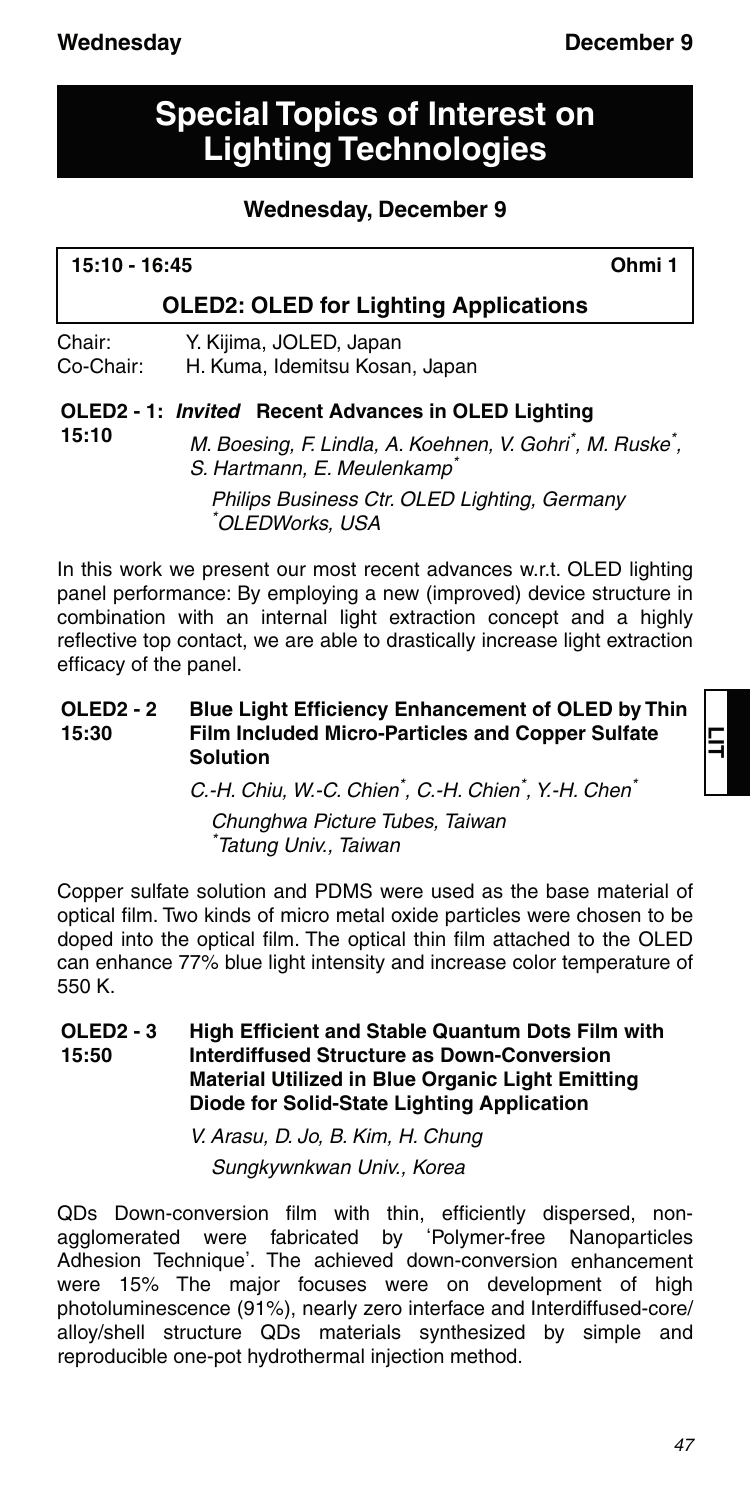# **Special Topics of Interest on Lighting Technologies**

### **Wednesday, December 9**

**15:10 - 16:45 Ohmi 1**

### **OLED2: OLED for Lighting Applications**

| Chair:    | Y. Kijima, JOLED, Japan        |
|-----------|--------------------------------|
| Co-Chair: | H. Kuma, Idemitsu Kosan, Japan |

#### **OLED2 - 1:** *Invited* **Recent Advances in OLED Lighting 15:10**

M. Boesing, F. Lindla, A. Koehnen, V. Gohri<sup>\*</sup>, M. Ruske<sup>\*</sup>, S. Hartmann, E. Meulenkamp<sup>\*</sup>

Philips Business Ctr. OLED Lighting, Germany \* OLEDWorks, USA

In this work we present our most recent advances w.r.t. OLED lighting panel performance: By employing a new (improved) device structure in combination with an internal light extraction concept and a highly reflective top contact, we are able to drastically increase light extraction efficacy of the panel.

#### **OLED2 - 2 15:30 Blue Light Efficiency Enhancement of OLED by Thin Film Included Micro-Particles and Copper Sulfate Solution**

C.-H. Chiu, W.-C. Chien<sup>\*</sup>, C.-H. Chien<sup>\*</sup>, Y.-H. Chen<sup>\*</sup>

Chunghwa Picture Tubes, Taiwan \* Tatung Univ., Taiwan

Copper sulfate solution and PDMS were used as the base material of optical film. Two kinds of micro metal oxide particles were chosen to be doped into the optical film. The optical thin film attached to the OLED can enhance 77% blue light intensity and increase color temperature of 550 K.

#### **OLED2 - 3 15:50 High Efficient and Stable Quantum Dots Film with Interdiffused Structure as Down-Conversion Material Utilized in Blue Organic Light Emitting Diode for Solid-State Lighting Application**

V. Arasu, D. Jo, B. Kim, H. Chung Sungkywnkwan Univ., Korea

QDs Down-conversion film with thin, efficiently dispersed, nonagglomerated were fabricated by ʻPolymer-free Nanoparticles Adhesion Technique'. The achieved down-conversion enhancement were 15% The major focuses were on development of high photoluminescence (91%), nearly zero interface and Interdiffused-core/ alloy/shell structure QDs materials synthesized by simple and reproducible one-pot hydrothermal injection method.

**LIT**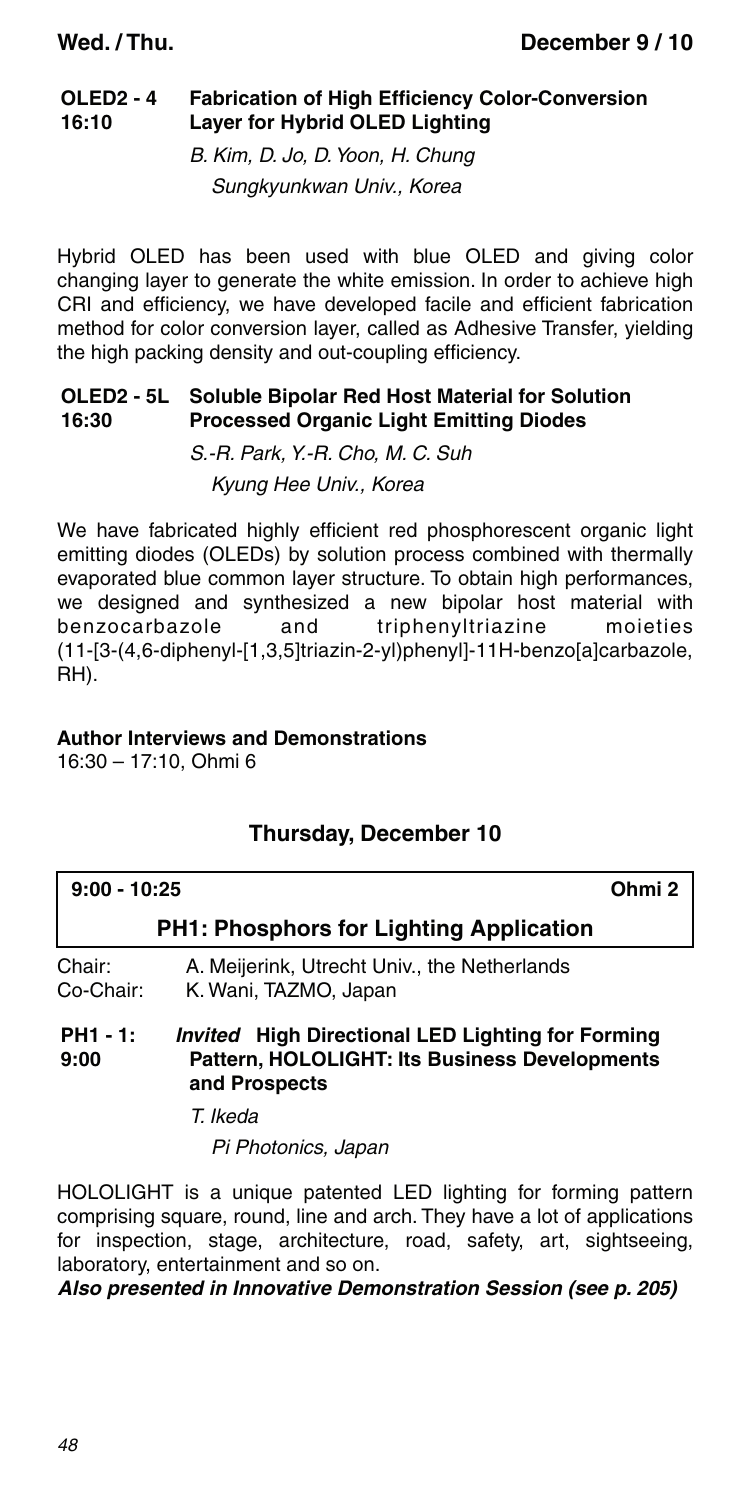#### **OLED2 - 4 16:10 Fabrication of High Efficiency Color-Conversion Layer for Hybrid OLED Lighting**

B. Kim, D. Jo, D. Yoon, H. Chung Sungkyunkwan Univ., Korea

Hybrid OLED has been used with blue OLED and giving color changing layer to generate the white emission. In order to achieve high CRI and efficiency, we have developed facile and efficient fabrication method for color conversion layer, called as Adhesive Transfer, yielding the high packing density and out-coupling efficiency.

#### **OLED2 - 5L 16:30 Soluble Bipolar Red Host Material for Solution Processed Organic Light Emitting Diodes**

S.-R. Park, Y.-R. Cho, M. C. Suh Kyung Hee Univ., Korea

We have fabricated highly efficient red phosphorescent organic light emitting diodes (OLEDs) by solution process combined with thermally evaporated blue common layer structure. To obtain high performances, we designed and synthesized a new bipolar host material with benzocarbazole and triphenyltriazine moieties (11-[3-(4,6-diphenyl-[1,3,5]triazin-2-yl)phenyl]-11H-benzo[a]carbazole, RH).

### **Author Interviews and Demonstrations**

16:30 – 17:10, Ohmi 6

| $9:00 - 10:25$  | Ohmi <sub>2</sub>                                        |
|-----------------|----------------------------------------------------------|
|                 | <b>PH1: Phosphors for Lighting Application</b>           |
| Chair:          | A. Meijerink, Utrecht Univ., the Netherlands             |
| Co-Chair:       | K. Wani, TAZMO, Japan                                    |
| <b>PH1 - 1:</b> | <i>Invited</i> High Directional LED Lighting for Forming |
| a nn            | <b>Pattern HOLOLIGHT: Its Rusiness Developments</b>      |

### **Thursday, December 10**

**9:00 Pattern, HOLOLIGHT: Its Business Developments and Prospects**

T. Ikeda

Pi Photonics, Japan

HOLOLIGHT is a unique patented LED lighting for forming pattern comprising square, round, line and arch. They have a lot of applications for inspection, stage, architecture, road, safety, art, sightseeing, laboratory, entertainment and so on.

### *Also presented in Innovative Demonstration Session (see p. 205)*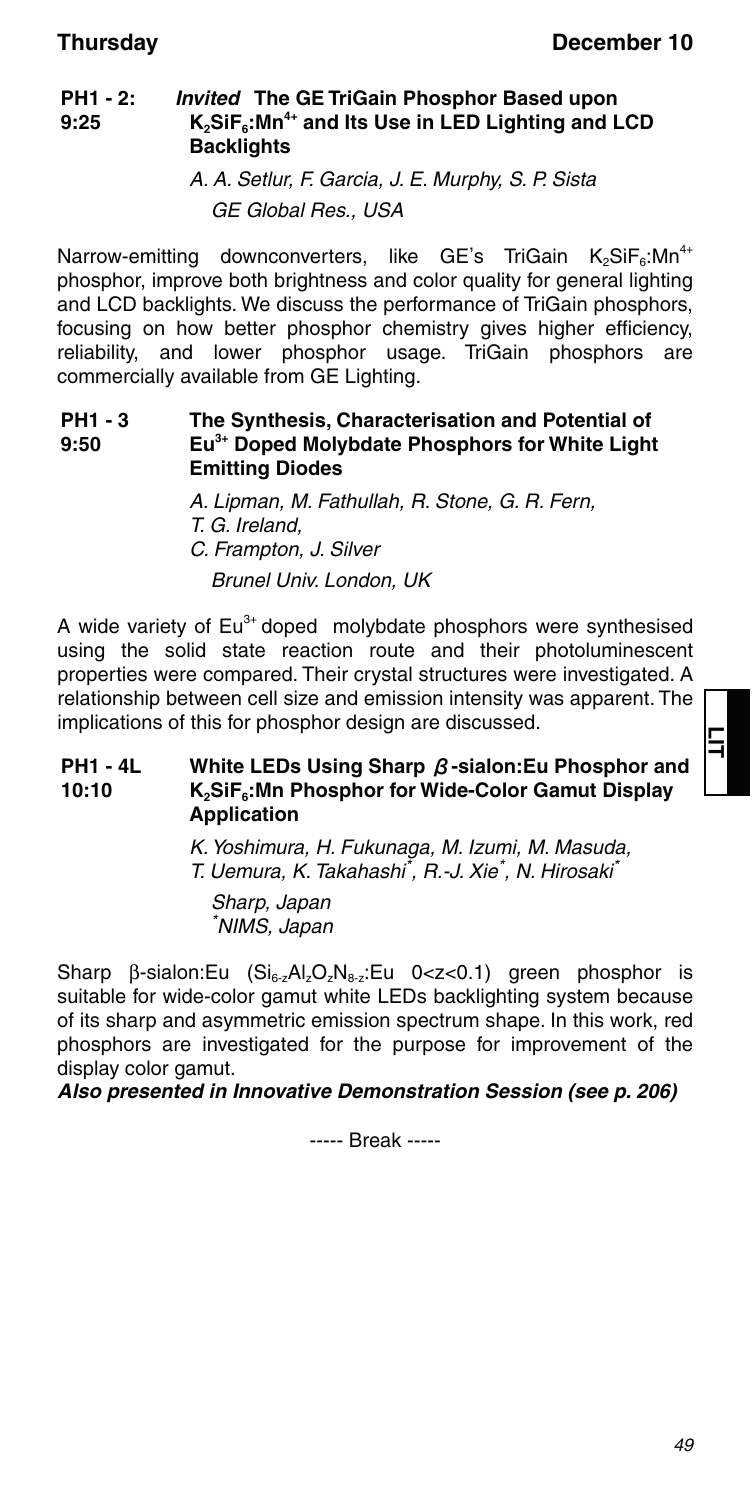#### **PH1 - 2: 9:25** *Invited* **The GE TriGain Phosphor Based upon**   $K_2$ SiF<sub>6</sub>: Mn<sup>4+</sup> and Its Use in LED Lighting and LCD **Backlights**

A. A. Setlur, F. Garcia, J. E. Murphy, S. P. Sista GE Global Res., USA

Narrow-emitting downconverters, like GE's TriGain K<sub>2</sub>SiF<sub>6</sub>:Mn<sup>4+</sup> phosphor, improve both brightness and color quality for general lighting and LCD backlights. We discuss the performance of TriGain phosphors, focusing on how better phosphor chemistry gives higher efficiency, reliability, and lower phosphor usage. TriGain phosphors are commercially available from GE Lighting.

#### **PH1 - 3 9:50 The Synthesis, Characterisation and Potential of Eu3+ Doped Molybdate Phosphors for White Light Emitting Diodes**

A. Lipman, M. Fathullah, R. Stone, G. R. Fern, T. G. Ireland, C. Frampton, J. Silver Brunel Univ. London, UK

A wide variety of  $Eu^{3+}$  doped molybdate phosphors were synthesised using the solid state reaction route and their photoluminescent properties were compared. Their crystal structures were investigated. A relationship between cell size and emission intensity was apparent. The implications of this for phosphor design are discussed.

#### **PH1 - 4L 10:10 White LEDs Using Sharp** β**-sialon:Eu Phosphor and K2SiF6:Mn Phosphor for Wide-Color Gamut Display Application**

K. Yoshimura, H. Fukunaga, M. Izumi, M. Masuda, T. Uemura, K. Takahashi<sup>\*</sup>, R.-J. Xie<sup>\*</sup>, N. Hirosaki<sup>'</sup>

Sharp, Japan \* NIMS, Japan

Sharp  $\beta$ -sialon:Eu (Si<sub>6-z</sub>Al<sub>z</sub>O<sub>z</sub>N<sub>8-z</sub>:Eu 0<z<0.1) green phosphor is suitable for wide-color gamut white LEDs backlighting system because of its sharp and asymmetric emission spectrum shape. In this work, red phosphors are investigated for the purpose for improvement of the display color gamut.

*Also presented in Innovative Demonstration Session (see p. 206)*

----- Break -----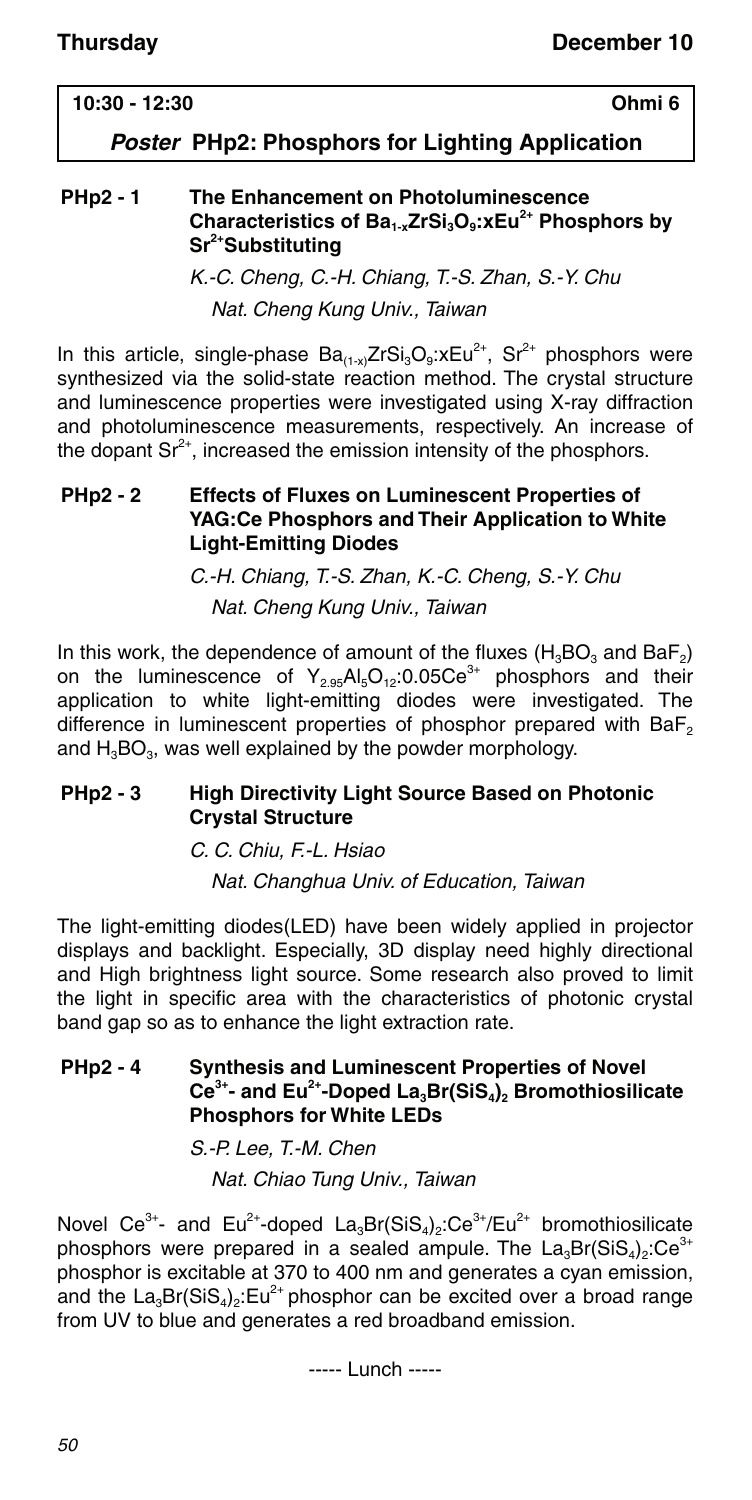### **10:30 - 12:30 Ohmi 6**

### *Poster* **PHp2: Phosphors for Lighting Application**

#### **PHp2 - 1 The Enhancement on Photoluminescence**  Characteristics of Ba<sub>1-x</sub>ZrSi<sub>3</sub>O<sub>9</sub>: xEu<sup>2+</sup> Phosphors by **Sr2+Substituting**

K.-C. Cheng, C.-H. Chiang, T.-S. Zhan, S.-Y. Chu Nat. Cheng Kung Univ., Taiwan

In this article, single-phase  $Ba_{(1-x)}ZrSi_3O_9$ : $xEu^{2+}$ ,  $Sr^{2+}$  phosphors were synthesized via the solid-state reaction method. The crystal structure and luminescence properties were investigated using X-ray diffraction and photoluminescence measurements, respectively. An increase of the dopant  $\text{Sr}^{2+}$ , increased the emission intensity of the phosphors.

#### **PHp2 - 2 Effects of Fluxes on Luminescent Properties of YAG:Ce Phosphors and Their Application to White Light-Emitting Diodes**

C.-H. Chiang, T.-S. Zhan, K.-C. Cheng, S.-Y. Chu Nat. Cheng Kung Univ., Taiwan

In this work, the dependence of amount of the fluxes  $(H_3BO_3 \text{ and } BaF_2)$ on the luminescence of  $Y_{2.95}Al_5O_{12}:0.05Ce^{3+}$  phosphors and their application to white light-emitting diodes were investigated. The difference in luminescent properties of phosphor prepared with BaF<sub>2</sub> and  $H_3BO_3$ , was well explained by the powder morphology.

### **PHp2 - 3 High Directivity Light Source Based on Photonic Crystal Structure**

C. C. Chiu, F.-L. Hsiao Nat. Changhua Univ. of Education, Taiwan

The light-emitting diodes(LED) have been widely applied in projector displays and backlight. Especially, 3D display need highly directional and High brightness light source. Some research also proved to limit the light in specific area with the characteristics of photonic crystal band gap so as to enhance the light extraction rate.

### **PHp2 - 4 Synthesis and Luminescent Properties of Novel**  Ce<sup>3+</sup>- and Eu<sup>2+</sup>-Doped La<sub>3</sub>Br(SiS<sub>4</sub>)<sub>2</sub> Bromothiosilicate **Phosphors for White LEDs**

S.-P. Lee, T.-M. Chen Nat. Chiao Tung Univ., Taiwan

Novel Ce<sup>3+</sup>- and Eu<sup>2+</sup>-doped La<sub>3</sub>Br(SiS<sub>4</sub>)<sub>2</sub>:Ce<sup>3+</sup>/Eu<sup>2+</sup> bromothiosilicate phosphors were prepared in a sealed ampule. The  $La_3Br(SiS_4)_2:Ce^{3+}$ phosphor is excitable at 370 to 400 nm and generates a cyan emission, and the  $La_3Br(SiS_4)$ . Eu<sup>2+</sup> phosphor can be excited over a broad range from UV to blue and generates a red broadband emission.

----- Lunch -----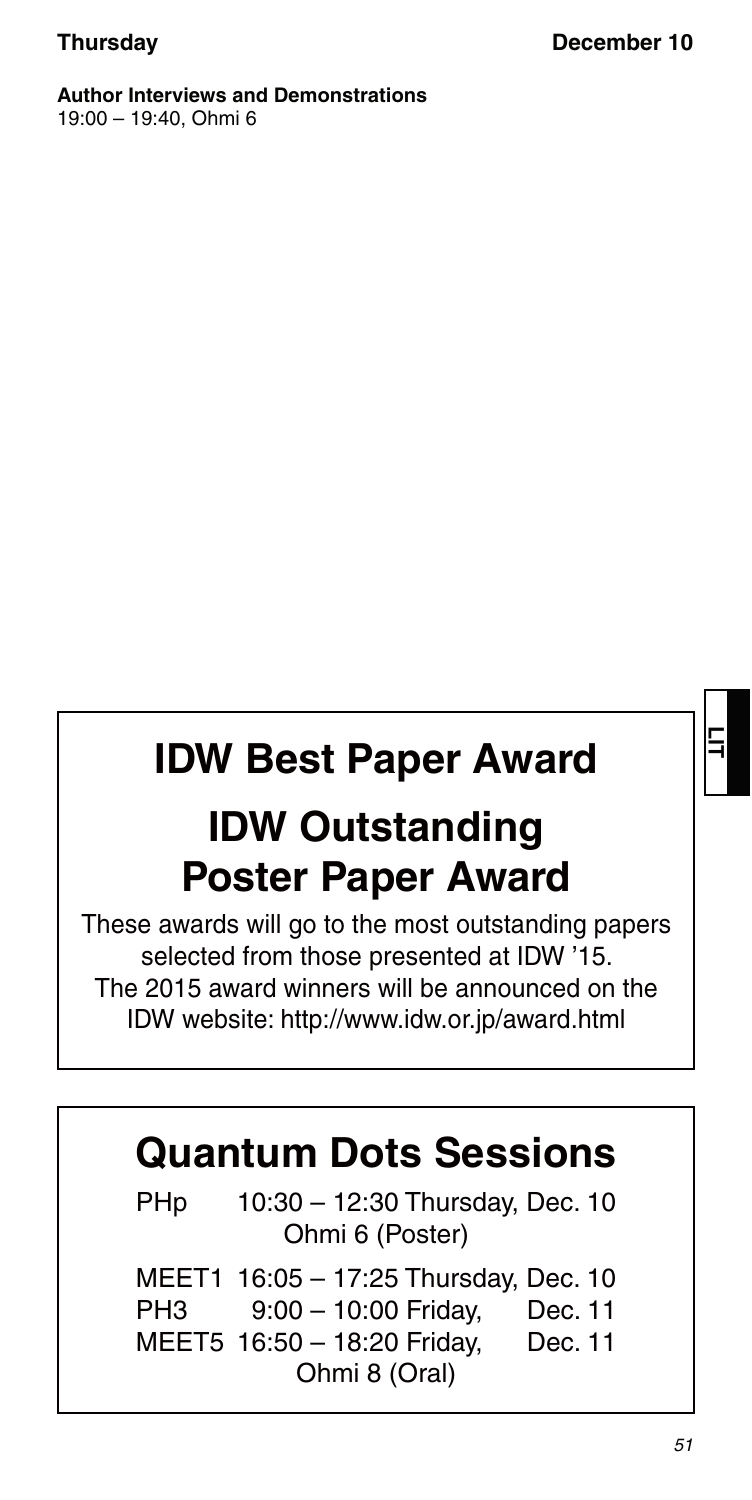**Author Interviews and Demonstrations** 19:00 – 19:40, Ohmi 6

# **IDW Best Paper Award IDW Outstanding Poster Paper Award**

These awards will go to the most outstanding papers selected from those presented at IDW '15. The 2015 award winners will be announced on the IDW website: http://www.idw.or.jp/award.html

# **Quantum Dots Sessions**

 PHp 10:30 – 12:30 Thursday, Dec. 10 Ohmi 6 (Poster)

 MEET1 16:05 – 17:25 Thursday, Dec. 10 PH3 9:00 – 10:00 Friday, Dec. 11 MEET5 16:50 – 18:20 Friday, Dec. 11 Ohmi 8 (Oral)

**LIT**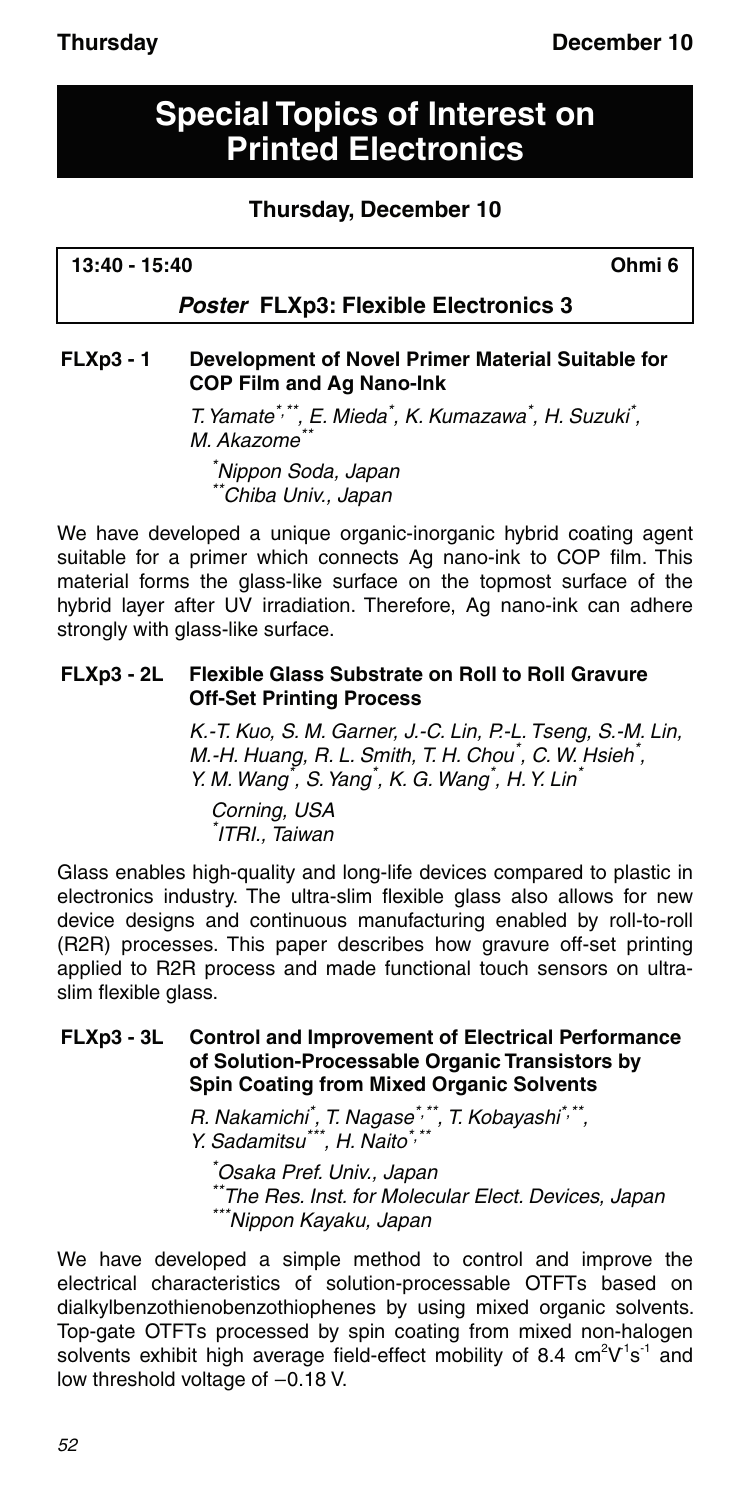# **Special Topics of Interest on Printed Electronics**

### **Thursday, December 10**

**13:40 - 15:40 Ohmi 6**

### *Poster* **FLXp3: Flexible Electronics 3**

### **FLXp3 - 1 Development of Novel Primer Material Suitable for COP Film and Ag Nano-Ink**

T. Yamate<sup>\*,\*\*</sup>, E. Mieda<sup>\*</sup>, K. Kumazawa<sup>\*</sup>, H. Suzuki<sup>\*</sup>, M. Akazome<sup>\*</sup>

\* Nippon Soda, Japan \*\*Chiba Univ., Japan

We have developed a unique organic-inorganic hybrid coating agent suitable for a primer which connects Ag nano-ink to COP film. This material forms the glass-like surface on the topmost surface of the hybrid layer after UV irradiation. Therefore, Ag nano-ink can adhere strongly with glass-like surface.

#### **FLXp3 - 2L Flexible Glass Substrate on Roll to Roll Gravure Off-Set Printing Process**

K.-T. Kuo, S. M. Garner, J.-C. Lin, P.-L. Tseng, S.-M. Lin, M.-H. Huang, R. L. Smith, T. H. Chou<sup>\*</sup>, C. W. Hsieh<sup>\*</sup>, Y. M. Wang<sup>\*</sup>, S. Yang<sup>\*</sup>, K. G. Wang<sup>\*</sup>, H. Y. Lin<sup>\*</sup>

Corning, USA \* ITRI., Taiwan

Glass enables high-quality and long-life devices compared to plastic in electronics industry. The ultra-slim flexible glass also allows for new device designs and continuous manufacturing enabled by roll-to-roll (R2R) processes. This paper describes how gravure off-set printing applied to R2R process and made functional touch sensors on ultraslim flexible glass.

### **FLXp3 - 3L Control and Improvement of Electrical Performance of Solution-Processable Organic Transistors by Spin Coating from Mixed Organic Solvents**

R. Nakamichi<sup>\*</sup>, T. Nagase<sup>\*,\*\*</sup>, T. Kobayashi<sup>\*,\*\*</sup>, Y. Sadamitsu\*\*\*, H. Naito\*,\*\*

\* Osaka Pref. Univ., Japan \*The Res. Inst. for Molecular Elect. Devices, Japan \*\*\*Nippon Kayaku, Japan

We have developed a simple method to control and improve the electrical characteristics of solution-processable OTFTs based on dialkylbenzothienobenzothiophenes by using mixed organic solvents. Top-gate OTFTs processed by spin coating from mixed non-halogen solvents exhibit high average field-effect mobility of 8.4  $\text{cm}^2\text{V}^1\text{s}^{-1}$  and low threshold voltage of  $-0.18$  V.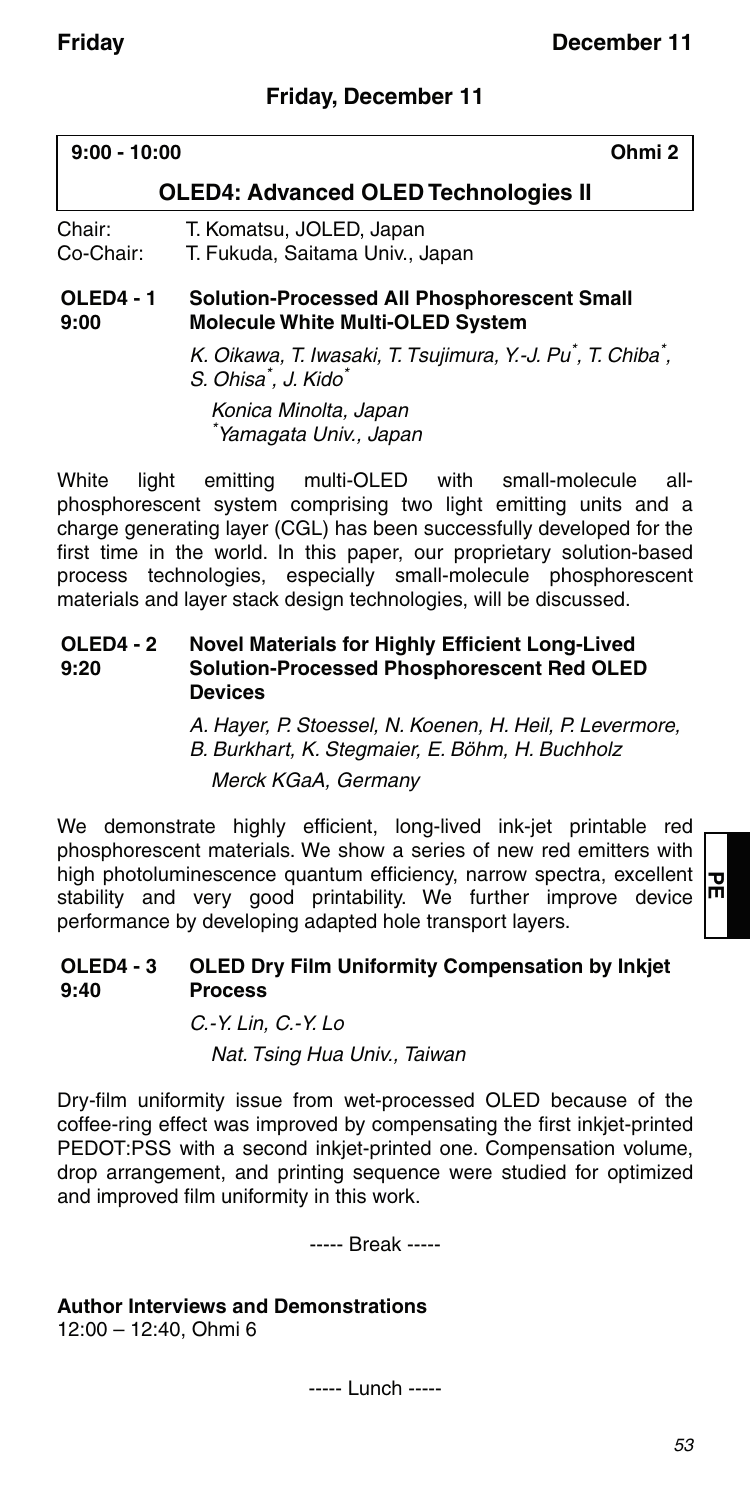### **Friday, December 11**

| $9:00 - 10:00$           |                                                                                        | Ohmi <sub>2</sub> |
|--------------------------|----------------------------------------------------------------------------------------|-------------------|
|                          | <b>OLED4: Advanced OLED Technologies II</b>                                            |                   |
| Chair:<br>Co-Chair:      | T. Komatsu, JOLED, Japan<br>T. Fukuda, Saitama Univ., Japan                            |                   |
| <b>OLED4 - 1</b><br>9:00 | Solution-Processed All Phosphorescent Small<br><b>Molecule White Multi-OLED System</b> |                   |

K. Oikawa, T. Iwasaki, T. Tsujimura, Y.-J. Pu<sup>\*</sup>, T. Chiba<sup>\*</sup>, S. Ohisa<sup>\*</sup>, J. Kido<sup>\*</sup> Konica Minolta, Japan

\* Yamagata Univ., Japan

White light emitting multi-OLED with small-molecule allphosphorescent system comprising two light emitting units and a charge generating layer (CGL) has been successfully developed for the first time in the world. In this paper, our proprietary solution-based process technologies, especially small-molecule phosphorescent materials and layer stack design technologies, will be discussed.

#### **OLED4 - 2 9:20 Novel Materials for Highly Efficient Long-Lived Solution-Processed Phosphorescent Red OLED Devices**

A. Hayer, P. Stoessel, N. Koenen, H. Heil, P. Levermore, B. Burkhart, K. Stegmaier, E. Böhm, H. Buchholz

Merck KGaA, Germany

We demonstrate highly efficient, long-lived ink-jet printable red phosphorescent materials. We show a series of new red emitters with high photoluminescence quantum efficiency, narrow spectra, excellent stability and very good printability. We further improve device performance by developing adapted hole transport layers.

#### **OLED4 - 3 9:40 OLED Dry Film Uniformity Compensation by Inkjet Process**

#### C.-Y. Lin, C.-Y. Lo

Nat. Tsing Hua Univ., Taiwan

Dry-film uniformity issue from wet-processed OLED because of the coffee-ring effect was improved by compensating the first inkjet-printed PEDOT:PSS with a second inkjet-printed one. Compensation volume, drop arrangement, and printing sequence were studied for optimized and improved film uniformity in this work.

----- Break -----

### **Author Interviews and Demonstrations**

12:00 – 12:40, Ohmi 6

----- Lunch -----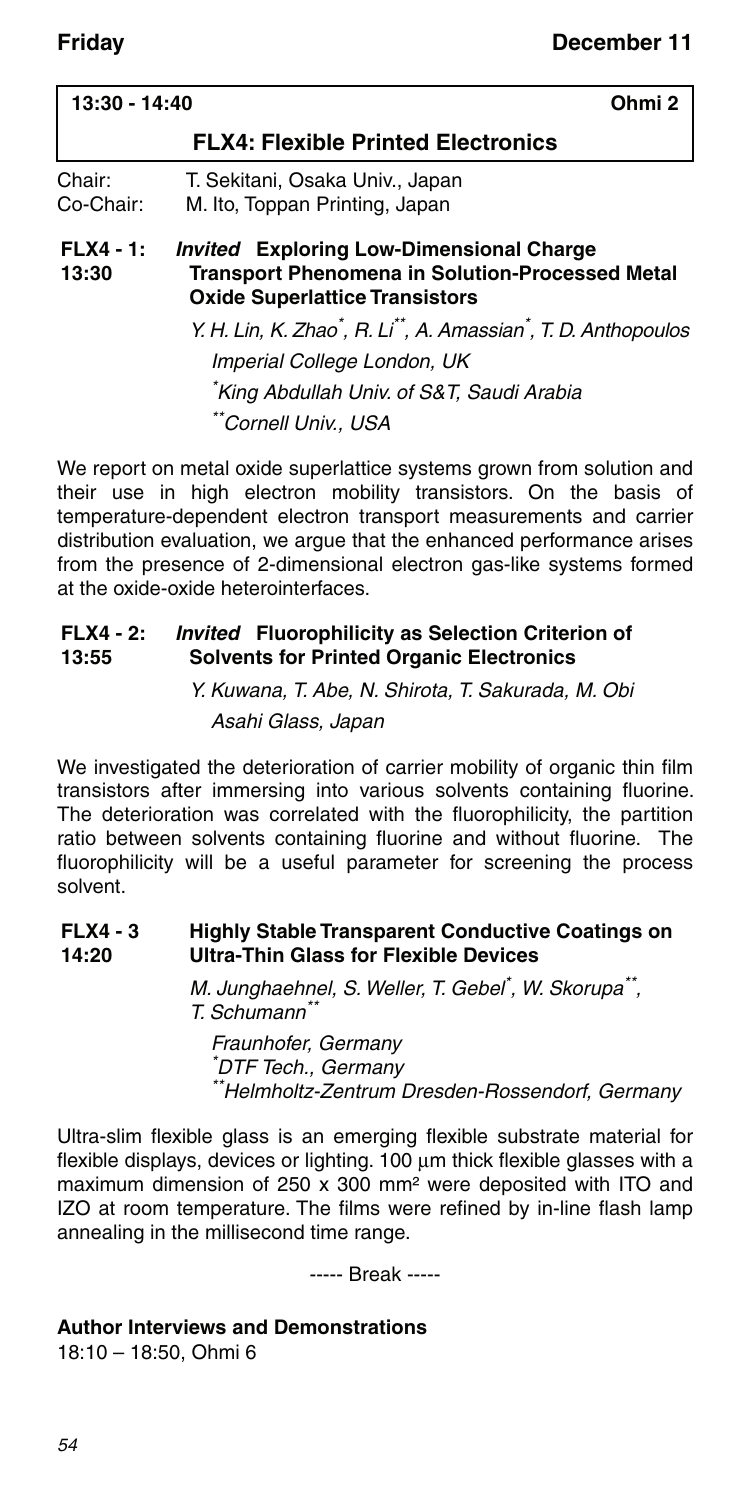| 13:30 - 14:40        | Ohmi 2                                                                                                                                             |
|----------------------|----------------------------------------------------------------------------------------------------------------------------------------------------|
|                      | <b>FLX4: Flexible Printed Electronics</b>                                                                                                          |
| Chair:<br>Co-Chair:  | T. Sekitani, Osaka Univ., Japan<br>M. Ito, Toppan Printing, Japan                                                                                  |
| $FLX4 - 1:$<br>13:30 | <b>Invited Exploring Low-Dimensional Charge</b><br><b>Transport Phenomena in Solution-Processed Metal</b><br><b>Oxide Superlattice Transistors</b> |
|                      | Y. H. Lin, K. Zhao <sup>*</sup> , R. Li <sup>**</sup> , A. Amassian <sup>*</sup> , T. D. Anthopoulos                                               |
|                      | Imperial College London, UK                                                                                                                        |
|                      | King Abdullah Univ. of S&T, Saudi Arabia                                                                                                           |
|                      | "Cornell Univ., USA                                                                                                                                |

We report on metal oxide superlattice systems grown from solution and their use in high electron mobility transistors. On the basis of temperature-dependent electron transport measurements and carrier distribution evaluation, we argue that the enhanced performance arises from the presence of 2-dimensional electron gas-like systems formed at the oxide-oxide heterointerfaces.

#### **FLX4 - 2: 13:55** *Invited* **Fluorophilicity as Selection Criterion of Solvents for Printed Organic Electronics**

Y. Kuwana, T. Abe, N. Shirota, T. Sakurada, M. Obi Asahi Glass, Japan

We investigated the deterioration of carrier mobility of organic thin film transistors after immersing into various solvents containing fluorine. The deterioration was correlated with the fluorophilicity, the partition ratio between solvents containing fluorine and without fluorine. The fluorophilicity will be a useful parameter for screening the process solvent.

#### **FLX4 - 3 14:20 Highly Stable Transparent Conductive Coatings on Ultra-Thin Glass for Flexible Devices**

M. Junghaehnel, S. Weller, T. Gebel<sup>\*</sup>, W. Skorupa<sup>\*\*</sup>, T. Schumann\*\*

Fraunhofer, Germany \* DTF Tech., Germany \*\*Helmholtz-Zentrum Dresden-Rossendorf, Germany

Ultra-slim flexible glass is an emerging flexible substrate material for flexible displays, devices or lighting.  $100 \mu m$  thick flexible glasses with a maximum dimension of 250 x 300 mm² were deposited with ITO and IZO at room temperature. The films were refined by in-line flash lamp annealing in the millisecond time range.

----- Break -----

#### **Author Interviews and Demonstrations**

18:10 – 18:50, Ohmi 6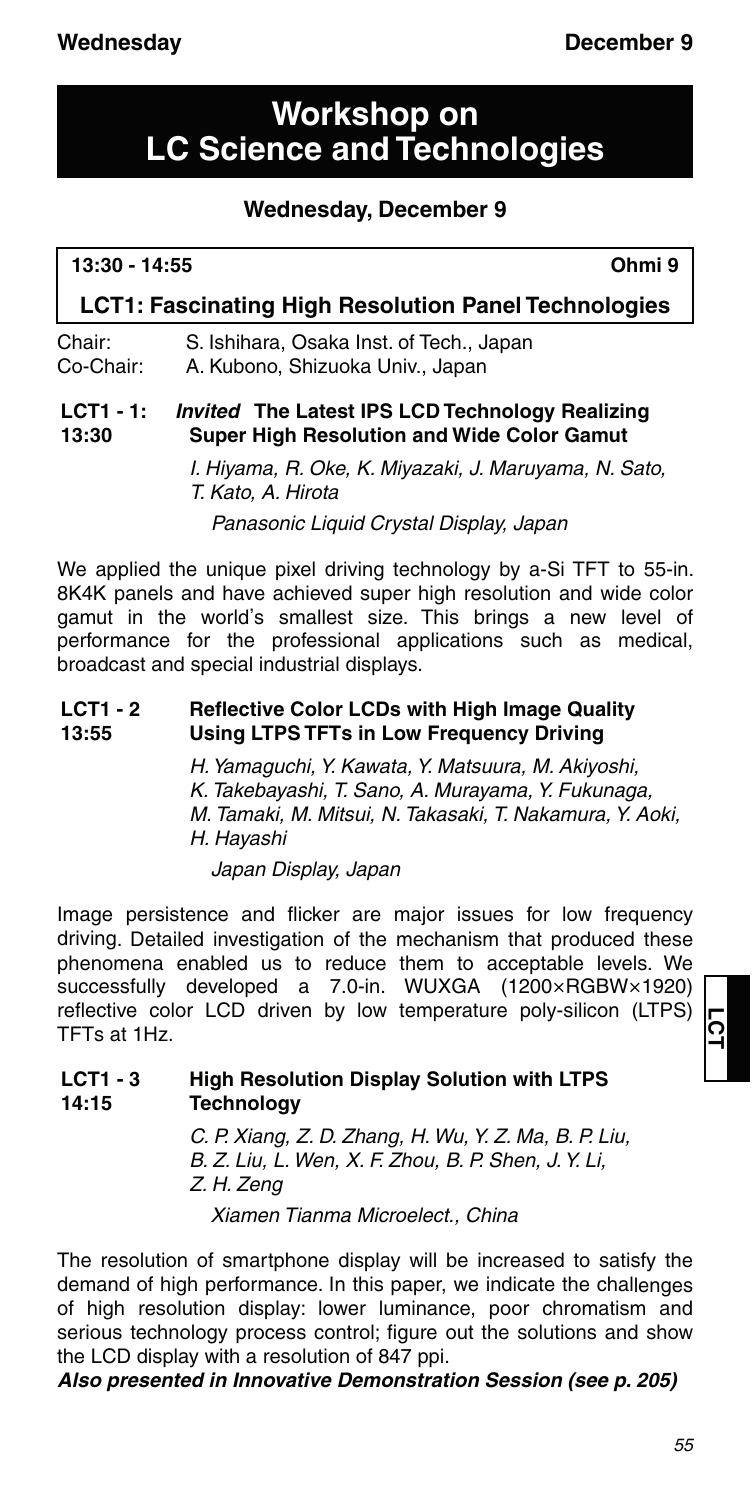# **Workshop on LC Science and Technologies**

### **Wednesday, December 9**

| 13:30 - 14:55 | Ohmi 9 |
|---------------|--------|
|               |        |

### **LCT1: Fascinating High Resolution Panel Technologies**

Chair: S. Ishihara, Osaka Inst. of Tech., Japan Co-Chair: A. Kubono, Shizuoka Univ., Japan

#### **LCT1 - 1: 13:30** *Invited* **The Latest IPS LCD Technology Realizing Super High Resolution and Wide Color Gamut**

I. Hiyama, R. Oke, K. Miyazaki, J. Maruyama, N. Sato, T. Kato, A. Hirota

Panasonic Liquid Crystal Display, Japan

We applied the unique pixel driving technology by a-Si TFT to 55-in. 8K4K panels and have achieved super high resolution and wide color gamut in the world's smallest size. This brings a new level of performance for the professional applications such as medical, broadcast and special industrial displays.

#### **LCT1 - 2 13:55 Reflective Color LCDs with High Image Quality Using LTPS TFTs in Low Frequency Driving**

H. Yamaguchi, Y. Kawata, Y. Matsuura, M. Akiyoshi, K. Takebayashi, T. Sano, A. Murayama, Y. Fukunaga, M. Tamaki, M. Mitsui, N. Takasaki, T. Nakamura, Y. Aoki, H. Hayashi

Japan Display, Japan

Image persistence and flicker are major issues for low frequency driving. Detailed investigation of the mechanism that produced these phenomena enabled us to reduce them to acceptable levels. We successfully developed a 7.0-in. WUXGA (1200×RGBW×1920) reflective color LCD driven by low temperature poly-silicon (LTPS) TFTs at 1Hz.

#### **LCT1 - 3 14:15 High Resolution Display Solution with LTPS Technology**

C. P. Xiang, Z. D. Zhang, H. Wu, Y. Z. Ma, B. P. Liu, B. Z. Liu, L. Wen, X. F. Zhou, B. P. Shen, J. Y. Li, Z. H. Zeng Xiamen Tianma Microelect., China

The resolution of smartphone display will be increased to satisfy the demand of high performance. In this paper, we indicate the challenges of high resolution display: lower luminance, poor chromatism and serious technology process control; figure out the solutions and show the LCD display with a resolution of 847 ppi.

*Also presented in Innovative Demonstration Session (see p. 205)*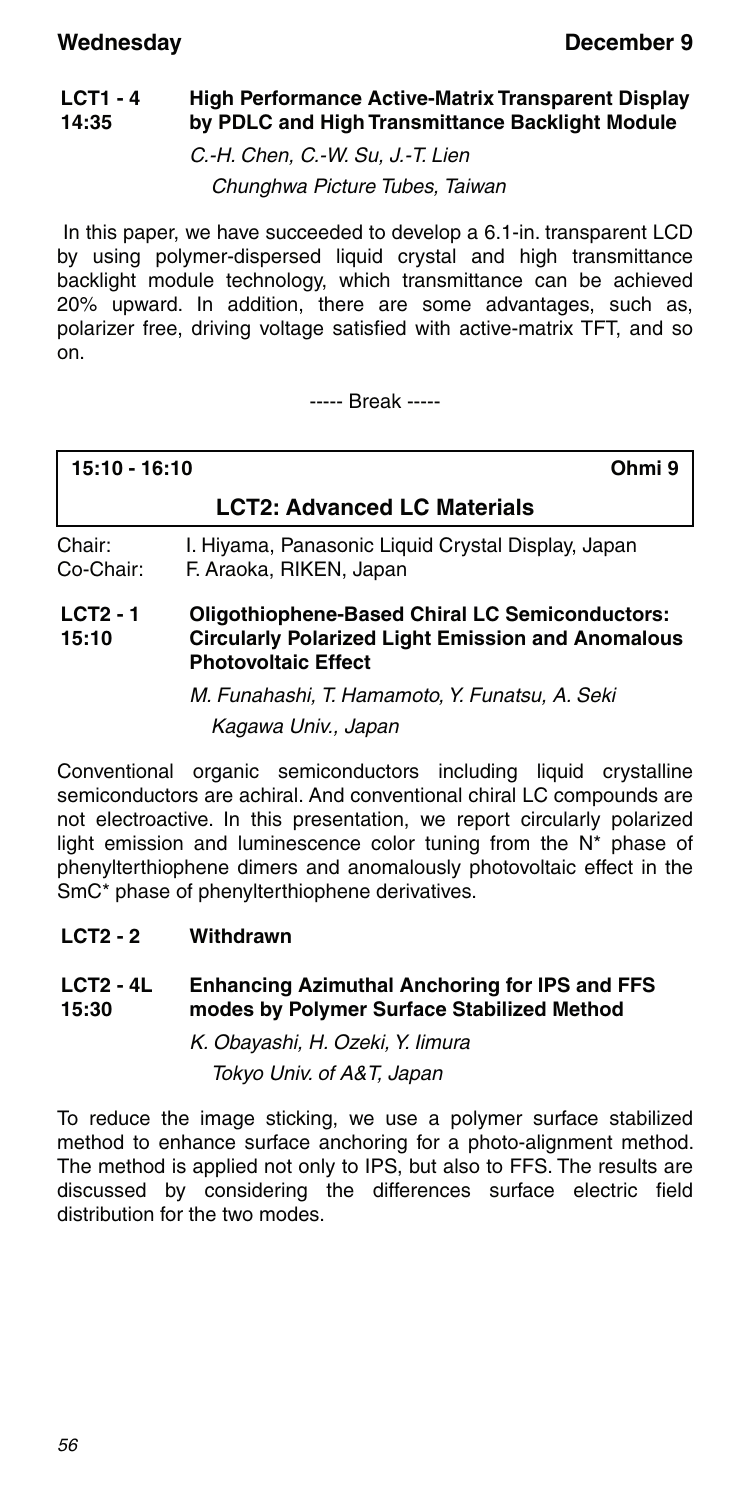#### **LCT1 - 4 14:35 High Performance Active-Matrix Transparent Display by PDLC and High Transmittance Backlight Module**

C.-H. Chen, C.-W. Su, J.-T. Lien

Chunghwa Picture Tubes, Taiwan

 In this paper, we have succeeded to develop a 6.1-in. transparent LCD by using polymer-dispersed liquid crystal and high transmittance backlight module technology, which transmittance can be achieved 20% upward. In addition, there are some advantages, such as, polarizer free, driving voltage satisfied with active-matrix TFT, and so  $\overline{on}$ 

----- Break -----

| 15:10 - 16:10       |                                                                                                                                                 | Ohmi 9 |
|---------------------|-------------------------------------------------------------------------------------------------------------------------------------------------|--------|
|                     | <b>LCT2: Advanced LC Materials</b>                                                                                                              |        |
| Chair:<br>Co-Chair: | I. Hiyama, Panasonic Liquid Crystal Display, Japan<br>F. Araoka, RIKEN, Japan                                                                   |        |
| $LCT2 - 1$<br>15:10 | <b>Oligothiophene-Based Chiral LC Semiconductors:</b><br><b>Circularly Polarized Light Emission and Anomalous</b><br><b>Photovoltaic Effect</b> |        |

M. Funahashi, T. Hamamoto, Y. Funatsu, A. Seki Kagawa Univ., Japan

Conventional organic semiconductors including liquid crystalline semiconductors are achiral. And conventional chiral LC compounds are not electroactive. In this presentation, we report circularly polarized light emission and luminescence color tuning from the N\* phase of phenylterthiophene dimers and anomalously photovoltaic effect in the SmC\* phase of phenylterthiophene derivatives.

**LCT2 - 2 Withdrawn**

#### **LCT2 - 4L 15:30 Enhancing Azimuthal Anchoring for IPS and FFS modes by Polymer Surface Stabilized Method**

K. Obayashi, H. Ozeki, Y. Iimura Tokyo Univ. of A&T, Japan

To reduce the image sticking, we use a polymer surface stabilized method to enhance surface anchoring for a photo-alignment method. The method is applied not only to IPS, but also to FFS. The results are discussed by considering the differences surface electric field distribution for the two modes.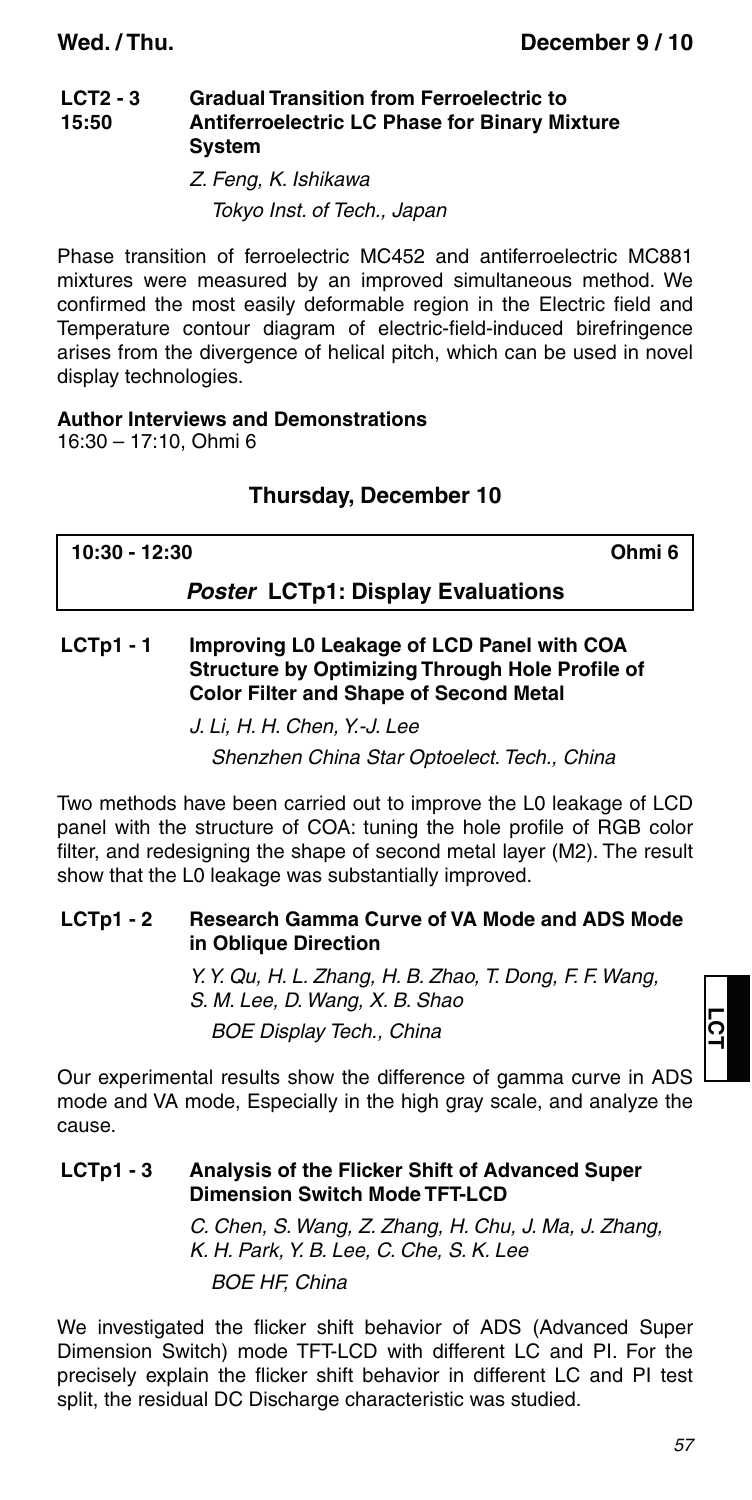#### **LCT2 - 3 15:50 Gradual Transition from Ferroelectric to Antiferroelectric LC Phase for Binary Mixture System**

Z. Feng, K. Ishikawa Tokyo Inst. of Tech., Japan

Phase transition of ferroelectric MC452 and antiferroelectric MC881 mixtures were measured by an improved simultaneous method. We confirmed the most easily deformable region in the Electric field and Temperature contour diagram of electric-field-induced birefringence arises from the divergence of helical pitch, which can be used in novel display technologies.

### **Author Interviews and Demonstrations**

16:30 – 17:10, Ohmi 6

### **Thursday, December 10**

| 10:30 - 12:30                            | Ohmi 6 |
|------------------------------------------|--------|
| <b>Poster LCTp1: Display Evaluations</b> |        |

#### **LCTp1 - 1 Improving L0 Leakage of LCD Panel with COA Structure by Optimizing Through Hole Profile of Color Filter and Shape of Second Metal**

Shenzhen China Star Optoelect. Tech., China

Two methods have been carried out to improve the L0 leakage of LCD panel with the structure of COA: tuning the hole profile of RGB color filter, and redesigning the shape of second metal layer (M2). The result show that the L0 leakage was substantially improved.

#### **LCTp1 - 2 Research Gamma Curve of VA Mode and ADS Mode in Oblique Direction**

Y. Y. Qu, H. L. Zhang, H. B. Zhao, T. Dong, F. F. Wang, S. M. Lee, D. Wang, X. B. Shao BOE Display Tech., China

Our experimental results show the difference of gamma curve in ADS mode and VA mode, Especially in the high gray scale, and analyze the cause.

### **LCTp1 - 3 Analysis of the Flicker Shift of Advanced Super Dimension Switch Mode TFT-LCD**

C. Chen, S. Wang, Z. Zhang, H. Chu, J. Ma, J. Zhang, K. H. Park, Y. B. Lee, C. Che, S. K. Lee BOE HF, China

We investigated the flicker shift behavior of ADS (Advanced Super Dimension Switch) mode TFT-LCD with different LC and PI. For the precisely explain the flicker shift behavior in different LC and PI test split, the residual DC Discharge characteristic was studied.

J. Li, H. H. Chen, Y.-J. Lee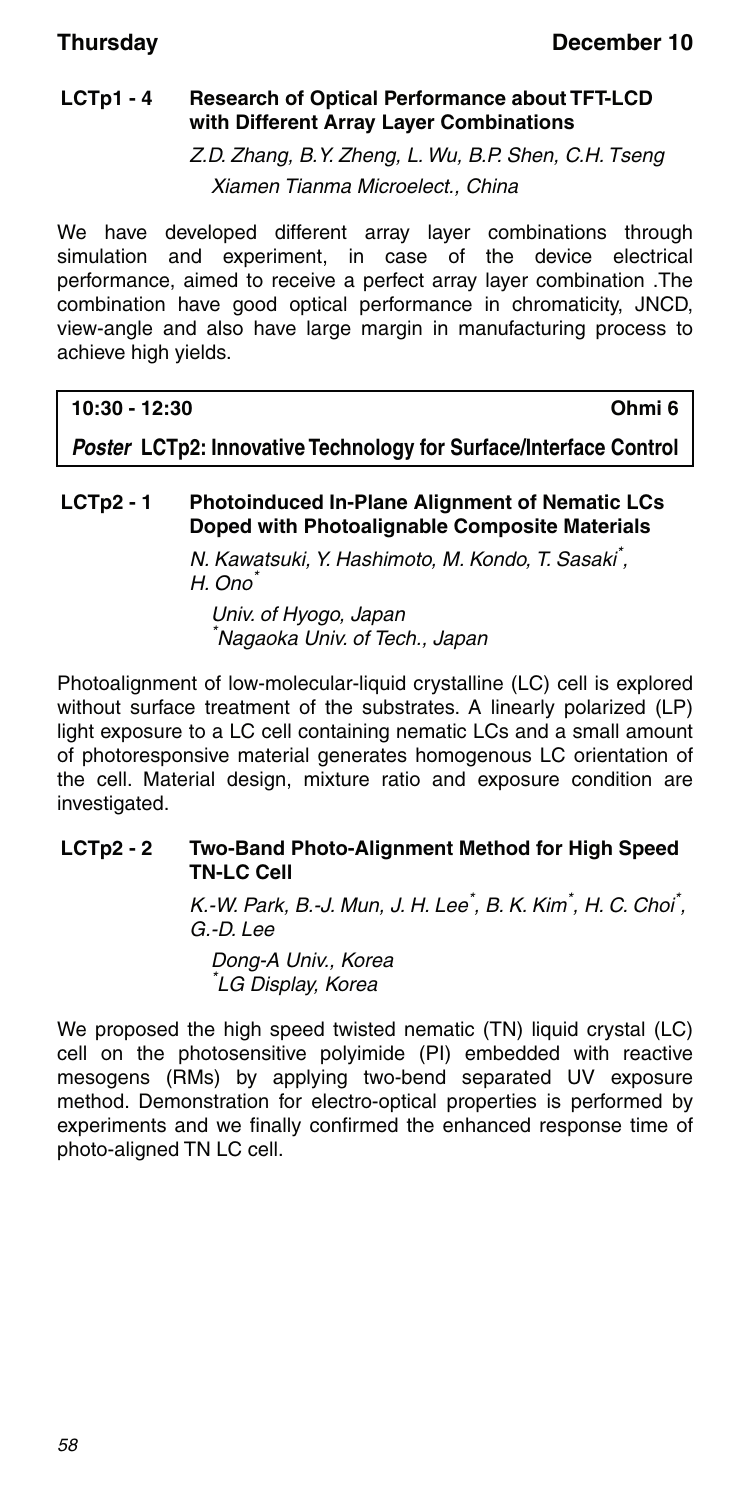### **LCTp1 - 4 Research of Optical Performance about TFT-LCD with Different Array Layer Combinations**

Z.D. Zhang, B.Y. Zheng, L. Wu, B.P. Shen, C.H. Tseng Xiamen Tianma Microelect., China

We have developed different array layer combinations through simulation and experiment, in case of the device electrical performance, aimed to receive a perfect array layer combination .The combination have good optical performance in chromaticity, JNCD, view-angle and also have large margin in manufacturing process to achieve high yields.

### **10:30 - 12:30 Ohmi 6**

*Poster* **LCTp2: Innovative Technology for Surface/Interface Control**

### **LCTp2 - 1 Photoinduced In-Plane Alignment of Nematic LCs Doped with Photoalignable Composite Materials**

N. Kawatsuki, Y. Hashimoto, M. Kondo, T. Sasaki\* , H. Ono<sup>\*</sup>

Univ. of Hyogo, Japan \* Nagaoka Univ. of Tech., Japan

Photoalignment of low-molecular-liquid crystalline (LC) cell is explored without surface treatment of the substrates. A linearly polarized (LP) light exposure to a LC cell containing nematic LCs and a small amount of photoresponsive material generates homogenous LC orientation of the cell. Material design, mixture ratio and exposure condition are investigated.

#### **LCTp2 - 2 Two-Band Photo-Alignment Method for High Speed TN-LC Cell**

K.-W. Park, B.-J. Mun, J. H. Lee<sup>\*</sup>, B. K. Kim<sup>\*</sup>, H. C. Choi<sup>\*</sup>, G.-D. Lee

Dong-A Univ., Korea \* LG Display, Korea

We proposed the high speed twisted nematic (TN) liquid crystal (LC) cell on the photosensitive polyimide (PI) embedded with reactive mesogens (RMs) by applying two-bend separated UV exposure method. Demonstration for electro-optical properties is performed by experiments and we finally confirmed the enhanced response time of photo-aligned TN LC cell.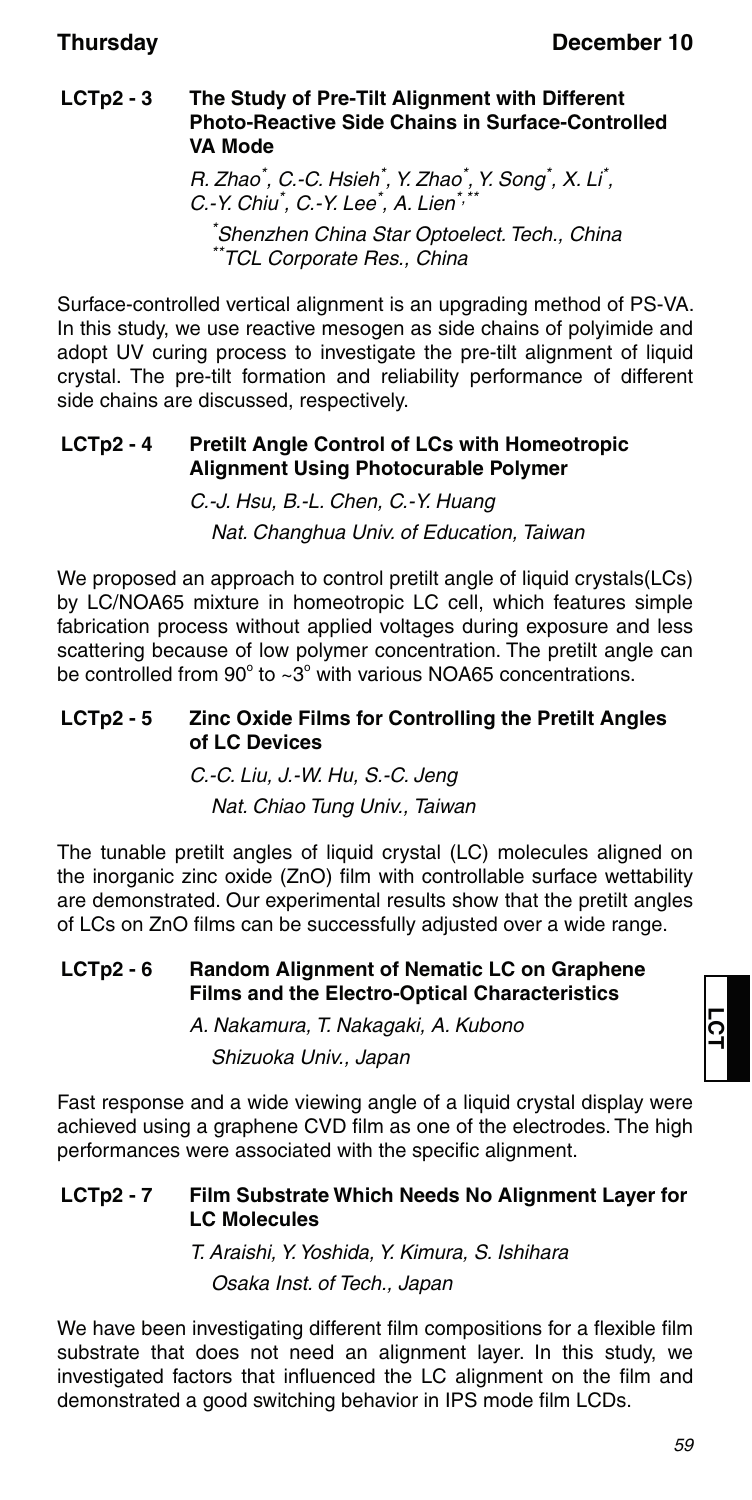#### **LCTp2 - 3 The Study of Pre-Tilt Alignment with Different Photo-Reactive Side Chains in Surface-Controlled VA Mode**

R. Zhao<sup>\*</sup>, C.-C. Hsieh<sup>\*</sup>, Y. Zhao<sup>\*</sup>, Y. Song<sup>\*</sup>, X. Li<sup>\*</sup>, C.-Y. Chiu<sup>\*</sup>, C.-Y. Lee<sup>\*</sup>, A. Lien<sup>\*,\*\*</sup> \* Shenzhen China Star Optoelect. Tech., China TCL Corporate Res., China

Surface-controlled vertical alignment is an upgrading method of PS-VA. In this study, we use reactive mesogen as side chains of polyimide and adopt UV curing process to investigate the pre-tilt alignment of liquid crystal. The pre-tilt formation and reliability performance of different side chains are discussed, respectively.

### **LCTp2 - 4 Pretilt Angle Control of LCs with Homeotropic Alignment Using Photocurable Polymer**

C.-J. Hsu, B.-L. Chen, C.-Y. Huang Nat. Changhua Univ. of Education, Taiwan

We proposed an approach to control pretilt angle of liquid crystals(LCs) by LC/NOA65 mixture in homeotropic LC cell, which features simple fabrication process without applied voltages during exposure and less scattering because of low polymer concentration. The pretilt angle can be controlled from  $90^{\circ}$  to  $\sim 3^{\circ}$  with various NOA65 concentrations.

#### **LCTp2 - 5 Zinc Oxide Films for Controlling the Pretilt Angles of LC Devices**

C.-C. Liu, J.-W. Hu, S.-C. Jeng Nat. Chiao Tung Univ., Taiwan

The tunable pretilt angles of liquid crystal (LC) molecules aligned on the inorganic zinc oxide (ZnO) film with controllable surface wettability are demonstrated. Our experimental results show that the pretilt angles of LCs on ZnO films can be successfully adjusted over a wide range.

#### **LCTp2 - 6 Random Alignment of Nematic LC on Graphene Films and the Electro-Optical Characteristics**

A. Nakamura, T. Nakagaki, A. Kubono Shizuoka Univ., Japan

Fast response and a wide viewing angle of a liquid crystal display were achieved using a graphene CVD film as one of the electrodes. The high performances were associated with the specific alignment.

### **LCTp2 - 7 Film Substrate Which Needs No Alignment Layer for LC Molecules**

T. Araishi, Y. Yoshida, Y. Kimura, S. Ishihara Osaka Inst. of Tech., Japan

We have been investigating different film compositions for a flexible film substrate that does not need an alignment layer. In this study, we investigated factors that influenced the LC alignment on the film and demonstrated a good switching behavior in IPS mode film LCDs.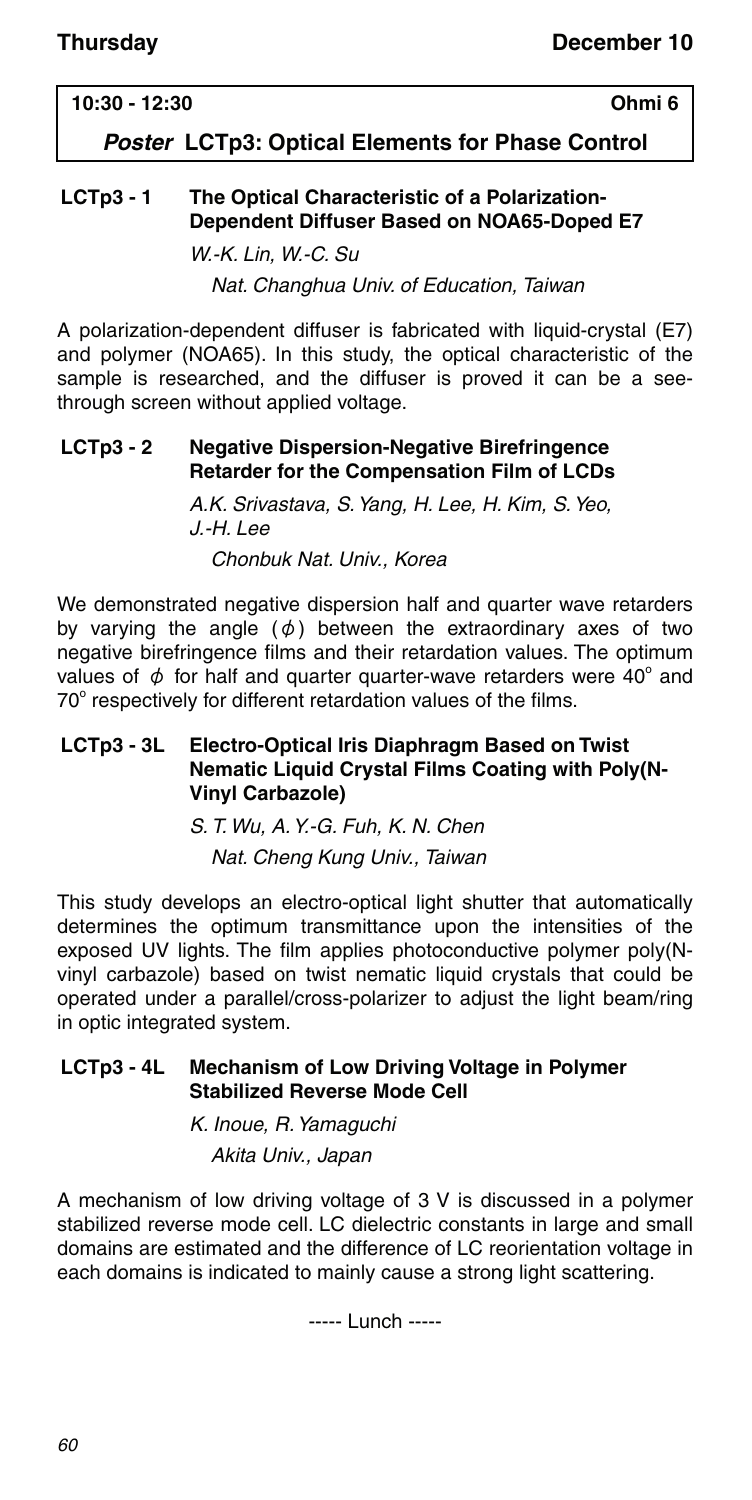### **10:30 - 12:30 Ohmi 6**

*Poster* **LCTp3: Optical Elements for Phase Control**

### **LCTp3 - 1 The Optical Characteristic of a Polarization-Dependent Diffuser Based on NOA65-Doped E7**

W.-K. Lin, W.-C. Su

Nat. Changhua Univ. of Education, Taiwan

A polarization-dependent diffuser is fabricated with liquid-crystal (E7) and polymer (NOA65). In this study, the optical characteristic of the sample is researched, and the diffuser is proved it can be a seethrough screen without applied voltage.

#### **LCTp3 - 2 Negative Dispersion-Negative Birefringence Retarder for the Compensation Film of LCDs**

A.K. Srivastava, S. Yang, H. Lee, H. Kim, S. Yeo, J.-H. Lee Chonbuk Nat. Univ., Korea

We demonstrated negative dispersion half and quarter wave retarders by varying the angle  $(\phi)$  between the extraordinary axes of two negative birefringence films and their retardation values. The optimum values of  $\phi$  for half and quarter quarter-wave retarders were 40° and 70° respectively for different retardation values of the films.

### **LCTp3 - 3L Electro-Optical Iris Diaphragm Based on Twist Nematic Liquid Crystal Films Coating with Poly(N-Vinyl Carbazole)**

S. T. Wu, A. Y.-G. Fuh, K. N. Chen Nat. Cheng Kung Univ., Taiwan

This study develops an electro-optical light shutter that automatically determines the optimum transmittance upon the intensities of the exposed UV lights. The film applies photoconductive polymer poly(Nvinyl carbazole) based on twist nematic liquid crystals that could be operated under a parallel/cross-polarizer to adjust the light beam/ring in optic integrated system.

#### **LCTp3 - 4L Mechanism of Low Driving Voltage in Polymer Stabilized Reverse Mode Cell**

K. Inoue, R. Yamaguchi Akita Univ., Japan

A mechanism of low driving voltage of 3 V is discussed in a polymer stabilized reverse mode cell. LC dielectric constants in large and small domains are estimated and the difference of LC reorientation voltage in each domains is indicated to mainly cause a strong light scattering.

----- Lunch -----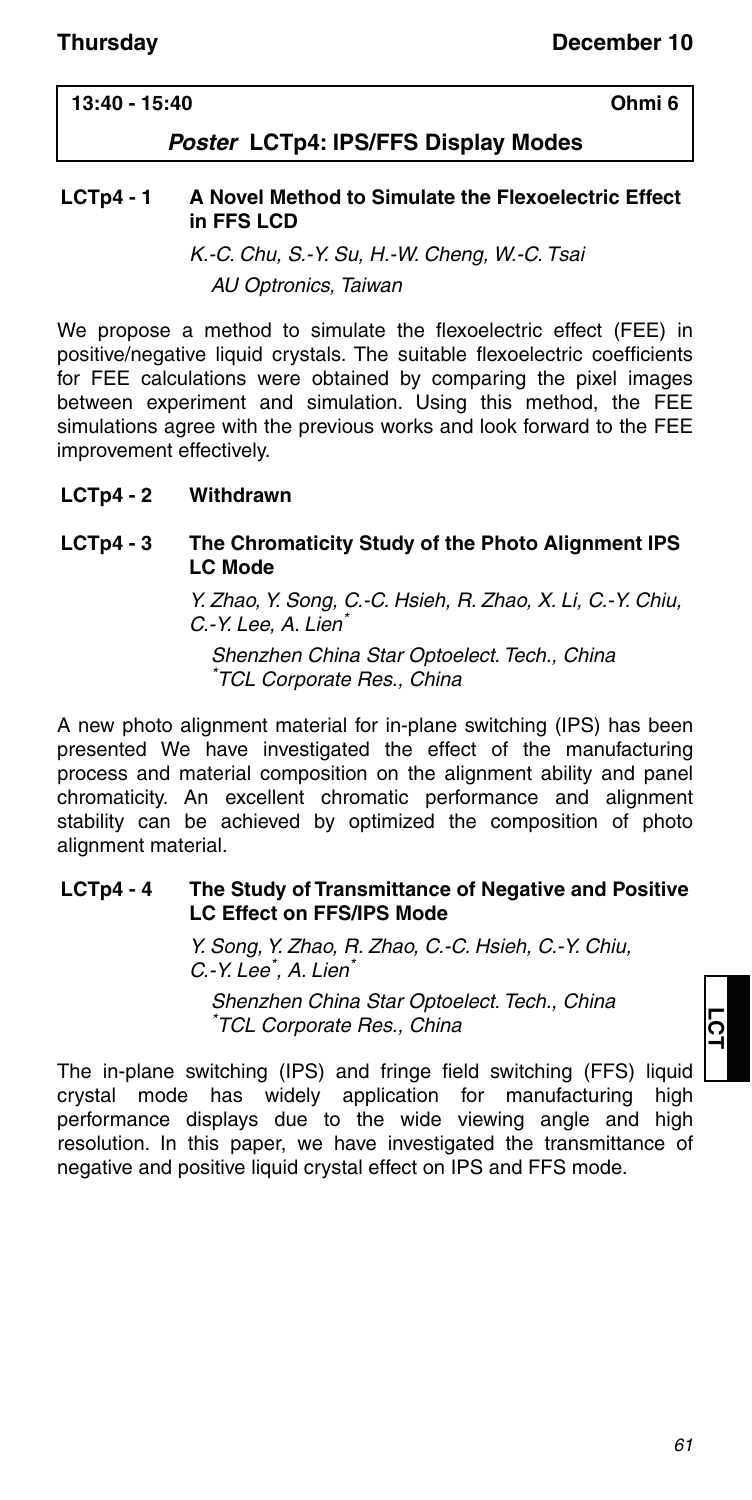### **13:40 - 15:40 Ohmi 6**

### *Poster* **LCTp4: IPS/FFS Display Modes**

#### **LCTp4 - 1 A Novel Method to Simulate the Flexoelectric Effect in FFS LCD**

K.-C. Chu, S.-Y. Su, H.-W. Cheng, W.-C. Tsai AU Optronics, Taiwan

We propose a method to simulate the flexoelectric effect (FEE) in positive/negative liquid crystals. The suitable flexoelectric coefficients for FEE calculations were obtained by comparing the pixel images between experiment and simulation. Using this method, the FEE simulations agree with the previous works and look forward to the FEE improvement effectively.

#### **LCTp4 - 2 Withdrawn**

#### **LCTp4 - 3 The Chromaticity Study of the Photo Alignment IPS LC Mode**

Y. Zhao, Y. Song, C.-C. Hsieh, R. Zhao, X. Li, C.-Y. Chiu, C.-Y. Lee, A. Lien\*

Shenzhen China Star Optoelect. Tech., China \* TCL Corporate Res., China

A new photo alignment material for in-plane switching (IPS) has been presented We have investigated the effect of the manufacturing process and material composition on the alignment ability and panel chromaticity. An excellent chromatic performance and alignment stability can be achieved by optimized the composition of photo alignment material.

#### **LCTp4 - 4 The Study of Transmittance of Negative and Positive LC Effect on FFS/IPS Mode**

Y. Song, Y. Zhao, R. Zhao, C.-C. Hsieh, C.-Y. Chiu, C.-Y. Lee<sup>\*</sup>, A. Lien<sup>\*</sup>

Shenzhen China Star Optoelect. Tech., China \* TCL Corporate Res., China

The in-plane switching (IPS) and fringe field switching (FFS) liquid crystal mode has widely application for manufacturing high performance displays due to the wide viewing angle and high resolution. In this paper, we have investigated the transmittance of negative and positive liquid crystal effect on IPS and FFS mode.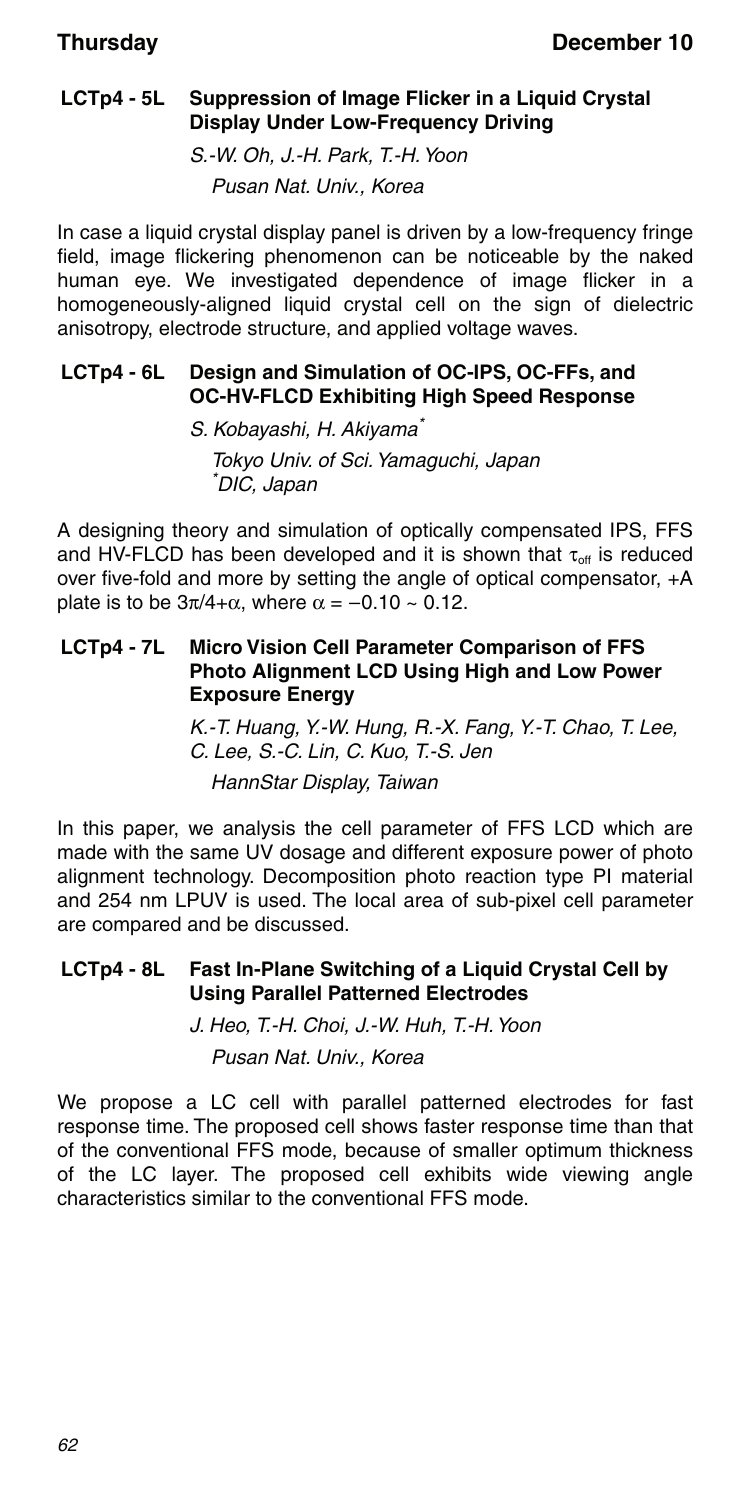### **LCTp4 - 5L Suppression of Image Flicker in a Liquid Crystal Display Under Low-Frequency Driving**

S.-W. Oh, J.-H. Park, T.-H. Yoon Pusan Nat. Univ., Korea

In case a liquid crystal display panel is driven by a low-frequency fringe field, image flickering phenomenon can be noticeable by the naked human eye. We investigated dependence of image flicker in a homogeneously-aligned liquid crystal cell on the sign of dielectric anisotropy, electrode structure, and applied voltage waves.

### **LCTp4 - 6L Design and Simulation of OC-IPS, OC-FFs, and OC-HV-FLCD Exhibiting High Speed Response**

S. Kobayashi, H. Akiyama\* Tokyo Univ. of Sci. Yamaguchi, Japan \* DIC, Japan

A designing theory and simulation of optically compensated IPS, FFS and HV-FLCD has been developed and it is shown that  $\tau_{off}$  is reduced over five-fold and more by setting the angle of optical compensator, +A plate is to be  $3\pi/4 + \alpha$ , where  $\alpha = -0.10 \sim 0.12$ .

### **LCTp4 - 7L Micro Vision Cell Parameter Comparison of FFS Photo Alignment LCD Using High and Low Power Exposure Energy**

K.-T. Huang, Y.-W. Hung, R.-X. Fang, Y.-T. Chao, T. Lee, C. Lee, S.-C. Lin, C. Kuo, T.-S. Jen HannStar Display, Taiwan

In this paper, we analysis the cell parameter of FFS LCD which are made with the same UV dosage and different exposure power of photo alignment technology. Decomposition photo reaction type PI material and 254 nm LPUV is used. The local area of sub-pixel cell parameter are compared and be discussed.

#### **LCTp4 - 8L Fast In-Plane Switching of a Liquid Crystal Cell by Using Parallel Patterned Electrodes**

J. Heo, T.-H. Choi, J.-W. Huh, T.-H. Yoon Pusan Nat. Univ., Korea

We propose a LC cell with parallel patterned electrodes for fast response time. The proposed cell shows faster response time than that of the conventional FFS mode, because of smaller optimum thickness of the LC layer. The proposed cell exhibits wide viewing angle characteristics similar to the conventional FFS mode.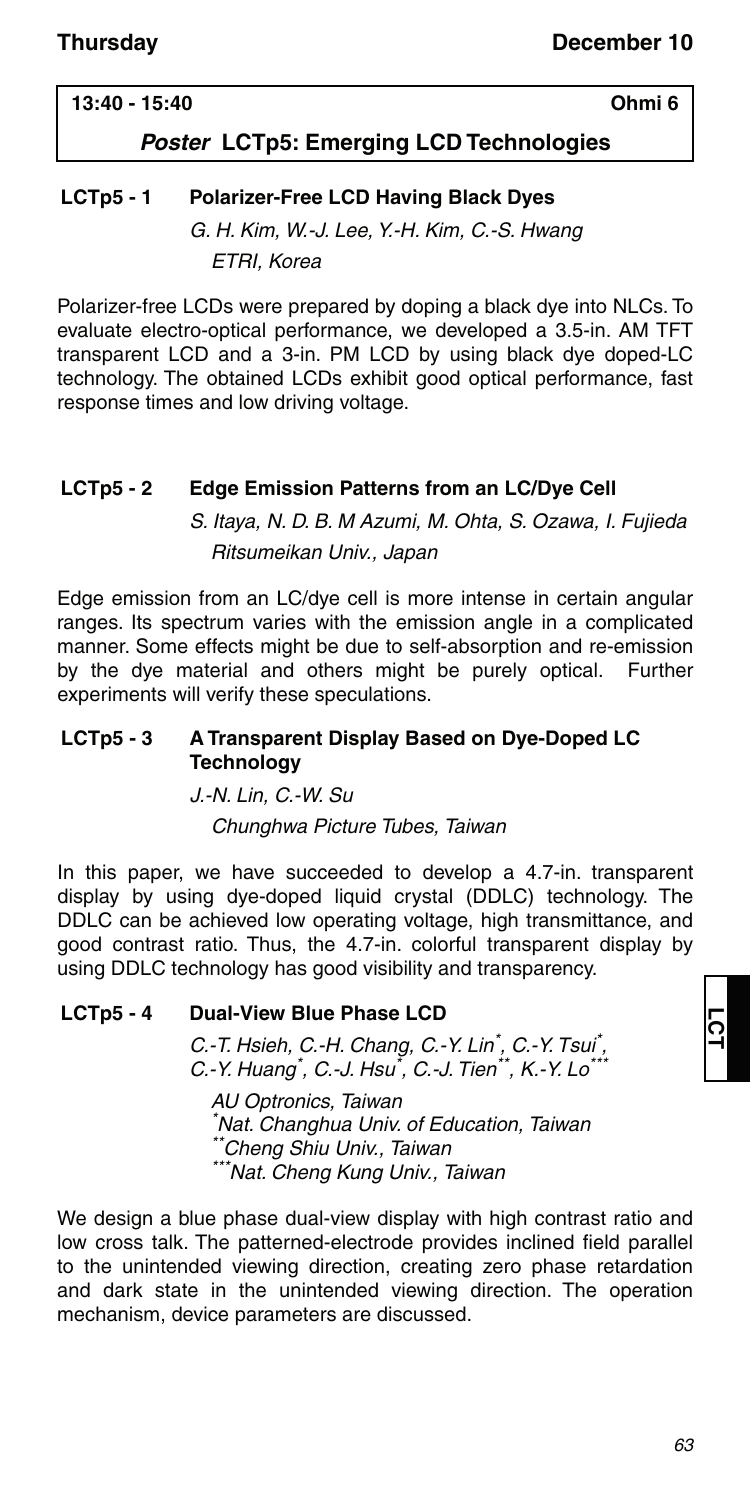### **13:40 - 15:40 Ohmi 6**

### *Poster* **LCTp5: Emerging LCD Technologies**

### **LCTp5 - 1 Polarizer-Free LCD Having Black Dyes**

G. H. Kim, W.-J. Lee, Y.-H. Kim, C.-S. Hwang ETRI, Korea

Polarizer-free LCDs were prepared by doping a black dye into NLCs. To evaluate electro-optical performance, we developed a 3.5-in. AM TFT transparent LCD and a 3-in. PM LCD by using black dye doped-LC technology. The obtained LCDs exhibit good optical performance, fast response times and low driving voltage.

### **LCTp5 - 2 Edge Emission Patterns from an LC/Dye Cell**

S. Itaya, N. D. B. M Azumi, M. Ohta, S. Ozawa, I. Fujieda Ritsumeikan Univ., Japan

Edge emission from an LC/dye cell is more intense in certain angular ranges. Its spectrum varies with the emission angle in a complicated manner. Some effects might be due to self-absorption and re-emission by the dye material and others might be purely optical. Further experiments will verify these speculations.

#### **LCTp5 - 3 A Transparent Display Based on Dye-Doped LC Technology**

J.-N. Lin, C.-W. Su

Chunghwa Picture Tubes, Taiwan

In this paper, we have succeeded to develop a 4.7-in. transparent display by using dye-doped liquid crystal (DDLC) technology. The DDLC can be achieved low operating voltage, high transmittance, and good contrast ratio. Thus, the 4.7-in. colorful transparent display by using DDLC technology has good visibility and transparency.

### **LCTp5 - 4 Dual-View Blue Phase LCD**

C.-T. Hsieh, C.-H. Chang, C.-Y. Lin<sup>\*</sup>, C.-Y. Tsui<sup>\*</sup>, C.-Y. Huang<sup>\*</sup>, C.-J. Hsu<sup>\*</sup>, C.-J. Tien<sup>\*\*</sup>, K.-Y. Lo<sup>\*\*\*</sup>

AU Optronics, Taiwan \* Nat. Changhua Univ. of Education, Taiwan \*Cheng Shiu Univ., Taiwan \*\*Nat. Cheng Kung Univ., Taiwan

We design a blue phase dual-view display with high contrast ratio and low cross talk. The patterned-electrode provides inclined field parallel to the unintended viewing direction, creating zero phase retardation and dark state in the unintended viewing direction. The operation mechanism, device parameters are discussed.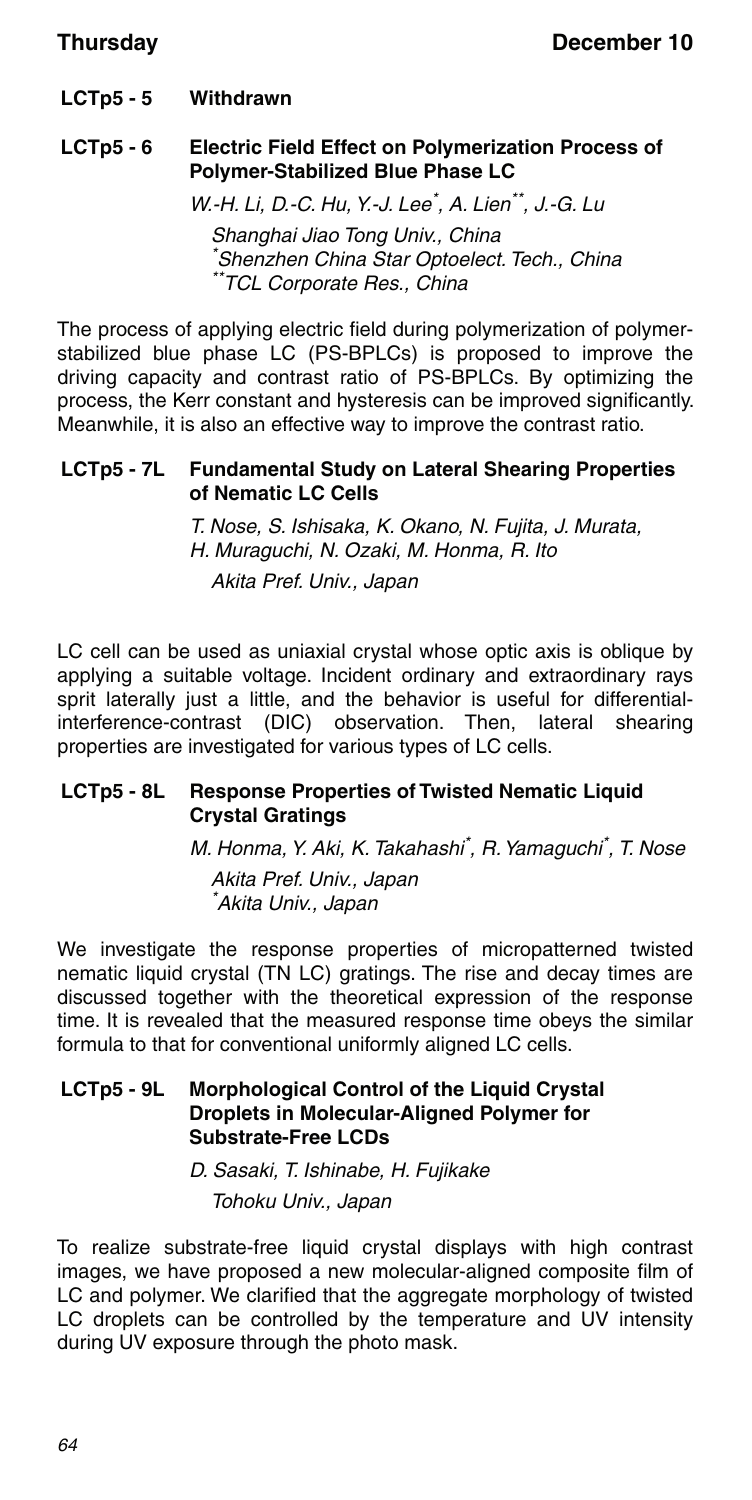**LCTp5 - 5 Withdrawn**

### **LCTp5 - 6 Electric Field Effect on Polymerization Process of Polymer-Stabilized Blue Phase LC**

W.-H. Li, D.-C. Hu, Y.-J. Lee<sup>\*</sup>, A. Lien<sup>\*\*</sup>, J.-G. Lu Shanghai Jiao Tong Univ., China \* Shenzhen China Star Optoelect. Tech., China \*TCL Corporate Res., China

The process of applying electric field during polymerization of polymerstabilized blue phase LC (PS-BPLCs) is proposed to improve the driving capacity and contrast ratio of PS-BPLCs. By optimizing the process, the Kerr constant and hysteresis can be improved significantly. Meanwhile, it is also an effective way to improve the contrast ratio.

#### **LCTp5 - 7L Fundamental Study on Lateral Shearing Properties of Nematic LC Cells**

T. Nose, S. Ishisaka, K. Okano, N. Fujita, J. Murata, H. Muraguchi, N. Ozaki, M. Honma, R. Ito Akita Pref. Univ., Japan

LC cell can be used as uniaxial crystal whose optic axis is oblique by applying a suitable voltage. Incident ordinary and extraordinary rays sprit laterally just a little, and the behavior is useful for differentialinterference-contrast (DIC) observation. Then, lateral shearing properties are investigated for various types of LC cells.

### **LCTp5 - 8L Response Properties of Twisted Nematic Liquid Crystal Gratings**

M. Honma, Y. Aki, K. Takahashi\* , R. Yamaguchi\* , T. Nose Akita Pref. Univ., Japan \* Akita Univ., Japan

We investigate the response properties of micropatterned twisted nematic liquid crystal (TN LC) gratings. The rise and decay times are discussed together with the theoretical expression of the response time. It is revealed that the measured response time obeys the similar formula to that for conventional uniformly aligned LC cells.

#### **LCTp5 - 9L Morphological Control of the Liquid Crystal Droplets in Molecular-Aligned Polymer for Substrate-Free LCDs**

D. Sasaki, T. Ishinabe, H. Fujikake Tohoku Univ., Japan

To realize substrate-free liquid crystal displays with high contrast images, we have proposed a new molecular-aligned composite film of LC and polymer. We clarified that the aggregate morphology of twisted LC droplets can be controlled by the temperature and UV intensity during UV exposure through the photo mask.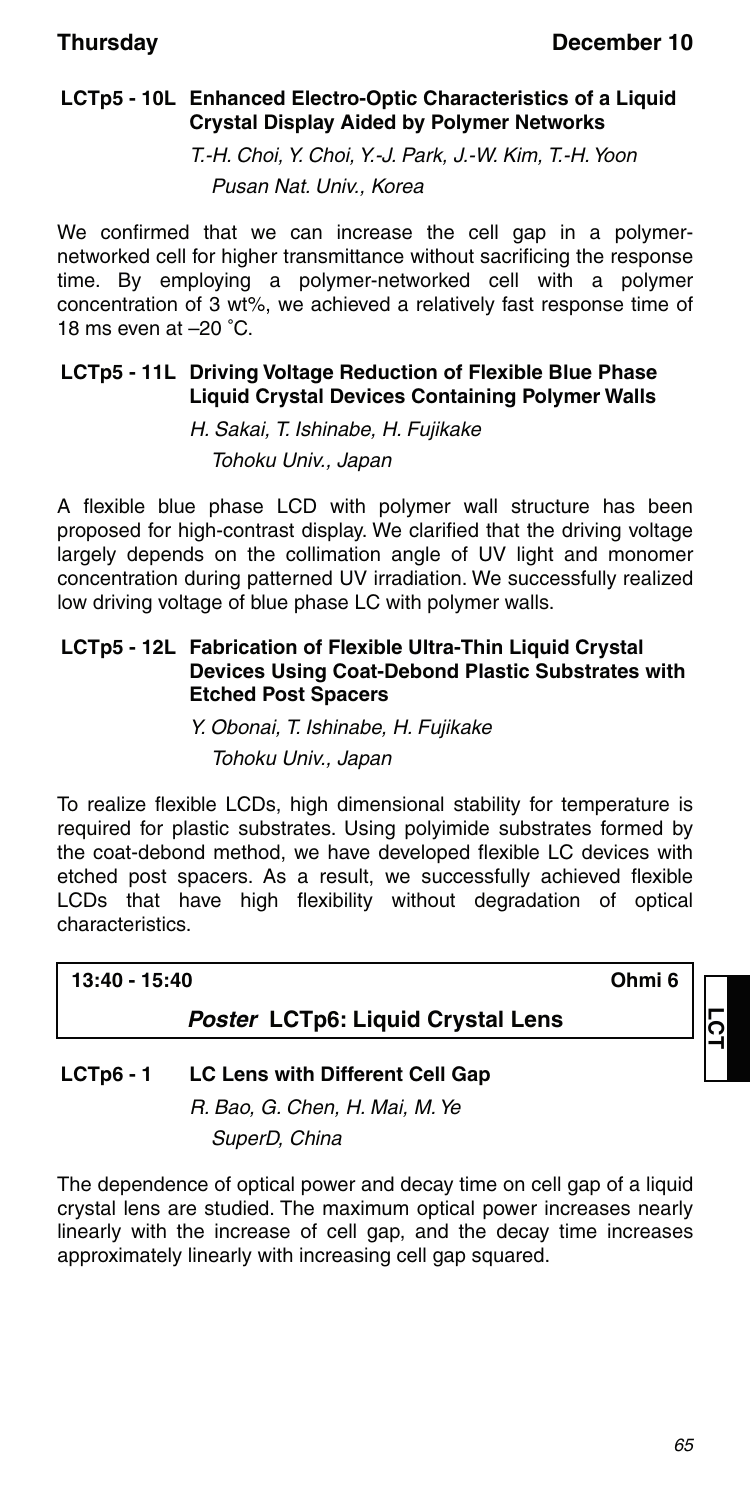### **LCTp5 - 10L Enhanced Electro-Optic Characteristics of a Liquid Crystal Display Aided by Polymer Networks**

T.-H. Choi, Y. Choi, Y.-J. Park, J.-W. Kim, T.-H. Yoon Pusan Nat. Univ., Korea

We confirmed that we can increase the cell gap in a polymernetworked cell for higher transmittance without sacrificing the response time. By employing a polymer-networked cell with a polymer concentration of 3 wt%, we achieved a relatively fast response time of 18 ms even at –20 °C.

### **LCTp5 - 11L Driving Voltage Reduction of Flexible Blue Phase Liquid Crystal Devices Containing Polymer Walls**

H. Sakai, T. Ishinabe, H. Fujikake Tohoku Univ., Japan

A flexible blue phase LCD with polymer wall structure has been proposed for high-contrast display. We clarified that the driving voltage largely depends on the collimation angle of UV light and monomer concentration during patterned UV irradiation. We successfully realized low driving voltage of blue phase LC with polymer walls.

#### **LCTp5 - 12L Fabrication of Flexible Ultra-Thin Liquid Crystal Devices Using Coat-Debond Plastic Substrates with Etched Post Spacers**

Y. Obonai, T. Ishinabe, H. Fujikake Tohoku Univ., Japan

To realize flexible LCDs, high dimensional stability for temperature is required for plastic substrates. Using polyimide substrates formed by the coat-debond method, we have developed flexible LC devices with etched post spacers. As a result, we successfully achieved flexible LCDs that have high flexibility without degradation of optical characteristics.

| 13:40 - 15:40                     | Ohmi 6 |  |
|-----------------------------------|--------|--|
| Poster LCTp6: Liquid Crystal Lens |        |  |
|                                   |        |  |

### **LCTp6 - 1 LC Lens with Different Cell Gap**

R. Bao, G. Chen, H. Mai, M. Ye SuperD, China

The dependence of optical power and decay time on cell gap of a liquid crystal lens are studied. The maximum optical power increases nearly linearly with the increase of cell gap, and the decay time increases approximately linearly with increasing cell gap squared.

**LCT**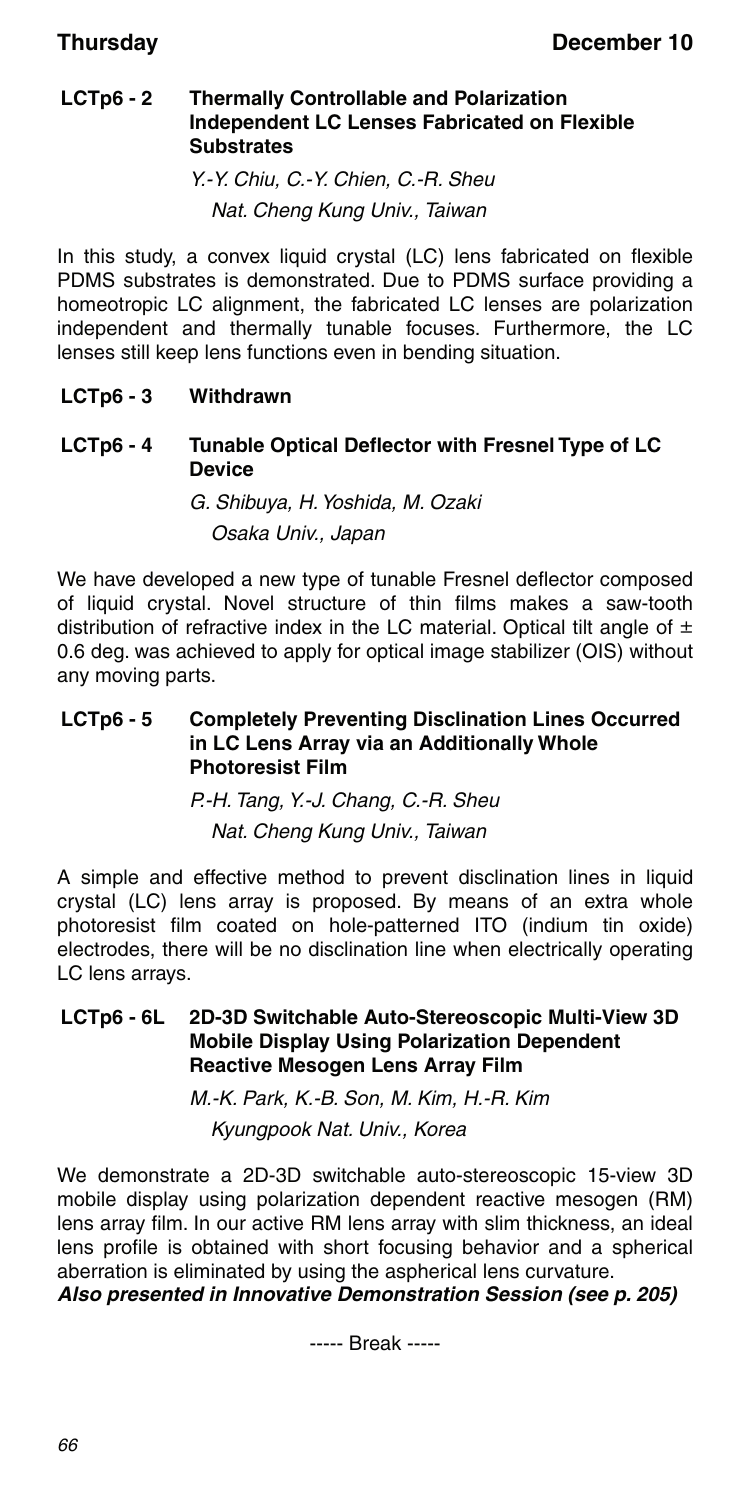#### **LCTp6 - 2 Thermally Controllable and Polarization Independent LC Lenses Fabricated on Flexible Substrates**

Y.-Y. Chiu, C.-Y. Chien, C.-R. Sheu Nat. Cheng Kung Univ., Taiwan

In this study, a convex liquid crystal (LC) lens fabricated on flexible PDMS substrates is demonstrated. Due to PDMS surface providing a homeotropic LC alignment, the fabricated LC lenses are polarization independent and thermally tunable focuses. Furthermore, the LC lenses still keep lens functions even in bending situation.

### **LCTp6 - 3 Withdrawn**

#### **LCTp6 - 4 Tunable Optical Deflector with Fresnel Type of LC Device**

### G. Shibuya, H. Yoshida, M. Ozaki Osaka Univ., Japan

We have developed a new type of tunable Fresnel deflector composed of liquid crystal. Novel structure of thin films makes a saw-tooth distribution of refractive index in the LC material. Optical tilt angle of  $\pm$ 0.6 deg. was achieved to apply for optical image stabilizer (OIS) without any moving parts.

#### **LCTp6 - 5 Completely Preventing Disclination Lines Occurred in LC Lens Array via an Additionally Whole Photoresist Film**

P.-H. Tang, Y.-J. Chang, C.-R. Sheu

Nat. Cheng Kung Univ., Taiwan

A simple and effective method to prevent disclination lines in liquid crystal (LC) lens array is proposed. By means of an extra whole photoresist film coated on hole-patterned ITO (indium tin oxide) electrodes, there will be no disclination line when electrically operating LC lens arrays.

### **LCTp6 - 6L 2D-3D Switchable Auto-Stereoscopic Multi-View 3D Mobile Display Using Polarization Dependent Reactive Mesogen Lens Array Film**

M.-K. Park, K.-B. Son, M. Kim, H.-R. Kim Kyungpook Nat. Univ., Korea

We demonstrate a 2D-3D switchable auto-stereoscopic 15-view 3D mobile display using polarization dependent reactive mesogen (RM) lens array film. In our active RM lens array with slim thickness, an ideal lens profile is obtained with short focusing behavior and a spherical aberration is eliminated by using the aspherical lens curvature.

### *Also presented in Innovative Demonstration Session (see p. 205)*

----- Break -----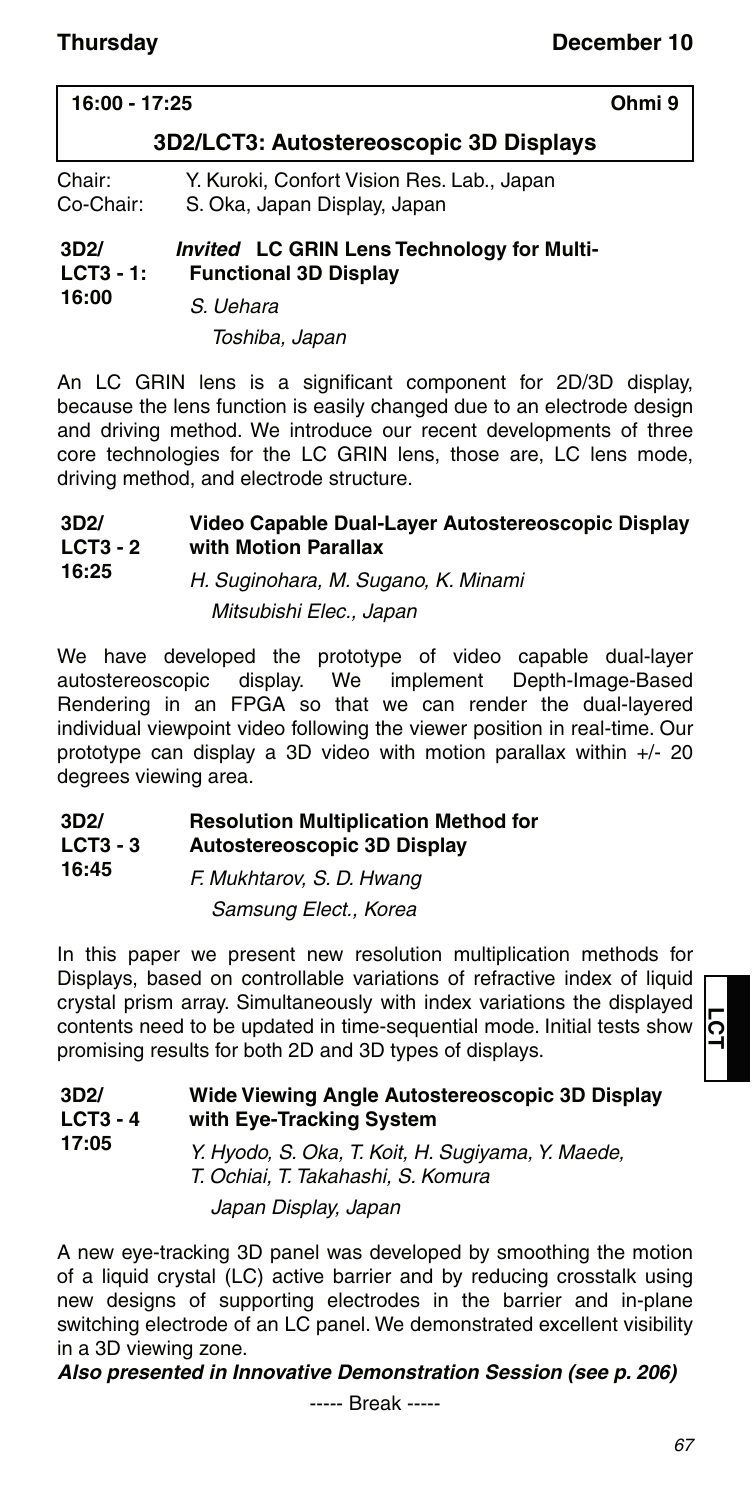| 16:00 - 17:25                          |                                                                            | Ohmi 9 |
|----------------------------------------|----------------------------------------------------------------------------|--------|
| 3D2/LCT3: Autostereoscopic 3D Displays |                                                                            |        |
| Chair:<br>Co-Chair:                    | Y. Kuroki, Confort Vision Res. Lab., Japan<br>S. Oka, Japan Display, Japan |        |
| 3D2/<br>$LCT3 - 1:$                    | Invited LC GRIN Lens Technology for Multi-<br><b>Functional 3D Display</b> |        |
| 16:00                                  | S Habara                                                                   |        |

S. Uehara Toshiba, Japan

An LC GRIN lens is a significant component for 2D/3D display, because the lens function is easily changed due to an electrode design and driving method. We introduce our recent developments of three core technologies for the LC GRIN lens, those are, LC lens mode, driving method, and electrode structure.

#### **3D2/ LCT3 - 2 Video Capable Dual-Layer Autostereoscopic Display with Motion Parallax**

**16:25** H. Suginohara, M. Sugano, K. Minami Mitsubishi Elec., Japan

We have developed the prototype of video capable dual-layer autostereoscopic display. We implement Depth-Image-Based Rendering in an FPGA so that we can render the dual-layered individual viewpoint video following the viewer position in real-time. Our prototype can display a 3D video with motion parallax within +/- 20 degrees viewing area.

#### **3D2/ LCT3 - 3 Resolution Multiplication Method for Autostereoscopic 3D Display**

**16:45** F. Mukhtarov, S. D. Hwang Samsung Elect., Korea

In this paper we present new resolution multiplication methods for Displays, based on controllable variations of refractive index of liquid crystal prism array. Simultaneously with index variations the displayed contents need to be updated in time-sequential mode. Initial tests show promising results for both 2D and 3D types of displays.

| 3D2/<br>$LCT3 - 4$<br>17:05 | Wide Viewing Angle Autostereoscopic 3D Display<br>with Eye-Tracking System              |
|-----------------------------|-----------------------------------------------------------------------------------------|
|                             | Y. Hyodo, S. Oka, T. Koit, H. Sugiyama, Y. Maede,<br>T. Ochiai, T. Takahashi, S. Komura |
|                             | Japan Display, Japan                                                                    |

A new eye-tracking 3D panel was developed by smoothing the motion of a liquid crystal (LC) active barrier and by reducing crosstalk using new designs of supporting electrodes in the barrier and in-plane switching electrode of an LC panel. We demonstrated excellent visibility in a 3D viewing zone.

### *Also presented in Innovative Demonstration Session (see p. 206)*

----- Break -----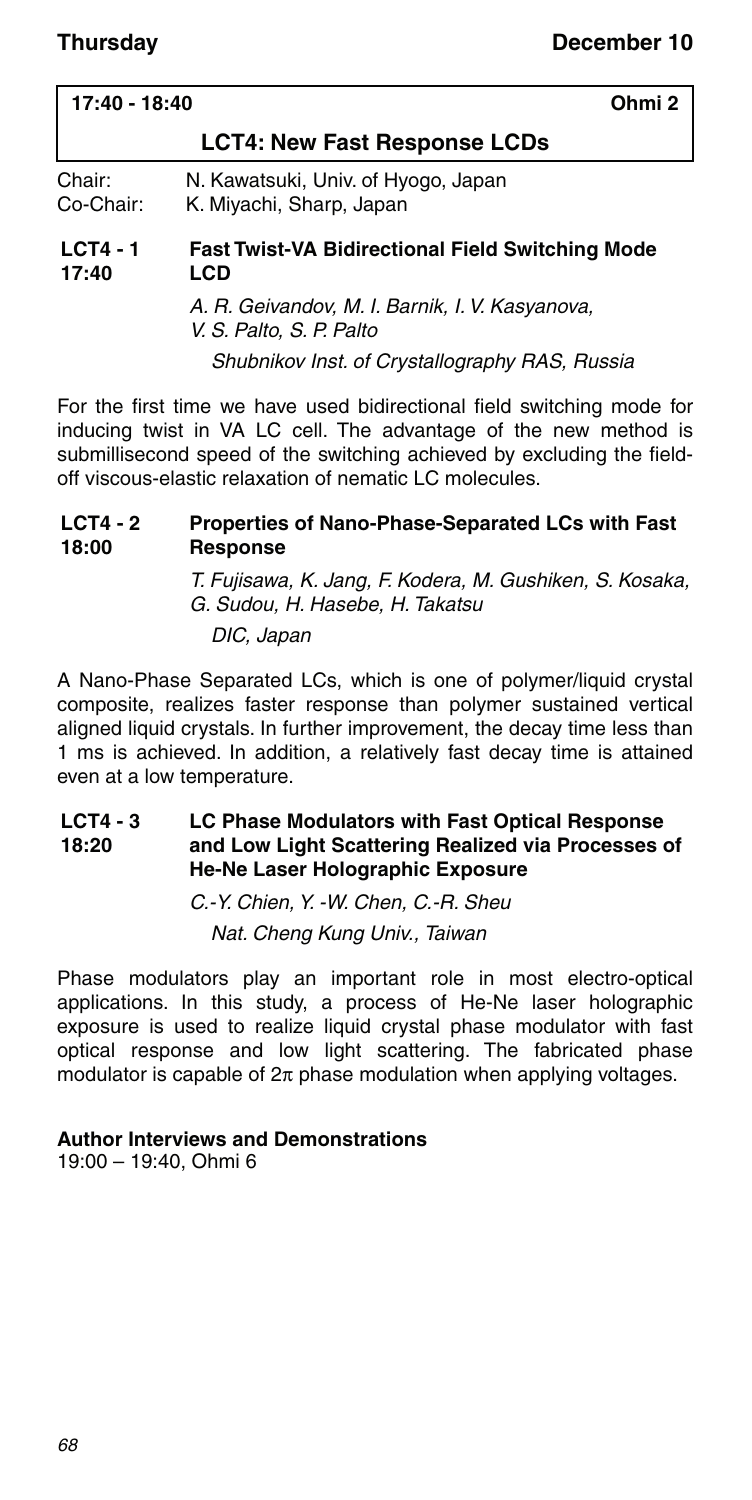| 17:40 - 18:40                                                                          | Ohmi <sub>2</sub> |
|----------------------------------------------------------------------------------------|-------------------|
| <b>LCT4: New Fast Response LCDs</b>                                                    |                   |
| Chair:<br>N. Kawatsuki, Univ. of Hyogo, Japan<br>Co-Chair:<br>K. Miyachi, Sharp, Japan |                   |
| $LCT4 - 1$<br><b>Fast Twist-VA Bidirectional Field Switching Mode</b><br>17:40<br>LCD  |                   |
| A. R. Geivandov, M. I. Barnik, I. V. Kasyanova,<br>V. S. Palto, S. P. Palto            |                   |
| Shubnikov Inst. of Crystallography RAS, Russia                                         |                   |

For the first time we have used bidirectional field switching mode for inducing twist in VA LC cell. The advantage of the new method is submillisecond speed of the switching achieved by excluding the fieldoff viscous-elastic relaxation of nematic LC molecules.

#### **LCT4 - 2 18:00 Properties of Nano-Phase-Separated LCs with Fast Response**

T. Fujisawa, K. Jang, F. Kodera, M. Gushiken, S. Kosaka, G. Sudou, H. Hasebe, H. Takatsu

DIC, Japan

A Nano-Phase Separated LCs, which is one of polymer/liquid crystal composite, realizes faster response than polymer sustained vertical aligned liquid crystals. In further improvement, the decay time less than 1 ms is achieved. In addition, a relatively fast decay time is attained even at a low temperature.

#### **LCT4 - 3 18:20 LC Phase Modulators with Fast Optical Response and Low Light Scattering Realized via Processes of He-Ne Laser Holographic Exposure**

C.-Y. Chien, Y. -W. Chen, C.-R. Sheu Nat. Cheng Kung Univ., Taiwan

Phase modulators play an important role in most electro-optical applications. In this study, a process of He-Ne laser holographic exposure is used to realize liquid crystal phase modulator with fast optical response and low light scattering. The fabricated phase modulator is capable of  $2\pi$  phase modulation when applying voltages.

#### **Author Interviews and Demonstrations**

19:00 – 19:40, Ohmi 6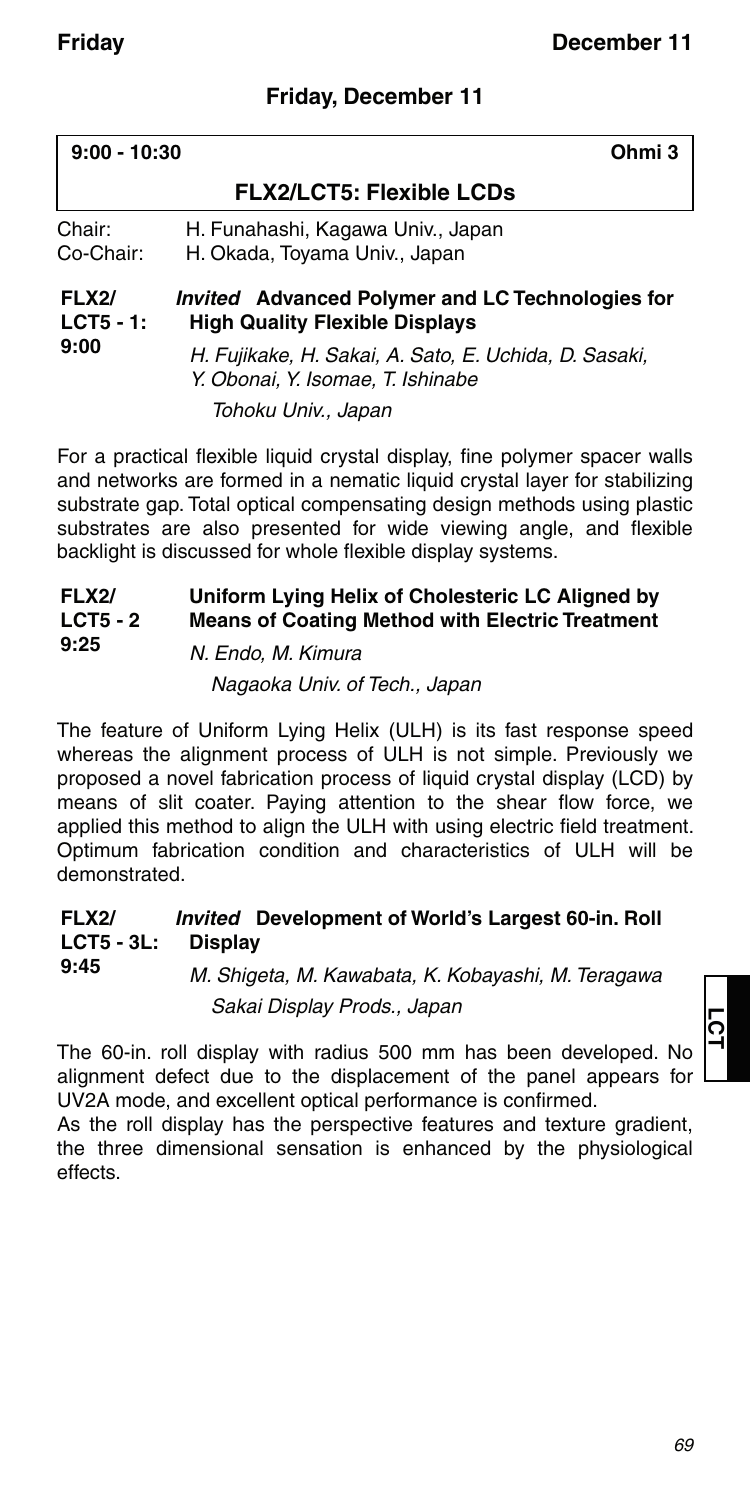### **Friday, December 11**

| $9:00 - 10:30$<br>Ohmi 3             |                                                                                                  |
|--------------------------------------|--------------------------------------------------------------------------------------------------|
|                                      | <b>FLX2/LCT5: Flexible LCDs</b>                                                                  |
| Chair:<br>Co-Chair:                  | H. Funahashi, Kagawa Univ., Japan<br>H. Okada, Toyama Univ., Japan                               |
| <b>FLX2/</b><br>$LCT5 - 1$ :<br>9:00 | <i>Invited</i> Advanced Polymer and LC Technologies for<br><b>High Quality Flexible Displays</b> |
|                                      | H. Fujikake, H. Sakai, A. Sato, E. Uchida, D. Sasaki,<br>Y. Obonai, Y. Isomae, T. Ishinabe       |
|                                      | Tohoku Univ., Japan                                                                              |

For a practical flexible liquid crystal display, fine polymer spacer walls and networks are formed in a nematic liquid crystal layer for stabilizing substrate gap. Total optical compensating design methods using plastic substrates are also presented for wide viewing angle, and flexible backlight is discussed for whole flexible display systems.

#### **FLX2/ LCT5 - 2 9:25 Uniform Lying Helix of Cholesteric LC Aligned by Means of Coating Method with Electric Treatment**

### N. Endo, M. Kimura Nagaoka Univ. of Tech., Japan

The feature of Uniform Lying Helix (ULH) is its fast response speed whereas the alignment process of ULH is not simple. Previously we proposed a novel fabrication process of liquid crystal display (LCD) by means of slit coater. Paying attention to the shear flow force, we applied this method to align the ULH with using electric field treatment. Optimum fabrication condition and characteristics of ULH will be demonstrated.

#### **FLX2/ LCT5 - 3L:** *Invited* **Development of World's Largest 60-in. Roll Display**

**9:45** M. Shigeta, M. Kawabata, K. Kobayashi, M. Teragawa Sakai Display Prods., Japan

The 60-in. roll display with radius 500 mm has been developed. No alignment defect due to the displacement of the panel appears for UV2A mode, and excellent optical performance is confirmed.

As the roll display has the perspective features and texture gradient, the three dimensional sensation is enhanced by the physiological effects.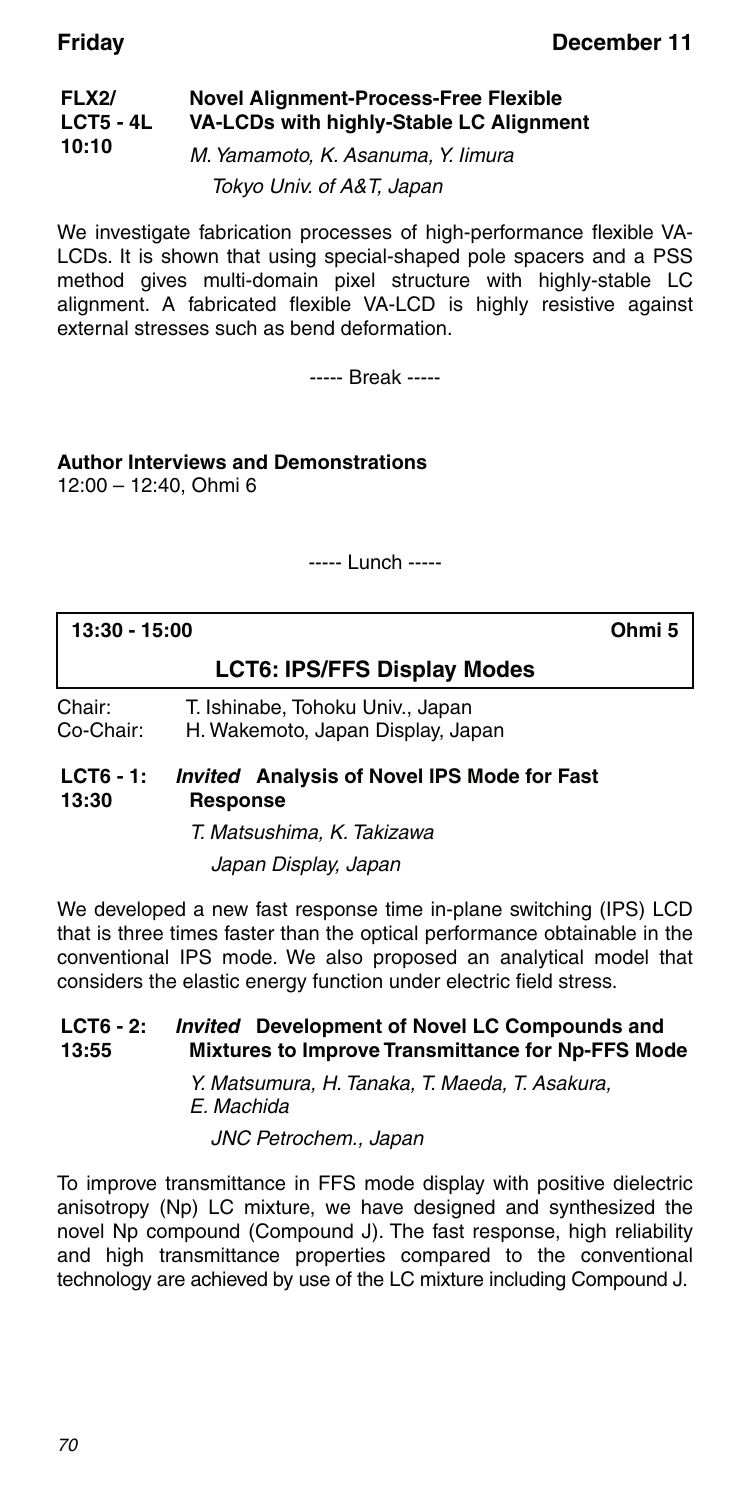#### **FLX2/ LCT5 - 4L 10:10 Novel Alignment-Process-Free Flexible VA-LCDs with highly-Stable LC Alignment** M. Yamamoto, K. Asanuma, Y. Iimura

Tokyo Univ. of A&T, Japan

We investigate fabrication processes of high-performance flexible VA-LCDs. It is shown that using special-shaped pole spacers and a PSS method gives multi-domain pixel structure with highly-stable LC alignment. A fabricated flexible VA-LCD is highly resistive against external stresses such as bend deformation.

----- Break -----

#### **Author Interviews and Demonstrations** 12:00 – 12:40, Ohmi 6

----- Lunch -----

| 13:30 - 15:00       |                                                                       | Ohmi 5 |
|---------------------|-----------------------------------------------------------------------|--------|
|                     | <b>LCT6: IPS/FFS Display Modes</b>                                    |        |
| Chair:<br>Co-Chair: | T. Ishinabe, Tohoku Univ., Japan<br>H. Wakemoto, Japan Display, Japan |        |
| $1$ $CTR - 1$       | Invited Analysis of Noval IDS Mode for East                           |        |

#### **LCT6 - 1: 13:30** *Invited* **Analysis of Novel IPS Mode for Fast Response**

T. Matsushima, K. Takizawa Japan Display, Japan

We developed a new fast response time in-plane switching (IPS) LCD that is three times faster than the optical performance obtainable in the conventional IPS mode. We also proposed an analytical model that considers the elastic energy function under electric field stress.

#### **LCT6 - 2: 13:55** *Invited* **Development of Novel LC Compounds and Mixtures to Improve Transmittance for Np-FFS Mode**

Y. Matsumura, H. Tanaka, T. Maeda, T. Asakura, E. Machida

JNC Petrochem., Japan

To improve transmittance in FFS mode display with positive dielectric anisotropy (Np) LC mixture, we have designed and synthesized the novel Np compound (Compound J). The fast response, high reliability and high transmittance properties compared to the conventional technology are achieved by use of the LC mixture including Compound J.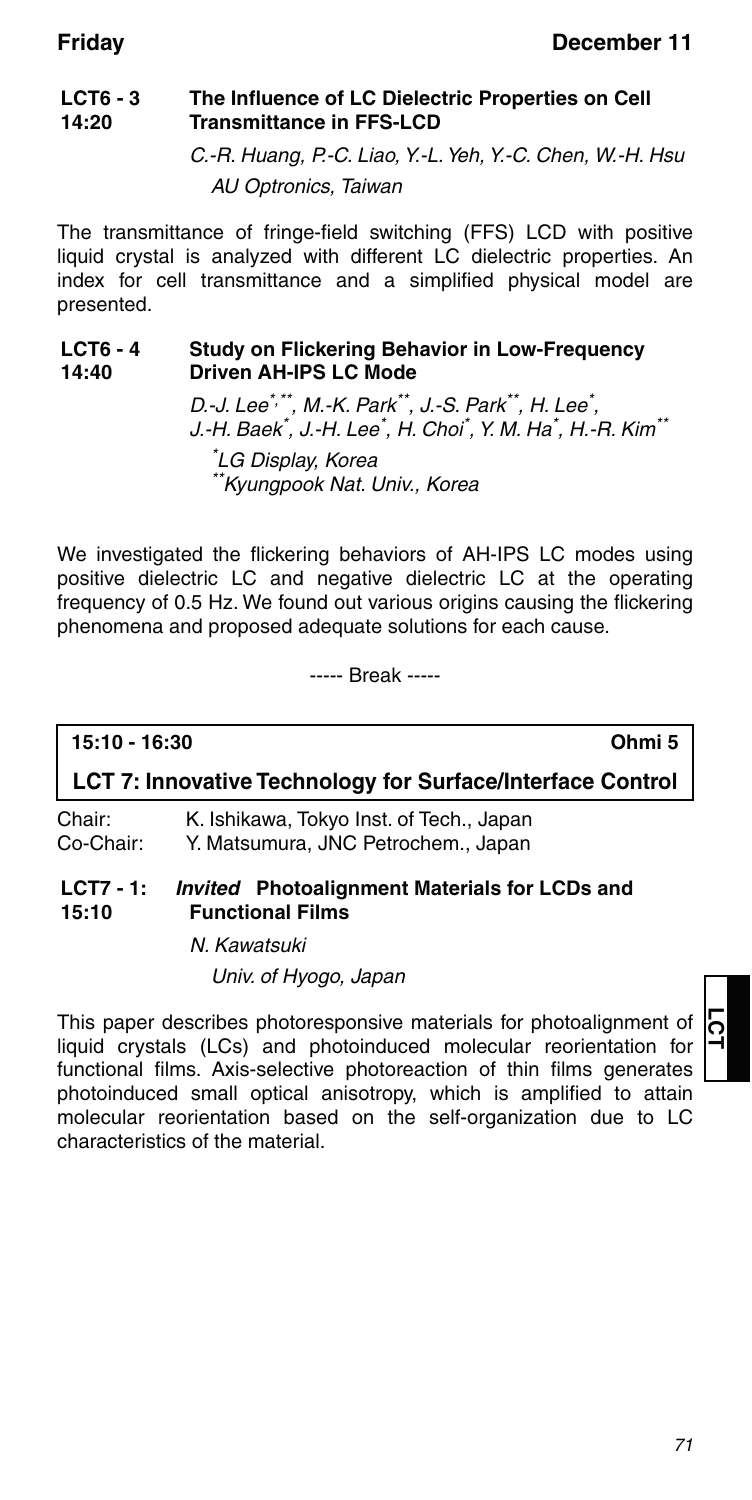#### **LCT6 - 3 14:20 The Influence of LC Dielectric Properties on Cell Transmittance in FFS-LCD**

C.-R. Huang, P.-C. Liao, Y.-L. Yeh, Y.-C. Chen, W.-H. Hsu AU Optronics, Taiwan

The transmittance of fringe-field switching (FFS) LCD with positive liquid crystal is analyzed with different LC dielectric properties. An index for cell transmittance and a simplified physical model are presented.

#### **LCT6 - 4 14:40 Study on Flickering Behavior in Low-Frequency Driven AH-IPS LC Mode**

D.-J. Lee<sup>\*,\*\*</sup>, M.-K. Park<sup>\*\*</sup>, J.-S. Park<sup>\*\*</sup>, H. Lee<sup>\*</sup>, J.-H. Baek<sup>\*</sup>, J.-H. Lee $\check{\,}$ , H. Choi $\check{\,}$ , Y. M. Ha $\check{\,}$ , H.-R. Kim $\check{\,}$ 

\* LG Display, Korea \*\*Kyungpook Nat. Univ., Korea

We investigated the flickering behaviors of AH-IPS LC modes using positive dielectric LC and negative dielectric LC at the operating frequency of 0.5 Hz. We found out various origins causing the flickering phenomena and proposed adequate solutions for each cause.

----- Break -----

# **15:10 - 16:30 Ohmi 5**

### **LCT 7: Innovative Technology for Surface/Interface Control**

Chair: K. Ishikawa, Tokyo Inst. of Tech., Japan Co-Chair: Y. Matsumura, JNC Petrochem., Japan

#### **LCT7 - 1: 15:10** *Invited* **Photoalignment Materials for LCDs and Functional Films**

N. Kawatsuki

Univ. of Hyogo, Japan

This paper describes photoresponsive materials for photoalignment of liquid crystals (LCs) and photoinduced molecular reorientation for functional films. Axis-selective photoreaction of thin films generates photoinduced small optical anisotropy, which is amplified to attain molecular reorientation based on the self-organization due to LC characteristics of the material.

# **LCT**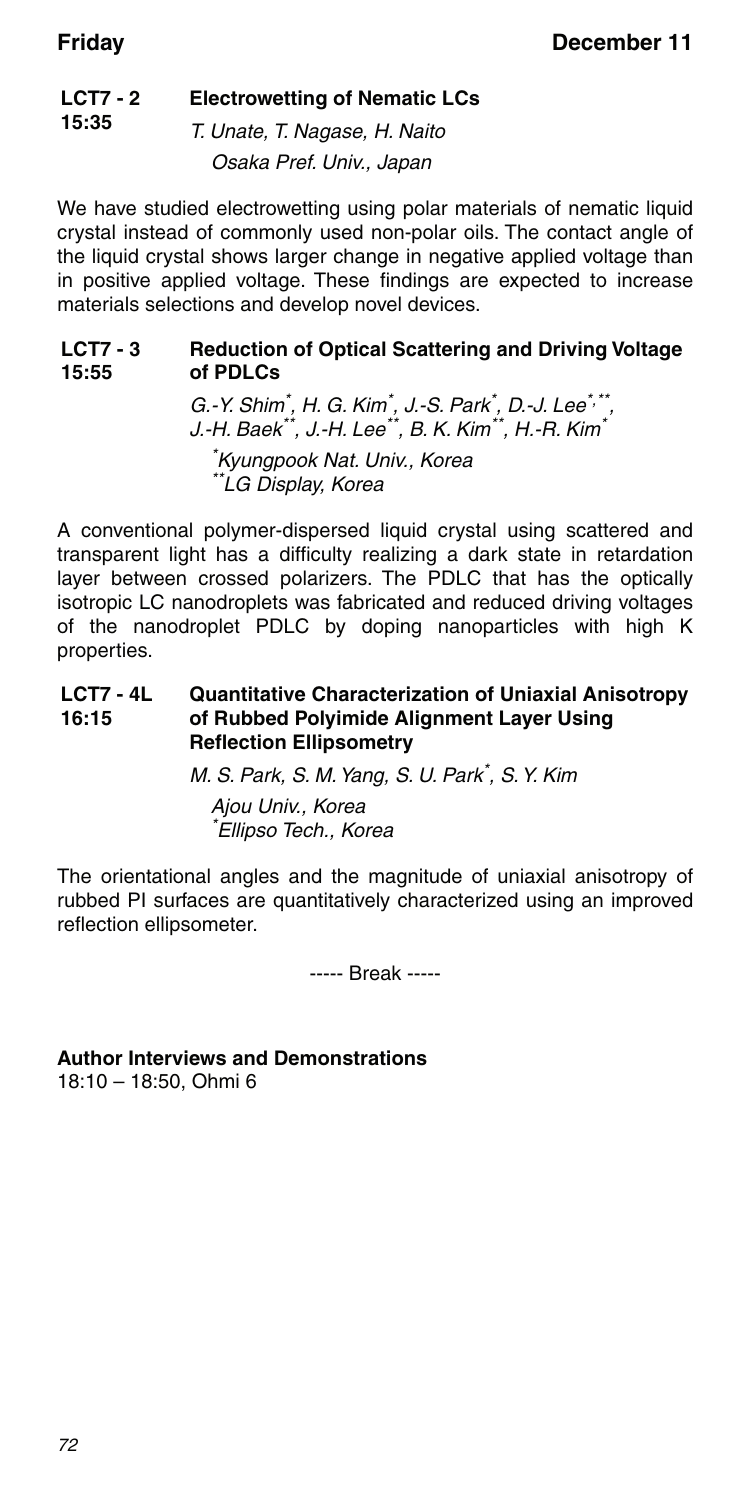#### **LCT7 - 2 15:35 Electrowetting of Nematic LCs**

T. Unate, T. Nagase, H. Naito Osaka Pref. Univ., Japan

We have studied electrowetting using polar materials of nematic liquid crystal instead of commonly used non-polar oils. The contact angle of the liquid crystal shows larger change in negative applied voltage than in positive applied voltage. These findings are expected to increase materials selections and develop novel devices.

#### **LCT7 - 3 15:55 Reduction of Optical Scattering and Driving Voltage of PDLCs**

G.-Y. Shim\* , H. G. Kim\* , J.-S. Park\* , D.-J. Lee\*,\*\*, J.-H. Baek\*\*, J.-H. Lee\*\*, B. K. Kim\*\*, H.-R. Kim\*

\* Kyungpook Nat. Univ., Korea \*\*LG Display, Korea

A conventional polymer-dispersed liquid crystal using scattered and transparent light has a difficulty realizing a dark state in retardation layer between crossed polarizers. The PDLC that has the optically isotropic LC nanodroplets was fabricated and reduced driving voltages of the nanodroplet PDLC by doping nanoparticles with high K properties.

#### **LCT7 - 4L 16:15 Quantitative Characterization of Uniaxial Anisotropy of Rubbed Polyimide Alignment Layer Using Reflection Ellipsometry**

M. S. Park, S. M. Yang, S. U. Park\* , S. Y. Kim

Ajou Univ., Korea \* Ellipso Tech., Korea

The orientational angles and the magnitude of uniaxial anisotropy of rubbed PI surfaces are quantitatively characterized using an improved reflection ellipsometer.

----- Break -----

**Author Interviews and Demonstrations** 18:10 – 18:50, Ohmi 6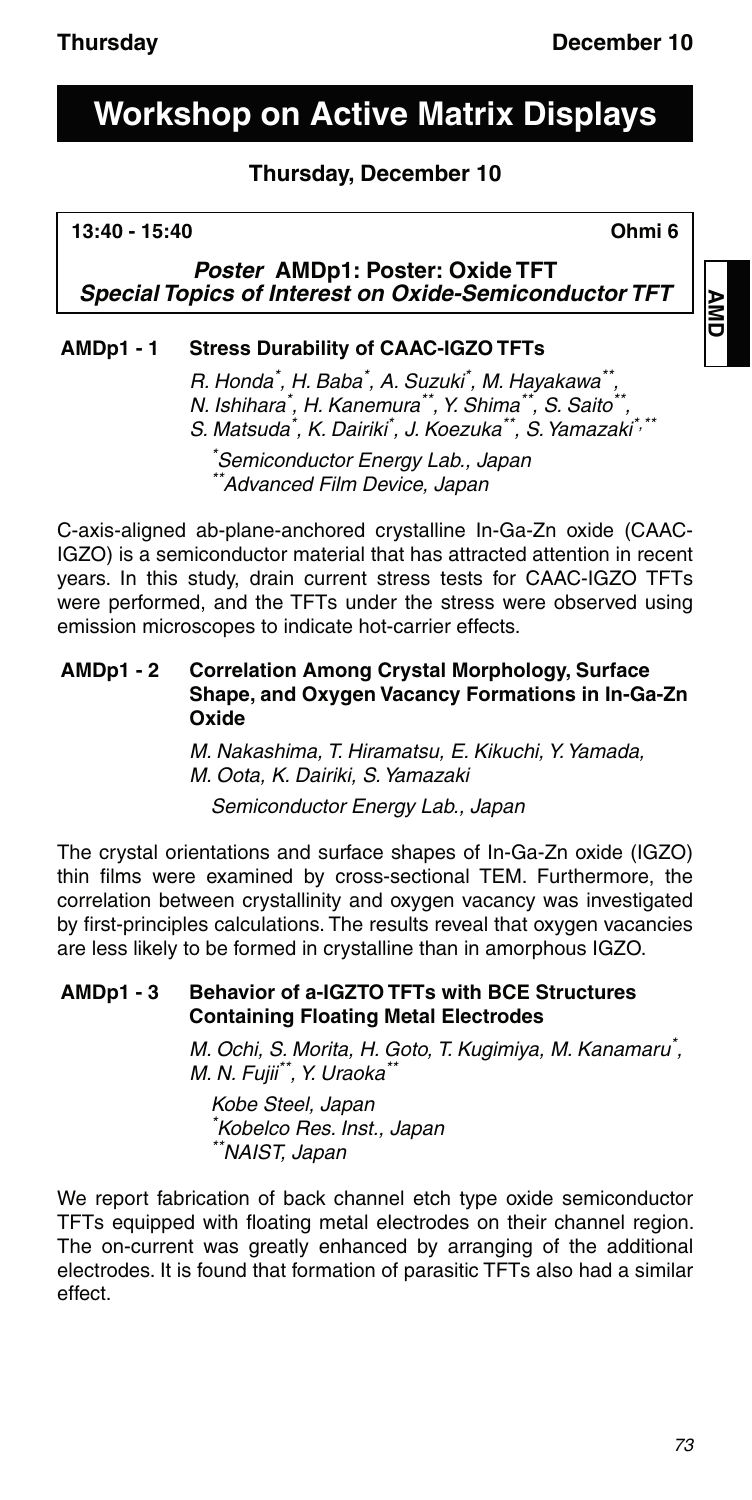# **Workshop on Active Matrix Displays**

### **Thursday, December 10**

#### **13:40 - 15:40 Ohmi 6**

*Poster* **AMDp1: Poster: Oxide TFT** *Special Topics of Interest on Oxide-Semiconductor TFT*

### **AMDp1 - 1 Stress Durability of CAAC-IGZO TFTs**

R. Honda\*, H. Baba\*, A. Suzuki\*, M. Hayakawa\*\*, N. Ishihara\* , H. Kanemura\*\*, Y. Shima\*\*, S. Saito\*\*, S. Matsuda<sup>\*</sup>, K. Dairiki<sup>\*</sup>, J. Koezuka\*\*, S. Yamazaki<sup>\*,\*\*</sup>

\* Semiconductor Energy Lab., Japan \*Advanced Film Device, Japan

C-axis-aligned ab-plane-anchored crystalline In-Ga-Zn oxide (CAAC-IGZO) is a semiconductor material that has attracted attention in recent years. In this study, drain current stress tests for CAAC-IGZO TFTs were performed, and the TFTs under the stress were observed using emission microscopes to indicate hot-carrier effects.

#### **AMDp1 - 2 Correlation Among Crystal Morphology, Surface Shape, and Oxygen Vacancy Formations in In-Ga-Zn Oxide**

M. Nakashima, T. Hiramatsu, E. Kikuchi, Y. Yamada, M. Oota, K. Dairiki, S. Yamazaki

Semiconductor Energy Lab., Japan

The crystal orientations and surface shapes of In-Ga-Zn oxide (IGZO) thin films were examined by cross-sectional TEM. Furthermore, the correlation between crystallinity and oxygen vacancy was investigated by first-principles calculations. The results reveal that oxygen vacancies are less likely to be formed in crystalline than in amorphous IGZO.

### **AMDp1 - 3 Behavior of a-IGZTO TFTs with BCE Structures Containing Floating Metal Electrodes**

M. Ochi, S. Morita, H. Goto, T. Kugimiya, M. Kanamaru\* , M. N. Fujii\*\*, Y. Uraoka\*

Kobe Steel, Japan \* Kobelco Res. Inst., Japan \*\*NAIST, Japan

We report fabrication of back channel etch type oxide semiconductor TFTs equipped with floating metal electrodes on their channel region. The on-current was greatly enhanced by arranging of the additional electrodes. It is found that formation of parasitic TFTs also had a similar effect.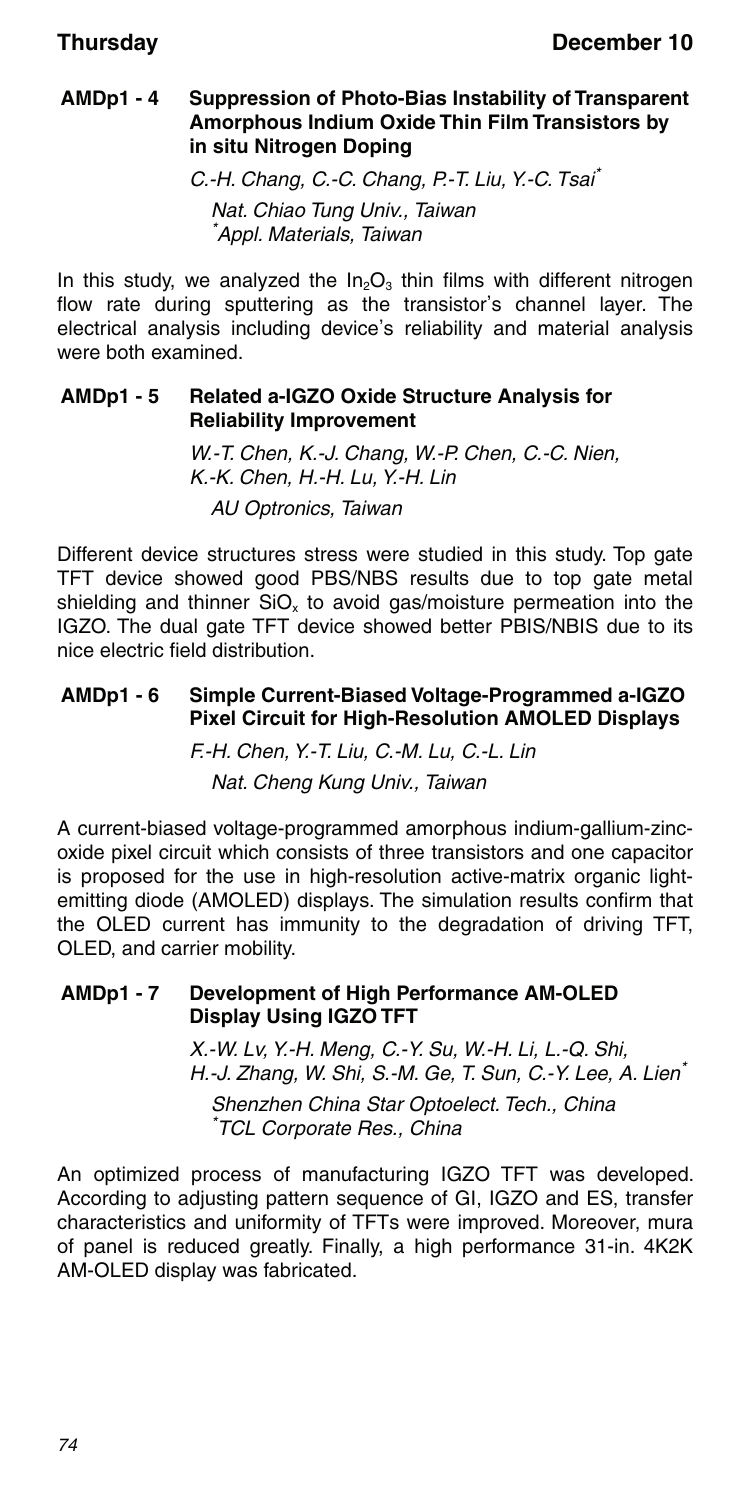#### **AMDp1 - 4 Suppression of Photo-Bias Instability of Transparent Amorphous Indium Oxide Thin Film Transistors by in situ Nitrogen Doping**

C.-H. Chang, C.-C. Chang, P.-T. Liu, Y.-C. Tsai\* Nat. Chiao Tung Univ., Taiwan \* Appl. Materials, Taiwan

In this study, we analyzed the  $In_2O_3$  thin films with different nitrogen flow rate during sputtering as the transistor's channel layer. The electrical analysis including device's reliability and material analysis were both examined.

#### **AMDp1 - 5 Related a-IGZO Oxide Structure Analysis for Reliability Improvement**

W.-T. Chen, K.-J. Chang, W.-P. Chen, C.-C. Nien, K.-K. Chen, H.-H. Lu, Y.-H. Lin AU Optronics, Taiwan

Different device structures stress were studied in this study. Top gate TFT device showed good PBS/NBS results due to top gate metal shielding and thinner  $SiO<sub>x</sub>$  to avoid gas/moisture permeation into the IGZO. The dual gate TFT device showed better PBIS/NBIS due to its nice electric field distribution.

#### **AMDp1 - 6 Simple Current-Biased Voltage-Programmed a-IGZO Pixel Circuit for High-Resolution AMOLED Displays**

F.-H. Chen, Y.-T. Liu, C.-M. Lu, C.-L. Lin Nat. Cheng Kung Univ., Taiwan

A current-biased voltage-programmed amorphous indium-gallium-zincoxide pixel circuit which consists of three transistors and one capacitor is proposed for the use in high-resolution active-matrix organic lightemitting diode (AMOLED) displays. The simulation results confirm that the OLED current has immunity to the degradation of driving TFT, OLED, and carrier mobility.

#### **AMDp1 - 7 Development of High Performance AM-OLED Display Using IGZO TFT**

X.-W. Lv, Y.-H. Meng, C.-Y. Su, W.-H. Li, L.-Q. Shi, H.-J. Zhang, W. Shi, S.-M. Ge, T. Sun, C.-Y. Lee, A. Lien\*

Shenzhen China Star Optoelect. Tech., China \* TCL Corporate Res., China

An optimized process of manufacturing IGZO TFT was developed. According to adjusting pattern sequence of GI, IGZO and ES, transfer characteristics and uniformity of TFTs were improved. Moreover, mura of panel is reduced greatly. Finally, a high performance 31-in. 4K2K AM-OLED display was fabricated.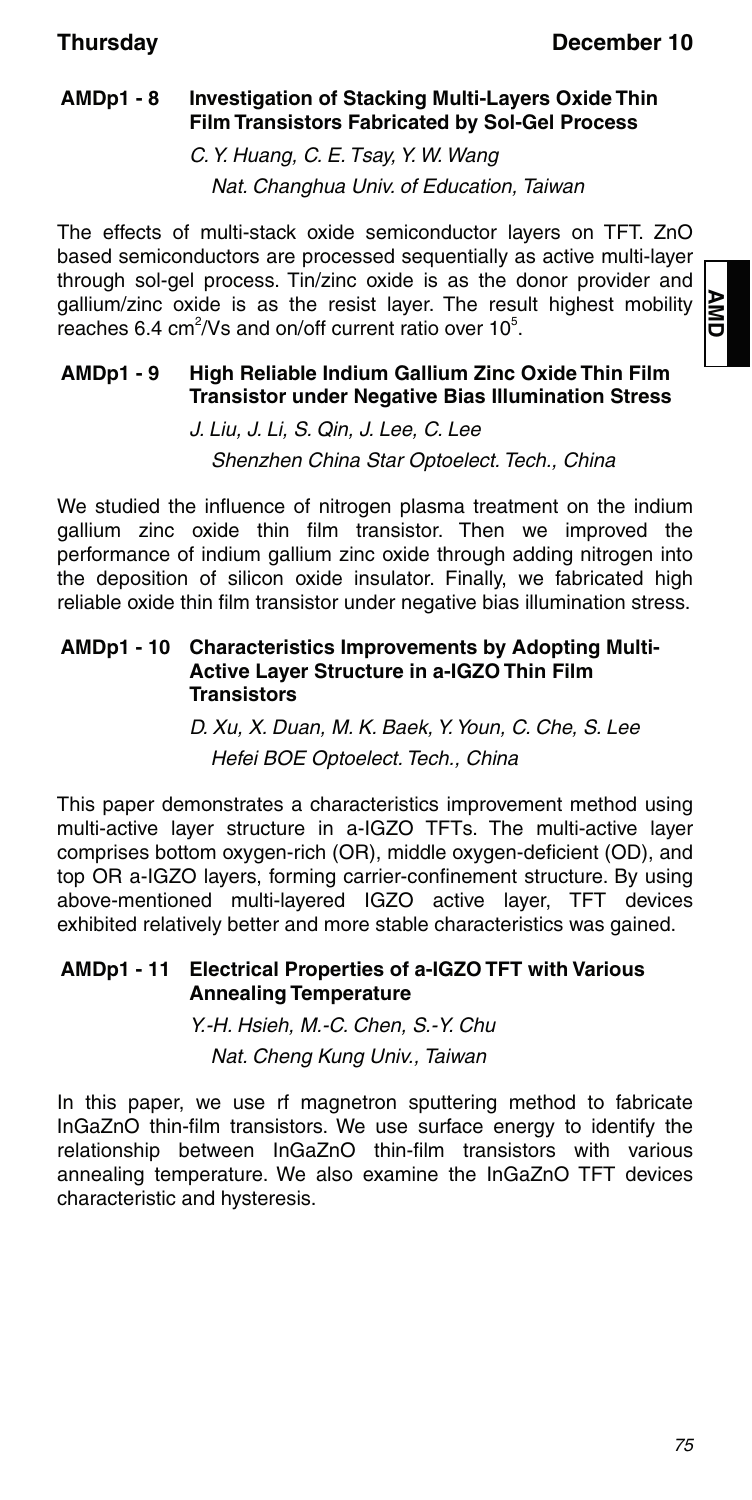### **AMDp1 - 8 Investigation of Stacking Multi-Layers Oxide Thin Film Transistors Fabricated by Sol-Gel Process**

C. Y. Huang, C. E. Tsay, Y. W. Wang Nat. Changhua Univ. of Education, Taiwan

The effects of multi-stack oxide semiconductor layers on TFT. ZnO based semiconductors are processed sequentially as active multi-layer through sol-gel process. Tin/zinc oxide is as the donor provider and gallium/zinc oxide is as the resist layer. The result highest mobility reaches 6.4 cm<sup>2</sup>/Vs and on/off current ratio over  $10^5$ .

#### **AMDp1 - 9 High Reliable Indium Gallium Zinc Oxide Thin Film Transistor under Negative Bias Illumination Stress**

J. Liu, J. Li, S. Qin, J. Lee, C. Lee Shenzhen China Star Optoelect. Tech., China

We studied the influence of nitrogen plasma treatment on the indium gallium zinc oxide thin film transistor. Then we improved the performance of indium gallium zinc oxide through adding nitrogen into the deposition of silicon oxide insulator. Finally, we fabricated high reliable oxide thin film transistor under negative bias illumination stress.

#### **AMDp1 - 10 Characteristics Improvements by Adopting Multi-Active Layer Structure in a-IGZO Thin Film Transistors**

D. Xu, X. Duan, M. K. Baek, Y. Youn, C. Che, S. Lee Hefei BOE Optoelect. Tech., China

This paper demonstrates a characteristics improvement method using multi-active layer structure in a-IGZO TFTs. The multi-active layer comprises bottom oxygen-rich (OR), middle oxygen-deficient (OD), and top OR a-IGZO layers, forming carrier-confinement structure. By using above-mentioned multi-layered IGZO active layer, TFT devices exhibited relatively better and more stable characteristics was gained.

#### **AMDp1 - 11 Electrical Properties of a-IGZO TFT with Various Annealing Temperature**

Y.-H. Hsieh, M.-C. Chen, S.-Y. Chu Nat. Cheng Kung Univ., Taiwan

In this paper, we use rf magnetron sputtering method to fabricate InGaZnO thin-film transistors. We use surface energy to identify the relationship between InGaZnO thin-film transistors with various annealing temperature. We also examine the InGaZnO TFT devices characteristic and hysteresis.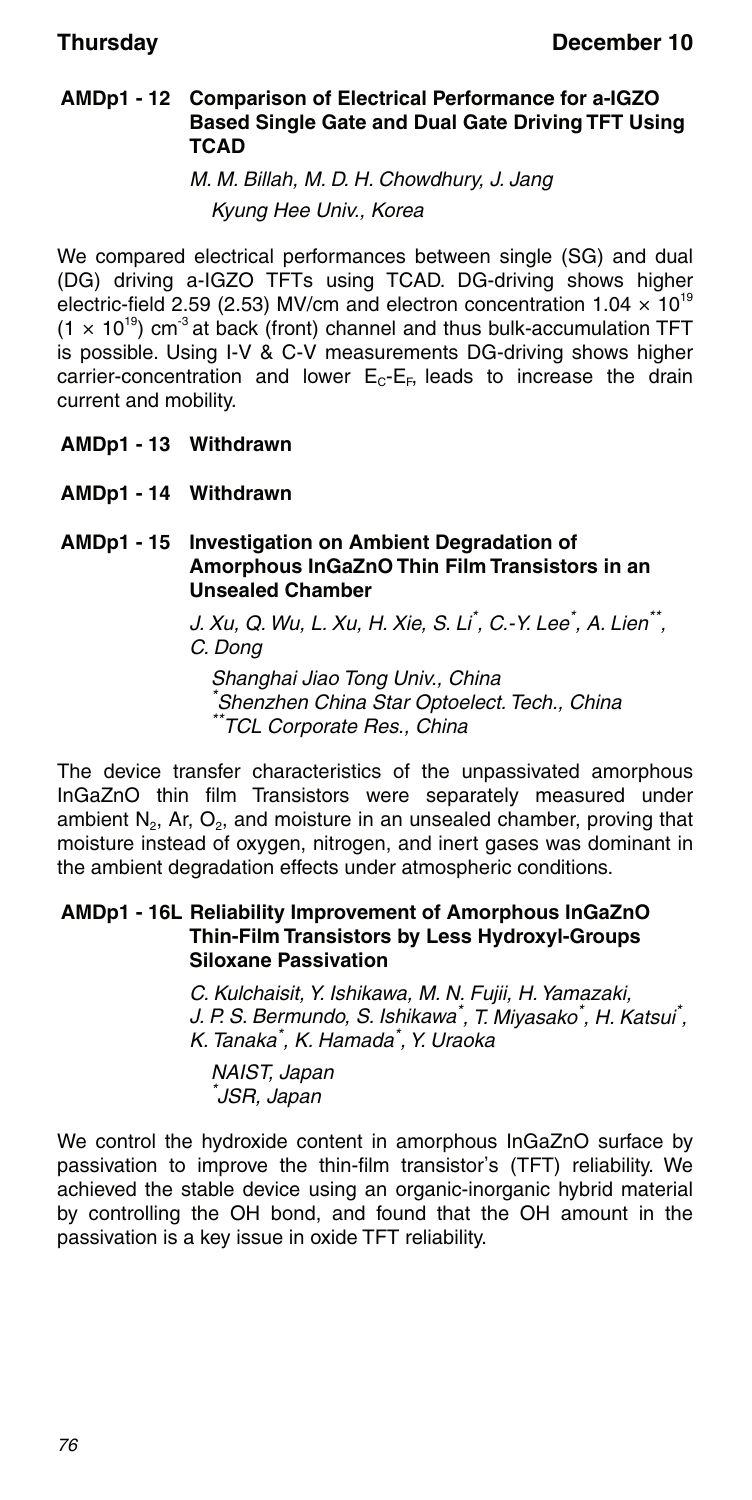#### **AMDp1 - 12 Comparison of Electrical Performance for a-IGZO Based Single Gate and Dual Gate Driving TFT Using TCAD**

M. M. Billah, M. D. H. Chowdhury, J. Jang Kyung Hee Univ., Korea

We compared electrical performances between single (SG) and dual (DG) driving a-IGZO TFTs using TCAD. DG-driving shows higher electric-field 2.59 (2.53) MV/cm and electron concentration  $1.04 \times 10^{19}$  $(1 \times 10^{19})$  cm<sup>3</sup> at back (front) channel and thus bulk-accumulation TFT is possible. Using I-V & C-V measurements DG-driving shows higher carrier-concentration and lower  $E_C-E_F$ , leads to increase the drain current and mobility.

- **AMDp1 13 Withdrawn**
- **AMDp1 14 Withdrawn**

**AMDp1 - 15 Investigation on Ambient Degradation of Amorphous InGaZnO Thin Film Transistors in an Unsealed Chamber**

> J. Xu, Q. Wu, L. Xu, H. Xie, S. Li<sup>\*</sup>, C.-Y. Lee<sup>\*</sup>, A. Lien<sup>\*\*</sup>, C. Dong

Shanghai Jiao Tong Univ., China \* Shenzhen China Star Optoelect. Tech., China \*\*TCL Corporate Res., China

The device transfer characteristics of the unpassivated amorphous InGaZnO thin film Transistors were separately measured under ambient  $N_2$ , Ar,  $O_2$ , and moisture in an unsealed chamber, proving that moisture instead of oxygen, nitrogen, and inert gases was dominant in the ambient degradation effects under atmospheric conditions.

#### **AMDp1 - 16L Reliability Improvement of Amorphous InGaZnO Thin-Film Transistors by Less Hydroxyl-Groups Siloxane Passivation**

C. Kulchaisit, Y. Ishikawa, M. N. Fujii, H. Yamazaki, J. P. S. Bermundo, S. Ishikawa<sup>\*</sup>, T. Miyasako<sup>\*</sup>, H. Katsui<sup>\*</sup>, K. Tanaka\* , K. Hamada\* , Y. Uraoka

NAIST, Japan \* JSR, Japan

We control the hydroxide content in amorphous InGaZnO surface by passivation to improve the thin-film transistor's (TFT) reliability. We achieved the stable device using an organic-inorganic hybrid material by controlling the OH bond, and found that the OH amount in the passivation is a key issue in oxide TFT reliability.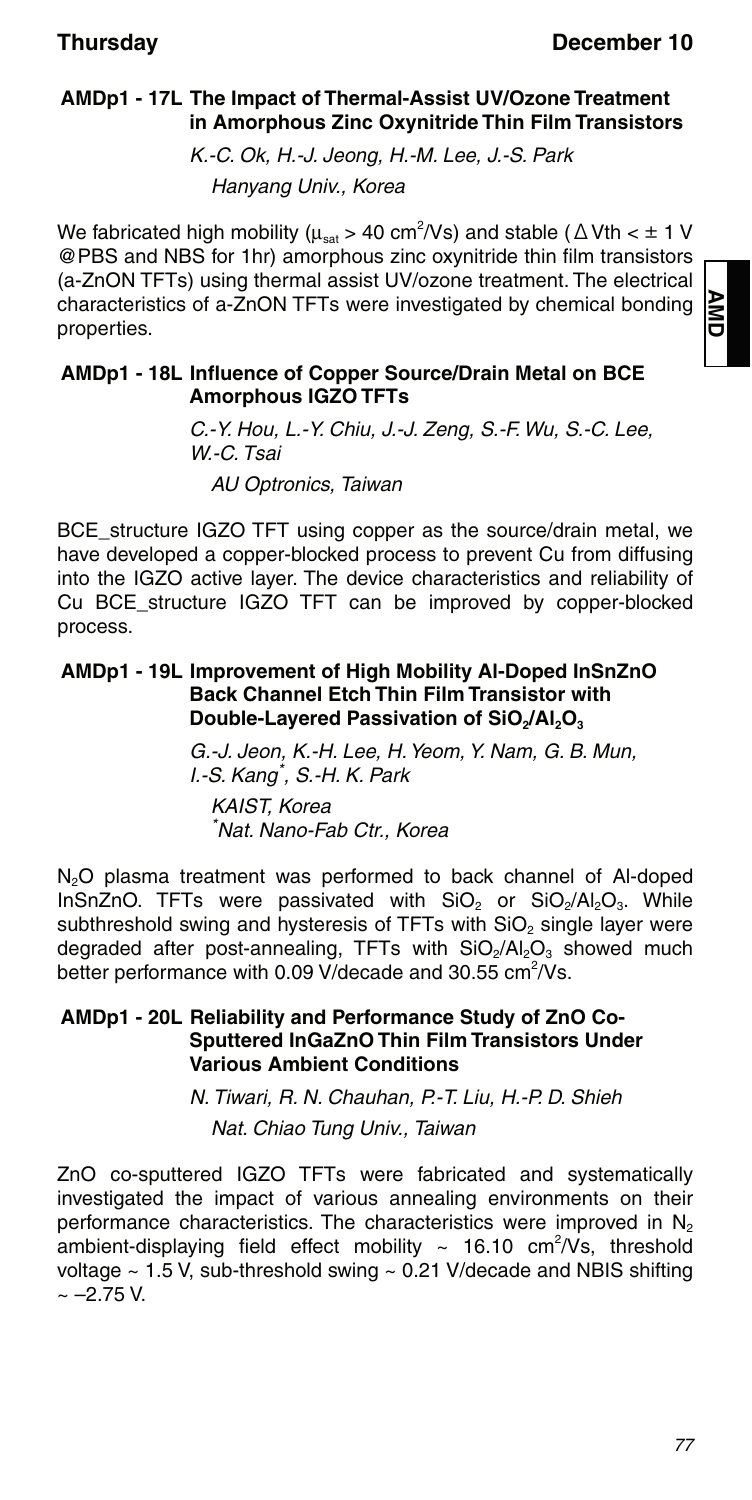### **AMDp1 - 17L The Impact of Thermal-Assist UV/Ozone Treatment in Amorphous Zinc Oxynitride Thin Film Transistors**

K.-C. Ok, H.-J. Jeong, H.-M. Lee, J.-S. Park Hanyang Univ., Korea

We fabricated high mobility ( $\mu_{\text{sat}}$  > 40 cm<sup>2</sup>/Vs) and stable ( $\Delta$ Vth <  $\pm$  1 V @PBS and NBS for 1hr) amorphous zinc oxynitride thin film transistors (a-ZnON TFTs) using thermal assist UV/ozone treatment. The electrical characteristics of a-ZnON TFTs were investigated by chemical bonding properties.

#### **AMDp1 - 18L Influence of Copper Source/Drain Metal on BCE Amorphous IGZO TFTs**

C.-Y. Hou, L.-Y. Chiu, J.-J. Zeng, S.-F. Wu, S.-C. Lee, W.-C. Tsai AU Optronics, Taiwan

BCE structure IGZO TFT using copper as the source/drain metal, we have developed a copper-blocked process to prevent Cu from diffusing into the IGZO active layer. The device characteristics and reliability of Cu BCE\_structure IGZO TFT can be improved by copper-blocked process.

#### **AMDp1 - 19L Improvement of High Mobility Al-Doped InSnZnO Back Channel Etch Thin Film Transistor with Double-Layered Passivation of SiO<sub>2</sub>/Al<sub>2</sub>O<sub>3</sub>**

G.-J. Jeon, K.-H. Lee, H. Yeom, Y. Nam, G. B. Mun, I.-S. Kang\* , S.-H. K. Park KAIST, Korea \* Nat. Nano-Fab Ctr., Korea

N<sub>2</sub>O plasma treatment was performed to back channel of Al-doped InSnZnO. TFTs were passivated with  $SiO<sub>2</sub>$  or  $SiO<sub>2</sub>/Al<sub>2</sub>O<sub>3</sub>$ . While subthreshold swing and hysteresis of TFTs with SiO<sub>2</sub> single layer were degraded after post-annealing, TFTs with SiO<sub>2</sub>/Al<sub>2</sub>O<sub>3</sub> showed much better performance with 0.09 V/decade and 30.55 cm<sup>2</sup>/Vs.

#### **AMDp1 - 20L Reliability and Performance Study of ZnO Co-Sputtered InGaZnO Thin Film Transistors Under Various Ambient Conditions**

N. Tiwari, R. N. Chauhan, P.-T. Liu, H.-P. D. Shieh Nat. Chiao Tung Univ., Taiwan

ZnO co-sputtered IGZO TFTs were fabricated and systematically investigated the impact of various annealing environments on their performance characteristics. The characteristics were improved in  $N_2$ ambient-displaying field effect mobility  $\sim$  16.10 cm<sup>2</sup>/Vs, threshold voltage  $\sim$  1.5 V, sub-threshold swing  $\sim$  0.21 V/decade and NBIS shifting  $\sim -2.75$  V.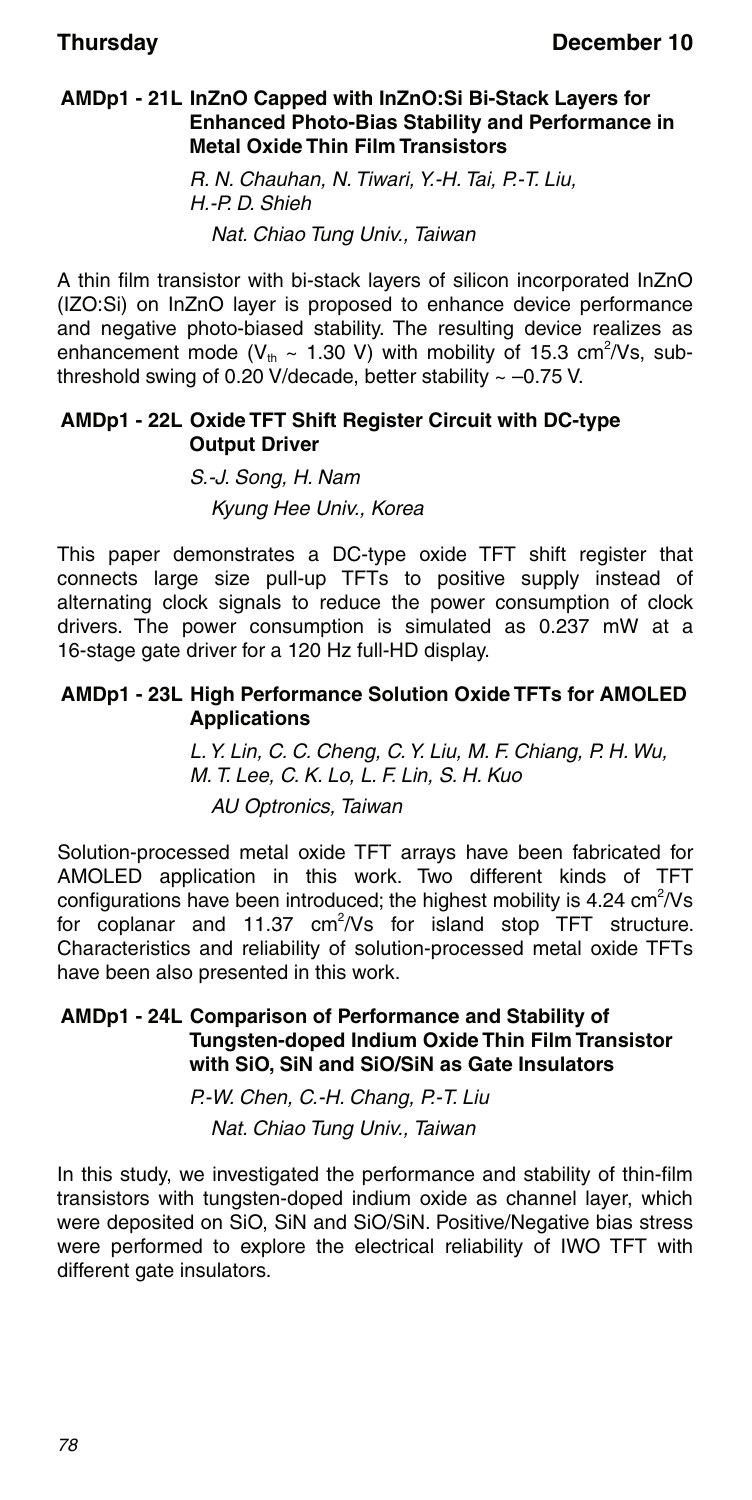#### **AMDp1 - 21L InZnO Capped with InZnO:Si Bi-Stack Layers for Enhanced Photo-Bias Stability and Performance in Metal Oxide Thin Film Transistors**

R. N. Chauhan, N. Tiwari, Y.-H. Tai, P.-T. Liu, H.-P. D. Shieh Nat. Chiao Tung Univ., Taiwan

A thin film transistor with bi-stack layers of silicon incorporated InZnO (IZO:Si) on InZnO layer is proposed to enhance device performance and negative photo-biased stability. The resulting device realizes as enhancement mode ( $V_{th} \sim 1.30$  V) with mobility of 15.3 cm<sup>2</sup>/Vs, subthreshold swing of 0.20 V/decade, better stability  $\sim -0.75$  V.

#### **AMDp1 - 22L Oxide TFT Shift Register Circuit with DC-type Output Driver**

S.-J. Song, H. Nam Kyung Hee Univ., Korea

This paper demonstrates a DC-type oxide TFT shift register that connects large size pull-up TFTs to positive supply instead of alternating clock signals to reduce the power consumption of clock drivers. The power consumption is simulated as 0.237 mW at a 16-stage gate driver for a 120 Hz full-HD display.

#### **AMDp1 - 23L High Performance Solution Oxide TFTs for AMOLED Applications**

L. Y. Lin, C. C. Cheng, C. Y. Liu, M. F. Chiang, P. H. Wu, M. T. Lee, C. K. Lo, L. F. Lin, S. H. Kuo AU Optronics, Taiwan

Solution-processed metal oxide TFT arrays have been fabricated for AMOLED application in this work. Two different kinds of TFT configurations have been introduced; the highest mobility is 4.24  $\text{cm}^2/\text{Vs}$ for coplanar and 11.37  $\text{cm}^2/\text{Vs}$  for island stop TFT structure. Characteristics and reliability of solution-processed metal oxide TFTs have been also presented in this work.

#### **AMDp1 - 24L Comparison of Performance and Stability of Tungsten-doped Indium Oxide Thin Film Transistor with SiO, SiN and SiO/SiN as Gate Insulators**

P.-W. Chen, C.-H. Chang, P.-T. Liu Nat. Chiao Tung Univ., Taiwan

In this study, we investigated the performance and stability of thin-film transistors with tungsten-doped indium oxide as channel layer, which were deposited on SiO, SiN and SiO/SiN. Positive/Negative bias stress were performed to explore the electrical reliability of IWO TFT with different gate insulators.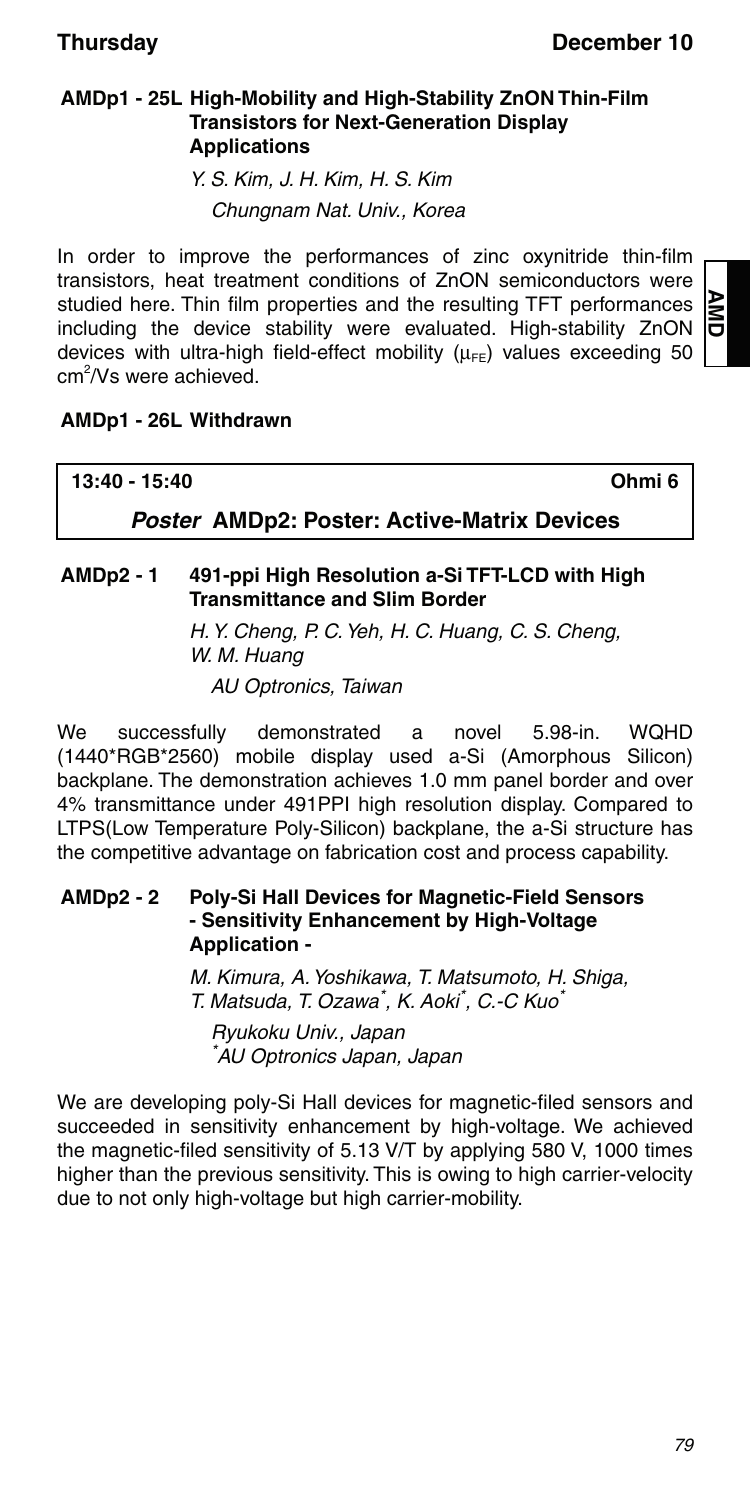### **AMDp1 - 25L High-Mobility and High-Stability ZnON Thin-Film Transistors for Next-Generation Display Applications**

Y. S. Kim, J. H. Kim, H. S. Kim Chungnam Nat. Univ., Korea

In order to improve the performances of zinc oxynitride thin-film transistors, heat treatment conditions of ZnON semiconductors were studied here. Thin film properties and the resulting TFT performances including the device stability were evaluated. High-stability ZnON devices with ultra-high field-effect mobility  $(\mu_{FF})$  values exceeding 50 cm<sup>2</sup>/Vs were achieved.

### **AMDp1 - 26L Withdrawn**

| 13:40 - 15:40                                      | Ohmi 6 |
|----------------------------------------------------|--------|
| <b>Poster AMDp2: Poster: Active-Matrix Devices</b> |        |

#### **AMDp2 - 1 491-ppi High Resolution a-Si TFT-LCD with High Transmittance and Slim Border**

H. Y. Cheng, P. C. Yeh, H. C. Huang, C. S. Cheng, W. M. Huang AU Optronics, Taiwan

We successfully demonstrated a novel 5.98-in. WQHD (1440\*RGB\*2560) mobile display used a-Si (Amorphous Silicon) backplane. The demonstration achieves 1.0 mm panel border and over 4% transmittance under 491PPI high resolution display. Compared to LTPS(Low Temperature Poly-Silicon) backplane, the a-Si structure has the competitive advantage on fabrication cost and process capability.

#### **AMDp2 - 2 Poly-Si Hall Devices for Magnetic-Field Sensors - Sensitivity Enhancement by High-Voltage Application -**

M. Kimura, A. Yoshikawa, T. Matsumoto, H. Shiga, T. Matsuda, T. Ozawa<sup>\*</sup>, K. Aoki<sup>\*</sup>, C.-C Kuo<sup>\*</sup>

Ryukoku Univ., Japan \* AU Optronics Japan, Japan

We are developing poly-Si Hall devices for magnetic-filed sensors and succeeded in sensitivity enhancement by high-voltage. We achieved the magnetic-filed sensitivity of 5.13 V/T by applying 580 V, 1000 times higher than the previous sensitivity. This is owing to high carrier-velocity due to not only high-voltage but high carrier-mobility.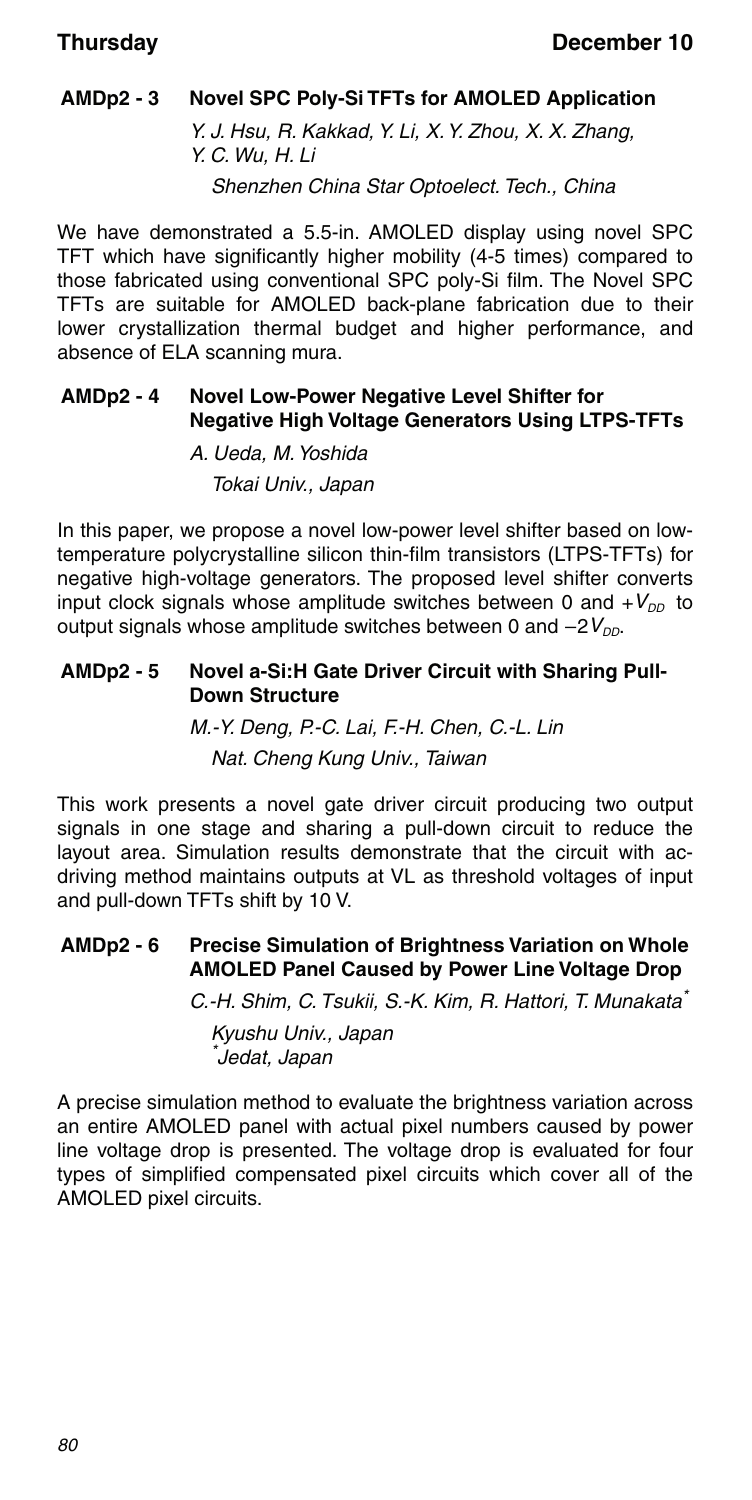### **AMDp2 - 3 Novel SPC Poly-Si TFTs for AMOLED Application**

Y. J. Hsu, R. Kakkad, Y. Li, X. Y. Zhou, X. X. Zhang, Y. C. Wu, H. Li

Shenzhen China Star Optoelect. Tech., China

We have demonstrated a 5.5-in. AMOLED display using novel SPC TFT which have significantly higher mobility (4-5 times) compared to those fabricated using conventional SPC poly-Si film. The Novel SPC TFTs are suitable for AMOLED back-plane fabrication due to their lower crystallization thermal budget and higher performance, and absence of ELA scanning mura.

#### **AMDp2 - 4 Novel Low-Power Negative Level Shifter for Negative High Voltage Generators Using LTPS-TFTs**

A. Ueda, M. Yoshida Tokai Univ., Japan

In this paper, we propose a novel low-power level shifter based on lowtemperature polycrystalline silicon thin-film transistors (LTPS-TFTs) for negative high-voltage generators. The proposed level shifter converts input clock signals whose amplitude switches between 0 and  $+V_{\text{DD}}$  to output signals whose amplitude switches between 0 and  $-2V_{DD}$ .

#### **AMDp2 - 5 Novel a-Si:H Gate Driver Circuit with Sharing Pull-Down Structure**

M.-Y. Deng, P.-C. Lai, F.-H. Chen, C.-L. Lin Nat. Cheng Kung Univ., Taiwan

This work presents a novel gate driver circuit producing two output signals in one stage and sharing a pull-down circuit to reduce the layout area. Simulation results demonstrate that the circuit with acdriving method maintains outputs at VL as threshold voltages of input and pull-down TFTs shift by 10 V.

#### **AMDp2 - 6 Precise Simulation of Brightness Variation on Whole AMOLED Panel Caused by Power Line Voltage Drop**

C.-H. Shim, C. Tsukii, S.-K. Kim, R. Hattori, T. Munakata\*

Kyushu Univ., Japan \* Jedat, Japan

A precise simulation method to evaluate the brightness variation across an entire AMOLED panel with actual pixel numbers caused by power line voltage drop is presented. The voltage drop is evaluated for four types of simplified compensated pixel circuits which cover all of the AMOLED pixel circuits.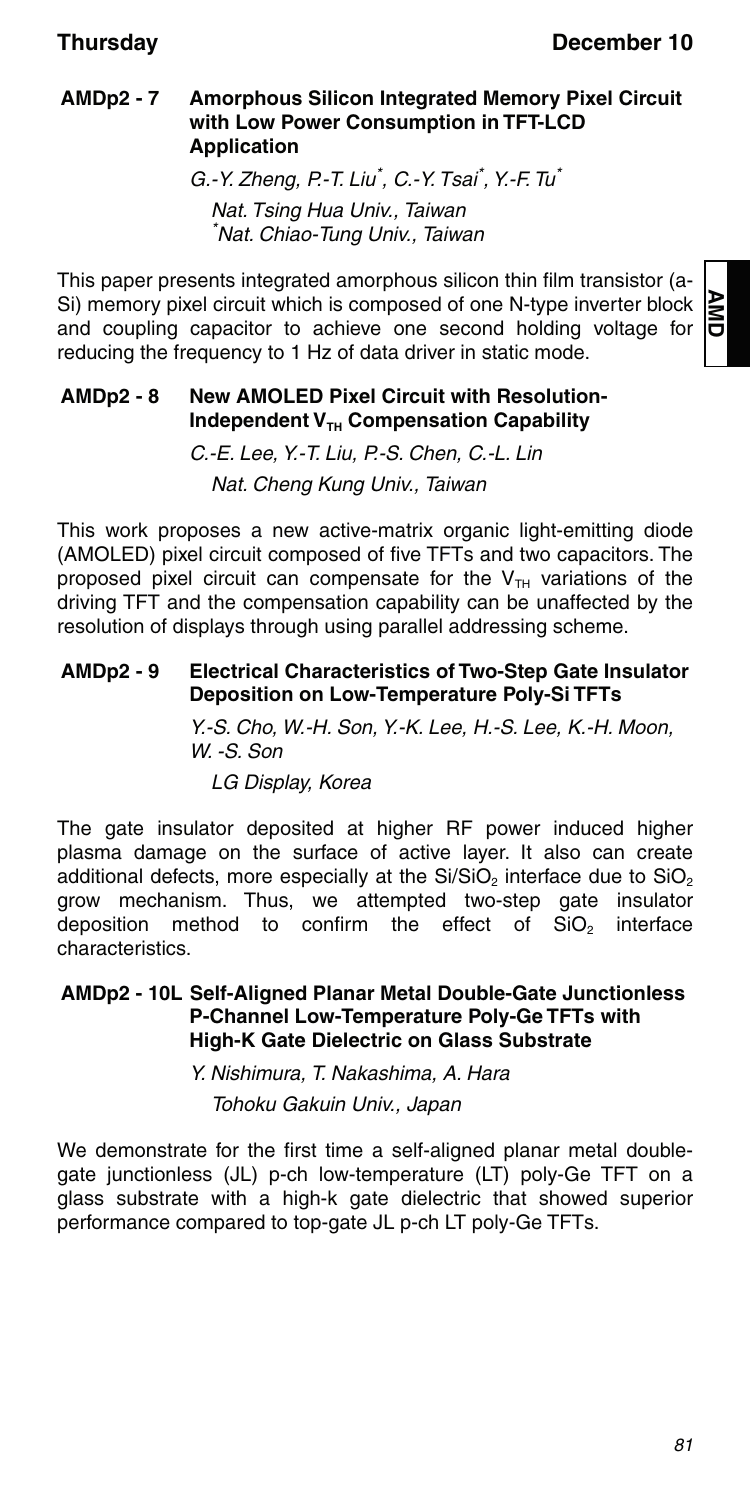#### **AMDp2 - 7 Amorphous Silicon Integrated Memory Pixel Circuit with Low Power Consumption in TFT-LCD Application**

G.-Y. Zheng, P.-T. Liu<sup>\*</sup>, C.-Y. Tsai<sup>\*</sup>, Y.-F. Tu<sup>\*</sup> Nat. Tsing Hua Univ., Taiwan \* Nat. Chiao-Tung Univ., Taiwan

This paper presents integrated amorphous silicon thin film transistor (a-Si) memory pixel circuit which is composed of one N-type inverter block and coupling capacitor to achieve one second holding voltage for reducing the frequency to 1 Hz of data driver in static mode.

#### **AMDp2 - 8 New AMOLED Pixel Circuit with Resolution-Independent V<sub>TH</sub> Compensation Capability**

C.-E. Lee, Y.-T. Liu, P.-S. Chen, C.-L. Lin Nat. Cheng Kung Univ., Taiwan

This work proposes a new active-matrix organic light-emitting diode (AMOLED) pixel circuit composed of five TFTs and two capacitors. The proposed pixel circuit can compensate for the  $V<sub>TH</sub>$  variations of the driving TFT and the compensation capability can be unaffected by the resolution of displays through using parallel addressing scheme.

#### **AMDp2 - 9 Electrical Characteristics of Two-Step Gate Insulator Deposition on Low-Temperature Poly-Si TFTs**

Y.-S. Cho, W.-H. Son, Y.-K. Lee, H.-S. Lee, K.-H. Moon, W. -S. Son LG Display, Korea

The gate insulator deposited at higher RF power induced higher plasma damage on the surface of active layer. It also can create additional defects, more especially at the  $Si/SiO<sub>2</sub>$  interface due to  $SiO<sub>2</sub>$ grow mechanism. Thus, we attempted two-step gate insulator deposition method to confirm the effect of  $SiO<sub>2</sub>$  interface characteristics.

#### **AMDp2 - 10L Self-Aligned Planar Metal Double-Gate Junctionless P-Channel Low-Temperature Poly-Ge TFTs with High-K Gate Dielectric on Glass Substrate**

Y. Nishimura, T. Nakashima, A. Hara

Tohoku Gakuin Univ., Japan

We demonstrate for the first time a self-aligned planar metal doublegate junctionless (JL) p-ch low-temperature (LT) poly-Ge TFT on a glass substrate with a high-k gate dielectric that showed superior performance compared to top-gate JL p-ch LT poly-Ge TFTs.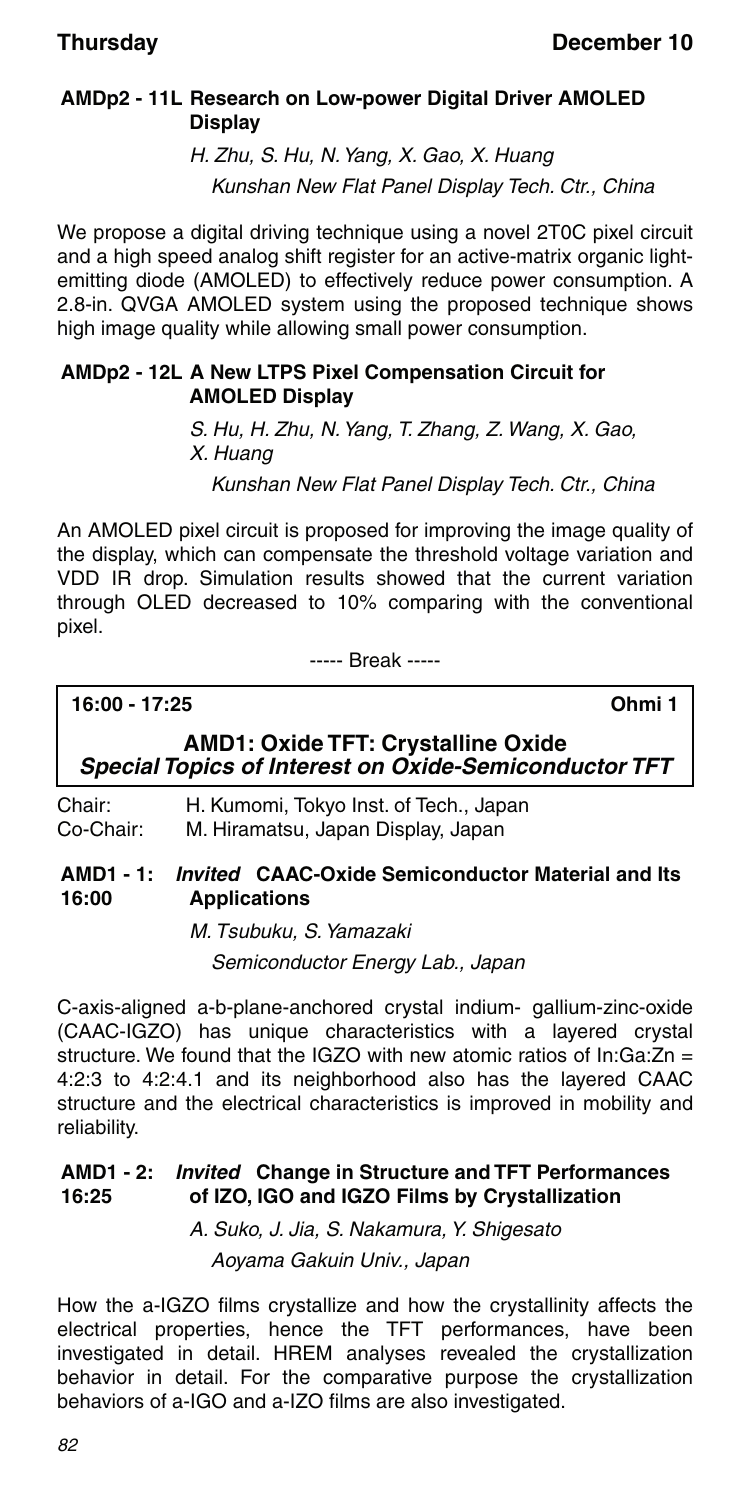### **AMDp2 - 11L Research on Low-power Digital Driver AMOLED Display**

H. Zhu, S. Hu, N. Yang, X. Gao, X. Huang Kunshan New Flat Panel Display Tech. Ctr., China

We propose a digital driving technique using a novel 2T0C pixel circuit and a high speed analog shift register for an active-matrix organic lightemitting diode (AMOLED) to effectively reduce power consumption. A 2.8-in. QVGA AMOLED system using the proposed technique shows high image quality while allowing small power consumption.

#### **AMDp2 - 12L A New LTPS Pixel Compensation Circuit for AMOLED Display**

S. Hu, H. Zhu, N. Yang, T. Zhang, Z. Wang, X. Gao, X. Huang

Kunshan New Flat Panel Display Tech. Ctr., China

An AMOLED pixel circuit is proposed for improving the image quality of the display, which can compensate the threshold voltage variation and VDD IR drop. Simulation results showed that the current variation through OLED decreased to 10% comparing with the conventional pixel.

----- Break -----

**16:00 - 17:25 Ohmi 1**

### **AMD1: Oxide TFT: Crystalline Oxide** *Special Topics of Interest on Oxide-Semiconductor TFT*

Chair: H. Kumomi, Tokyo Inst. of Tech., Japan Co-Chair: M. Hiramatsu, Japan Display, Japan

#### **AMD1 - 1:** *Invited* **CAAC-Oxide Semiconductor Material and Its 16:00 Applications**

M. Tsubuku, S. Yamazaki Semiconductor Energy Lab., Japan

C-axis-aligned a-b-plane-anchored crystal indium- gallium-zinc-oxide (CAAC-IGZO) has unique characteristics with a layered crystal structure. We found that the IGZO with new atomic ratios of In:Ga:Zn = 4:2:3 to 4:2:4.1 and its neighborhood also has the layered CAAC structure and the electrical characteristics is improved in mobility and reliability.

#### **AMD1 - 2:** *Invited* **Change in Structure and TFT Performances 16:25 of IZO, IGO and IGZO Films by Crystallization**

A. Suko, J. Jia, S. Nakamura, Y. Shigesato Aoyama Gakuin Univ., Japan

How the a-IGZO films crystallize and how the crystallinity affects the electrical properties, hence the TFT performances, have been investigated in detail. HREM analyses revealed the crystallization behavior in detail. For the comparative purpose the crystallization behaviors of a-IGO and a-IZO films are also investigated.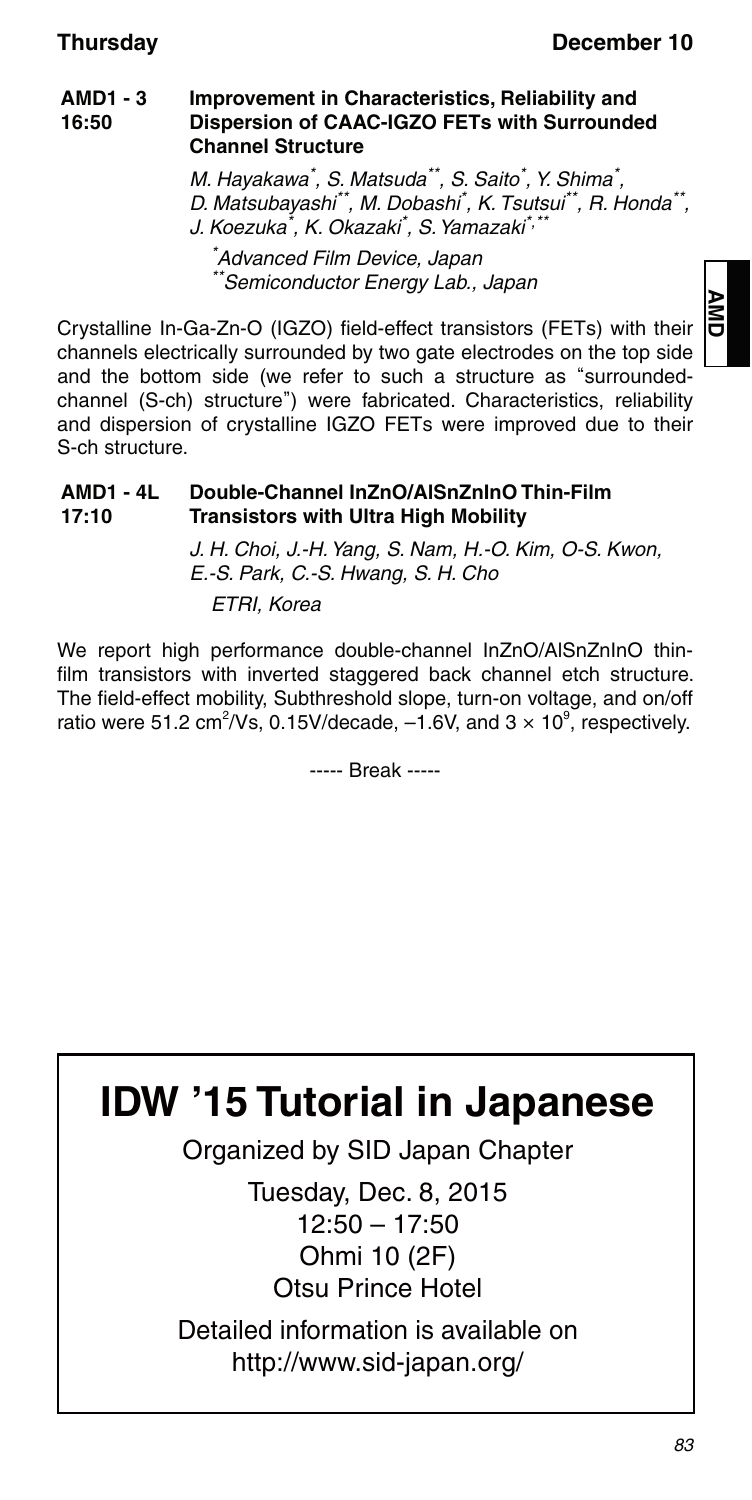#### **AMD1 - 3 16:50 Improvement in Characteristics, Reliability and Dispersion of CAAC-IGZO FETs with Surrounded Channel Structure**

M. Hayakawa\* , S. Matsuda\*\*, S. Saito\* , Y. Shima\* , D. Matsubayashi\*\*, M. Dobashi<sup>\*</sup>, K. Tsutsui\*\*, R. Honda\*\*, J. Koezuka<sup>\*</sup>, K. Okazaki<sup>\*</sup>, S. Yamazaki<sup>\*,\*\*</sup>

\* Advanced Film Device, Japan \*Semiconductor Energy Lab., Japan

Crystalline In-Ga-Zn-O (IGZO) field-effect transistors (FETs) with their channels electrically surrounded by two gate electrodes on the top side and the bottom side (we refer to such a structure as "surroundedchannel (S-ch) structure") were fabricated. Characteristics, reliability and dispersion of crystalline IGZO FETs were improved due to their S-ch structure.

#### **AMD1 - 4L 17:10 Double-Channel InZnO/AlSnZnInO Thin-Film Transistors with Ultra High Mobility**

J. H. Choi, J.-H. Yang, S. Nam, H.-O. Kim, O-S. Kwon, E.-S. Park, C.-S. Hwang, S. H. Cho ETRI, Korea

We report high performance double-channel InZnO/AlSnZnInO thinfilm transistors with inverted staggered back channel etch structure. The field-effect mobility, Subthreshold slope, turn-on voltage, and on/off ratio were 51.2 cm<sup>2</sup>/Vs, 0.15V/decade,  $-1.6V$ , and  $3 \times 10^9$ , respectively.

----- Break -----



Organized by SID Japan Chapter

Tuesday, Dec. 8, 2015 12:50 – 17:50 Ohmi 10 (2F) Otsu Prince Hotel

Detailed information is available on http://www.sid-japan.org/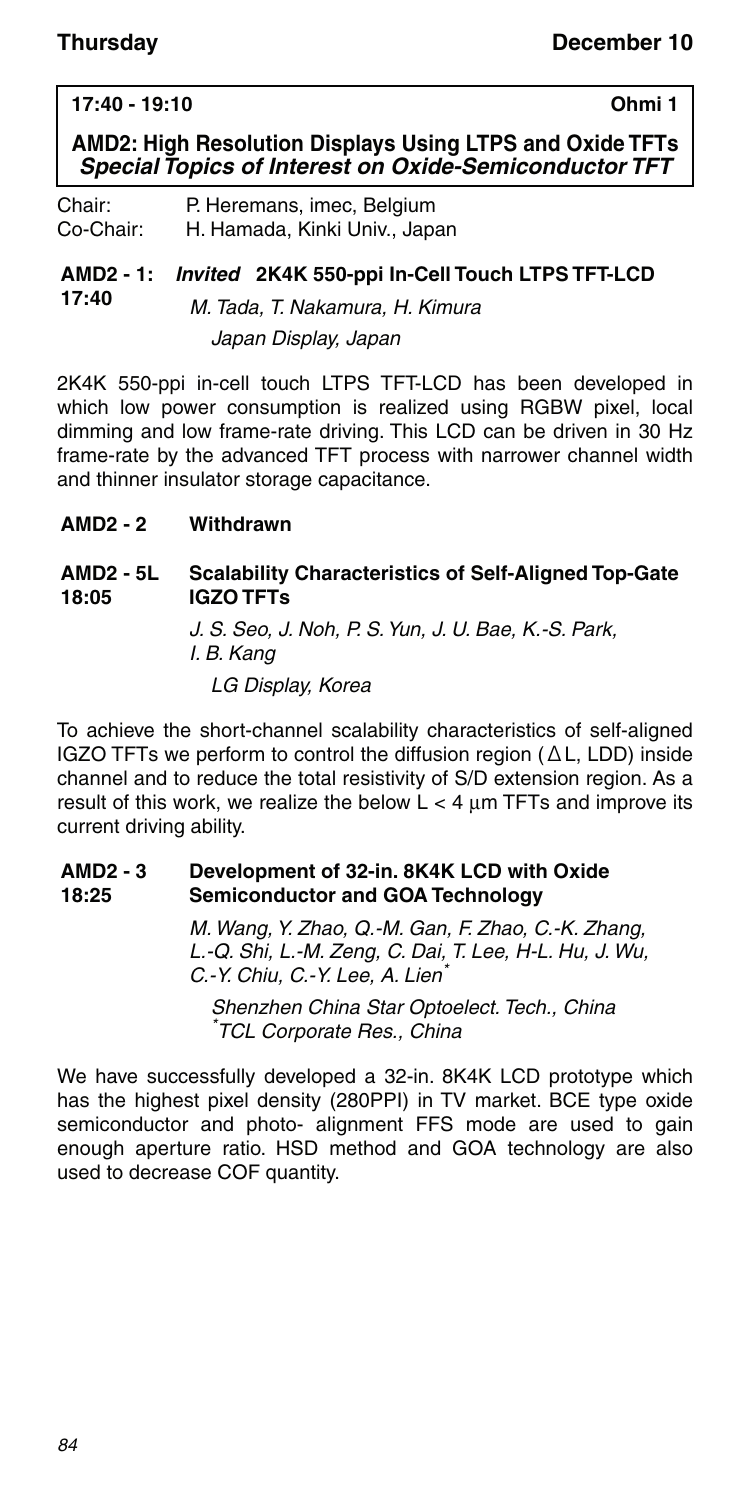#### **17:40 - 19:10 Ohmi 1**

**AMD2: High Resolution Displays Using LTPS and Oxide TFTs** *Special Topics of Interest on Oxide-Semiconductor TFT*

Chair: P. Heremans, imec, Belgium Co-Chair: H. Hamada, Kinki Univ., Japan

#### **AMD2 - 1:** *Invited* **2K4K 550-ppi In-Cell Touch LTPS TFT-LCD 17:40** M. Tada, T. Nakamura, H. Kimura Japan Display, Japan

2K4K 550-ppi in-cell touch LTPS TFT-LCD has been developed in which low power consumption is realized using RGBW pixel, local dimming and low frame-rate driving. This LCD can be driven in 30 Hz frame-rate by the advanced TFT process with narrower channel width and thinner insulator storage capacitance.

**AMD2 - 2 Withdrawn**

#### **AMD2 - 5L 18:05 Scalability Characteristics of Self-Aligned Top-Gate IGZO TFTs**

J. S. Seo, J. Noh, P. S. Yun, J. U. Bae, K.-S. Park, I. B. Kang LG Display, Korea

To achieve the short-channel scalability characteristics of self-aligned IGZO TFTs we perform to control the diffusion region (ΔL, LDD) inside channel and to reduce the total resistivity of S/D extension region. As a result of this work, we realize the below  $L < 4 \mu m$  TFTs and improve its current driving ability.

#### **AMD2 - 3 18:25 Development of 32-in. 8K4K LCD with Oxide Semiconductor and GOA Technology**

M. Wang, Y. Zhao, Q.-M. Gan, F. Zhao, C.-K. Zhang, L.-Q. Shi, L.-M. Zeng, C. Dai, T. Lee, H-L. Hu, J. Wu, C.-Y. Chiu, C.-Y. Lee, A. Lien

Shenzhen China Star Optoelect. Tech., China \* TCL Corporate Res., China

We have successfully developed a 32-in. 8K4K LCD prototype which has the highest pixel density (280PPI) in TV market. BCE type oxide semiconductor and photo- alignment FFS mode are used to gain enough aperture ratio. HSD method and GOA technology are also used to decrease COF quantity.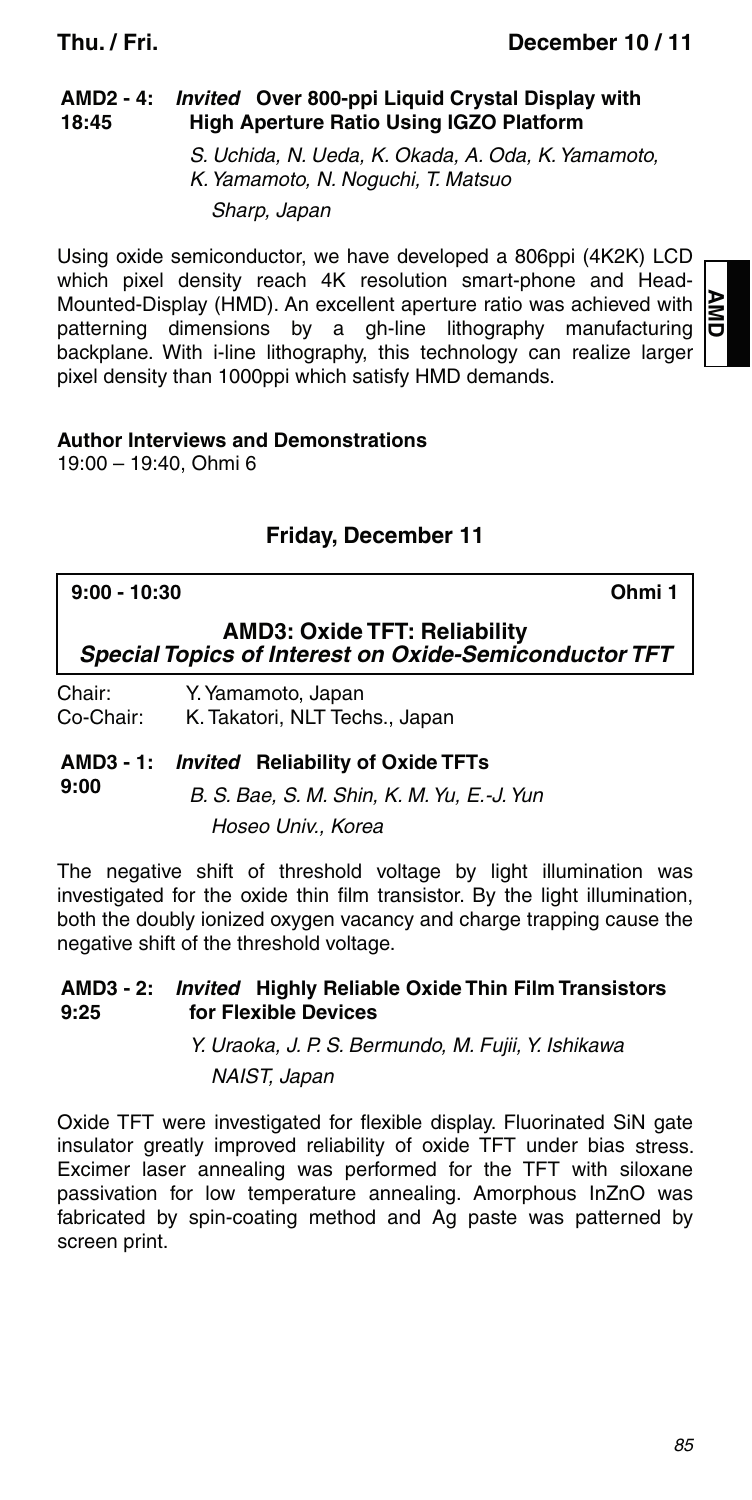#### **AMD2 - 4:** *Invited* **Over 800-ppi Liquid Crystal Display with 18:45 High Aperture Ratio Using IGZO Platform**

S. Uchida, N. Ueda, K. Okada, A. Oda, K. Yamamoto, K. Yamamoto, N. Noguchi, T. Matsuo Sharp, Japan

Using oxide semiconductor, we have developed a 806ppi (4K2K) LCD which pixel density reach 4K resolution smart-phone and Head-Mounted-Display (HMD). An excellent aperture ratio was achieved with patterning dimensions by a gh-line lithography manufacturing backplane. With i-line lithography, this technology can realize larger pixel density than 1000ppi which satisfy HMD demands.

### **Author Interviews and Demonstrations**

19:00 – 19:40, Ohmi 6

## **Friday, December 11**

### **9:00 - 10:30 Ohmi 1**

**AMD**

**AMD3: Oxide TFT: Reliability** *Special Topics of Interest on Oxide-Semiconductor TFT*

Chair: Y. Yamamoto, Japan Co-Chair: K. Takatori, NLT Techs., Japan

### **AMD3 - 1:** *Invited* **Reliability of Oxide TFTs**

**9:00** B. S. Bae, S. M. Shin, K. M. Yu, E.-J. Yun Hoseo Univ., Korea

The negative shift of threshold voltage by light illumination was investigated for the oxide thin film transistor. By the light illumination, both the doubly ionized oxygen vacancy and charge trapping cause the negative shift of the threshold voltage.

#### **AMD3 - 2:** *Invited* **Highly Reliable Oxide Thin Film Transistors 9:25 for Flexible Devices**

Y. Uraoka, J. P. S. Bermundo, M. Fujii, Y. Ishikawa NAIST, Japan

Oxide TFT were investigated for flexible display. Fluorinated SiN gate insulator greatly improved reliability of oxide TFT under bias stress. Excimer laser annealing was performed for the TFT with siloxane passivation for low temperature annealing. Amorphous InZnO was fabricated by spin-coating method and Ag paste was patterned by screen print.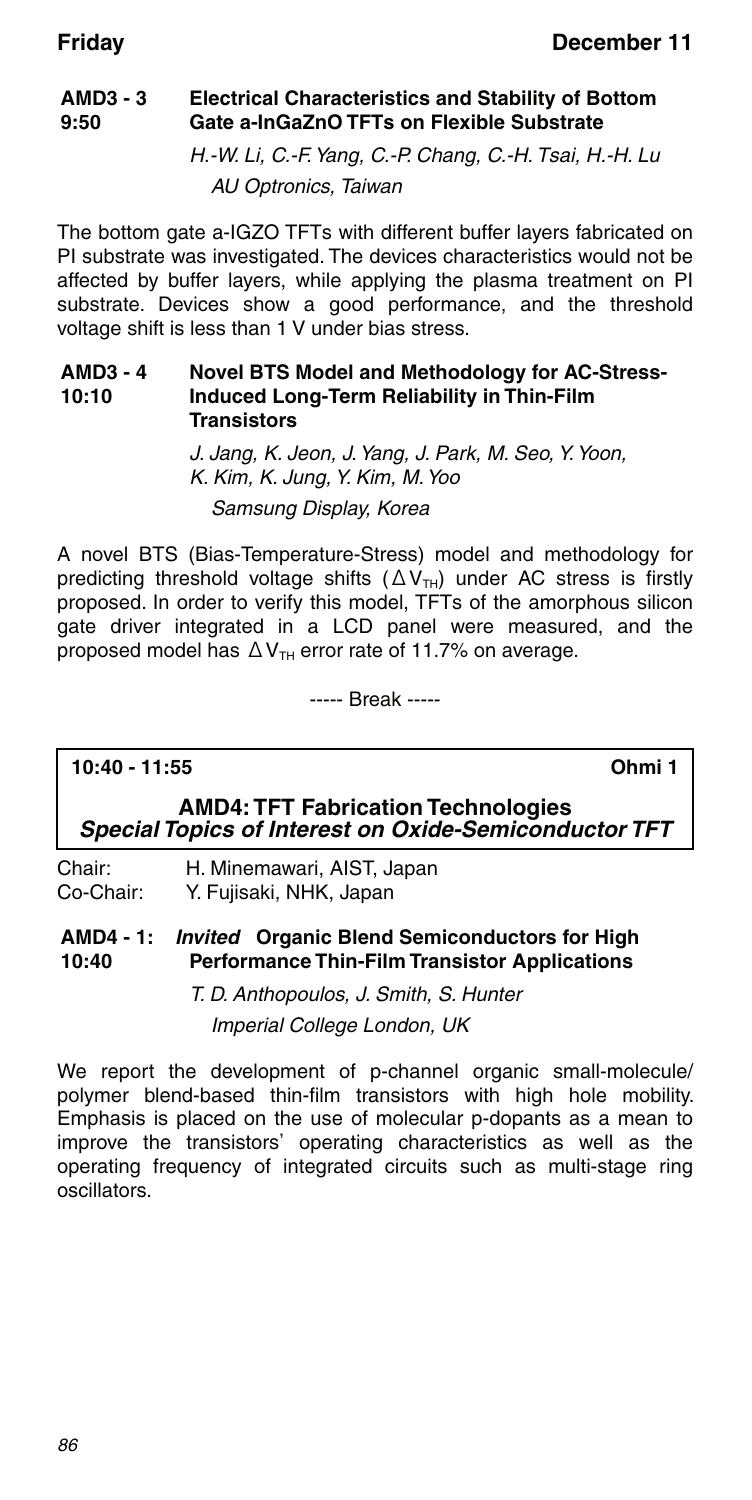#### **AMD3 - 3 9:50 Electrical Characteristics and Stability of Bottom Gate a-InGaZnO TFTs on Flexible Substrate**

H.-W. Li, C.-F. Yang, C.-P. Chang, C.-H. Tsai, H.-H. Lu AU Optronics, Taiwan

The bottom gate a-IGZO TFTs with different buffer layers fabricated on PI substrate was investigated. The devices characteristics would not be affected by buffer layers, while applying the plasma treatment on PI substrate. Devices show a good performance, and the threshold voltage shift is less than 1 V under bias stress.

#### **AMD3 - 4 10:10 Novel BTS Model and Methodology for AC-Stress-Induced Long-Term Reliability in Thin-Film Transistors**

J. Jang, K. Jeon, J. Yang, J. Park, M. Seo, Y. Yoon, K. Kim, K. Jung, Y. Kim, M. Yoo Samsung Display, Korea

A novel BTS (Bias-Temperature-Stress) model and methodology for predicting threshold voltage shifts  $(ΔV<sub>TH</sub>)$  under AC stress is firstly proposed. In order to verify this model, TFTs of the amorphous silicon gate driver integrated in a LCD panel were measured, and the proposed model has  $\Delta V_{TH}$  error rate of 11.7% on average.

----- Break -----

### **10:40 - 11:55 Ohmi 1**

### **AMD4: TFT Fabrication Technologies** *Special Topics of Interest on Oxide-Semiconductor TFT*

Chair: H. Minemawari, AIST, Japan Co-Chair: Y. Fujisaki, NHK, Japan

**AMD4 - 1:** *Invited* **Organic Blend Semiconductors for High 10:40 Performance Thin-Film Transistor Applications**

> T. D. Anthopoulos, J. Smith, S. Hunter Imperial College London, UK

We report the development of p-channel organic small-molecule/ polymer blend-based thin-film transistors with high hole mobility. Emphasis is placed on the use of molecular p-dopants as a mean to improve the transistors' operating characteristics as well as the operating frequency of integrated circuits such as multi-stage ring oscillators.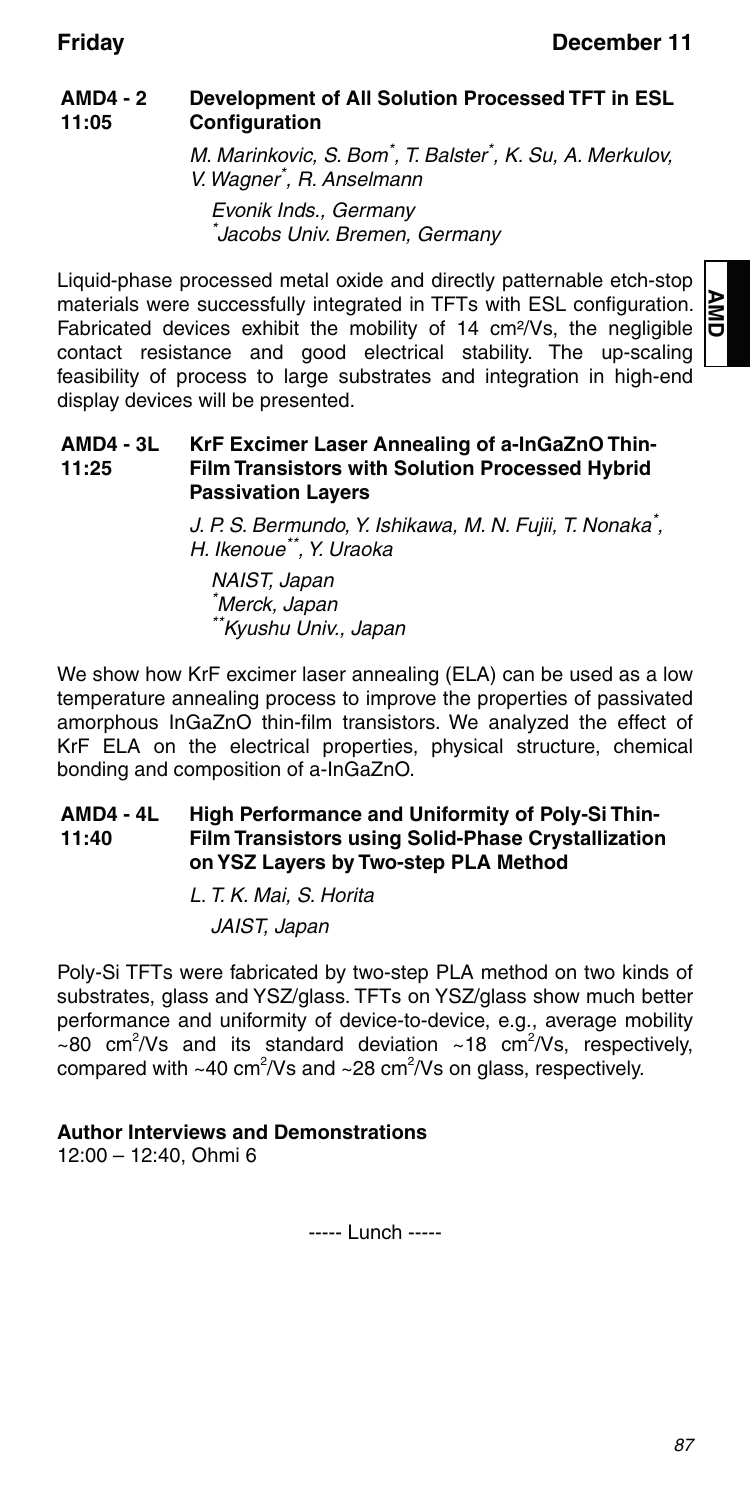#### **AMD4 - 2 11:05 Development of All Solution Processed TFT in ESL Configuration**

M. Marinkovic, S. Bom\* , T. Balster\* , K. Su, A. Merkulov, V. Wagner\* , R. Anselmann Evonik Inds., Germany

\* Jacobs Univ. Bremen, Germany

Liquid-phase processed metal oxide and directly patternable etch-stop materials were successfully integrated in TFTs with ESL configuration. Fabricated devices exhibit the mobility of 14 cm²/Vs, the negligible contact resistance and good electrical stability. The up-scaling feasibility of process to large substrates and integration in high-end display devices will be presented.

#### **AMD4 - 3L 11:25 KrF Excimer Laser Annealing of a-InGaZnO Thin-Film Transistors with Solution Processed Hybrid Passivation Layers**

J. P. S. Bermundo, Y. Ishikawa, M. N. Fujii, T. Nonaka<sup>\*</sup>, H. Ikenoue\*\*, Y. Uraoka

NAIST, Japan \* Merck, Japan \*\*Kyushu Univ., Japan

We show how KrF excimer laser annealing (ELA) can be used as a low temperature annealing process to improve the properties of passivated amorphous InGaZnO thin-film transistors. We analyzed the effect of KrF ELA on the electrical properties, physical structure, chemical bonding and composition of a-InGaZnO.

#### **AMD4 - 4L 11:40 High Performance and Uniformity of Poly-Si Thin-Film Transistors using Solid-Phase Crystallization on YSZ Layers by Two-step PLA Method**

L. T. K. Mai, S. Horita JAIST, Japan

Poly-Si TFTs were fabricated by two-step PLA method on two kinds of substrates, glass and YSZ/glass. TFTs on YSZ/glass show much better performance and uniformity of device-to-device, e.g., average mobility  $\sim$ 80 cm<sup>2</sup>/Vs and its standard deviation  $\sim$ 18 cm<sup>2</sup>/Vs, respectively, compared with ~40 cm<sup>2</sup>/Vs and ~28 cm<sup>2</sup>/Vs on glass, respectively.

### **Author Interviews and Demonstrations**

12:00 – 12:40, Ohmi 6

----- Lunch -----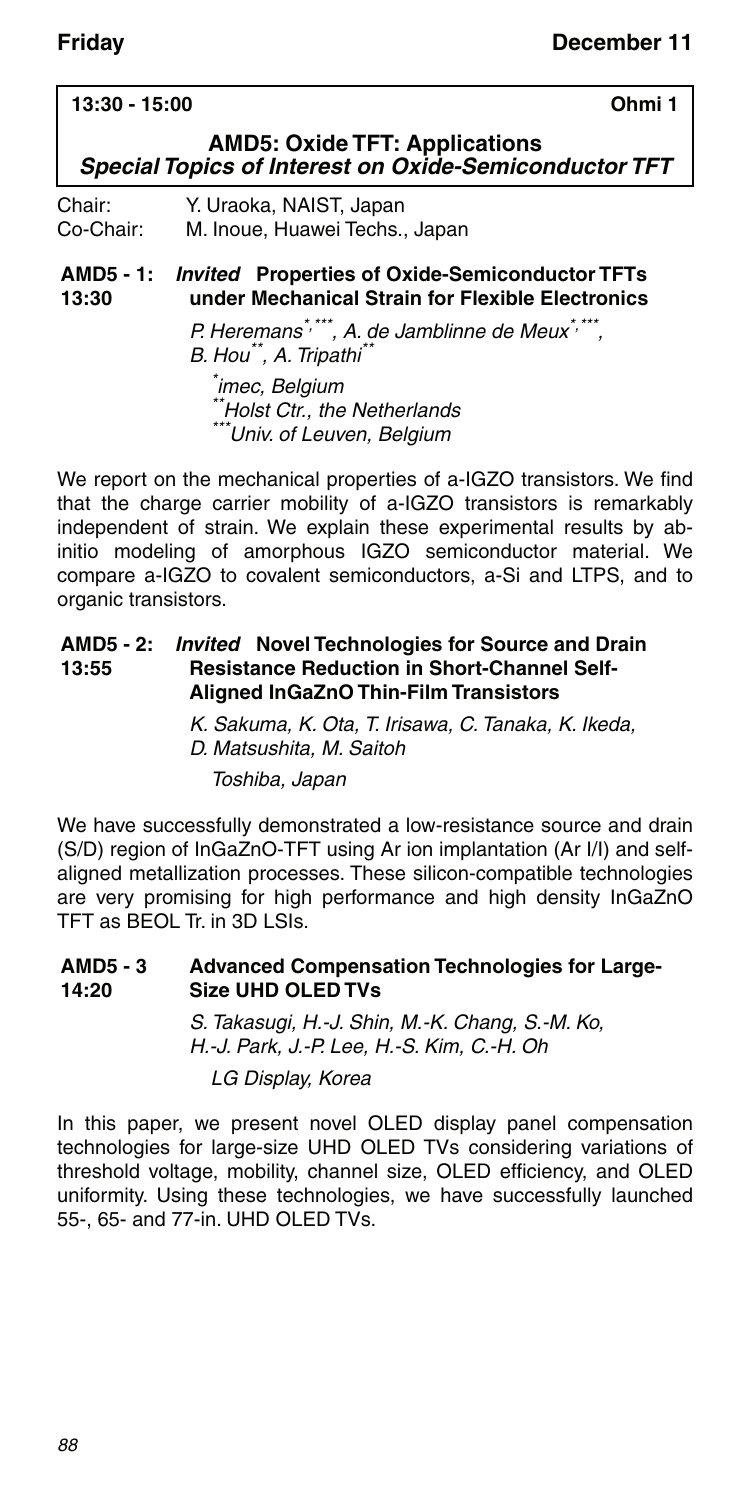#### **13:30 - 15:00 Ohmi 1**

### **AMD5: Oxide TFT: Applications** *Special Topics of Interest on Oxide-Semiconductor TFT*

Chair: Y. Uraoka, NAIST, Japan Co-Chair: M. Inoue, Huawei Techs., Japan

#### **AMD5 - 1:** *Invited* **Properties of Oxide-Semiconductor TFTs 13:30 under Mechanical Strain for Flexible Electronics**

P. Heremans<sup>\*,\*\*\*</sup>, A. de Jamblinne de Meux<sup>\*,\*\*\*</sup>, B. Hou\*\*, A. Tripathi\*\*

\* imec, Belgium \*Holst Ctr., the Netherlands \*\*\*Univ. of Leuven, Belgium

We report on the mechanical properties of a-IGZO transistors. We find that the charge carrier mobility of a-IGZO transistors is remarkably independent of strain. We explain these experimental results by abinitio modeling of amorphous IGZO semiconductor material. We compare a-IGZO to covalent semiconductors, a-Si and LTPS, and to organic transistors.

#### **AMD5 - 2: 13:55** *Invited* **Novel Technologies for Source and Drain Resistance Reduction in Short-Channel Self-Aligned InGaZnO Thin-Film Transistors**

K. Sakuma, K. Ota, T. Irisawa, C. Tanaka, K. Ikeda, D. Matsushita, M. Saitoh

Toshiba, Japan

We have successfully demonstrated a low-resistance source and drain (S/D) region of InGaZnO-TFT using Ar ion implantation (Ar I/I) and selfaligned metallization processes. These silicon-compatible technologies are very promising for high performance and high density InGaZnO TFT as BEOL Tr. in 3D LSIs.

#### **AMD5 - 3 14:20 Advanced Compensation Technologies for Large-Size UHD OLED TVs**

S. Takasugi, H.-J. Shin, M.-K. Chang, S.-M. Ko, H.-J. Park, J.-P. Lee, H.-S. Kim, C.-H. Oh LG Display, Korea

In this paper, we present novel OLED display panel compensation technologies for large-size UHD OLED TVs considering variations of threshold voltage, mobility, channel size, OLED efficiency, and OLED uniformity. Using these technologies, we have successfully launched 55-, 65- and 77-in. UHD OLED TVs.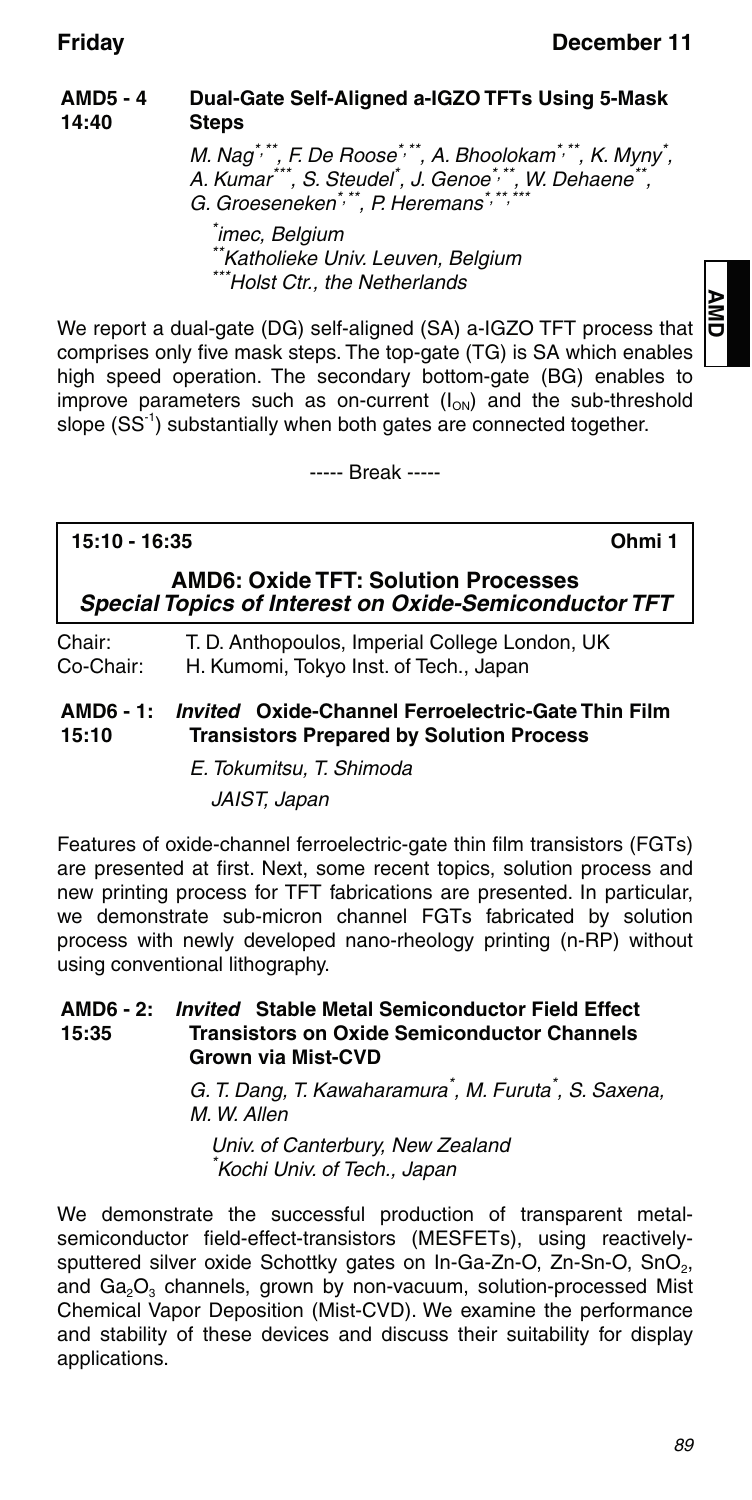#### **AMD5 - 4 14:40 Dual-Gate Self-Aligned a-IGZO TFTs Using 5-Mask Steps**

M. Nag\*\*\*, F. De Roose\*,\*\*, A. Bhoolokam\*,\*\*, K. Myny<sup>\*</sup>,<br>A. Kumar\*\*\*, S. Steudel<sup>\*</sup>, J. Genoe\*,\*\*, W. Dehaene\*\*, G. Groeseneken\*,\*\*, P. Heremans\*,\*

\* imec, Belgium \*\*Katholieke Univ. Leuven, Belgium \*Holst Ctr., the Netherlands

We report a dual-gate (DG) self-aligned (SA) a-IGZO TFT process that comprises only five mask steps. The top-gate (TG) is SA which enables high speed operation. The secondary bottom-gate (BG) enables to improve parameters such as on-current  $(I_{ON})$  and the sub-threshold slope (SS<sup>-1</sup>) substantially when both gates are connected together.

----- Break -----

### **15:10 - 16:35 Ohmi 1**

**AMD**

**AMD6: Oxide TFT: Solution Processes** *Special Topics of Interest on Oxide-Semiconductor TFT*

Chair: T. D. Anthopoulos, Imperial College London, UK Co-Chair: H. Kumomi, Tokyo Inst. of Tech., Japan

**AMD6 - 1:** *Invited* **Oxide-Channel Ferroelectric-Gate Thin Film 15:10 Transistors Prepared by Solution Process**

> E. Tokumitsu, T. Shimoda JAIST, Japan

Features of oxide-channel ferroelectric-gate thin film transistors (FGTs) are presented at first. Next, some recent topics, solution process and new printing process for TFT fabrications are presented. In particular, we demonstrate sub-micron channel FGTs fabricated by solution process with newly developed nano-rheology printing (n-RP) without using conventional lithography.

#### **AMD6 - 2: 15:35** *Invited* **Stable Metal Semiconductor Field Effect Transistors on Oxide Semiconductor Channels Grown via Mist-CVD**

G. T. Dang, T. Kawaharamura<sup>\*</sup>, M. Furuta<sup>\*</sup>, S. Saxena, M. W. Allen

Univ. of Canterbury, New Zealand Kochi Univ. of Tech., Japan

We demonstrate the successful production of transparent metalsemiconductor field-effect-transistors (MESFETs), using reactivelysputtered silver oxide Schottky gates on In-Ga-Zn-O, Zn-Sn-O, SnO<sub>2</sub>, and  $Ga<sub>2</sub>O<sub>3</sub>$  channels, grown by non-vacuum, solution-processed Mist Chemical Vapor Deposition (Mist-CVD). We examine the performance and stability of these devices and discuss their suitability for display applications.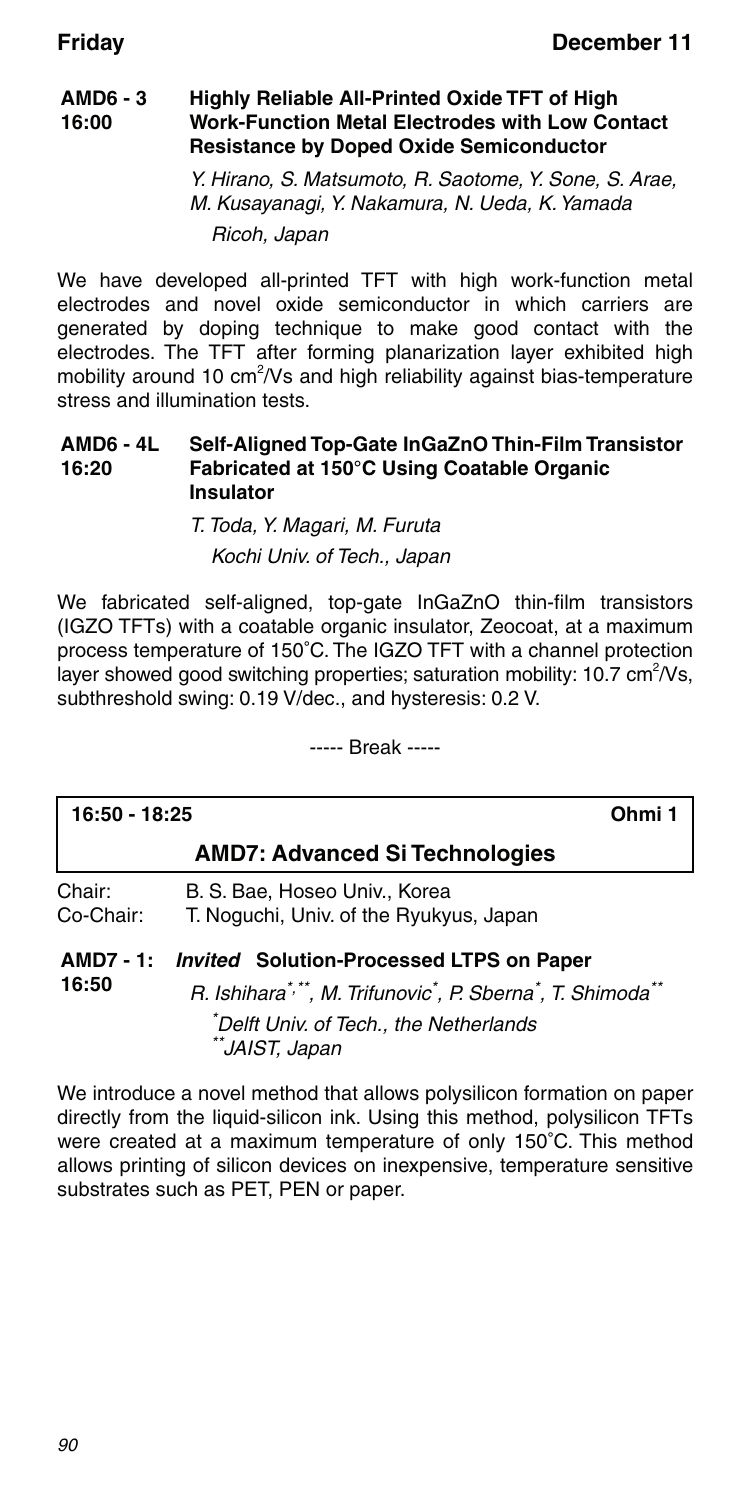#### **AMD6 - 3 16:00 Highly Reliable All-Printed Oxide TFT of High Work-Function Metal Electrodes with Low Contact Resistance by Doped Oxide Semiconductor**

Y. Hirano, S. Matsumoto, R. Saotome, Y. Sone, S. Arae, M. Kusayanagi, Y. Nakamura, N. Ueda, K. Yamada Ricoh, Japan

We have developed all-printed TFT with high work-function metal electrodes and novel oxide semiconductor in which carriers are generated by doping technique to make good contact with the electrodes. The TFT after forming planarization layer exhibited high mobility around 10 cm<sup>2</sup>/Vs and high reliability against bias-temperature stress and illumination tests.

#### **AMD6 - 4L 16:20 Self-Aligned Top-Gate InGaZnO Thin-Film Transistor Fabricated at 150°C Using Coatable Organic Insulator**

### T. Toda, Y. Magari, M. Furuta Kochi Univ. of Tech., Japan

We fabricated self-aligned, top-gate InGaZnO thin-film transistors (IGZO TFTs) with a coatable organic insulator, Zeocoat, at a maximum process temperature of 150°C. The IGZO TFT with a channel protection layer showed good switching properties; saturation mobility: 10.7 cm<sup>2</sup>/Vs, subthreshold swing: 0.19 V/dec., and hysteresis: 0.2 V.

----- Break -----

| 16:50 - 18:25       | Ohmi 1                                                                                                                                                                                                                      |
|---------------------|-----------------------------------------------------------------------------------------------------------------------------------------------------------------------------------------------------------------------------|
|                     | <b>AMD7: Advanced Si Technologies</b>                                                                                                                                                                                       |
| Chair:<br>Co-Chair: | B. S. Bae, Hoseo Univ., Korea<br>T. Noguchi, Univ. of the Ryukyus, Japan                                                                                                                                                    |
| AMD7 - 1:<br>16:50  | <b>Invited Solution-Processed LTPS on Paper</b><br>R. Ishihara <sup>*,**</sup> , M. Trifunovic <sup>*</sup> , P. Sberna <sup>*</sup> , T. Shimoda <sup>**</sup><br>*Delft Univ. of Tech., the Netherlands<br>**JAIST, Japan |

We introduce a novel method that allows polysilicon formation on paper directly from the liquid-silicon ink. Using this method, polysilicon TFTs were created at a maximum temperature of only 150°C. This method allows printing of silicon devices on inexpensive, temperature sensitive substrates such as PET, PEN or paper.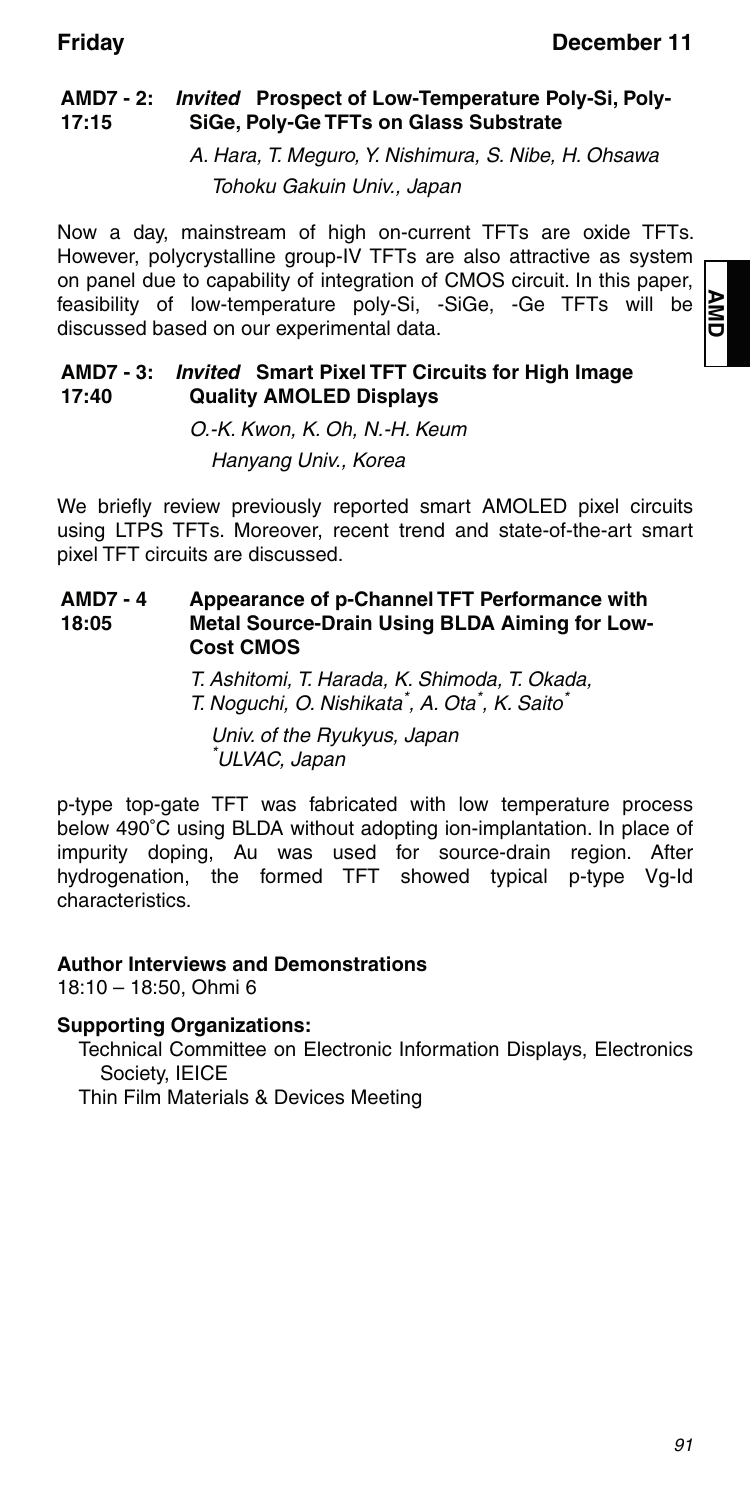#### **AMD7 - 2:** *Invited* **Prospect of Low-Temperature Poly-Si, Poly-17:15 SiGe, Poly-Ge TFTs on Glass Substrate**

A. Hara, T. Meguro, Y. Nishimura, S. Nibe, H. Ohsawa Tohoku Gakuin Univ., Japan

Now a day, mainstream of high on-current TFTs are oxide TFTs. However, polycrystalline group-IV TFTs are also attractive as system on panel due to capability of integration of CMOS circuit. In this paper, feasibility of low-temperature poly-Si, -SiGe, -Ge TFTs will be discussed based on our experimental data.

#### **AMD7 - 3:** *Invited* **Smart Pixel TFT Circuits for High Image 17:40 Quality AMOLED Displays**

O.-K. Kwon, K. Oh, N.-H. Keum

Hanyang Univ., Korea

We briefly review previously reported smart AMOLED pixel circuits using LTPS TFTs. Moreover, recent trend and state-of-the-art smart pixel TFT circuits are discussed.

#### **AMD7 - 4 18:05 Appearance of p-Channel TFT Performance with Metal Source-Drain Using BLDA Aiming for Low-Cost CMOS**

T. Ashitomi, T. Harada, K. Shimoda, T. Okada, T. Noguchi, O. Nishikata<sup>\*</sup>, A. Ota<sup>\*</sup>, K. Saito<sup>\*</sup>

Univ. of the Ryukyus, Japan \* ULVAC, Japan

p-type top-gate TFT was fabricated with low temperature process below 490°C using BLDA without adopting ion-implantation. In place of impurity doping, Au was used for source-drain region. After hydrogenation, the formed TFT showed typical p-type Vg-Id characteristics.

### **Author Interviews and Demonstrations**

18:10 – 18:50, Ohmi 6

#### **Supporting Organizations:**

Technical Committee on Electronic Information Displays, Electronics Society, IEICE Thin Film Materials & Devices Meeting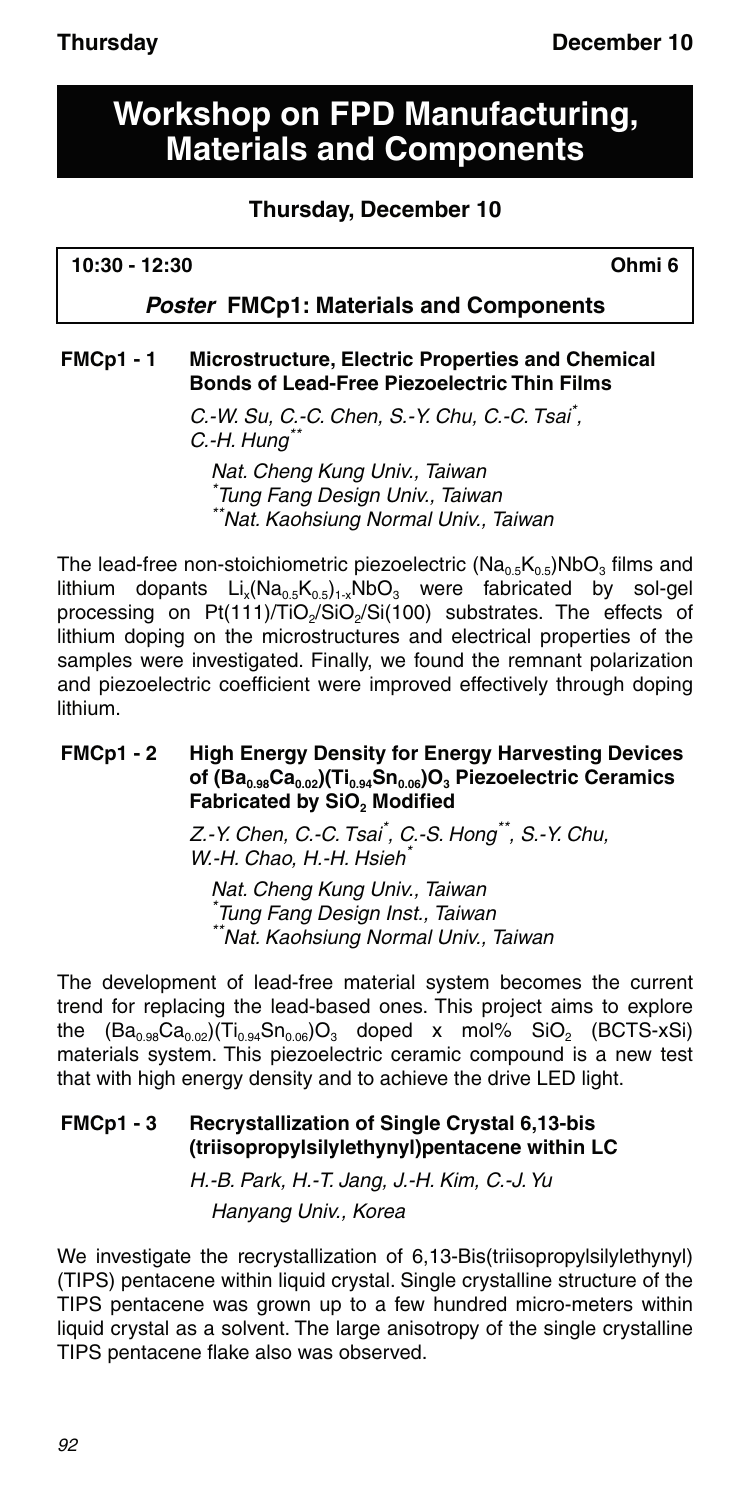## **Workshop on FPD Manufacturing, Materials and Components**

## **Thursday, December 10**

### *Poster* **FMCp1: Materials and Components**

### **FMCp1 - 1 Microstructure, Electric Properties and Chemical Bonds of Lead-Free Piezoelectric Thin Films**

C.-W. Su, C.-C. Chen, S.-Y. Chu, C.-C. Tsai\* ,  $C.-H. Hung*$ 

Nat. Cheng Kung Univ., Taiwan \* Tung Fang Design Univ., Taiwan \*\*Nat. Kaohsiung Normal Univ., Taiwan

The lead-free non-stoichiometric piezoelectric  $(Na_{0.5}K_{0.5})NbO<sub>3</sub>$  films and lithium dopants  $Li_x(Na_{0.5}K_{0.5})_{1-x}NbO_3$  were fabricated by sol-gel processing on Pt(111)/TiO<sub>2</sub>/SiO<sub>2</sub>/Si(100) substrates. The effects of lithium doping on the microstructures and electrical properties of the samples were investigated. Finally, we found the remnant polarization and piezoelectric coefficient were improved effectively through doping lithium.

#### **FMCp1 - 2 High Energy Density for Energy Harvesting Devices**  of (Ba<sub>0.98</sub>Ca<sub>0.02</sub>)(Ti<sub>0.94</sub>Sn<sub>0.06</sub>)O<sub>3</sub> Piezoelectric Ceramics Fabricated by SiO<sub>2</sub> Modified

Z.-Y. Chen, C.-C. Tsai\* , C.-S. Hong\*\*, S.-Y. Chu, W.-H. Chao, H.-H. Hsieh\*

Nat. Cheng Kung Univ., Taiwan \* Tung Fang Design Inst., Taiwan \*\*Nat. Kaohsiung Normal Univ., Taiwan

The development of lead-free material system becomes the current trend for replacing the lead-based ones. This project aims to explore the  $(Ba_{0.98}Ca_{0.02})(Ti_{0.94}Sn_{0.06})O_3$  doped x mol% SiO<sub>2</sub> (BCTS-xSi) materials system. This piezoelectric ceramic compound is a new test that with high energy density and to achieve the drive LED light.

### **FMCp1 - 3 Recrystallization of Single Crystal 6,13-bis (triisopropylsilylethynyl)pentacene within LC**

H.-B. Park, H.-T. Jang, J.-H. Kim, C.-J. Yu Hanyang Univ., Korea

We investigate the recrystallization of 6,13-Bis(triisopropylsilylethynyl) (TIPS) pentacene within liquid crystal. Single crystalline structure of the TIPS pentacene was grown up to a few hundred micro-meters within liquid crystal as a solvent. The large anisotropy of the single crystalline TIPS pentacene flake also was observed.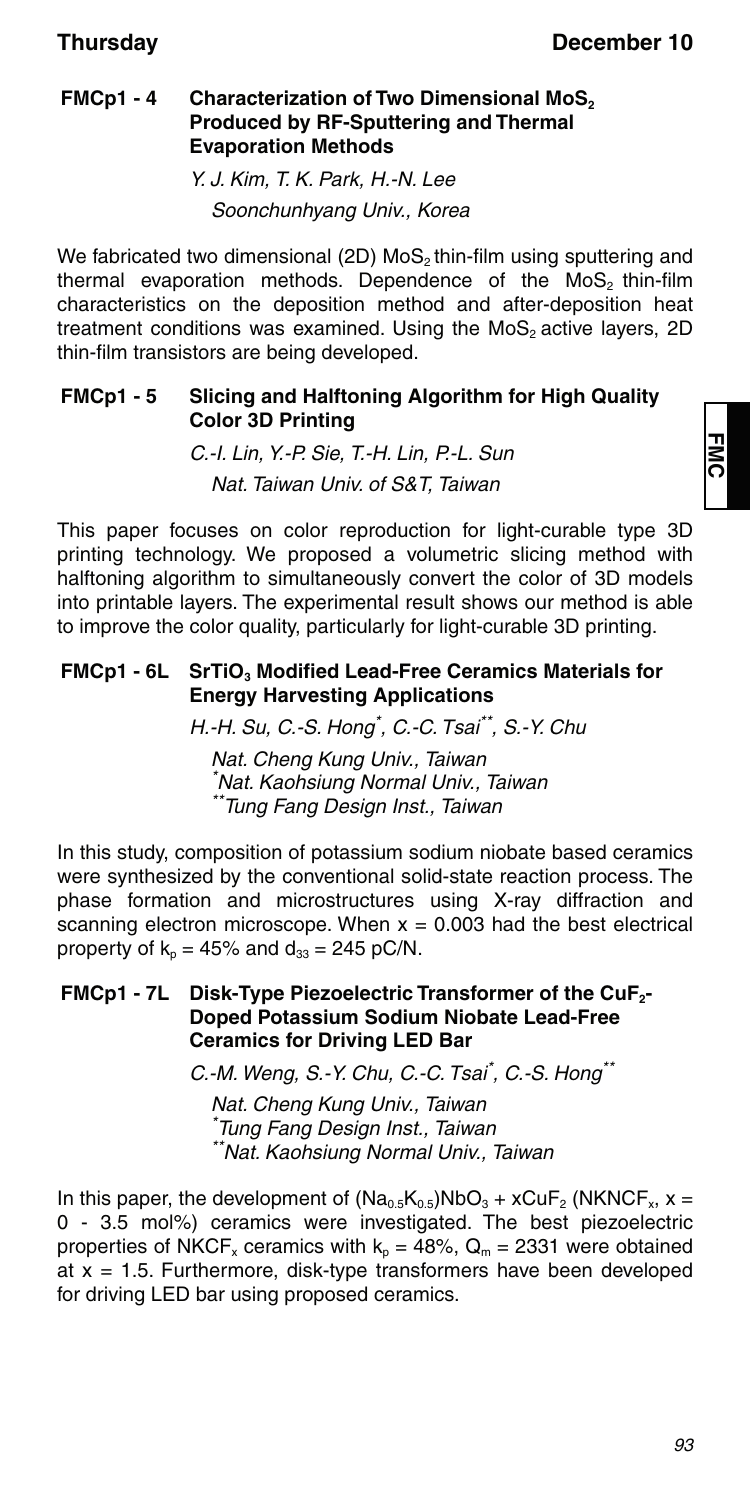### **FMCp1 - 4 Characterization of Two Dimensional MoS<sub>2</sub> Produced by RF-Sputtering and Thermal Evaporation Methods**

Y. J. Kim, T. K. Park, H.-N. Lee Soonchunhyang Univ., Korea

We fabricated two dimensional (2D) MoS<sub>2</sub> thin-film using sputtering and thermal evaporation methods. Dependence of the MoS<sub>2</sub> thin-film characteristics on the deposition method and after-deposition heat treatment conditions was examined. Using the MoS<sub>2</sub> active layers, 2D thin-film transistors are being developed.

### **FMCp1 - 5 Slicing and Halftoning Algorithm for High Quality Color 3D Printing**

C.-I. Lin, Y.-P. Sie, T.-H. Lin, P.-L. Sun Nat. Taiwan Univ. of S&T, Taiwan

This paper focuses on color reproduction for light-curable type 3D printing technology. We proposed a volumetric slicing method with halftoning algorithm to simultaneously convert the color of 3D models into printable layers. The experimental result shows our method is able to improve the color quality, particularly for light-curable 3D printing.

### FMCp1 - 6L SrTiO<sub>3</sub> Modified Lead-Free Ceramics Materials for **Energy Harvesting Applications**

H.-H. Su, C.-S. Hong\* , C.-C. Tsai\*\*, S.-Y. Chu

Nat. Cheng Kung Univ., Taiwan \* Nat. Kaohsiung Normal Univ., Taiwan \*\*Tung Fang Design Inst., Taiwan

In this study, composition of potassium sodium niobate based ceramics were synthesized by the conventional solid-state reaction process. The phase formation and microstructures using X-ray diffraction and scanning electron microscope. When  $x = 0.003$  had the best electrical property of  $k_p = 45\%$  and  $d_{33} = 245$  pC/N.

### **FMCp1 - 7L Disk-Type Piezoelectric Transformer of the CuF2- Doped Potassium Sodium Niobate Lead-Free Ceramics for Driving LED Bar**

C.-M. Weng, S.-Y. Chu, C.-C. Tsai\*, C.-S. Hong\*\*

Nat. Cheng Kung Univ., Taiwan \* Tung Fang Design Inst., Taiwan \*\*Nat. Kaohsiung Normal Univ., Taiwan

In this paper, the development of  $(Na_{0.5}K_{0.5})NbO<sub>3</sub> + xCuF<sub>2</sub> (NKNCF<sub>x</sub>, x =$ 0 - 3.5 mol%) ceramics were investigated. The best piezoelectric properties of NKCF<sub>x</sub> ceramics with  $k_p = 48\%$ ,  $Q_m = 2331$  were obtained at  $x = 1.5$ . Furthermore, disk-type transformers have been developed for driving LED bar using proposed ceramics.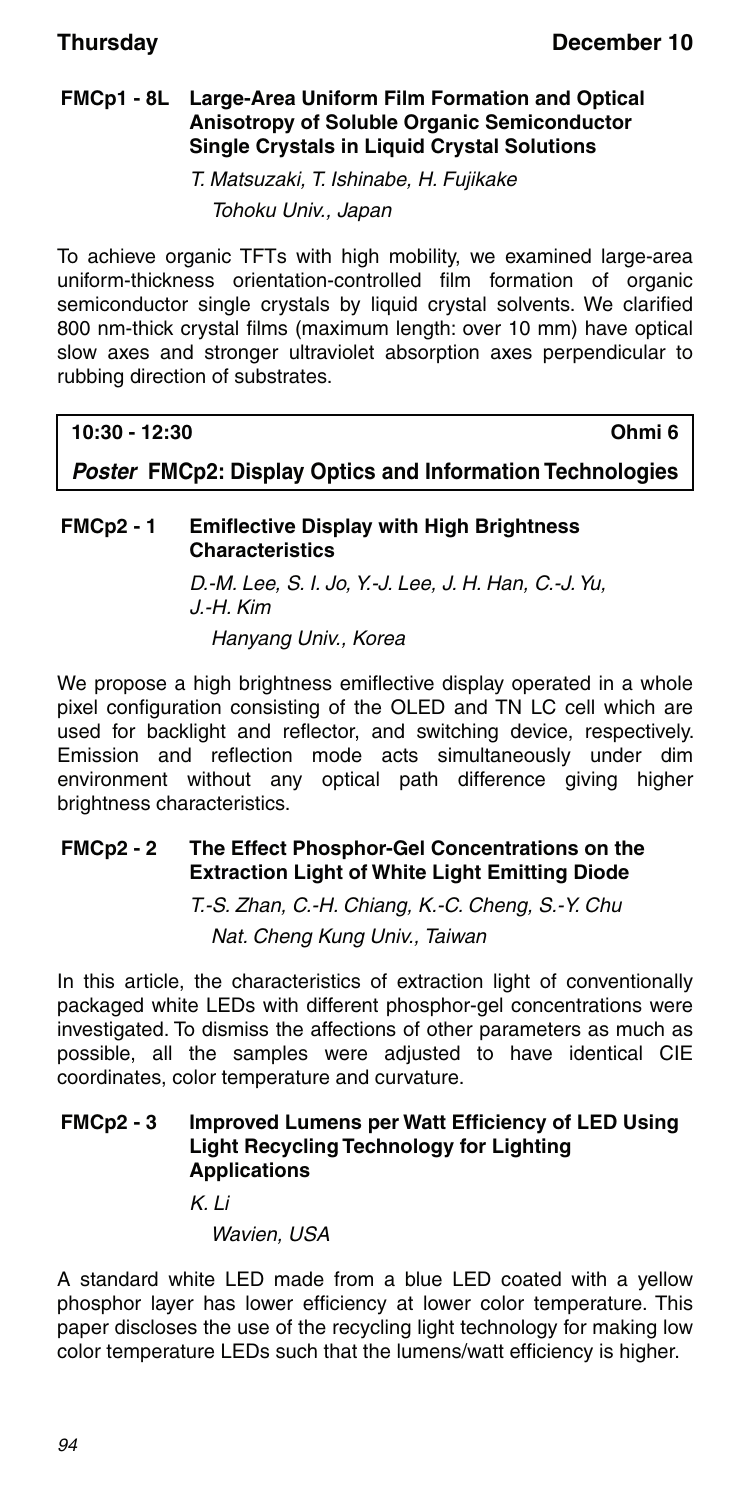#### **FMCp1 - 8L Large-Area Uniform Film Formation and Optical Anisotropy of Soluble Organic Semiconductor Single Crystals in Liquid Crystal Solutions**

T. Matsuzaki, T. Ishinabe, H. Fujikake Tohoku Univ., Japan

To achieve organic TFTs with high mobility, we examined large-area uniform-thickness orientation-controlled film formation of organic semiconductor single crystals by liquid crystal solvents. We clarified 800 nm-thick crystal films (maximum length: over 10 mm) have optical slow axes and stronger ultraviolet absorption axes perpendicular to rubbing direction of substrates.

**10:30 - 12:30 Ohmi 6**

*Poster* **FMCp2: Display Optics and Information Technologies**

### **FMCp2 - 1 Emiflective Display with High Brightness Characteristics**

D.-M. Lee, S. I. Jo, Y.-J. Lee, J. H. Han, C.-J. Yu, J.-H. Kim

Hanyang Univ., Korea

We propose a high brightness emiflective display operated in a whole pixel configuration consisting of the OLED and TN LC cell which are used for backlight and reflector, and switching device, respectively. Emission and reflection mode acts simultaneously under dim environment without any optical path difference giving higher brightness characteristics.

### **FMCp2 - 2 The Effect Phosphor-Gel Concentrations on the Extraction Light of White Light Emitting Diode**

T.-S. Zhan, C.-H. Chiang, K.-C. Cheng, S.-Y. Chu Nat. Cheng Kung Univ., Taiwan

In this article, the characteristics of extraction light of conventionally packaged white LEDs with different phosphor-gel concentrations were investigated. To dismiss the affections of other parameters as much as possible, all the samples were adjusted to have identical CIE coordinates, color temperature and curvature.

#### **FMCp2 - 3 Improved Lumens per Watt Efficiency of LED Using Light Recycling Technology for Lighting Applications**

K. Li

Wavien, USA

A standard white LED made from a blue LED coated with a yellow phosphor layer has lower efficiency at lower color temperature. This paper discloses the use of the recycling light technology for making low color temperature LEDs such that the lumens/watt efficiency is higher.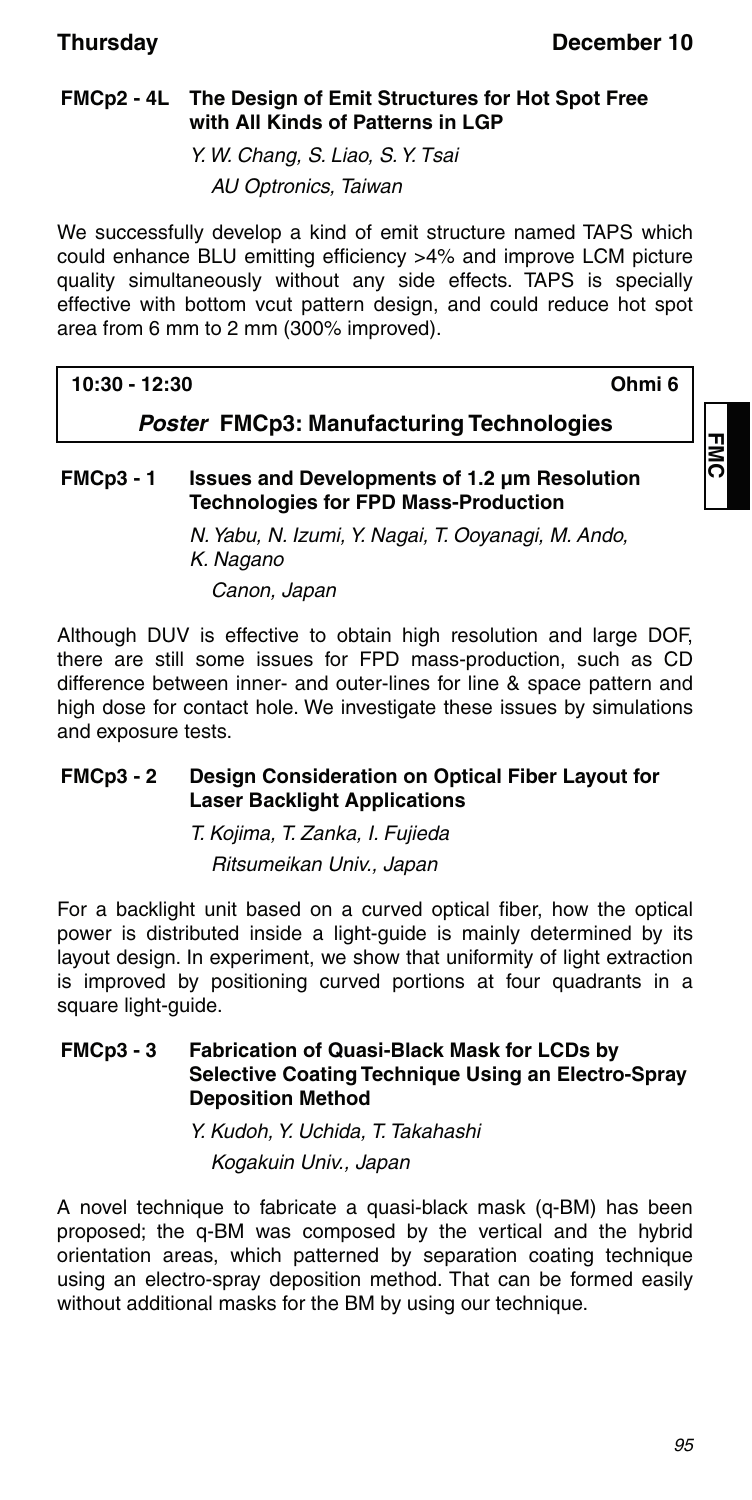### **FMCp2 - 4L The Design of Emit Structures for Hot Spot Free with All Kinds of Patterns in LGP**

Y. W. Chang, S. Liao, S. Y. Tsai

AU Optronics, Taiwan

We successfully develop a kind of emit structure named TAPS which could enhance BLU emitting efficiency >4% and improve LCM picture quality simultaneously without any side effects. TAPS is specially effective with bottom vcut pattern design, and could reduce hot spot area from 6 mm to 2 mm (300% improved).

### **10:30 - 12:30 Ohmi 6**

コ<br>0<br>0

*Poster* **FMCp3: Manufacturing Technologies**

### **FMCp3 - 1 Issues and Developments of 1.2 μm Resolution Technologies for FPD Mass-Production**

N. Yabu, N. Izumi, Y. Nagai, T. Ooyanagi, M. Ando, K. Nagano Canon, Japan

Although DUV is effective to obtain high resolution and large DOF, there are still some issues for FPD mass-production, such as CD difference between inner- and outer-lines for line & space pattern and high dose for contact hole. We investigate these issues by simulations and exposure tests.

#### **FMCp3 - 2 Design Consideration on Optical Fiber Layout for Laser Backlight Applications**

T. Kojima, T. Zanka, I. Fujieda Ritsumeikan Univ., Japan

For a backlight unit based on a curved optical fiber, how the optical power is distributed inside a light-guide is mainly determined by its layout design. In experiment, we show that uniformity of light extraction is improved by positioning curved portions at four quadrants in a square light-guide.

#### **FMCp3 - 3 Fabrication of Quasi-Black Mask for LCDs by Selective Coating Technique Using an Electro-Spray Deposition Method**

Y. Kudoh, Y. Uchida, T. Takahashi Kogakuin Univ., Japan

A novel technique to fabricate a quasi-black mask (q-BM) has been proposed; the q-BM was composed by the vertical and the hybrid orientation areas, which patterned by separation coating technique using an electro-spray deposition method. That can be formed easily without additional masks for the BM by using our technique.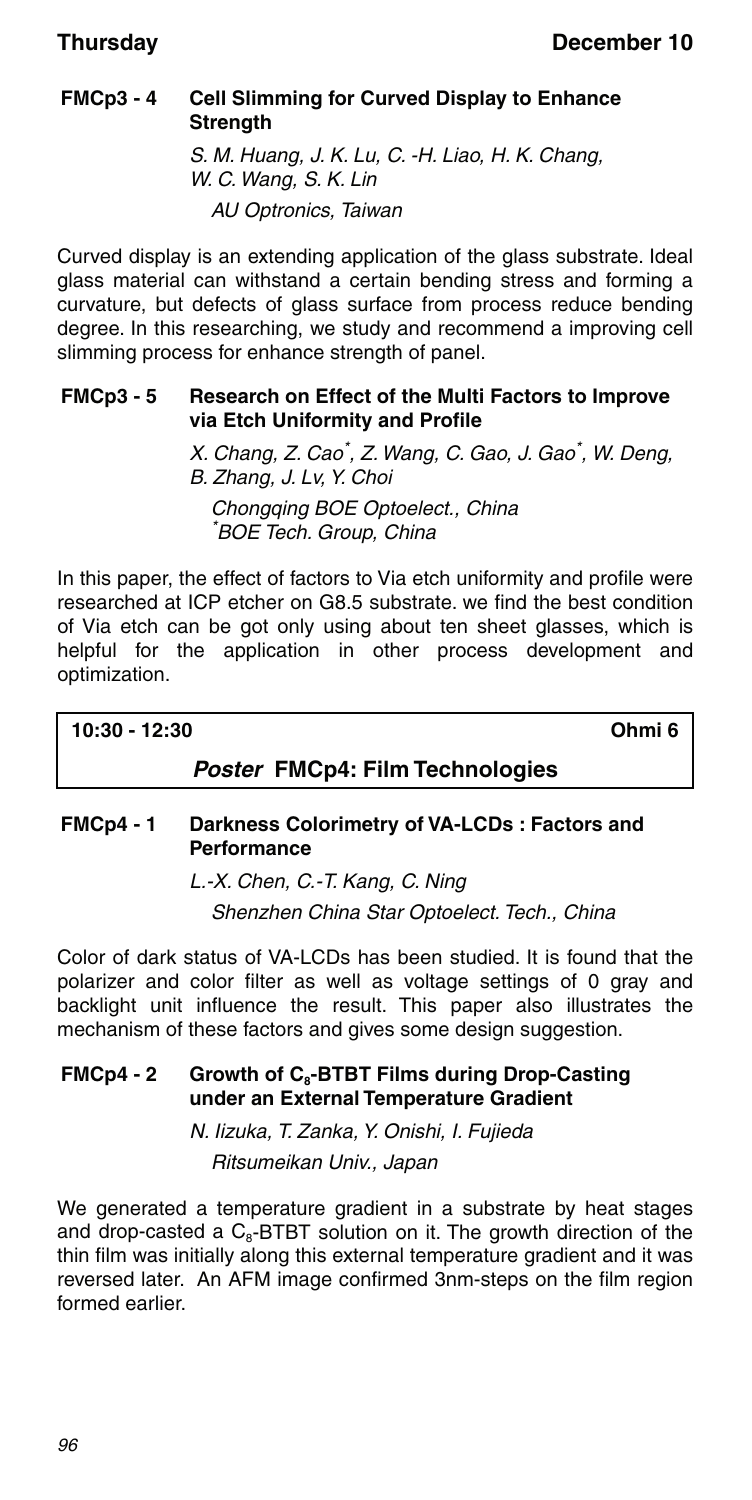## **FMCp3 - 4 Cell Slimming for Curved Display to Enhance Strength**

S. M. Huang, J. K. Lu, C. -H. Liao, H. K. Chang, W. C. Wang, S. K. Lin AU Optronics, Taiwan

Curved display is an extending application of the glass substrate. Ideal glass material can withstand a certain bending stress and forming a curvature, but defects of glass surface from process reduce bending degree. In this researching, we study and recommend a improving cell slimming process for enhance strength of panel.

#### **FMCp3 - 5 Research on Effect of the Multi Factors to Improve via Etch Uniformity and Profile**

X. Chang, Z. Cao<sup>\*</sup>, Z. Wang, C. Gao, J. Gao<sup>\*</sup>, W. Deng, B. Zhang, J. Lv, Y. Choi

Chongging BOE Optoelect., China \* BOE Tech. Group, China

In this paper, the effect of factors to Via etch uniformity and profile were researched at ICP etcher on G8.5 substrate. we find the best condition of Via etch can be got only using about ten sheet glasses, which is helpful for the application in other process development and optimization.

**10:30 - 12:30 Ohmi 6**

### *Poster* **FMCp4: Film Technologies**

### **FMCp4 - 1 Darkness Colorimetry of VA-LCDs : Factors and Performance**

L.-X. Chen, C.-T. Kang, C. Ning

Shenzhen China Star Optoelect. Tech., China

Color of dark status of VA-LCDs has been studied. It is found that the polarizer and color filter as well as voltage settings of 0 gray and backlight unit influence the result. This paper also illustrates the mechanism of these factors and gives some design suggestion.

#### FMCp4 - 2 Growth of C<sub>s</sub>-BTBT Films during Drop-Casting **under an External Temperature Gradient**

N. Iizuka, T. Zanka, Y. Onishi, I. Fujieda Ritsumeikan Univ., Japan

We generated a temperature gradient in a substrate by heat stages and drop-casted a  $C_8$ -BTBT solution on it. The growth direction of the thin film was initially along this external temperature gradient and it was reversed later. An AFM image confirmed 3nm-steps on the film region formed earlier.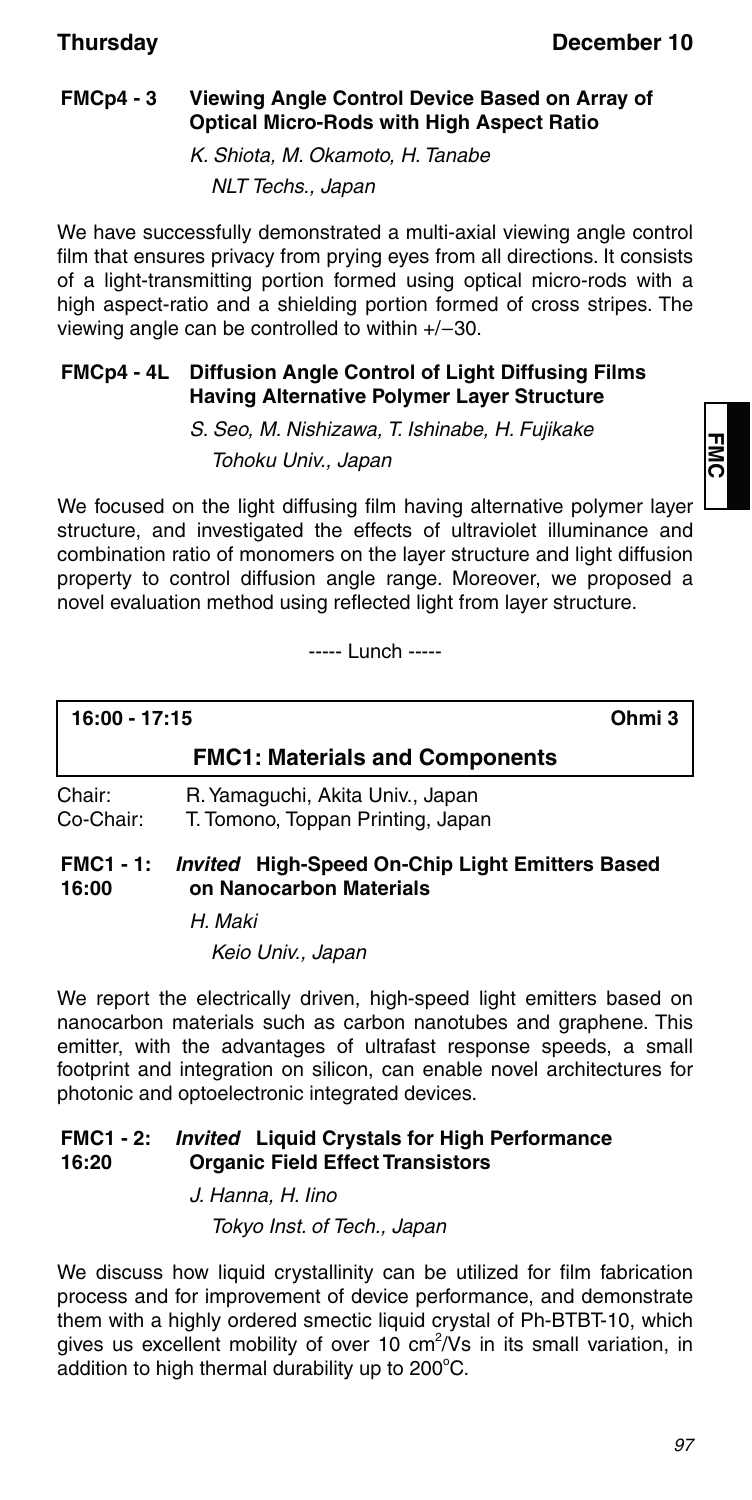### **FMCp4 - 3 Viewing Angle Control Device Based on Array of Optical Micro-Rods with High Aspect Ratio**

K. Shiota, M. Okamoto, H. Tanabe NLT Techs., Japan

We have successfully demonstrated a multi-axial viewing angle control film that ensures privacy from prying eyes from all directions. It consists of a light-transmitting portion formed using optical micro-rods with a high aspect-ratio and a shielding portion formed of cross stripes. The viewing angle can be controlled to within  $+/-30$ .

#### **FMCp4 - 4L Diffusion Angle Control of Light Diffusing Films Having Alternative Polymer Layer Structure**

S. Seo, M. Nishizawa, T. Ishinabe, H. Fujikake

Tohoku Univ., Japan

We focused on the light diffusing film having alternative polymer layer structure, and investigated the effects of ultraviolet illuminance and combination ratio of monomers on the layer structure and light diffusion property to control diffusion angle range. Moreover, we proposed a novel evaluation method using reflected light from layer structure.

----- Lunch -----

**16:00 - 17:15 Ohmi 3 FMC1: Materials and Components** Chair: R. Yamaguchi, Akita Univ., Japan T. Tomono, Toppan Printing, Japan

#### **FMC1 - 1: 16:00** *Invited* **High-Speed On-Chip Light Emitters Based on Nanocarbon Materials**

H. Maki

Keio Univ., Japan

We report the electrically driven, high-speed light emitters based on nanocarbon materials such as carbon nanotubes and graphene. This emitter, with the advantages of ultrafast response speeds, a small footprint and integration on silicon, can enable novel architectures for photonic and optoelectronic integrated devices.

#### **FMC1 - 2: 16:20** *Invited* **Liquid Crystals for High Performance Organic Field Effect Transistors**

J. Hanna, H. Iino Tokyo Inst. of Tech., Japan

We discuss how liquid crystallinity can be utilized for film fabrication process and for improvement of device performance, and demonstrate them with a highly ordered smectic liquid crystal of Ph-BTBT-10, which gives us excellent mobility of over 10 cm<sup>2</sup>/Vs in its small variation, in addition to high thermal durability up to  $200^{\circ}$ C.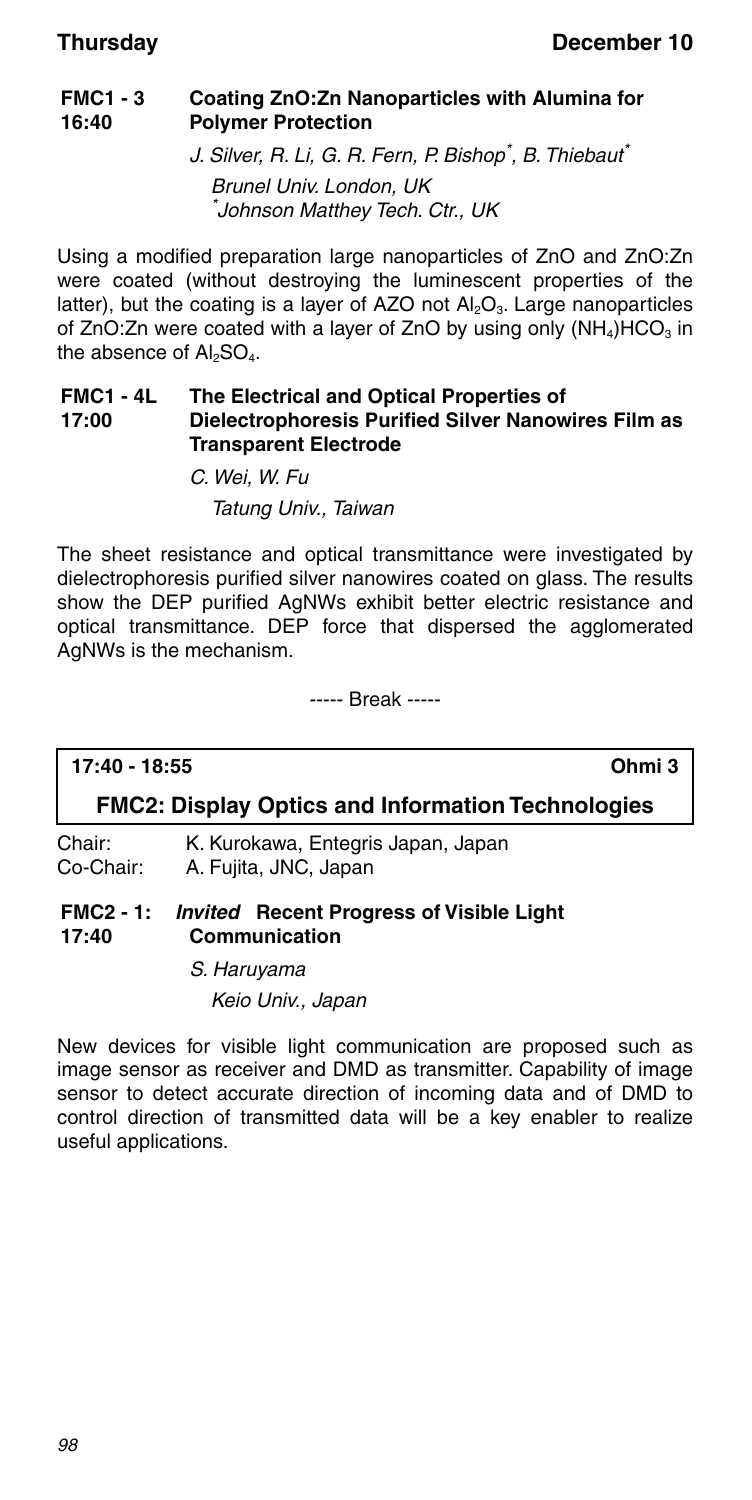#### **FMC1 - 3 16:40 Coating ZnO:Zn Nanoparticles with Alumina for Polymer Protection**

J. Silver, R. Li, G. R. Fern, P. Bishop<sup>\*</sup>, B. Thiebaut<sup>\*</sup>

Brunel Univ. London, UK \* Johnson Matthey Tech. Ctr., UK

Using a modified preparation large nanoparticles of ZnO and ZnO:Zn were coated (without destroying the luminescent properties of the latter), but the coating is a layer of AZO not  $Al_2O_3$ . Large nanoparticles of ZnO:Zn were coated with a layer of ZnO by using only  $(NH_4)HCO_3$  in the absence of  $AI<sub>2</sub>SO<sub>4</sub>$ .

#### **FMC1 - 4L 17:00 The Electrical and Optical Properties of Dielectrophoresis Purified Silver Nanowires Film as Transparent Electrode**

C. Wei, W. Fu Tatung Univ., Taiwan

The sheet resistance and optical transmittance were investigated by dielectrophoresis purified silver nanowires coated on glass. The results show the DEP purified AgNWs exhibit better electric resistance and optical transmittance. DEP force that dispersed the agglomerated AgNWs is the mechanism.

----- Break -----

#### **17:40 - 18:55 Ohmi 3**

### **FMC2: Display Optics and Information Technologies**

Chair: K. Kurokawa, Entegris Japan, Japan Co-Chair: A. Fujita, JNC, Japan

#### **FMC2 - 1: 17:40** *Invited* **Recent Progress of Visible Light Communication**

S. Haruyama Keio Univ., Japan

New devices for visible light communication are proposed such as image sensor as receiver and DMD as transmitter. Capability of image sensor to detect accurate direction of incoming data and of DMD to control direction of transmitted data will be a key enabler to realize useful applications.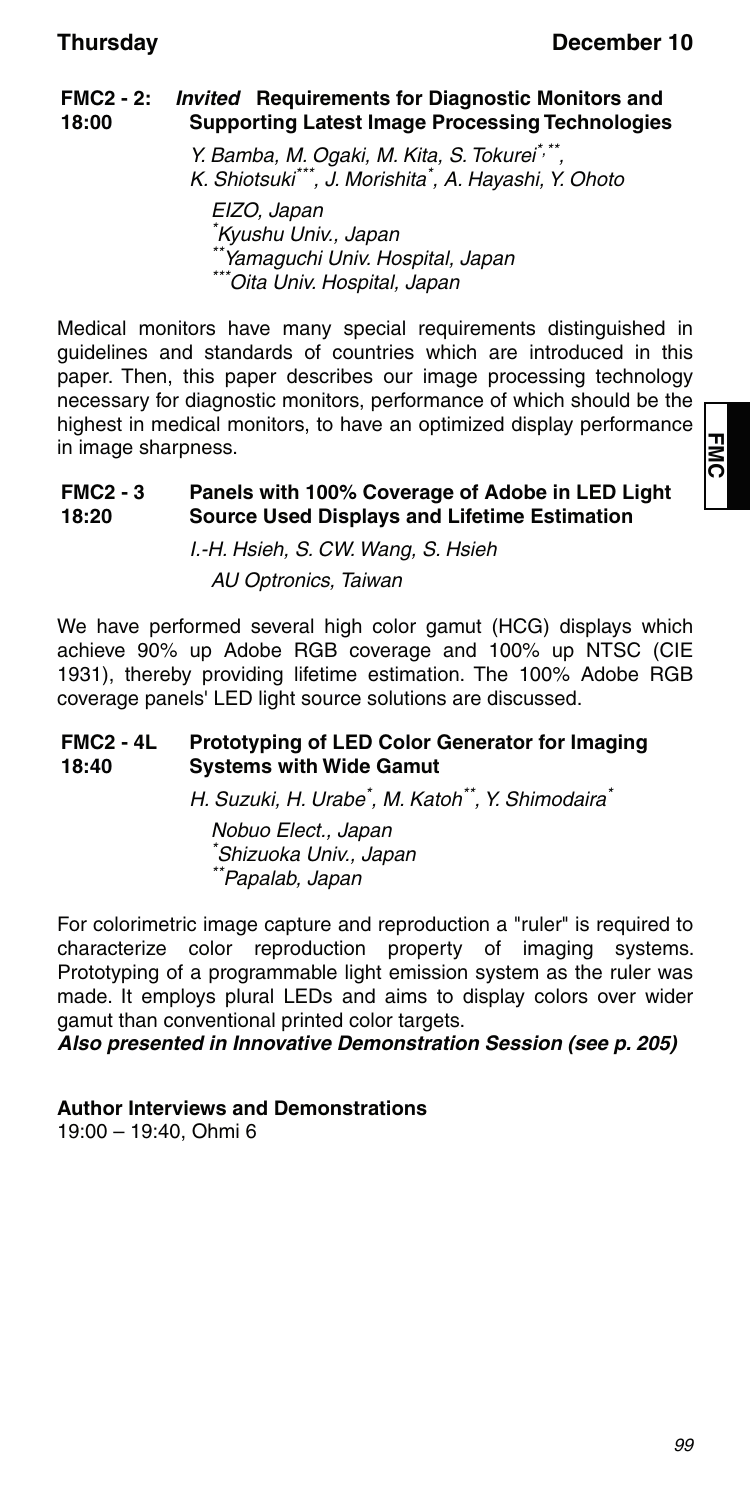#### **FMC2 - 2: 18:00** *Invited* **Requirements for Diagnostic Monitors and Supporting Latest Image Processing Technologies**

Y. Bamba, M. Ogaki, M. Kita, S. Tokurei\*,\*\*. K. Shiotsuki\*\*\*, J. Morishita\* , A. Hayashi, Y. Ohoto EIZO, Japan \* Kyushu Univ., Japan \*\*Yamaguchi Univ. Hospital, Japan

Medical monitors have many special requirements distinguished in guidelines and standards of countries which are introduced in this paper. Then, this paper describes our image processing technology necessary for diagnostic monitors, performance of which should be the highest in medical monitors, to have an optimized display performance in image sharpness.

\*Oita Univ. Hospital, Japan

#### **FMC2 - 3 18:20 Panels with 100% Coverage of Adobe in LED Light Source Used Displays and Lifetime Estimation**

I.-H. Hsieh, S. CW. Wang, S. Hsieh AU Optronics, Taiwan

We have performed several high color gamut (HCG) displays which achieve 90% up Adobe RGB coverage and 100% up NTSC (CIE 1931), thereby providing lifetime estimation. The 100% Adobe RGB coverage panels' LED light source solutions are discussed.

#### **FMC2 - 4L 18:40 Prototyping of LED Color Generator for Imaging Systems with Wide Gamut**

H. Suzuki, H. Urabe<sup>\*</sup>, M. Katoh<sup>\*\*</sup>, Y. Shimodaira<sup>\*</sup>

Nobuo Elect., Japan \* Shizuoka Univ., Japan \*\*Papalab, Japan

For colorimetric image capture and reproduction a "ruler" is required to characterize color reproduction property of imaging systems. Prototyping of a programmable light emission system as the ruler was made. It employs plural LEDs and aims to display colors over wider gamut than conventional printed color targets.

*Also presented in Innovative Demonstration Session (see p. 205)*

**Author Interviews and Demonstrations**

19:00 – 19:40, Ohmi 6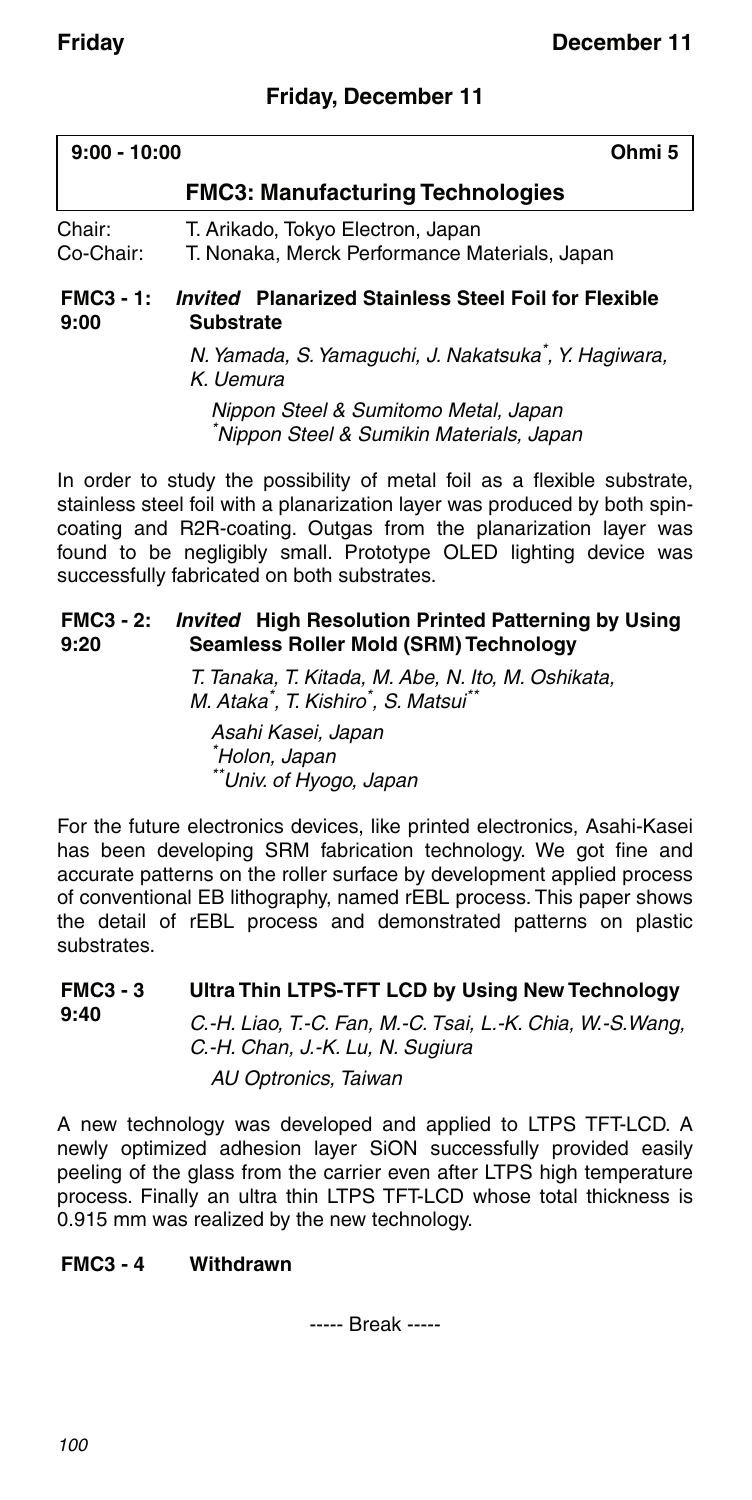## **Friday, December 11**

| $9:00 - 10:00$   | Ohmi 5                                                      |
|------------------|-------------------------------------------------------------|
|                  | <b>FMC3: Manufacturing Technologies</b>                     |
| Chair:           | T. Arikado, Tokyo Electron, Japan                           |
| Co-Chair:        | T. Nonaka, Merck Performance Materials, Japan               |
| <b>FMC3 - 1:</b> | <i>Invited</i> Planarized Stainless Steel Foil for Flexible |
| 9:00             | <b>Substrate</b>                                            |

N. Yamada, S. Yamaguchi, J. Nakatsuka\* , Y. Hagiwara, K. Uemura

Nippon Steel & Sumitomo Metal, Japan \* Nippon Steel & Sumikin Materials, Japan

In order to study the possibility of metal foil as a flexible substrate, stainless steel foil with a planarization layer was produced by both spincoating and R2R-coating. Outgas from the planarization layer was found to be negligibly small. Prototype OLED lighting device was successfully fabricated on both substrates.

#### **FMC3 - 2:** *Invited* **High Resolution Printed Patterning by Using 9:20 Seamless Roller Mold (SRM) Technology**

T. Tanaka, T. Kitada, M. Abe, N. Ito, M. Oshikata, M. Ataka<sup>\*</sup>, T. Kishiro<sup>\*</sup>, S. Matsui<sup>\*\*</sup>

Asahi Kasei, Japan \* Holon, Japan \*\*Univ. of Hyogo, Japan

For the future electronics devices, like printed electronics, Asahi-Kasei has been developing SRM fabrication technology. We got fine and accurate patterns on the roller surface by development applied process of conventional EB lithography, named rEBL process. This paper shows the detail of rEBL process and demonstrated patterns on plastic substrates.

#### **FMC3 - 3 9:40 Ultra Thin LTPS-TFT LCD by Using New Technology**

C.-H. Liao, T.-C. Fan, M.-C. Tsai, L.-K. Chia, W.-S.Wang, C.-H. Chan, J.-K. Lu, N. Sugiura

AU Optronics, Taiwan

A new technology was developed and applied to LTPS TFT-LCD. A newly optimized adhesion layer SiON successfully provided easily peeling of the glass from the carrier even after LTPS high temperature process. Finally an ultra thin LTPS TFT-LCD whose total thickness is 0.915 mm was realized by the new technology.

### **FMC3 - 4 Withdrawn**

----- Break -----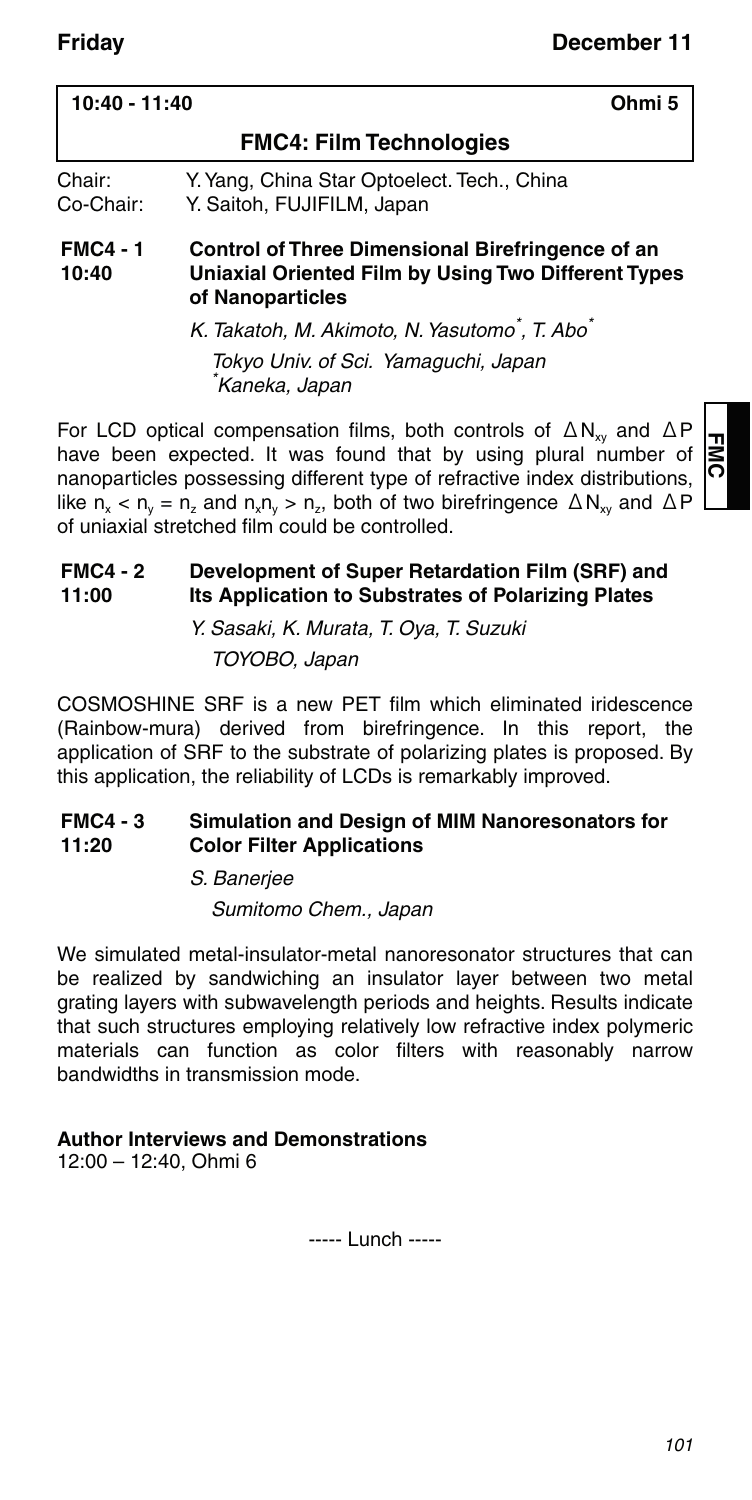| 10:40 - 11:40<br>Ohmi 5  |                                                                                                                             |
|--------------------------|-----------------------------------------------------------------------------------------------------------------------------|
|                          | <b>FMC4: Film Technologies</b>                                                                                              |
| Chair:<br>Co-Chair:      | Y. Yang, China Star Optoelect. Tech., China<br>Y. Saitoh, FUJIFILM, Japan                                                   |
| <b>FMC4 - 1</b><br>10:40 | Control of Three Dimensional Birefringence of an<br>Uniaxial Oriented Film by Using Two Different Types<br>of Nanoparticles |
|                          | K. Takatoh, M. Akimoto, N. Yasutomo <sup>*</sup> , T. Abo <sup>*</sup>                                                      |
|                          | Tokyo Univ. of Sci. Yamaguchi, Japan<br>*Kaneka, Japan                                                                      |

For LCD optical compensation films, both controls of  $\Delta N_{xy}$  and  $\Delta P$ have been expected. It was found that by using plural number of nanoparticles possessing different type of refractive index distributions, like  $n_x < n_y = n_z$  and  $n_x n_y > n_z$ , both of two birefringence  $\triangle N_{xx}$  and  $\triangle P$ of uniaxial stretched film could be controlled.

#### **FMC4 - 2 11:00 Development of Super Retardation Film (SRF) and Its Application to Substrates of Polarizing Plates**

Y. Sasaki, K. Murata, T. Oya, T. Suzuki TOYOBO, Japan

COSMOSHINE SRF is a new PET film which eliminated iridescence (Rainbow-mura) derived from birefringence. In this report, the application of SRF to the substrate of polarizing plates is proposed. By this application, the reliability of LCDs is remarkably improved.

#### **FMC4 - 3 11:20 Simulation and Design of MIM Nanoresonators for Color Filter Applications**

S. Banerjee

Sumitomo Chem., Japan

We simulated metal-insulator-metal nanoresonator structures that can be realized by sandwiching an insulator layer between two metal grating layers with subwavelength periods and heights. Results indicate that such structures employing relatively low refractive index polymeric materials can function as color filters with reasonably narrow bandwidths in transmission mode.

### **Author Interviews and Demonstrations**

12:00 – 12:40, Ohmi 6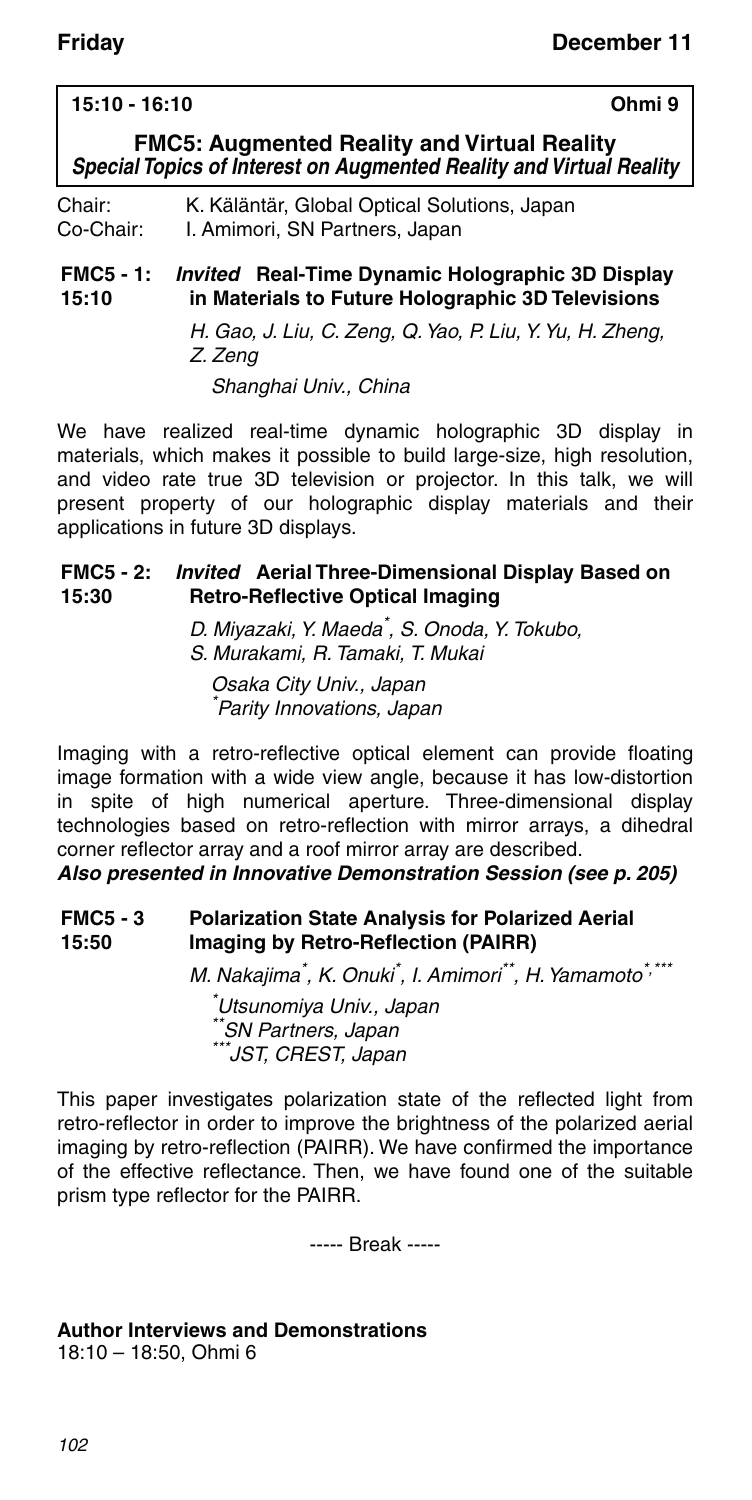### **15:10 - 16:10 Ohmi 9**

**FMC5: Augmented Reality and Virtual Reality** *Special Topics of Interest on Augmented Reality and Virtual Reality*

Chair: K. Käläntär, Global Optical Solutions, Japan Co-Chair: I. Amimori, SN Partners, Japan

#### **FMC5 - 1:** *Invited* **Real-Time Dynamic Holographic 3D Display 15:10 in Materials to Future Holographic 3D Televisions**

H. Gao, J. Liu, C. Zeng, Q. Yao, P. Liu, Y. Yu, H. Zheng, Z. Zeng

Shanghai Univ., China

We have realized real-time dynamic holographic 3D display in materials, which makes it possible to build large-size, high resolution, and video rate true 3D television or projector. In this talk, we will present property of our holographic display materials and their applications in future 3D displays.

#### **FMC5 - 2:** *Invited* **Aerial Three-Dimensional Display Based on 15:30 Retro-Reflective Optical Imaging**

D. Miyazaki, Y. Maeda\* , S. Onoda, Y. Tokubo, S. Murakami, R. Tamaki, T. Mukai

Osaka City Univ., Japan \* Parity Innovations, Japan

Imaging with a retro-reflective optical element can provide floating image formation with a wide view angle, because it has low-distortion in spite of high numerical aperture. Three-dimensional display technologies based on retro-reflection with mirror arrays, a dihedral corner reflector array and a roof mirror array are described.

*Also presented in Innovative Demonstration Session (see p. 205)*

#### **FMC5 - 3 15:50 Polarization State Analysis for Polarized Aerial Imaging by Retro-Reflection (PAIRR)**

M. Nakajima<sup>\*</sup>, K. Onuki<sup>\*</sup>, I. Amimori<sup>\*\*</sup>, H. Yamamoto<sup>\*,\*\*\*</sup>

\* Utsunomiya Univ., Japan \*\*SN Partners, Japan  $^*$ JST, CREST, Japan

This paper investigates polarization state of the reflected light from retro-reflector in order to improve the brightness of the polarized aerial imaging by retro-reflection (PAIRR). We have confirmed the importance of the effective reflectance. Then, we have found one of the suitable prism type reflector for the PAIRR.

----- Break -----

#### **Author Interviews and Demonstrations**

18:10 – 18:50, Ohmi 6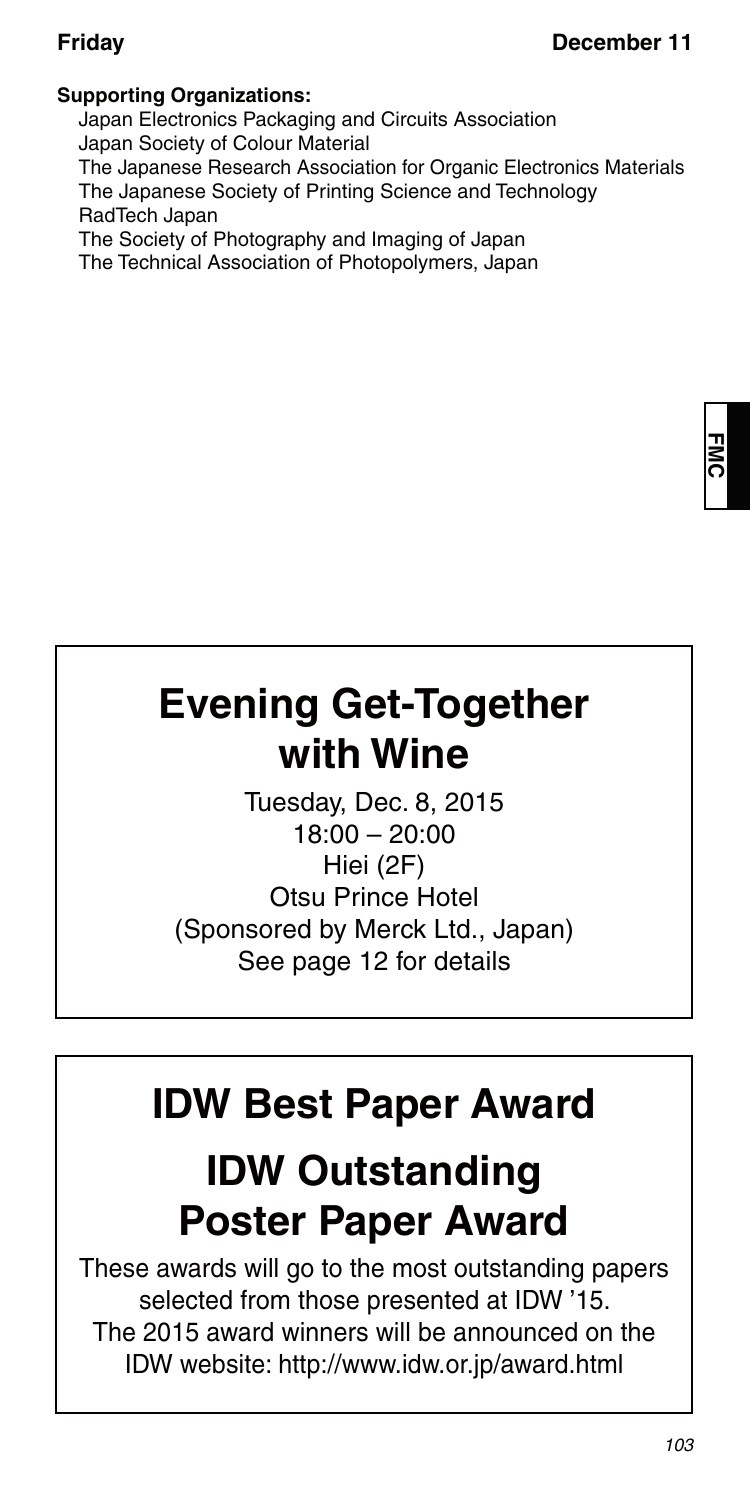### **Supporting Organizations:**

Japan Electronics Packaging and Circuits Association Japan Society of Colour Material The Japanese Research Association for Organic Electronics Materials The Japanese Society of Printing Science and Technology RadTech Japan

The Society of Photography and Imaging of Japan The Technical Association of Photopolymers, Japan

# **Evening Get-Together with Wine**

Tuesday, Dec. 8, 2015 18:00 – 20:00 Hiei (2F) Otsu Prince Hotel (Sponsored by Merck Ltd., Japan) See page 12 for details

# **IDW Best Paper Award**

# **IDW Outstanding Poster Paper Award**

These awards will go to the most outstanding papers selected from those presented at IDW '15. The 2015 award winners will be announced on the IDW website: http://www.idw.or.jp/award.html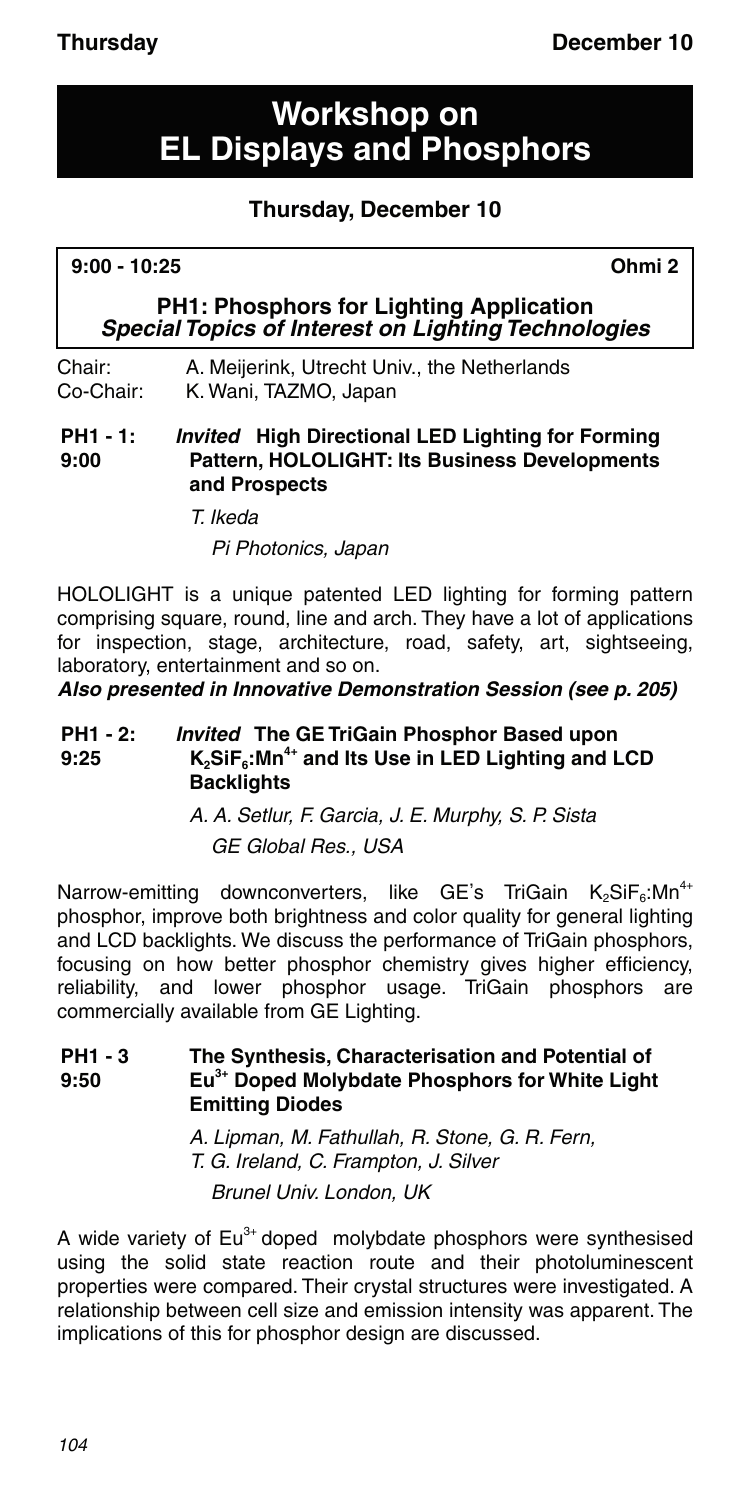## **Workshop on EL Displays and Phosphors**

## **Thursday, December 10**

#### **9:00 - 10:25 Ohmi 2**

**PH1: Phosphors for Lighting Application** *Special Topics of Interest on Lighting Technologies*

Chair: A. Meijerink, Utrecht Univ., the Netherlands Co-Chair: K. Wani, TAZMO, Japan

**PH1 - 1: 9:00** *Invited* **High Directional LED Lighting for Forming Pattern, HOLOLIGHT: Its Business Developments and Prospects**

T. Ikeda

Pi Photonics, Japan

HOLOLIGHT is a unique patented LED lighting for forming pattern comprising square, round, line and arch. They have a lot of applications for inspection, stage, architecture, road, safety, art, sightseeing, laboratory, entertainment and so on.

*Also presented in Innovative Demonstration Session (see p. 205)*

#### **PH1 - 2: 9:25** *Invited* **The GE TriGain Phosphor Based upon K2SiF6:Mn4+ and Its Use in LED Lighting and LCD Backlights**

A. A. Setlur, F. Garcia, J. E. Murphy, S. P. Sista GE Global Res., USA

Narrow-emitting downconverters, like GE's TriGain  $K_2$ SiF<sub>6</sub>:Mn<sup>4+</sup> phosphor, improve both brightness and color quality for general lighting and LCD backlights. We discuss the performance of TriGain phosphors, focusing on how better phosphor chemistry gives higher efficiency, reliability, and lower phosphor usage. TriGain phosphors are commercially available from GE Lighting.

#### **PH1 - 3 9:50 The Synthesis, Characterisation and Potential of Eu3+ Doped Molybdate Phosphors for White Light Emitting Diodes**

A. Lipman, M. Fathullah, R. Stone, G. R. Fern, T. G. Ireland, C. Frampton, J. Silver

Brunel Univ. London, UK

A wide variety of  $Eu^{3+}$  doped molybdate phosphors were synthesised using the solid state reaction route and their photoluminescent properties were compared. Their crystal structures were investigated. A relationship between cell size and emission intensity was apparent. The implications of this for phosphor design are discussed.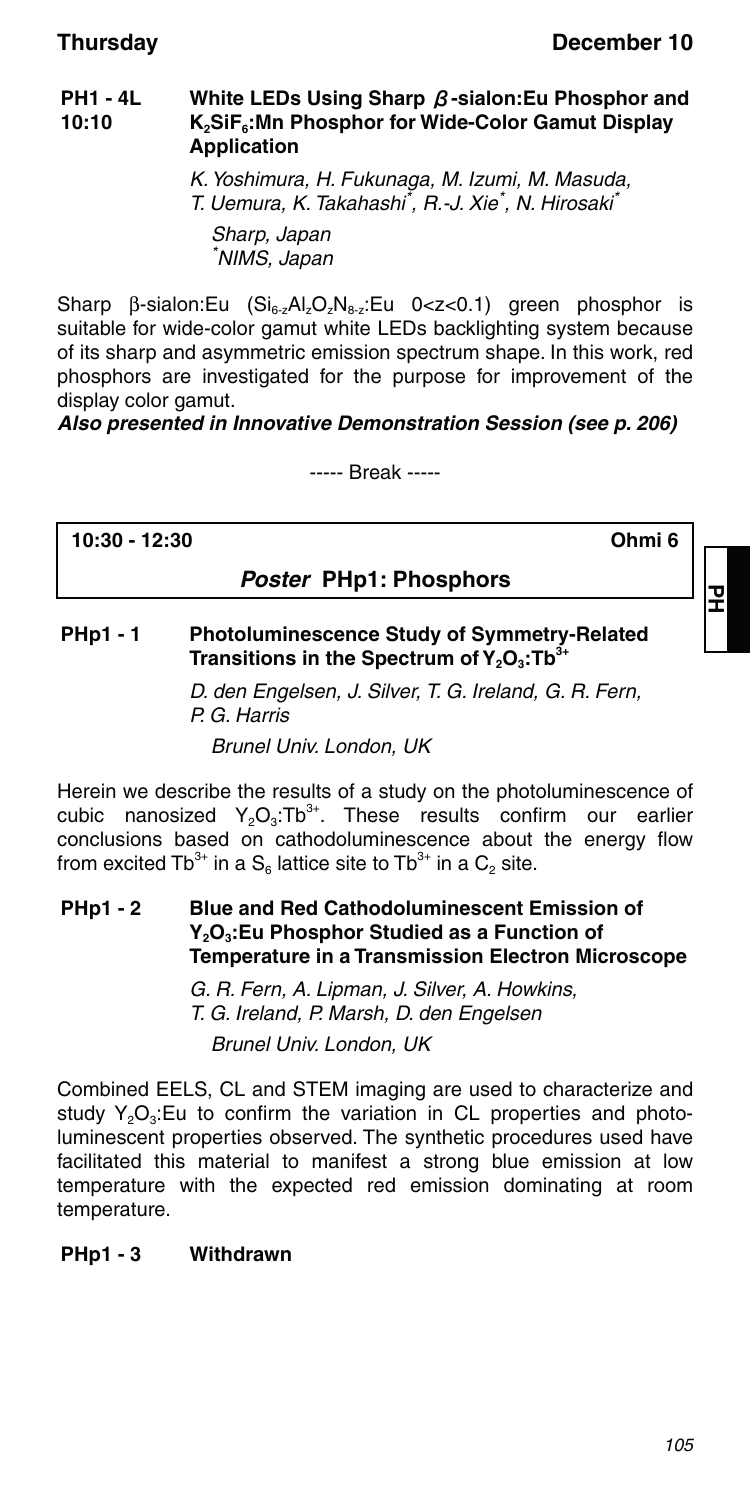#### **PH1 - 4L 10:10 White LEDs Using Sharp** β**-sialon:Eu Phosphor and K2SiF6:Mn Phosphor for Wide-Color Gamut Display Application**

K. Yoshimura, H. Fukunaga, M. Izumi, M. Masuda, T. Uemura, K. Takahashi<sup>\*</sup>, R.-J. Xie<sup>\*</sup>, N. Hirosaki<sup>\*</sup> Sharp, Japan \* NIMS, Japan

Sharp  $\beta$ -sialon:Eu (Si<sub>6-z</sub>Al<sub>z</sub>O<sub>z</sub>N<sub>8-z</sub>:Eu 0<z<0.1) green phosphor is suitable for wide-color gamut white LEDs backlighting system because of its sharp and asymmetric emission spectrum shape. In this work, red phosphors are investigated for the purpose for improvement of the display color gamut.

### *Also presented in Innovative Demonstration Session (see p. 206)*

----- Break -----

**10:30 - 12:30 Ohmi 6**

모

## *Poster* **PHp1: Phosphors**

### **PHp1 - 1 Photoluminescence Study of Symmetry-Related Transitions in the Spectrum of Y<sub>2</sub>O<sub>3</sub>:Tb<sup>3+</sup>**

D. den Engelsen, J. Silver, T. G. Ireland, G. R. Fern, P. G. Harris

Brunel Univ. London, UK

Herein we describe the results of a study on the photoluminescence of cubic nanosized  $Y_2O_3$ : These results confirm our earlier conclusions based on cathodoluminescence about the energy flow from excited Tb<sup>3+</sup> in a  $S_6$  lattice site to Tb<sup>3+</sup> in a  $C_2$  site.

#### **PHp1 - 2 Blue and Red Cathodoluminescent Emission of**  Y<sub>2</sub>O<sub>3</sub>: Eu Phosphor Studied as a Function of **Temperature in a Transmission Electron Microscope**

G. R. Fern, A. Lipman, J. Silver, A. Howkins, T. G. Ireland, P. Marsh, D. den Engelsen Brunel Univ. London, UK

Combined EELS, CL and STEM imaging are used to characterize and study  $Y_2O_3$ : Eu to confirm the variation in CL properties and photoluminescent properties observed. The synthetic procedures used have facilitated this material to manifest a strong blue emission at low temperature with the expected red emission dominating at room temperature.

#### **PHp1 - 3 Withdrawn**

105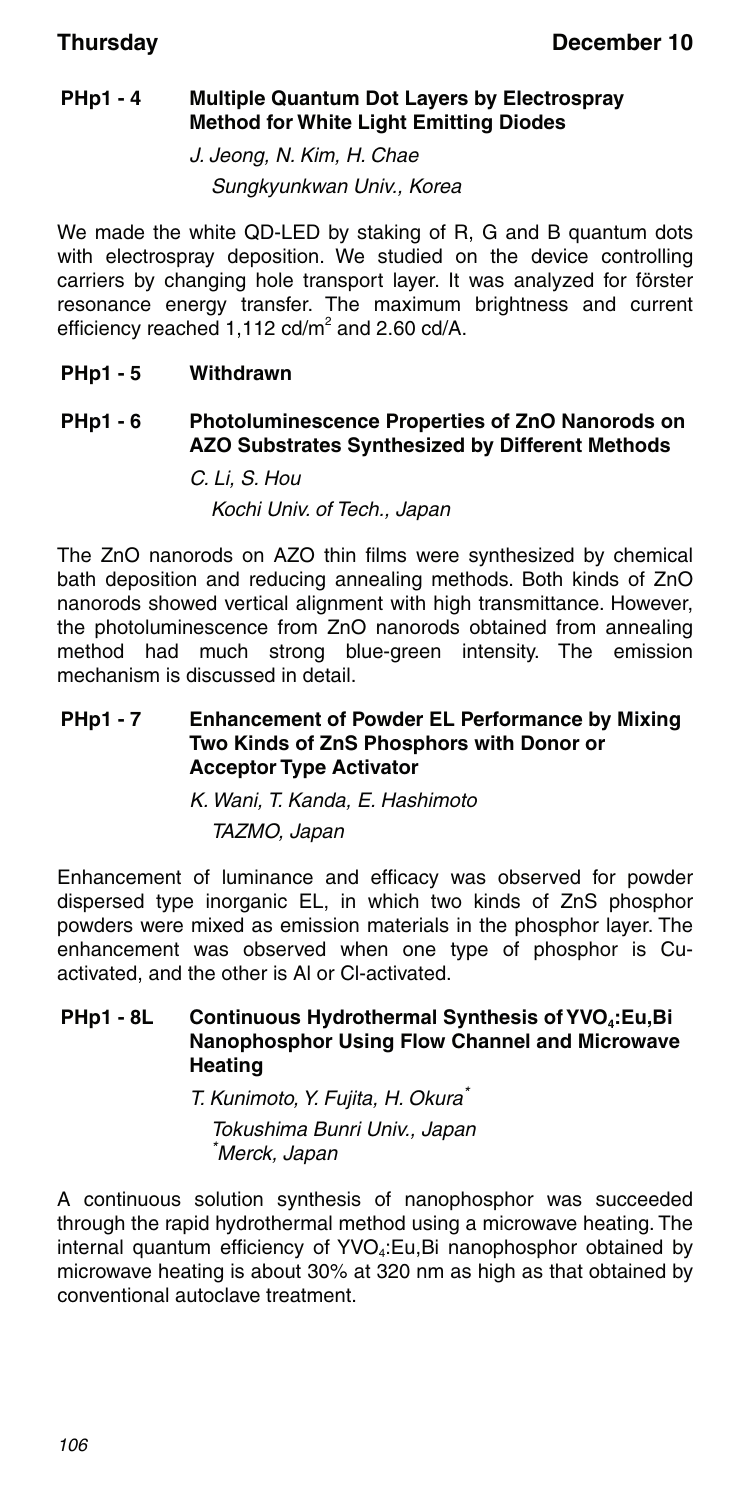### **PHp1 - 4 Multiple Quantum Dot Layers by Electrospray Method for White Light Emitting Diodes**

J. Jeong, N. Kim, H. Chae Sungkyunkwan Univ., Korea

We made the white QD-LED by staking of R, G and B quantum dots with electrospray deposition. We studied on the device controlling carriers by changing hole transport layer. It was analyzed for förster resonance energy transfer. The maximum brightness and current efficiency reached  $1,112$  cd/m<sup>2</sup> and 2.60 cd/A.

#### **PHp1 - 5 Withdrawn**

#### **PHp1 - 6 Photoluminescence Properties of ZnO Nanorods on AZO Substrates Synthesized by Different Methods**

C. Li, S. Hou Kochi Univ. of Tech., Japan

The ZnO nanorods on AZO thin films were synthesized by chemical bath deposition and reducing annealing methods. Both kinds of ZnO nanorods showed vertical alignment with high transmittance. However, the photoluminescence from ZnO nanorods obtained from annealing method had much strong blue-green intensity. The emission mechanism is discussed in detail.

#### **PHp1 - 7 Enhancement of Powder EL Performance by Mixing Two Kinds of ZnS Phosphors with Donor or Acceptor Type Activator**

K. Wani, T. Kanda, E. Hashimoto TAZMO, Japan

Enhancement of luminance and efficacy was observed for powder dispersed type inorganic EL, in which two kinds of ZnS phosphor powders were mixed as emission materials in the phosphor layer. The enhancement was observed when one type of phosphor is Cuactivated, and the other is Al or Cl-activated.

### **PHp1 - 8L** Continuous Hydrothermal Synthesis of YVO<sub>4</sub>:Eu,Bi **Nanophosphor Using Flow Channel and Microwave Heating**

T. Kunimoto, Y. Fujita, H. Okura\*

Tokushima Bunri Univ., Japan \* Merck, Japan

A continuous solution synthesis of nanophosphor was succeeded through the rapid hydrothermal method using a microwave heating. The internal quantum efficiency of  $YVO<sub>4</sub>:Eu,Bi$  nanophosphor obtained by microwave heating is about 30% at 320 nm as high as that obtained by conventional autoclave treatment.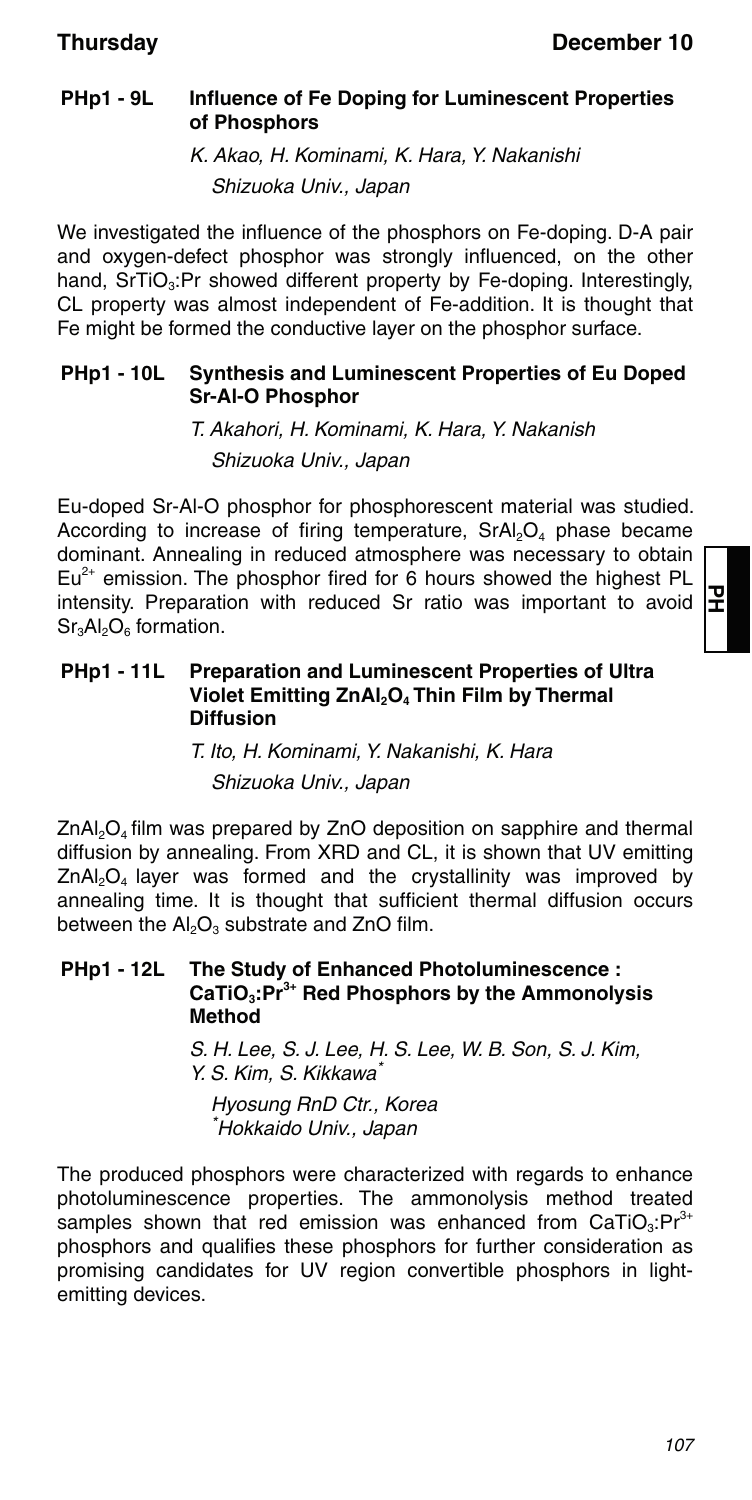### **PHp1 - 9L Influence of Fe Doping for Luminescent Properties of Phosphors**

K. Akao, H. Kominami, K. Hara, Y. Nakanishi Shizuoka Univ., Japan

We investigated the influence of the phosphors on Fe-doping. D-A pair and oxygen-defect phosphor was strongly influenced, on the other hand, SrTiO<sub>3</sub>:Pr showed different property by Fe-doping. Interestingly, CL property was almost independent of Fe-addition. It is thought that Fe might be formed the conductive layer on the phosphor surface.

#### **PHp1 - 10L Synthesis and Luminescent Properties of Eu Doped Sr-Al-O Phosphor**

T. Akahori, H. Kominami, K. Hara, Y. Nakanish Shizuoka Univ., Japan

Eu-doped Sr-Al-O phosphor for phosphorescent material was studied. According to increase of firing temperature,  $SrAl<sub>2</sub>O<sub>4</sub>$  phase became dominant. Annealing in reduced atmosphere was necessary to obtain  $Eu^{2+}$  emission. The phosphor fired for 6 hours showed the highest PL intensity. Preparation with reduced Sr ratio was important to avoid  $Sr<sub>3</sub>Al<sub>2</sub>O<sub>6</sub>$  formation.

#### **PHp1 - 11L Preparation and Luminescent Properties of Ultra Violet Emitting ZnAl<sub>2</sub>O<sub>4</sub> Thin Film by Thermal Diffusion**

T. Ito, H. Kominami, Y. Nakanishi, K. Hara Shizuoka Univ., Japan

 $ZnAl<sub>2</sub>O<sub>4</sub>$  film was prepared by  $ZnO$  deposition on sapphire and thermal diffusion by annealing. From XRD and CL, it is shown that UV emitting  $ZnAl<sub>2</sub>O<sub>4</sub>$  layer was formed and the crystallinity was improved by annealing time. It is thought that sufficient thermal diffusion occurs between the  $Al_2O_3$  substrate and ZnO film.

#### **PHp1 - 12L The Study of Enhanced Photoluminescence : CaTiO3:Pr3+ Red Phosphors by the Ammonolysis Method**

S. H. Lee, S. J. Lee, H. S. Lee, W. B. Son, S. J. Kim, Y. S. Kim, S. Kikkawa\*

Hyosung RnD Ctr., Korea \* Hokkaido Univ., Japan

The produced phosphors were characterized with regards to enhance photoluminescence properties. The ammonolysis method treated samples shown that red emission was enhanced from  $CaTiO<sub>3</sub>:Pr<sup>3+</sup>$ phosphors and qualifies these phosphors for further consideration as promising candidates for UV region convertible phosphors in lightemitting devices.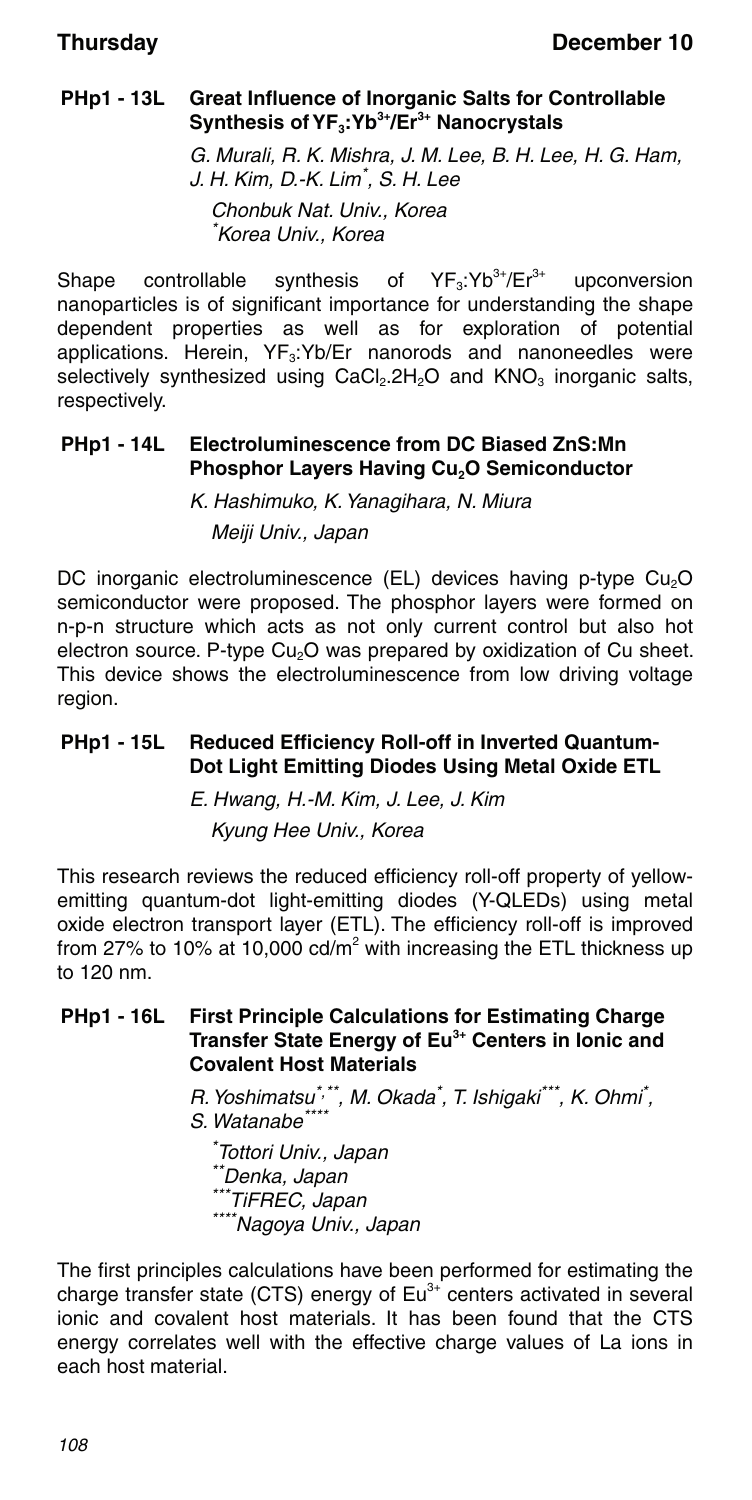### **PHp1 - 13L Great Influence of Inorganic Salts for Controllable**  Synthesis of YF<sub>3</sub>:Yb<sup>3+</sup>/Er<sup>3+</sup> Nanocrystals

G. Murali, R. K. Mishra, J. M. Lee, B. H. Lee, H. G. Ham, J. H. Kim, D.-K. Lim\* , S. H. Lee Chonbuk Nat. Univ., Korea \* Korea Univ., Korea

Shape controllable synthesis of  $YF_3:Yb^{3+}/Er^{3+}$  upconversion nanoparticles is of significant importance for understanding the shape dependent properties as well as for exploration of potential applications. Herein, YF<sub>3</sub>:Yb/Er nanorods and nanoneedles were selectively synthesized using  $CaCl<sub>2</sub>$ .  $2H<sub>2</sub>O$  and  $KNO<sub>3</sub>$  inorganic salts, respectively.

### **PHp1 - 14L Electroluminescence from DC Biased ZnS:Mn Phosphor Layers Having Cu<sub>2</sub>O Semiconductor**

K. Hashimuko, K. Yanagihara, N. Miura Meiji Univ., Japan

DC inorganic electroluminescence (EL) devices having p-type Cu<sub>2</sub>O semiconductor were proposed. The phosphor layers were formed on n-p-n structure which acts as not only current control but also hot electron source. P-type Cu<sub>2</sub>O was prepared by oxidization of Cu sheet. This device shows the electroluminescence from low driving voltage region.

### **PHp1 - 15L Reduced Efficiency Roll-off in Inverted Quantum-Dot Light Emitting Diodes Using Metal Oxide ETL**

E. Hwang, H.-M. Kim, J. Lee, J. Kim Kyung Hee Univ., Korea

This research reviews the reduced efficiency roll-off property of yellowemitting quantum-dot light-emitting diodes (Y-QLEDs) using metal oxide electron transport layer (ETL). The efficiency roll-off is improved from 27% to 10% at 10,000 cd/m<sup>2</sup> with increasing the ETL thickness up to 120 nm.

#### **PHp1 - 16L First Principle Calculations for Estimating Charge Transfer State Energy of Eu3+ Centers in Ionic and Covalent Host Materials**

R. Yoshimatsu<sup>\*,\*\*</sup>, M. Okada<sup>\*</sup>, T. Ishigaki<sup>\*\*\*</sup>, K. Ohmi<sup>\*</sup>, S. Watanabe<sup>\*\*</sup>

\* Tottori Univ., Japan \*\*Denka, Japan<br>\*\*\*TiFREC, Japan \*\*\*\*Nagoya Univ., Japan

The first principles calculations have been performed for estimating the charge transfer state (CTS) energy of  $Eu<sup>3+</sup>$  centers activated in several ionic and covalent host materials. It has been found that the CTS energy correlates well with the effective charge values of La ions in each host material.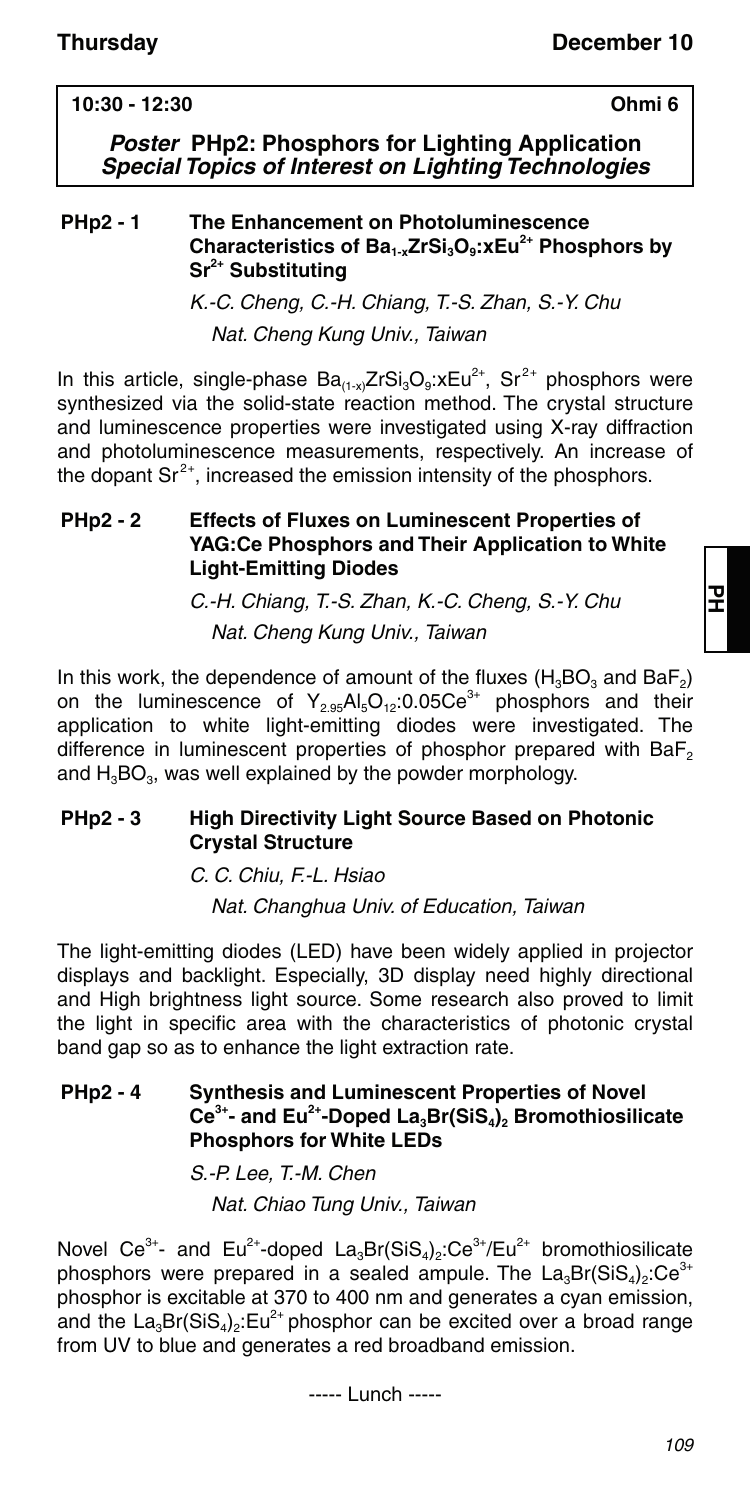### **10:30 - 12:30 Ohmi 6**

*Poster* **PHp2: Phosphors for Lighting Application** *Special Topics of Interest on Lighting Technologies*

#### **PHp2 - 1 The Enhancement on Photoluminescence**  Characteristics of Ba<sub>1-x</sub>ZrSi<sub>3</sub>O<sub>9</sub>:xEu<sup>2+</sup> Phosphors by **Sr2+ Substituting**

K.-C. Cheng, C.-H. Chiang, T.-S. Zhan, S.-Y. Chu Nat. Cheng Kung Univ., Taiwan

In this article, single-phase  $Ba_{(1-x)}ZrSi_3O_9$ : $xEu^{2+}$ , Sr<sup>2+</sup> phosphors were synthesized via the solid-state reaction method. The crystal structure and luminescence properties were investigated using X-ray diffraction and photoluminescence measurements, respectively. An increase of the dopant  $\text{Sr}^{2+}$ , increased the emission intensity of the phosphors.

#### **PHp2 - 2 Effects of Fluxes on Luminescent Properties of YAG:Ce Phosphors and Their Application to White Light-Emitting Diodes**

C.-H. Chiang, T.-S. Zhan, K.-C. Cheng, S.-Y. Chu Nat. Cheng Kung Univ., Taiwan

In this work, the dependence of amount of the fluxes  $(H_3BO_3 \text{ and } BaF_2)$ on the luminescence of  $Y_{2.95}Al_5O_{12}:0.05Ce^{3+}$  phosphors and their application to white light-emitting diodes were investigated. The difference in luminescent properties of phosphor prepared with BaF<sub>2</sub> and  $H_3BO_3$ , was well explained by the powder morphology.

### **PHp2 - 3 High Directivity Light Source Based on Photonic Crystal Structure**

C. C. Chiu, F.-L. Hsiao Nat. Changhua Univ. of Education, Taiwan

The light-emitting diodes (LED) have been widely applied in projector displays and backlight. Especially, 3D display need highly directional and High brightness light source. Some research also proved to limit the light in specific area with the characteristics of photonic crystal band gap so as to enhance the light extraction rate.

#### **PHp2 - 4 Synthesis and Luminescent Properties of Novel**  Ce<sup>3+</sup>- and Eu<sup>2+</sup>-Doped La<sub>3</sub>Br(SiS<sub>4</sub>)<sub>2</sub> Bromothiosilicate **Phosphors for White LEDs**

S.-P. Lee, T.-M. Chen Nat. Chiao Tung Univ., Taiwan

Novel Ce<sup>3+</sup>- and Eu<sup>2+</sup>-doped La<sub>3</sub>Br(SiS<sub>4</sub>)<sub>2</sub>:Ce<sup>3+</sup>/Eu<sup>2+</sup> bromothiosilicate phosphors were prepared in a sealed ampule. The  $La_3Br(SiS_4)_{2}$ :Ce<sup>3+</sup> phosphor is excitable at 370 to 400 nm and generates a cyan emission, and the  $La_3Br(SiS_4)$ . Eu<sup>2+</sup> phosphor can be excited over a broad range from UV to blue and generates a red broadband emission.

----- Lunch -----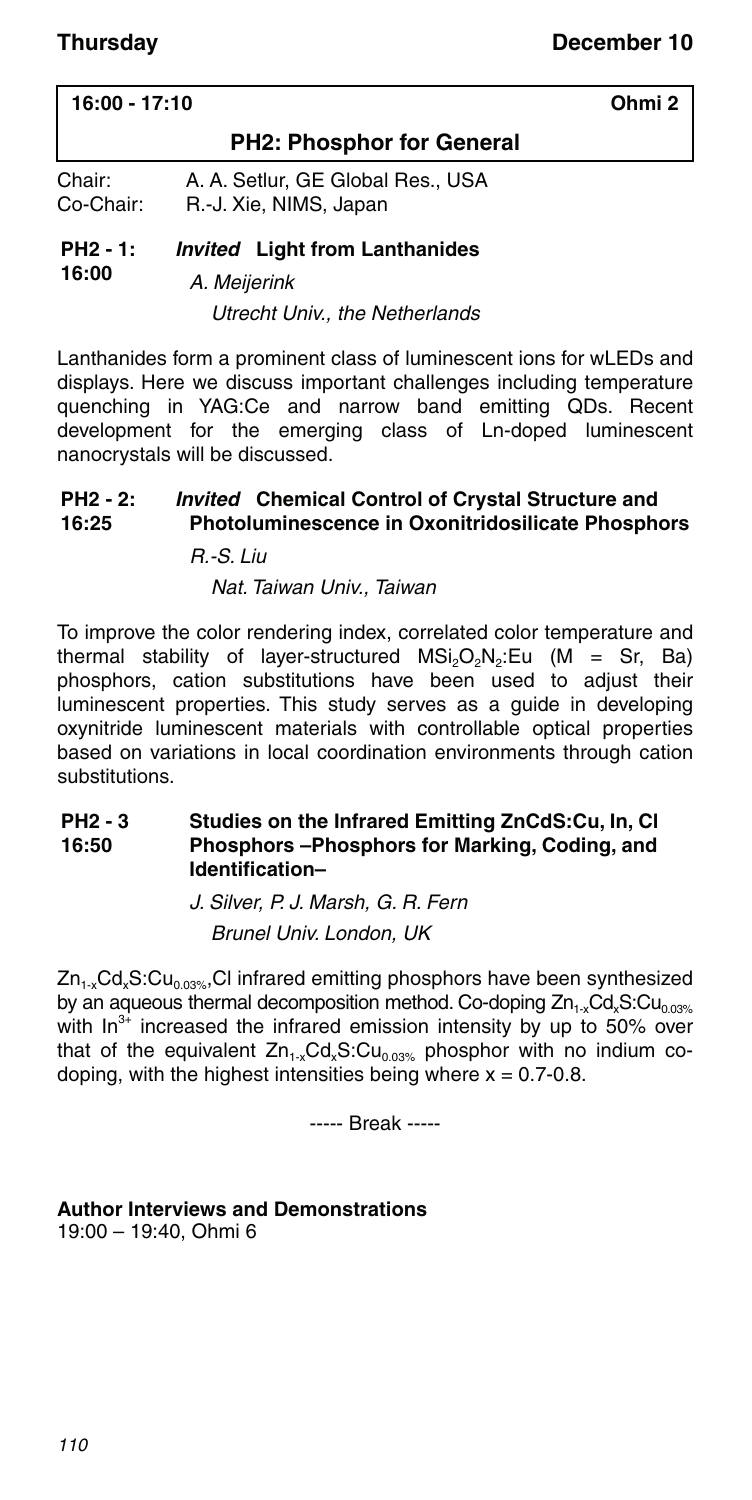| $16:00 - 17:10$     |                                                           | Ohmi 2 |
|---------------------|-----------------------------------------------------------|--------|
|                     | <b>PH2: Phosphor for General</b>                          |        |
| Chair:<br>Co-Chair: | A. A. Setlur. GE Global Res USA<br>R.-J. Xie, NIMS, Japan |        |

#### **PH2 - 1: 16:00** *Invited* **Light from Lanthanides**

A. Meijerink

Utrecht Univ., the Netherlands

Lanthanides form a prominent class of luminescent ions for wLEDs and displays. Here we discuss important challenges including temperature quenching in YAG:Ce and narrow band emitting QDs. Recent development for the emerging class of Ln-doped luminescent nanocrystals will be discussed.

#### **PH2 - 2: 16:25** *Invited* **Chemical Control of Crystal Structure and**

### **Photoluminescence in Oxonitridosilicate Phosphors** R.-S. Liu

#### Nat. Taiwan Univ., Taiwan

To improve the color rendering index, correlated color temperature and thermal stability of layer-structured  $MSi<sub>2</sub>O<sub>2</sub>N<sub>2</sub>$ : Eu (M = Sr, Ba) phosphors, cation substitutions have been used to adjust their luminescent properties. This study serves as a guide in developing oxynitride luminescent materials with controllable optical properties based on variations in local coordination environments through cation substitutions.

#### **PH2 - 3 16:50 Studies on the Infrared Emitting ZnCdS:Cu, In, Cl Phosphors –Phosphors for Marking, Coding, and Identification–**

J. Silver, P. J. Marsh, G. R. Fern Brunel Univ. London, UK

 $Zn_{1-x}Cd_xS:Cu_{0.03\%}$ , Cl infrared emitting phosphors have been synthesized by an aqueous thermal decomposition method. Co-doping  $Zn_{1x}Cd_{x}S:Cu_{0.03\%}$ with  $\ln^{3+}$  increased the infrared emission intensity by up to 50% over that of the equivalent  $Zn_{1-x}Cd_xS:Cu_{0.03\%}$  phosphor with no indium codoping, with the highest intensities being where  $x = 0.7 - 0.8$ .

----- Break -----

#### **Author Interviews and Demonstrations**

19:00 – 19:40, Ohmi 6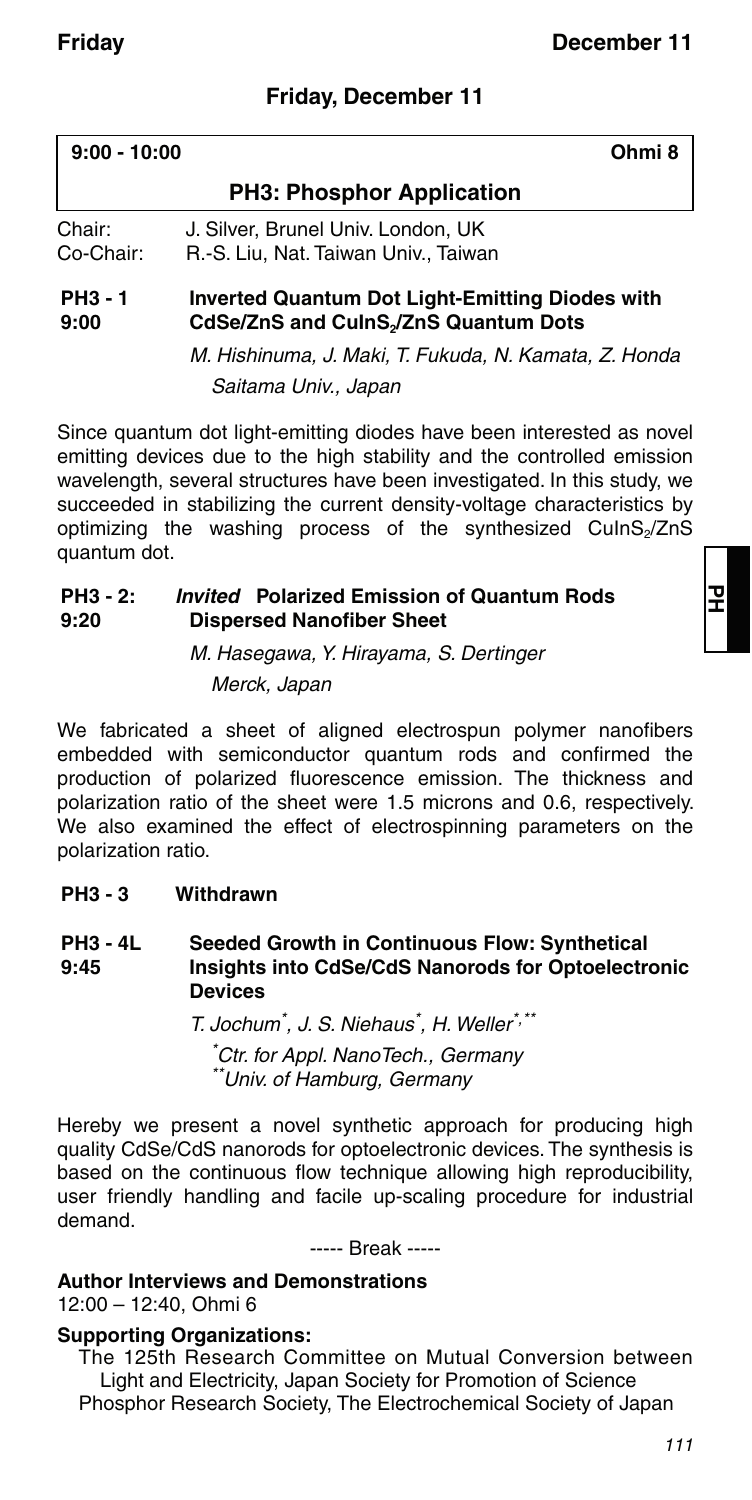### **Friday, December 11**

| $9:00 - 10:00$       | Ohmi 8                                                                                                      |  |
|----------------------|-------------------------------------------------------------------------------------------------------------|--|
|                      | <b>PH3: Phosphor Application</b>                                                                            |  |
| Chair:<br>Co-Chair:  | J. Silver, Brunel Univ, London, UK<br>R.-S. Liu, Nat. Taiwan Univ., Taiwan                                  |  |
| <b>PH3-1</b><br>9:00 | <b>Inverted Quantum Dot Light-Emitting Diodes with</b><br>CdSe/ZnS and CulnS <sub>2</sub> /ZnS Quantum Dots |  |

M. Hishinuma, J. Maki, T. Fukuda, N. Kamata, Z. Honda Saitama Univ., Japan

Since quantum dot light-emitting diodes have been interested as novel emitting devices due to the high stability and the controlled emission wavelength, several structures have been investigated. In this study, we succeeded in stabilizing the current density-voltage characteristics by optimizing the washing process of the synthesized CuInS<sub>2</sub>/ZnS quantum dot.

#### **PH3 - 2: 9:20** *Invited* **Polarized Emission of Quantum Rods Dispersed Nanofiber Sheet**

M. Hasegawa, Y. Hirayama, S. Dertinger Merck, Japan

We fabricated a sheet of aligned electrospun polymer nanofibers embedded with semiconductor quantum rods and confirmed the production of polarized fluorescence emission. The thickness and polarization ratio of the sheet were 1.5 microns and 0.6, respectively. We also examined the effect of electrospinning parameters on the polarization ratio.

### **PH3 - 3 Withdrawn**

#### **PH3 - 4L 9:45 Seeded Growth in Continuous Flow: Synthetical Insights into CdSe/CdS Nanorods for Optoelectronic Devices**

T. Jochum\* , J. S. Niehaus\* , H. Weller\*,\*\* \* Ctr. for Appl. NanoTech., Germany \*\*Univ. of Hamburg, Germany

Hereby we present a novel synthetic approach for producing high quality CdSe/CdS nanorods for optoelectronic devices. The synthesis is based on the continuous flow technique allowing high reproducibility, user friendly handling and facile up-scaling procedure for industrial demand.

----- Break -----

#### **Author Interviews and Demonstrations**

12:00 – 12:40, Ohmi 6

#### **Supporting Organizations:**

The 125th Research Committee on Mutual Conversion between Light and Electricity, Japan Society for Promotion of Science Phosphor Research Society, The Electrochemical Society of Japan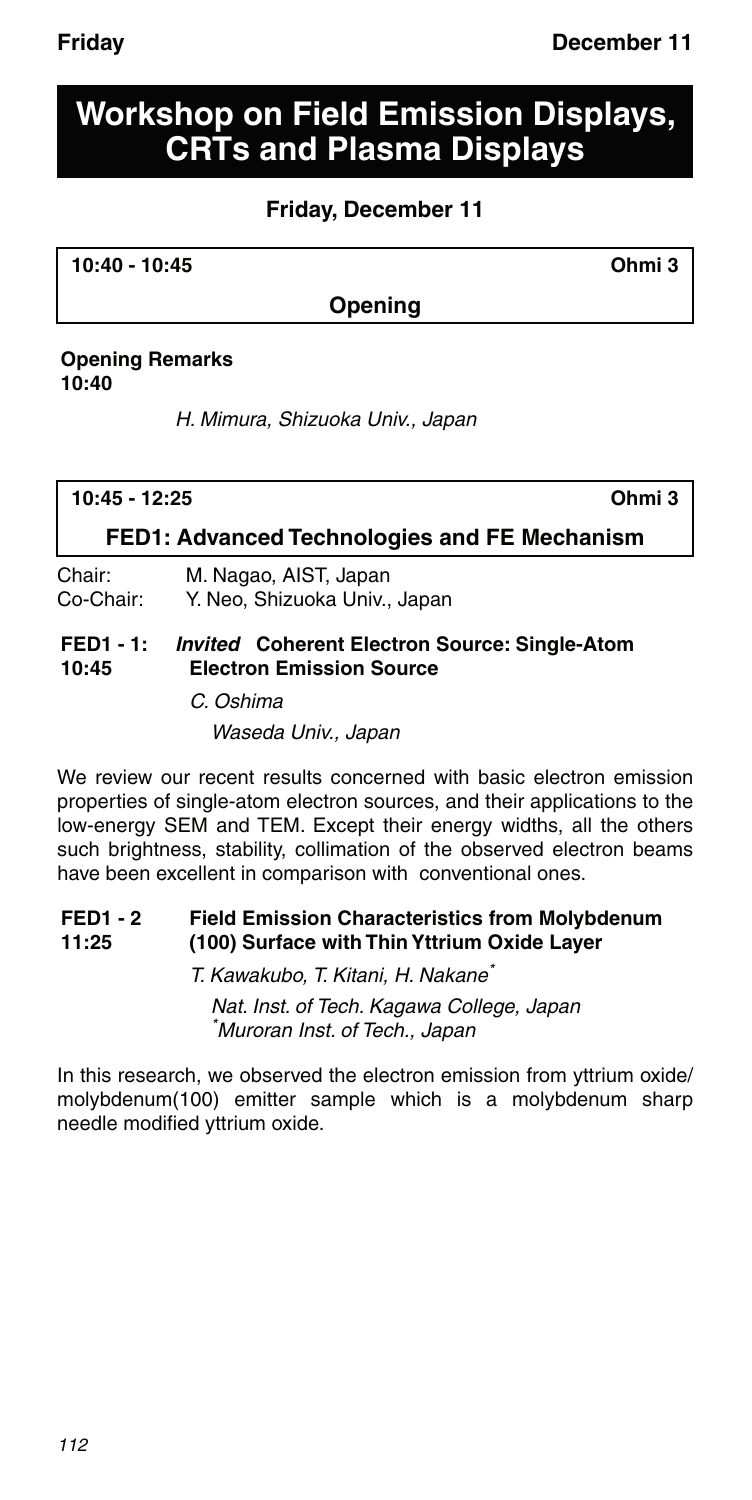# **Workshop on Field Emission Displays, CRTs and Plasma Displays**

### **Friday, December 11**

**10:40 - 10:45 Ohmi 3**

### **Opening**

#### **Opening Remarks 10:40**

H. Mimura, Shizuoka Univ., Japan

| $10:45 - 12:25$<br>Ohmi 3                    |                                                      |  |
|----------------------------------------------|------------------------------------------------------|--|
| FED1: Advanced Technologies and FE Mechanism |                                                      |  |
| Chair:                                       | M. Nagao, AIST, Japan                                |  |
| Co-Chair:                                    | Y. Neo, Shizuoka Univ., Japan                        |  |
| $FED1 - 1:$                                  | <i>Invited</i> Coherent Electron Source: Single-Atom |  |
| 10:45                                        | <b>Electron Emission Source</b>                      |  |

C. Oshima Waseda Univ., Japan

We review our recent results concerned with basic electron emission properties of single-atom electron sources, and their applications to the low-energy SEM and TEM. Except their energy widths, all the others such brightness, stability, collimation of the observed electron beams have been excellent in comparison with conventional ones.

#### **FED1 - 2 11:25 Field Emission Characteristics from Molybdenum (100) Surface with Thin Yttrium Oxide Layer**

T. Kawakubo, T. Kitani, H. Nakane\* Nat. Inst. of Tech. Kagawa College, Japan \* Muroran Inst. of Tech., Japan

In this research, we observed the electron emission from yttrium oxide/ molybdenum(100) emitter sample which is a molybdenum sharp needle modified yttrium oxide.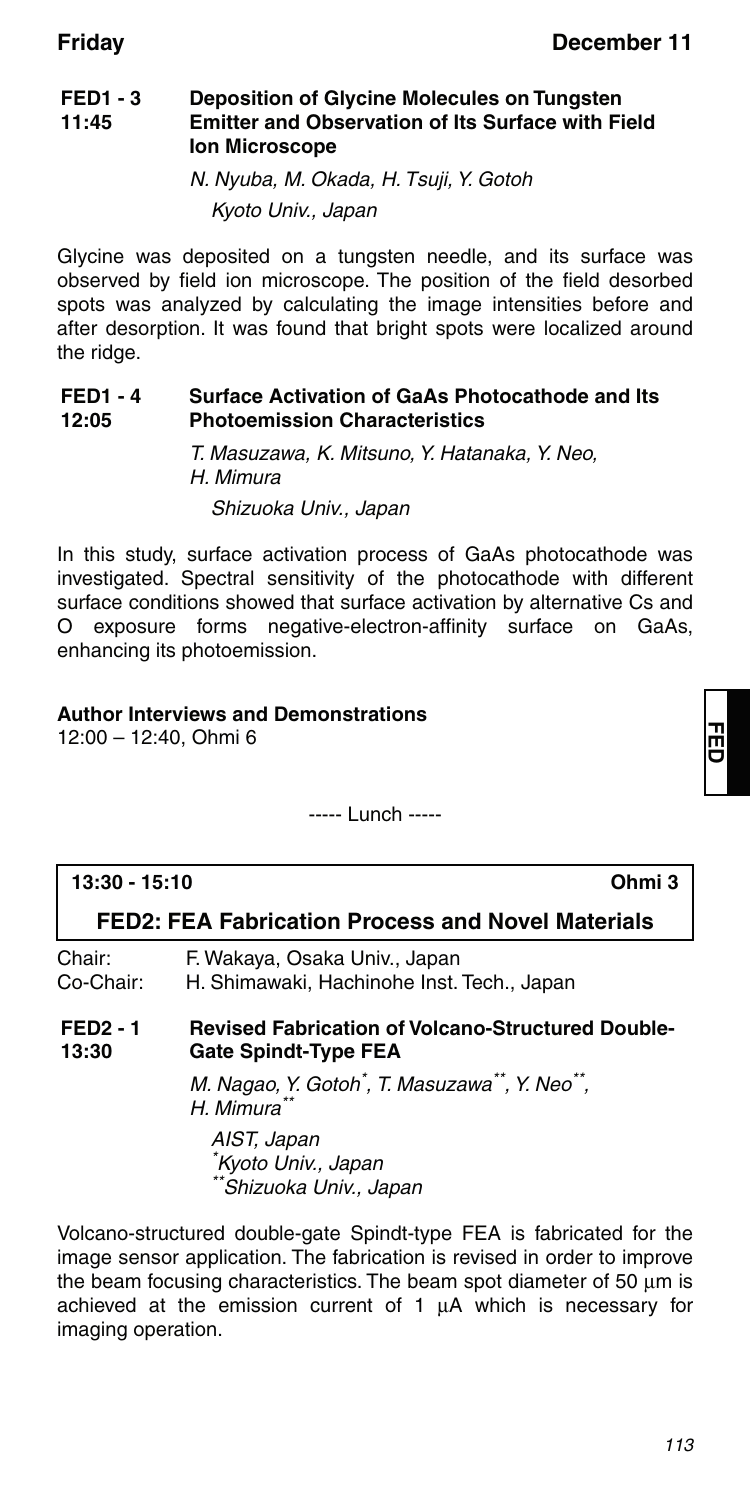#### **FED1 - 3 11:45 Deposition of Glycine Molecules on Tungsten Emitter and Observation of Its Surface with Field Ion Microscope**

N. Nyuba, M. Okada, H. Tsuji, Y. Gotoh Kyoto Univ., Japan

Glycine was deposited on a tungsten needle, and its surface was observed by field ion microscope. The position of the field desorbed spots was analyzed by calculating the image intensities before and after desorption. It was found that bright spots were localized around the ridge.

#### **FED1 - 4 12:05 Surface Activation of GaAs Photocathode and Its Photoemission Characteristics**

T. Masuzawa, K. Mitsuno, Y. Hatanaka, Y. Neo, H. Mimura Shizuoka Univ., Japan

In this study, surface activation process of GaAs photocathode was investigated. Spectral sensitivity of the photocathode with different surface conditions showed that surface activation by alternative Cs and O exposure forms negative-electron-affinity surface on GaAs, enhancing its photoemission.

### **Author Interviews and Demonstrations**

12:00 – 12:40, Ohmi 6

----- Lunch -----

| 13:30 - 15:10                                     |                                                                                         | Ohmi 3 |
|---------------------------------------------------|-----------------------------------------------------------------------------------------|--------|
| FED2: FEA Fabrication Process and Novel Materials |                                                                                         |        |
| Chair:<br>Co-Chair:                               | F. Wakaya, Osaka Univ., Japan<br>H. Shimawaki, Hachinohe Inst. Tech., Japan             |        |
| <b>FED2 - 1</b><br>13:30                          | <b>Revised Fabrication of Volcano-Structured Double-</b><br><b>Gate Spindt-Type FEA</b> |        |
|                                                   | M. Nagao, Y. Gotoh <sup>*</sup> , T. Masuzawa**, Y. Neo**,<br>H. Mimura                 |        |
|                                                   | AIST, Japan<br>*Kyoto Univ., Japan<br>**Shizuoka Univ., Japan                           |        |

Volcano-structured double-gate Spindt-type FEA is fabricated for the image sensor application. The fabrication is revised in order to improve the beam focusing characteristics. The beam spot diameter of 50  $\mu$ m is achieved at the emission current of  $1 \mu A$  which is necessary for imaging operation.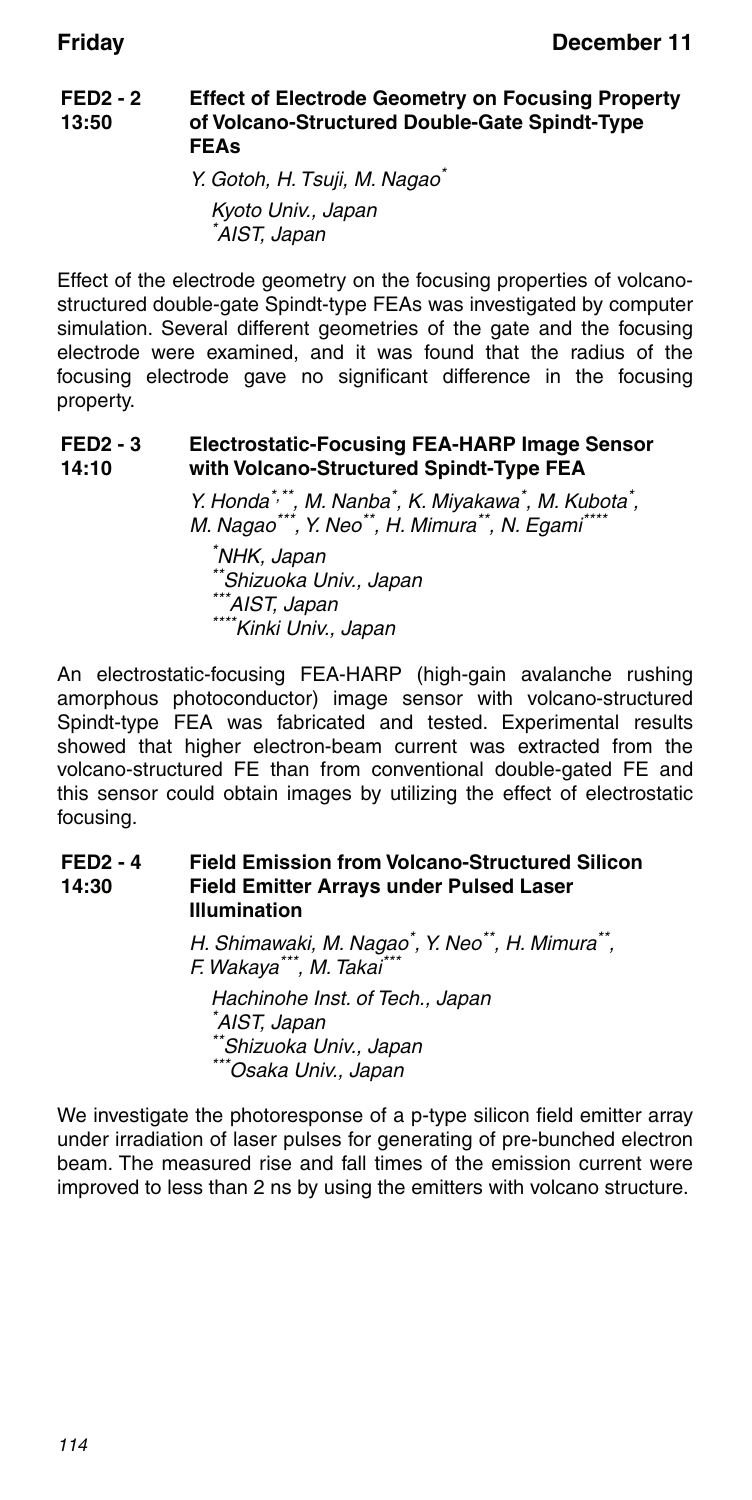#### **FED2 - 2 13:50 Effect of Electrode Geometry on Focusing Property of Volcano-Structured Double-Gate Spindt-Type FEAs**

Y. Gotoh, H. Tsuji, M. Nagao\* Kyoto Univ., Japan \* AIST, Japan

Effect of the electrode geometry on the focusing properties of volcanostructured double-gate Spindt-type FEAs was investigated by computer simulation. Several different geometries of the gate and the focusing electrode were examined, and it was found that the radius of the focusing electrode gave no significant difference in the focusing property.

#### **FED2 - 3 14:10 Electrostatic-Focusing FEA-HARP Image Sensor with Volcano-Structured Spindt-Type FEA**

Y. Honda\*,\*\*, M. Nanba\*, K. Miyakawa\*, M. Kubota\*, M. Nagao\*\*\*, M. Nanba , K. Miyakawa , M. Rubo<br>M. Nagao\*\*\*, Y. Neo\*\*, H. Mimura\*\*, N. Egami\*\*\*\* \* NHK, Japan \*\*Shizuoka Univ., Japan<br>\*\*\*Shizuoka Univ., Japan<br>\*\*\*AIST, Japan \*\*\*\*Kinki Univ., Japan

An electrostatic-focusing FEA-HARP (high-gain avalanche rushing amorphous photoconductor) image sensor with volcano-structured Spindt-type FEA was fabricated and tested. Experimental results showed that higher electron-beam current was extracted from the volcano-structured FE than from conventional double-gated FE and this sensor could obtain images by utilizing the effect of electrostatic focusing.

#### **FED2 - 4 14:30 Field Emission from Volcano-Structured Silicon Field Emitter Arrays under Pulsed Laser Illumination**

H. Shimawaki, M. Nagao<sup>\*</sup>, Y. Neo<sup>\*\*</sup>, H. Mimura<sup>\*\*</sup>, F. Wakaya\*\*\*, M. Takai\*\*\* Hachinohe Inst. of Tech., Japan \* AIST, Japan \*Shizuoka Univ., Japan \*Osaka Univ., Japan

We investigate the photoresponse of a p-type silicon field emitter array under irradiation of laser pulses for generating of pre-bunched electron beam. The measured rise and fall times of the emission current were improved to less than 2 ns by using the emitters with volcano structure.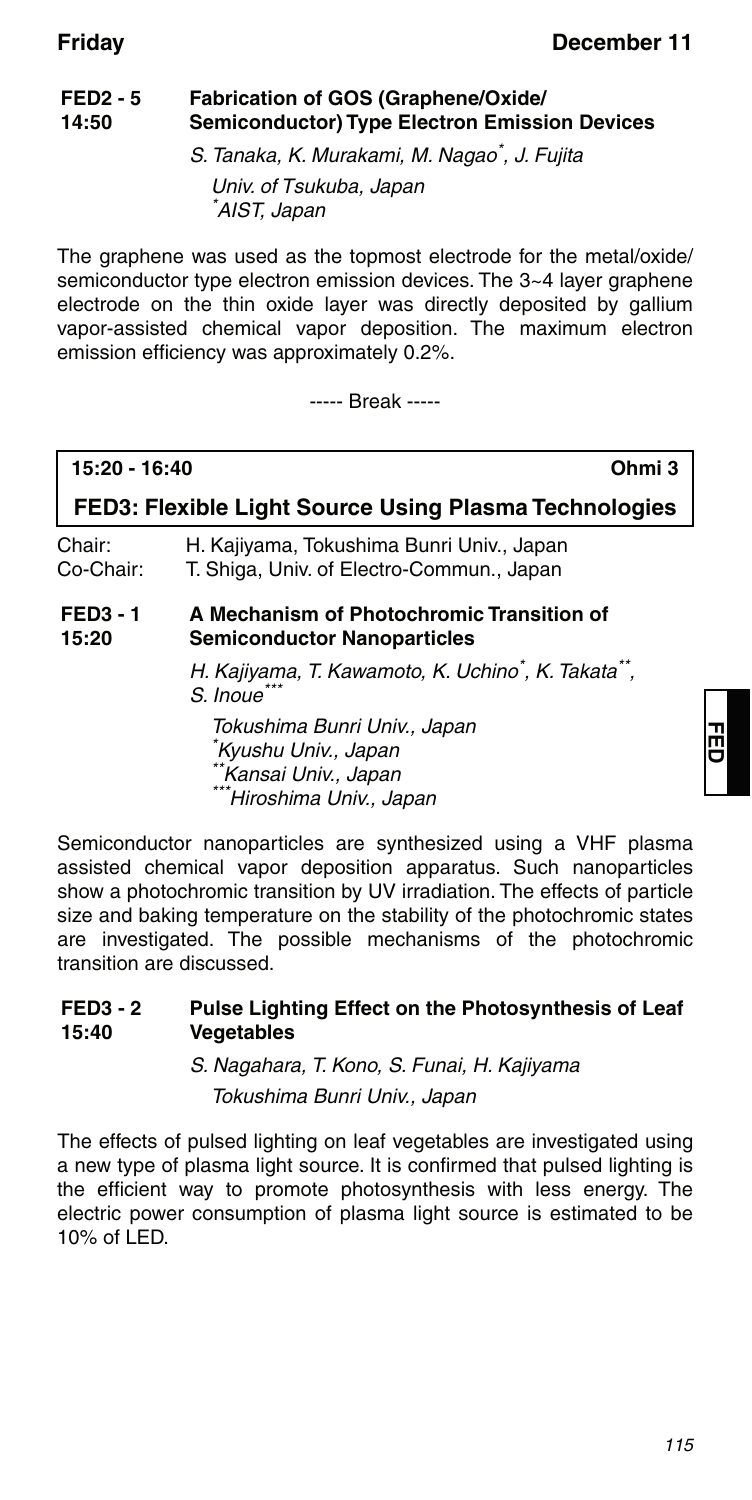#### **FED2 - 5 14:50 Fabrication of GOS (Graphene/Oxide/ Semiconductor) Type Electron Emission Devices**

S. Tanaka, K. Murakami, M. Nagao\*, J. Fujita

Univ. of Tsukuba, Japan \* AIST, Japan

The graphene was used as the topmost electrode for the metal/oxide/ semiconductor type electron emission devices. The 3~4 layer graphene electrode on the thin oxide layer was directly deposited by gallium vapor-assisted chemical vapor deposition. The maximum electron emission efficiency was approximately 0.2%.

----- Break -----

| 15:20 - 16:40            | Ohmi 3                                                                                                                         |  |
|--------------------------|--------------------------------------------------------------------------------------------------------------------------------|--|
|                          | FED3: Flexible Light Source Using Plasma Technologies                                                                          |  |
| Chair:<br>Co-Chair:      | H. Kajiyama, Tokushima Bunri Univ., Japan<br>T. Shiga, Univ. of Electro-Commun., Japan                                         |  |
| <b>FED3 - 1</b><br>15:20 | A Mechanism of Photochromic Transition of<br><b>Semiconductor Nanoparticles</b>                                                |  |
|                          | H. Kajiyama, T. Kawamoto, K. Uchino*, K. Takata**,<br>S. Inoue                                                                 |  |
|                          | Tokushima Bunri Univ., Japan<br><sup>*</sup> Kyushu Univ., Japan<br>Kansai Univ., Japan<br><sup>*</sup> Hiroshima Univ., Japan |  |

Semiconductor nanoparticles are synthesized using a VHF plasma assisted chemical vapor deposition apparatus. Such nanoparticles show a photochromic transition by UV irradiation. The effects of particle size and baking temperature on the stability of the photochromic states are investigated. The possible mechanisms of the photochromic transition are discussed.

#### **FED3 - 2 15:40 Pulse Lighting Effect on the Photosynthesis of Leaf Vegetables**

S. Nagahara, T. Kono, S. Funai, H. Kajiyama Tokushima Bunri Univ., Japan

The effects of pulsed lighting on leaf vegetables are investigated using a new type of plasma light source. It is confirmed that pulsed lighting is the efficient way to promote photosynthesis with less energy. The electric power consumption of plasma light source is estimated to be 10% of LED.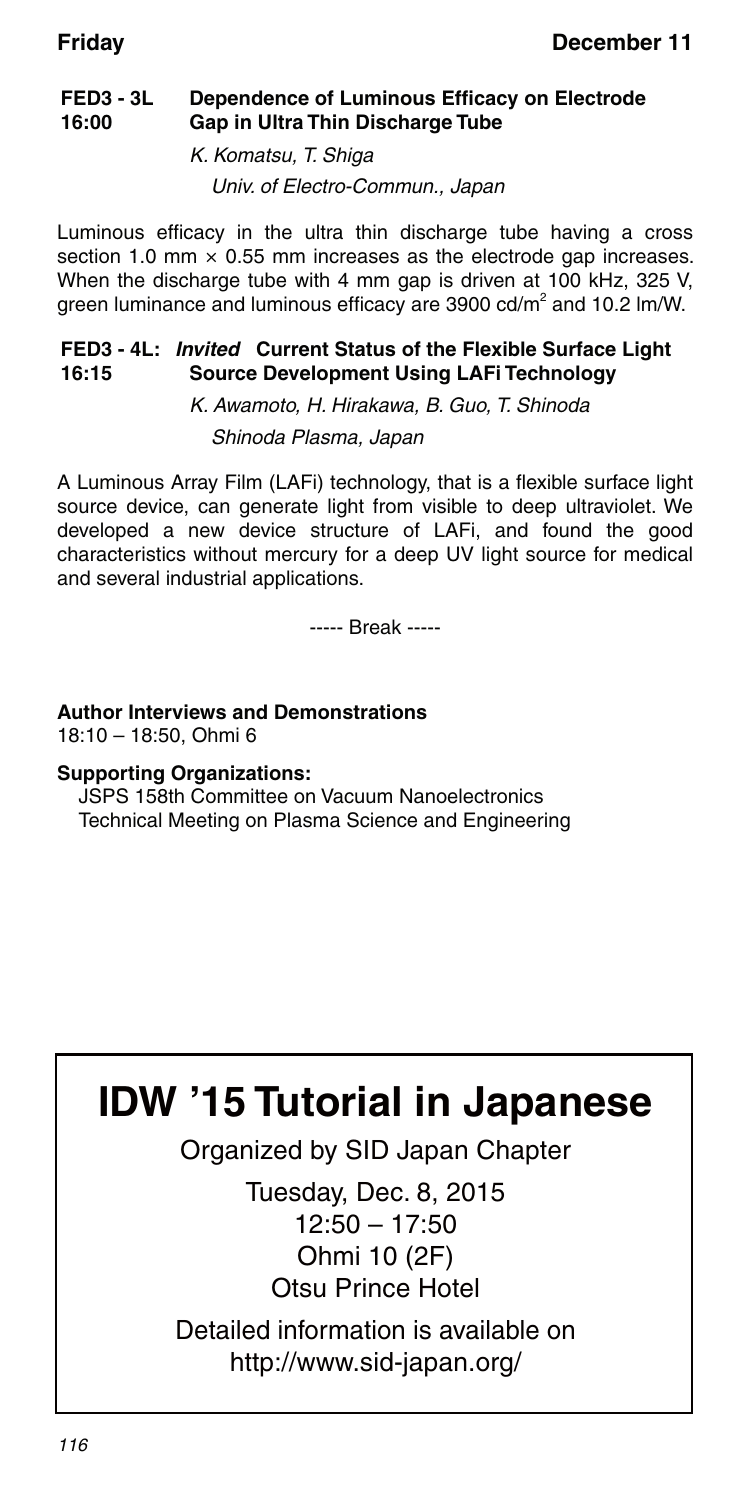#### **FED3 - 3L 16:00 Dependence of Luminous Efficacy on Electrode Gap in Ultra Thin Discharge Tube**

K. Komatsu, T. Shiga Univ. of Electro-Commun., Japan

Luminous efficacy in the ultra thin discharge tube having a cross section 1.0 mm  $\times$  0.55 mm increases as the electrode gap increases. When the discharge tube with 4 mm gap is driven at 100 kHz, 325 V, green luminance and luminous efficacy are 3900 cd/m<sup>2</sup> and 10.2 lm/W.

#### **FED3 - 4L:** *Invited* **Current Status of the Flexible Surface Light 16:15 Source Development Using LAFi Technology**

K. Awamoto, H. Hirakawa, B. Guo, T. Shinoda Shinoda Plasma, Japan

A Luminous Array Film (LAFi) technology, that is a flexible surface light source device, can generate light from visible to deep ultraviolet. We developed a new device structure of LAFi, and found the good characteristics without mercury for a deep UV light source for medical and several industrial applications.

----- Break -----

### **Author Interviews and Demonstrations**

18:10 – 18:50, Ohmi 6

### **Supporting Organizations:**

JSPS 158th Committee on Vacuum Nanoelectronics Technical Meeting on Plasma Science and Engineering

# **IDW '15 Tutorial in Japanese**

Organized by SID Japan Chapter

Tuesday, Dec. 8, 2015 12:50 – 17:50 Ohmi 10 (2F) Otsu Prince Hotel

Detailed information is available on http://www.sid-japan.org/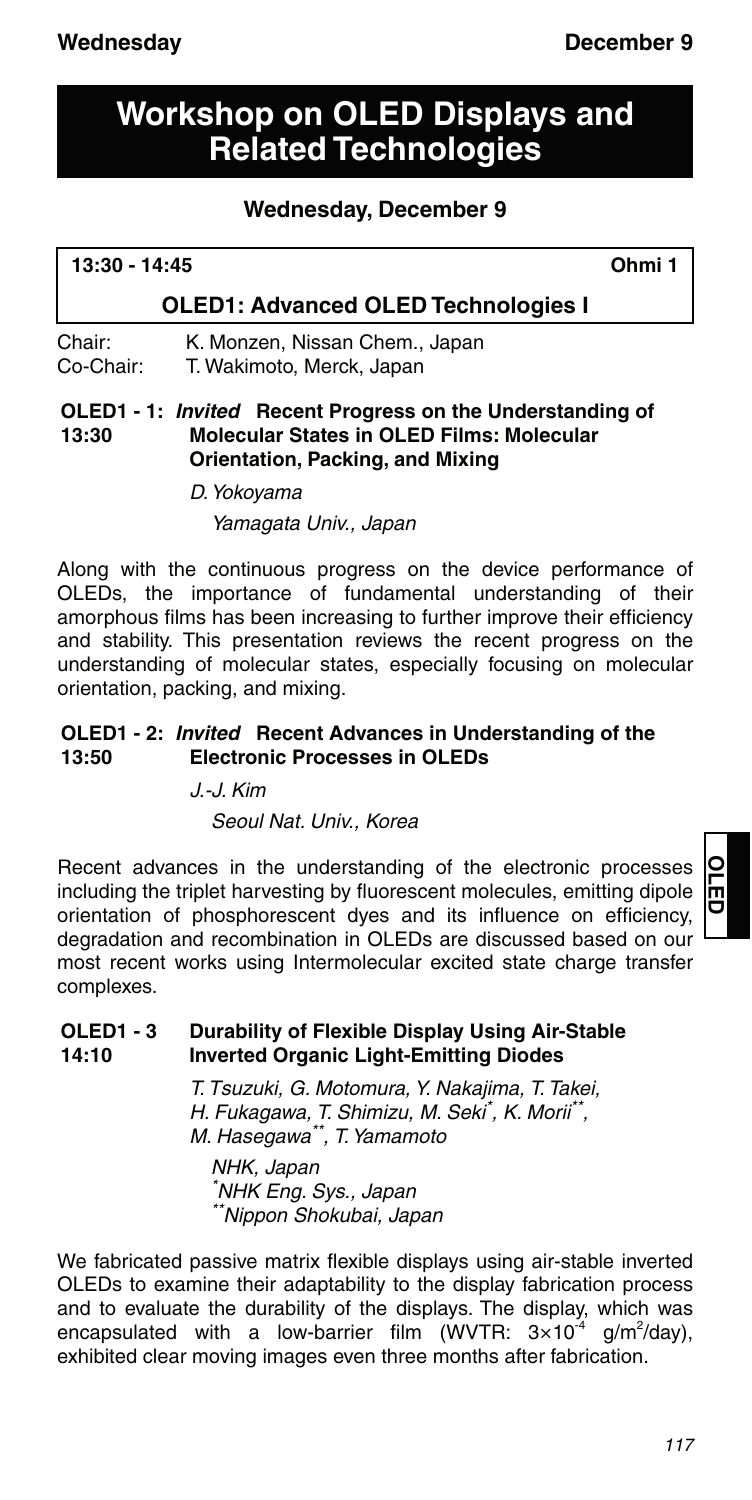# **Workshop on OLED Displays and Related Technologies**

### **Wednesday, December 9**

| 13:30 - 14:45 | Ohmi 1 |
|---------------|--------|
|               |        |

### **OLED1: Advanced OLED Technologies I**

#### Chair: K. Monzen, Nissan Chem., Japan Co-Chair: T. Wakimoto, Merck, Japan

#### **OLED1 - 1:** *Invited* **Recent Progress on the Understanding of 13:30 Molecular States in OLED Films: Molecular Orientation, Packing, and Mixing**

D. Yokoyama

Yamagata Univ., Japan

Along with the continuous progress on the device performance of OLEDs, the importance of fundamental understanding of their amorphous films has been increasing to further improve their efficiency and stability. This presentation reviews the recent progress on the understanding of molecular states, especially focusing on molecular orientation, packing, and mixing.

#### **OLED1 - 2:** *Invited* **Recent Advances in Understanding of the 13:50 Electronic Processes in OLEDs**

J.-J. Kim

Seoul Nat. Univ., Korea

Recent advances in the understanding of the electronic processes including the triplet harvesting by fluorescent molecules, emitting dipole orientation of phosphorescent dyes and its influence on efficiency, degradation and recombination in OLEDs are discussed based on our most recent works using Intermolecular excited state charge transfer complexes.

# **OLED**

#### **OLED1 - 3 14:10 Durability of Flexible Display Using Air-Stable Inverted Organic Light-Emitting Diodes**

T. Tsuzuki, G. Motomura, Y. Nakajima, T. Takei, H. Fukagawa, T. Shimizu, M. Seki\* , K. Morii\*\*, M. Hasegawa\*\*, T. Yamamoto

NHK, Japan \* NHK Eng. Sys., Japan \*\*Nippon Shokubai, Japan

We fabricated passive matrix flexible displays using air-stable inverted OLEDs to examine their adaptability to the display fabrication process and to evaluate the durability of the displays. The display, which was encapsulated with a low-barrier film (WVTR:  $3\times10^{-4}$  g/m<sup>2</sup>/day), exhibited clear moving images even three months after fabrication.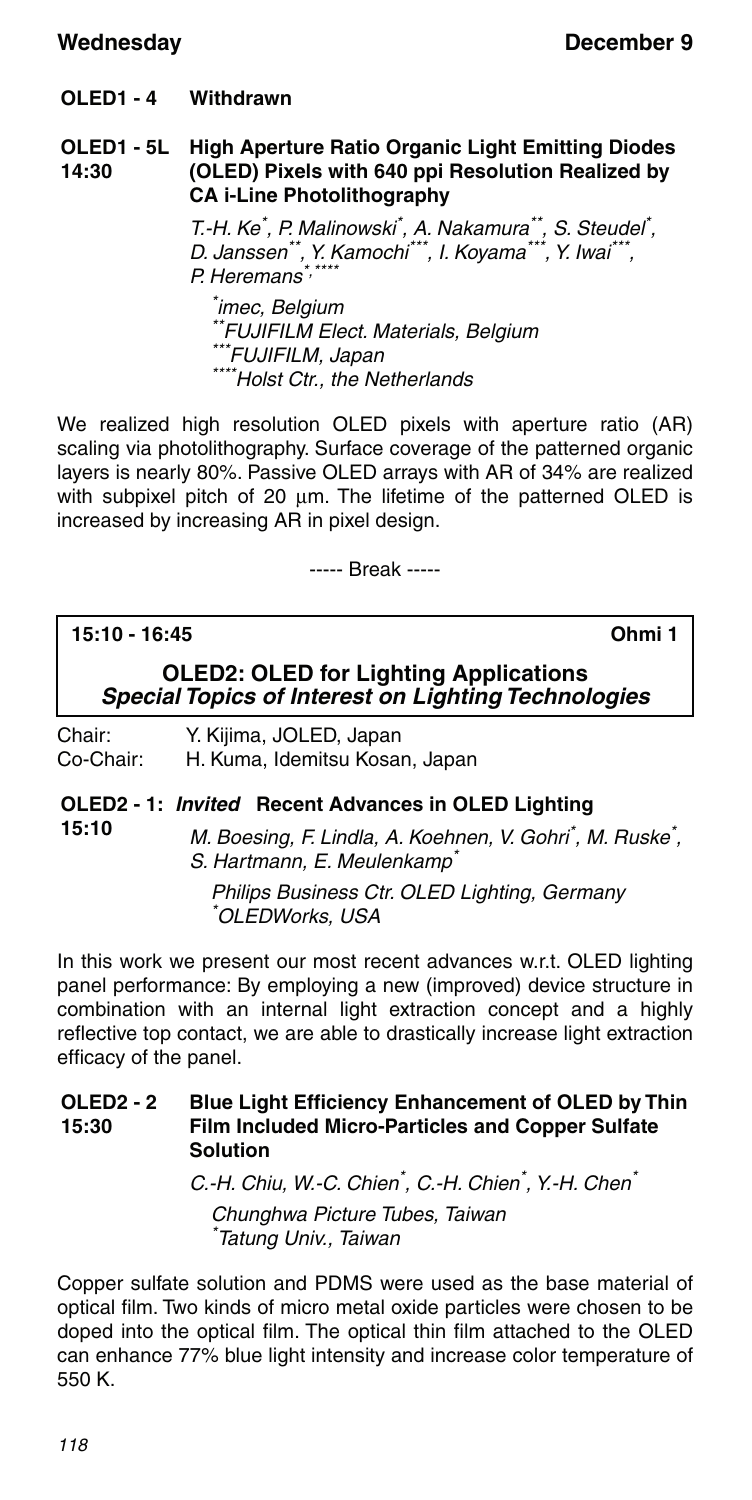#### **OLED1 - 4 Withdrawn**

#### **OLED1 - 5L 14:30 High Aperture Ratio Organic Light Emitting Diodes (OLED) Pixels with 640 ppi Resolution Realized by CA i-Line Photolithography**

T.-H. Ke<sup>\*</sup>, P. Malinowski<sup>\*</sup>, A. Nakamura<sup>\*\*</sup>, S. Steudel<sup>\*</sup>, D. Janssen\*\*, Y. Kamochi\*\*\*, I. Koyama\*\*\*, Y. Iwai\*\*\*, P. Heremans\*

\* imec, Belgium \*\*FUJIFILM Elect. Materials, Belgium<br>\*\*\*FUJIFILM, Japan \*\*\*\*Holst Ctr., the Netherlands

We realized high resolution OLED pixels with aperture ratio (AR) scaling via photolithography. Surface coverage of the patterned organic layers is nearly 80%. Passive OLED arrays with AR of 34% are realized with subpixel pitch of 20  $\mu$ m. The lifetime of the patterned OLED is increased by increasing AR in pixel design.

----- Break -----

### **15:10 - 16:45 Ohmi 1**

### **OLED2: OLED for Lighting Applications** *Special Topics of Interest on Lighting Technologies*

| Chair:    | Y. Kijima, JOLED, Japan        |
|-----------|--------------------------------|
| Co-Chair: | H. Kuma, Idemitsu Kosan, Japan |

#### **OLED2 - 1:** *Invited* **Recent Advances in OLED Lighting**

**15:10**

M. Boesing, F. Lindla, A. Koehnen, V. Gohri\*, M. Ruske\*, S. Hartmann, E. Meulenkamp<sup>\*</sup>

Philips Business Ctr. OLED Lighting, Germany \* OLEDWorks, USA

In this work we present our most recent advances w.r.t. OLED lighting panel performance: By employing a new (improved) device structure in combination with an internal light extraction concept and a highly reflective top contact, we are able to drastically increase light extraction efficacy of the panel.

#### **OLED2 - 2 15:30 Blue Light Efficiency Enhancement of OLED by Thin Film Included Micro-Particles and Copper Sulfate Solution**

C.-H. Chiu, W.-C. Chien<sup>\*</sup>, C.-H. Chien<sup>\*</sup>, Y.-H. Chen<sup>\*</sup> Chunghwa Picture Tubes, Taiwan \* Tatung Univ., Taiwan

Copper sulfate solution and PDMS were used as the base material of optical film. Two kinds of micro metal oxide particles were chosen to be doped into the optical film. The optical thin film attached to the OLED can enhance 77% blue light intensity and increase color temperature of 550 K.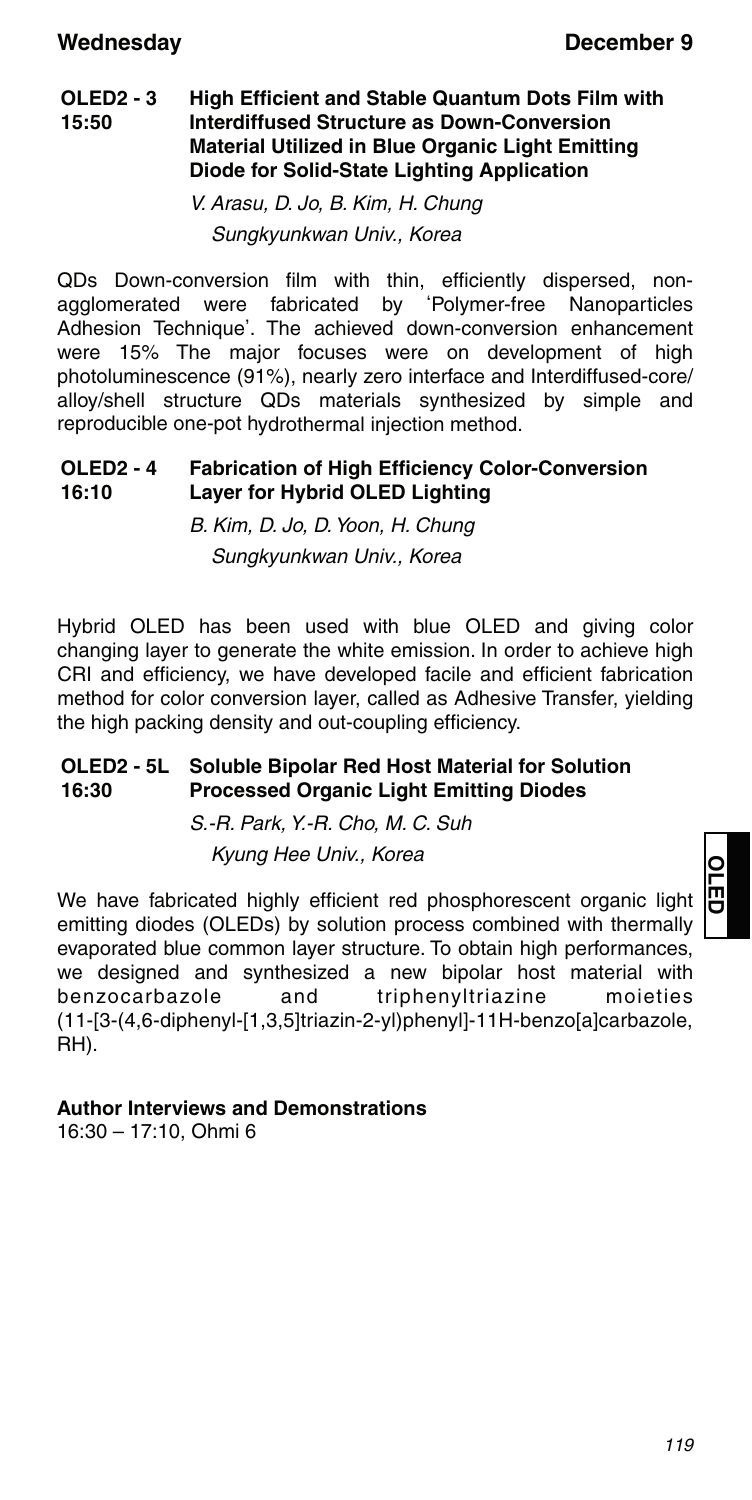#### **OLED2 - 3 15:50 High Efficient and Stable Quantum Dots Film with Interdiffused Structure as Down-Conversion Material Utilized in Blue Organic Light Emitting Diode for Solid-State Lighting Application**

V. Arasu, D. Jo, B. Kim, H. Chung Sungkyunkwan Univ., Korea

QDs Down-conversion film with thin, efficiently dispersed, nonagglomerated were fabricated by ʻPolymer-free Nanoparticles Adhesion Technique'. The achieved down-conversion enhancement were 15% The major focuses were on development of high photoluminescence (91%), nearly zero interface and Interdiffused-core/ alloy/shell structure QDs materials synthesized by simple and reproducible one-pot hydrothermal injection method.

#### **OLED2 - 4 16:10 Fabrication of High Efficiency Color-Conversion Layer for Hybrid OLED Lighting**

B. Kim, D. Jo, D. Yoon, H. Chung Sungkyunkwan Univ., Korea

Hybrid OLED has been used with blue OLED and giving color changing layer to generate the white emission. In order to achieve high CRI and efficiency, we have developed facile and efficient fabrication method for color conversion layer, called as Adhesive Transfer, yielding the high packing density and out-coupling efficiency.

#### **OLED2 - 5L 16:30 Soluble Bipolar Red Host Material for Solution Processed Organic Light Emitting Diodes**

S.-R. Park, Y.-R. Cho, M. C. Suh Kyung Hee Univ., Korea

We have fabricated highly efficient red phosphorescent organic light emitting diodes (OLEDs) by solution process combined with thermally evaporated blue common layer structure. To obtain high performances, we designed and synthesized a new bipolar host material with benzocarbazole and triphenyltriazine moieties (11-[3-(4,6-diphenyl-[1,3,5]triazin-2-yl)phenyl]-11H-benzo[a]carbazole, RH).

### **Author Interviews and Demonstrations**

16:30 – 17:10, Ohmi 6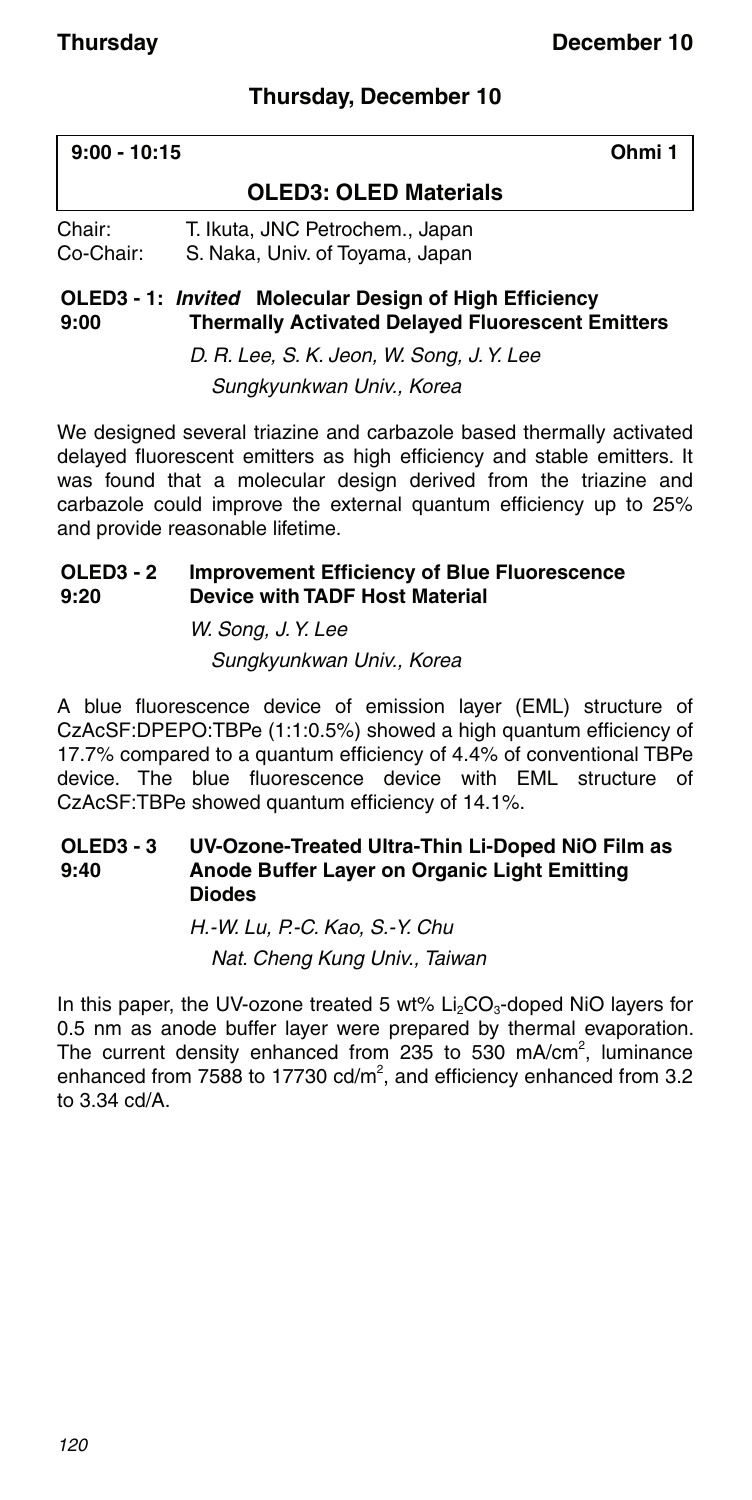### **Thursday, December 10**

| $9:00 - 10:15$      |                                                                    | Ohmi 1 |
|---------------------|--------------------------------------------------------------------|--------|
|                     | <b>OLED3: OLED Materials</b>                                       |        |
| Chair:<br>Co-Chair: | T. Ikuta, JNC Petrochem., Japan<br>S. Naka, Univ. of Toyama, Japan |        |

#### **OLED3 - 1:** *Invited* **Molecular Design of High Efficiency 9:00 Thermally Activated Delayed Fluorescent Emitters**

D. R. Lee, S. K. Jeon, W. Song, J. Y. Lee Sungkyunkwan Univ., Korea

We designed several triazine and carbazole based thermally activated delayed fluorescent emitters as high efficiency and stable emitters. It was found that a molecular design derived from the triazine and carbazole could improve the external quantum efficiency up to 25% and provide reasonable lifetime.

#### **OLED3 - 2 9:20 Improvement Efficiency of Blue Fluorescence Device with TADF Host Material**

W. Song, J. Y. Lee Sungkyunkwan Univ., Korea

A blue fluorescence device of emission layer (EML) structure of CzAcSF:DPEPO:TBPe (1:1:0.5%) showed a high quantum efficiency of 17.7% compared to a quantum efficiency of 4.4% of conventional TBPe device. The blue fluorescence device with EML structure of CzAcSF:TBPe showed quantum efficiency of 14.1%.

#### **OLED3 - 3 9:40 UV-Ozone-Treated Ultra-Thin Li-Doped NiO Film as Anode Buffer Layer on Organic Light Emitting Diodes**

H.-W. Lu, P.-C. Kao, S.-Y. Chu Nat. Cheng Kung Univ., Taiwan

In this paper, the UV-ozone treated 5 wt%  $Li<sub>2</sub>CO<sub>3</sub>$ -doped NiO layers for 0.5 nm as anode buffer layer were prepared by thermal evaporation. The current density enhanced from 235 to 530 mA/cm<sup>2</sup>, luminance enhanced from 7588 to 17730  $\text{cd/m}^2$ , and efficiency enhanced from 3.2 to 3.34 cd/A.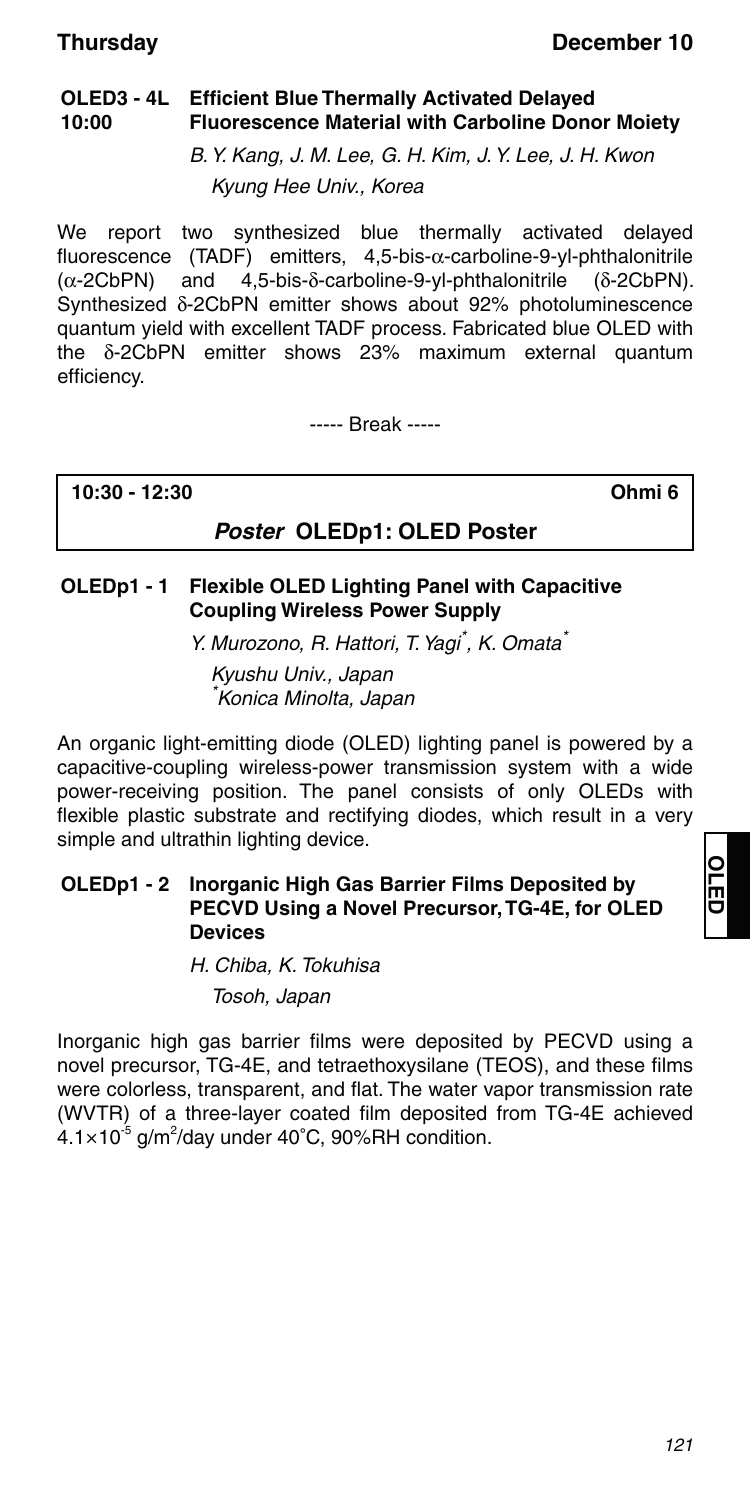#### **OLED3 - 4L Efficient Blue Thermally Activated Delayed 10:00 Fluorescence Material with Carboline Donor Moiety**

B. Y. Kang, J. M. Lee, G. H. Kim, J. Y. Lee, J. H. Kwon Kyung Hee Univ., Korea

We report two synthesized blue thermally activated delayed fluorescence (TADF) emitters, 4,5-bis- $\alpha$ -carboline-9-yl-phthalonitrile  $(\alpha$ -2CbPN) and 4.5-bis- $\delta$ -carboline-9-yl-phthalonitrile ( $\delta$ -2CbPN).  $(\alpha$ -2CbPN) and 4,5-bis- $\delta$ -carboline-9-yl-phthalonitrile ( $\delta$ -2CbPN). Synthesized  $\delta$ -2CbPN emitter shows about 92% photoluminescence quantum yield with excellent TADF process. Fabricated blue OLED with the  $\delta$ -2CbPN emitter shows 23% maximum external quantum efficiency.

----- Break -----

**10:30 - 12:30 Ohmi 6**

### *Poster* **OLEDp1: OLED Poster**

#### **OLEDp1 - 1 Flexible OLED Lighting Panel with Capacitive Coupling Wireless Power Supply**

Y. Murozono, R. Hattori, T. Yagi<sup>\*</sup>, K. Omata<sup>\*</sup>

Kyushu Univ., Japan \* Konica Minolta, Japan

An organic light-emitting diode (OLED) lighting panel is powered by a capacitive-coupling wireless-power transmission system with a wide power-receiving position. The panel consists of only OLEDs with flexible plastic substrate and rectifying diodes, which result in a very simple and ultrathin lighting device.

#### **OLEDp1 - 2 Inorganic High Gas Barrier Films Deposited by PECVD Using a Novel Precursor, TG-4E, for OLED Devices**

H. Chiba, K. Tokuhisa Tosoh, Japan

Inorganic high gas barrier films were deposited by PECVD using a novel precursor, TG-4E, and tetraethoxysilane (TEOS), and these films were colorless, transparent, and flat. The water vapor transmission rate (WVTR) of a three-layer coated film deposited from TG-4E achieved  $4.1\times10^{-5}$  g/m<sup>2</sup>/day under 40°C, 90%RH condition.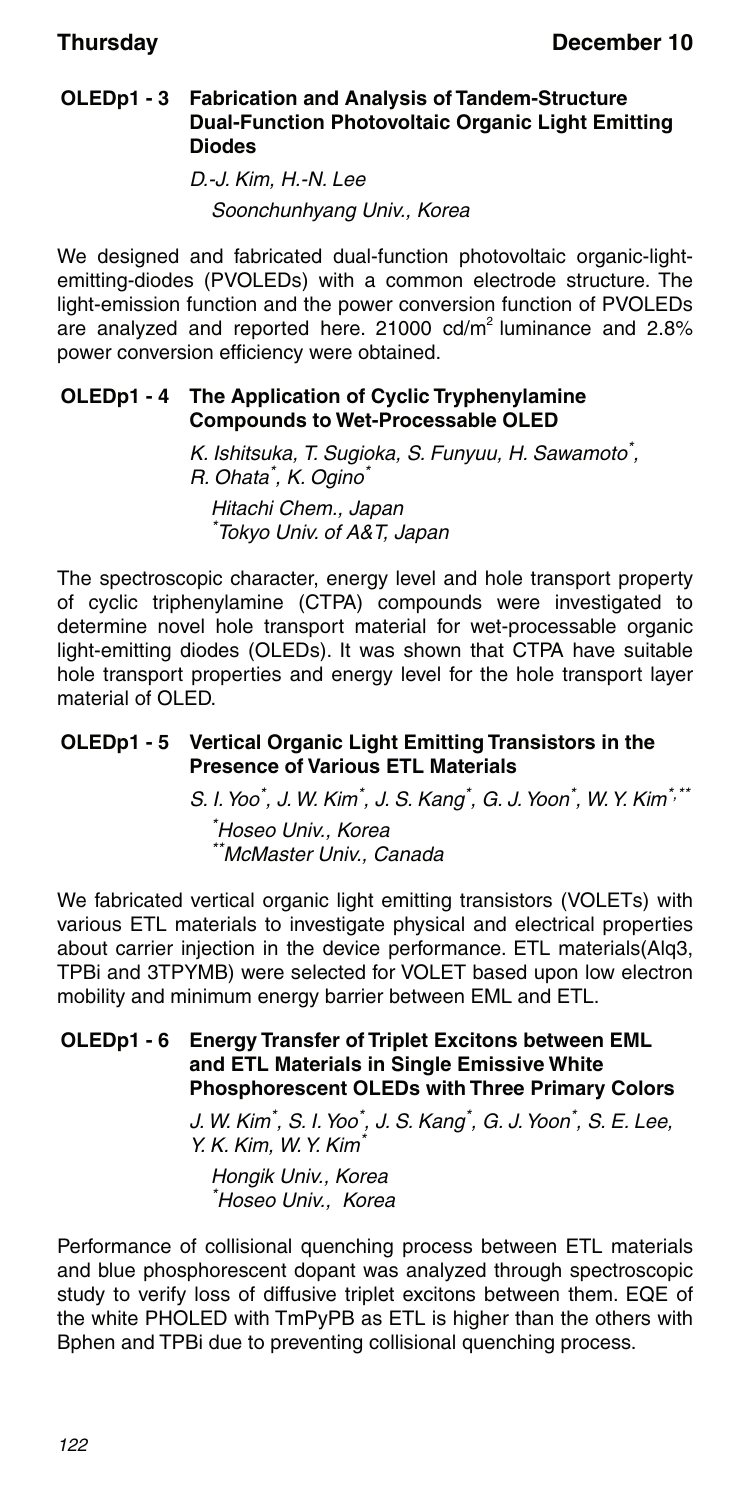#### **OLEDp1 - 3 Fabrication and Analysis of Tandem-Structure Dual-Function Photovoltaic Organic Light Emitting Diodes**

D.-J. Kim, H.-N. Lee Soonchunhyang Univ., Korea

We designed and fabricated dual-function photovoltaic organic-lightemitting-diodes (PVOLEDs) with a common electrode structure. The light-emission function and the power conversion function of PVOLEDs are analyzed and reported here. 21000 cd/m2 luminance and 2.8% power conversion efficiency were obtained.

### **OLEDp1 - 4 The Application of Cyclic Tryphenylamine Compounds to Wet-Processable OLED**

K. Ishitsuka, T. Sugioka, S. Funyuu, H. Sawamoto\*, R. Ohata<sup>\*</sup>, K. Ogino<sup>\*</sup> Hitachi Chem., Japan \* Tokyo Univ. of A&T, Japan

The spectroscopic character, energy level and hole transport property of cyclic triphenylamine (CTPA) compounds were investigated to determine novel hole transport material for wet-processable organic light-emitting diodes (OLEDs). It was shown that CTPA have suitable hole transport properties and energy level for the hole transport layer material of OLED.

### **OLEDp1 - 5 Vertical Organic Light Emitting Transistors in the Presence of Various ETL Materials**

S. I. Yoo\*, J. W. Kim\*, J. S. Kang\*, G. J. Yoon\*, W. Y. Kim\*,\*\*

\* Hoseo Univ., Korea \*McMaster Univ., Canada

We fabricated vertical organic light emitting transistors (VOLETs) with various ETL materials to investigate physical and electrical properties about carrier injection in the device performance. ETL materials(Alq3, TPBi and 3TPYMB) were selected for VOLET based upon low electron mobility and minimum energy barrier between EML and ETL.

#### **OLEDp1 - 6 Energy Transfer of Triplet Excitons between EML and ETL Materials in Single Emissive White Phosphorescent OLEDs with Three Primary Colors**

J. W. Kim<sup>\*</sup>, S. I. Yoo<sup>\*</sup>, J. S. Kang<sup>\*</sup>, G. J. Yoon<sup>\*</sup>, S. E. Lee,  $Y. K.$  Kim, W. Y. Kim

Hongik Univ., Korea \* Hoseo Univ., Korea

Performance of collisional quenching process between ETL materials and blue phosphorescent dopant was analyzed through spectroscopic study to verify loss of diffusive triplet excitons between them. EQE of the white PHOLED with TmPyPB as ETL is higher than the others with Bphen and TPBi due to preventing collisional quenching process.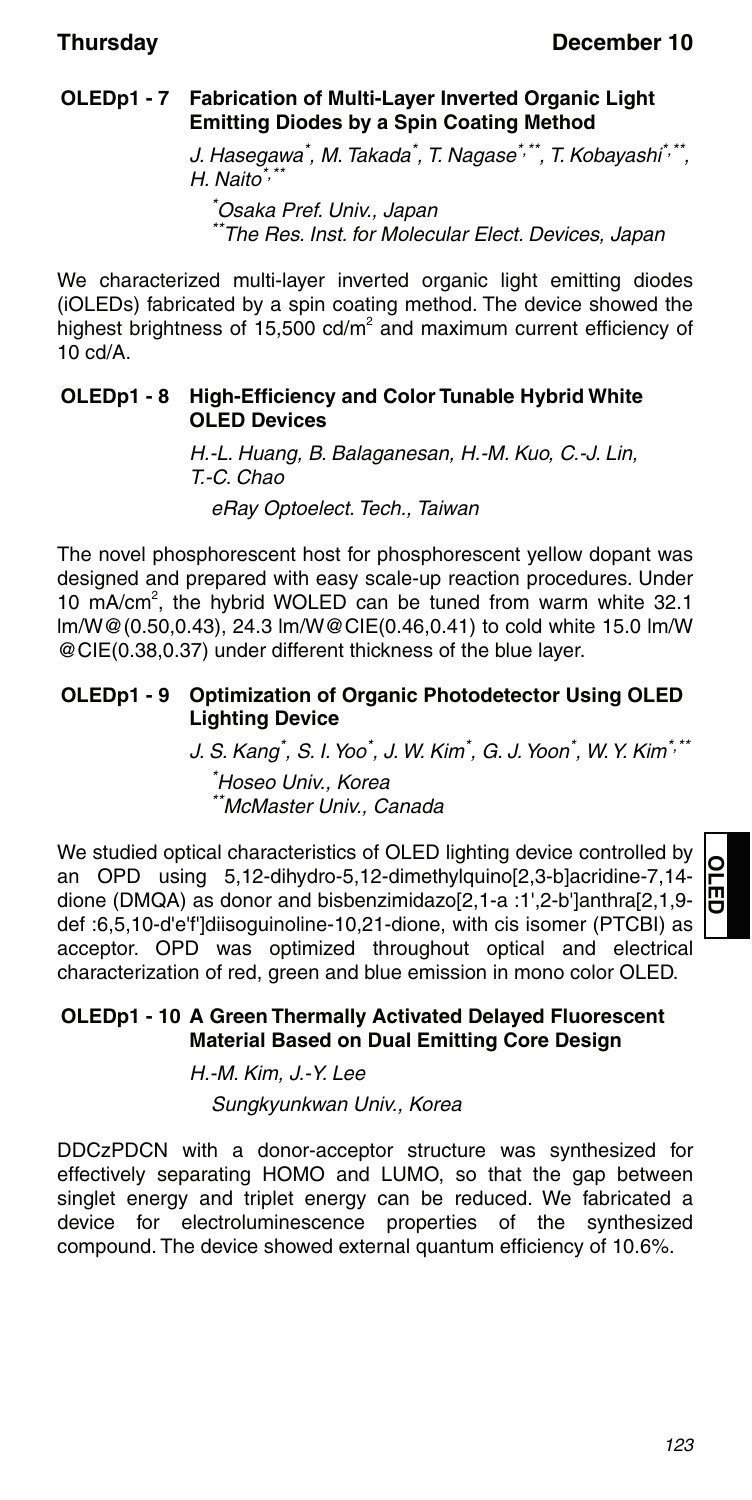### **OLEDp1 - 7 Fabrication of Multi-Layer Inverted Organic Light Emitting Diodes by a Spin Coating Method**

J. Hasegawa $\check{ }$ , M. Takada $\check{ }$ , T. Nagase $\check{ }$ , $\check{ }$ , T. Kobayashi $\check{ }$ , $\check{ }$ , $\check{ }$  $H$ . Naito<sup>\*,\*</sup>

\* Osaka Pref. Univ., Japan The Res. Inst. for Molecular Elect. Devices, Japan

We characterized multi-layer inverted organic light emitting diodes (iOLEDs) fabricated by a spin coating method. The device showed the highest brightness of 15,500  $\text{cd/m}^2$  and maximum current efficiency of  $10 \text{ c}d/\text{A}$ 

### **OLEDp1 - 8 High-Efficiency and Color Tunable Hybrid White OLED Devices**

H.-L. Huang, B. Balaganesan, H.-M. Kuo, C.-J. Lin, T.-C. Chao eRay Optoelect. Tech., Taiwan

The novel phosphorescent host for phosphorescent yellow dopant was designed and prepared with easy scale-up reaction procedures. Under 10 mA/cm<sup>2</sup>, the hybrid WOLED can be tuned from warm white 32.1 lm/W@(0.50,0.43), 24.3 lm/W@CIE(0.46,0.41) to cold white 15.0 lm/W @CIE(0.38,0.37) under different thickness of the blue layer.

#### **OLEDp1 - 9 Optimization of Organic Photodetector Using OLED Lighting Device**

J. S. Kang້, S. I. Yoo໋, J. W. Kim໋, G. J. Yoon໋, W. Y. Kim໋<sup>,</sup> ゙゙ \* Hoseo Univ., Korea \*\*McMaster Univ., Canada

We studied optical characteristics of OLED lighting device controlled by an OPD using 5,12-dihydro-5,12-dimethylquino[2,3-b]acridine-7,14 dione (DMQA) as donor and bisbenzimidazo[2,1-a :1',2-b']anthra[2,1,9 def :6,5,10-d'e'f']diisoguinoline-10,21-dione, with cis isomer (PTCBI) as acceptor. OPD was optimized throughout optical and electrical characterization of red, green and blue emission in mono color OLED.

### **OLEDp1 - 10 A Green Thermally Activated Delayed Fluorescent Material Based on Dual Emitting Core Design**

H.-M. Kim, J.-Y. Lee

Sungkyunkwan Univ., Korea

DDCzPDCN with a donor-acceptor structure was synthesized for effectively separating HOMO and LUMO, so that the gap between singlet energy and triplet energy can be reduced. We fabricated a device for electroluminescence properties of the synthesized compound. The device showed external quantum efficiency of 10.6%.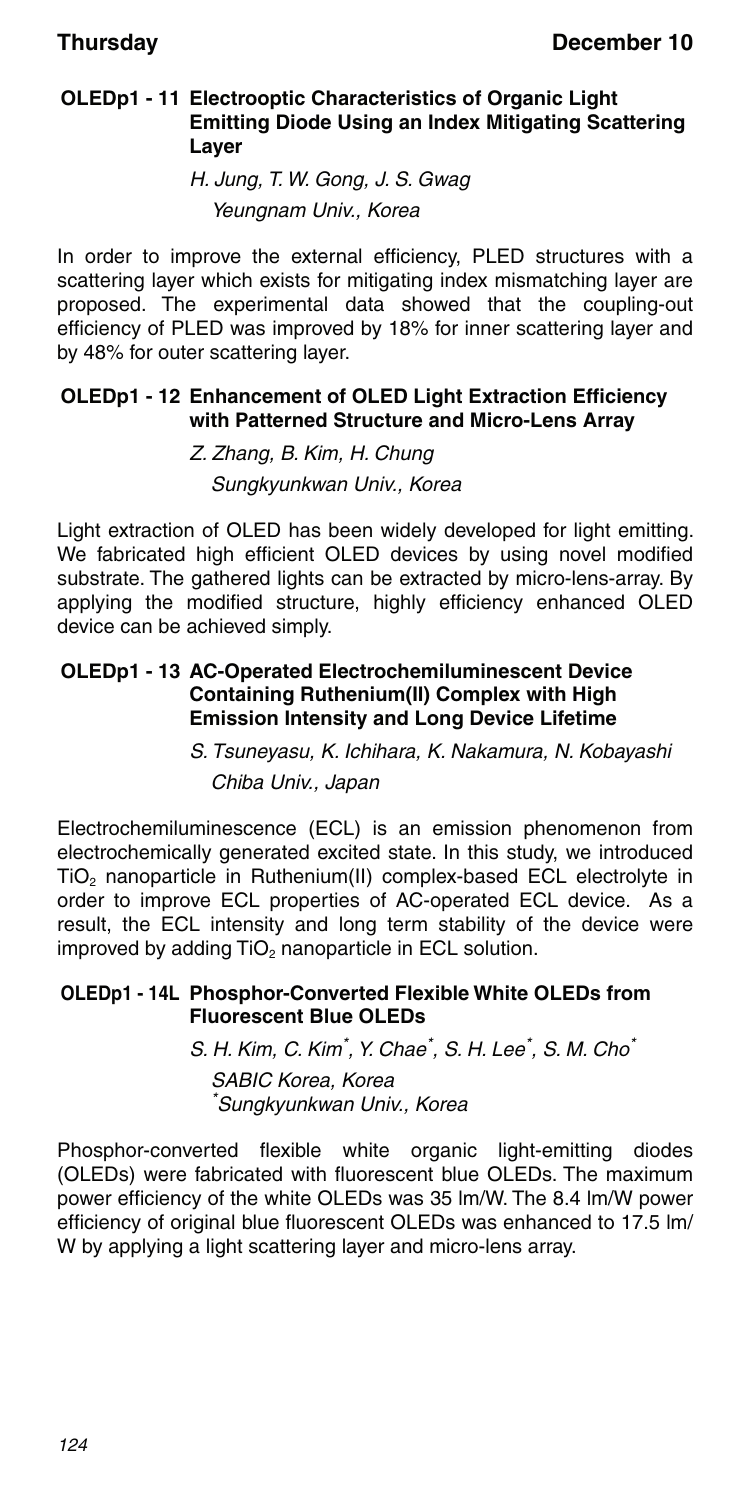#### **OLEDp1 - 11 Electrooptic Characteristics of Organic Light Emitting Diode Using an Index Mitigating Scattering Layer**

H. Jung, T. W. Gong, J. S. Gwag Yeungnam Univ., Korea

In order to improve the external efficiency, PLED structures with a scattering layer which exists for mitigating index mismatching layer are proposed. The experimental data showed that the coupling-out efficiency of PLED was improved by 18% for inner scattering layer and by 48% for outer scattering layer.

#### **OLEDp1 - 12 Enhancement of OLED Light Extraction Efficiency with Patterned Structure and Micro-Lens Array**

Z. Zhang, B. Kim, H. Chung Sungkyunkwan Univ., Korea

Light extraction of OLED has been widely developed for light emitting. We fabricated high efficient OLED devices by using novel modified substrate. The gathered lights can be extracted by micro-lens-array. By applying the modified structure, highly efficiency enhanced OLED device can be achieved simply.

#### **OLEDp1 - 13 AC-Operated Electrochemiluminescent Device Containing Ruthenium(II) Complex with High Emission Intensity and Long Device Lifetime**

### S. Tsuneyasu, K. Ichihara, K. Nakamura, N. Kobayashi Chiba Univ., Japan

Electrochemiluminescence (ECL) is an emission phenomenon from electrochemically generated excited state. In this study, we introduced TiO2 nanoparticle in Ruthenium(II) complex-based ECL electrolyte in order to improve ECL properties of AC-operated ECL device. As a result, the ECL intensity and long term stability of the device were improved by adding  $TiO<sub>2</sub>$  nanoparticle in ECL solution.

#### **OLEDp1 - 14L Phosphor-Converted Flexible White OLEDs from Fluorescent Blue OLEDs**

S. H. Kim, C. Kim<sup>\*</sup>, Y. Chae<sup>\*</sup>, S. H. Lee<sup>\*</sup>, S. M. Cho<sup>\*</sup>

SABIC Korea, Korea \* Sungkyunkwan Univ., Korea

Phosphor-converted flexible white organic light-emitting diodes (OLEDs) were fabricated with fluorescent blue OLEDs. The maximum power efficiency of the white OLEDs was 35 lm/W. The 8.4 lm/W power efficiency of original blue fluorescent OLEDs was enhanced to 17.5 lm/ W by applying a light scattering layer and micro-lens array.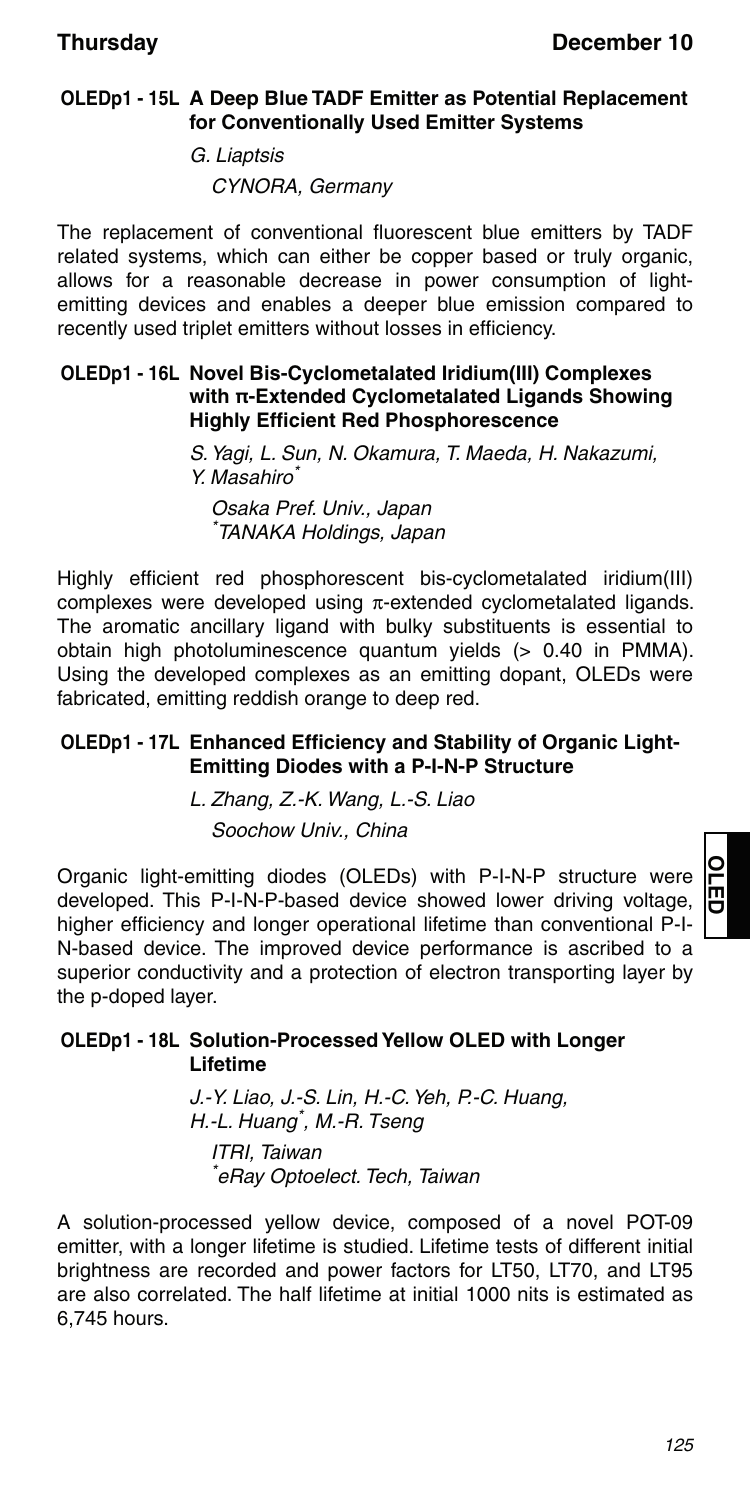### **OLEDp1 - 15L A Deep Blue TADF Emitter as Potential Replacement for Conventionally Used Emitter Systems**

G. Liaptsis CYNORA, Germany

The replacement of conventional fluorescent blue emitters by TADF related systems, which can either be copper based or truly organic, allows for a reasonable decrease in power consumption of lightemitting devices and enables a deeper blue emission compared to recently used triplet emitters without losses in efficiency.

#### **OLEDp1 - 16L Novel Bis-Cyclometalated Iridium(III) Complexes with π-Extended Cyclometalated Ligands Showing Highly Efficient Red Phosphorescence**

S. Yagi, L. Sun, N. Okamura, T. Maeda, H. Nakazumi, Y. Masahiro\*

Osaka Pref. Univ., Japan \* TANAKA Holdings, Japan

Highly efficient red phosphorescent bis-cyclometalated iridium(III) complexes were developed using  $\pi$ -extended cyclometalated ligands. The aromatic ancillary ligand with bulky substituents is essential to obtain high photoluminescence quantum yields (> 0.40 in PMMA). Using the developed complexes as an emitting dopant, OLEDs were fabricated, emitting reddish orange to deep red.

### **OLEDp1 - 17L Enhanced Efficiency and Stability of Organic Light-Emitting Diodes with a P-I-N-P Structure**

L. Zhang, Z.-K. Wang, L.-S. Liao Soochow Univ., China

Organic light-emitting diodes (OLEDs) with P-I-N-P structure were developed. This P-I-N-P-based device showed lower driving voltage, higher efficiency and longer operational lifetime than conventional P-I-N-based device. The improved device performance is ascribed to a superior conductivity and a protection of electron transporting layer by the p-doped layer.

### **OLEDp1 - 18L Solution-Processed Yellow OLED with Longer Lifetime**

J.-Y. Liao, J.-S. Lin, H.-C. Yeh, P.-C. Huang, H.-L. Huang\* , M.-R. Tseng

ITRI, Taiwan \* eRay Optoelect. Tech, Taiwan

A solution-processed yellow device, composed of a novel POT-09 emitter, with a longer lifetime is studied. Lifetime tests of different initial brightness are recorded and power factors for LT50, LT70, and LT95 are also correlated. The half lifetime at initial 1000 nits is estimated as 6,745 hours.

**OLED**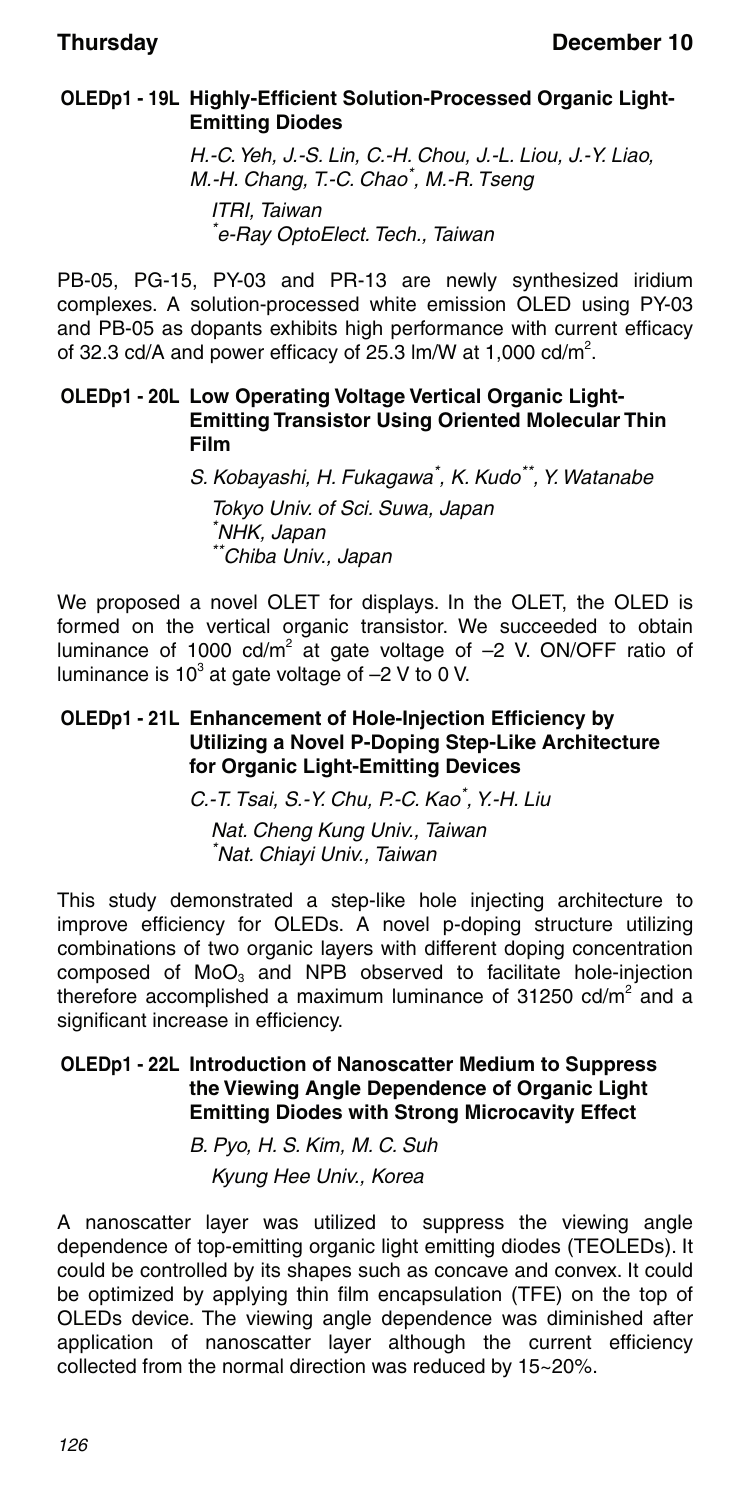### **OLEDp1 - 19L Highly-Efficient Solution-Processed Organic Light-Emitting Diodes**

H.-C. Yeh, J.-S. Lin, C.-H. Chou, J.-L. Liou, J.-Y. Liao, M.-H. Chang, T.-C. Chao\* , M.-R. Tseng ITRI, Taiwan \* e-Ray OptoElect. Tech., Taiwan

PB-05, PG-15, PY-03 and PR-13 are newly synthesized iridium complexes. A solution-processed white emission OLED using PY-03 and PB-05 as dopants exhibits high performance with current efficacy of 32.3 cd/A and power efficacy of 25.3  $\text{Im}/\text{W}$  at 1,000 cd/m<sup>2</sup>.

#### **OLEDp1 - 20L Low Operating Voltage Vertical Organic Light-Emitting Transistor Using Oriented Molecular Thin Film**

S. Kobayashi, H. Fukagawa<sup>\*</sup>, K. Kudo<sup>\*\*</sup>, Y. Watanabe Tokyo Univ. of Sci. Suwa, Japan \* NHK, Japan \*\*Chiba Univ., Japan

We proposed a novel OLET for displays. In the OLET, the OLED is formed on the vertical organic transistor. We succeeded to obtain luminance of 1000  $cd/m^2$  at gate voltage of  $-2$  V. ON/OFF ratio of luminance is 10 $^3$  at gate voltage of  $-2$  V to 0 V.

#### **OLEDp1 - 21L Enhancement of Hole-Injection Efficiency by Utilizing a Novel P-Doping Step-Like Architecture for Organic Light-Emitting Devices**

C.-T. Tsai, S.-Y. Chu, P.-C. Kao<sup>\*</sup>, Y.-H. Liu

Nat. Cheng Kung Univ., Taiwan \* Nat. Chiayi Univ., Taiwan

This study demonstrated a step-like hole injecting architecture to improve efficiency for OLEDs. A novel p-doping structure utilizing combinations of two organic layers with different doping concentration composed of  $MoO<sub>3</sub>$  and NPB observed to facilitate hole-injection therefore accomplished a maximum luminance of 31250 cd/m<sup>2</sup> and a significant increase in efficiency.

### **OLEDp1 - 22L Introduction of Nanoscatter Medium to Suppress the Viewing Angle Dependence of Organic Light Emitting Diodes with Strong Microcavity Effect**

B. Pyo, H. S. Kim, M. C. Suh

Kyung Hee Univ., Korea

A nanoscatter layer was utilized to suppress the viewing angle dependence of top-emitting organic light emitting diodes (TEOLEDs). It could be controlled by its shapes such as concave and convex. It could be optimized by applying thin film encapsulation (TFE) on the top of OLEDs device. The viewing angle dependence was diminished after application of nanoscatter layer although the current efficiency collected from the normal direction was reduced by 15~20%.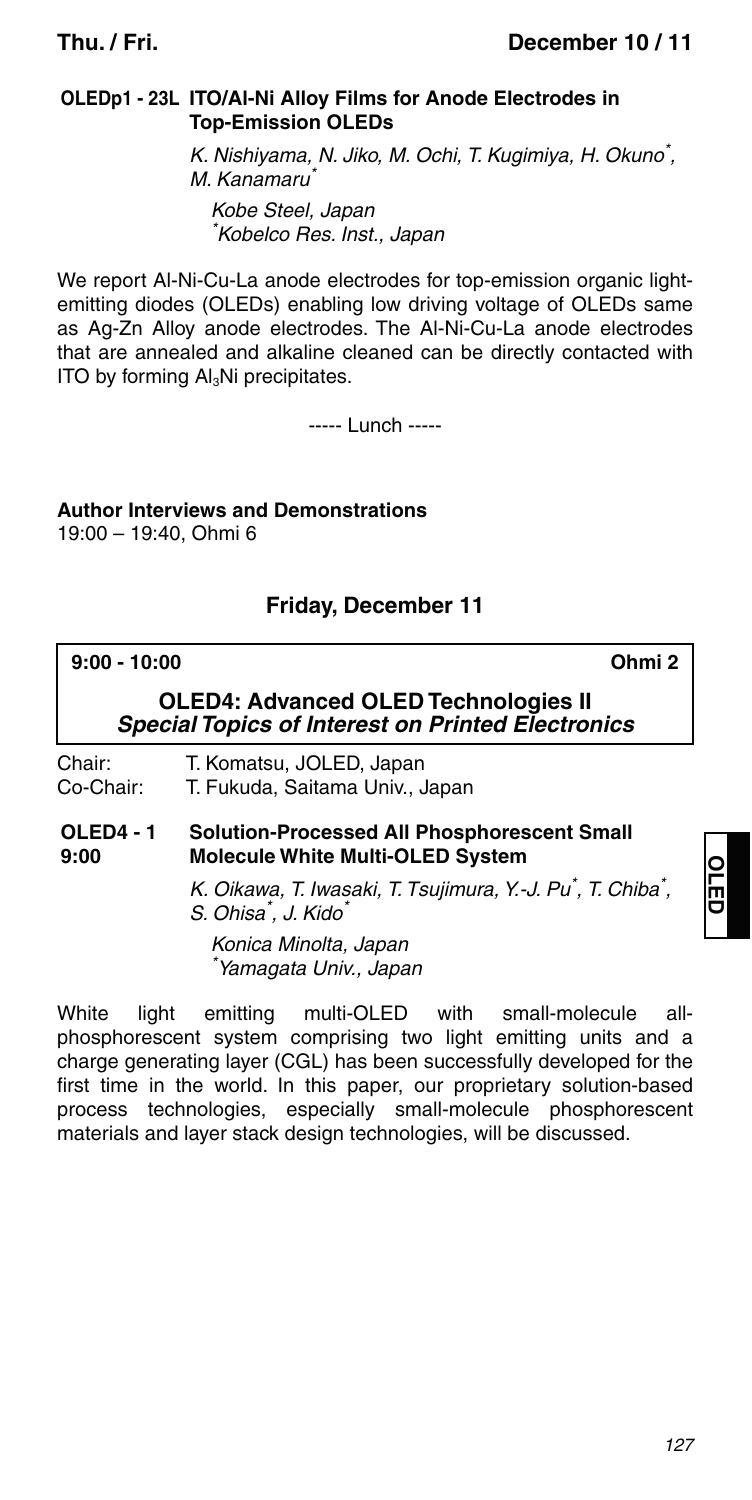#### **OLEDp1 - 23L ITO/Al-Ni Alloy Films for Anode Electrodes in Top-Emission OLEDs**

K. Nishiyama, N. Jiko, M. Ochi, T. Kugimiya, H. Okuno\* , M. Kanamaru<sup>\*</sup> Kobe Steel, Japan \* Kobelco Res. Inst., Japan

We report Al-Ni-Cu-La anode electrodes for top-emission organic lightemitting diodes (OLEDs) enabling low driving voltage of OLEDs same as Ag-Zn Alloy anode electrodes. The Al-Ni-Cu-La anode electrodes that are annealed and alkaline cleaned can be directly contacted with ITO by forming Al<sub>3</sub>Ni precipitates.

----- Lunch -----

**Author Interviews and Demonstrations** 19:00 – 19:40, Ohmi 6

### **Friday, December 11**

**9:00 - 10:00 Ohmi 2**

**OLED4: Advanced OLED Technologies II** *Special Topics of Interest on Printed Electronics*

Chair: T. Komatsu, JOLED, Japan Co-Chair: T. Fukuda, Saitama Univ., Japan

#### **OLED4 - 1 9:00 Solution-Processed All Phosphorescent Small Molecule White Multi-OLED System**

K. Oikawa, T. Iwasaki, T. Tsujimura, Y.-J. Pu<sup>\*</sup>, T. Chiba<sup>\*</sup>, S. Ohisa<sup>\*</sup>, J. Kido<sup>\*</sup>

Konica Minolta, Japan \* Yamagata Univ., Japan

White light emitting multi-OLED with small-molecule allphosphorescent system comprising two light emitting units and a charge generating layer (CGL) has been successfully developed for the first time in the world. In this paper, our proprietary solution-based process technologies, especially small-molecule phosphorescent materials and layer stack design technologies, will be discussed.

**OLED**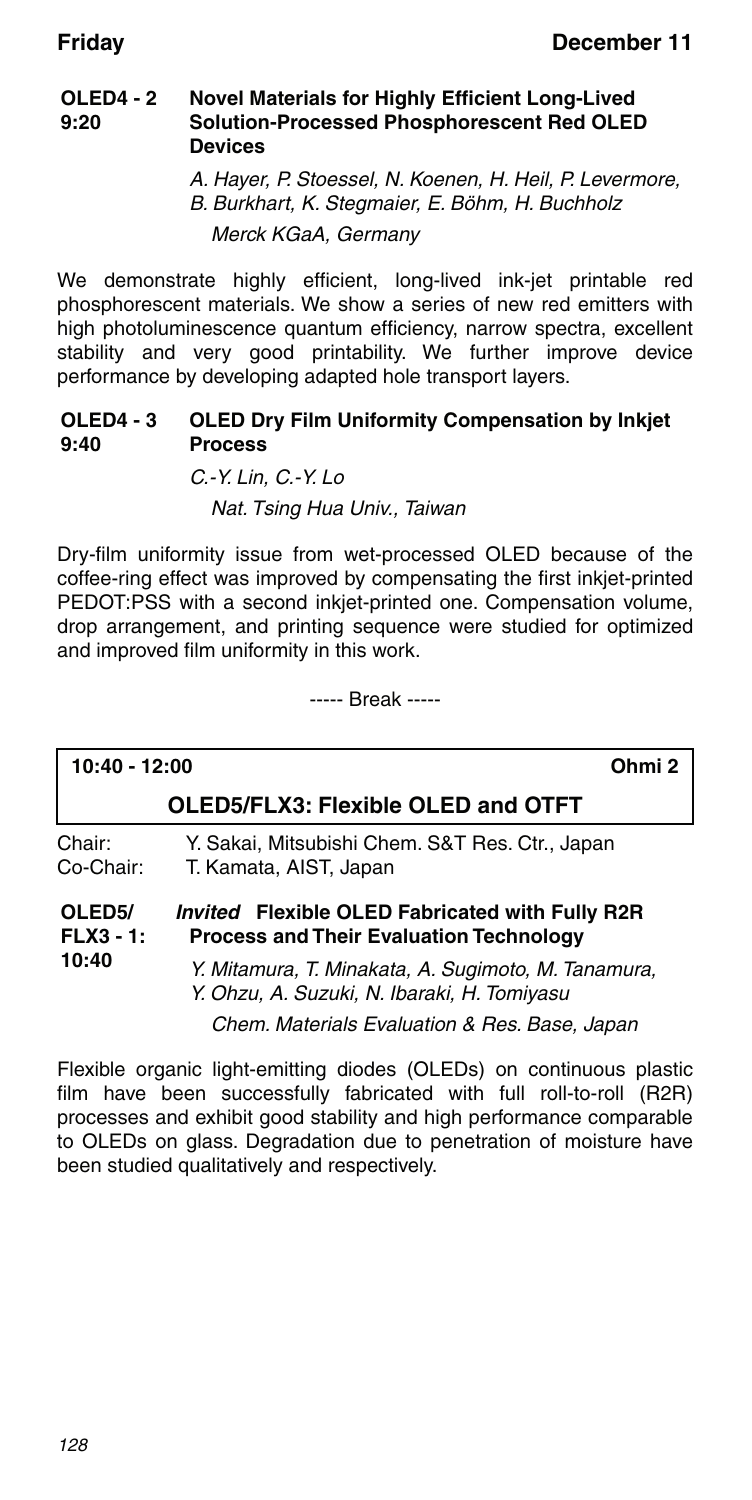#### **OLED4 - 2 9:20 Novel Materials for Highly Efficient Long-Lived Solution-Processed Phosphorescent Red OLED Devices**

A. Hayer, P. Stoessel, N. Koenen, H. Heil, P. Levermore, B. Burkhart, K. Stegmaier, E. Böhm, H. Buchholz Merck KGaA, Germany

We demonstrate highly efficient, long-lived ink-jet printable red phosphorescent materials. We show a series of new red emitters with high photoluminescence quantum efficiency, narrow spectra, excellent stability and very good printability. We further improve device performance by developing adapted hole transport layers.

#### OLED4 - 3 OLED Dry Film Uniformity Compensation by Inkjet **9:40 Process**

C.-Y. Lin, C.-Y. Lo Nat. Tsing Hua Univ., Taiwan

Dry-film uniformity issue from wet-processed OLED because of the coffee-ring effect was improved by compensating the first inkjet-printed PEDOT:PSS with a second inkjet-printed one. Compensation volume, drop arrangement, and printing sequence were studied for optimized and improved film uniformity in this work.

----- Break -----

| 10:40 - 12:00                               | Ohmi <sub>2</sub>                                                                                        |
|---------------------------------------------|----------------------------------------------------------------------------------------------------------|
|                                             | OLED5/FLX3: Flexible OLED and OTFT                                                                       |
| Chair:<br>Co-Chair:                         | Y. Sakai, Mitsubishi Chem. S&T Res. Ctr., Japan<br>T. Kamata, AIST, Japan                                |
| OLED <sub>5</sub> /<br>$FLX3 - 1:$<br>10:40 | <i>Invited</i> Flexible OLED Fabricated with Fully R2R<br><b>Process and Their Evaluation Technology</b> |
|                                             | Y. Mitamura, T. Minakata, A. Sugimoto, M. Tanamura,<br>Y. Ohzu, A. Suzuki, N. Ibaraki, H. Tomiyasu       |

Chem. Materials Evaluation & Res. Base, Japan

Flexible organic light-emitting diodes (OLEDs) on continuous plastic film have been successfully fabricated with full roll-to-roll (R2R) processes and exhibit good stability and high performance comparable to OLEDs on glass. Degradation due to penetration of moisture have been studied qualitatively and respectively.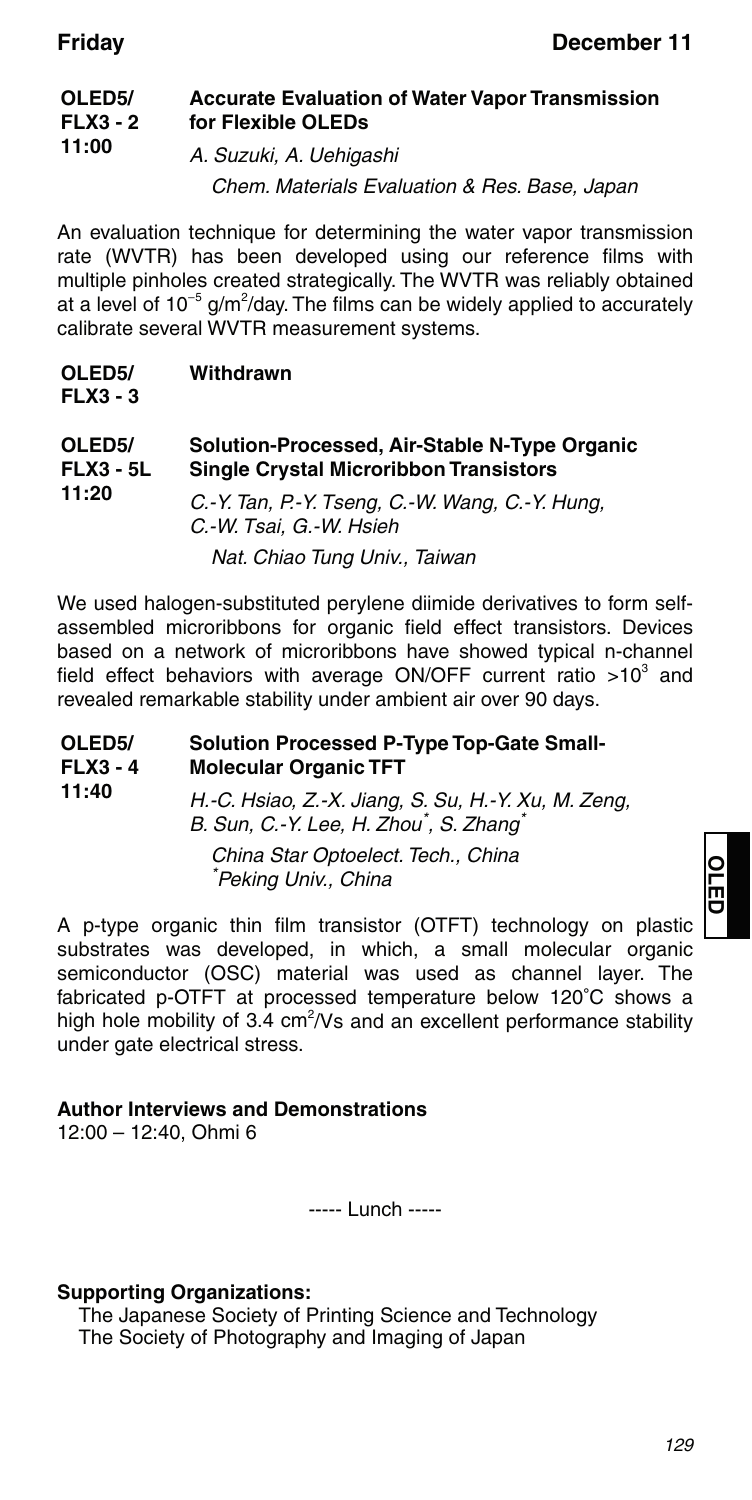#### **OLED5/ FLX3 - 2 11:00 Accurate Evaluation of Water Vapor Transmission for Flexible OLEDs** A. Suzuki, A. Uehigashi

Chem. Materials Evaluation & Res. Base, Japan

An evaluation technique for determining the water vapor transmission rate (WVTR) has been developed using our reference films with multiple pinholes created strategically. The WVTR was reliably obtained at a level of 10<sup>-5</sup> g/m<sup>2</sup>/day. The films can be widely applied to accurately calibrate several WVTR measurement systems.

| OLED <sub>5</sub> / | Withdrawn |
|---------------------|-----------|
| $FLX3 - 3$          |           |

| OLED <sub>5</sub> /<br><b>FLX3 - 5L</b> | Solution-Processed, Air-Stable N-Type Organic<br><b>Single Crystal Microribbon Transistors</b> |  |
|-----------------------------------------|------------------------------------------------------------------------------------------------|--|
| 11:20                                   | C.-Y. Tan, P.-Y. Tseng, C.-W. Wang, C.-Y. Hung,<br>C.-W. Tsai. G.-W. Hsieh                     |  |
|                                         | Nat. Chiao Tung Univ., Taiwan                                                                  |  |

We used halogen-substituted perylene diimide derivatives to form selfassembled microribbons for organic field effect transistors. Devices based on a network of microribbons have showed typical n-channel field effect behaviors with average ON/OFF current ratio  $>10^3$  and revealed remarkable stability under ambient air over 90 days.

| OLED <sub>5</sub> /<br>$FLX3 - 4$ | <b>Solution Processed P-Type Top-Gate Small-</b><br><b>Molecular Organic TFT</b>                                       |  |
|-----------------------------------|------------------------------------------------------------------------------------------------------------------------|--|
| 11:40                             | H.-C. Hsiao, Z.-X. Jiang, S. Su, H.-Y. Xu, M. Zeng,<br>B. Sun, C.-Y. Lee, H. Zhou <sup>*</sup> , S. Zhang <sup>*</sup> |  |
|                                   | China Star Optoelect. Tech., China<br>*Peking Univ., China                                                             |  |

A p-type organic thin film transistor (OTFT) technology on plastic substrates was developed, in which, a small molecular organic semiconductor (OSC) material was used as channel layer. The fabricated p-OTFT at processed temperature below 120°C shows a high hole mobility of 3.4  $cm<sup>2</sup>/Vs$  and an excellent performance stability under gate electrical stress.

#### **Author Interviews and Demonstrations**

12:00 – 12:40, Ohmi 6

----- Lunch -----

#### **Supporting Organizations:**

The Japanese Society of Printing Science and Technology The Society of Photography and Imaging of Japan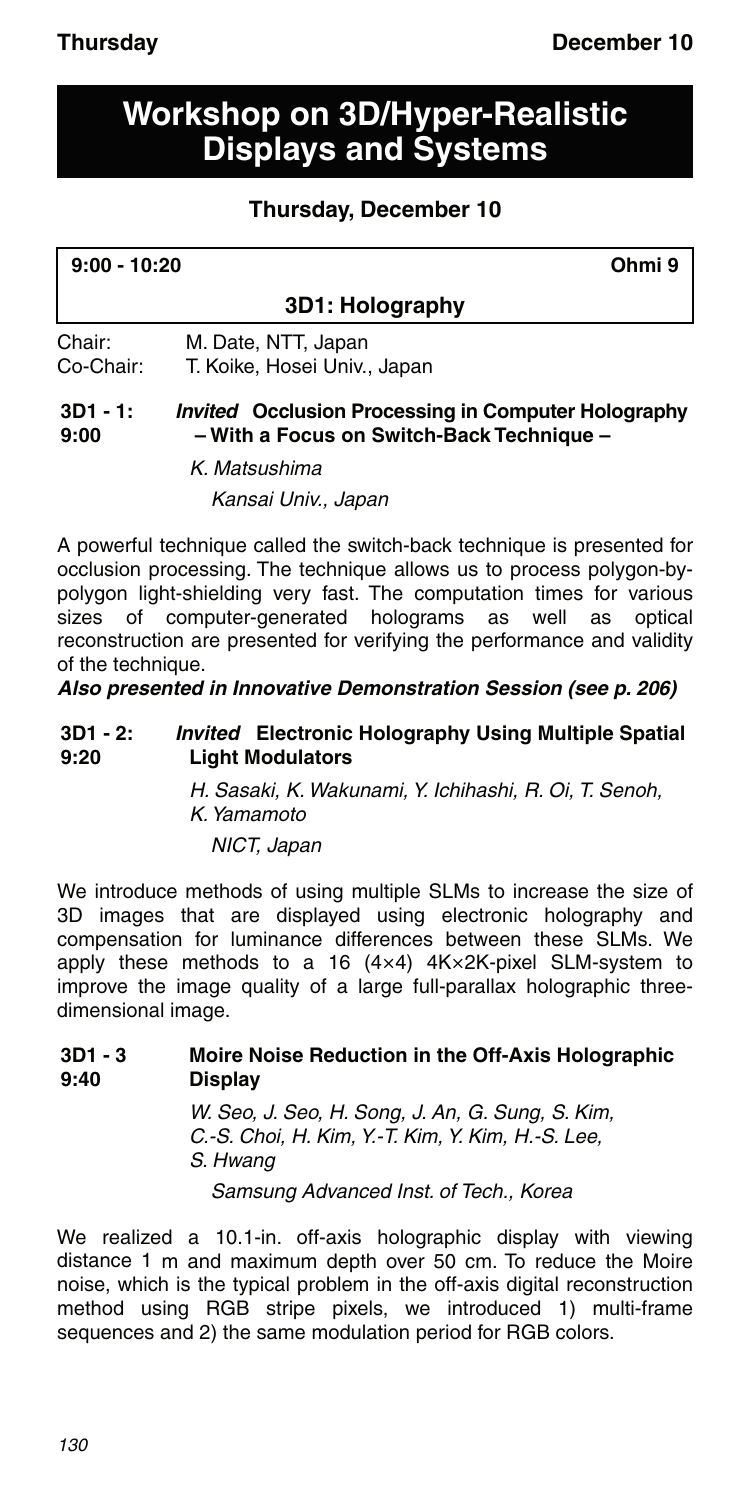## **Workshop on 3D/Hyper-Realistic Displays and Systems**

### **Thursday, December 10**

| 9:00 - 10:20 | Ohmi 9 |
|--------------|--------|
|              |        |

### **3D1: Holography**

Chair: M. Date, NTT, Japan Co-Chair: T. Koike, Hosei Univ., Japan

#### **3D1 - 1: 9:00** *Invited* **Occlusion Processing in Computer Holography – With a Focus on Switch-Back Technique –**

K. Matsushima Kansai Univ., Japan

A powerful technique called the switch-back technique is presented for occlusion processing. The technique allows us to process polygon-bypolygon light-shielding very fast. The computation times for various sizes of computer-generated holograms as well as optical reconstruction are presented for verifying the performance and validity of the technique.

*Also presented in Innovative Demonstration Session (see p. 206)*

#### **3D1 - 2: 9:20** *Invited* **Electronic Holography Using Multiple Spatial Light Modulators**

H. Sasaki, K. Wakunami, Y. Ichihashi, R. Oi, T. Senoh, K. Yamamoto NICT, Japan

We introduce methods of using multiple SLMs to increase the size of 3D images that are displayed using electronic holography and compensation for luminance differences between these SLMs. We apply these methods to a 16 (4×4) 4K×2K-pixel SLM-system to improve the image quality of a large full-parallax holographic threedimensional image.

#### **3D1 - 3 9:40 Moire Noise Reduction in the Off-Axis Holographic Display**

W. Seo, J. Seo, H. Song, J. An, G. Sung, S. Kim, C.-S. Choi, H. Kim, Y.-T. Kim, Y. Kim, H.-S. Lee, S. Hwang Samsung Advanced Inst. of Tech., Korea

We realized a 10.1-in. off-axis holographic display with viewing distance 1 m and maximum depth over 50 cm. To reduce the Moire noise, which is the typical problem in the off-axis digital reconstruction method using RGB stripe pixels, we introduced 1) multi-frame sequences and 2) the same modulation period for RGB colors.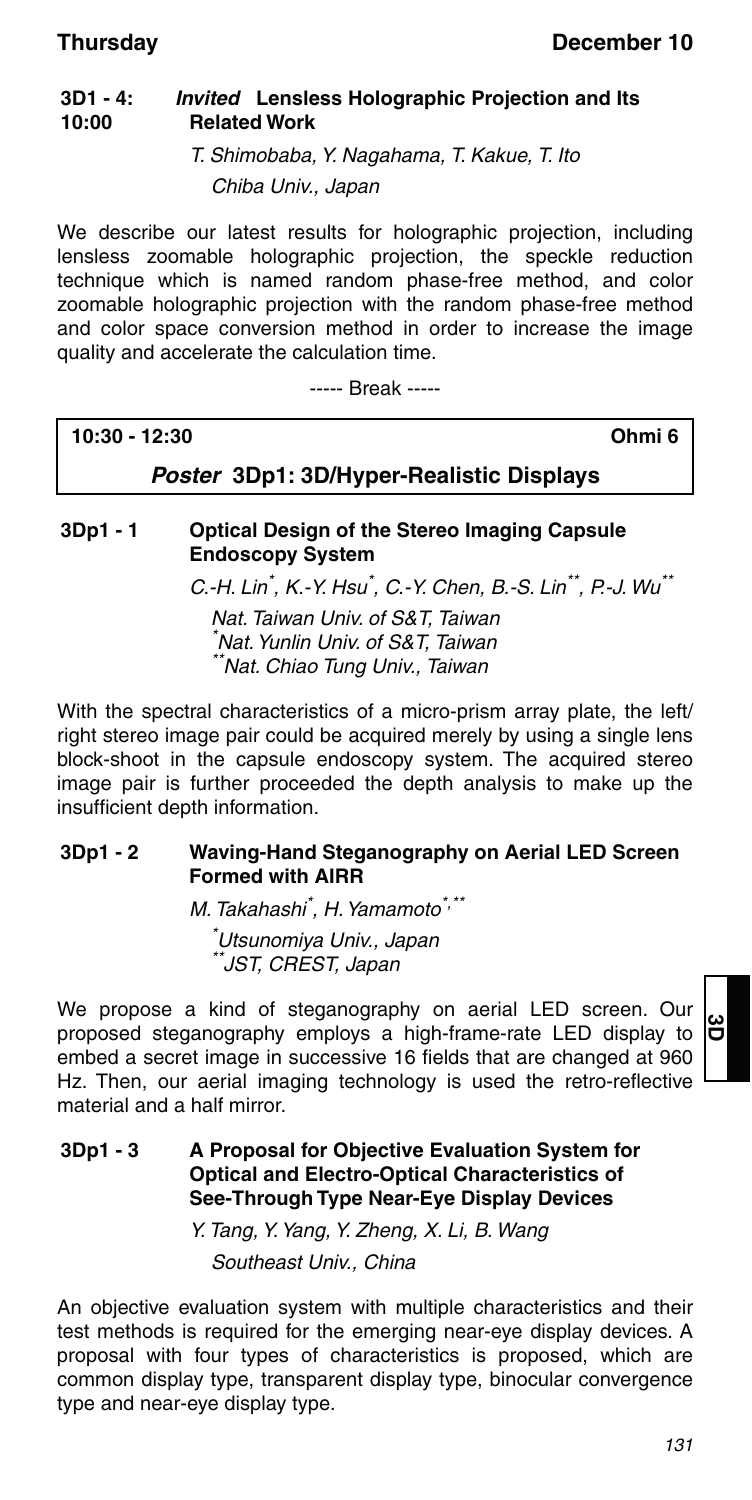#### **3D1 - 4: 10:00** *Invited* **Lensless Holographic Projection and Its Related Work**

T. Shimobaba, Y. Nagahama, T. Kakue, T. Ito Chiba Univ., Japan

We describe our latest results for holographic projection, including lensless zoomable holographic projection, the speckle reduction technique which is named random phase-free method, and color zoomable holographic projection with the random phase-free method and color space conversion method in order to increase the image quality and accelerate the calculation time.

----- Break -----

| 10:30 - 12:30 | Ohmi <sub>6</sub> |  |
|---------------|-------------------|--|
|               | .                 |  |

*Poster* **3Dp1: 3D/Hyper-Realistic Displays**

### **3Dp1 - 1 Optical Design of the Stereo Imaging Capsule Endoscopy System**

C.-H. Lin<sup>\*</sup>, K.-Y. Hsu<sup>\*</sup>, C.-Y. Chen, B.-S. Lin<sup>\*\*</sup>, P.-J. Wu<sup>\*\*</sup>

Nat. Taiwan Univ. of S&T, Taiwan \* Nat. Yunlin Univ. of S&T, Taiwan \*\*Nat. Chiao Tung Univ., Taiwan

With the spectral characteristics of a micro-prism array plate, the left/ right stereo image pair could be acquired merely by using a single lens block-shoot in the capsule endoscopy system. The acquired stereo image pair is further proceeded the depth analysis to make up the insufficient depth information.

#### **3Dp1 - 2 Waving-Hand Steganography on Aerial LED Screen Formed with AIRR**

M. Takahashi<sup>\*</sup>, H. Yamamoto<sup>\*,\*\*</sup> \* Utsunomiya Univ., Japan \*\*JST, CREST, Japan

We propose a kind of steganography on aerial LED screen. Our proposed steganography employs a high-frame-rate LED display to embed a secret image in successive 16 fields that are changed at 960 Hz. Then, our aerial imaging technology is used the retro-reflective material and a half mirror.

#### **3Dp1 - 3 A Proposal for Objective Evaluation System for Optical and Electro-Optical Characteristics of See-Through Type Near-Eye Display Devices**

Y. Tang, Y. Yang, Y. Zheng, X. Li, B. Wang Southeast Univ., China

An objective evaluation system with multiple characteristics and their test methods is required for the emerging near-eye display devices. A proposal with four types of characteristics is proposed, which are common display type, transparent display type, binocular convergence type and near-eye display type.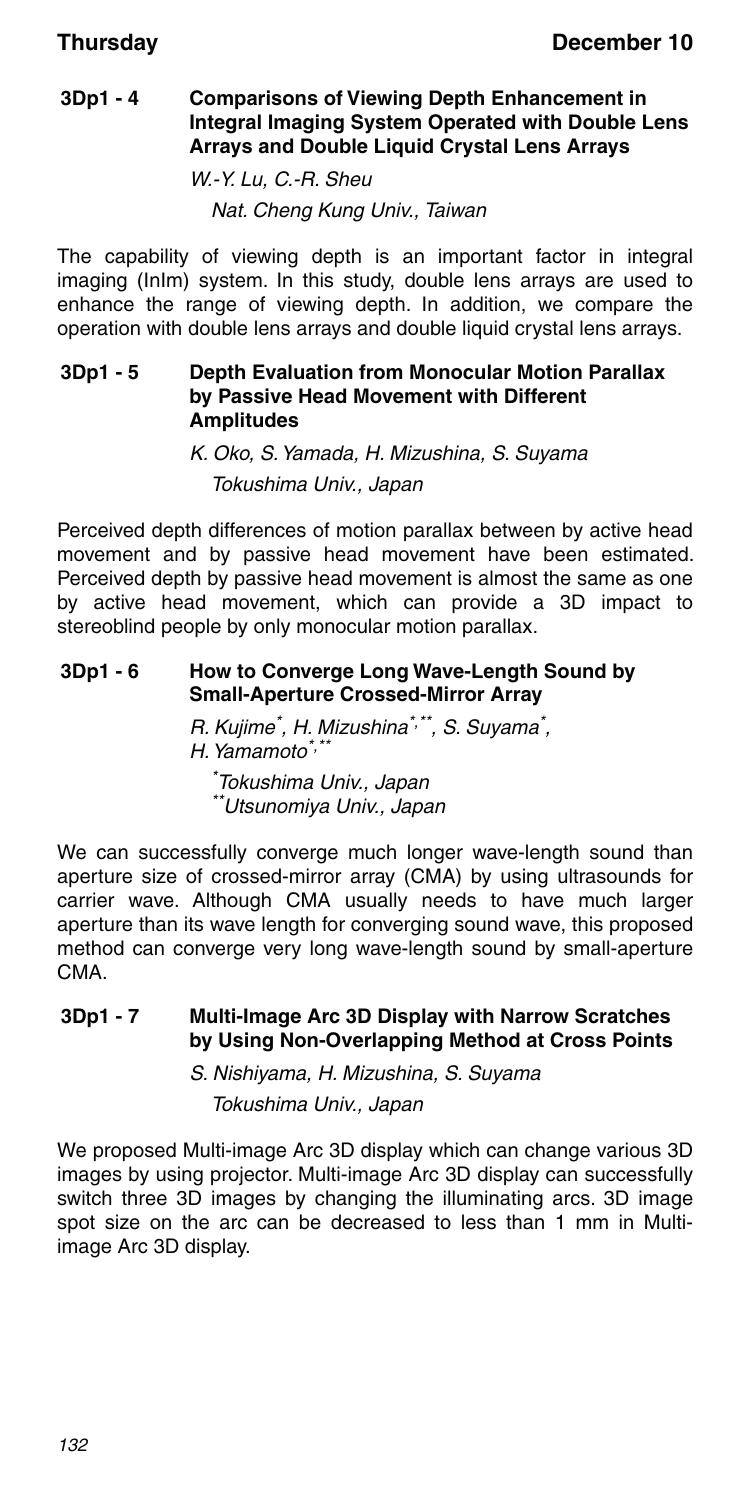#### **3Dp1 - 4 Comparisons of Viewing Depth Enhancement in Integral Imaging System Operated with Double Lens Arrays and Double Liquid Crystal Lens Arrays**

W.-Y. Lu, C.-R. Sheu Nat. Cheng Kung Univ., Taiwan

The capability of viewing depth is an important factor in integral imaging (InIm) system. In this study, double lens arrays are used to enhance the range of viewing depth. In addition, we compare the operation with double lens arrays and double liquid crystal lens arrays.

#### **3Dp1 - 5 Depth Evaluation from Monocular Motion Parallax by Passive Head Movement with Different Amplitudes**

K. Oko, S. Yamada, H. Mizushina, S. Suyama Tokushima Univ., Japan

Perceived depth differences of motion parallax between by active head movement and by passive head movement have been estimated. Perceived depth by passive head movement is almost the same as one by active head movement, which can provide a 3D impact to stereoblind people by only monocular motion parallax.

### **3Dp1 - 6 How to Converge Long Wave-Length Sound by Small-Aperture Crossed-Mirror Array**

R. Kujime<sup>\*</sup>, H. Mizushina<sup>\*,\*\*</sup>, S. Suyama<sup>\*</sup>, H. Yamamoto<sup>\*,\*\*</sup> \* Tokushima Univ., Japan \*\*Utsunomiya Univ., Japan

We can successfully converge much longer wave-length sound than aperture size of crossed-mirror array (CMA) by using ultrasounds for carrier wave. Although CMA usually needs to have much larger aperture than its wave length for converging sound wave, this proposed method can converge very long wave-length sound by small-aperture CMA.

### **3Dp1 - 7 Multi-Image Arc 3D Display with Narrow Scratches by Using Non-Overlapping Method at Cross Points**

S. Nishiyama, H. Mizushina, S. Suyama

Tokushima Univ., Japan

We proposed Multi-image Arc 3D display which can change various 3D images by using projector. Multi-image Arc 3D display can successfully switch three 3D images by changing the illuminating arcs. 3D image spot size on the arc can be decreased to less than 1 mm in Multiimage Arc 3D display.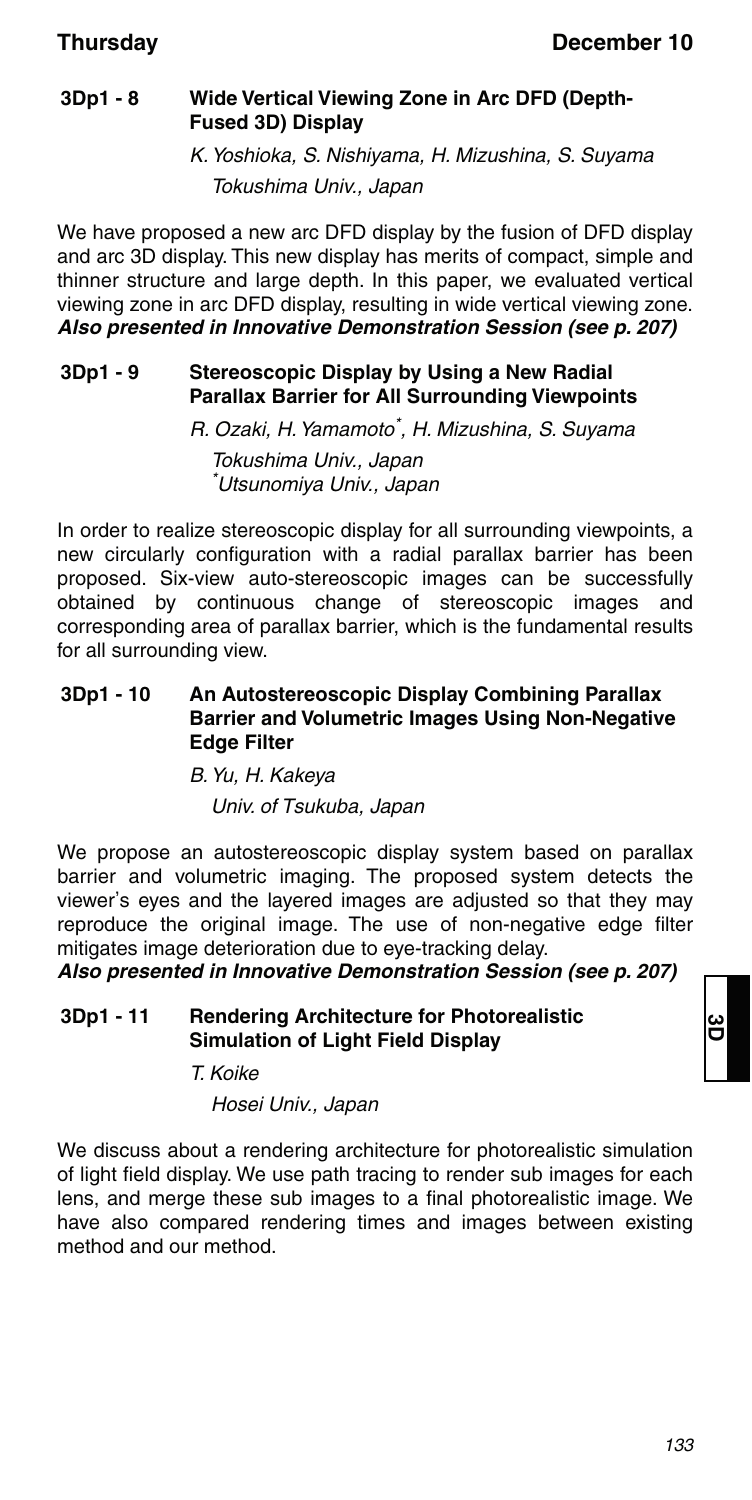### **3Dp1 - 8 Wide Vertical Viewing Zone in Arc DFD (Depth-Fused 3D) Display**

K. Yoshioka, S. Nishiyama, H. Mizushina, S. Suyama Tokushima Univ., Japan

We have proposed a new arc DFD display by the fusion of DFD display and arc 3D display. This new display has merits of compact, simple and thinner structure and large depth. In this paper, we evaluated vertical viewing zone in arc DFD display, resulting in wide vertical viewing zone. *Also presented in Innovative Demonstration Session (see p. 207)*

### **3Dp1 - 9 Stereoscopic Display by Using a New Radial Parallax Barrier for All Surrounding Viewpoints**

R. Ozaki, H. Yamamoto\* , H. Mizushina, S. Suyama

Tokushima Univ., Japan \* Utsunomiya Univ., Japan

In order to realize stereoscopic display for all surrounding viewpoints, a new circularly configuration with a radial parallax barrier has been proposed. Six-view auto-stereoscopic images can be successfully obtained by continuous change of stereoscopic images and corresponding area of parallax barrier, which is the fundamental results for all surrounding view.

#### **3Dp1 - 10 An Autostereoscopic Display Combining Parallax Barrier and Volumetric Images Using Non-Negative Edge Filter**

### B. Yu, H. Kakeya

Univ. of Tsukuba, Japan

We propose an autostereoscopic display system based on parallax barrier and volumetric imaging. The proposed system detects the viewer's eyes and the layered images are adjusted so that they may reproduce the original image. The use of non-negative edge filter mitigates image deterioration due to eye-tracking delay.

*Also presented in Innovative Demonstration Session (see p. 207)*

#### **3Dp1 - 11 Rendering Architecture for Photorealistic Simulation of Light Field Display**

T. Koike

Hosei Univ., Japan

We discuss about a rendering architecture for photorealistic simulation of light field display. We use path tracing to render sub images for each lens, and merge these sub images to a final photorealistic image. We have also compared rendering times and images between existing method and our method.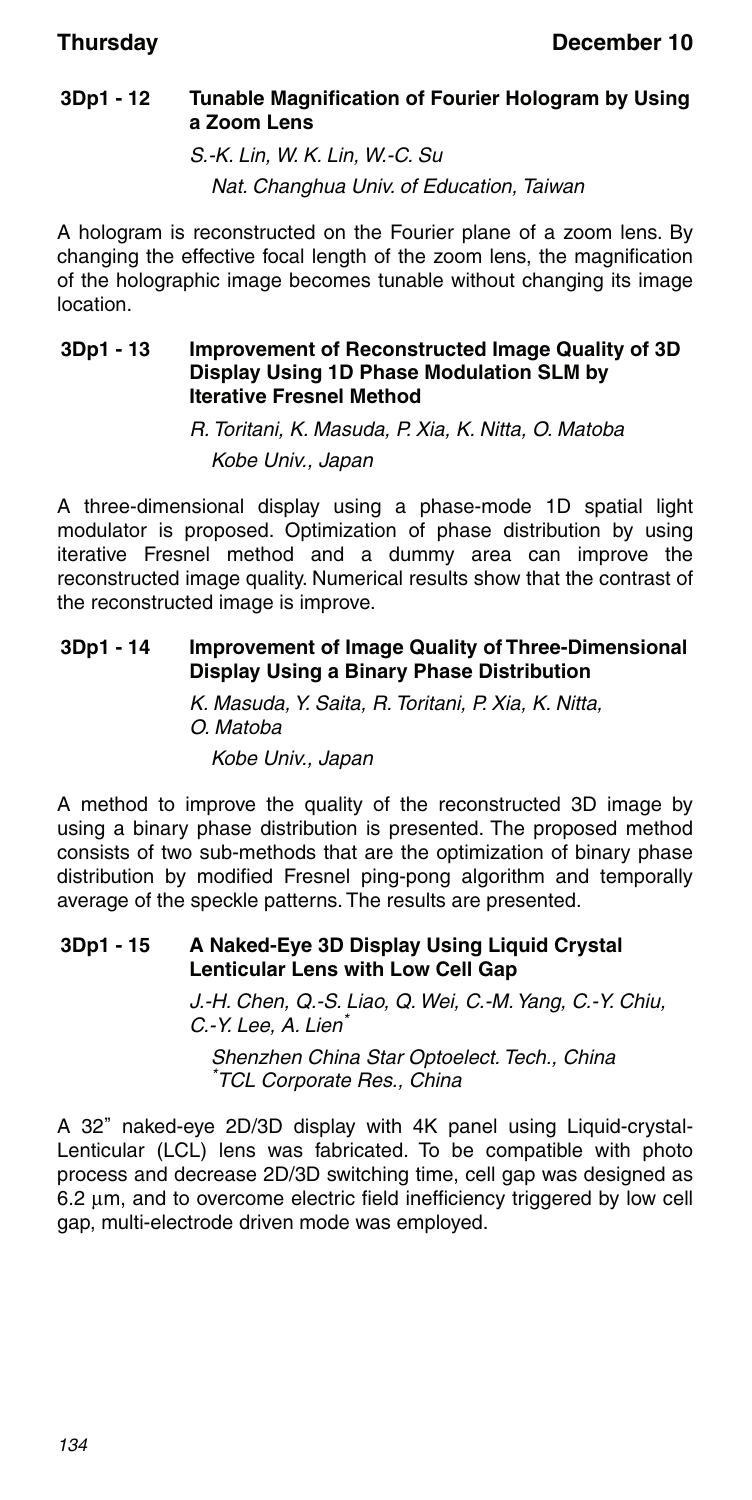### **3Dp1 - 12 Tunable Magnification of Fourier Hologram by Using a Zoom Lens**

S.-K. Lin, W. K. Lin, W.-C. Su

Nat. Changhua Univ. of Education, Taiwan

A hologram is reconstructed on the Fourier plane of a zoom lens. By changing the effective focal length of the zoom lens, the magnification of the holographic image becomes tunable without changing its image location.

### **3Dp1 - 13 Improvement of Reconstructed Image Quality of 3D Display Using 1D Phase Modulation SLM by Iterative Fresnel Method**

R. Toritani, K. Masuda, P. Xia, K. Nitta, O. Matoba Kobe Univ., Japan

A three-dimensional display using a phase-mode 1D spatial light modulator is proposed. Optimization of phase distribution by using iterative Fresnel method and a dummy area can improve the reconstructed image quality. Numerical results show that the contrast of the reconstructed image is improve.

### **3Dp1 - 14 Improvement of Image Quality of Three-Dimensional Display Using a Binary Phase Distribution**

K. Masuda, Y. Saita, R. Toritani, P. Xia, K. Nitta, O. Matoba Kobe Univ., Japan

A method to improve the quality of the reconstructed 3D image by using a binary phase distribution is presented. The proposed method consists of two sub-methods that are the optimization of binary phase distribution by modified Fresnel ping-pong algorithm and temporally average of the speckle patterns. The results are presented.

#### **3Dp1 - 15 A Naked-Eye 3D Display Using Liquid Crystal Lenticular Lens with Low Cell Gap**

J.-H. Chen, Q.-S. Liao, Q. Wei, C.-M. Yang, C.-Y. Chiu, C.-Y. Lee, A. Lien<sup>\*</sup> Shenzhen China Star Optoelect. Tech., China

\* TCL Corporate Res., China

A 32" naked-eye 2D/3D display with 4K panel using Liquid-crystal-Lenticular (LCL) lens was fabricated. To be compatible with photo process and decrease 2D/3D switching time, cell gap was designed as  $6.2 \mu m$ , and to overcome electric field inefficiency triggered by low cell gap, multi-electrode driven mode was employed.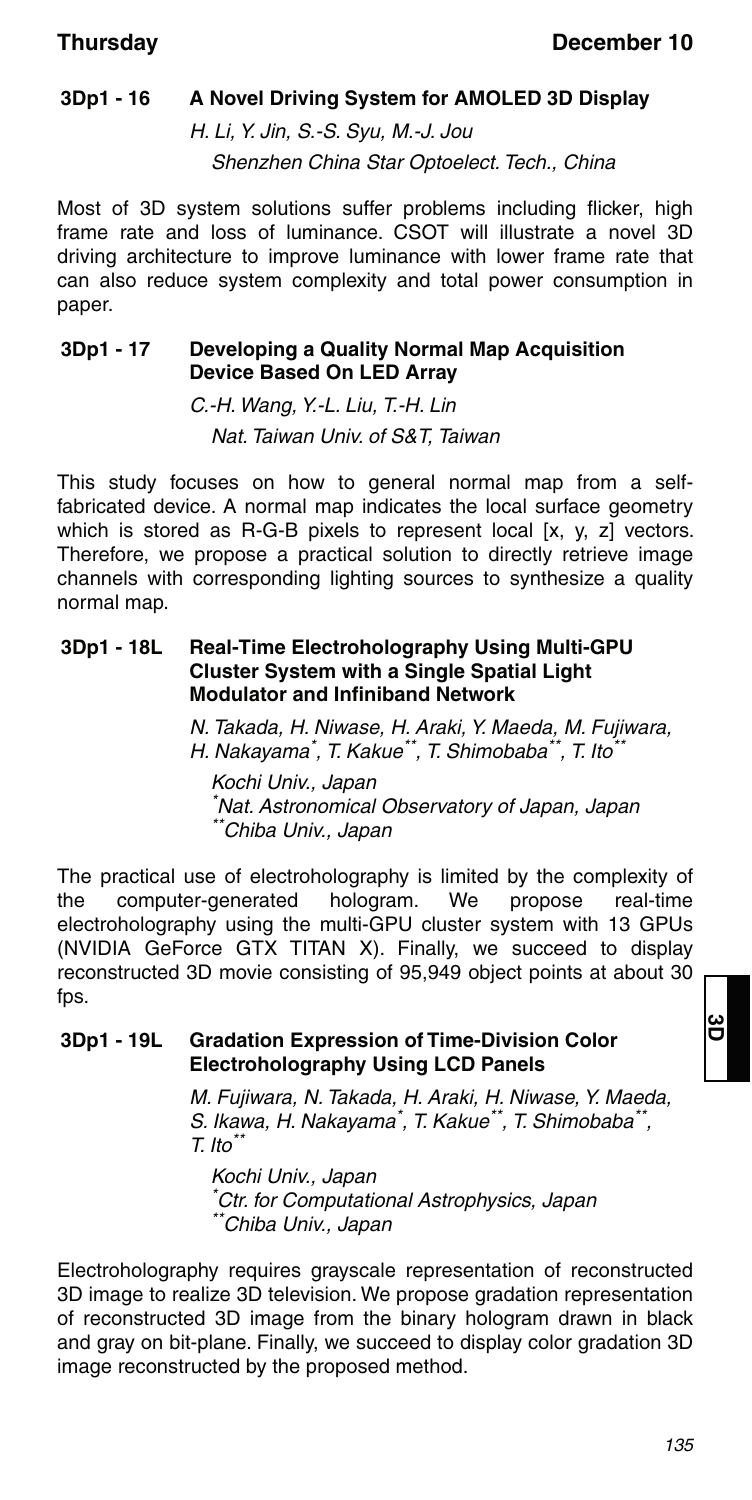### **3Dp1 - 16 A Novel Driving System for AMOLED 3D Display**

H. Li, Y. Jin, S.-S. Syu, M.-J. Jou Shenzhen China Star Optoelect. Tech., China

Most of 3D system solutions suffer problems including flicker, high frame rate and loss of luminance. CSOT will illustrate a novel 3D driving architecture to improve luminance with lower frame rate that can also reduce system complexity and total power consumption in paper.

#### **3Dp1 - 17 Developing a Quality Normal Map Acquisition Device Based On LED Array**

C.-H. Wang, Y.-L. Liu, T.-H. Lin Nat. Taiwan Univ. of S&T, Taiwan

This study focuses on how to general normal map from a selffabricated device. A normal map indicates the local surface geometry which is stored as R-G-B pixels to represent local  $[x, y, z]$  vectors. Therefore, we propose a practical solution to directly retrieve image channels with corresponding lighting sources to synthesize a quality normal map.

#### **3Dp1 - 18L Real-Time Electroholography Using Multi-GPU Cluster System with a Single Spatial Light Modulator and Infiniband Network**

N. Takada, H. Niwase, H. Araki, Y. Maeda, M. Fujiwara, H. Nakayama\* , T. Kakue\*\*, T. Shimobaba\*\*, T. Ito\*\*

Kochi Univ., Japan \* Nat. Astronomical Observatory of Japan, Japan  $\check{ }$ Chiba Univ., Japan

The practical use of electroholography is limited by the complexity of the computer-generated hologram. We propose real-time electroholography using the multi-GPU cluster system with 13 GPUs (NVIDIA GeForce GTX TITAN X). Finally, we succeed to display reconstructed 3D movie consisting of 95,949 object points at about 30 fps.

#### **3Dp1 - 19L Gradation Expression of Time-Division Color Electroholography Using LCD Panels**

M. Fujiwara, N. Takada, H. Araki, H. Niwase, Y. Maeda, S. Ikawa, H. Nakayama\* , T. Kakue\*\*, T. Shimobaba\*\*,  $T.$  Ito $*$ 

Kochi Univ., Japan \* Ctr. for Computational Astrophysics, Japan \*\*Chiba Univ., Japan

Electroholography requires grayscale representation of reconstructed 3D image to realize 3D television. We propose gradation representation of reconstructed 3D image from the binary hologram drawn in black and gray on bit-plane. Finally, we succeed to display color gradation 3D image reconstructed by the proposed method.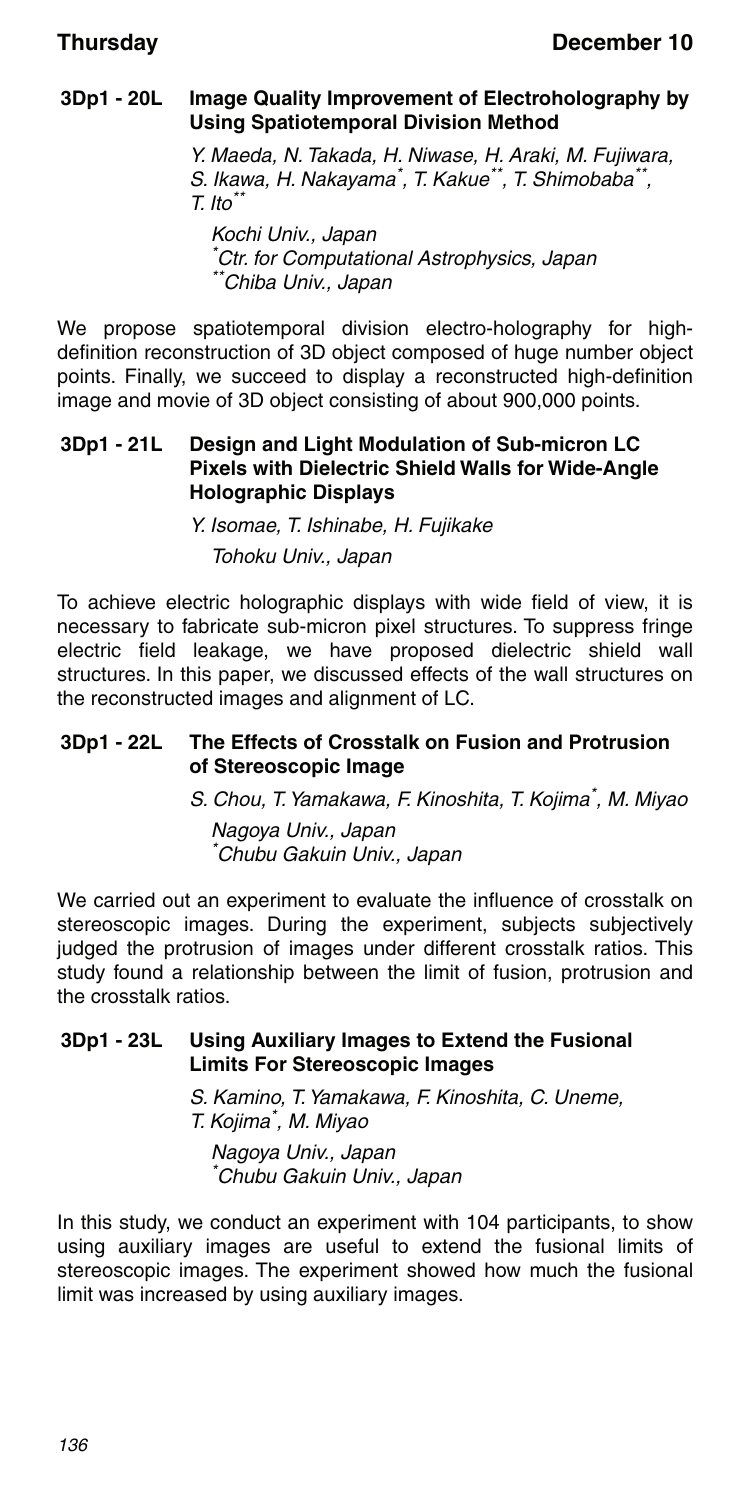### **3Dp1 - 20L Image Quality Improvement of Electroholography by Using Spatiotemporal Division Method**

Y. Maeda, N. Takada, H. Niwase, H. Araki, M. Fujiwara, S. Ikawa, H. Nakayama\*, T. Kakue\*\*, T. Shimobaba\*\*,  $T.$  Ito $*$ 

Kochi Univ., Japan \* Ctr. for Computational Astrophysics, Japan \*Chiba Univ., Japan

We propose spatiotemporal division electro-holography for highdefinition reconstruction of 3D object composed of huge number object points. Finally, we succeed to display a reconstructed high-definition image and movie of 3D object consisting of about 900,000 points.

#### **3Dp1 - 21L Design and Light Modulation of Sub-micron LC Pixels with Dielectric Shield Walls for Wide-Angle Holographic Displays**

Y. Isomae, T. Ishinabe, H. Fujikake Tohoku Univ., Japan

To achieve electric holographic displays with wide field of view, it is necessary to fabricate sub-micron pixel structures. To suppress fringe electric field leakage, we have proposed dielectric shield wall structures. In this paper, we discussed effects of the wall structures on the reconstructed images and alignment of LC.

### **3Dp1 - 22L The Effects of Crosstalk on Fusion and Protrusion of Stereoscopic Image**

S. Chou, T. Yamakawa, F. Kinoshita, T. Kojima\*, M. Miyao

Nagoya Univ., Japan \* Chubu Gakuin Univ., Japan

We carried out an experiment to evaluate the influence of crosstalk on stereoscopic images. During the experiment, subjects subjectively judged the protrusion of images under different crosstalk ratios. This study found a relationship between the limit of fusion, protrusion and the crosstalk ratios.

#### **3Dp1 - 23L Using Auxiliary Images to Extend the Fusional Limits For Stereoscopic Images**

S. Kamino, T. Yamakawa, F. Kinoshita, C. Uneme, T. Kojima\* , M. Miyao

Nagoya Univ., Japan \* Chubu Gakuin Univ., Japan

In this study, we conduct an experiment with 104 participants, to show using auxiliary images are useful to extend the fusional limits of stereoscopic images. The experiment showed how much the fusional limit was increased by using auxiliary images.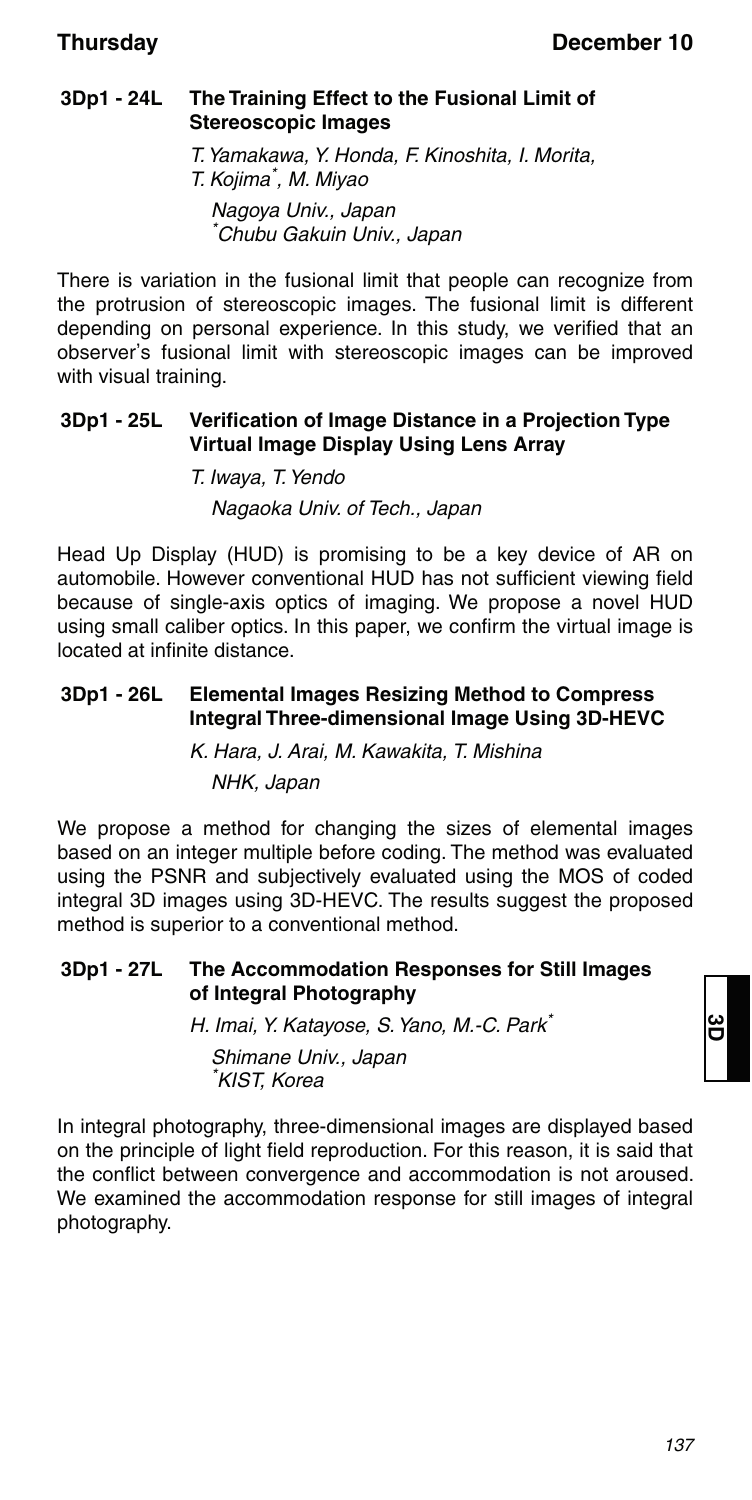### **3Dp1 - 24L The Training Effect to the Fusional Limit of Stereoscopic Images**

T. Yamakawa, Y. Honda, F. Kinoshita, I. Morita, T. Kojima\* , M. Miyao Nagoya Univ., Japan \* Chubu Gakuin Univ., Japan

There is variation in the fusional limit that people can recognize from the protrusion of stereoscopic images. The fusional limit is different depending on personal experience. In this study, we verified that an observer's fusional limit with stereoscopic images can be improved with visual training.

#### **3Dp1 - 25L Verification of Image Distance in a Projection Type Virtual Image Display Using Lens Array**

T. Iwaya, T. Yendo Nagaoka Univ. of Tech., Japan

Head Up Display (HUD) is promising to be a key device of AR on automobile. However conventional HUD has not sufficient viewing field because of single-axis optics of imaging. We propose a novel HUD using small caliber optics. In this paper, we confirm the virtual image is located at infinite distance.

#### **3Dp1 - 26L Elemental Images Resizing Method to Compress Integral Three-dimensional Image Using 3D-HEVC**

K. Hara, J. Arai, M. Kawakita, T. Mishina NHK, Japan

We propose a method for changing the sizes of elemental images based on an integer multiple before coding. The method was evaluated using the PSNR and subjectively evaluated using the MOS of coded integral 3D images using 3D-HEVC. The results suggest the proposed method is superior to a conventional method.

#### **3Dp1 - 27L The Accommodation Responses for Still Images of Integral Photography**

H. Imai, Y. Katayose, S. Yano, M.-C. Park<sup>\*</sup> Shimane Univ., Japan \* KIST, Korea

In integral photography, three-dimensional images are displayed based on the principle of light field reproduction. For this reason, it is said that the conflict between convergence and accommodation is not aroused. We examined the accommodation response for still images of integral photography.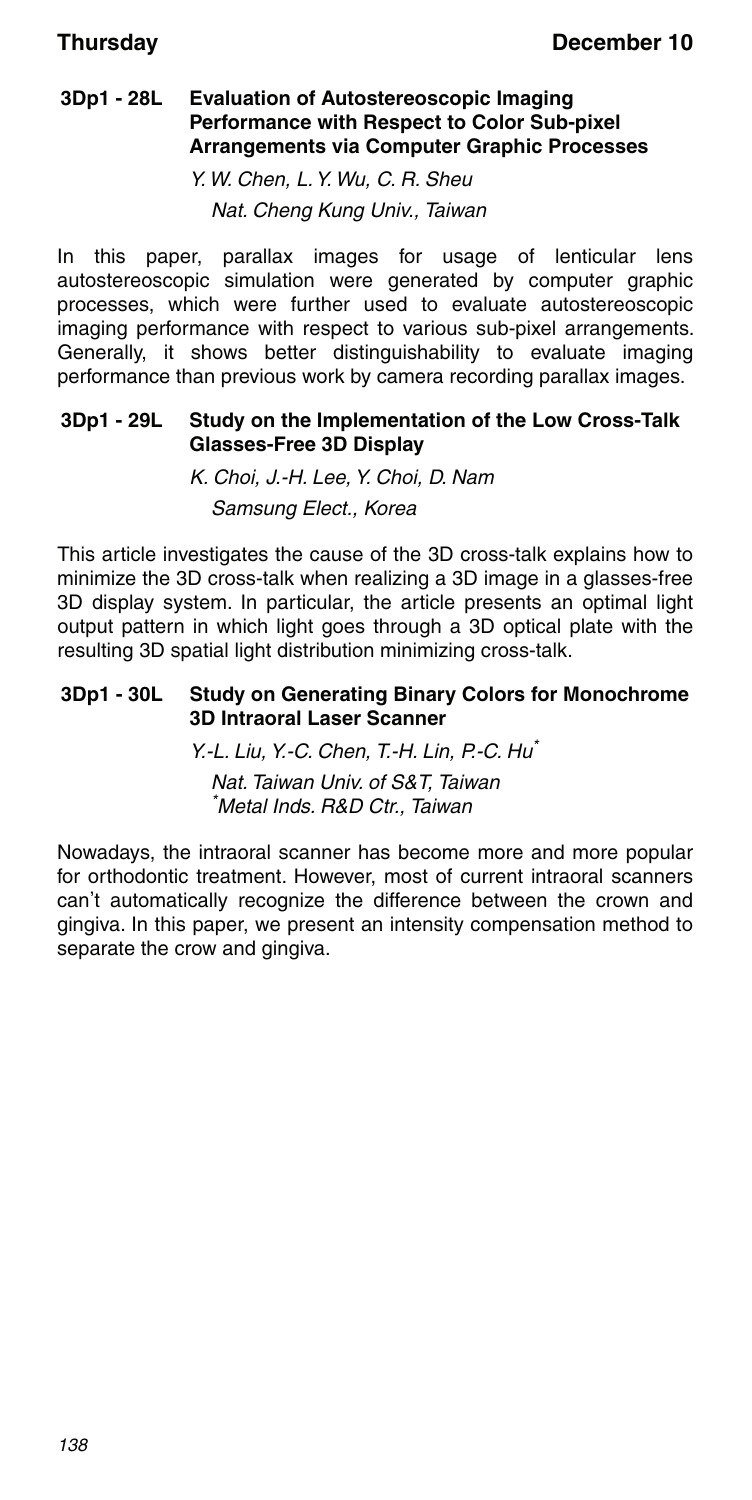#### **3Dp1 - 28L Evaluation of Autostereoscopic Imaging Performance with Respect to Color Sub-pixel Arrangements via Computer Graphic Processes**

Y. W. Chen, L. Y. Wu, C. R. Sheu Nat. Cheng Kung Univ., Taiwan

In this paper, parallax images for usage of lenticular lens autostereoscopic simulation were generated by computer graphic processes, which were further used to evaluate autostereoscopic imaging performance with respect to various sub-pixel arrangements. Generally, it shows better distinguishability to evaluate imaging performance than previous work by camera recording parallax images.

### **3Dp1 - 29L Study on the Implementation of the Low Cross-Talk Glasses-Free 3D Display**

K. Choi, J.-H. Lee, Y. Choi, D. Nam Samsung Elect., Korea

This article investigates the cause of the 3D cross-talk explains how to minimize the 3D cross-talk when realizing a 3D image in a glasses-free 3D display system. In particular, the article presents an optimal light output pattern in which light goes through a 3D optical plate with the resulting 3D spatial light distribution minimizing cross-talk.

#### **3Dp1 - 30L Study on Generating Binary Colors for Monochrome 3D Intraoral Laser Scanner**

Y.-L. Liu, Y.-C. Chen, T.-H. Lin, P.-C. Hu\* Nat. Taiwan Univ. of S&T, Taiwan \* Metal Inds. R&D Ctr., Taiwan

Nowadays, the intraoral scanner has become more and more popular for orthodontic treatment. However, most of current intraoral scanners can't automatically recognize the difference between the crown and gingiva. In this paper, we present an intensity compensation method to separate the crow and gingiva.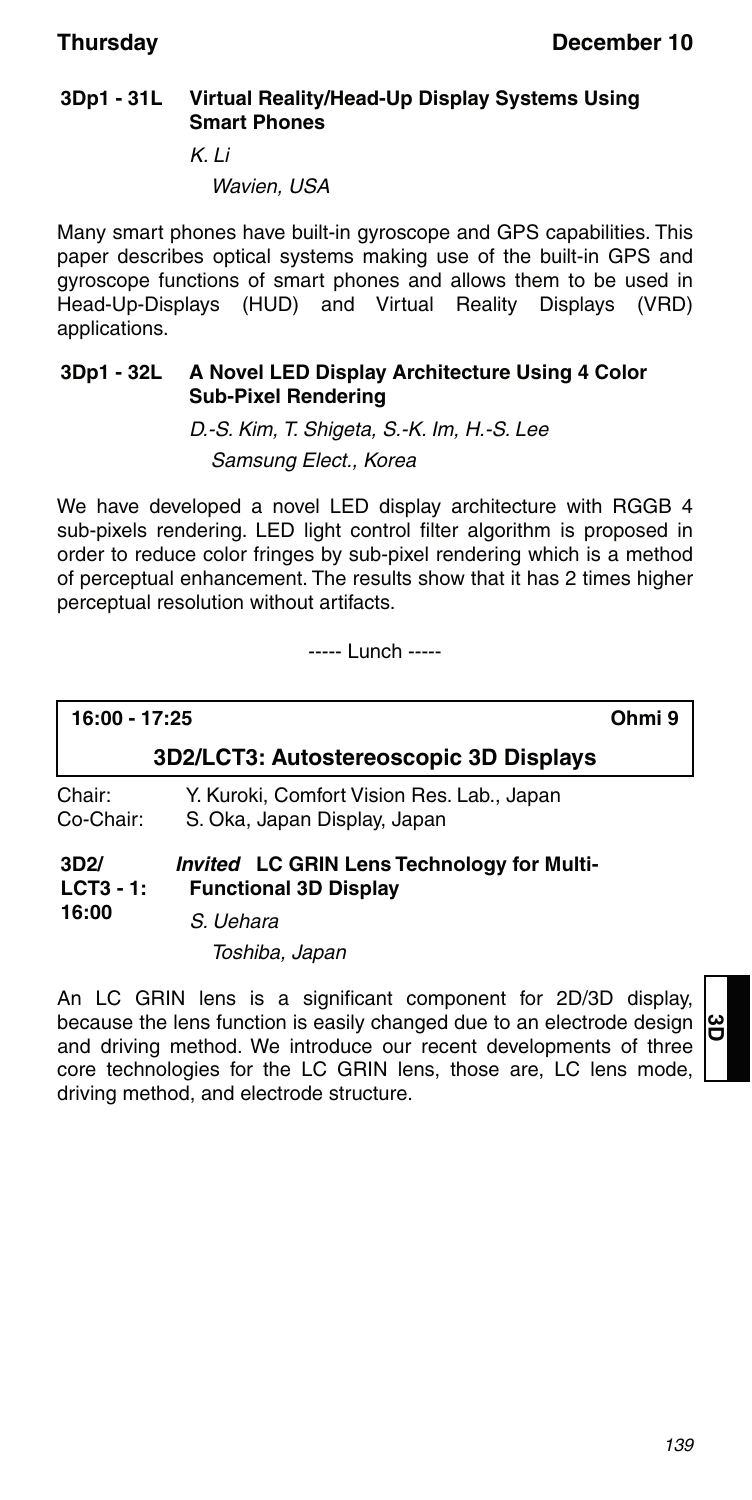### **3Dp1 - 31L Virtual Reality/Head-Up Display Systems Using Smart Phones**

K. Li

Wavien, USA

Many smart phones have built-in gyroscope and GPS capabilities. This paper describes optical systems making use of the built-in GPS and gyroscope functions of smart phones and allows them to be used in Head-Up-Displays (HUD) and Virtual Reality Displays (VRD) applications.

#### **3Dp1 - 32L A Novel LED Display Architecture Using 4 Color Sub-Pixel Rendering**

D.-S. Kim, T. Shigeta, S.-K. Im, H.-S. Lee Samsung Elect., Korea

We have developed a novel LED display architecture with RGGB 4 sub-pixels rendering. LED light control filter algorithm is proposed in order to reduce color fringes by sub-pixel rendering which is a method of perceptual enhancement. The results show that it has 2 times higher perceptual resolution without artifacts.

----- Lunch -----

**16:00 - 17:25 Ohmi 9**

### **3D2/LCT3: Autostereoscopic 3D Displays**

Chair: Y. Kuroki, Comfort Vision Res. Lab., Japan<br>Co-Chair: S. Oka. Japan Display. Japan S. Oka, Japan Display, Japan

#### **3D2/ LCT3 - 1: 16:00** *Invited* **LC GRIN Lens Technology for Multi-Functional 3D Display**

S. Uehara

Toshiba, Japan

An LC GRIN lens is a significant component for 2D/3D display, because the lens function is easily changed due to an electrode design and driving method. We introduce our recent developments of three core technologies for the LC GRIN lens, those are, LC lens mode, driving method, and electrode structure.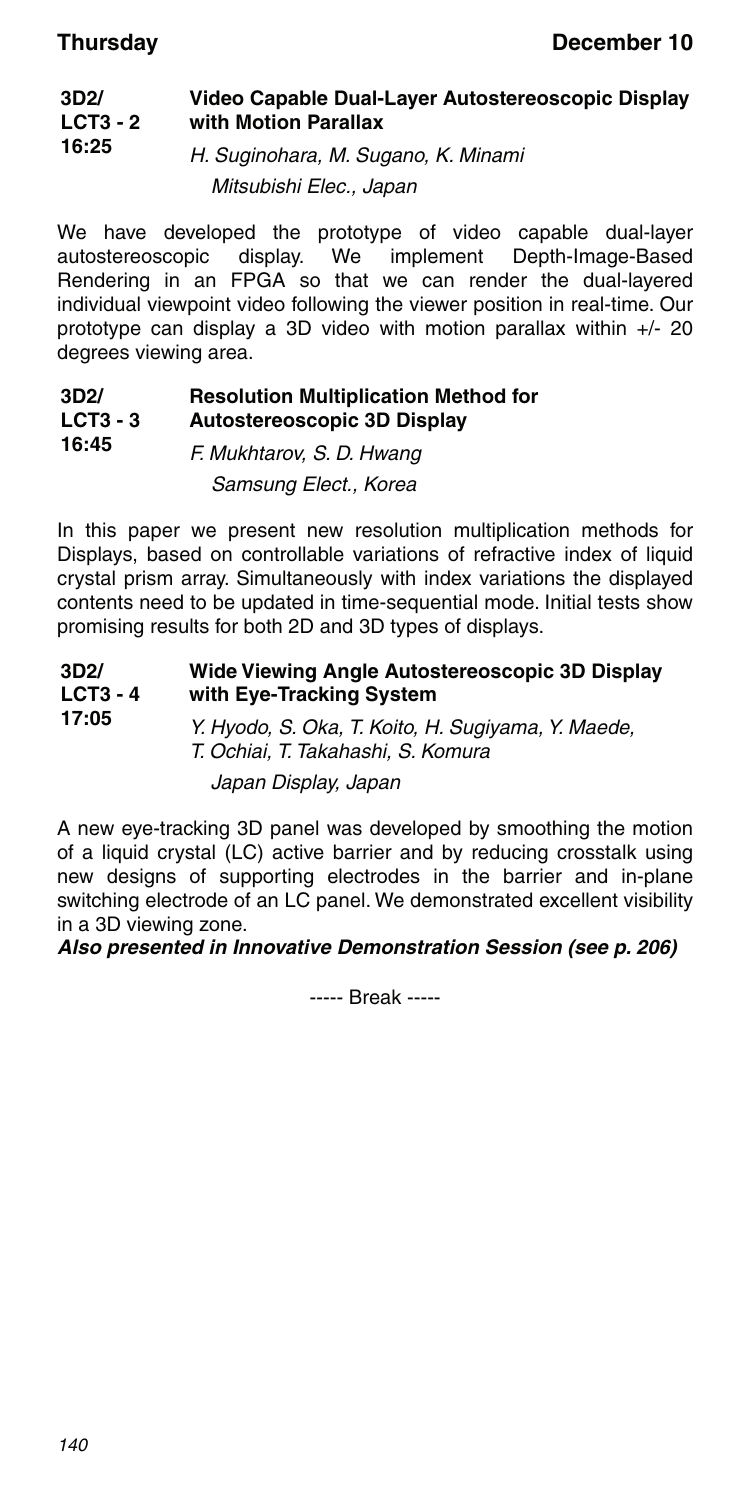#### **3D2/ LCT3 - 2 16:25 Video Capable Dual-Layer Autostereoscopic Display with Motion Parallax** H. Suginohara, M. Sugano, K. Minami

Mitsubishi Elec., Japan

We have developed the prototype of video capable dual-layer autostereoscopic display. We implement Depth-Image-Based Rendering in an FPGA so that we can render the dual-layered individual viewpoint video following the viewer position in real-time. Our prototype can display a 3D video with motion parallax within +/- 20 degrees viewing area.

#### **3D2/ LCT3 - 3 16:45 Resolution Multiplication Method for Autostereoscopic 3D Display**

F. Mukhtarov, S. D. Hwang Samsung Elect., Korea

In this paper we present new resolution multiplication methods for Displays, based on controllable variations of refractive index of liquid crystal prism array. Simultaneously with index variations the displayed contents need to be updated in time-sequential mode. Initial tests show promising results for both 2D and 3D types of displays.

| 3D2/<br>$LCT3 - 4$<br>17:05 | Wide Viewing Angle Autostereoscopic 3D Display<br>with Eye-Tracking System               |  |
|-----------------------------|------------------------------------------------------------------------------------------|--|
|                             | Y. Hyodo, S. Oka, T. Koito, H. Sugiyama, Y. Maede,<br>T. Ochiai, T. Takahashi, S. Komura |  |
|                             | Japan Display, Japan                                                                     |  |

A new eye-tracking 3D panel was developed by smoothing the motion of a liquid crystal (LC) active barrier and by reducing crosstalk using new designs of supporting electrodes in the barrier and in-plane switching electrode of an LC panel. We demonstrated excellent visibility in a 3D viewing zone.

*Also presented in Innovative Demonstration Session (see p. 206)*

----- Break -----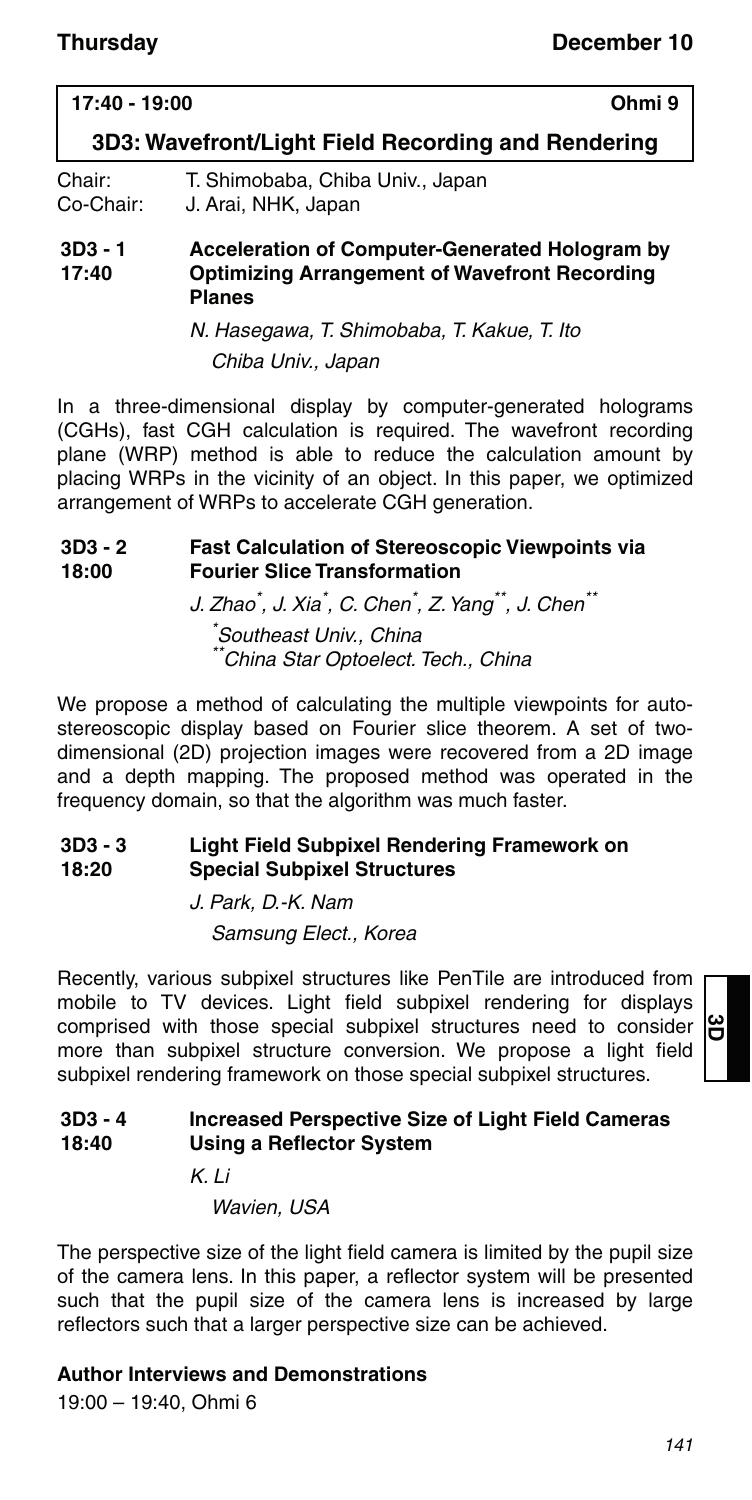### **17:40 - 19:00 Ohmi 9**

**3D3: Wavefront/Light Field Recording and Rendering**

Chair: T. Shimobaba, Chiba Univ., Japan Co-Chair: J. Arai, NHK, Japan

#### **3D3 - 1 17:40 Acceleration of Computer-Generated Hologram by Optimizing Arrangement of Wavefront Recording Planes**

N. Hasegawa, T. Shimobaba, T. Kakue, T. Ito Chiba Univ., Japan

In a three-dimensional display by computer-generated holograms (CGHs), fast CGH calculation is required. The wavefront recording plane (WRP) method is able to reduce the calculation amount by placing WRPs in the vicinity of an object. In this paper, we optimized arrangement of WRPs to accelerate CGH generation.

#### **3D3 - 2 18:00 Fast Calculation of Stereoscopic Viewpoints via Fourier Slice Transformation**

J. Zhao $\check{ }$ , J. Xia $\check{ }$ , C. Chen $\check{ }$ , Z. Yang $\check{ }$ , J. Chen $\check{ }$ \* Southeast Univ., China \*China Star Optoelect. Tech., China

We propose a method of calculating the multiple viewpoints for autostereoscopic display based on Fourier slice theorem. A set of twodimensional (2D) projection images were recovered from a 2D image and a depth mapping. The proposed method was operated in the frequency domain, so that the algorithm was much faster.

#### **3D3 - 3 18:20 Light Field Subpixel Rendering Framework on Special Subpixel Structures**

J. Park, D.-K. Nam Samsung Elect., Korea

Recently, various subpixel structures like PenTile are introduced from mobile to TV devices. Light field subpixel rendering for displays comprised with those special subpixel structures need to consider more than subpixel structure conversion. We propose a light field subpixel rendering framework on those special subpixel structures.

#### **3D3 - 4 18:40 Increased Perspective Size of Light Field Cameras Using a Reflector System**

 $K$  li

Wavien, USA

The perspective size of the light field camera is limited by the pupil size of the camera lens. In this paper, a reflector system will be presented such that the pupil size of the camera lens is increased by large reflectors such that a larger perspective size can be achieved.

### **Author Interviews and Demonstrations**

19:00 – 19:40, Ohmi 6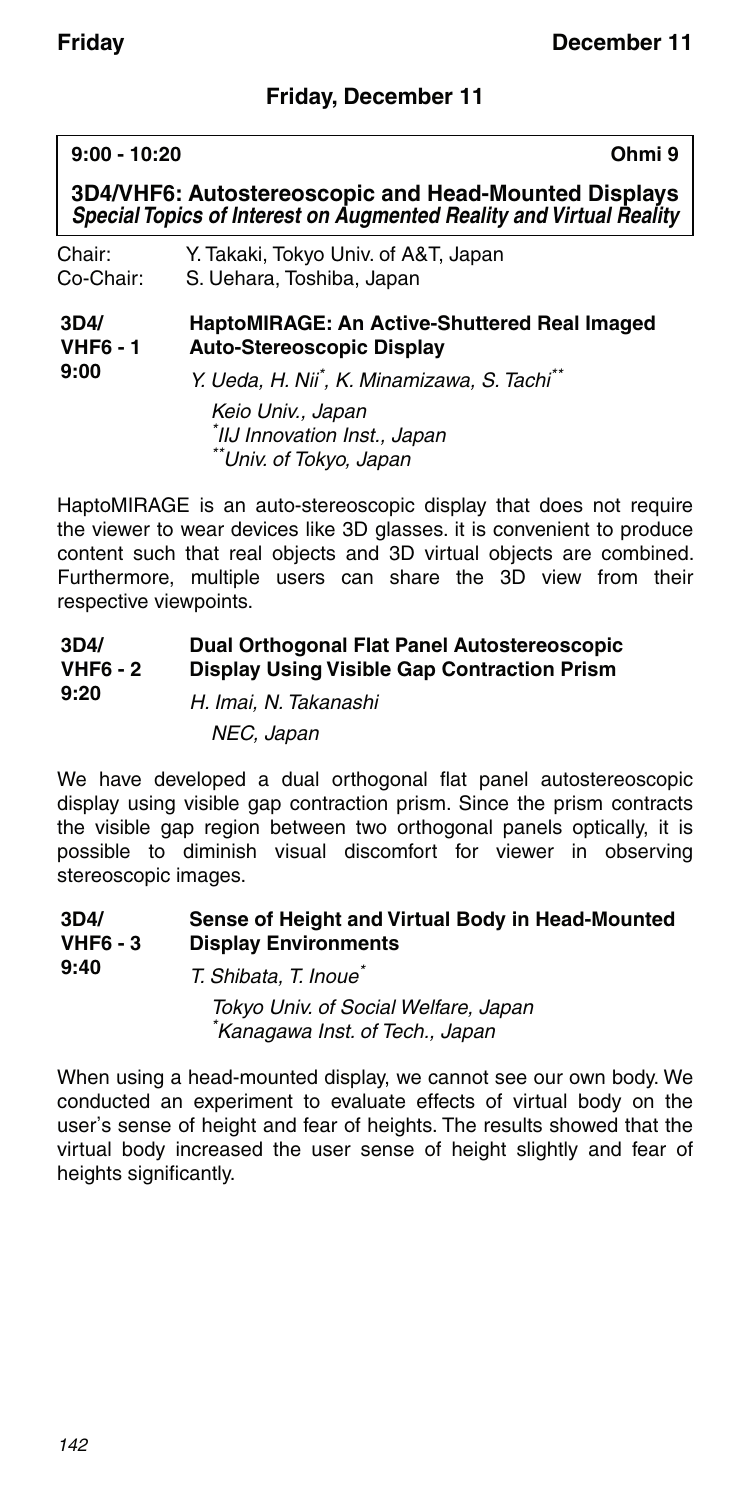### **Friday, December 11**

#### **9:00 - 10:20 Ohmi 9**

**3D4/VHF6: Autostereoscopic and Head-Mounted Displays** *Special Topics of Interest on Augmented Reality and Virtual Reality*

| Chair:    | Y. Takaki, Tokyo Univ. of A&T, Japan |
|-----------|--------------------------------------|
| Co-Chair: | S. Uehara, Toshiba, Japan            |

#### **3D4/ VHF6 - 1 HaptoMIRAGE: An Active-Shuttered Real Imaged Auto-Stereoscopic Display**

**9:00**

Y. Ueda, H. Nii<sup>\*</sup>, K. Minamizawa, S. Tachi<sup>\*\*</sup>

Keio Univ., Japan \* IIJ Innovation Inst., Japan \*\*Univ. of Tokyo, Japan

HaptoMIRAGE is an auto-stereoscopic display that does not require the viewer to wear devices like 3D glasses. it is convenient to produce content such that real objects and 3D virtual objects are combined. Furthermore, multiple users can share the 3D view from their respective viewpoints.

#### **3D4/ VHF6 - 2 9:20 Dual Orthogonal Flat Panel Autostereoscopic Display Using Visible Gap Contraction Prism**

H. Imai, N. Takanashi NEC, Japan

We have developed a dual orthogonal flat panel autostereoscopic display using visible gap contraction prism. Since the prism contracts the visible gap region between two orthogonal panels optically, it is possible to diminish visual discomfort for viewer in observing stereoscopic images.

#### **3D4/ VHF6 - 3 Sense of Height and Virtual Body in Head-Mounted Display Environments**

**9:40** T. Shibata, T. Inoue\* Tokyo Univ. of Social Welfare, Japan \* Kanagawa Inst. of Tech., Japan

When using a head-mounted display, we cannot see our own body. We conducted an experiment to evaluate effects of virtual body on the user's sense of height and fear of heights. The results showed that the virtual body increased the user sense of height slightly and fear of heights significantly.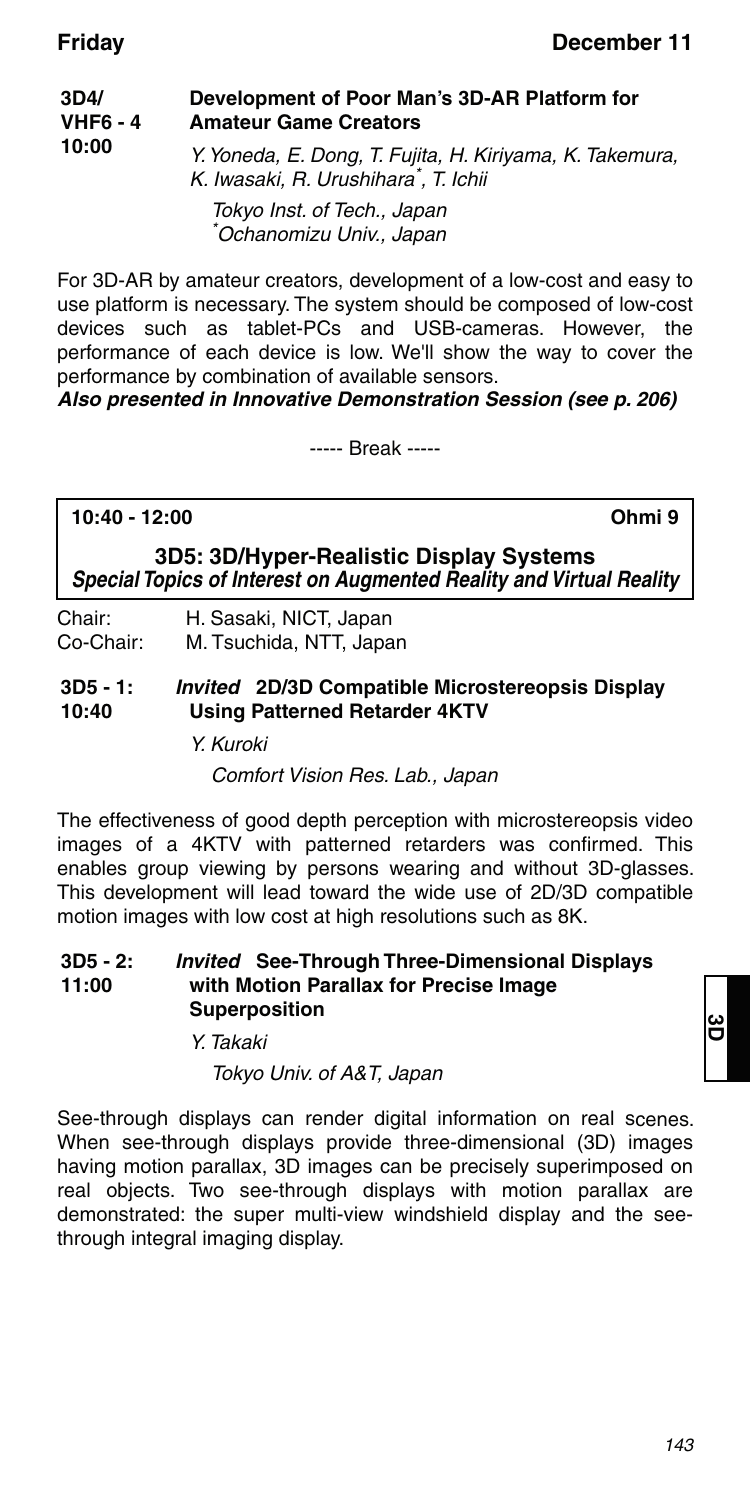| 3D4/<br><b>VHF6 - 4</b><br>10:00 | Development of Poor Man's 3D-AR Platform for<br><b>Amateur Game Creators</b>                                  |  |
|----------------------------------|---------------------------------------------------------------------------------------------------------------|--|
|                                  | Y. Yoneda, E. Dong, T. Fujita, H. Kiriyama, K. Takemura,<br>K. Iwasaki, R. Urushihara <sup>*</sup> , T. Ichii |  |
|                                  | Tokyo Inst. of Tech., Japan<br>*Ochanomizu Univ., Japan                                                       |  |

For 3D-AR by amateur creators, development of a low-cost and easy to use platform is necessary. The system should be composed of low-cost devices such as tablet-PCs and USB-cameras. However, the performance of each device is low. We'll show the way to cover the performance by combination of available sensors.

*Also presented in Innovative Demonstration Session (see p. 206)*

----- Break -----

#### **10:40 - 12:00 Ohmi 9**

**3D5: 3D/Hyper-Realistic Display Systems** *Special Topics of Interest on Augmented Reality and Virtual Reality*

Chair: H. Sasaki, NICT, Japan Co-Chair: M. Tsuchida, NTT, Japan

**3D5 - 1: 10:40** *Invited* **2D/3D Compatible Microstereopsis Display Using Patterned Retarder 4KTV**

Y. Kuroki

Comfort Vision Res. Lab., Japan

The effectiveness of good depth perception with microstereopsis video images of a 4KTV with patterned retarders was confirmed. This enables group viewing by persons wearing and without 3D-glasses. This development will lead toward the wide use of 2D/3D compatible motion images with low cost at high resolutions such as 8K.

#### **3D5 - 2: 11:00** *Invited* **See-Through Three-Dimensional Displays with Motion Parallax for Precise Image Superposition**

Y. Takaki

Tokyo Univ. of A&T, Japan

See-through displays can render digital information on real scenes. When see-through displays provide three-dimensional (3D) images having motion parallax, 3D images can be precisely superimposed on real objects. Two see-through displays with motion parallax are demonstrated: the super multi-view windshield display and the seethrough integral imaging display.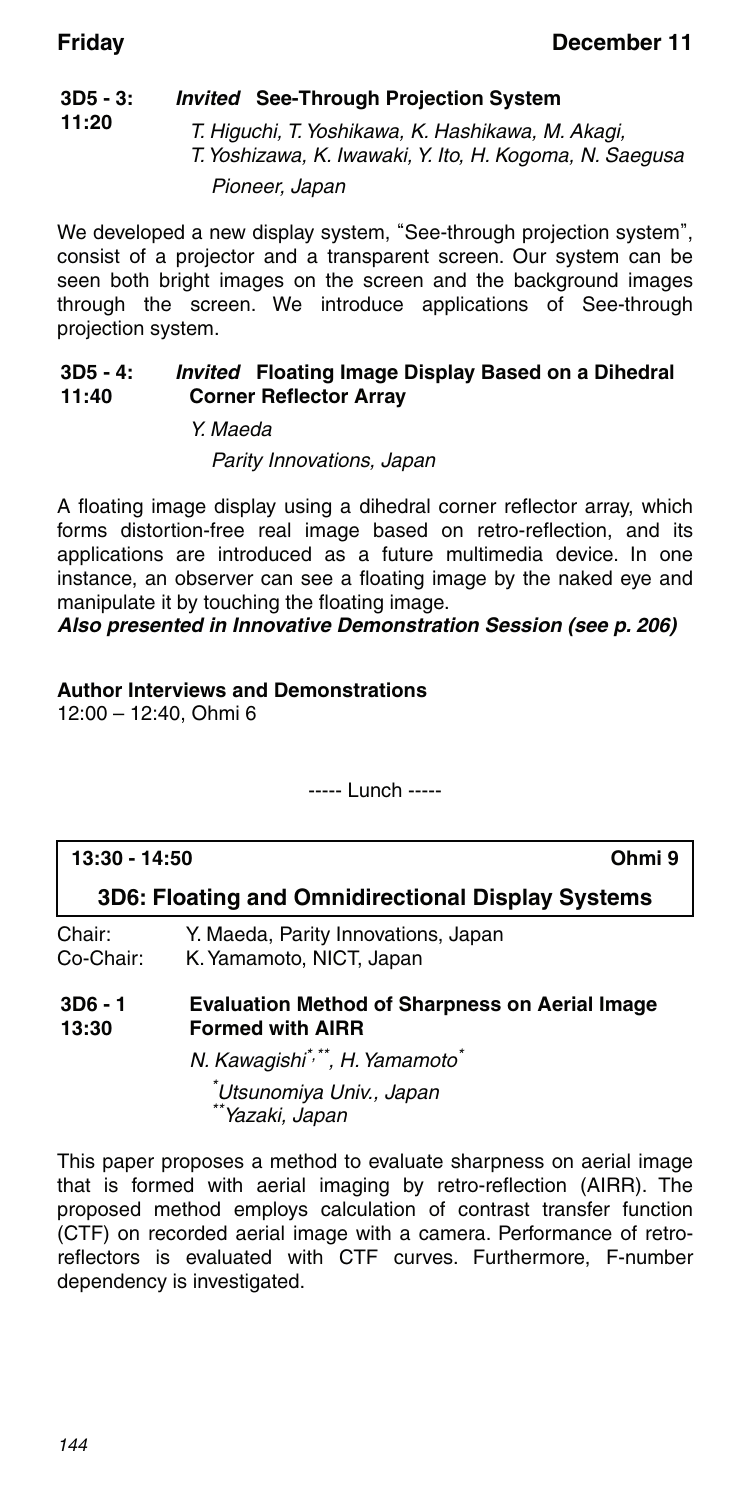#### **3D5 - 3: 11:20** *Invited* **See-Through Projection System**

T. Higuchi, T. Yoshikawa, K. Hashikawa, M. Akagi, T. Yoshizawa, K. Iwawaki, Y. Ito, H. Kogoma, N. Saegusa Pioneer, Japan

We developed a new display system, "See-through projection system", consist of a projector and a transparent screen. Our system can be seen both bright images on the screen and the background images through the screen. We introduce applications of See-through projection system.

#### **3D5 - 4: 11:40** *Invited* **Floating Image Display Based on a Dihedral Corner Reflector Array**

Y. Maeda

### Parity Innovations, Japan

A floating image display using a dihedral corner reflector array, which forms distortion-free real image based on retro-reflection, and its applications are introduced as a future multimedia device. In one instance, an observer can see a floating image by the naked eye and manipulate it by touching the floating image.

### *Also presented in Innovative Demonstration Session (see p. 206)*

### **Author Interviews and Demonstrations**

12:00 – 12:40, Ohmi 6

----- Lunch -----

### **13:30 - 14:50 Ohmi 9 3D6: Floating and Omnidirectional Display Systems** Chair: Y. Maeda, Parity Innovations, Japan K. Yamamoto, NICT, Japan **3D6 - 1 13:30 Evaluation Method of Sharpness on Aerial Image Formed with AIRR** N. Kawagishi\*,\*\*, H. Yamamoto\* \* Utsunomiya Univ., Japan \*\*Yazaki, Japan

This paper proposes a method to evaluate sharpness on aerial image that is formed with aerial imaging by retro-reflection (AIRR). The proposed method employs calculation of contrast transfer function (CTF) on recorded aerial image with a camera. Performance of retroreflectors is evaluated with CTF curves. Furthermore, F-number dependency is investigated.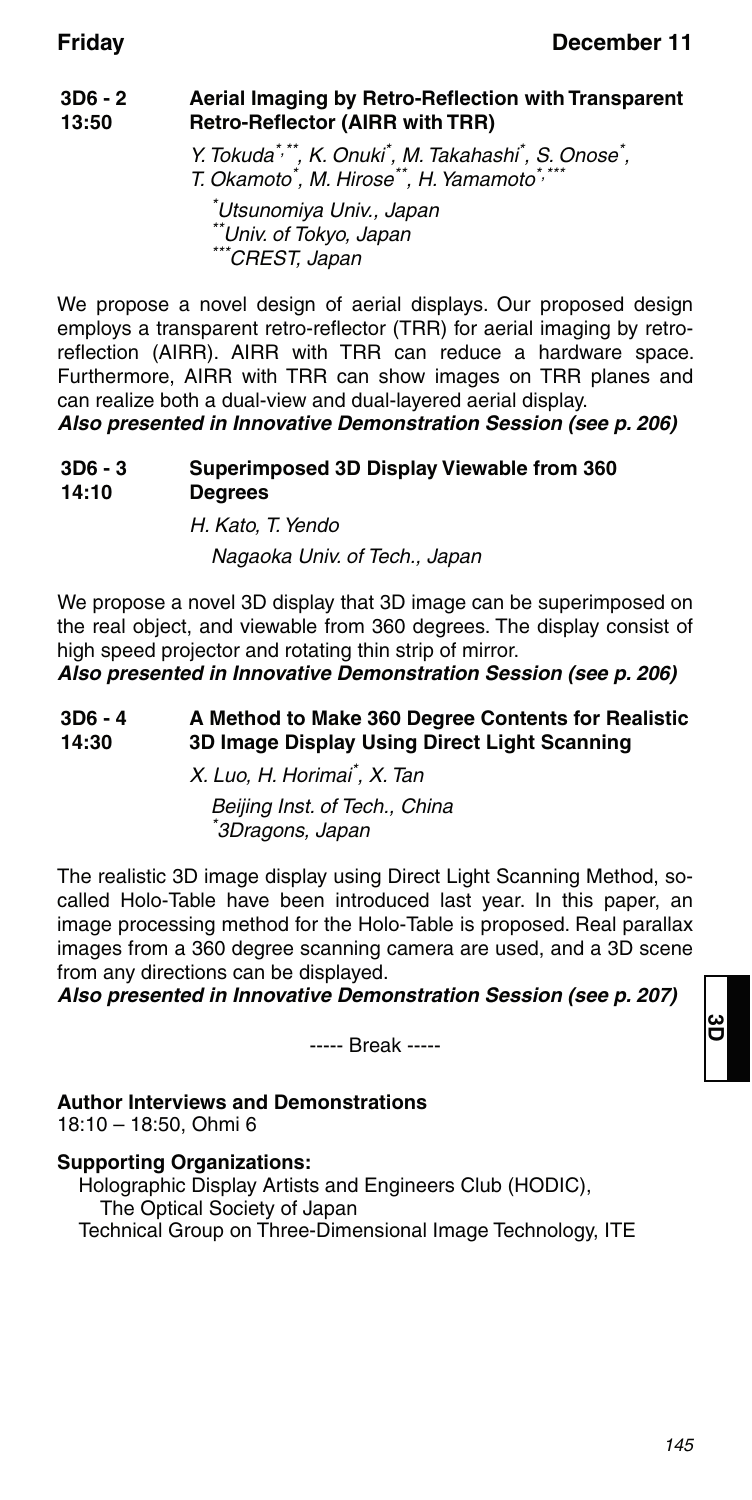#### **3D6 - 2 13:50 Aerial Imaging by Retro-Reflection with Transparent Retro-Reflector (AIRR with TRR)**

Y. Tokuda<sup>\*,\*\*</sup>, K. Onuki<sup>\*</sup>, M. Takahashi<sup>\*</sup>, S. Onose<sup>\*</sup>, T. Okamoto<sup>\*</sup>, M. Hirose<sup>\*\*</sup>, H. Yamamoto<sup>\*,\*\*\*</sup>

\* Utsunomiya Univ., Japan \*\*Univ. of Tokyo, Japan  $^*$ CREST, Japan

We propose a novel design of aerial displays. Our proposed design employs a transparent retro-reflector (TRR) for aerial imaging by retroreflection (AIRR). AIRR with TRR can reduce a hardware space. Furthermore, AIRR with TRR can show images on TRR planes and can realize both a dual-view and dual-layered aerial display.

*Also presented in Innovative Demonstration Session (see p. 206)*

#### **3D6 - 3 14:10 Superimposed 3D Display Viewable from 360 Degrees**

H. Kato, T. Yendo Nagaoka Univ. of Tech., Japan

We propose a novel 3D display that 3D image can be superimposed on the real object, and viewable from 360 degrees. The display consist of high speed projector and rotating thin strip of mirror.

*Also presented in Innovative Demonstration Session (see p. 206)*

#### **3D6 - 4 14:30 A Method to Make 360 Degree Contents for Realistic 3D Image Display Using Direct Light Scanning**

X. Luo, H. Horimai\* , X. Tan

Beijing Inst. of Tech., China \* 3Dragons, Japan

The realistic 3D image display using Direct Light Scanning Method, socalled Holo-Table have been introduced last year. In this paper, an image processing method for the Holo-Table is proposed. Real parallax images from a 360 degree scanning camera are used, and a 3D scene from any directions can be displayed.

*Also presented in Innovative Demonstration Session (see p. 207)*

----- Break -----

### **Author Interviews and Demonstrations**

18:10 – 18:50, Ohmi 6

### **Supporting Organizations:**

Holographic Display Artists and Engineers Club (HODIC), The Optical Society of Japan Technical Group on Three-Dimensional Image Technology, ITE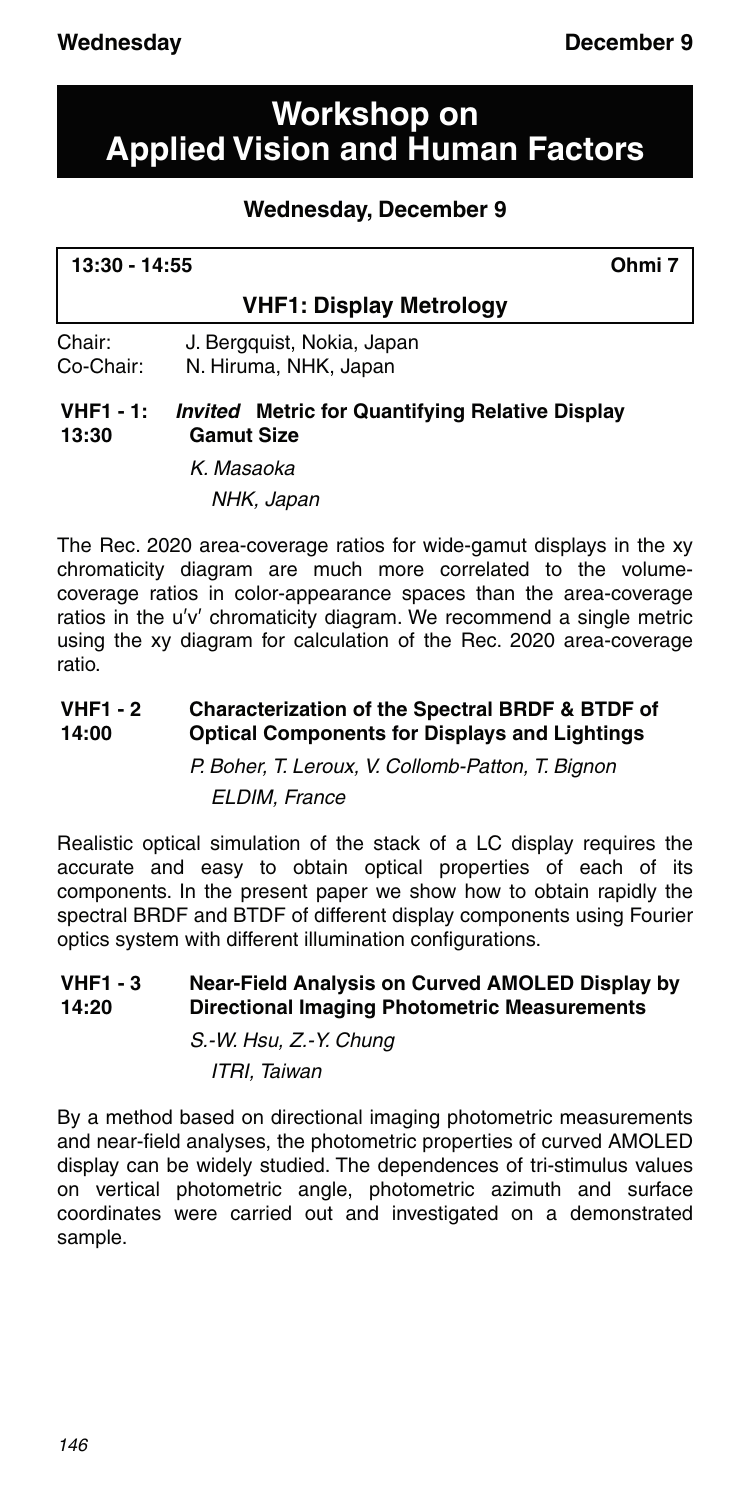## **Workshop on Applied Vision and Human Factors**

## **Wednesday, December 9**

| 13:30 - 14:55 | Ohmi 7 |
|---------------|--------|
|               |        |

### **VHF1: Display Metrology**

Chair: J. Bergquist, Nokia, Japan Co-Chair: N. Hiruma, NHK, Japan

#### **VHF1 - 1: 13:30** *Invited* **Metric for Quantifying Relative Display Gamut Size**

K. Masaoka NHK, Japan

The Rec. 2020 area-coverage ratios for wide-gamut displays in the xy chromaticity diagram are much more correlated to the volumecoverage ratios in color-appearance spaces than the area-coverage ratios in the u′v′ chromaticity diagram. We recommend a single metric using the xy diagram for calculation of the Rec. 2020 area-coverage ratio.

#### **VHF1 - 2 14:00 Characterization of the Spectral BRDF & BTDF of Optical Components for Displays and Lightings** P. Boher, T. Leroux, V. Collomb-Patton, T. Bignon

ELDIM, France

Realistic optical simulation of the stack of a LC display requires the accurate and easy to obtain optical properties of each of its components. In the present paper we show how to obtain rapidly the spectral BRDF and BTDF of different display components using Fourier optics system with different illumination configurations.

#### **VHF1 - 3 14:20 Near-Field Analysis on Curved AMOLED Display by Directional Imaging Photometric Measurements**

S.-W. Hsu, Z.-Y. Chung ITRI, Taiwan

By a method based on directional imaging photometric measurements and near-field analyses, the photometric properties of curved AMOLED display can be widely studied. The dependences of tri-stimulus values on vertical photometric angle, photometric azimuth and surface coordinates were carried out and investigated on a demonstrated sample.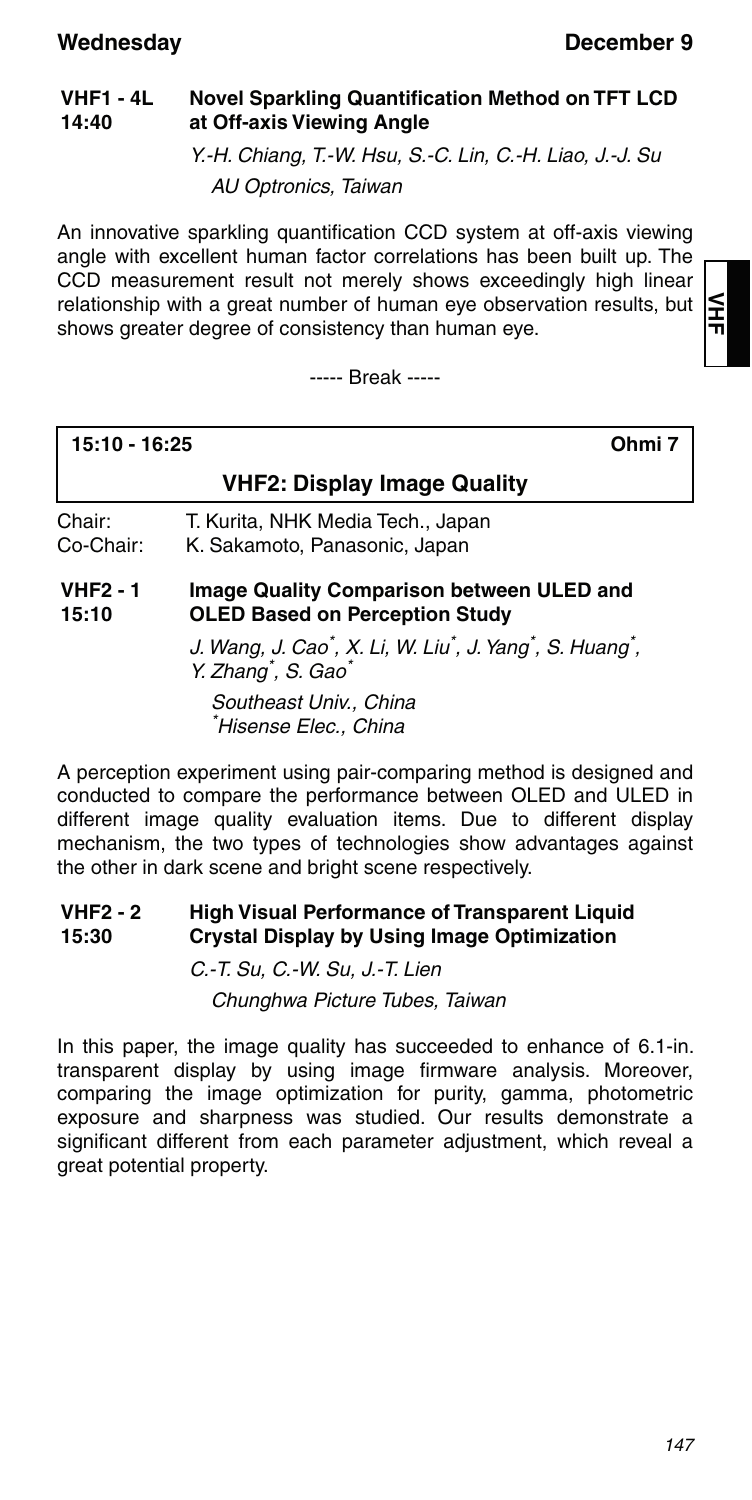#### **VHF1 - 4L 14:40 Novel Sparkling Quantification Method on TFT LCD at Off-axis Viewing Angle**

Y.-H. Chiang, T.-W. Hsu, S.-C. Lin, C.-H. Liao, J.-J. Su AU Optronics, Taiwan

An innovative sparkling quantification CCD system at off-axis viewing angle with excellent human factor correlations has been built up. The CCD measurement result not merely shows exceedingly high linear relationship with a great number of human eye observation results, but shows greater degree of consistency than human eye.

----- Break -----

≦<br>∓

### **15:10 - 16:25 Ohmi 7**

### **VHF2: Display Image Quality**

Chair: T. Kurita, NHK Media Tech., Japan K. Sakamoto, Panasonic, Japan

**VHF2 - 1 15:10 Image Quality Comparison between ULED and OLED Based on Perception Study**

> J. Wang, J. Cao<sup>\*</sup>, X. Li, W. Liu<sup>\*</sup>, J. Yang<sup>\*</sup>, S. Huang<sup>\*</sup>, Y. Zhang<sup>\*</sup>, S. Gao<sup>\*</sup>

Southeast Univ., China \* Hisense Elec., China

A perception experiment using pair-comparing method is designed and conducted to compare the performance between OLED and ULED in different image quality evaluation items. Due to different display mechanism, the two types of technologies show advantages against the other in dark scene and bright scene respectively.

#### **VHF2 - 2 15:30 High Visual Performance of Transparent Liquid Crystal Display by Using Image Optimization**

C.-T. Su, C.-W. Su, J.-T. Lien Chunghwa Picture Tubes, Taiwan

In this paper, the image quality has succeeded to enhance of 6.1-in. transparent display by using image firmware analysis. Moreover, comparing the image optimization for purity, gamma, photometric exposure and sharpness was studied. Our results demonstrate a significant different from each parameter adjustment, which reveal a great potential property.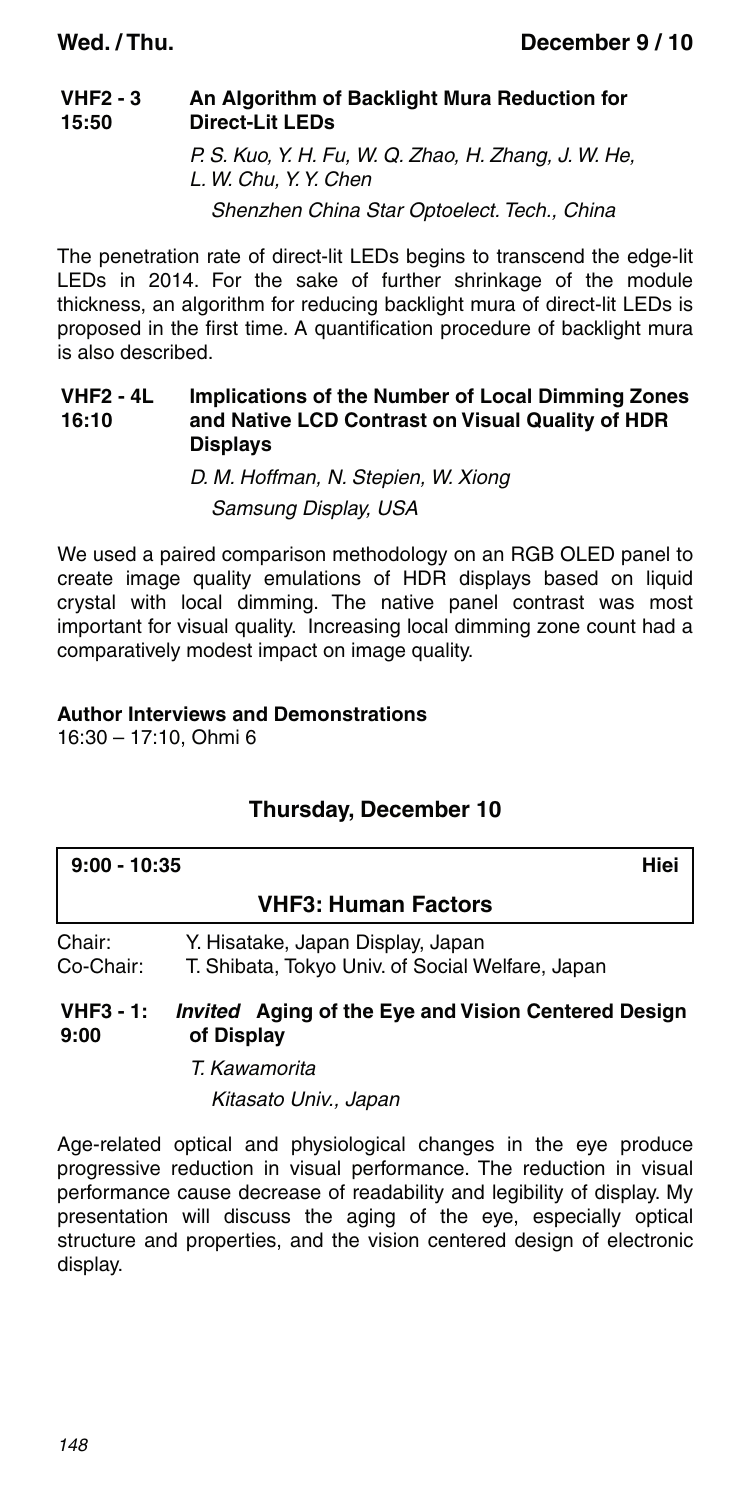#### **VHF2 - 3 15:50 An Algorithm of Backlight Mura Reduction for Direct-Lit LEDs** P. S. Kuo, Y. H. Fu, W. Q. Zhao, H. Zhang, J. W. He,

L. W. Chu, Y. Y. Chen Shenzhen China Star Optoelect. Tech., China

The penetration rate of direct-lit LEDs begins to transcend the edge-lit LEDs in 2014. For the sake of further shrinkage of the module thickness, an algorithm for reducing backlight mura of direct-lit LEDs is proposed in the first time. A quantification procedure of backlight mura is also described.

#### **VHF2 - 4L 16:10 Implications of the Number of Local Dimming Zones and Native LCD Contrast on Visual Quality of HDR Displays**

D. M. Hoffman, N. Stepien, W. Xiong Samsung Display, USA

We used a paired comparison methodology on an RGB OLED panel to create image quality emulations of HDR displays based on liquid crystal with local dimming. The native panel contrast was most important for visual quality. Increasing local dimming zone count had a comparatively modest impact on image quality.

### **Author Interviews and Demonstrations**

16:30 – 17:10, Ohmi 6

### **Thursday, December 10**

| $9:00 - 10:35$      | Hiei                                                                                  |  |
|---------------------|---------------------------------------------------------------------------------------|--|
|                     | <b>VHF3: Human Factors</b>                                                            |  |
| Chair:<br>Co-Chair: | Y. Hisatake, Japan Display, Japan<br>T. Shibata, Tokyo Univ. of Social Welfare, Japan |  |
| $VHF3 - 1:$<br>9:00 | <i>Invited</i> Aging of the Eye and Vision Centered Design<br>of Display              |  |

T. Kawamorita

Kitasato Univ., Japan

Age-related optical and physiological changes in the eye produce progressive reduction in visual performance. The reduction in visual performance cause decrease of readability and legibility of display. My presentation will discuss the aging of the eye, especially optical structure and properties, and the vision centered design of electronic display.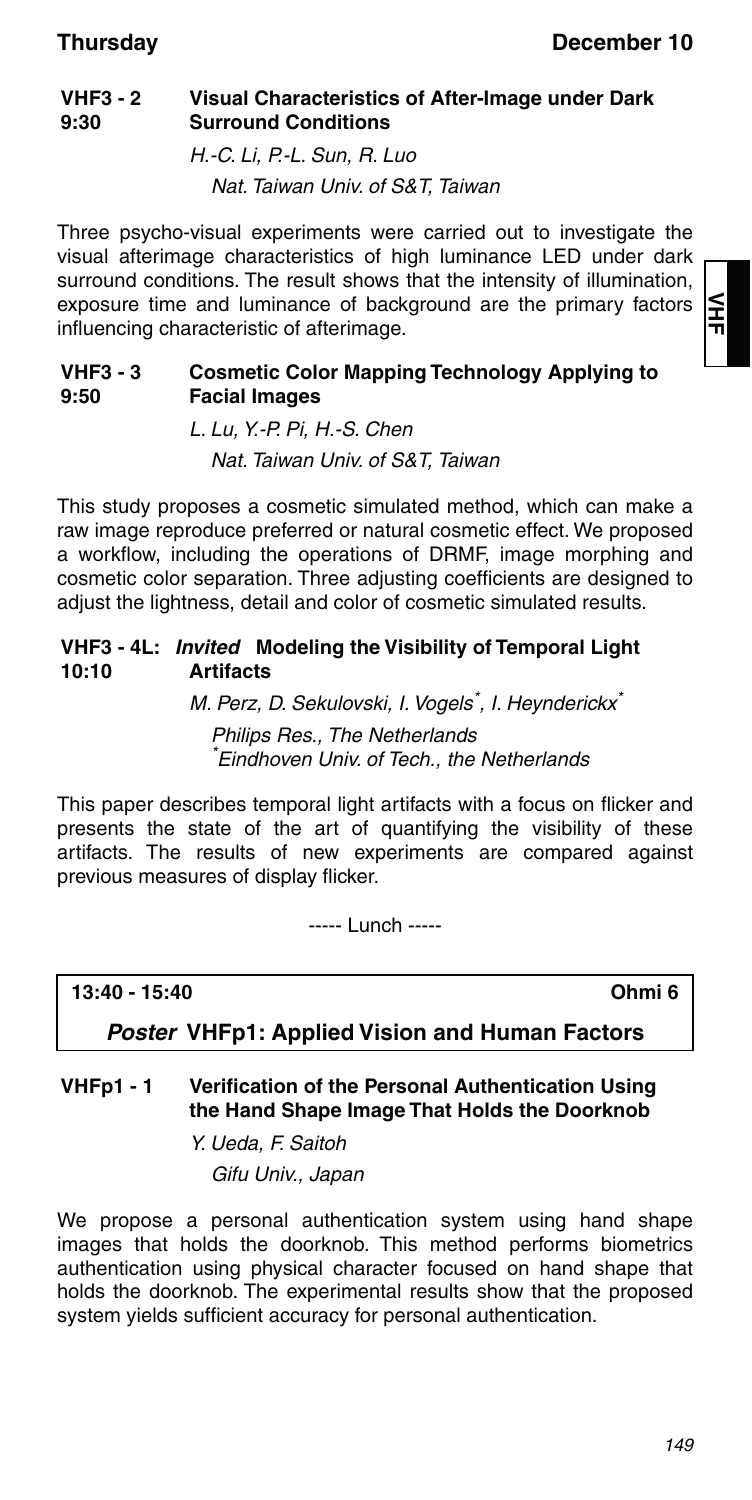#### **VHF3 - 2 9:30 Visual Characteristics of After-Image under Dark Surround Conditions**

H.-C. Li, P.-L. Sun, R. Luo Nat. Taiwan Univ. of S&T, Taiwan

Three psycho-visual experiments were carried out to investigate the visual afterimage characteristics of high luminance LED under dark surround conditions. The result shows that the intensity of illumination, exposure time and luminance of background are the primary factors influencing characteristic of afterimage.

#### **VHF3 - 3 9:50 Cosmetic Color Mapping Technology Applying to Facial Images**

L. Lu, Y.-P. Pi, H.-S. Chen Nat. Taiwan Univ. of S&T, Taiwan

This study proposes a cosmetic simulated method, which can make a raw image reproduce preferred or natural cosmetic effect. We proposed a workflow, including the operations of DRMF, image morphing and cosmetic color separation. Three adjusting coefficients are designed to adjust the lightness, detail and color of cosmetic simulated results.

#### **VHF3 - 4L:** *Invited* **Modeling the Visibility of Temporal Light 10:10 Artifacts**

M. Perz, D. Sekulovski, I. Vogels<sup>\*</sup>, I. Heynderickx<sup>\*</sup> Philips Res., The Netherlands \* Eindhoven Univ. of Tech., the Netherlands

This paper describes temporal light artifacts with a focus on flicker and presents the state of the art of quantifying the visibility of these artifacts. The results of new experiments are compared against previous measures of display flicker.

----- Lunch -----

**13:40 - 15:40 Ohmi 6**

*Poster* **VHFp1: Applied Vision and Human Factors**

### **VHFp1 - 1 Verification of the Personal Authentication Using the Hand Shape Image That Holds the Doorknob**

Y. Ueda, F. Saitoh Gifu Univ., Japan

We propose a personal authentication system using hand shape images that holds the doorknob. This method performs biometrics authentication using physical character focused on hand shape that holds the doorknob. The experimental results show that the proposed system yields sufficient accuracy for personal authentication.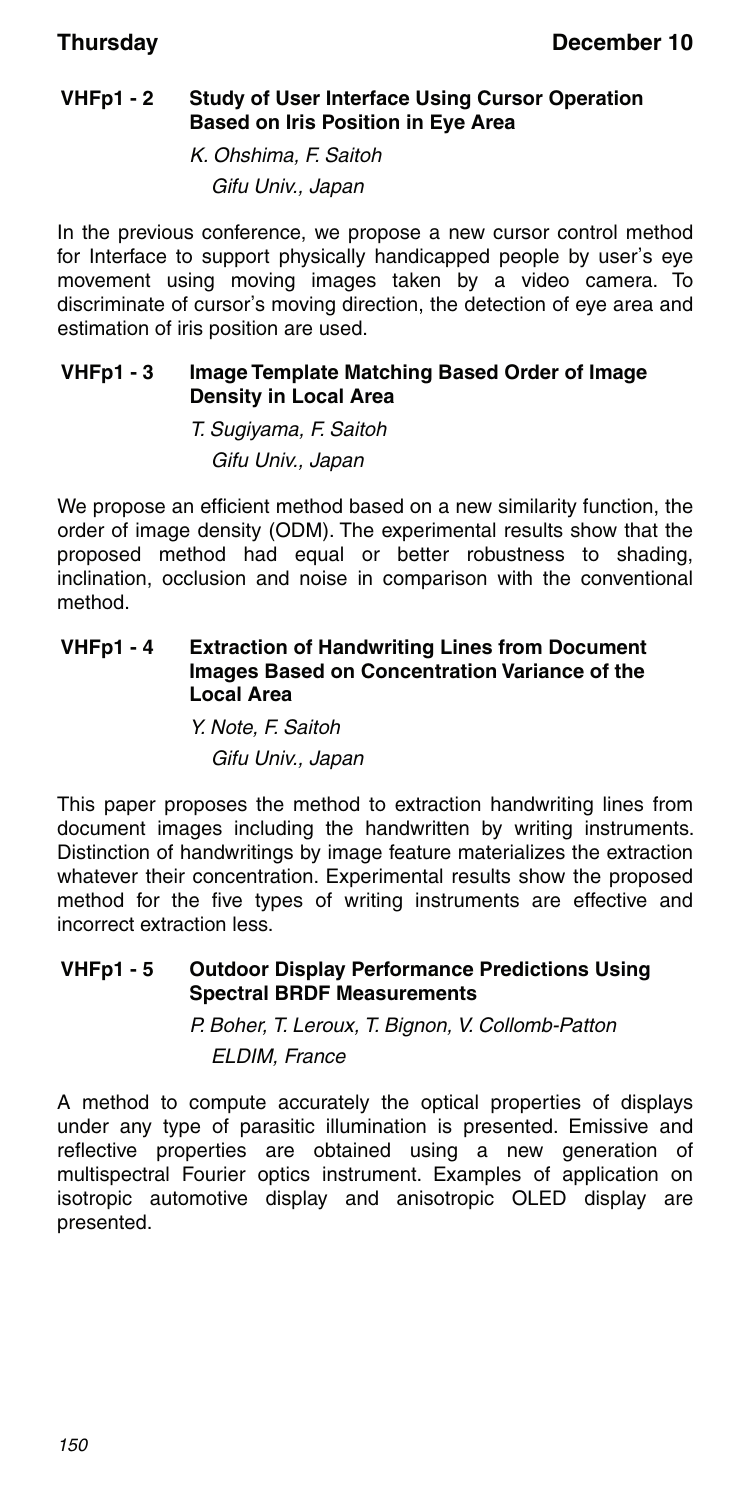### **VHFp1 - 2 Study of User Interface Using Cursor Operation Based on Iris Position in Eye Area**

K. Ohshima, F. Saitoh Gifu Univ., Japan

In the previous conference, we propose a new cursor control method for Interface to support physically handicapped people by user's eye movement using moving images taken by a video camera. To discriminate of cursor's moving direction, the detection of eye area and estimation of iris position are used.

### **VHFp1 - 3 Image Template Matching Based Order of Image Density in Local Area**

T. Sugiyama, F. Saitoh Gifu Univ., Japan

We propose an efficient method based on a new similarity function, the order of image density (ODM). The experimental results show that the proposed method had equal or better robustness to shading, inclination, occlusion and noise in comparison with the conventional method.

### **VHFp1 - 4 Extraction of Handwriting Lines from Document Images Based on Concentration Variance of the Local Area**

Y. Note, F. Saitoh Gifu Univ., Japan

This paper proposes the method to extraction handwriting lines from document images including the handwritten by writing instruments. Distinction of handwritings by image feature materializes the extraction whatever their concentration. Experimental results show the proposed method for the five types of writing instruments are effective and incorrect extraction less.

### **VHFp1 - 5 Outdoor Display Performance Predictions Using Spectral BRDF Measurements**

P. Boher, T. Leroux, T. Bignon, V. Collomb-Patton ELDIM, France

A method to compute accurately the optical properties of displays under any type of parasitic illumination is presented. Emissive and reflective properties are obtained using a new generation of multispectral Fourier optics instrument. Examples of application on isotropic automotive display and anisotropic OLED display are presented.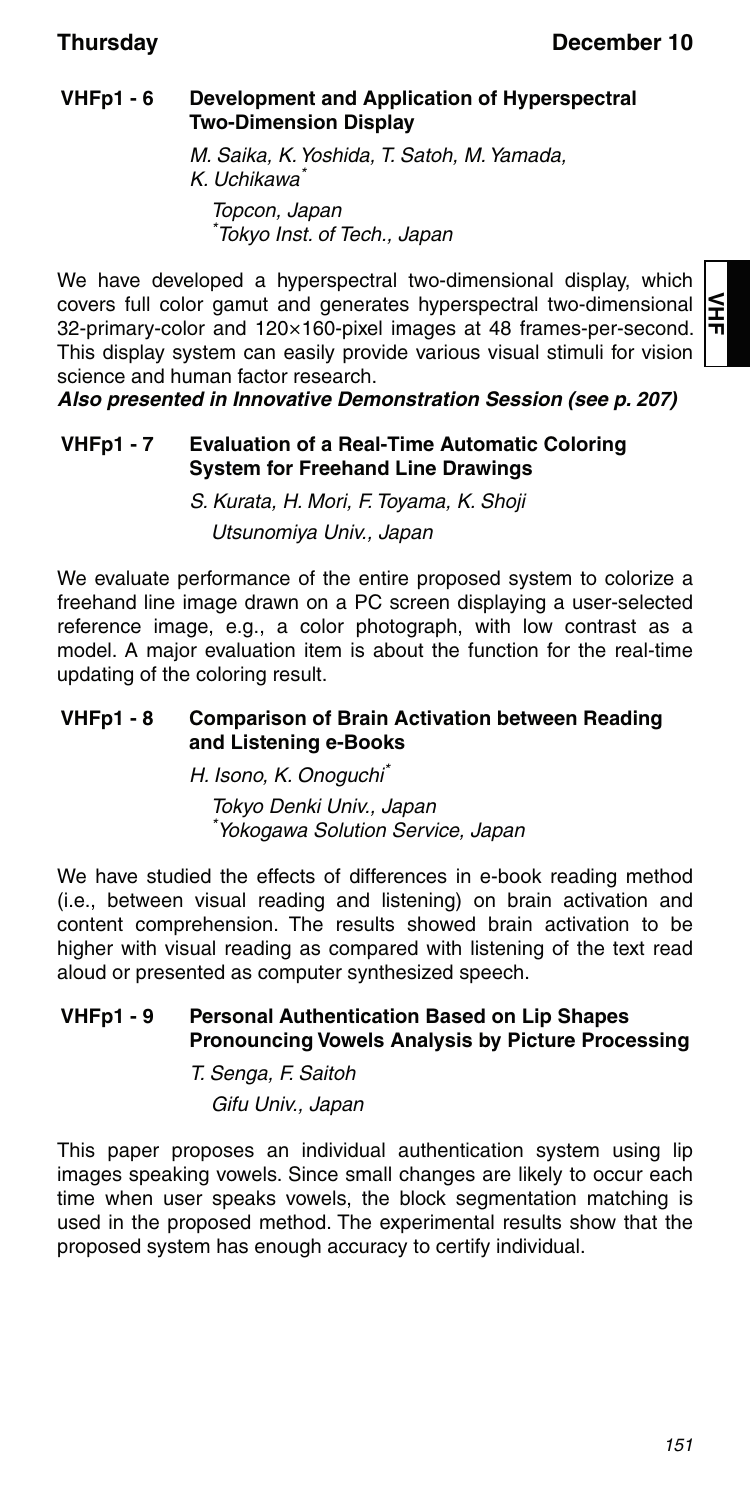### **VHFp1 - 6 Development and Application of Hyperspectral Two-Dimension Display**

M. Saika, K. Yoshida, T. Satoh, M. Yamada, K. Uchikawa\* Topcon, Japan \* Tokyo Inst. of Tech., Japan

We have developed a hyperspectral two-dimensional display, which covers full color gamut and generates hyperspectral two-dimensional 32-primary-color and 120×160-pixel images at 48 frames-per-second. This display system can easily provide various visual stimuli for vision science and human factor research.

*Also presented in Innovative Demonstration Session (see p. 207)*

### **VHFp1 - 7 Evaluation of a Real-Time Automatic Coloring System for Freehand Line Drawings**

S. Kurata, H. Mori, F. Toyama, K. Shoji Utsunomiya Univ., Japan

We evaluate performance of the entire proposed system to colorize a freehand line image drawn on a PC screen displaying a user-selected reference image, e.g., a color photograph, with low contrast as a model. A major evaluation item is about the function for the real-time updating of the coloring result.

### **VHFp1 - 8 Comparison of Brain Activation between Reading and Listening e-Books**

H. Isono, K. Onoguchi\*

Tokyo Denki Univ., Japan \* Yokogawa Solution Service, Japan

We have studied the effects of differences in e-book reading method (i.e., between visual reading and listening) on brain activation and content comprehension. The results showed brain activation to be higher with visual reading as compared with listening of the text read aloud or presented as computer synthesized speech.

### **VHFp1 - 9 Personal Authentication Based on Lip Shapes Pronouncing Vowels Analysis by Picture Processing**

T. Senga, F. Saitoh

Gifu Univ., Japan

This paper proposes an individual authentication system using lip images speaking vowels. Since small changes are likely to occur each time when user speaks vowels, the block segmentation matching is used in the proposed method. The experimental results show that the proposed system has enough accuracy to certify individual.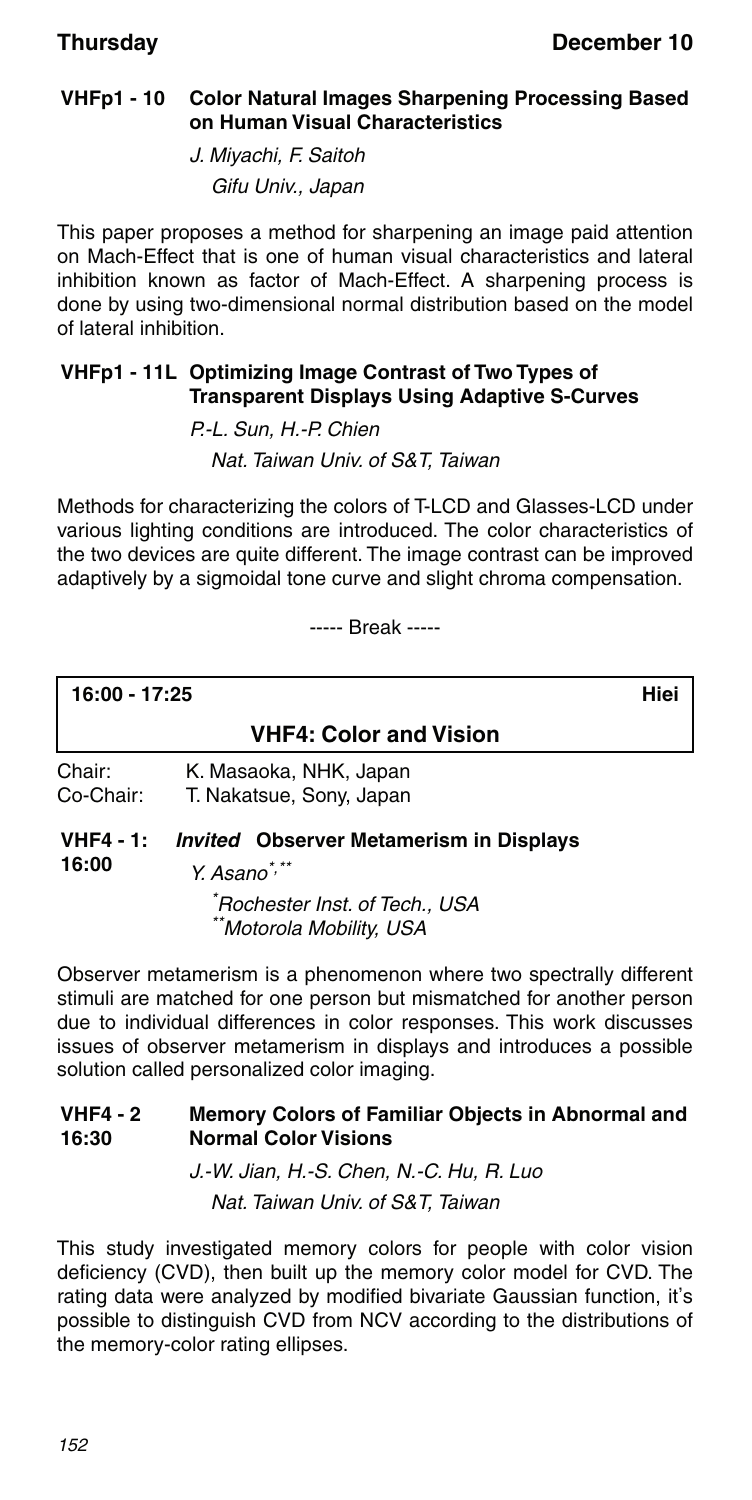### **VHFp1 - 10 Color Natural Images Sharpening Processing Based on Human Visual Characteristics**

J. Miyachi, F. Saitoh Gifu Univ., Japan

This paper proposes a method for sharpening an image paid attention on Mach-Effect that is one of human visual characteristics and lateral inhibition known as factor of Mach-Effect. A sharpening process is done by using two-dimensional normal distribution based on the model of lateral inhibition.

### **VHFp1 - 11L Optimizing Image Contrast of Two Types of Transparent Displays Using Adaptive S-Curves**

P.-L. Sun, H.-P. Chien Nat. Taiwan Univ. of S&T, Taiwan

Methods for characterizing the colors of T-LCD and Glasses-LCD under various lighting conditions are introduced. The color characteristics of the two devices are quite different. The image contrast can be improved adaptively by a sigmoidal tone curve and slight chroma compensation.

----- Break -----

**16:00 - 17:25 Hiei**

### **VHF4: Color and Vision**

Chair: K. Masaoka, NHK, Japan Co-Chair: T. Nakatsue, Sony, Japan

### **VHF4 - 1:** *Invited* **Observer Metamerism in Displays 16:00**

 $Y. As a non^*$ 

\* Rochester Inst. of Tech., USA \*Motorola Mobility, USA

Observer metamerism is a phenomenon where two spectrally different stimuli are matched for one person but mismatched for another person due to individual differences in color responses. This work discusses issues of observer metamerism in displays and introduces a possible solution called personalized color imaging.

#### **VHF4 - 2 16:30 Memory Colors of Familiar Objects in Abnormal and Normal Color Visions**

J.-W. Jian, H.-S. Chen, N.-C. Hu, R. Luo Nat. Taiwan Univ. of S&T, Taiwan

This study investigated memory colors for people with color vision deficiency (CVD), then built up the memory color model for CVD. The rating data were analyzed by modified bivariate Gaussian function, it's possible to distinguish CVD from NCV according to the distributions of the memory-color rating ellipses.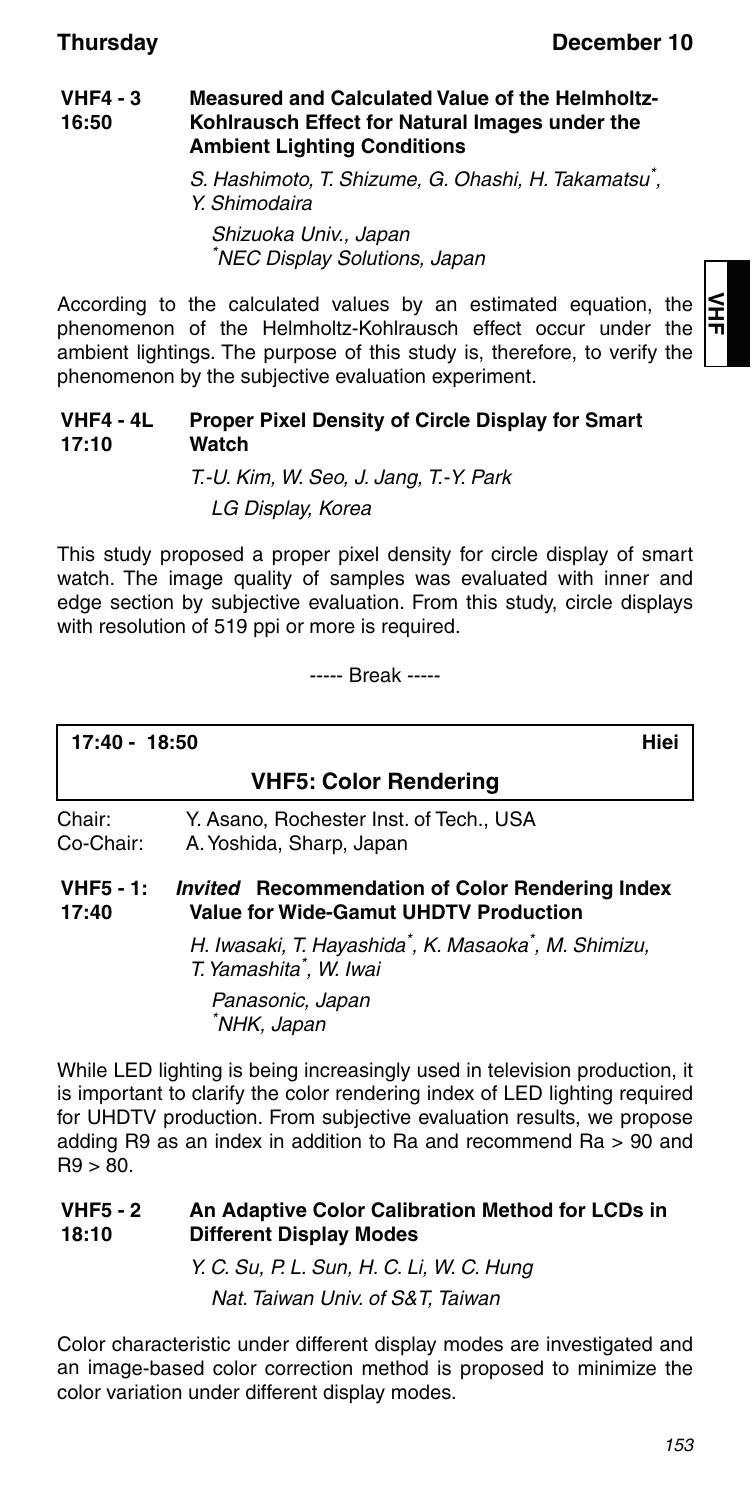≦

#### **VHF4 - 3 16:50 Measured and Calculated Value of the Helmholtz-Kohlrausch Effect for Natural Images under the Ambient Lighting Conditions**

S. Hashimoto, T. Shizume, G. Ohashi, H. Takamatsu\* , Y. Shimodaira Shizuoka Univ., Japan \* NEC Display Solutions, Japan

According to the calculated values by an estimated equation, the phenomenon of the Helmholtz-Kohlrausch effect occur under the ambient lightings. The purpose of this study is, therefore, to verify the phenomenon by the subjective evaluation experiment.

#### **VHF4 - 4L 17:10 Proper Pixel Density of Circle Display for Smart Watch**

T.-U. Kim, W. Seo, J. Jang, T.-Y. Park LG Display, Korea

This study proposed a proper pixel density for circle display of smart watch. The image quality of samples was evaluated with inner and edge section by subjective evaluation. From this study, circle displays with resolution of 519 ppi or more is required.

----- Break -----

| 17:40 - 18:50       |                                                                   | Hiei |
|---------------------|-------------------------------------------------------------------|------|
|                     | <b>VHF5: Color Rendering</b>                                      |      |
| Chair:<br>Co-Chair: | Y. Asano. Rochester Inst. of Tech USA<br>A. Yoshida, Sharp, Japan |      |

#### **VHF5 - 1: 17:40** *Invited* **Recommendation of Color Rendering Index Value for Wide-Gamut UHDTV Production**

H. Iwasaki, T. Hayashida\* , K. Masaoka\* , M. Shimizu, T. Yamashita\* , W. Iwai

Panasonic, Japan \* NHK, Japan

While LED lighting is being increasingly used in television production, it is important to clarify the color rendering index of LED lighting required for UHDTV production. From subjective evaluation results, we propose adding R9 as an index in addition to Ra and recommend Ra > 90 and  $R9 > 80.$ 

#### **VHF5 - 2 18:10 An Adaptive Color Calibration Method for LCDs in Different Display Modes**

Y. C. Su, P. L. Sun, H. C. Li, W. C. Hung Nat. Taiwan Univ. of S&T, Taiwan

Color characteristic under different display modes are investigated and an image-based color correction method is proposed to minimize the color variation under different display modes.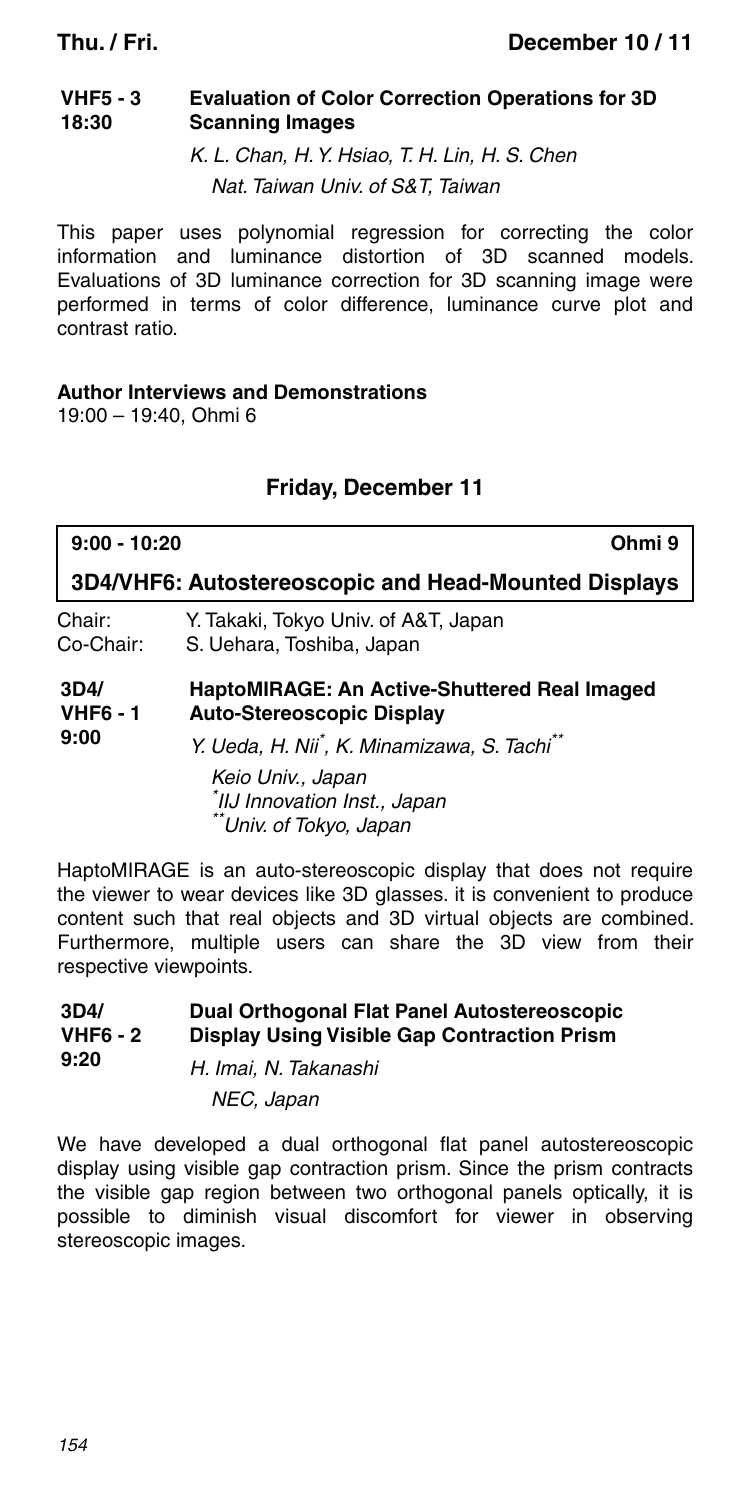#### **VHF5 - 3 18:30 Evaluation of Color Correction Operations for 3D Scanning Images**

K. L. Chan, H. Y. Hsiao, T. H. Lin, H. S. Chen Nat. Taiwan Univ. of S&T, Taiwan

This paper uses polynomial regression for correcting the color information and luminance distortion of 3D scanned models. Evaluations of 3D luminance correction for 3D scanning image were performed in terms of color difference, luminance curve plot and contrast ratio.

### **Author Interviews and Demonstrations**

19:00 – 19:40, Ohmi 6

### **Friday, December 11**

| $9:00 - 10:20$                  | Ohmi 9                                                                                                                                                                                                                                  |
|---------------------------------|-----------------------------------------------------------------------------------------------------------------------------------------------------------------------------------------------------------------------------------------|
|                                 | 3D4/VHF6: Autostereoscopic and Head-Mounted Displays                                                                                                                                                                                    |
| Chair:<br>Co-Chair:             | Y. Takaki, Tokyo Univ. of A&T, Japan<br>S. Uehara, Toshiba, Japan                                                                                                                                                                       |
| 3D4/<br><b>VHF6 - 1</b><br>9:00 | HaptoMIRAGE: An Active-Shuttered Real Imaged<br><b>Auto-Stereoscopic Display</b><br>Y. Ueda, H. Nii <sup>*</sup> , K. Minamizawa, S. Tachi <sup>**</sup><br>Keio Univ., Japan<br>IIJ Innovation Inst., Japan<br>**Univ. of Tokyo, Japan |

HaptoMIRAGE is an auto-stereoscopic display that does not require the viewer to wear devices like 3D glasses. it is convenient to produce content such that real objects and 3D virtual objects are combined. Furthermore, multiple users can share the 3D view from their respective viewpoints.

#### **3D4/ VHF6 - 2 9:20 Dual Orthogonal Flat Panel Autostereoscopic Display Using Visible Gap Contraction Prism**

H. Imai, N. Takanashi

NEC, Japan

We have developed a dual orthogonal flat panel autostereoscopic display using visible gap contraction prism. Since the prism contracts the visible gap region between two orthogonal panels optically, it is possible to diminish visual discomfort for viewer in observing stereoscopic images.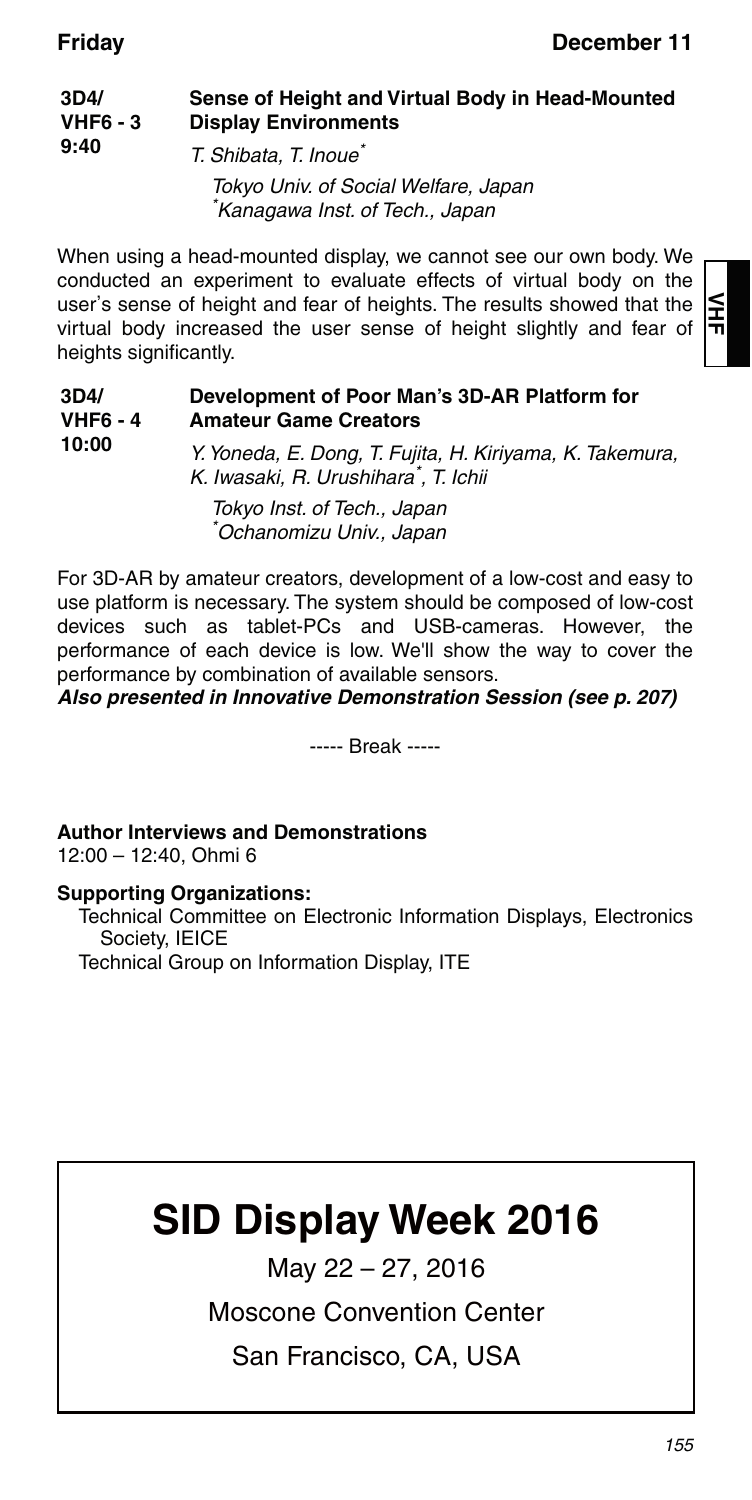도<br>뉴

| 3D4/<br>$VHF6 - 3$ | Sense of Height and Virtual Body in Head-Mounted<br><b>Display Environments</b> |
|--------------------|---------------------------------------------------------------------------------|
| 9:40               | T. Shibata. T. Inoue <sup>*</sup>                                               |
|                    | Tokyo Univ of Social Walfare Janan                                              |

токуо Univ. of Social Welfare, Japan \* Kanagawa Inst. of Tech., Japan

When using a head-mounted display, we cannot see our own body. We conducted an experiment to evaluate effects of virtual body on the user's sense of height and fear of heights. The results showed that the virtual body increased the user sense of height slightly and fear of heights significantly.

**3D4/ VHF6 - 4 10:00 Development of Poor Man's 3D-AR Platform for Amateur Game Creators** Y. Yoneda, E. Dong, T. Fujita, H. Kiriyama, K. Takemura, K. Iwasaki, R. Urushihara<sup>\*</sup>, T. Ichii Tokyo Inst. of Tech., Japan \* Ochanomizu Univ., Japan

For 3D-AR by amateur creators, development of a low-cost and easy to use platform is necessary. The system should be composed of low-cost devices such as tablet-PCs and USB-cameras. However, the performance of each device is low. We'll show the way to cover the performance by combination of available sensors.

*Also presented in Innovative Demonstration Session (see p. 207)*

----- Break -----

**Author Interviews and Demonstrations**

12:00 – 12:40, Ohmi 6

### **Supporting Organizations:**

Technical Committee on Electronic Information Displays, Electronics Society, IEICE

Technical Group on Information Display, ITE

# **SID Display Week 2016**

May 22 – 27, 2016

### Moscone Convention Center

San Francisco, CA, USA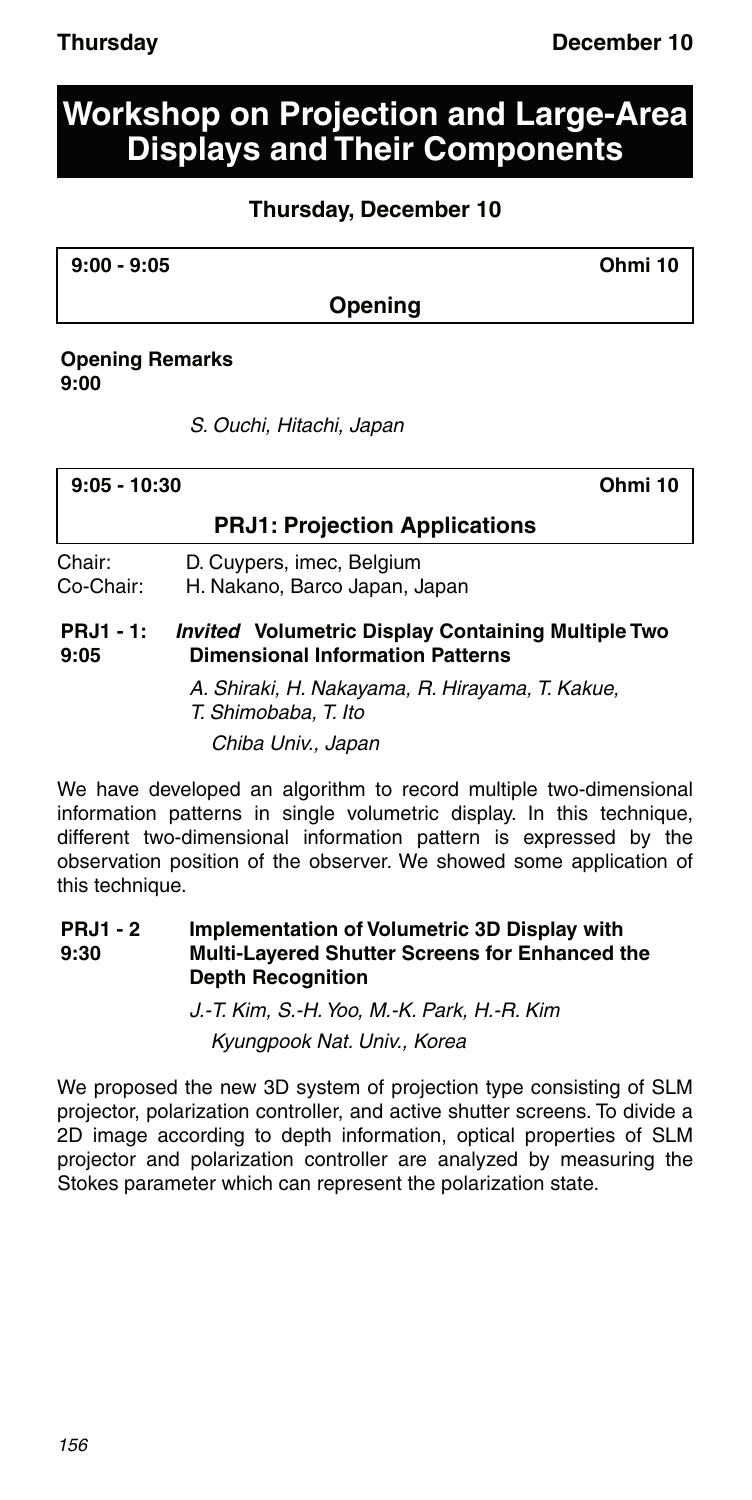## **Workshop on Projection and Large-Area Displays and Their Components**

### **Thursday, December 10**

**9:00 - 9:05 Ohmi 10**

### **Opening**

### **Opening Remarks 9:00**

S. Ouchi, Hitachi, Japan

| 9:05 - 10:30 | Ohmi 10 |
|--------------|---------|
|              |         |

### **PRJ1: Projection Applications**

Chair: D. Cuypers, imec, Belgium

Co-Chair: H. Nakano, Barco Japan, Japan

#### **PRJ1 - 1: 9:05** *Invited* **Volumetric Display Containing Multiple Two Dimensional Information Patterns**

A. Shiraki, H. Nakayama, R. Hirayama, T. Kakue, T. Shimobaba, T. Ito Chiba Univ., Japan

We have developed an algorithm to record multiple two-dimensional information patterns in single volumetric display. In this technique, different two-dimensional information pattern is expressed by the observation position of the observer. We showed some application of this technique.

#### **PRJ1 - 2 9:30 Implementation of Volumetric 3D Display with Multi-Layered Shutter Screens for Enhanced the Depth Recognition**

J.-T. Kim, S.-H. Yoo, M.-K. Park, H.-R. Kim Kyungpook Nat. Univ., Korea

We proposed the new 3D system of projection type consisting of SLM projector, polarization controller, and active shutter screens. To divide a 2D image according to depth information, optical properties of SLM projector and polarization controller are analyzed by measuring the Stokes parameter which can represent the polarization state.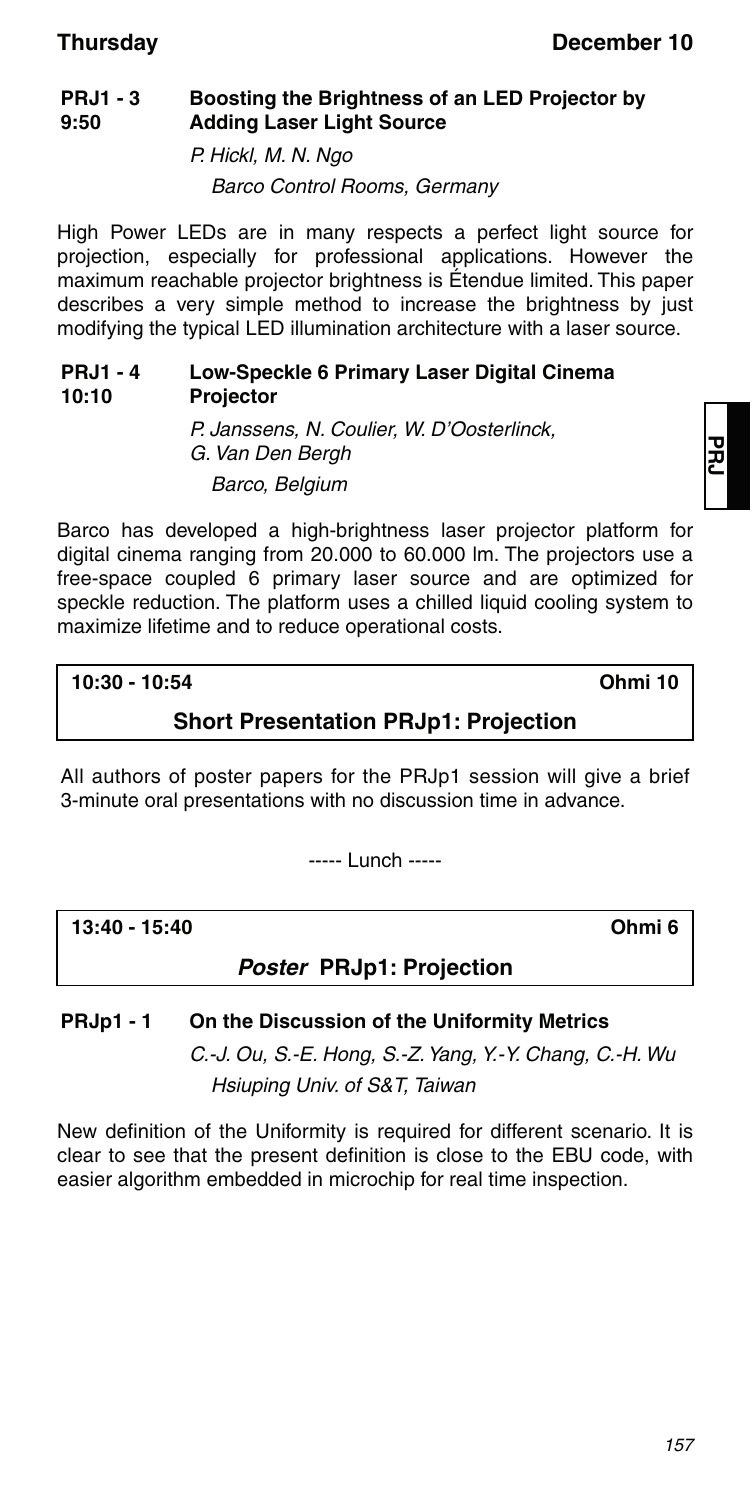#### **PRJ1 - 3 9:50 Boosting the Brightness of an LED Projector by Adding Laser Light Source**

P. Hickl, M. N. Ngo

Barco Control Rooms, Germany

High Power LEDs are in many respects a perfect light source for projection, especially for professional applications. However the maximum reachable projector brightness is Étendue limited. This paper describes a very simple method to increase the brightness by just modifying the typical LED illumination architecture with a laser source.

#### **PRJ1 - 4 10:10 Low-Speckle 6 Primary Laser Digital Cinema Projector**

P. Janssens, N. Coulier, W. D'Oosterlinck, G. Van Den Bergh Barco, Belgium

Barco has developed a high-brightness laser projector platform for digital cinema ranging from 20.000 to 60.000 lm. The projectors use a free-space coupled 6 primary laser source and are optimized for speckle reduction. The platform uses a chilled liquid cooling system to maximize lifetime and to reduce operational costs.

**10:30 - 10:54 Ohmi 10**

### **Short Presentation PRJp1: Projection**

All authors of poster papers for the PRJp1 session will give a brief 3-minute oral presentations with no discussion time in advance.

----- Lunch -----

**13:40 - 15:40 Ohmi 6**

*Poster* **PRJp1: Projection**

### **PRJp1 - 1 On the Discussion of the Uniformity Metrics**

C.-J. Ou, S.-E. Hong, S.-Z. Yang, Y.-Y. Chang, C.-H. Wu Hsiuping Univ. of S&T, Taiwan

New definition of the Uniformity is required for different scenario. It is clear to see that the present definition is close to the EBU code, with easier algorithm embedded in microchip for real time inspection.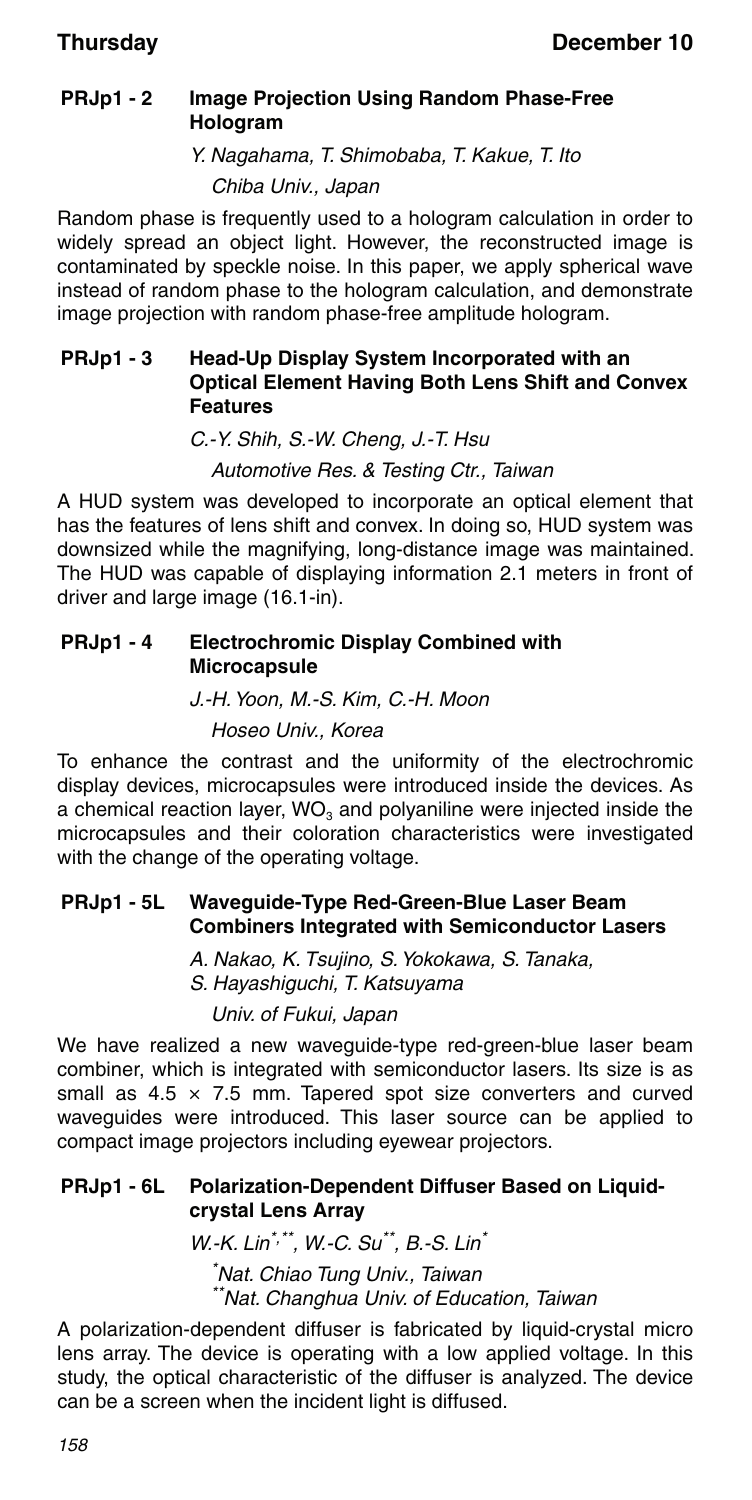### **PRJp1 - 2 Image Projection Using Random Phase-Free Hologram**

Y. Nagahama, T. Shimobaba, T. Kakue, T. Ito

Chiba Univ., Japan

Random phase is frequently used to a hologram calculation in order to widely spread an object light. However, the reconstructed image is contaminated by speckle noise. In this paper, we apply spherical wave instead of random phase to the hologram calculation, and demonstrate image projection with random phase-free amplitude hologram.

### **PRJp1 - 3 Head-Up Display System Incorporated with an Optical Element Having Both Lens Shift and Convex Features**

C.-Y. Shih, S.-W. Cheng, J.-T. Hsu

Automotive Res. & Testing Ctr., Taiwan

A HUD system was developed to incorporate an optical element that has the features of lens shift and convex. In doing so, HUD system was downsized while the magnifying, long-distance image was maintained. The HUD was capable of displaying information 2.1 meters in front of driver and large image (16.1-in).

### **PRJp1 - 4 Electrochromic Display Combined with Microcapsule**

J.-H. Yoon, M.-S. Kim, C.-H. Moon Hoseo Univ., Korea

To enhance the contrast and the uniformity of the electrochromic display devices, microcapsules were introduced inside the devices. As a chemical reaction layer,  $WO<sub>3</sub>$  and polyaniline were injected inside the microcapsules and their coloration characteristics were investigated with the change of the operating voltage.

### **PRJp1 - 5L Waveguide-Type Red-Green-Blue Laser Beam Combiners Integrated with Semiconductor Lasers**

A. Nakao, K. Tsujino, S. Yokokawa, S. Tanaka,

S. Hayashiguchi, T. Katsuyama

Univ. of Fukui, Japan

We have realized a new waveguide-type red-green-blue laser beam combiner, which is integrated with semiconductor lasers. Its size is as small as  $4.5 \times 7.5$  mm. Tapered spot size converters and curved waveguides were introduced. This laser source can be applied to compact image projectors including eyewear projectors.

### **PRJp1 - 6L Polarization-Dependent Diffuser Based on Liquidcrystal Lens Array**

W.-K. Lin\*,\*\*, W.-C. Su\*\*, B.-S. Lin\* \* Nat. Chiao Tung Univ., Taiwan \*\*Nat. Changhua Univ. of Education, Taiwan

A polarization-dependent diffuser is fabricated by liquid-crystal micro lens array. The device is operating with a low applied voltage. In this study, the optical characteristic of the diffuser is analyzed. The device can be a screen when the incident light is diffused.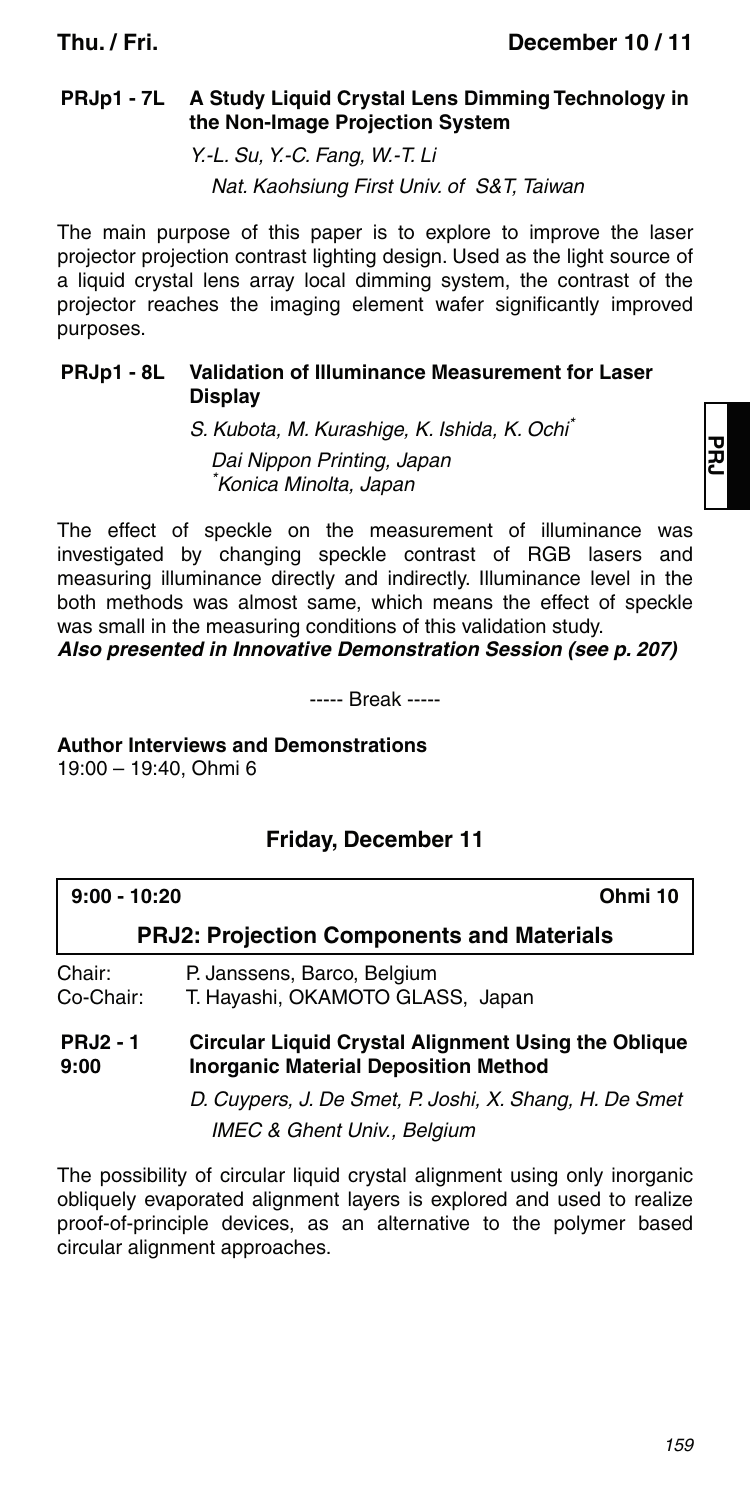### **PRJp1 - 7L A Study Liquid Crystal Lens Dimming Technology in the Non-Image Projection System**

Y.-L. Su, Y.-C. Fang, W.-T. Li

Nat. Kaohsiung First Univ. of S&T, Taiwan

The main purpose of this paper is to explore to improve the laser projector projection contrast lighting design. Used as the light source of a liquid crystal lens array local dimming system, the contrast of the projector reaches the imaging element wafer significantly improved purposes.

### **PRJp1 - 8L Validation of Illuminance Measurement for Laser Display**

S. Kubota, M. Kurashige, K. Ishida, K. Ochi\* Dai Nippon Printing, Japan \* Konica Minolta, Japan

The effect of speckle on the measurement of illuminance was investigated by changing speckle contrast of RGB lasers and measuring illuminance directly and indirectly. Illuminance level in the both methods was almost same, which means the effect of speckle was small in the measuring conditions of this validation study.

### *Also presented in Innovative Demonstration Session (see p. 207)*

----- Break -----

**Author Interviews and Demonstrations** 19:00 – 19:40, Ohmi 6

### **Friday, December 11**

| $9:00 - 10:20$      |                                                                 | Ohmi 10 |
|---------------------|-----------------------------------------------------------------|---------|
|                     | <b>PRJ2: Projection Components and Materials</b>                |         |
| Chair:<br>Co-Chair: | P. Janssens, Barco, Belgium<br>T. Hayashi, OKAMOTO GLASS, Japan |         |
| <b>DD 10</b>        | Olusulau Linulai Omiatal, Allammant Halmartha, Ohllausa         |         |

#### **PRJ2 - 1 9:00 Circular Liquid Crystal Alignment Using the Oblique Inorganic Material Deposition Method**

D. Cuypers, J. De Smet, P. Joshi, X. Shang, H. De Smet IMEC & Ghent Univ., Belgium

The possibility of circular liquid crystal alignment using only inorganic obliquely evaporated alignment layers is explored and used to realize proof-of-principle devices, as an alternative to the polymer based circular alignment approaches.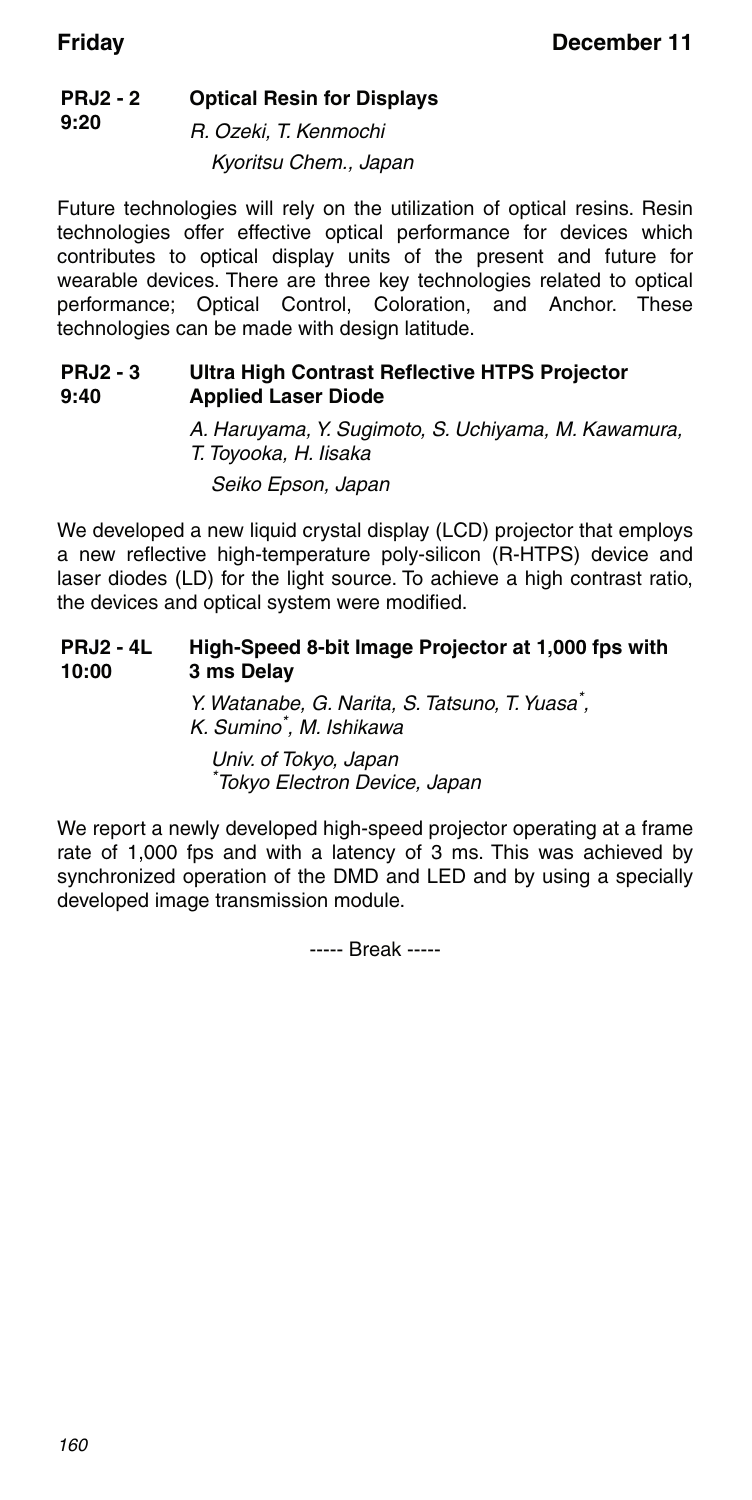#### **PRJ2 - 2 9:20 Optical Resin for Displays**

R. Ozeki, T. Kenmochi Kyoritsu Chem., Japan

Future technologies will rely on the utilization of optical resins. Resin technologies offer effective optical performance for devices which contributes to optical display units of the present and future for wearable devices. There are three key technologies related to optical performance; Optical Control, Coloration, and Anchor. These technologies can be made with design latitude.

#### **PRJ2 - 3 9:40 Ultra High Contrast Reflective HTPS Projector Applied Laser Diode**

A. Haruyama, Y. Sugimoto, S. Uchiyama, M. Kawamura, T. Toyooka, H. Iisaka Seiko Epson, Japan

We developed a new liquid crystal display (LCD) projector that employs a new reflective high-temperature poly-silicon (R-HTPS) device and laser diodes (LD) for the light source. To achieve a high contrast ratio, the devices and optical system were modified.

#### **PRJ2 - 4L 10:00 High-Speed 8-bit Image Projector at 1,000 fps with 3 ms Delay**

Y. Watanabe, G. Narita, S. Tatsuno, T. Yuasa\* , K. Sumino\* , M. Ishikawa

Univ. of Tokyo, Japan \* Tokyo Electron Device, Japan

We report a newly developed high-speed projector operating at a frame rate of 1,000 fps and with a latency of 3 ms. This was achieved by synchronized operation of the DMD and LED and by using a specially developed image transmission module.

----- Break -----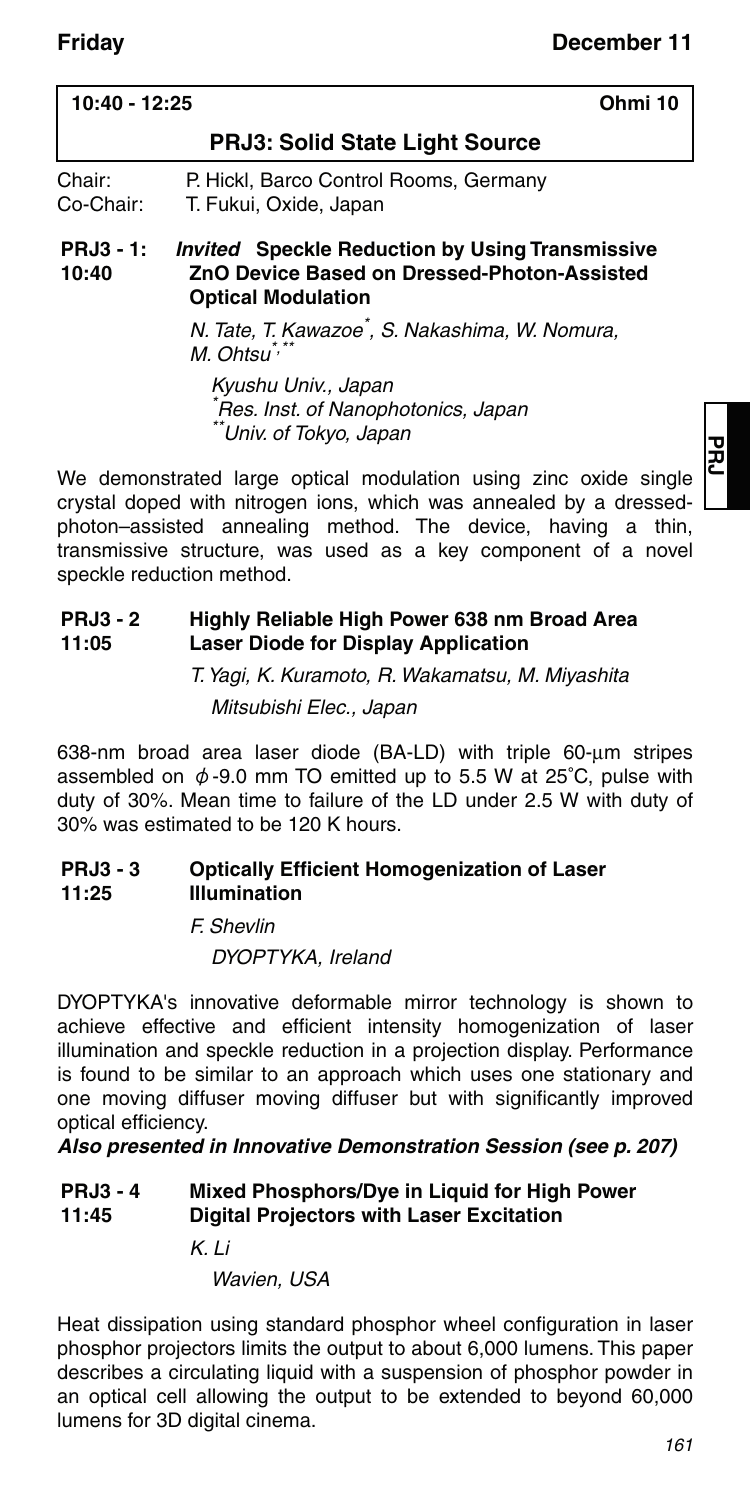| 10:40 - 12:25                      | Ohmi 10                                                                                                                    |
|------------------------------------|----------------------------------------------------------------------------------------------------------------------------|
|                                    | <b>PRJ3: Solid State Light Source</b>                                                                                      |
| Chair:<br>Co-Chair:<br>$PRJ3 - 1:$ | P. Hickl, Barco Control Rooms, Germany<br>T. Fukui, Oxide, Japan<br><b>Invited</b> Speckle Reduction by Using Transmissive |
| 10:40                              | ZnO Device Based on Dressed-Photon-Assisted<br><b>Optical Modulation</b>                                                   |
|                                    | N. Tate, T. Kawazoe*, S. Nakashima, W. Nomura,<br>M. Ohtsu <sup>*,</sup>                                                   |

Kyushu Univ., Japan \* Res. Inst. of Nanophotonics, Japan \*Univ. of Tokyo, Japan

We demonstrated large optical modulation using zinc oxide single crystal doped with nitrogen ions, which was annealed by a dressedphoton–assisted annealing method. The device, having a thin, transmissive structure, was used as a key component of a novel speckle reduction method.

#### **PRJ3 - 2 11:05 Highly Reliable High Power 638 nm Broad Area Laser Diode for Display Application**

T. Yagi, K. Kuramoto, R. Wakamatsu, M. Miyashita Mitsubishi Elec., Japan

638-nm broad area laser diode (BA-LD) with triple 60-um stripes assembled on  $\phi$ -9.0 mm TO emitted up to 5.5 W at 25°C, pulse with duty of 30%. Mean time to failure of the LD under 2.5 W with duty of 30% was estimated to be 120 K hours.

#### **PRJ3 - 3 11:25 Optically Efficient Homogenization of Laser Illumination**

F. Shevlin DYOPTYKA, Ireland

DYOPTYKA's innovative deformable mirror technology is shown to achieve effective and efficient intensity homogenization of laser illumination and speckle reduction in a projection display. Performance is found to be similar to an approach which uses one stationary and one moving diffuser moving diffuser but with significantly improved optical efficiency.

*Also presented in Innovative Demonstration Session (see p. 207)*

#### **PRJ3 - 4 11:45 Mixed Phosphors/Dye in Liquid for High Power Digital Projectors with Laser Excitation**

K. Li

Wavien, USA

Heat dissipation using standard phosphor wheel configuration in laser phosphor projectors limits the output to about 6,000 lumens. This paper describes a circulating liquid with a suspension of phosphor powder in an optical cell allowing the output to be extended to beyond 60,000 lumens for 3D digital cinema.

**PRJ**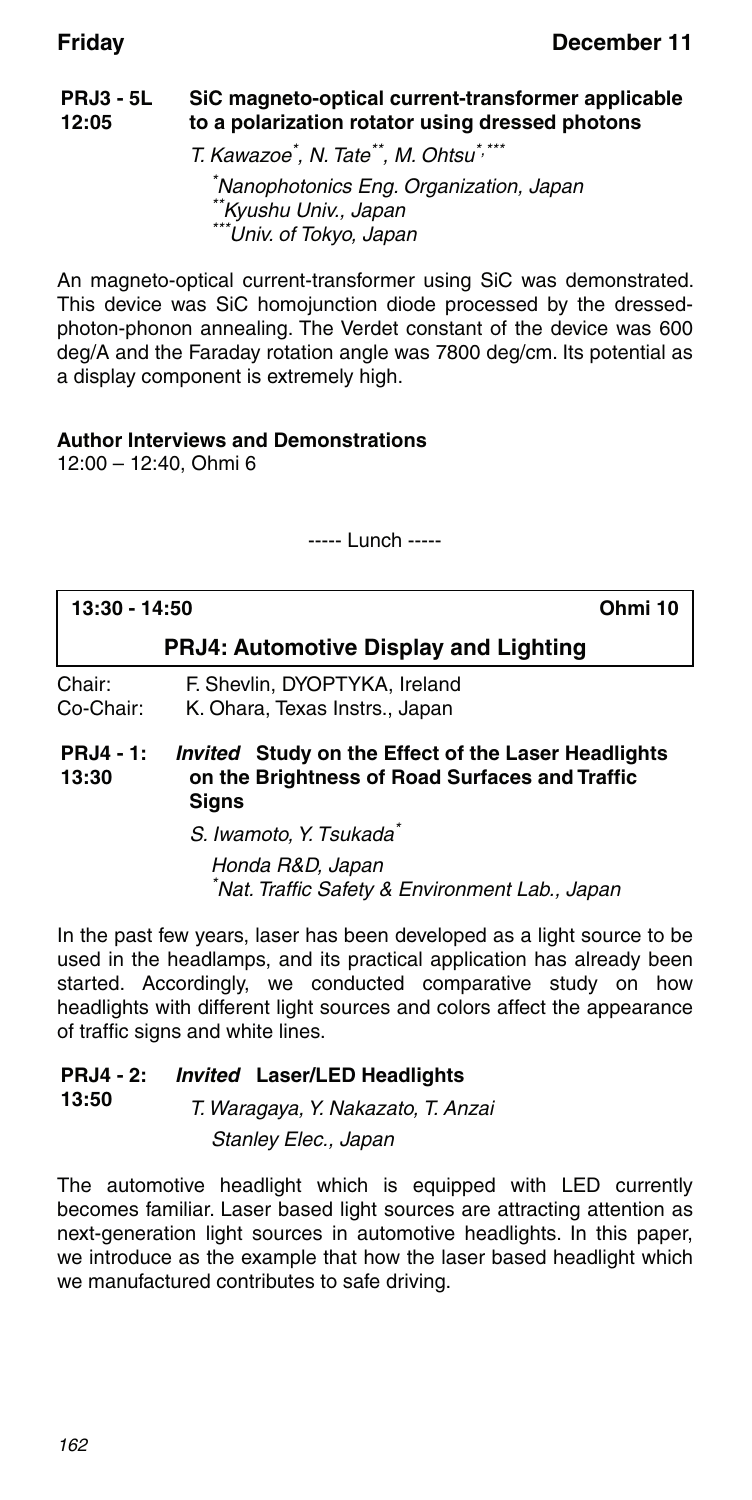#### **PRJ3 - 5L 12:05 SiC magneto-optical current-transformer applicable to a polarization rotator using dressed photons**

T. Kawazoe\* , N. Tate\*\*, M. Ohtsu\*,\*\*\*

\* Nanophotonics Eng. Organization, Japan \*\*Kyushu Univ., Japan \*\*\*Univ. of Tokyo, Japan

An magneto-optical current-transformer using SiC was demonstrated. This device was SiC homojunction diode processed by the dressedphoton-phonon annealing. The Verdet constant of the device was 600 deg/A and the Faraday rotation angle was 7800 deg/cm. Its potential as a display component is extremely high.

### **Author Interviews and Demonstrations**

12:00 – 12:40, Ohmi 6

----- Lunch -----

| 13:30 - 14:50             | Ohmi 10                                                                                                               |  |  |
|---------------------------|-----------------------------------------------------------------------------------------------------------------------|--|--|
|                           | <b>PRJ4: Automotive Display and Lighting</b>                                                                          |  |  |
| Chair:<br>Co-Chair:       | F. Shevlin, DYOPTYKA, Ireland<br>K. Ohara, Texas Instrs., Japan                                                       |  |  |
| <b>PRJ4 - 1:</b><br>13:30 | <i>Invited</i> Study on the Effect of the Laser Headlights<br>on the Brightness of Road Surfaces and Traffic<br>Signs |  |  |

S. Iwamoto, Y. Tsukada<sup>\*</sup> Honda R&D, Japan \* Nat. Traffic Safety & Environment Lab., Japan

In the past few years, laser has been developed as a light source to be used in the headlamps, and its practical application has already been started. Accordingly, we conducted comparative study on how headlights with different light sources and colors affect the appearance of traffic signs and white lines.

#### **PRJ4 - 2:** *Invited* **Laser/LED Headlights**

**13:50** T. Waragaya, Y. Nakazato, T. Anzai Stanley Elec., Japan

The automotive headlight which is equipped with LED currently becomes familiar. Laser based light sources are attracting attention as next-generation light sources in automotive headlights. In this paper, we introduce as the example that how the laser based headlight which we manufactured contributes to safe driving.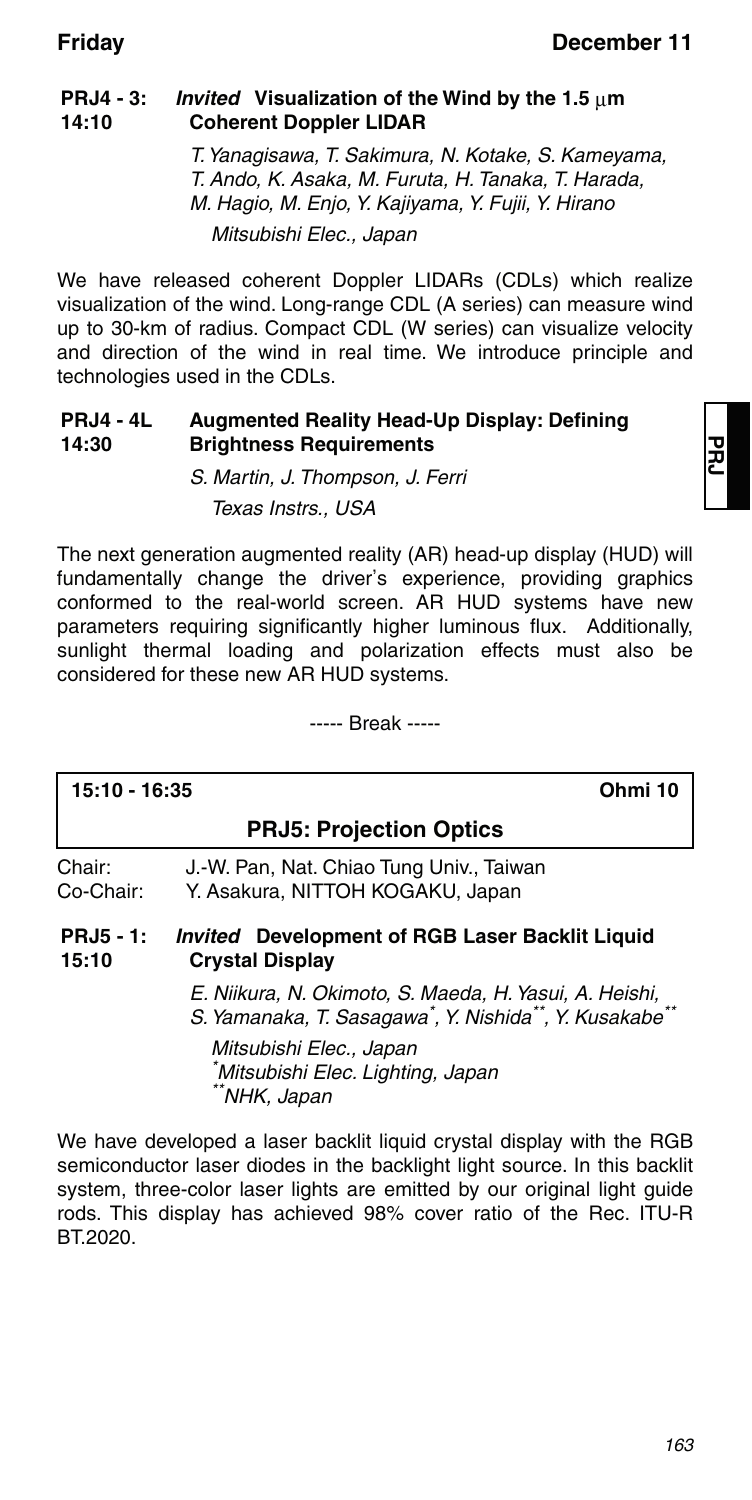#### **PRJ4 - 3: 14:10** *Invited* Visualization of the Wind by the 1.5  $\mu$ m **Coherent Doppler LIDAR**

T. Yanagisawa, T. Sakimura, N. Kotake, S. Kameyama, T. Ando, K. Asaka, M. Furuta, H. Tanaka, T. Harada, M. Hagio, M. Enjo, Y. Kajiyama, Y. Fujii, Y. Hirano Mitsubishi Elec., Japan

We have released coherent Doppler LIDARs (CDLs) which realize visualization of the wind. Long-range CDL (A series) can measure wind up to 30-km of radius. Compact CDL (W series) can visualize velocity and direction of the wind in real time. We introduce principle and technologies used in the CDLs.

#### **PRJ4 - 4L 14:30 Augmented Reality Head-Up Display: Defining Brightness Requirements**

S. Martin, J. Thompson, J. Ferri Texas Instrs., USA

The next generation augmented reality (AR) head-up display (HUD) will fundamentally change the driver's experience, providing graphics conformed to the real-world screen. AR HUD systems have new parameters requiring significantly higher luminous flux. Additionally, sunlight thermal loading and polarization effects must also be considered for these new AR HUD systems.

----- Break -----

### **15:10 - 16:35 Ohmi 10**

### **PRJ5: Projection Optics**

Chair: J.-W. Pan, Nat. Chiao Tung Univ., Taiwan Co-Chair: Y. Asakura, NITTOH KOGAKU, Japan

**PRJ5 - 1: 15:10** *Invited* **Development of RGB Laser Backlit Liquid Crystal Display**

> E. Niikura, N. Okimoto, S. Maeda, H. Yasui, A. Heishi, S. Yamanaka, T. Sasagawa<sup>\*</sup>, Y. Nishida<sup>\*\*</sup>, Y. Kusakabe<sup>\*\*</sup>

Mitsubishi Elec., Japan \* Mitsubishi Elec. Lighting, Japan \*\*NHK, Japan

We have developed a laser backlit liquid crystal display with the RGB semiconductor laser diodes in the backlight light source. In this backlit system, three-color laser lights are emitted by our original light guide rods. This display has achieved 98% cover ratio of the Rec. ITU-R BT.2020.

**PRJ**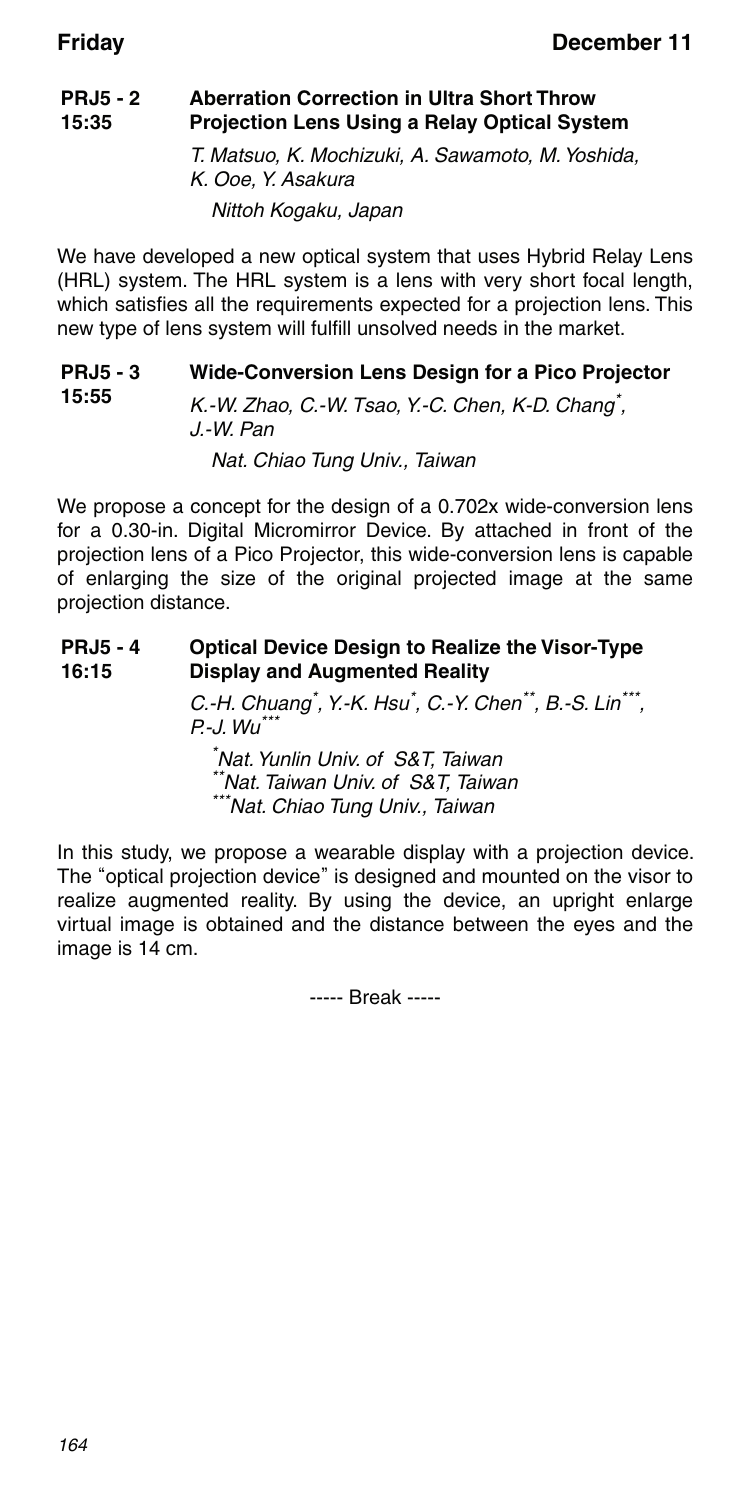**15:55**

#### **PRJ5 - 2 15:35 Aberration Correction in Ultra Short Throw Projection Lens Using a Relay Optical System** T. Matsuo, K. Mochizuki, A. Sawamoto, M. Yoshida,

K. Ooe, Y. Asakura Nittoh Kogaku, Japan

We have developed a new optical system that uses Hybrid Relay Lens (HRL) system. The HRL system is a lens with very short focal length, which satisfies all the requirements expected for a projection lens. This new type of lens system will fulfill unsolved needs in the market.

#### **PRJ5 - 3 Wide-Conversion Lens Design for a Pico Projector**

K.-W. Zhao, C.-W. Tsao, Y.-C. Chen, K-D. Chang<sup>\*</sup>, J.-W. Pan

Nat. Chiao Tung Univ., Taiwan

We propose a concept for the design of a 0.702x wide-conversion lens for a 0.30-in. Digital Micromirror Device. By attached in front of the projection lens of a Pico Projector, this wide-conversion lens is capable of enlarging the size of the original projected image at the same projection distance.

#### **PRJ5 - 4 16:15 Optical Device Design to Realize the Visor-Type Display and Augmented Reality**

C.-H. Chuang<sup>\*</sup>, Y.-K. Hsu<sup>\*</sup>, C.-Y. Chen<sup>\*\*</sup>, B.-S. Lin<sup>\*\*\*</sup>,  $P - J. Wu^{\ast\ast}$ 

\* Nat. Yunlin Univ. of S&T, Taiwan \*Nat. Taiwan Univ. of S&T. Taiwan \*\*\*Nat. Chiao Tung Univ., Taiwan

In this study, we propose a wearable display with a projection device. The "optical projection device" is designed and mounted on the visor to realize augmented reality. By using the device, an upright enlarge virtual image is obtained and the distance between the eyes and the image is 14 cm.

----- Break -----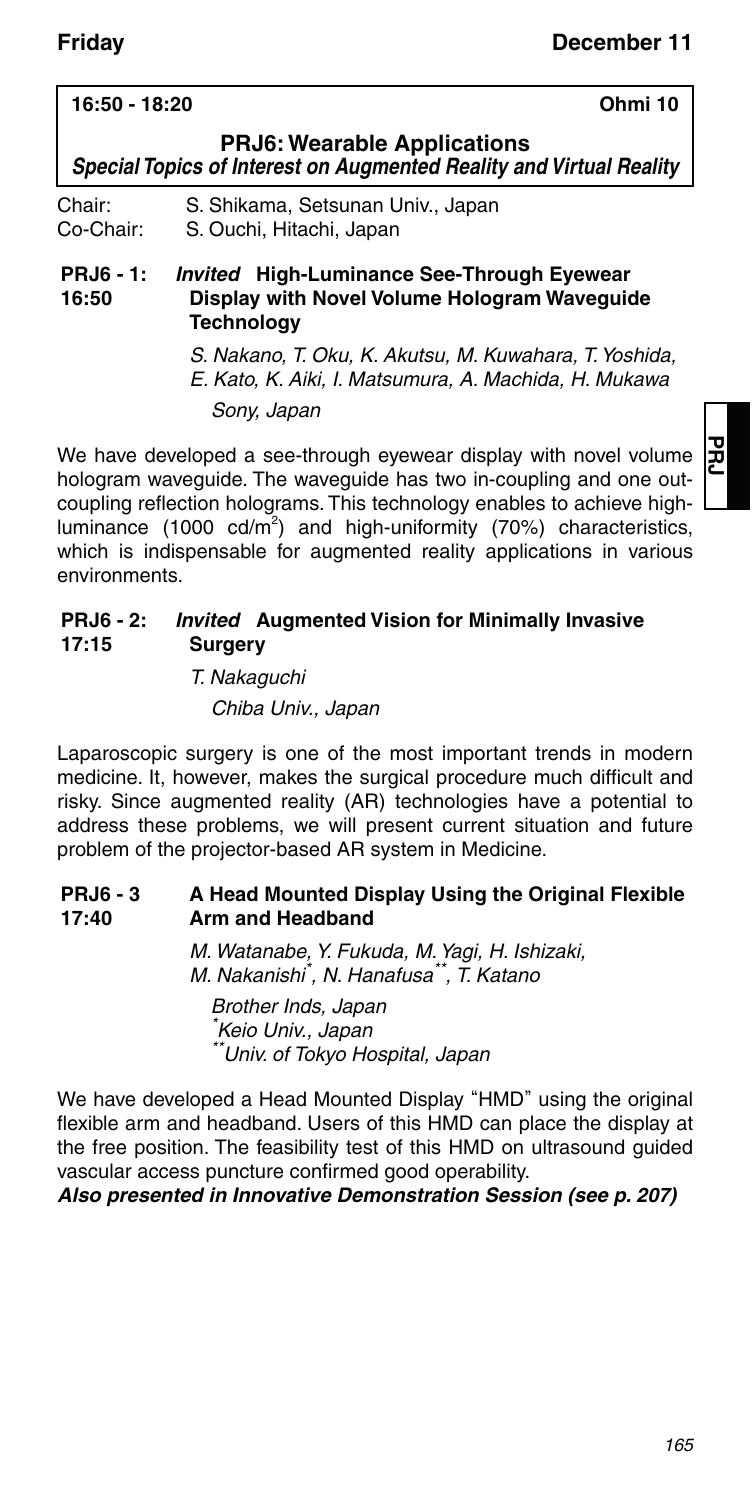### **PRJ6: Wearable Applications** *Special Topics of Interest on Augmented Reality and Virtual Reality* Chair: S. Shikama, Setsunan Univ., Japan Co-Chair: S. Ouchi, Hitachi, Japan **PRJ6 - 1: 16:50** *Invited* **High-Luminance See-Through Eyewear Display with Novel Volume Hologram Waveguide Technology**

**16:50 - 18:20 Ohmi 10**

S. Nakano, T. Oku, K. Akutsu, M. Kuwahara, T. Yoshida, E. Kato, K. Aiki, I. Matsumura, A. Machida, H. Mukawa Sony, Japan

We have developed a see-through eyewear display with novel volume hologram waveguide. The waveguide has two in-coupling and one outcoupling reflection holograms. This technology enables to achieve highluminance (1000 cd/m<sup>2</sup>) and high-uniformity (70%) characteristics, which is indispensable for augmented reality applications in various environments.

#### **PRJ6 - 2: 17:15** *Invited* **Augmented Vision for Minimally Invasive Surgery**

T. Nakaguchi Chiba Univ., Japan

Laparoscopic surgery is one of the most important trends in modern medicine. It, however, makes the surgical procedure much difficult and risky. Since augmented reality (AR) technologies have a potential to address these problems, we will present current situation and future problem of the projector-based AR system in Medicine.

#### **PRJ6 - 3 17:40 A Head Mounted Display Using the Original Flexible Arm and Headband**

M. Watanabe, Y. Fukuda, M. Yagi, H. Ishizaki, M. Nakanishi\* , N. Hanafusa\*\*, T. Katano

Brother Inds, Japan \* Keio Univ., Japan \*\*Univ. of Tokyo Hospital, Japan

We have developed a Head Mounted Display "HMD" using the original flexible arm and headband. Users of this HMD can place the display at the free position. The feasibility test of this HMD on ultrasound guided vascular access puncture confirmed good operability.

*Also presented in Innovative Demonstration Session (see p. 207)*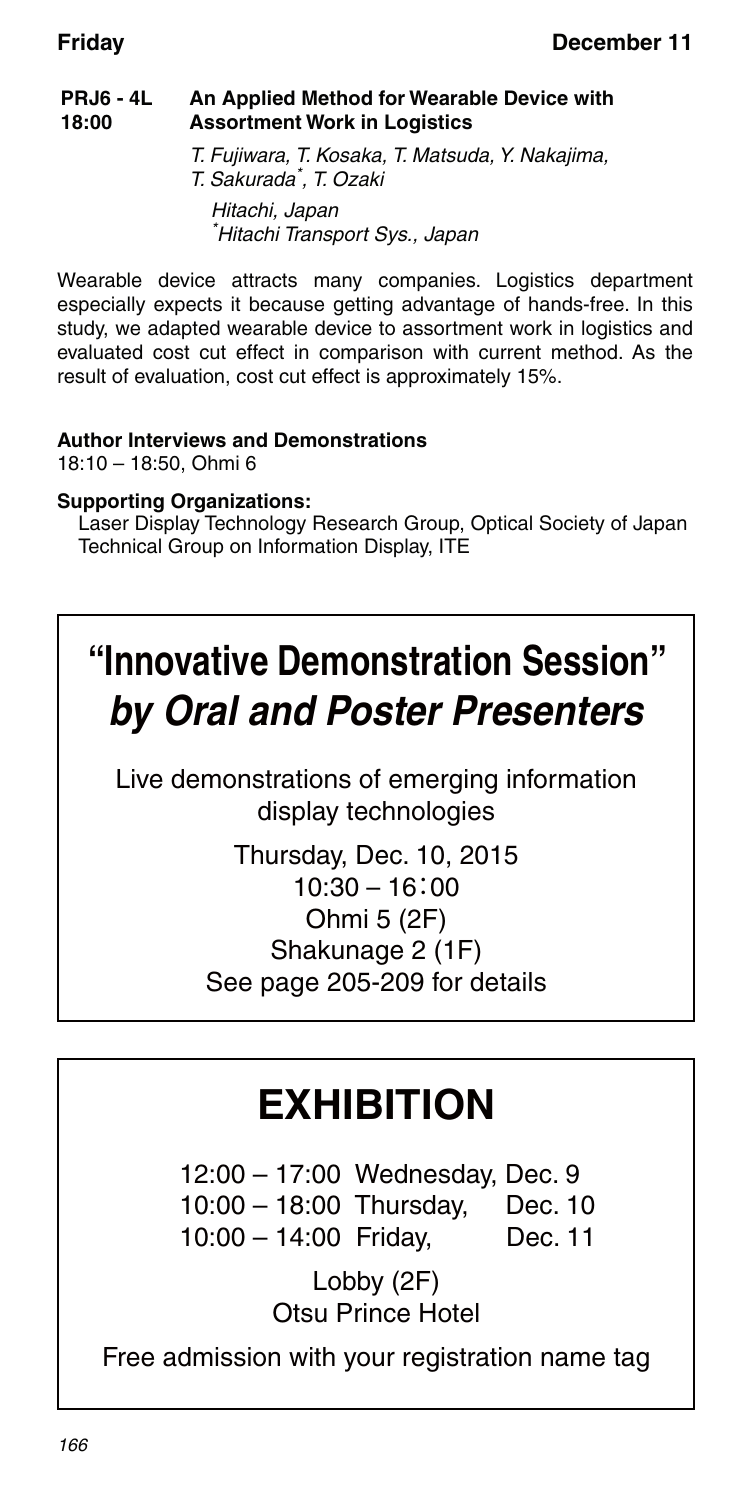#### **PRJ6 - 4L 18:00 An Applied Method for Wearable Device with Assortment Work in Logistics**

T. Fujiwara, T. Kosaka, T. Matsuda, Y. Nakajima, T. Sakurada\* , T. Ozaki Hitachi, Japan \* Hitachi Transport Sys., Japan

Wearable device attracts many companies. Logistics department especially expects it because getting advantage of hands-free. In this study, we adapted wearable device to assortment work in logistics and evaluated cost cut effect in comparison with current method. As the result of evaluation, cost cut effect is approximately 15%.

### **Author Interviews and Demonstrations** 18:10 – 18:50, Ohmi 6

### **Supporting Organizations:**

Laser Display Technology Research Group, Optical Society of Japan Technical Group on Information Display, ITE

# **"Innovative Demonstration Session"** *by Oral and Poster Presenters*

Live demonstrations of emerging information display technologies

> Thursday, Dec. 10, 2015  $10:30 - 16:00$ Ohmi 5 (2F) Shakunage 2 (1F) See page 205-209 for details

# **EXHIBITION**

 12:00 – 17:00 Wednesday, Dec. 9 10:00 – 18:00 Thursday, Dec. 10 10:00 – 14:00 Friday, Dec. 11

> Lobby (2F) Otsu Prince Hotel

Free admission with your registration name tag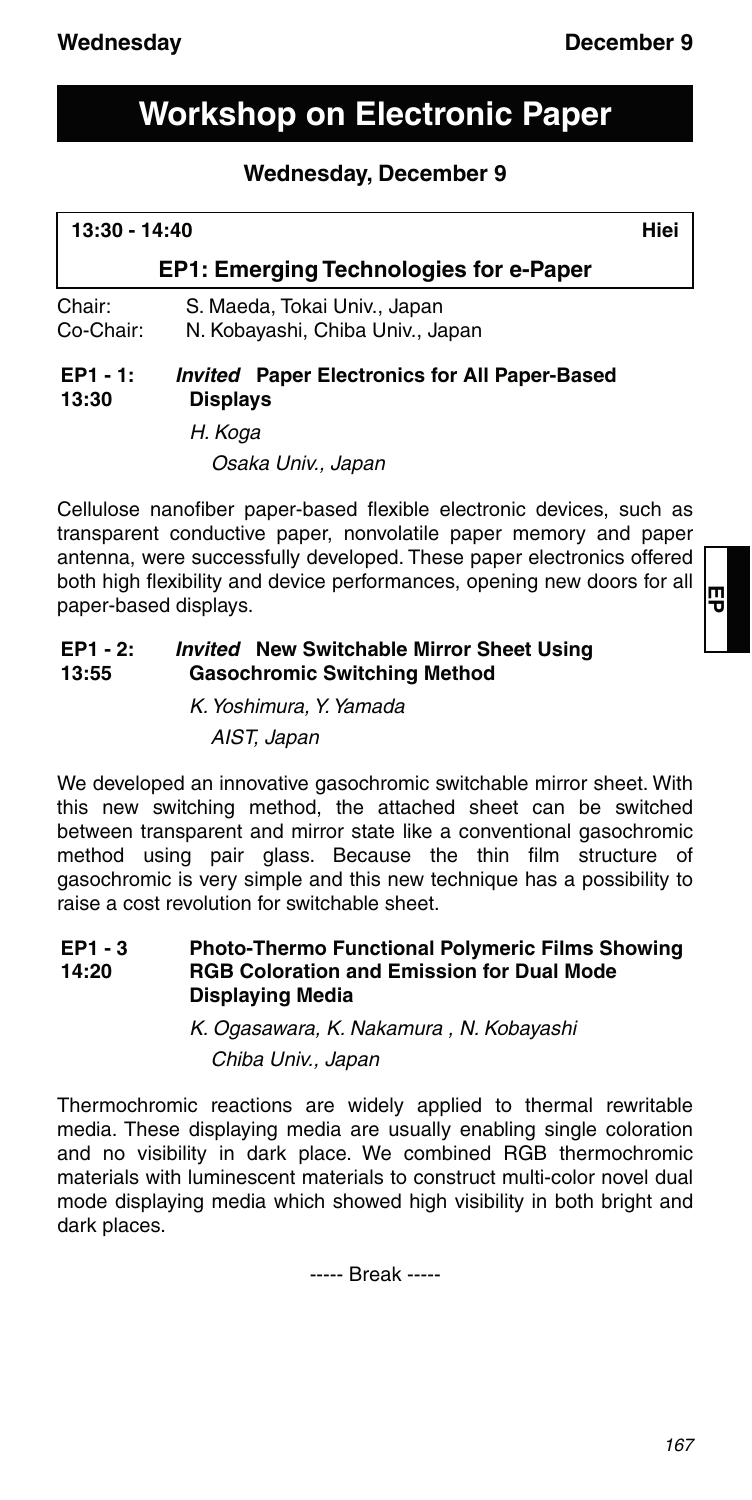## **Workshop on Electronic Paper**

### **Wednesday, December 9**

## **13:30 - 14:40 Hiei EP1: Emerging Technologies for e-Paper** Chair: S. Maeda, Tokai Univ., Japan Co-Chair: N. Kobayashi, Chiba Univ., Japan

#### **EP1 - 1: 13:30** *Invited* **Paper Electronics for All Paper-Based Displays**

H. Koga

Osaka Univ., Japan

Cellulose nanofiber paper-based flexible electronic devices, such as transparent conductive paper, nonvolatile paper memory and paper antenna, were successfully developed. These paper electronics offered both high flexibility and device performances, opening new doors for all paper-based displays.

#### **EP1 - 2: 13:55** *Invited* **New Switchable Mirror Sheet Using Gasochromic Switching Method**

K. Yoshimura, Y. Yamada AIST, Japan

We developed an innovative gasochromic switchable mirror sheet. With this new switching method, the attached sheet can be switched between transparent and mirror state like a conventional gasochromic method using pair glass. Because the thin film structure of gasochromic is very simple and this new technique has a possibility to raise a cost revolution for switchable sheet.

**EP1 - 3 14:20 Photo-Thermo Functional Polymeric Films Showing RGB Coloration and Emission for Dual Mode Displaying Media**

> K. Ogasawara, K. Nakamura , N. Kobayashi Chiba Univ., Japan

Thermochromic reactions are widely applied to thermal rewritable media. These displaying media are usually enabling single coloration and no visibility in dark place. We combined RGB thermochromic materials with luminescent materials to construct multi-color novel dual mode displaying media which showed high visibility in both bright and dark places.

----- Break -----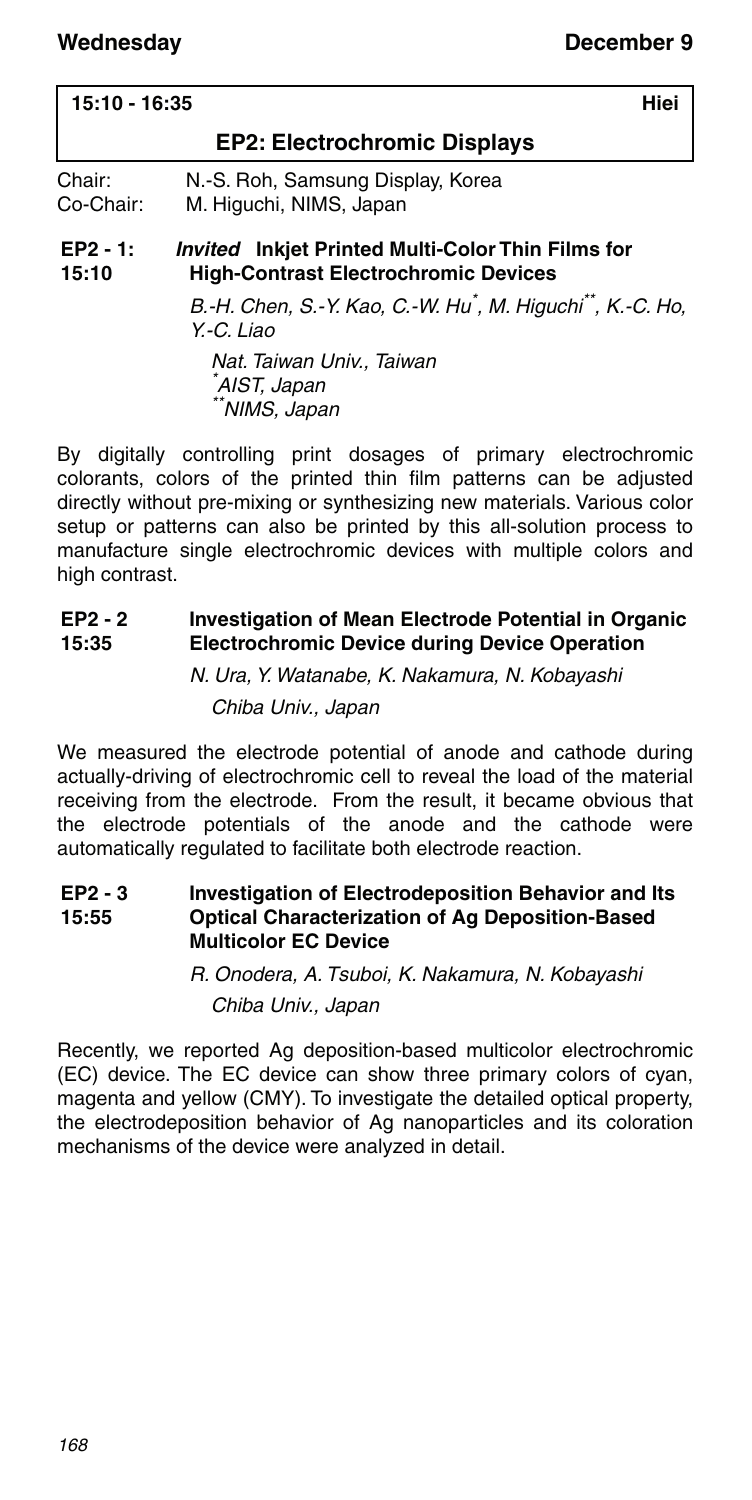| 15:10 - 16:35       | Hiei                                                                                                    |  |
|---------------------|---------------------------------------------------------------------------------------------------------|--|
|                     | <b>EP2: Electrochromic Displays</b>                                                                     |  |
| Chair:<br>Co-Chair: | N.-S. Roh, Samsung Display, Korea<br>M. Higuchi, NIMS, Japan                                            |  |
| $EP2 - 1:$<br>15:10 | <b>Invited</b> Inkjet Printed Multi-Color Thin Films for<br><b>High-Contrast Electrochromic Devices</b> |  |

B.-H. Chen, S.-Y. Kao, C.-W. Hu\* , M. Higuchi\*\*, K.-C. Ho, Y.-C. Liao

Nat. Taiwan Univ., Taiwan \* AIST, Japan \*NIMS, Japan

By digitally controlling print dosages of primary electrochromic colorants, colors of the printed thin film patterns can be adjusted directly without pre-mixing or synthesizing new materials. Various color setup or patterns can also be printed by this all-solution process to manufacture single electrochromic devices with multiple colors and high contrast.

#### **EP2 - 2 15:35 Investigation of Mean Electrode Potential in Organic Electrochromic Device during Device Operation**

N. Ura, Y. Watanabe, K. Nakamura, N. Kobayashi Chiba Univ., Japan

We measured the electrode potential of anode and cathode during actually-driving of electrochromic cell to reveal the load of the material receiving from the electrode. From the result, it became obvious that the electrode potentials of the anode and the cathode were automatically regulated to facilitate both electrode reaction.

**EP2 - 3 15:55 Investigation of Electrodeposition Behavior and Its Optical Characterization of Ag Deposition-Based Multicolor EC Device**

> R. Onodera, A. Tsuboi, K. Nakamura, N. Kobayashi Chiba Univ., Japan

Recently, we reported Ag deposition-based multicolor electrochromic (EC) device. The EC device can show three primary colors of cyan, magenta and yellow (CMY). To investigate the detailed optical property, the electrodeposition behavior of Ag nanoparticles and its coloration mechanisms of the device were analyzed in detail.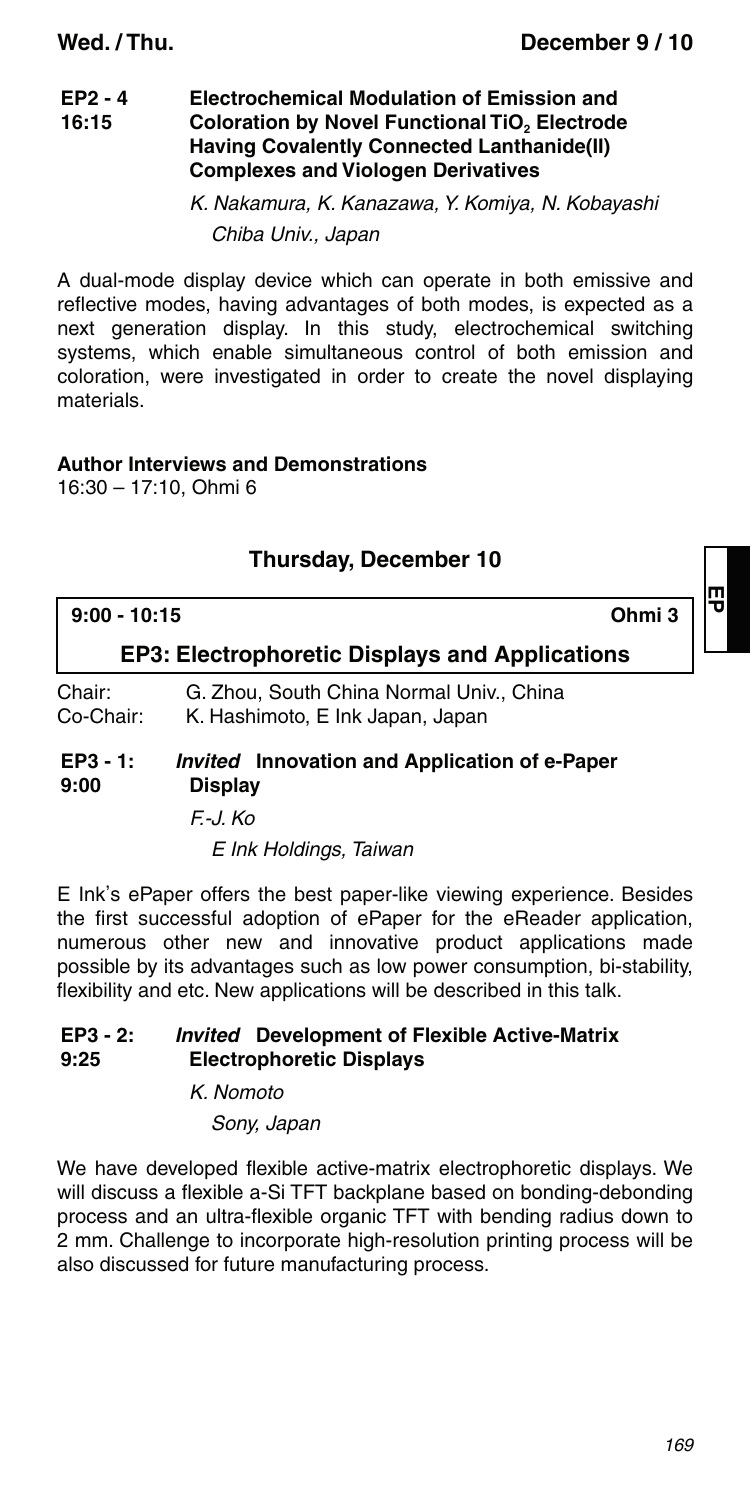#### **EP2 - 4 16:15 Electrochemical Modulation of Emission and Coloration by Novel Functional TiO<sub>2</sub> Electrode Having Covalently Connected Lanthanide(II) Complexes and Viologen Derivatives**

K. Nakamura, K. Kanazawa, Y. Komiya, N. Kobayashi Chiba Univ., Japan

A dual-mode display device which can operate in both emissive and reflective modes, having advantages of both modes, is expected as a next generation display. In this study, electrochemical switching systems, which enable simultaneous control of both emission and coloration, were investigated in order to create the novel displaying materials.

### **Author Interviews and Demonstrations**

16:30 – 17:10, Ohmi 6

### **Thursday, December 10**

| $9:00 - 10:15$              |                                                                              | Ohmi 3 |  |
|-----------------------------|------------------------------------------------------------------------------|--------|--|
|                             | <b>EP3: Electrophoretic Displays and Applications</b>                        |        |  |
| Chair:<br>Co-Chair:         | G. Zhou, South China Normal Univ., China<br>K. Hashimoto, E Ink Japan, Japan |        |  |
| $EP3 - 1:$<br>$\sim$ $\sim$ | <i>Invited</i> Innovation and Application of e-Paper<br><b>Diameter</b>      |        |  |

### **9:00 Display**

F.-J. Ko

E Ink Holdings, Taiwan

E Ink's ePaper offers the best paper-like viewing experience. Besides the first successful adoption of ePaper for the eReader application, numerous other new and innovative product applications made possible by its advantages such as low power consumption, bi-stability, flexibility and etc. New applications will be described in this talk.

#### **EP3 - 2: 9:25** *Invited* **Development of Flexible Active-Matrix Electrophoretic Displays**

K. Nomoto

Sony, Japan

We have developed flexible active-matrix electrophoretic displays. We will discuss a flexible a-Si TFT backplane based on bonding-debonding process and an ultra-flexible organic TFT with bending radius down to 2 mm. Challenge to incorporate high-resolution printing process will be also discussed for future manufacturing process.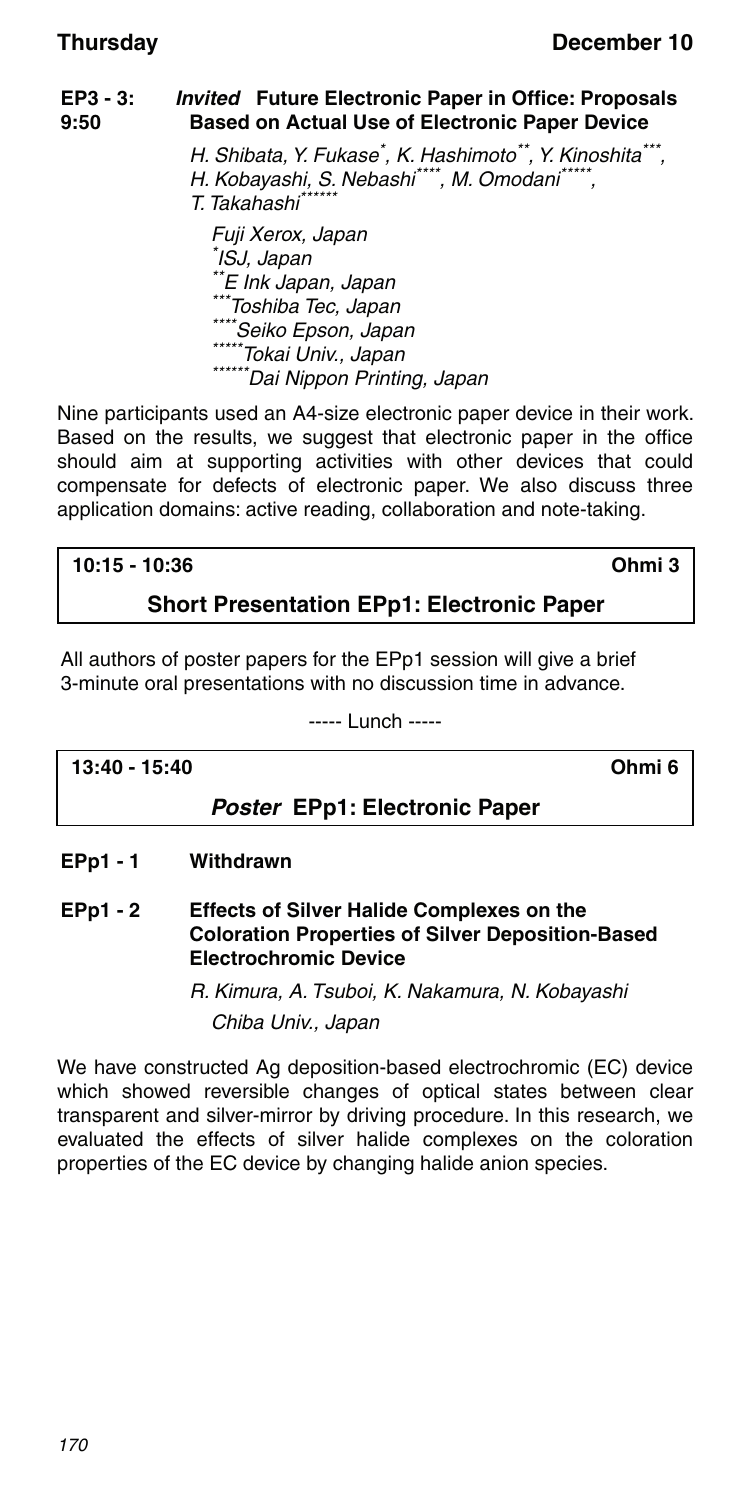### **EP3 - 3: 9:50** *Invited* **Future Electronic Paper in Office: Proposals Based on Actual Use of Electronic Paper Device** H. Shibata, Y. Fukase\* , K. Hashimoto\*\*, Y. Kinoshita\*\*\*, H. Kobayashi, S. Nebashi\*\*\*\*, M. Omodani\*\*\* T. Takahashi\*\*\*\*\*\* Fuji Xerox, Japan \* ISJ, Japan \*\*E Ink Japan, Japan<br>\*\*\*Toshiba Tec, Japan \*\*\*\*Seiko Epson, Japan<br>\*\*\*\*\*Tokai Univ., Japan<br>\*\*\*\*\*\*Dai Nippon Printing, Japan

Nine participants used an A4-size electronic paper device in their work. Based on the results, we suggest that electronic paper in the office should aim at supporting activities with other devices that could compensate for defects of electronic paper. We also discuss three application domains: active reading, collaboration and note-taking.

### **10:15 - 10:36 Ohmi 3**

### **Short Presentation EPp1: Electronic Paper**

All authors of poster papers for the EPp1 session will give a brief 3-minute oral presentations with no discussion time in advance.

----- Lunch -----

### **13:40 - 15:40 Ohmi 6**

### *Poster* **EPp1: Electronic Paper**

- **EPp1 1 Withdrawn**
- **EPp1 2 Effects of Silver Halide Complexes on the Coloration Properties of Silver Deposition-Based Electrochromic Device**

R. Kimura, A. Tsuboi, K. Nakamura, N. Kobayashi

Chiba Univ., Japan

We have constructed Ag deposition-based electrochromic (EC) device which showed reversible changes of optical states between clear transparent and silver-mirror by driving procedure. In this research, we evaluated the effects of silver halide complexes on the coloration properties of the EC device by changing halide anion species.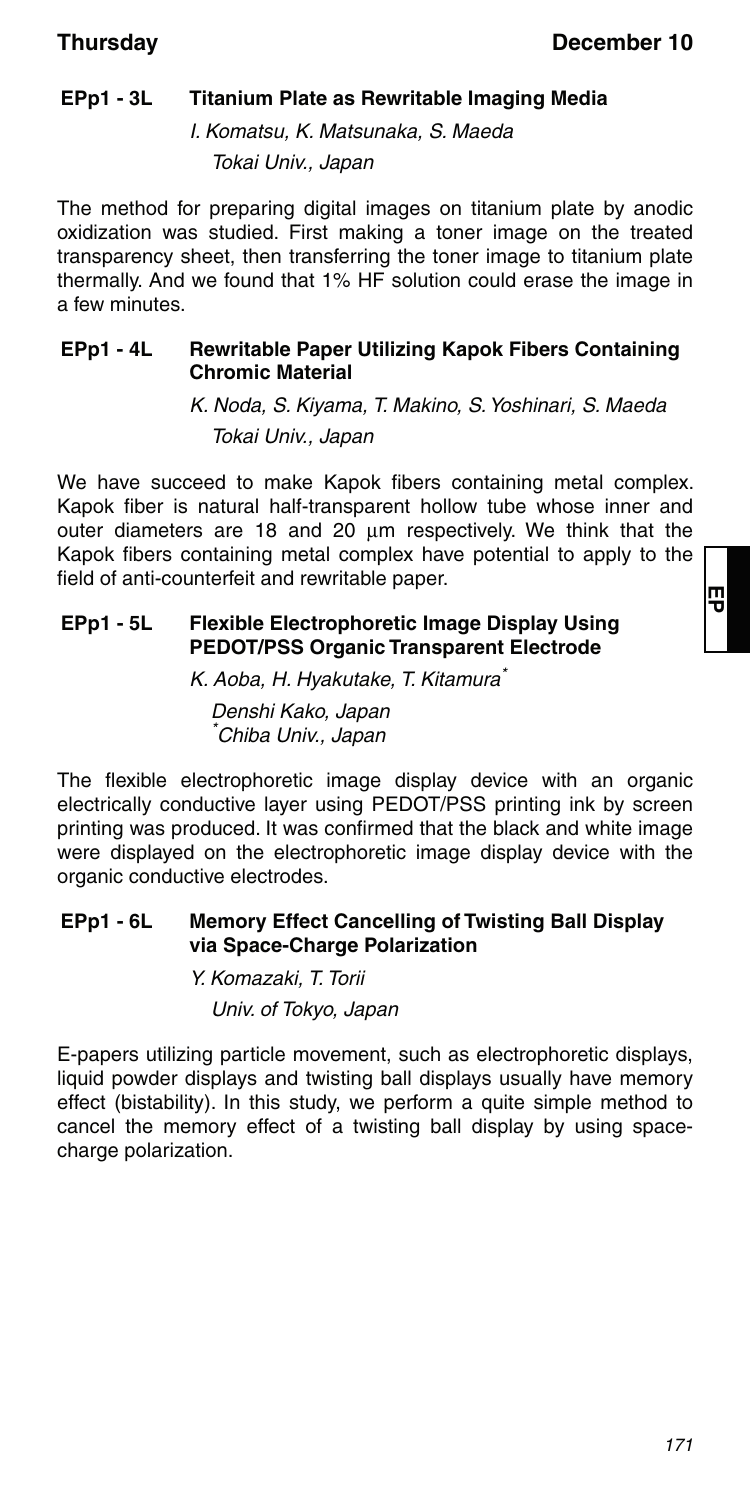### **EPp1 - 3L Titanium Plate as Rewritable Imaging Media**

I. Komatsu, K. Matsunaka, S. Maeda Tokai Univ., Japan

The method for preparing digital images on titanium plate by anodic oxidization was studied. First making a toner image on the treated transparency sheet, then transferring the toner image to titanium plate thermally. And we found that 1% HF solution could erase the image in a few minutes.

### **EPp1 - 4L Rewritable Paper Utilizing Kapok Fibers Containing Chromic Material**

K. Noda, S. Kiyama, T. Makino, S. Yoshinari, S. Maeda Tokai Univ., Japan

We have succeed to make Kapok fibers containing metal complex. Kapok fiber is natural half-transparent hollow tube whose inner and outer diameters are 18 and 20  $\mu$ m respectively. We think that the Kapok fibers containing metal complex have potential to apply to the field of anti-counterfeit and rewritable paper.

### **EPp1 - 5L Flexible Electrophoretic Image Display Using PEDOT/PSS Organic Transparent Electrode**

K. Aoba, H. Hyakutake, T. Kitamura\*

Denshi Kako, Japan \* Chiba Univ., Japan

The flexible electrophoretic image display device with an organic electrically conductive layer using PEDOT/PSS printing ink by screen printing was produced. It was confirmed that the black and white image were displayed on the electrophoretic image display device with the organic conductive electrodes.

### **EPp1 - 6L Memory Effect Cancelling of Twisting Ball Display via Space-Charge Polarization**

Y. Komazaki, T. Torii Univ. of Tokyo, Japan

E-papers utilizing particle movement, such as electrophoretic displays, liquid powder displays and twisting ball displays usually have memory effect (bistability). In this study, we perform a quite simple method to cancel the memory effect of a twisting ball display by using spacecharge polarization.

**EP**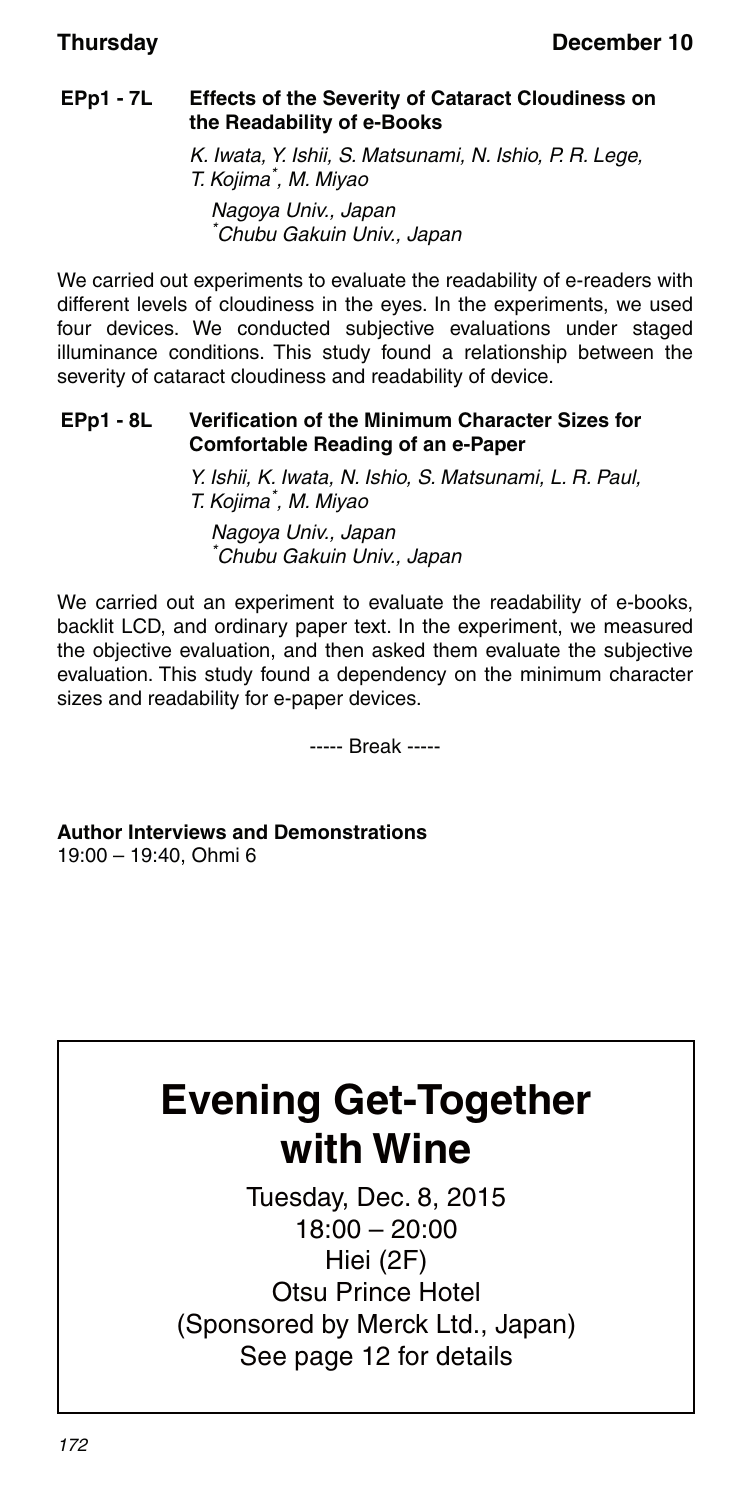### **EPp1 - 7L Effects of the Severity of Cataract Cloudiness on the Readability of e-Books**

K. Iwata, Y. Ishii, S. Matsunami, N. Ishio, P. R. Lege, T. Kojima\* , M. Miyao Nagoya Univ., Japan \* Chubu Gakuin Univ., Japan

We carried out experiments to evaluate the readability of e-readers with different levels of cloudiness in the eyes. In the experiments, we used four devices. We conducted subjective evaluations under staged illuminance conditions. This study found a relationship between the severity of cataract cloudiness and readability of device.

### **EPp1 - 8L Verification of the Minimum Character Sizes for Comfortable Reading of an e-Paper**

Y. Ishii, K. Iwata, N. Ishio, S. Matsunami, L. R. Paul, T. Kojima\* , M. Miyao

Nagoya Univ., Japan \* Chubu Gakuin Univ., Japan

We carried out an experiment to evaluate the readability of e-books, backlit LCD, and ordinary paper text. In the experiment, we measured the objective evaluation, and then asked them evaluate the subjective evaluation. This study found a dependency on the minimum character sizes and readability for e-paper devices.

----- Break -----

**Author Interviews and Demonstrations** 19:00 – 19:40, Ohmi 6

# **Evening Get-Together with Wine**

Tuesday, Dec. 8, 2015 18:00 – 20:00 Hiei (2F) Otsu Prince Hotel (Sponsored by Merck Ltd., Japan) See page 12 for details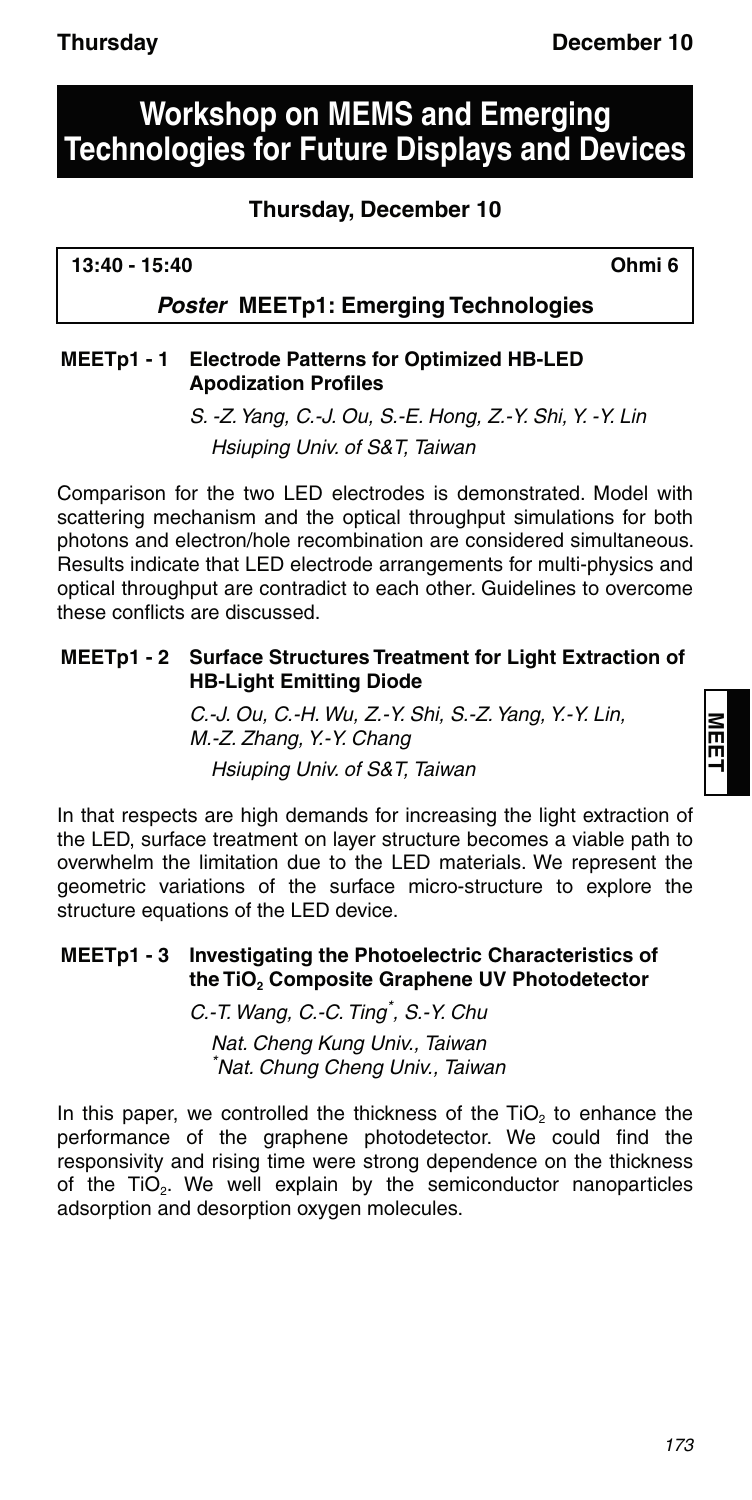## **Workshop on MEMS and Emerging Technologies for Future Displays and Devices**

### **Thursday, December 10**

**13:40 - 15:40 Ohmi 6**

### *Poster* **MEETp1: Emerging Technologies**

### **MEETp1 - 1 Electrode Patterns for Optimized HB-LED Apodization Profiles**

S. -Z. Yang, C.-J. Ou, S.-E. Hong, Z.-Y. Shi, Y. -Y. Lin Hsiuping Univ. of S&T, Taiwan

Comparison for the two LED electrodes is demonstrated. Model with scattering mechanism and the optical throughput simulations for both photons and electron/hole recombination are considered simultaneous. Results indicate that LED electrode arrangements for multi-physics and optical throughput are contradict to each other. Guidelines to overcome these conflicts are discussed.

### **MEETp1 - 2 Surface Structures Treatment for Light Extraction of HB-Light Emitting Diode**

C.-J. Ou, C.-H. Wu, Z.-Y. Shi, S.-Z. Yang, Y.-Y. Lin, M.-Z. Zhang, Y.-Y. Chang Hsiuping Univ. of S&T, Taiwan

In that respects are high demands for increasing the light extraction of the LED, surface treatment on layer structure becomes a viable path to overwhelm the limitation due to the LED materials. We represent the geometric variations of the surface micro-structure to explore the structure equations of the LED device.

### **MEETp1 - 3 Investigating the Photoelectric Characteristics of**  the TiO<sub>2</sub> Composite Graphene UV Photodetector

C.-T. Wang, C.-C. Ting\* , S.-Y. Chu

Nat. Cheng Kung Univ., Taiwan \* Nat. Chung Cheng Univ., Taiwan

In this paper, we controlled the thickness of the TiO<sub>2</sub> to enhance the performance of the graphene photodetector. We could find the responsivity and rising time were strong dependence on the thickness of the TiO<sub>2</sub>. We well explain by the semiconductor nanoparticles adsorption and desorption oxygen molecules.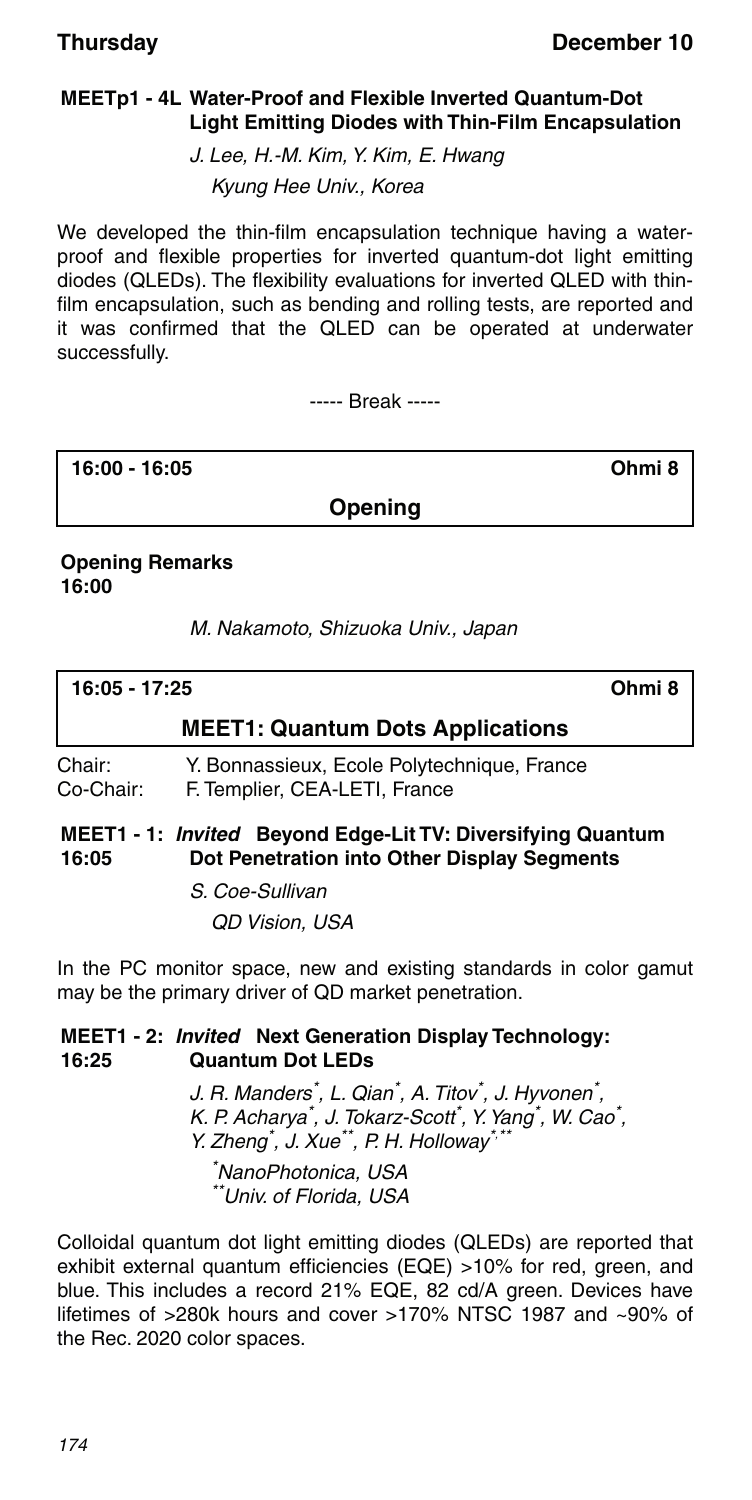### **MEETp1 - 4L Water-Proof and Flexible Inverted Quantum-Dot Light Emitting Diodes with Thin-Film Encapsulation**

J. Lee, H.-M. Kim, Y. Kim, E. Hwang

Kyung Hee Univ., Korea

We developed the thin-film encapsulation technique having a waterproof and flexible properties for inverted quantum-dot light emitting diodes (QLEDs). The flexibility evaluations for inverted QLED with thinfilm encapsulation, such as bending and rolling tests, are reported and it was confirmed that the QLED can be operated at underwater successfully.

----- Break -----

**16:00 - 16:05 Ohmi 8**

**Opening**

### **Opening Remarks 16:00**

M. Nakamoto, Shizuoka Univ., Japan

| 16:05 - 17:25                           | Ohmi 8 |
|-----------------------------------------|--------|
| <b>MEET1: Quantum Dots Applications</b> |        |

Chair: Y. Bonnassieux, Ecole Polytechnique, France Co-Chair: F. Templier, CEA-LETI, France

#### **MEET1 - 1:** *Invited* **Beyond Edge-Lit TV: Diversifying Quantum 16:05 Dot Penetration into Other Display Segments**

S. Coe-Sullivan QD Vision, USA

In the PC monitor space, new and existing standards in color gamut may be the primary driver of QD market penetration.

#### **MEET1 - 2:** *Invited* **Next Generation Display Technology: 16:25 Quantum Dot LEDs**

J. R. Manders<sup>\*</sup>, L. Qian<sup>\*</sup>, A. Titov<sup>\*</sup>, J. Hyvonen<sup>\*</sup>, K. P. Acharya\*, J. Tokarz-Scott\*, Y. Yang\*, W. Cao\*, Y. Zheng<sup>\*</sup>, J. Xue<sup>\*\*</sup>, P. H. Holloway<sup>\*,\*\*</sup> \* NanoPhotonica, USA \*\*Univ. of Florida, USA

Colloidal quantum dot light emitting diodes (QLEDs) are reported that exhibit external quantum efficiencies (EQE) >10% for red, green, and blue. This includes a record 21% EQE, 82 cd/A green. Devices have lifetimes of >280k hours and cover >170% NTSC 1987 and ~90% of the Rec. 2020 color spaces.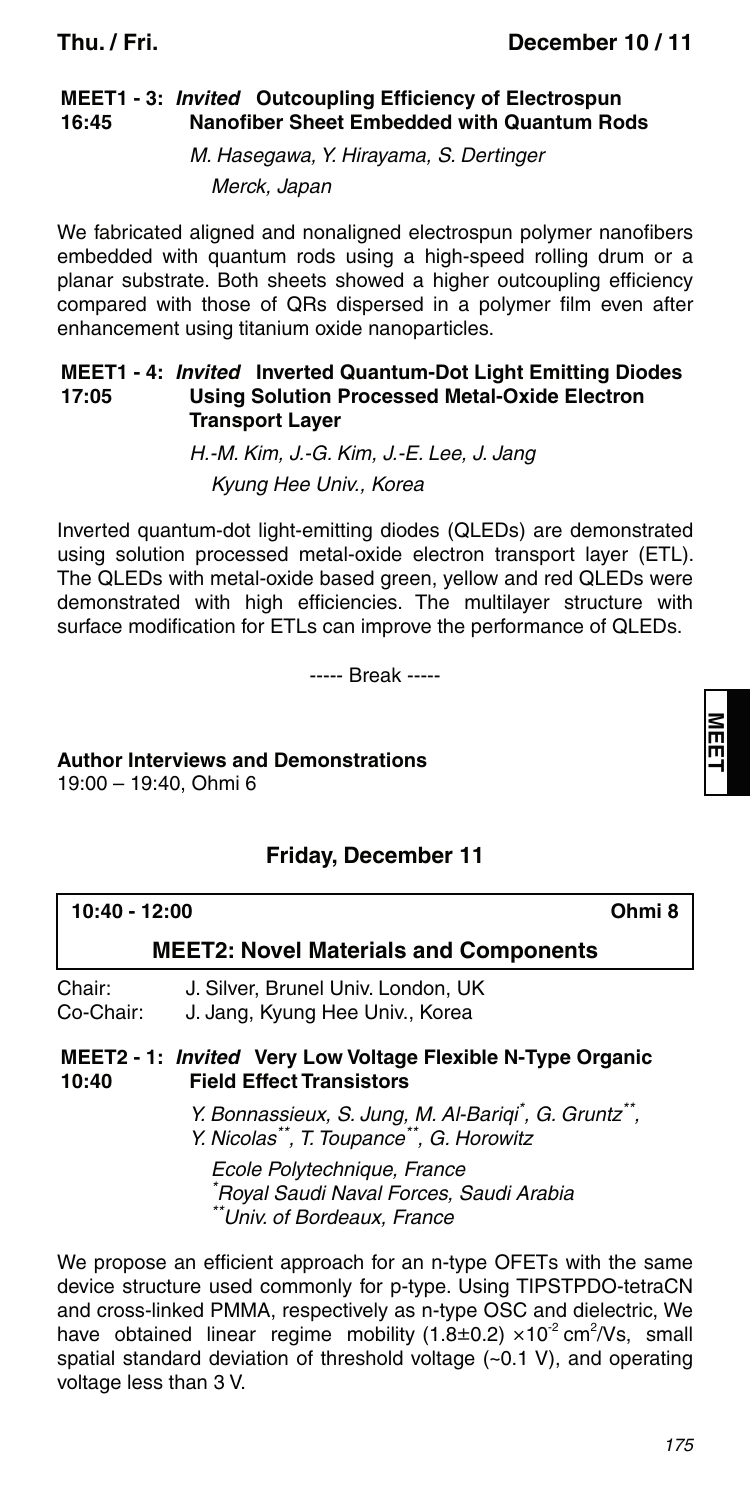#### **MEET1 - 3:** *Invited* **Outcoupling Efficiency of Electrospun 16:45 Nanofiber Sheet Embedded with Quantum Rods**

M. Hasegawa, Y. Hirayama, S. Dertinger

Merck, Japan

We fabricated aligned and nonaligned electrospun polymer nanofibers embedded with quantum rods using a high-speed rolling drum or a planar substrate. Both sheets showed a higher outcoupling efficiency compared with those of QRs dispersed in a polymer film even after enhancement using titanium oxide nanoparticles.

#### **MEET1 - 4:** *Invited* **Inverted Quantum-Dot Light Emitting Diodes 17:05 Using Solution Processed Metal-Oxide Electron Transport Layer**

H.-M. Kim, J.-G. Kim, J.-E. Lee, J. Jang Kyung Hee Univ., Korea

Inverted quantum-dot light-emitting diodes (QLEDs) are demonstrated using solution processed metal-oxide electron transport layer (ETL). The QLEDs with metal-oxide based green, yellow and red QLEDs were demonstrated with high efficiencies. The multilayer structure with surface modification for ETLs can improve the performance of QLEDs.

----- Break -----

## **Author Interviews and Demonstrations**

19:00 – 19:40, Ohmi 6

### **Friday, December 11**

| 10:40 - 12:00                                | Ohmi <sub>8</sub>                                                                                                 |  |
|----------------------------------------------|-------------------------------------------------------------------------------------------------------------------|--|
| <b>MEET2: Novel Materials and Components</b> |                                                                                                                   |  |
| Chair:<br>Co-Chair:                          | J. Silver, Brunel Univ. London, UK<br>J. Jang, Kyung Hee Univ., Korea                                             |  |
| 10:40                                        | MEET2 - 1: <i>Invited</i> Very Low Voltage Flexible N-Type Organic<br><b>Field Effect Transistors</b>             |  |
|                                              | Y. Bonnassieux, S. Jung, M. Al-Bariqi*, G. Gruntz**,<br>Y. Nicolas**, T. Toupance**, G. Horowitz                  |  |
|                                              | Ecole Polytechnique, France<br><sup>*</sup> Royal Saudi Naval Forces, Saudi Arabia<br>**Univ. of Bordeaux, France |  |
|                                              |                                                                                                                   |  |

We propose an efficient approach for an n-type OFETs with the same device structure used commonly for p-type. Using TIPSTPDO-tetraCN and cross-linked PMMA, respectively as n-type OSC and dielectric, We have obtained linear regime mobility (1.8 $\pm$ 0.2)  $\times$ 10<sup>-2</sup> cm<sup>2</sup>/Vs, small spatial standard deviation of threshold voltage (~0.1 V), and operating voltage less than 3 V.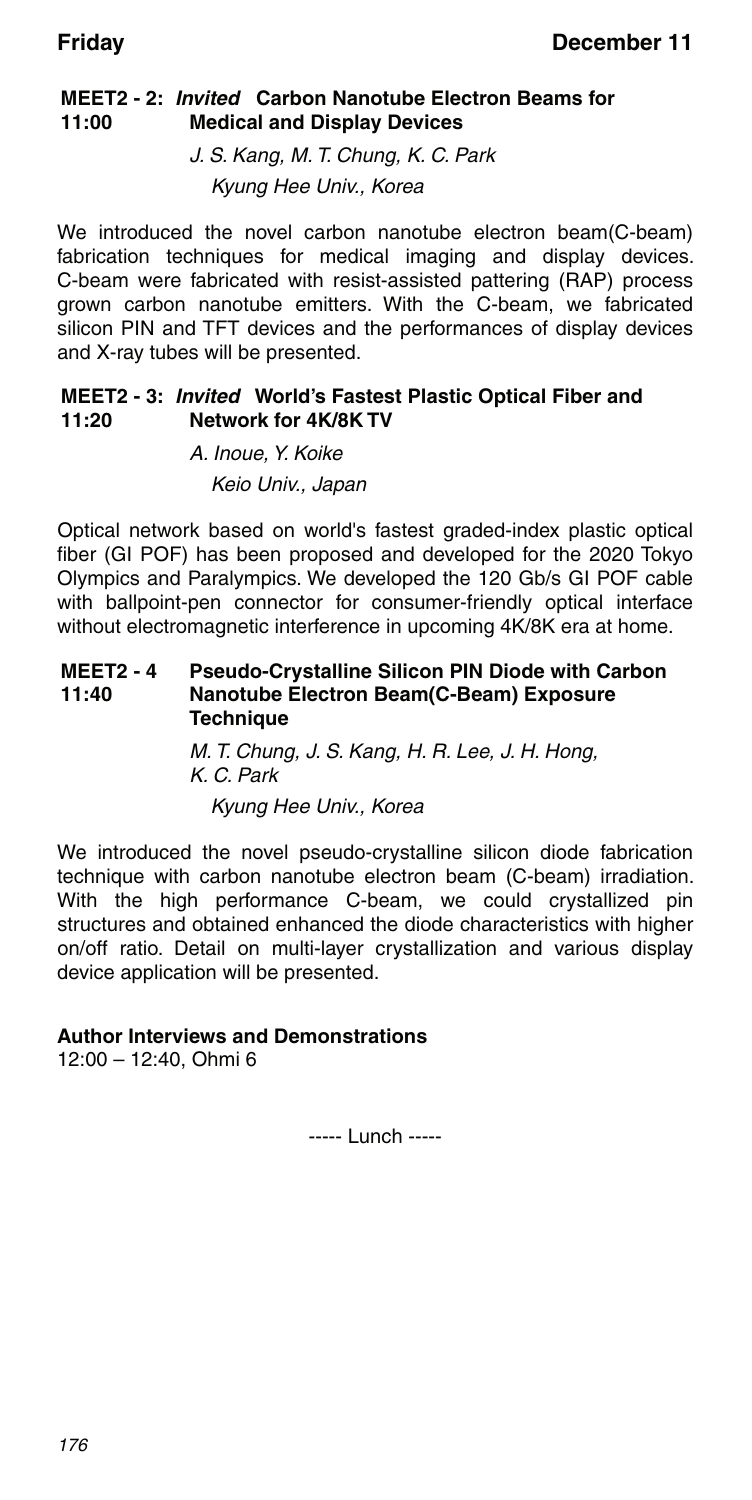#### **MEET2 - 2:** *Invited* **Carbon Nanotube Electron Beams for 11:00 Medical and Display Devices**

J. S. Kang, M. T. Chung, K. C. Park Kyung Hee Univ., Korea

We introduced the novel carbon nanotube electron beam(C-beam) fabrication techniques for medical imaging and display devices. C-beam were fabricated with resist-assisted pattering (RAP) process grown carbon nanotube emitters. With the C-beam, we fabricated silicon PIN and TFT devices and the performances of display devices and X-ray tubes will be presented.

#### **MEET2 - 3:** *Invited* **World's Fastest Plastic Optical Fiber and 11:20 Network for 4K/8K TV**

A. Inoue, Y. Koike Keio Univ., Japan

Optical network based on world's fastest graded-index plastic optical fiber (GI POF) has been proposed and developed for the 2020 Tokyo Olympics and Paralympics. We developed the 120 Gb/s GI POF cable with ballpoint-pen connector for consumer-friendly optical interface without electromagnetic interference in upcoming 4K/8K era at home.

#### **MEET2 - 4 11:40 Pseudo-Crystalline Silicon PIN Diode with Carbon Nanotube Electron Beam(C-Beam) Exposure Technique**

M. T. Chung, J. S. Kang, H. R. Lee, J. H. Hong, K. C. Park

Kyung Hee Univ., Korea

We introduced the novel pseudo-crystalline silicon diode fabrication technique with carbon nanotube electron beam (C-beam) irradiation. With the high performance C-beam, we could crystallized pin structures and obtained enhanced the diode characteristics with higher on/off ratio. Detail on multi-layer crystallization and various display device application will be presented.

### **Author Interviews and Demonstrations**

12:00 – 12:40, Ohmi 6

----- Lunch -----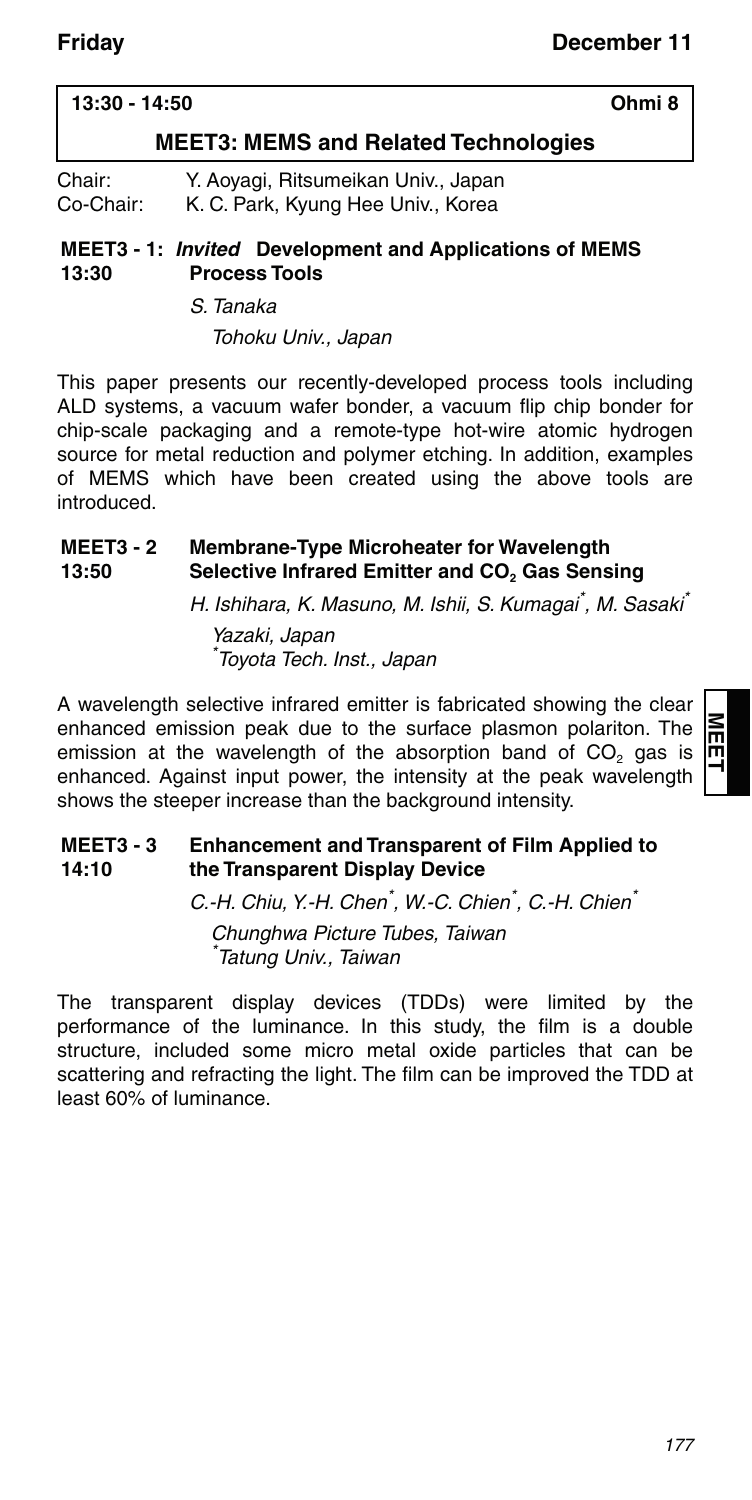### **13:30 - 14:50 Ohmi 8**

### **MEET3: MEMS and Related Technologies**

| Chair:    | Y. Aoyagi, Ritsumeikan Univ., Japan |
|-----------|-------------------------------------|
| Co-Chair: | K. C. Park, Kyung Hee Univ., Korea  |

#### **MEET3 - 1:** *Invited* **Development and Applications of MEMS 13:30 Process Tools**

### S. Tanaka

Tohoku Univ., Japan

This paper presents our recently-developed process tools including ALD systems, a vacuum wafer bonder, a vacuum flip chip bonder for chip-scale packaging and a remote-type hot-wire atomic hydrogen source for metal reduction and polymer etching. In addition, examples of MEMS which have been created using the above tools are introduced.

#### **MEET3 - 2 13:50 Membrane-Type Microheater for Wavelength Selective Infrared Emitter and CO<sub>2</sub> Gas Sensing**

H. Ishihara, K. Masuno, M. Ishii, S. Kumagai<sup>\*</sup>, M. Sasaki<sup>\*</sup> Yazaki, Japan \* Toyota Tech. Inst., Japan

A wavelength selective infrared emitter is fabricated showing the clear enhanced emission peak due to the surface plasmon polariton. The emission at the wavelength of the absorption band of  $CO<sub>2</sub>$  gas is enhanced. Against input power, the intensity at the peak wavelength shows the steeper increase than the background intensity.

#### **MEET3 - 3 14:10 Enhancement and Transparent of Film Applied to the Transparent Display Device**

C.-H. Chiu, Y.-H. Chen<sup>\*</sup>, W.-C. Chien<sup>\*</sup>, C.-H. Chien<sup>\*</sup>

Chunghwa Picture Tubes, Taiwan \* Tatung Univ., Taiwan

The transparent display devices (TDDs) were limited by the performance of the luminance. In this study, the film is a double structure, included some micro metal oxide particles that can be scattering and refracting the light. The film can be improved the TDD at least 60% of luminance.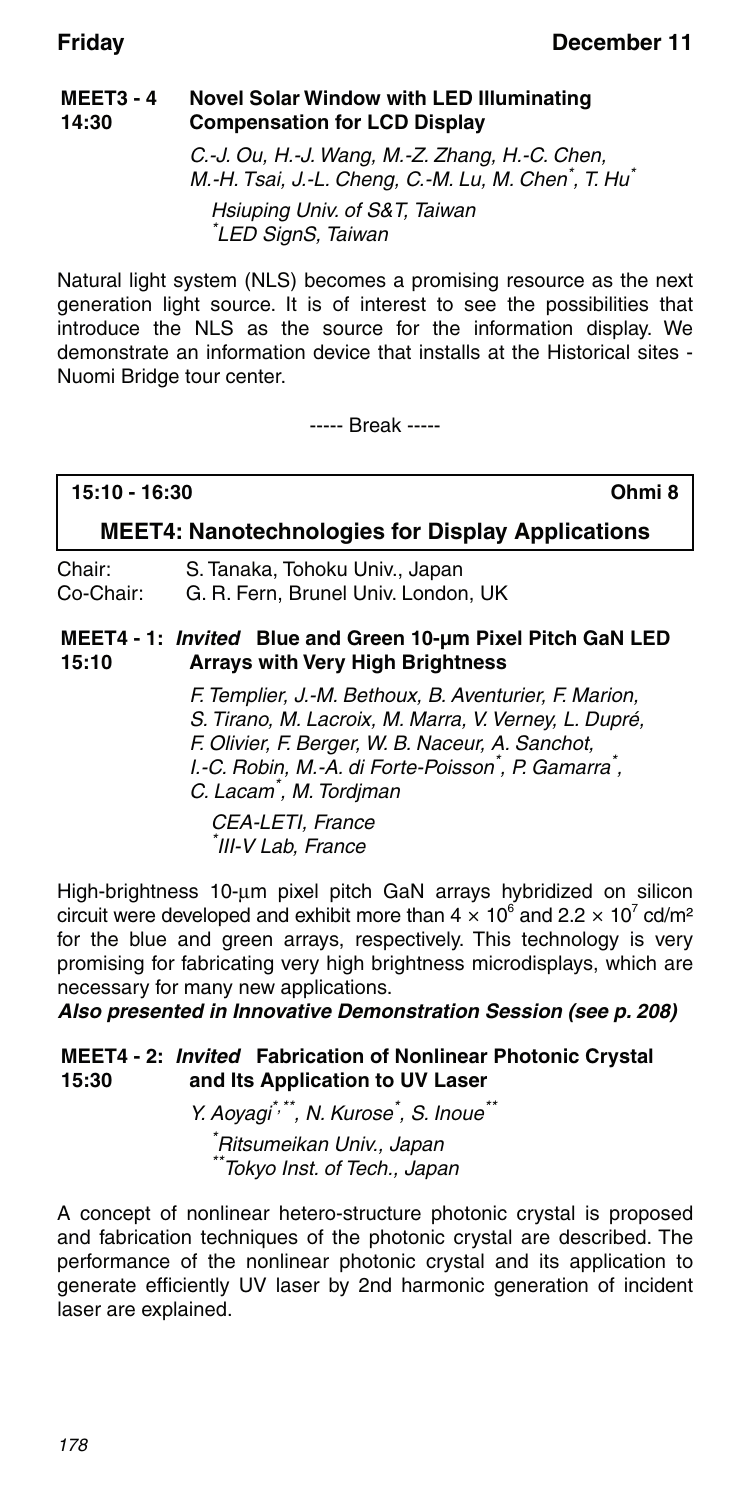#### **MEET3 - 4 14:30 Novel Solar Window with LED Illuminating Compensation for LCD Display**

C.-J. Ou, H.-J. Wang, M.-Z. Zhang, H.-C. Chen, M.-H. Tsai, J.-L. Cheng, C.-M. Lu, M. Chen<sup>\*</sup>, T. Hu<sup>\*</sup> Hsiuping Univ. of S&T, Taiwan \* LED SignS, Taiwan

Natural light system (NLS) becomes a promising resource as the next generation light source. It is of interest to see the possibilities that introduce the NLS as the source for the information display. We demonstrate an information device that installs at the Historical sites - Nuomi Bridge tour center.

----- Break -----

**15:10 - 16:30 Ohmi 8**

### **MEET4: Nanotechnologies for Display Applications**

Chair: S. Tanaka, Tohoku Univ., Japan Co-Chair: G. R. Fern, Brunel Univ. London, UK

#### **MEET4 - 1:** *Invited* **Blue and Green 10-μm Pixel Pitch GaN LED 15:10 Arrays with Very High Brightness**

F. Templier, J.-M. Bethoux, B. Aventurier, F. Marion, S. Tirano, M. Lacroix, M. Marra, V. Verney, L. Dupré, F. Olivier, F. Berger, W. B. Naceur, A. Sanchot, I.-C. Robin, M.-A. di Forte-Poisson<sup>\*</sup>, P. Gamarra<sup>\*</sup>, C. Lacam\* , M. Tordjman

CEA-LETI, France \* III-V Lab, France

High-brightness 10-um pixel pitch GaN arrays hybridized on silicon circuit were developed and exhibit more than  $4 \times 10^6$  and  $2.2 \times 10^7$  cd/m<sup>2</sup> for the blue and green arrays, respectively. This technology is very promising for fabricating very high brightness microdisplays, which are necessary for many new applications.

*Also presented in Innovative Demonstration Session (see p. 208)*

#### **MEET4 - 2:** *Invited* **Fabrication of Nonlinear Photonic Crystal 15:30 and Its Application to UV Laser**

Y. Aoyagi<sup>\*,\*\*</sup>, N. Kurose<sup>\*</sup>, S. Inoue<sup>\*\*</sup> \* Ritsumeikan Univ., Japan \*\*Tokyo Inst. of Tech., Japan

A concept of nonlinear hetero-structure photonic crystal is proposed and fabrication techniques of the photonic crystal are described. The performance of the nonlinear photonic crystal and its application to generate efficiently UV laser by 2nd harmonic generation of incident laser are explained.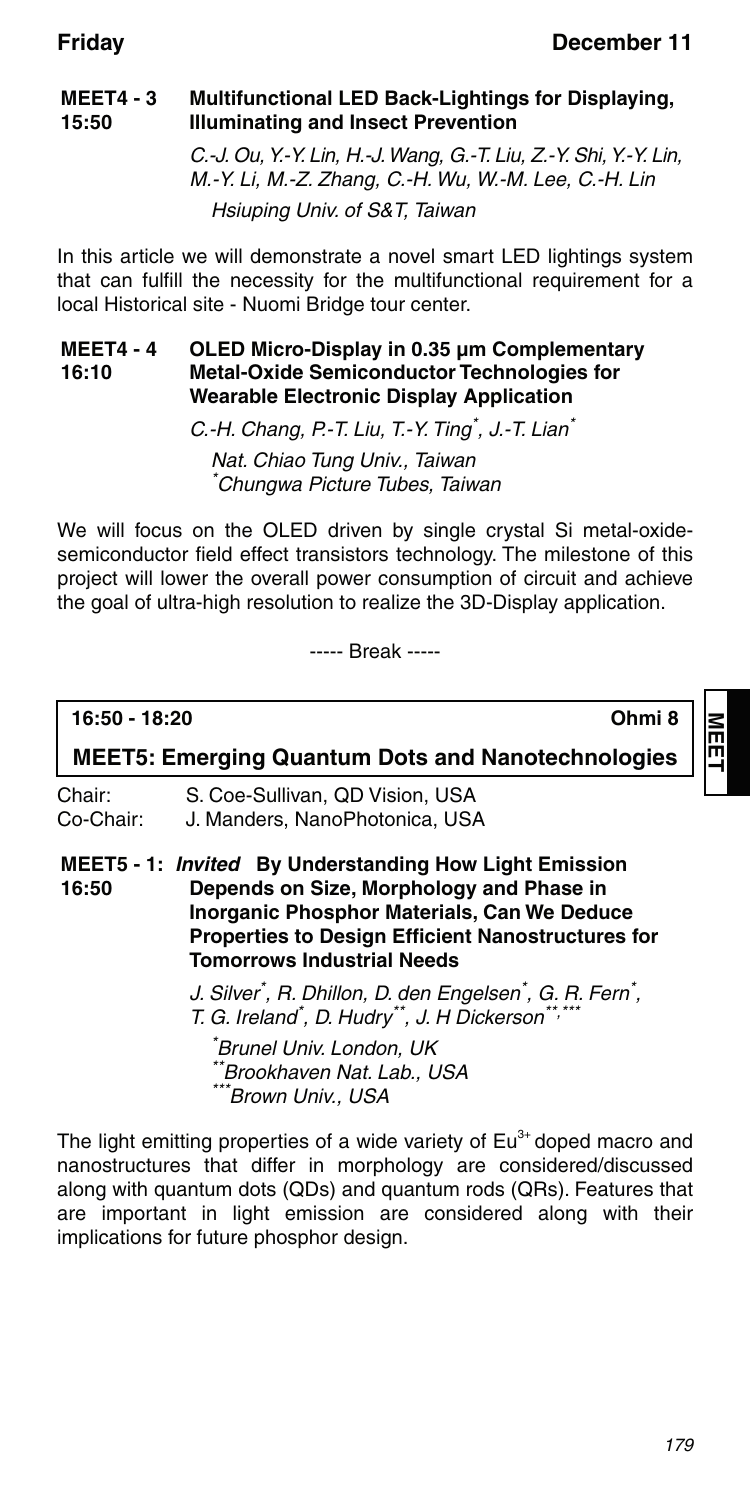#### **MEET4 - 3 15:50 Multifunctional LED Back-Lightings for Displaying, Illuminating and Insect Prevention** C.-J. Ou, Y.-Y. Lin, H.-J. Wang, G.-T. Liu, Z.-Y. Shi, Y.-Y. Lin,

M.-Y. Li, M.-Z. Zhang, C.-H. Wu, W.-M. Lee, C.-H. Lin Hsiuping Univ. of S&T, Taiwan

In this article we will demonstrate a novel smart LED lightings system that can fulfill the necessity for the multifunctional requirement for a local Historical site - Nuomi Bridge tour center.

#### **MEET4 - 4 16:10 OLED Micro-Display in 0.35 μm Complementary Metal-Oxide Semiconductor Technologies for Wearable Electronic Display Application**

C.-H. Chang, P.-T. Liu, T.-Y. Ting<sup>\*</sup>, J.-T. Lian<sup>\*</sup>

Nat. Chiao Tung Univ., Taiwan \* Chungwa Picture Tubes, Taiwan

We will focus on the OLED driven by single crystal Si metal-oxidesemiconductor field effect transistors technology. The milestone of this project will lower the overall power consumption of circuit and achieve the goal of ultra-high resolution to realize the 3D-Display application.

----- Break -----

**16:50 - 18:20 Ohmi 8**

**MEET**

**MEET5: Emerging Quantum Dots and Nanotechnologies**

| Chair:    | S. Coe-Sullivan, QD Vision, USA |
|-----------|---------------------------------|
| Co-Chair: | J. Manders, NanoPhotonica, USA  |

**MEET5 - 1:** *Invited* **By Understanding How Light Emission 16:50 Depends on Size, Morphology and Phase in Inorganic Phosphor Materials, Can We Deduce Properties to Design Efficient Nanostructures for Tomorrows Industrial Needs**

> J. Silver<sup>\*</sup>, R. Dhillon, D. den Engelsen<sup>\*</sup>, G. R. Fern<sup>\*</sup>, T. G. Ireland\* , D. Hudry\*\*, J. H Dickerson\*\*,\*\*\*

\* Brunel Univ. London, UK \*Brookhaven Nat. Lab., USA \*\*\*Brown Univ., USA

The light emitting properties of a wide variety of  $Eu<sup>3+</sup>$  doped macro and nanostructures that differ in morphology are considered/discussed along with quantum dots (QDs) and quantum rods (QRs). Features that are important in light emission are considered along with their implications for future phosphor design.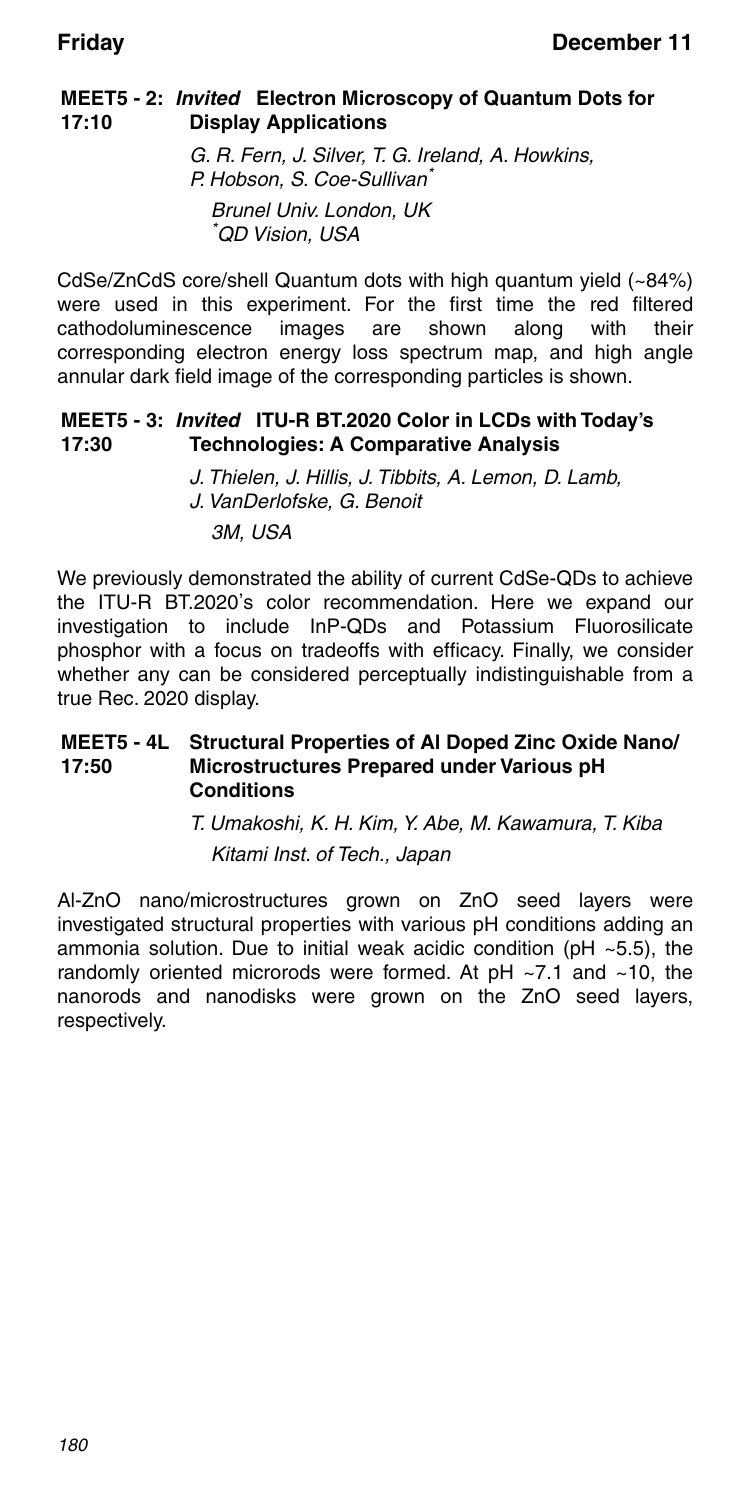### **MEET5 - 2:** *Invited* **Electron Microscopy of Quantum Dots for 17:10 Display Applications**

G. R. Fern, J. Silver, T. G. Ireland, A. Howkins, P. Hobson, S. Coe-Sullivan<sup>\*</sup> Brunel Univ. London, UK \* QD Vision, USA

CdSe/ZnCdS core/shell Quantum dots with high quantum yield (~84%) were used in this experiment. For the first time the red filtered cathodoluminescence images are shown along with their cathodoluminescence images are shown along with their corresponding electron energy loss spectrum map, and high angle annular dark field image of the corresponding particles is shown.

#### **MEET5 - 3:** *Invited* **ITU-R BT.2020 Color in LCDs with Today's 17:30 Technologies: A Comparative Analysis**

J. Thielen, J. Hillis, J. Tibbits, A. Lemon, D. Lamb, J. VanDerlofske, G. Benoit 3M, USA

We previously demonstrated the ability of current CdSe-QDs to achieve the ITU-R BT.2020's color recommendation. Here we expand our investigation to include InP-QDs and Potassium Fluorosilicate phosphor with a focus on tradeoffs with efficacy. Finally, we consider whether any can be considered perceptually indistinguishable from a true Rec. 2020 display.

### **MEET5 - 4L Structural Properties of Al Doped Zinc Oxide Nano/ 17:50 Microstructures Prepared under Various pH Conditions**

T. Umakoshi, K. H. Kim, Y. Abe, M. Kawamura, T. Kiba Kitami Inst. of Tech., Japan

Al-ZnO nano/microstructures grown on ZnO seed layers were investigated structural properties with various pH conditions adding an ammonia solution. Due to initial weak acidic condition (pH ~5.5), the randomly oriented microrods were formed. At pH ~7.1 and ~10, the nanorods and nanodisks were grown on the ZnO seed layers, respectively.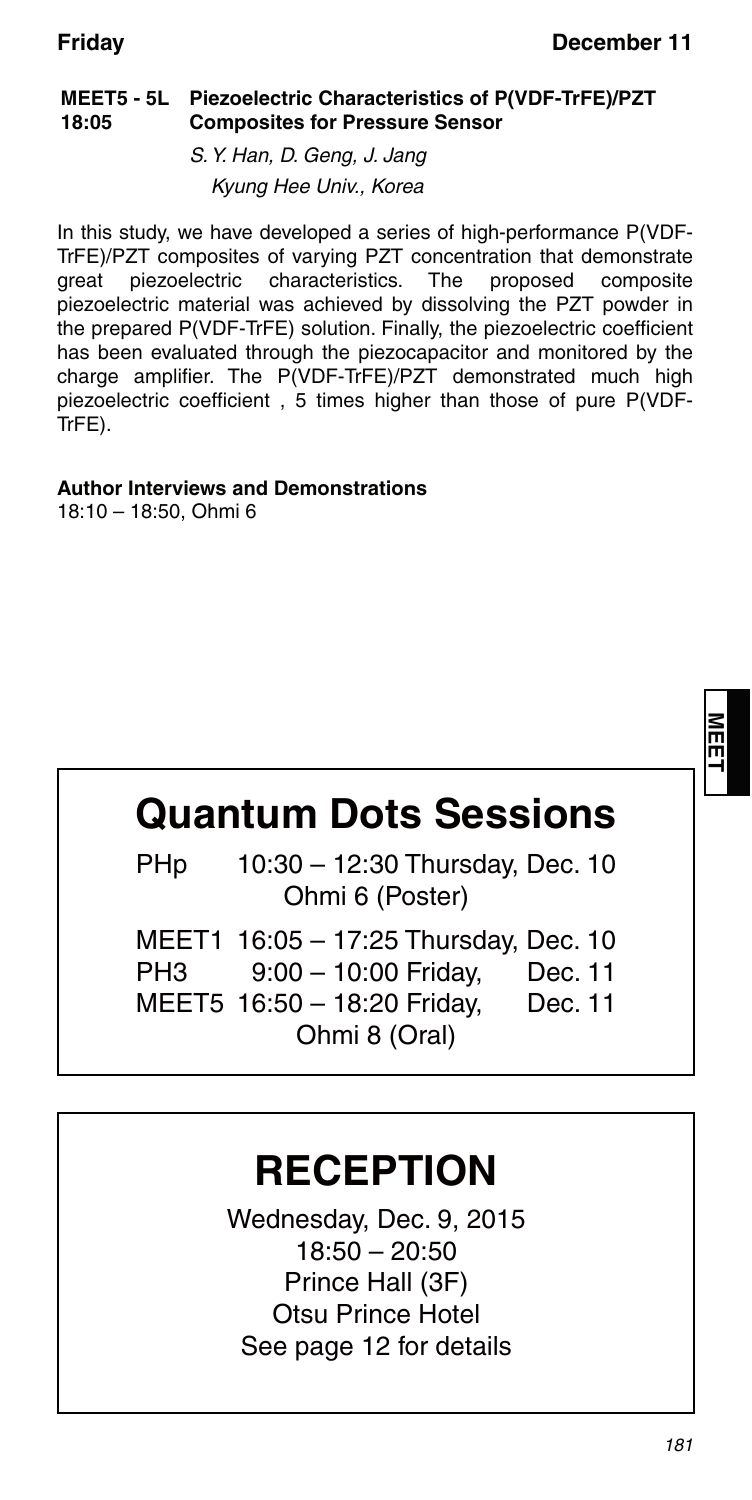### **MEET5 - 5L Piezoelectric Characteristics of P(VDF-TrFE)/PZT 18:05 Composites for Pressure Sensor**

S. Y. Han, D. Geng, J. Jang Kyung Hee Univ., Korea

In this study, we have developed a series of high-performance P(VDF-TrFE)/PZT composites of varying PZT concentration that demonstrate great piezoelectric characteristics. The proposed composite piezoelectric material was achieved by dissolving the PZT powder in the prepared P(VDF-TrFE) solution. Finally, the piezoelectric coefficient has been evaluated through the piezocapacitor and monitored by the charge amplifier. The P(VDF-TrFE)/PZT demonstrated much high piezoelectric coefficient , 5 times higher than those of pure P(VDF-TrFE).

### **Author Interviews and Demonstrations**

18:10 – 18:50, Ohmi 6

# **Quantum Dots Sessions**

 PHp 10:30 – 12:30 Thursday, Dec. 10 Ohmi 6 (Poster)

|     | MEET1 16:05 - 17:25 Thursday, Dec. 10 |         |
|-----|---------------------------------------|---------|
| PH3 | $9:00 - 10:00$ Friday,                | Dec. 11 |
|     | MEET5 16:50 - 18:20 Friday,           | Dec. 11 |
|     | Ohmi 8 (Oral)                         |         |

## **RECEPTION**

Wednesday, Dec. 9, 2015 18:50 – 20:50 Prince Hall (3F) Otsu Prince Hotel See page 12 for details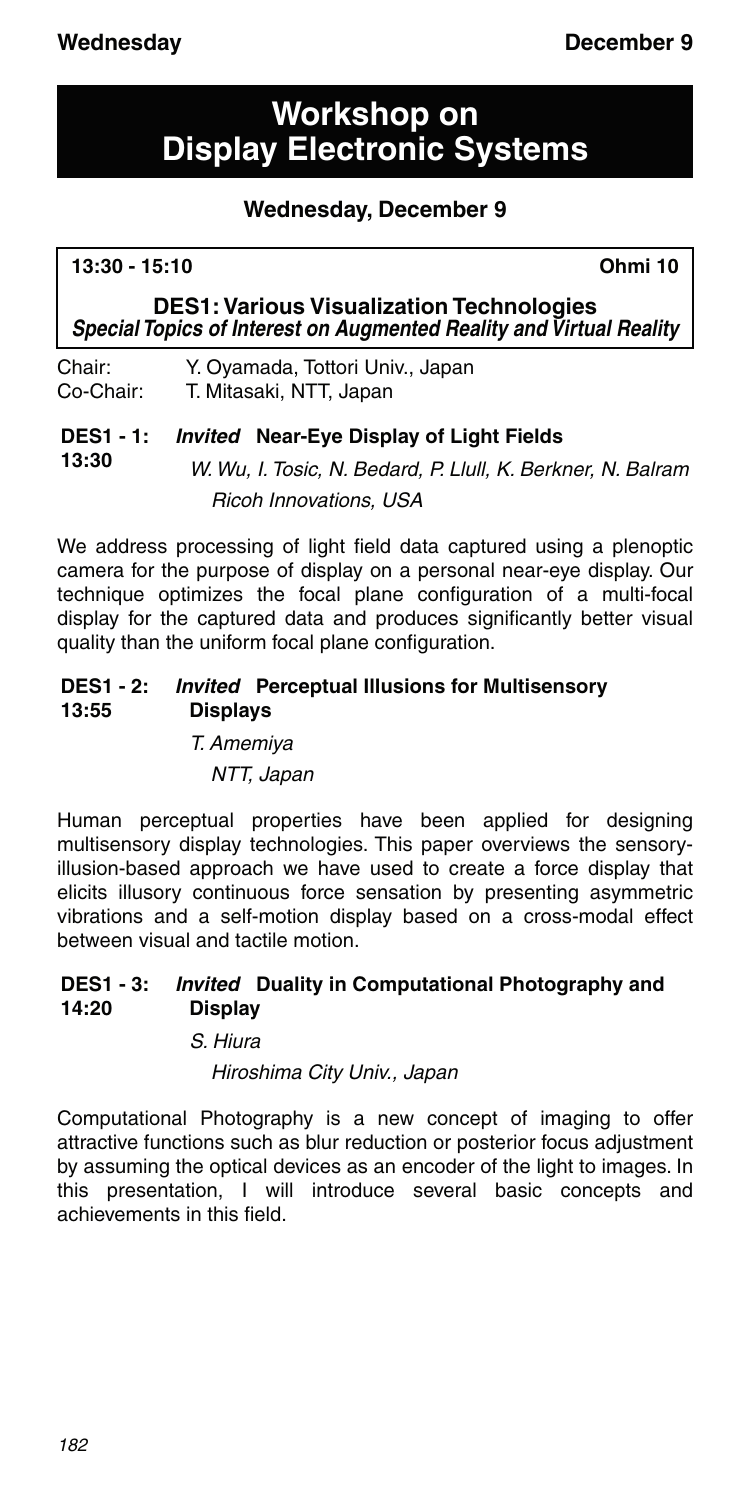## **Workshop on Display Electronic Systems**

### **Wednesday, December 9**

### **13:30 - 15:10 Ohmi 10**

**13:30**

**DES1: Various Visualization Technologies** *Special Topics of Interest on Augmented Reality and Virtual Reality*

Chair: Y. Oyamada, Tottori Univ., Japan Co-Chair: T. Mitasaki, NTT, Japan

### **DES1 - 1:** *Invited* **Near-Eye Display of Light Fields**

W. Wu, I. Tosic, N. Bedard, P. Llull, K. Berkner, N. Balram Ricoh Innovations, USA

We address processing of light field data captured using a plenoptic camera for the purpose of display on a personal near-eye display. Our technique optimizes the focal plane configuration of a multi-focal display for the captured data and produces significantly better visual quality than the uniform focal plane configuration.

#### **DES1 - 2: 13:55** *Invited* **Perceptual Illusions for Multisensory Displays**

T. Amemiya

NTT, Japan

Human perceptual properties have been applied for designing multisensory display technologies. This paper overviews the sensoryillusion-based approach we have used to create a force display that elicits illusory continuous force sensation by presenting asymmetric vibrations and a self-motion display based on a cross-modal effect between visual and tactile motion.

#### **DES1 - 3: 14:20** *Invited* **Duality in Computational Photography and Display**

### S. Hiura

### Hiroshima City Univ., Japan

Computational Photography is a new concept of imaging to offer attractive functions such as blur reduction or posterior focus adjustment by assuming the optical devices as an encoder of the light to images. In this presentation, I will introduce several basic concepts and achievements in this field.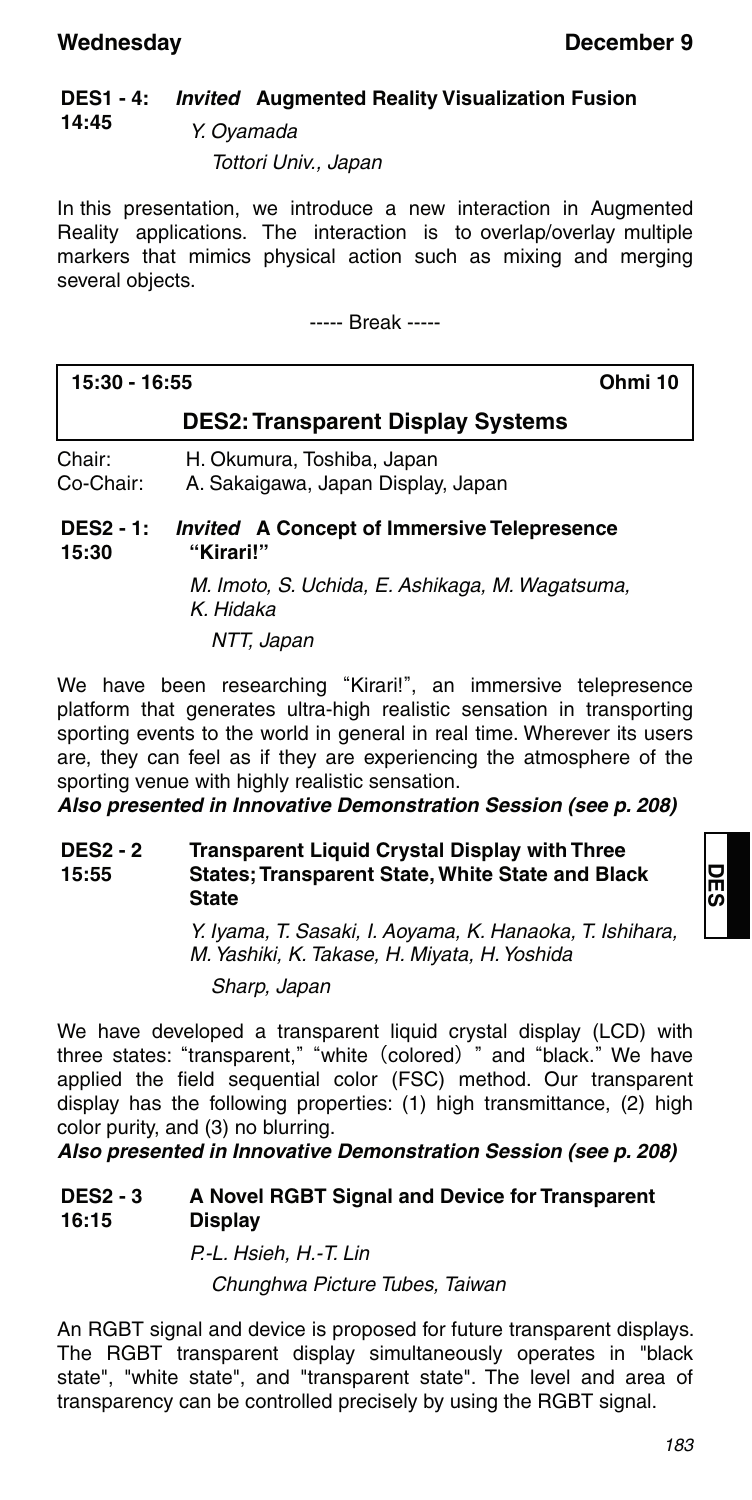#### **DES1 - 4: 14:45** *Invited* **Augmented Reality Visualization Fusion**

Y. Oyamada Tottori Univ., Japan

In this presentation, we introduce a new interaction in Augmented Reality applications. The interaction is to overlap/overlay multiple markers that mimics physical action such as mixing and merging several objects.

----- Break -----

| 15:30 - 16:55             | Ohmi 10                                                          |  |
|---------------------------|------------------------------------------------------------------|--|
|                           | <b>DES2: Transparent Display Systems</b>                         |  |
| Chair:<br>Co-Chair:       | H. Okumura, Toshiba, Japan<br>A. Sakaigawa, Japan Display, Japan |  |
| <b>DES2 - 1:</b><br>15:30 | <i>Invited</i> A Concept of Immersive Telepresence<br>"Kirari!"  |  |
|                           | M. Imoto, S. Uchida, E. Ashikaga, M. Wagatsuma,<br>K. Hidaka     |  |

NTT, Japan

We have been researching "Kirari!", an immersive telepresence platform that generates ultra-high realistic sensation in transporting sporting events to the world in general in real time. Wherever its users are, they can feel as if they are experiencing the atmosphere of the sporting venue with highly realistic sensation.

*Also presented in Innovative Demonstration Session (see p. 208)*

#### **DES2 - 2 15:55 Transparent Liquid Crystal Display with Three States; Transparent State, White State and Black State**

Y. Iyama, T. Sasaki, I. Aoyama, K. Hanaoka, T. Ishihara, M. Yashiki, K. Takase, H. Miyata, H. Yoshida

Sharp, Japan

We have developed a transparent liquid crystal display (LCD) with three states: "transparent," "white (colored) " and "black." We have applied the field sequential color (FSC) method. Our transparent display has the following properties: (1) high transmittance, (2) high color purity, and (3) no blurring.

*Also presented in Innovative Demonstration Session (see p. 208)*

#### **DES2 - 3 16:15 A Novel RGBT Signal and Device for Transparent Display**

## P.-L. Hsieh, H.-T. Lin Chunghwa Picture Tubes, Taiwan

An RGBT signal and device is proposed for future transparent displays. The RGBT transparent display simultaneously operates in "black state", "white state", and "transparent state". The level and area of transparency can be controlled precisely by using the RGBT signal.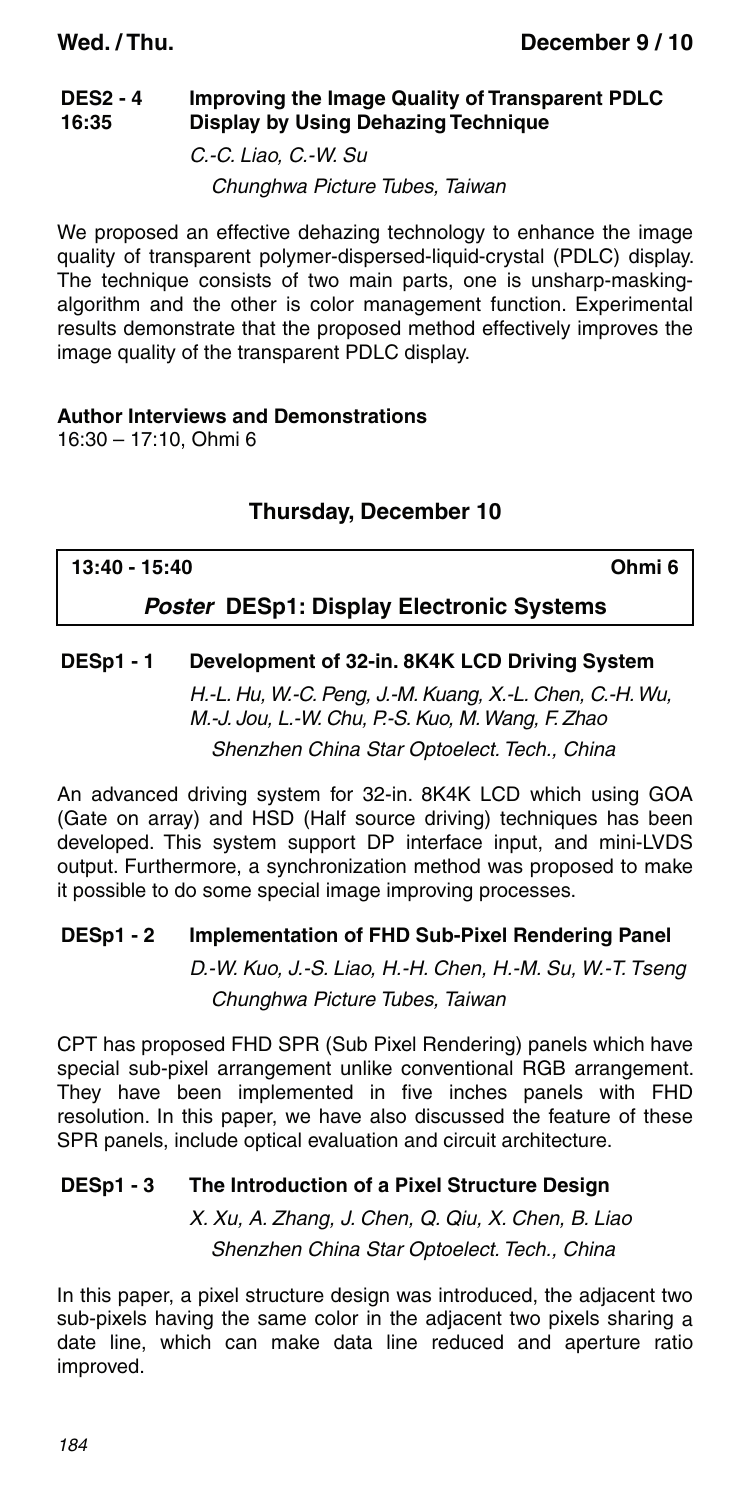#### **DES2 - 4 16:35 Improving the Image Quality of Transparent PDLC Display by Using Dehazing Technique**

C.-C. Liao, C.-W. Su

Chunghwa Picture Tubes, Taiwan

We proposed an effective dehazing technology to enhance the image quality of transparent polymer-dispersed-liquid-crystal (PDLC) display. The technique consists of two main parts, one is unsharp-maskingalgorithm and the other is color management function. Experimental results demonstrate that the proposed method effectively improves the image quality of the transparent PDLC display.

### **Author Interviews and Demonstrations**

16:30 – 17:10, Ohmi 6

## **Thursday, December 10**

### **13:40 - 15:40 Ohmi 6**

### *Poster* **DESp1: Display Electronic Systems**

### **DESp1 - 1 Development of 32-in. 8K4K LCD Driving System**

H.-L. Hu, W.-C. Peng, J.-M. Kuang, X.-L. Chen, C.-H. Wu, M.-J. Jou, L.-W. Chu, P.-S. Kuo, M. Wang, F. Zhao Shenzhen China Star Optoelect. Tech., China

An advanced driving system for 32-in. 8K4K LCD which using GOA (Gate on array) and HSD (Half source driving) techniques has been developed. This system support DP interface input, and mini-LVDS output. Furthermore, a synchronization method was proposed to make it possible to do some special image improving processes.

### **DESp1 - 2 Implementation of FHD Sub-Pixel Rendering Panel**

D.-W. Kuo, J.-S. Liao, H.-H. Chen, H.-M. Su, W.-T. Tseng Chunghwa Picture Tubes, Taiwan

CPT has proposed FHD SPR (Sub Pixel Rendering) panels which have special sub-pixel arrangement unlike conventional RGB arrangement. They have been implemented in five inches panels with FHD resolution. In this paper, we have also discussed the feature of these SPR panels, include optical evaluation and circuit architecture.

### **DESp1 - 3 The Introduction of a Pixel Structure Design**

X. Xu, A. Zhang, J. Chen, Q. Qiu, X. Chen, B. Liao Shenzhen China Star Optoelect. Tech., China

In this paper, a pixel structure design was introduced, the adjacent two sub-pixels having the same color in the adjacent two pixels sharing a date line, which can make data line reduced and aperture ratio improved.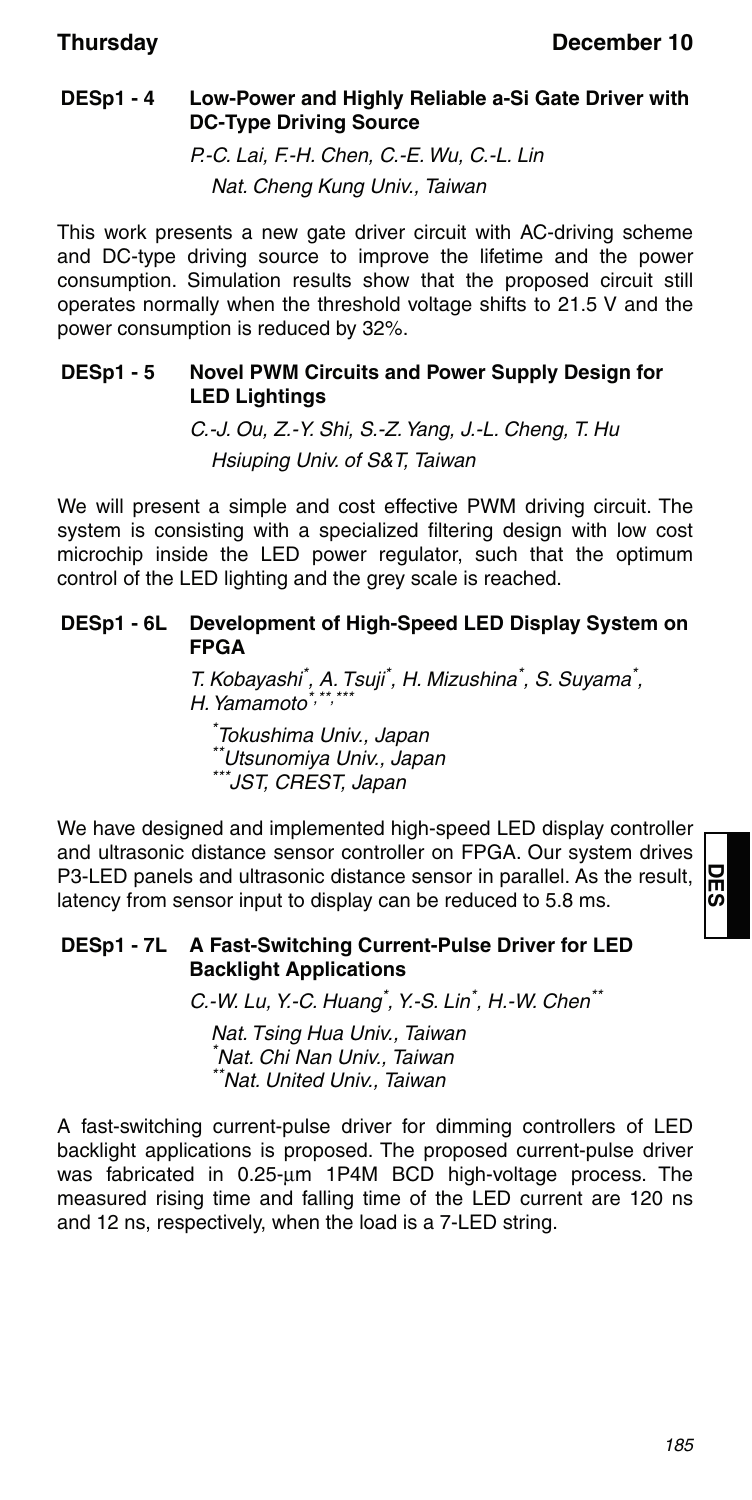### **DESp1 - 4 Low-Power and Highly Reliable a-Si Gate Driver with DC-Type Driving Source**

P.-C. Lai, F.-H. Chen, C.-E. Wu, C.-L. Lin Nat. Cheng Kung Univ., Taiwan

This work presents a new gate driver circuit with AC-driving scheme and DC-type driving source to improve the lifetime and the power consumption. Simulation results show that the proposed circuit still operates normally when the threshold voltage shifts to 21.5 V and the power consumption is reduced by 32%.

### **DESp1 - 5 Novel PWM Circuits and Power Supply Design for LED Lightings**

C.-J. Ou, Z.-Y. Shi, S.-Z. Yang, J.-L. Cheng, T. Hu Hsiuping Univ. of S&T, Taiwan

We will present a simple and cost effective PWM driving circuit. The system is consisting with a specialized filtering design with low cost microchip inside the LED power regulator, such that the optimum control of the LED lighting and the grey scale is reached.

### **DESp1 - 6L Development of High-Speed LED Display System on FPGA**

T. Kobayashi<sup>\*</sup>, A. Tsuji<sup>\*</sup>, H. Mizushina<sup>\*</sup>, S. Suyama<sup>\*</sup>, H. Yamamoto $^*$ , $^*$ 

\* Tokushima Univ., Japan \*\*Utsunomiya Univ., Japan \*JST, CREST, Japan

We have designed and implemented high-speed LED display controller and ultrasonic distance sensor controller on FPGA. Our system drives P3-LED panels and ultrasonic distance sensor in parallel. As the result, latency from sensor input to display can be reduced to 5.8 ms.

### **DESp1 - 7L A Fast-Switching Current-Pulse Driver for LED Backlight Applications**

C.-W. Lu, Y.-C. Huang<sup>\*</sup>, Y.-S. Lin<sup>\*</sup>, H.-W. Chen<sup>\*\*</sup>

Nat. Tsing Hua Univ., Taiwan \* Nat. Chi Nan Univ., Taiwan \*\*Nat. United Univ., Taiwan

A fast-switching current-pulse driver for dimming controllers of LED backlight applications is proposed. The proposed current-pulse driver was fabricated in 0.25-um 1P4M BCD high-voltage process. The measured rising time and falling time of the LED current are 120 ns and 12 ns, respectively, when the load is a 7-LED string.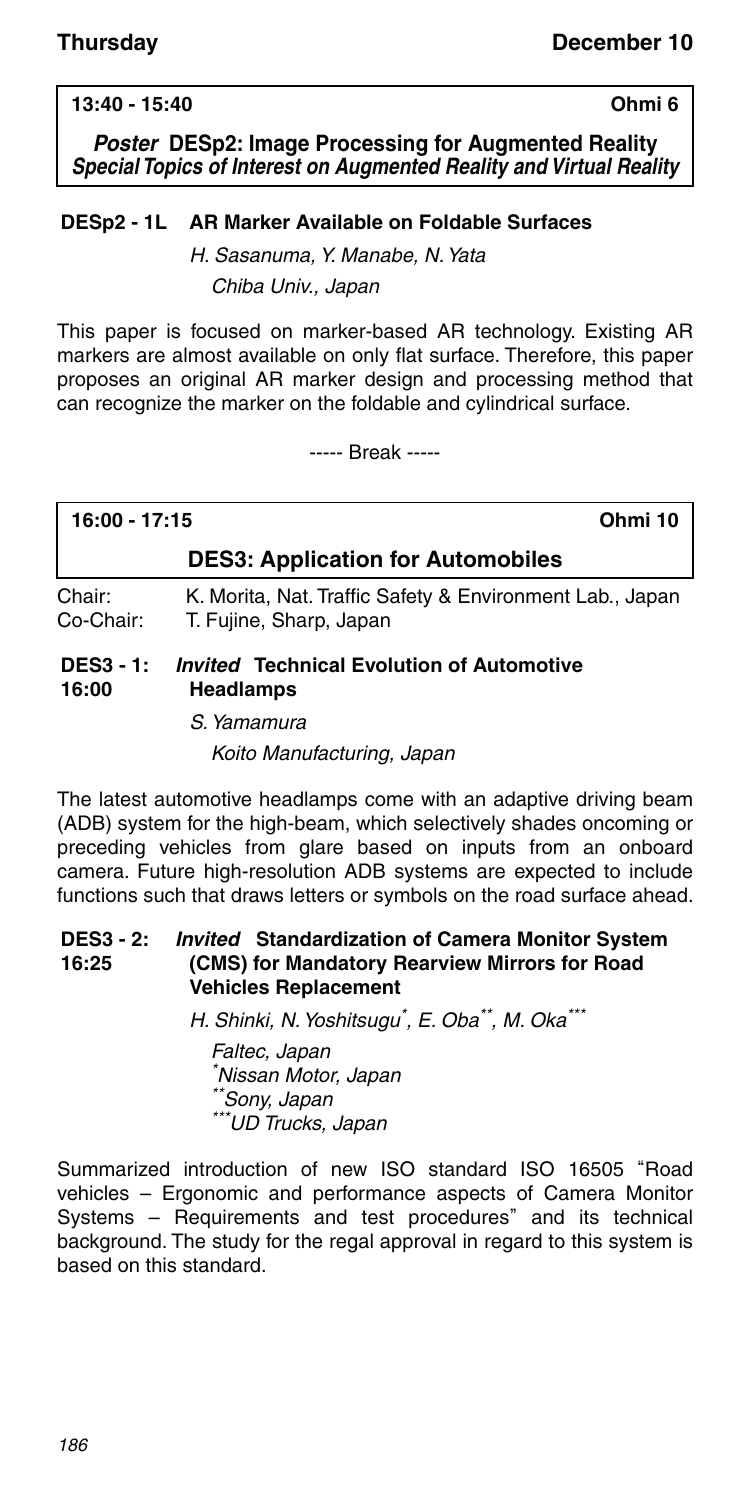### **13:40 - 15:40 Ohmi 6**

*Poster* **DESp2: Image Processing for Augmented Reality** *Special Topics of Interest on Augmented Reality and Virtual Reality*

### **DESp2 - 1L AR Marker Available on Foldable Surfaces**

H. Sasanuma, Y. Manabe, N. Yata Chiba Univ., Japan

This paper is focused on marker-based AR technology. Existing AR markers are almost available on only flat surface. Therefore, this paper proposes an original AR marker design and processing method that can recognize the marker on the foldable and cylindrical surface.

----- Break -----

## **16:00 - 17:15 Ohmi 10 DES3: Application for Automobiles**

Chair: K. Morita, Nat. Traffic Safety & Environment Lab., Japan<br>Co-Chair: T. Fuiine. Sharp. Japan T. Fujine, Sharp, Japan

#### **DES3 - 1: 16:00** *Invited* **Technical Evolution of Automotive Headlamps**

S. Yamamura

Koito Manufacturing, Japan

The latest automotive headlamps come with an adaptive driving beam (ADB) system for the high-beam, which selectively shades oncoming or preceding vehicles from glare based on inputs from an onboard camera. Future high-resolution ADB systems are expected to include functions such that draws letters or symbols on the road surface ahead.

#### **DES3 - 2: 16:25** *Invited* **Standardization of Camera Monitor System (CMS) for Mandatory Rearview Mirrors for Road Vehicles Replacement**

H. Shinki, N. Yoshitsugu<sup>\*</sup>, E. Oba<sup>\*\*</sup>, M. Oka<sup>\*\*</sup>

Faltec, Japan \* Nissan Motor, Japan Sony, Japan \*UD Trucks, Japan

Summarized introduction of new ISO standard ISO 16505 "Road vehicles – Ergonomic and performance aspects of Camera Monitor Systems – Requirements and test procedures" and its technical background. The study for the regal approval in regard to this system is based on this standard.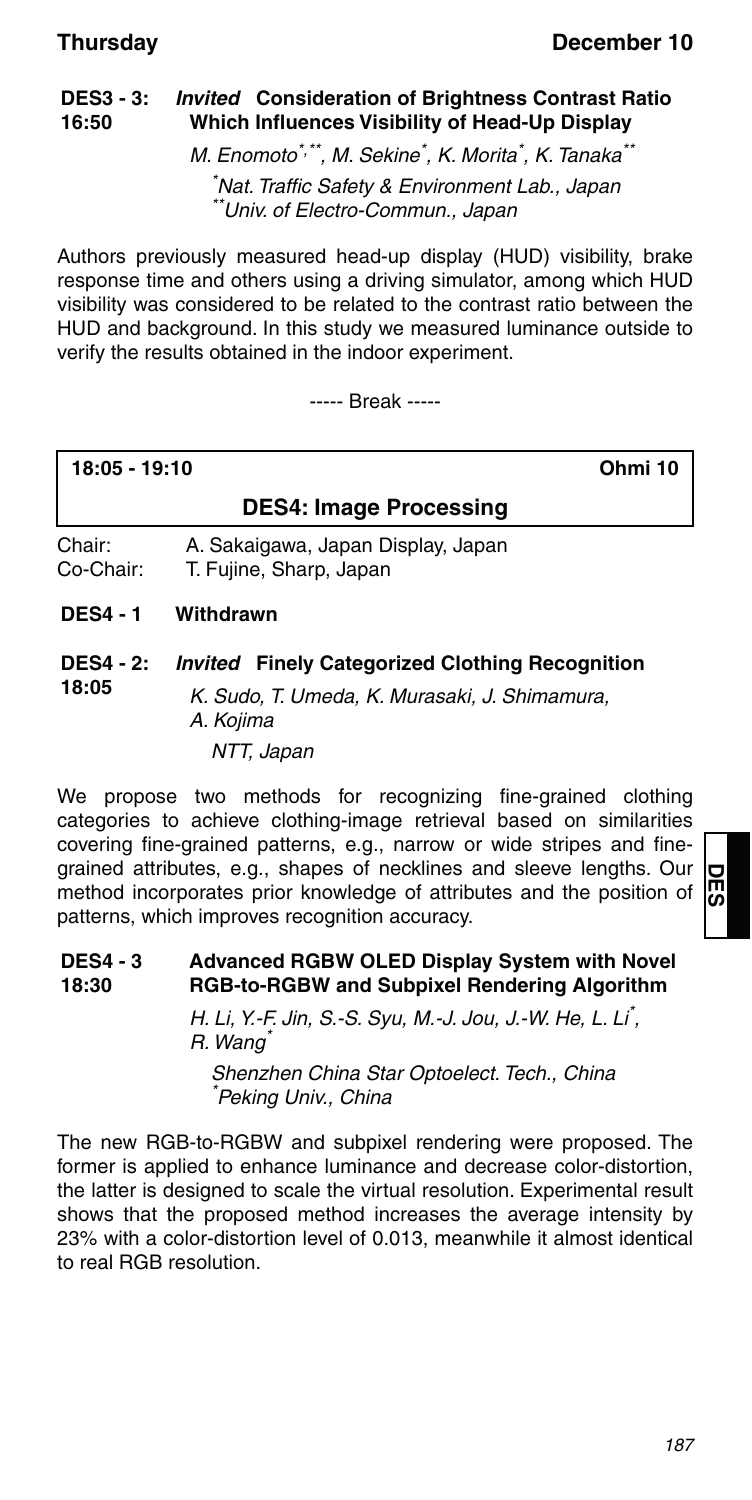#### **DES3 - 3: 16:50** *Invited* **Consideration of Brightness Contrast Ratio Which Influences Visibility of Head-Up Display**

M. Enomoto\*,\*\*, M. Sekine\*, K. Morita\*, K. Tanaka\*\*

\* Nat. Traffic Safety & Environment Lab., Japan \*Univ. of Electro-Commun., Japan

Authors previously measured head-up display (HUD) visibility, brake response time and others using a driving simulator, among which HUD visibility was considered to be related to the contrast ratio between the HUD and background. In this study we measured luminance outside to verify the results obtained in the indoor experiment.

----- Break -----

| 18:05 - 19:10 |  |
|---------------|--|
|---------------|--|

**18:05 - 19:10 Ohmi 10**

## **DES4: Image Processing**

Chair: A. Sakaigawa, Japan Display, Japan Co-Chair: T. Fujine, Sharp, Japan

**DES4 - 1 Withdrawn**

#### **DES4 - 2: 18:05** *Invited* **Finely Categorized Clothing Recognition**

K. Sudo, T. Umeda, K. Murasaki, J. Shimamura, A. Kojima NTT, Japan

We propose two methods for recognizing fine-grained clothing categories to achieve clothing-image retrieval based on similarities covering fine-grained patterns, e.g., narrow or wide stripes and finegrained attributes, e.g., shapes of necklines and sleeve lengths. Our method incorporates prior knowledge of attributes and the position of patterns, which improves recognition accuracy.

#### **DES4 - 3 18:30 Advanced RGBW OLED Display System with Novel RGB-to-RGBW and Subpixel Rendering Algorithm**

H. Li, Y.-F. Jin, S.-S. Syu, M.-J. Jou, J.-W. He, L. Li\* , R. Wang<sup>\*</sup>

Shenzhen China Star Optoelect. Tech., China \* Peking Univ., China

The new RGB-to-RGBW and subpixel rendering were proposed. The former is applied to enhance luminance and decrease color-distortion, the latter is designed to scale the virtual resolution. Experimental result shows that the proposed method increases the average intensity by 23% with a color-distortion level of 0.013, meanwhile it almost identical to real RGB resolution.

**DES**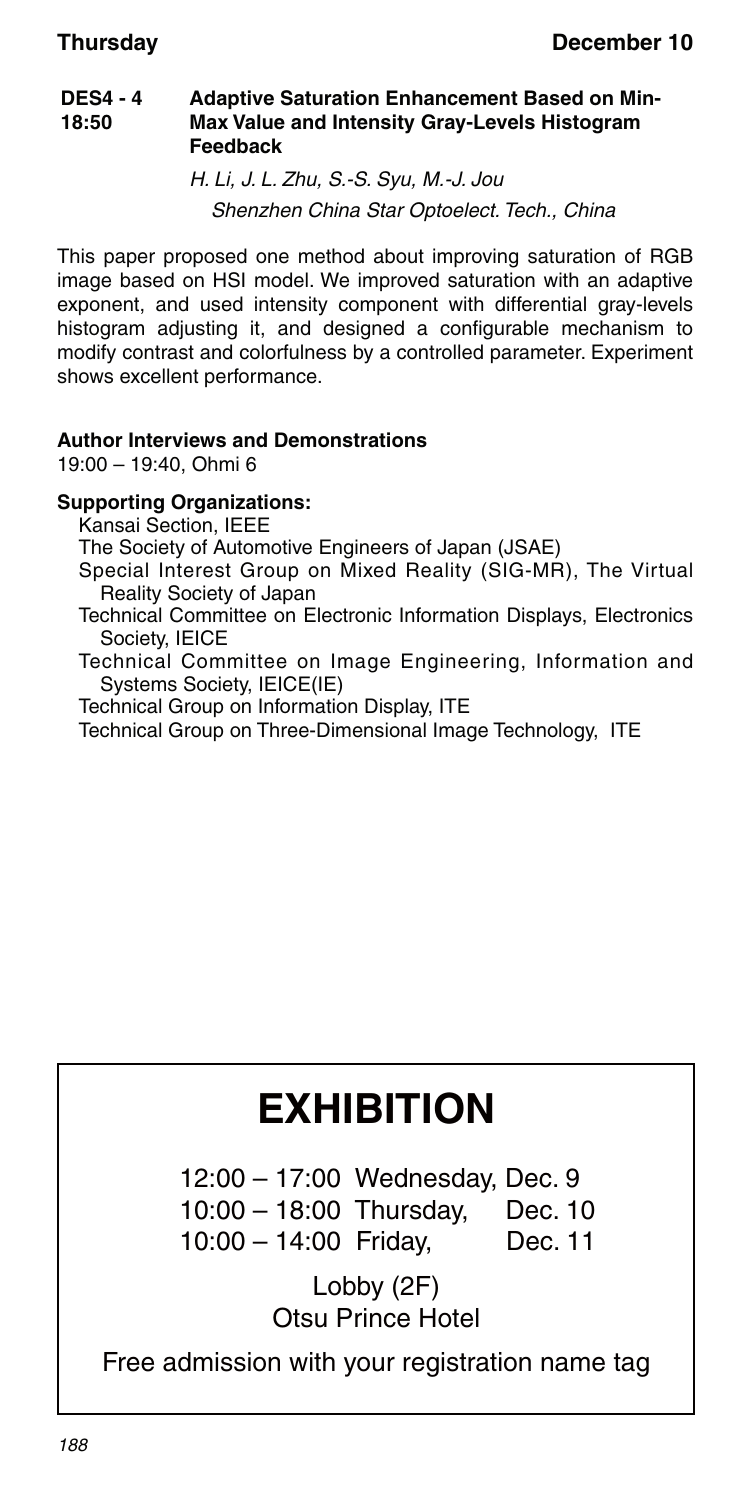#### **DES4 - 4 18:50 Adaptive Saturation Enhancement Based on Min-Max Value and Intensity Gray-Levels Histogram Feedback**

H. Li, J. L. Zhu, S.-S. Syu, M.-J. Jou Shenzhen China Star Optoelect. Tech., China

This paper proposed one method about improving saturation of RGB image based on HSI model. We improved saturation with an adaptive exponent, and used intensity component with differential gray-levels histogram adjusting it, and designed a configurable mechanism to modify contrast and colorfulness by a controlled parameter. Experiment shows excellent performance.

### **Author Interviews and Demonstrations**

19:00 – 19:40, Ohmi 6

### **Supporting Organizations:**

Kansai Section, IEEE

The Society of Automotive Engineers of Japan (JSAE)

Special Interest Group on Mixed Reality (SIG-MR), The Virtual Reality Society of Japan

Technical Committee on Electronic Information Displays, Electronics Society, IEICE

Technical Committee on Image Engineering, Information and Systems Society, IEICE(IE)

Technical Group on Information Display, ITE

Technical Group on Three-Dimensional Image Technology, ITE

# **EXHIBITION**

 12:00 – 17:00 Wednesday, Dec. 9 10:00 – 18:00 Thursday, Dec. 10 10:00 – 14:00 Friday, Dec. 11

> Lobby (2F) Otsu Prince Hotel

Free admission with your registration name tag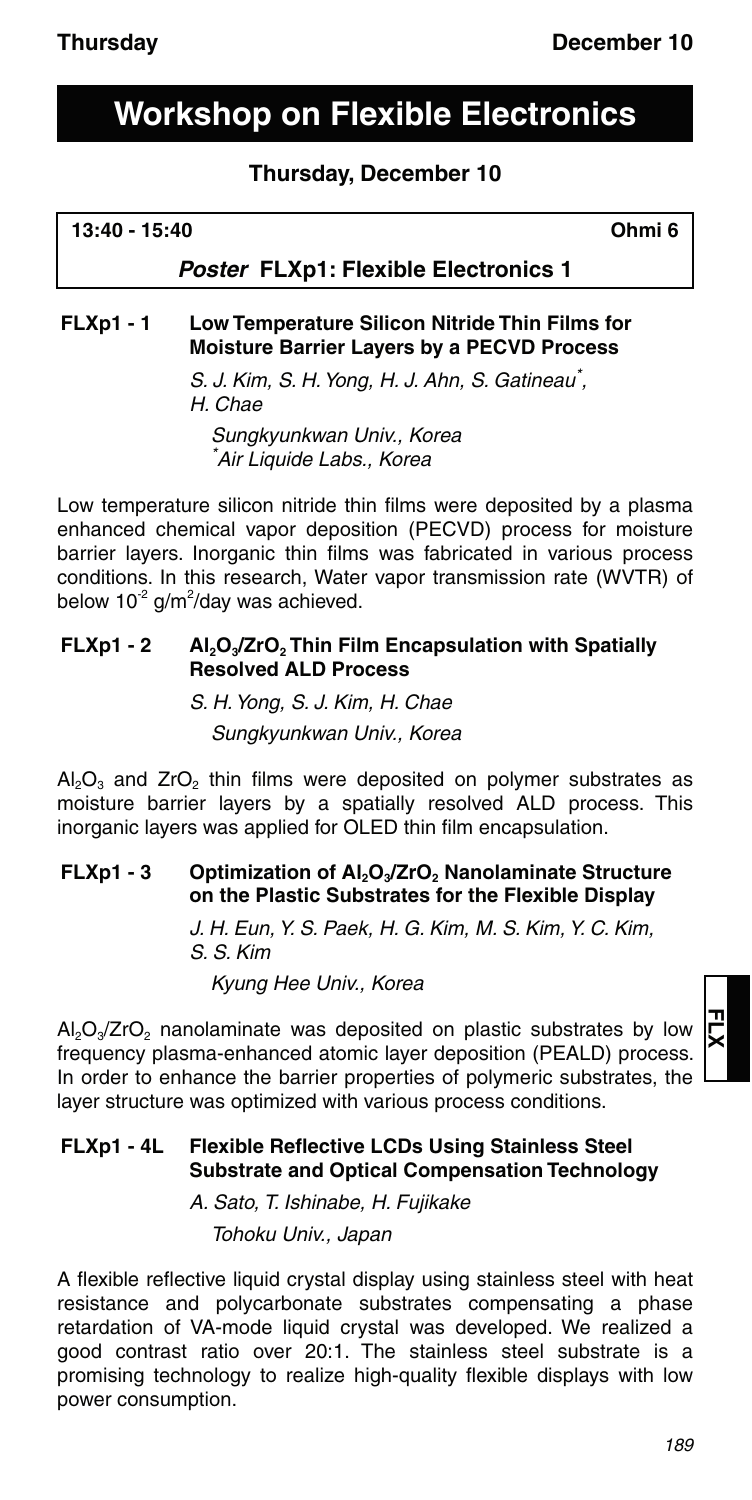## **Workshop on Flexible Electronics**

### **Thursday, December 10**

### **13:40 - 15:40 Ohmi 6**

### *Poster* **FLXp1: Flexible Electronics 1**

### **FLXp1 - 1 Low Temperature Silicon Nitride Thin Films for Moisture Barrier Layers by a PECVD Process**

S. J. Kim, S. H. Yong, H. J. Ahn, S. Gatineau\*, H. Chae

Sungkyunkwan Univ., Korea \* Air Liquide Labs., Korea

Low temperature silicon nitride thin films were deposited by a plasma enhanced chemical vapor deposition (PECVD) process for moisture barrier layers. Inorganic thin films was fabricated in various process conditions. In this research, Water vapor transmission rate (WVTR) of below 10<sup>-2</sup> g/m<sup>2</sup>/day was achieved.

### **FLXp1 - 2** Al<sub>2</sub>O<sub>3</sub>/ZrO<sub>2</sub> Thin Film Encapsulation with Spatially **Resolved ALD Process**

S. H. Yong, S. J. Kim, H. Chae Sungkyunkwan Univ., Korea

 $Al_2O_3$  and  $ZrO_2$  thin films were deposited on polymer substrates as moisture barrier layers by a spatially resolved ALD process. This inorganic layers was applied for OLED thin film encapsulation.

### **FLXp1 - 3** Optimization of Al<sub>2</sub>O<sub>3</sub>/ZrO<sub>2</sub> Nanolaminate Structure **on the Plastic Substrates for the Flexible Display**

J. H. Eun, Y. S. Paek, H. G. Kim, M. S. Kim, Y. C. Kim, S. S. Kim

Kyung Hee Univ., Korea

 $Al_2O_3/ZrO_2$  nanolaminate was deposited on plastic substrates by low frequency plasma-enhanced atomic layer deposition (PEALD) process. In order to enhance the barrier properties of polymeric substrates, the layer structure was optimized with various process conditions.

### **FLXp1 - 4L Flexible Reflective LCDs Using Stainless Steel Substrate and Optical Compensation Technology**

A. Sato, T. Ishinabe, H. Fujikake Tohoku Univ., Japan

A flexible reflective liquid crystal display using stainless steel with heat resistance and polycarbonate substrates compensating a phase retardation of VA-mode liquid crystal was developed. We realized a good contrast ratio over 20:1. The stainless steel substrate is a promising technology to realize high-quality flexible displays with low power consumption.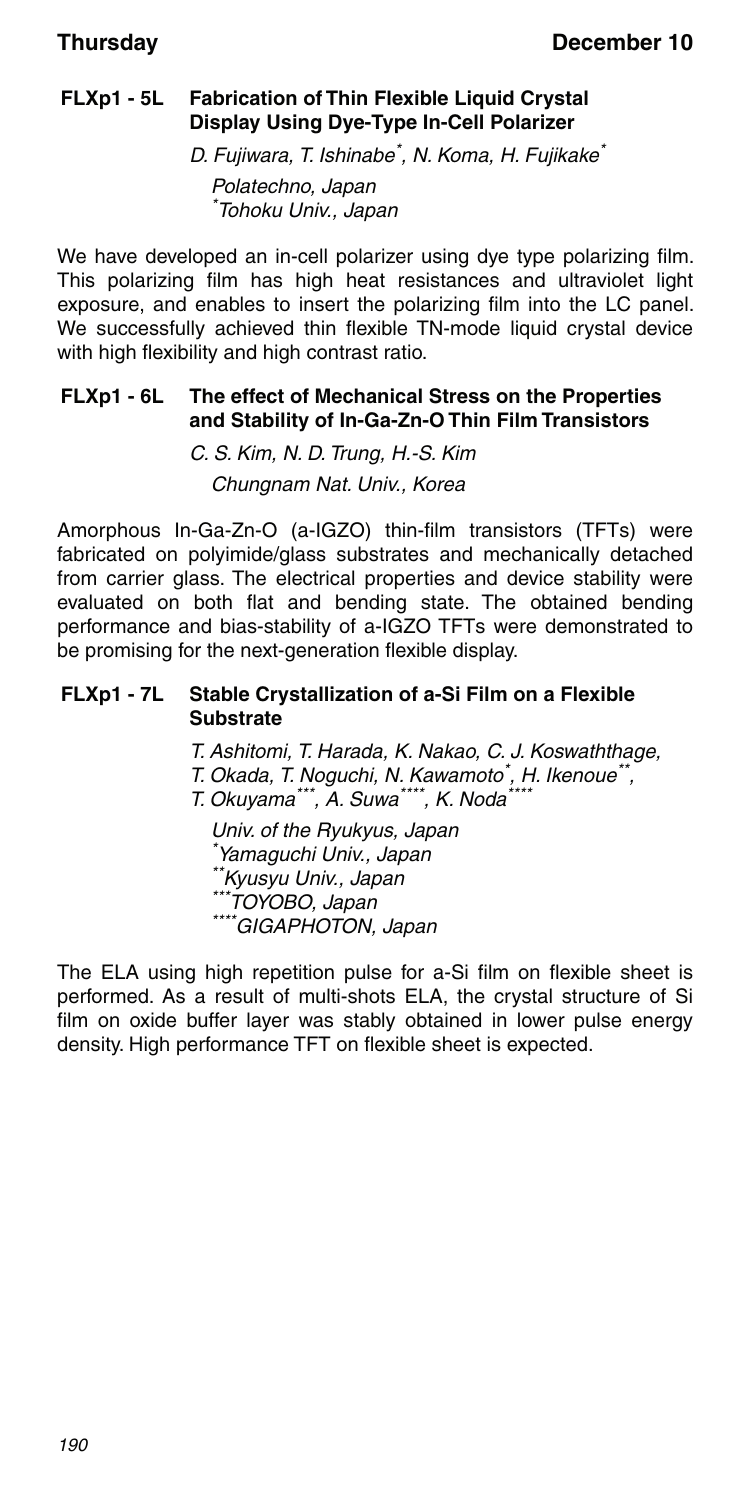### **FLXp1 - 5L Fabrication of Thin Flexible Liquid Crystal Display Using Dye-Type In-Cell Polarizer**

D. Fujiwara, T. Ishinabe<sup>\*</sup>, N. Koma, H. Fujikake<sup>\*</sup>

Polatechno, Japan \* Tohoku Univ., Japan

We have developed an in-cell polarizer using dye type polarizing film. This polarizing film has high heat resistances and ultraviolet light exposure, and enables to insert the polarizing film into the LC panel. We successfully achieved thin flexible TN-mode liquid crystal device with high flexibility and high contrast ratio.

### **FLXp1 - 6L The effect of Mechanical Stress on the Properties and Stability of In-Ga-Zn-O Thin Film Transistors**

C. S. Kim, N. D. Trung, H.-S. Kim Chungnam Nat. Univ., Korea

Amorphous In-Ga-Zn-O (a-IGZO) thin-film transistors (TFTs) were fabricated on polyimide/glass substrates and mechanically detached from carrier glass. The electrical properties and device stability were evaluated on both flat and bending state. The obtained bending performance and bias-stability of a-IGZO TFTs were demonstrated to be promising for the next-generation flexible display.

### **FLXp1 - 7L Stable Crystallization of a-Si Film on a Flexible Substrate**

T. Ashitomi, T. Harada, K. Nakao, C. J. Koswaththage,

T. Okada, T. Noguchi, N. Kawamoto<sup>\*</sup>, H. Ikenoue<sup>\*\*</sup>,

T. Okuyama\*\*\*, A. Suwa\*\*\*\*, K. Noda\*

Univ. of the Ryukyus, Japan \* Yamaguchi Univ., Japan \*\*Kyusyu Univ., Japan \*\*\*TOYOBO, Japan<br>\*\*\*\*GIGAPHOTON, Japan

The ELA using high repetition pulse for a-Si film on flexible sheet is performed. As a result of multi-shots ELA, the crystal structure of Si film on oxide buffer layer was stably obtained in lower pulse energy density. High performance TFT on flexible sheet is expected.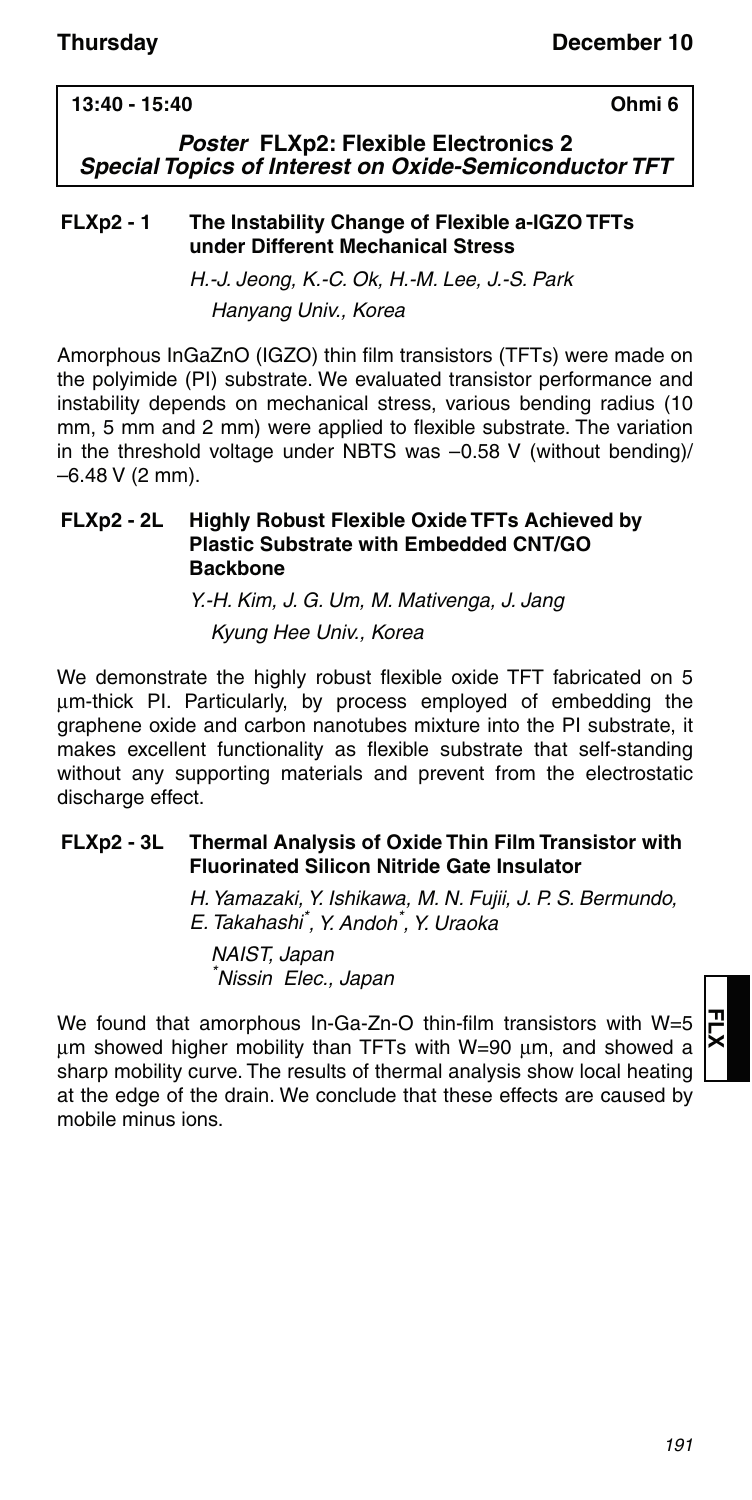### **13:40 - 15:40 Ohmi 6**

*Poster* **FLXp2: Flexible Electronics 2** *Special Topics of Interest on Oxide-Semiconductor TFT*

### **FLXp2 - 1 The Instability Change of Flexible a-IGZO TFTs under Different Mechanical Stress**

H.-J. Jeong, K.-C. Ok, H.-M. Lee, J.-S. Park Hanyang Univ., Korea

Amorphous InGaZnO (IGZO) thin film transistors (TFTs) were made on the polyimide (PI) substrate. We evaluated transistor performance and instability depends on mechanical stress, various bending radius (10 mm, 5 mm and 2 mm) were applied to flexible substrate. The variation in the threshold voltage under NBTS was –0.58 V (without bending)/  $-6.48$  V (2 mm).

### **FLXp2 - 2L Highly Robust Flexible Oxide TFTs Achieved by Plastic Substrate with Embedded CNT/GO Backbone**

Y.-H. Kim, J. G. Um, M. Mativenga, J. Jang Kyung Hee Univ., Korea

We demonstrate the highly robust flexible oxide TFT fabricated on 5 um-thick PI. Particularly, by process employed of embedding the graphene oxide and carbon nanotubes mixture into the PI substrate, it makes excellent functionality as flexible substrate that self-standing without any supporting materials and prevent from the electrostatic discharge effect.

### **FLXp2 - 3L Thermal Analysis of Oxide Thin Film Transistor with Fluorinated Silicon Nitride Gate Insulator**

H. Yamazaki, Y. Ishikawa, M. N. Fujii, J. P. S. Bermundo, E. Takahashi\* , Y. Andoh\* , Y. Uraoka

NAIST, Japan \* Nissin Elec., Japan

We found that amorphous In-Ga-Zn-O thin-film transistors with W=5  $µm$  showed higher mobility than TFTs with W=90  $µm$ , and showed a sharp mobility curve. The results of thermal analysis show local heating at the edge of the drain. We conclude that these effects are caused by mobile minus ions.

**FLX**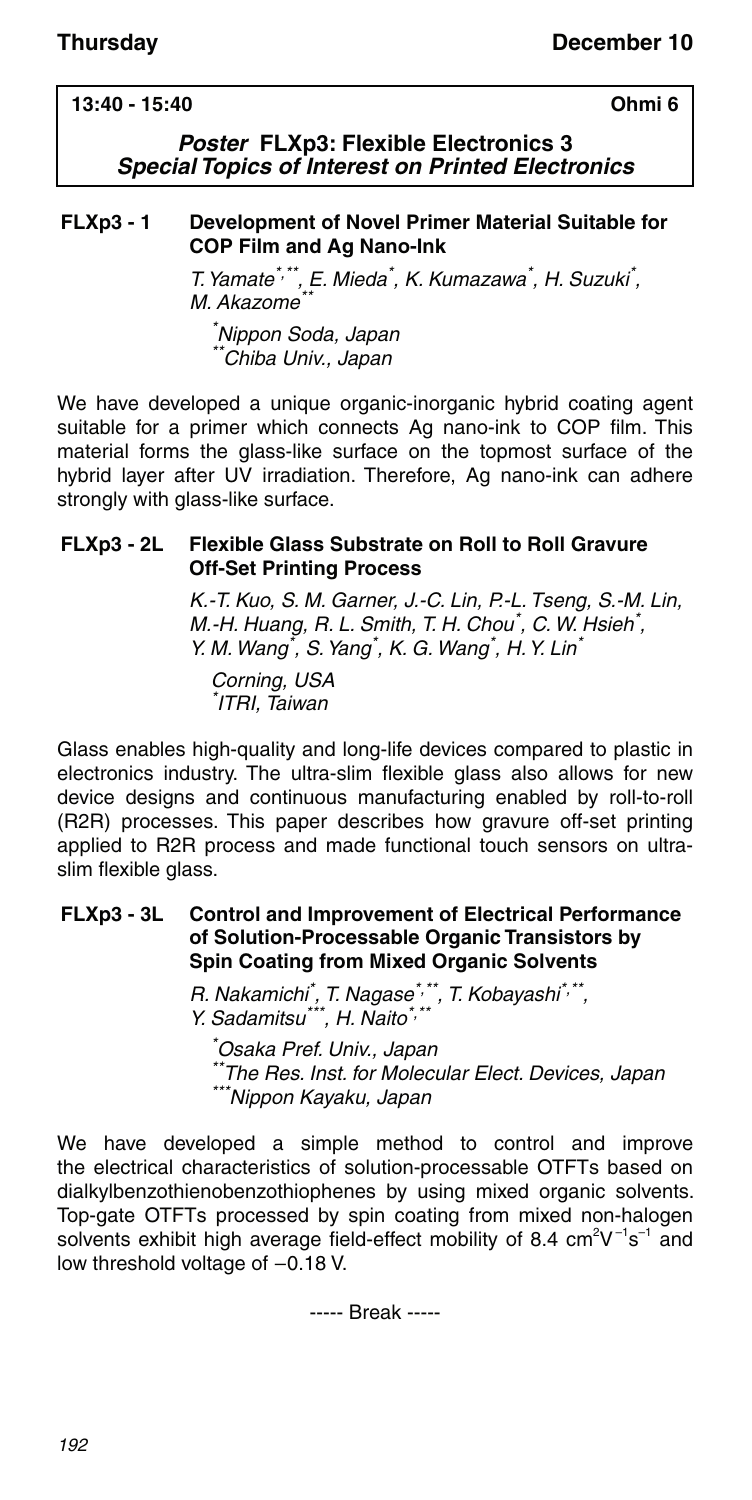### **13:40 - 15:40 Ohmi 6**

### *Poster* **FLXp3: Flexible Electronics 3** *Special Topics of Interest on Printed Electronics*

### **FLXp3 - 1 Development of Novel Primer Material Suitable for COP Film and Ag Nano-Ink**

T. Yamate<sup>\*,\*\*</sup>, E. Mieda<sup>\*</sup>, K. Kumazawa<sup>\*</sup>, H. Suzuki<sup>\*</sup>, M. Akazome<sup>\*</sup>

\* Nippon Soda, Japan \*Chiba Univ., Japan

We have developed a unique organic-inorganic hybrid coating agent suitable for a primer which connects Ag nano-ink to COP film. This material forms the glass-like surface on the topmost surface of the hybrid layer after UV irradiation. Therefore, Ag nano-ink can adhere strongly with glass-like surface.

### **FLXp3 - 2L Flexible Glass Substrate on Roll to Roll Gravure Off-Set Printing Process**

K.-T. Kuo, S. M. Garner, J.-C. Lin, P.-L. Tseng, S.-M. Lin, M.-H. Huang, R. L. Smith, T. H. Chou<sup>\*</sup>, C. W. Hsieh<sup>\*</sup>, Y. M. Wang<sup>\*</sup>, S. Yang<sup>\*</sup>, K. G. Wang<sup>\*</sup>, H. Y. Lin<sup>\*</sup>

Corning, USA \* ITRI, Taiwan

Glass enables high-quality and long-life devices compared to plastic in electronics industry. The ultra-slim flexible glass also allows for new device designs and continuous manufacturing enabled by roll-to-roll (R2R) processes. This paper describes how gravure off-set printing applied to R2R process and made functional touch sensors on ultraslim flexible glass.

### **FLXp3 - 3L Control and Improvement of Electrical Performance of Solution-Processable Organic Transistors by Spin Coating from Mixed Organic Solvents**

R. Nakamichi<sup>\*</sup>, T. Nagase<sup>\*,\*\*</sup>, T. Kobayashi<sup>\*,\*\*</sup>, Y. Sadamitsu\*\*\*, H. Naito\*,\*\*

\* Osaka Pref. Univ., Japan \*The Res. Inst. for Molecular Elect. Devices, Japan \*\*\*Nippon Kayaku, Japan

We have developed a simple method to control and improve the electrical characteristics of solution-processable OTFTs based on dialkylbenzothienobenzothiophenes by using mixed organic solvents. Top-gate OTFTs processed by spin coating from mixed non-halogen solvents exhibit high average field-effect mobility of 8.4  $\text{cm}^2\text{V}^{-1}\text{s}^{-1}$  and low threshold voltage of  $-0.18$  V.

----- Break -----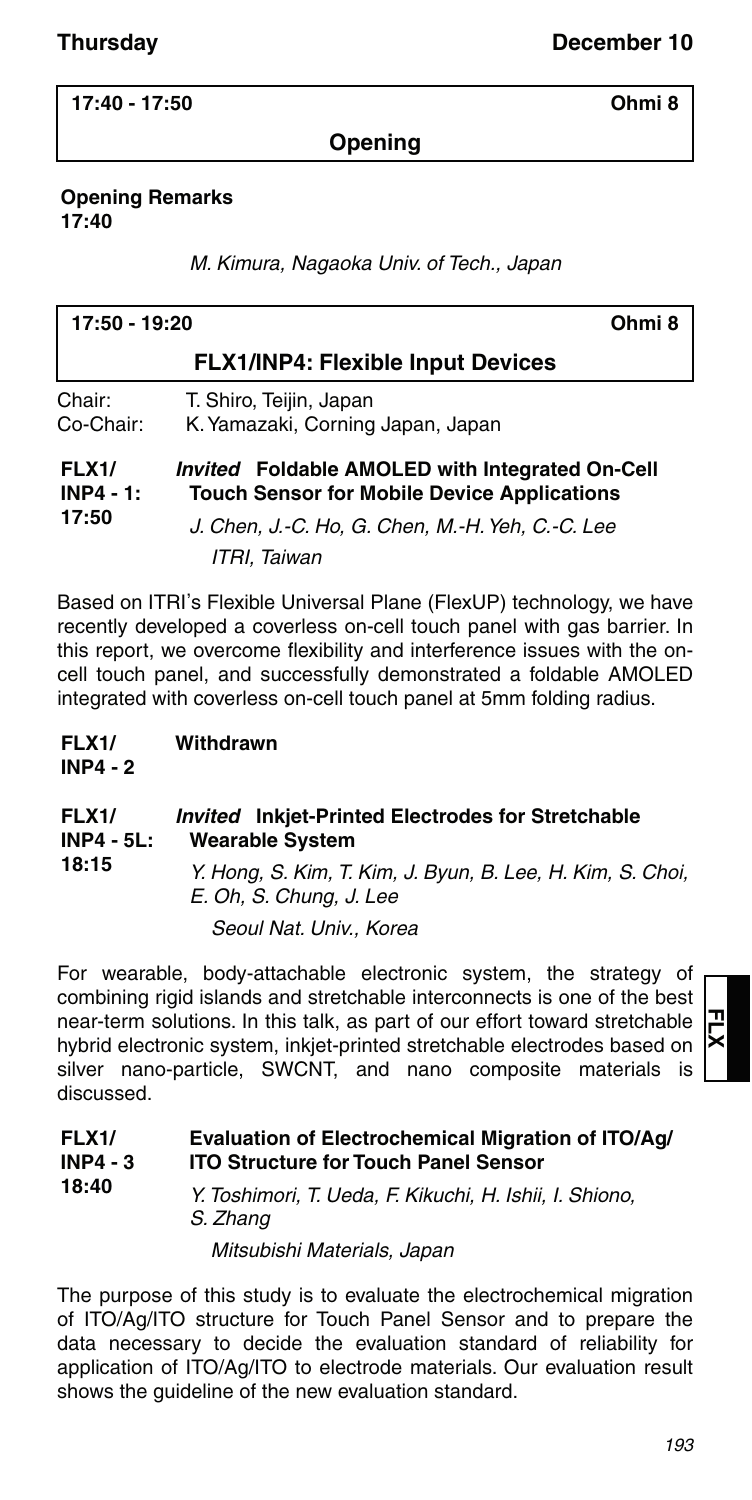**17:40 - 17:50 Ohmi 8**

**Opening**

**Opening Remarks 17:40**

M. Kimura, Nagaoka Univ. of Tech., Japan

| Ohmi <sub>8</sub><br>17:50 - 19:20   |                                                                                                                                                                           |  |
|--------------------------------------|---------------------------------------------------------------------------------------------------------------------------------------------------------------------------|--|
|                                      | <b>FLX1/INP4: Flexible Input Devices</b>                                                                                                                                  |  |
| Chair:<br>Co-Chair:                  | T. Shiro, Teijin, Japan<br>K. Yamazaki, Corning Japan, Japan                                                                                                              |  |
| <b>FLX1/</b><br>$INP4 - 1:$<br>17:50 | Invited Foldable AMOLED with Integrated On-Cell<br><b>Touch Sensor for Mobile Device Applications</b><br>J. Chen, J.-C. Ho, G. Chen, M.-H. Yeh, C.-C. Lee<br>ITRI. Taiwan |  |

Based on ITRI's Flexible Universal Plane (FlexUP) technology, we have recently developed a coverless on-cell touch panel with gas barrier. In this report, we overcome flexibility and interference issues with the oncell touch panel, and successfully demonstrated a foldable AMOLED integrated with coverless on-cell touch panel at 5mm folding radius.

**FLX1/ INP4 - 2 Withdrawn**

#### **FLX1/ INP4 - 5L: 18:15** *Invited* **Inkjet-Printed Electrodes for Stretchable Wearable System** Y. Hong, S. Kim, T. Kim, J. Byun, B. Lee, H. Kim, S. Choi, E. Oh, S. Chung, J. Lee

Seoul Nat. Univ., Korea

For wearable, body-attachable electronic system, the strategy of combining rigid islands and stretchable interconnects is one of the best near-term solutions. In this talk, as part of our effort toward stretchable hybrid electronic system, inkjet-printed stretchable electrodes based on silver nano-particle, SWCNT, and nano composite materials is discussed.

| <b>FLX1/</b> | Evaluation of Electrochemical Migration of ITO/Ag/                 |
|--------------|--------------------------------------------------------------------|
| INP4 - 3     | <b>ITO Structure for Touch Panel Sensor</b>                        |
| 18:40        | $V$ Tacking and $T$ Harder $\Gamma$ $V$ ilosald II labii I Objavan |

Y. Toshimori, T. Ueda, F. Kikuchi, H. Ishii, I. Shiono, S. Zhang Mitsubishi Materials, Japan

The purpose of this study is to evaluate the electrochemical migration of ITO/Ag/ITO structure for Touch Panel Sensor and to prepare the data necessary to decide the evaluation standard of reliability for application of ITO/Ag/ITO to electrode materials. Our evaluation result shows the guideline of the new evaluation standard.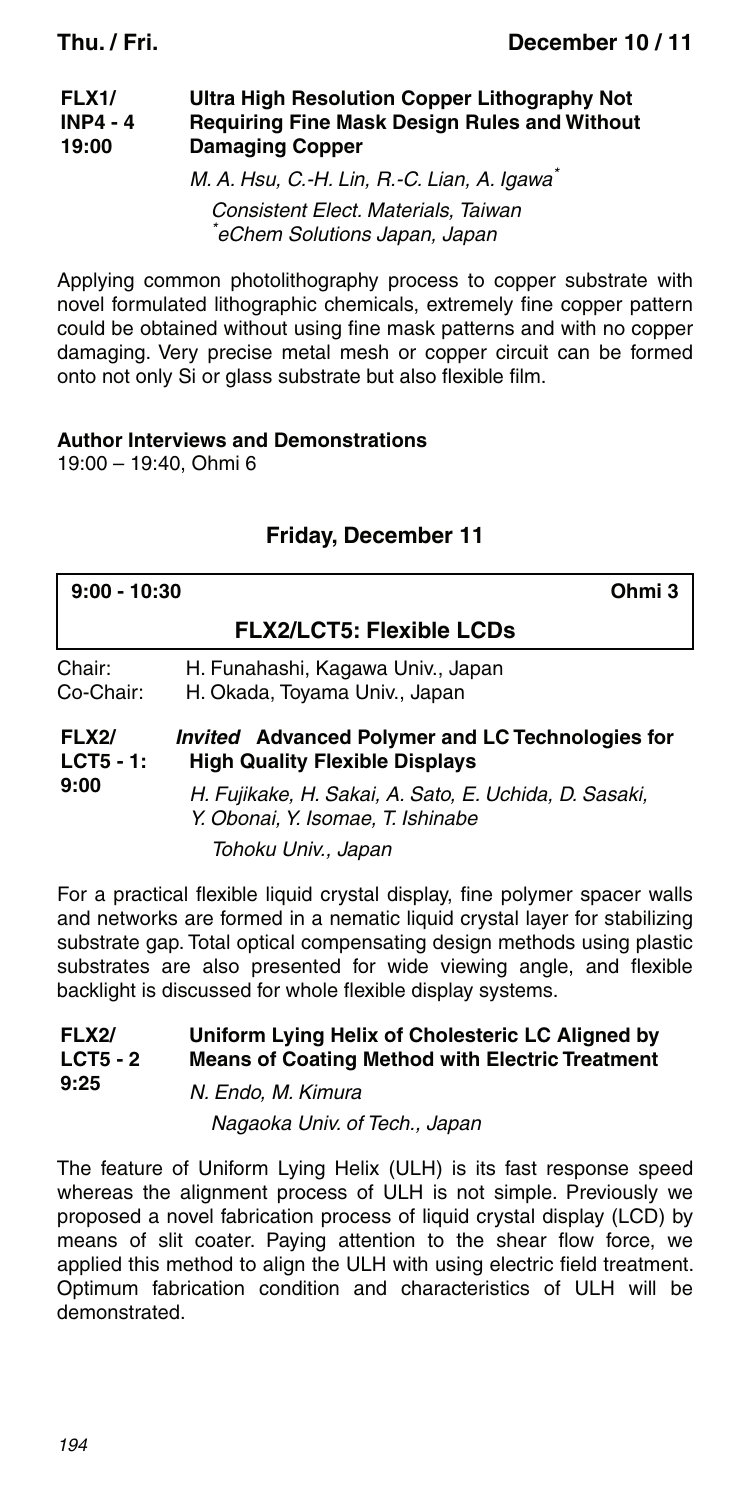#### **FLX1/ INP4 - 4 19:00 Ultra High Resolution Copper Lithography Not Requiring Fine Mask Design Rules and Without Damaging Copper**

M. A. Hsu, C.-H. Lin, R.-C. Lian, A. Igawa\* Consistent Elect. Materials, Taiwan \* eChem Solutions Japan, Japan

Applying common photolithography process to copper substrate with novel formulated lithographic chemicals, extremely fine copper pattern could be obtained without using fine mask patterns and with no copper damaging. Very precise metal mesh or copper circuit can be formed onto not only Si or glass substrate but also flexible film.

### **Author Interviews and Demonstrations**

19:00 – 19:40, Ohmi 6

### **Friday, December 11**

| Ohmi 3<br>$9:00 - 10:30$            |                                                                                            |
|-------------------------------------|--------------------------------------------------------------------------------------------|
|                                     | <b>FLX2/LCT5: Flexible LCDs</b>                                                            |
| Chair:<br>Co-Chair:                 | H. Funahashi, Kagawa Univ., Japan<br>H. Okada, Toyama Univ., Japan                         |
| <b>FLX2/</b><br>$LCT5 - 1:$<br>9:00 | Invited Advanced Polymer and LC Technologies for<br><b>High Quality Flexible Displays</b>  |
|                                     | H. Fujikake, H. Sakai, A. Sato, E. Uchida, D. Sasaki,<br>Y. Obonai, Y. Isomae, T. Ishinabe |
|                                     | Tohoku Univ., Japan                                                                        |

For a practical flexible liquid crystal display, fine polymer spacer walls and networks are formed in a nematic liquid crystal layer for stabilizing substrate gap. Total optical compensating design methods using plastic substrates are also presented for wide viewing angle, and flexible backlight is discussed for whole flexible display systems.

#### **FLX2/ LCT5 - 2 9:25 Uniform Lying Helix of Cholesteric LC Aligned by Means of Coating Method with Electric Treatment** N. Endo, M. Kimura

Nagaoka Univ. of Tech., Japan

The feature of Uniform Lying Helix (ULH) is its fast response speed whereas the alignment process of ULH is not simple. Previously we proposed a novel fabrication process of liquid crystal display (LCD) by means of slit coater. Paying attention to the shear flow force, we applied this method to align the ULH with using electric field treatment. Optimum fabrication condition and characteristics of ULH will be demonstrated.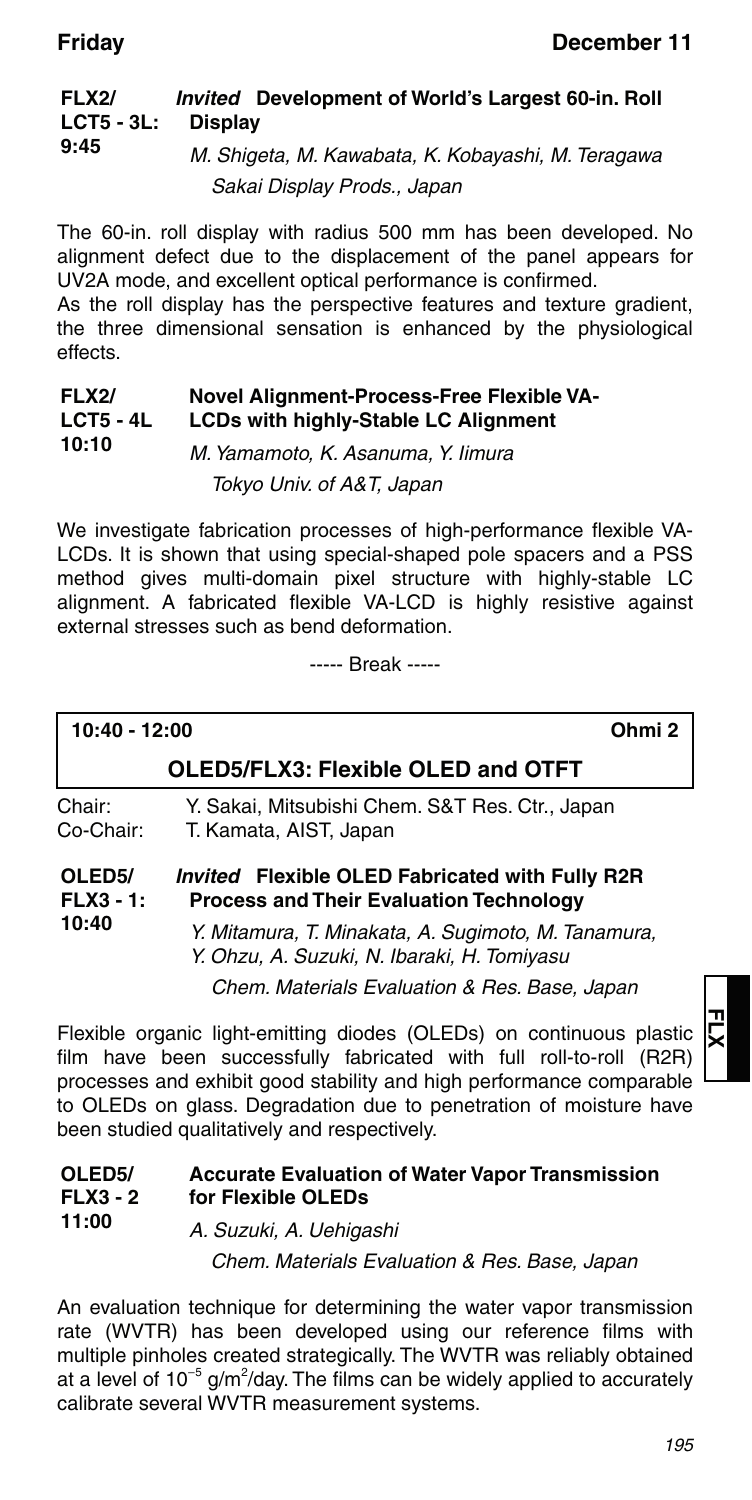#### **FLX2/ LCT5 - 3L: 9:45** *Invited* **Development of World's Largest 60-in. Roll Display** M. Shigeta, M. Kawabata, K. Kobayashi, M. Teragawa

Sakai Display Prods., Japan

The 60-in. roll display with radius 500 mm has been developed. No alignment defect due to the displacement of the panel appears for UV2A mode, and excellent optical performance is confirmed.

As the roll display has the perspective features and texture gradient, the three dimensional sensation is enhanced by the physiological effects.

#### **FLX2/ LCT5 - 4L 10:10 Novel Alignment-Process-Free Flexible VA-LCDs with highly-Stable LC Alignment**

M. Yamamoto, K. Asanuma, Y. Iimura Tokyo Univ. of A&T, Japan

We investigate fabrication processes of high-performance flexible VA-LCDs. It is shown that using special-shaped pole spacers and a PSS method gives multi-domain pixel structure with highly-stable LC alignment. A fabricated flexible VA-LCD is highly resistive against external stresses such as bend deformation.

----- Break -----

**10:40 - 12:00 Ohmi 2**

**10:40**

### **OLED5/FLX3: Flexible OLED and OTFT**

Chair: Y. Sakai, Mitsubishi Chem. S&T Res. Ctr., Japan Co-Chair: T. Kamata, AIST, Japan

#### **OLED5/ FLX3 - 1:** *Invited* **Flexible OLED Fabricated with Fully R2R Process and Their Evaluation Technology**

Y. Mitamura, T. Minakata, A. Sugimoto, M. Tanamura, Y. Ohzu, A. Suzuki, N. Ibaraki, H. Tomiyasu

Chem. Materials Evaluation & Res. Base, Japan

Flexible organic light-emitting diodes (OLEDs) on continuous plastic film have been successfully fabricated with full roll-to-roll (R2R) processes and exhibit good stability and high performance comparable to OLEDs on glass. Degradation due to penetration of moisture have been studied qualitatively and respectively.

#### **OLED5/ FLX3 - 2 11:00 Accurate Evaluation of Water Vapor Transmission for Flexible OLEDs** A. Suzuki, A. Uehigashi

Chem. Materials Evaluation & Res. Base, Japan

An evaluation technique for determining the water vapor transmission rate (WVTR) has been developed using our reference films with multiple pinholes created strategically. The WVTR was reliably obtained at a level of  $10^{-5}$  g/m<sup>2</sup>/day. The films can be widely applied to accurately calibrate several WVTR measurement systems.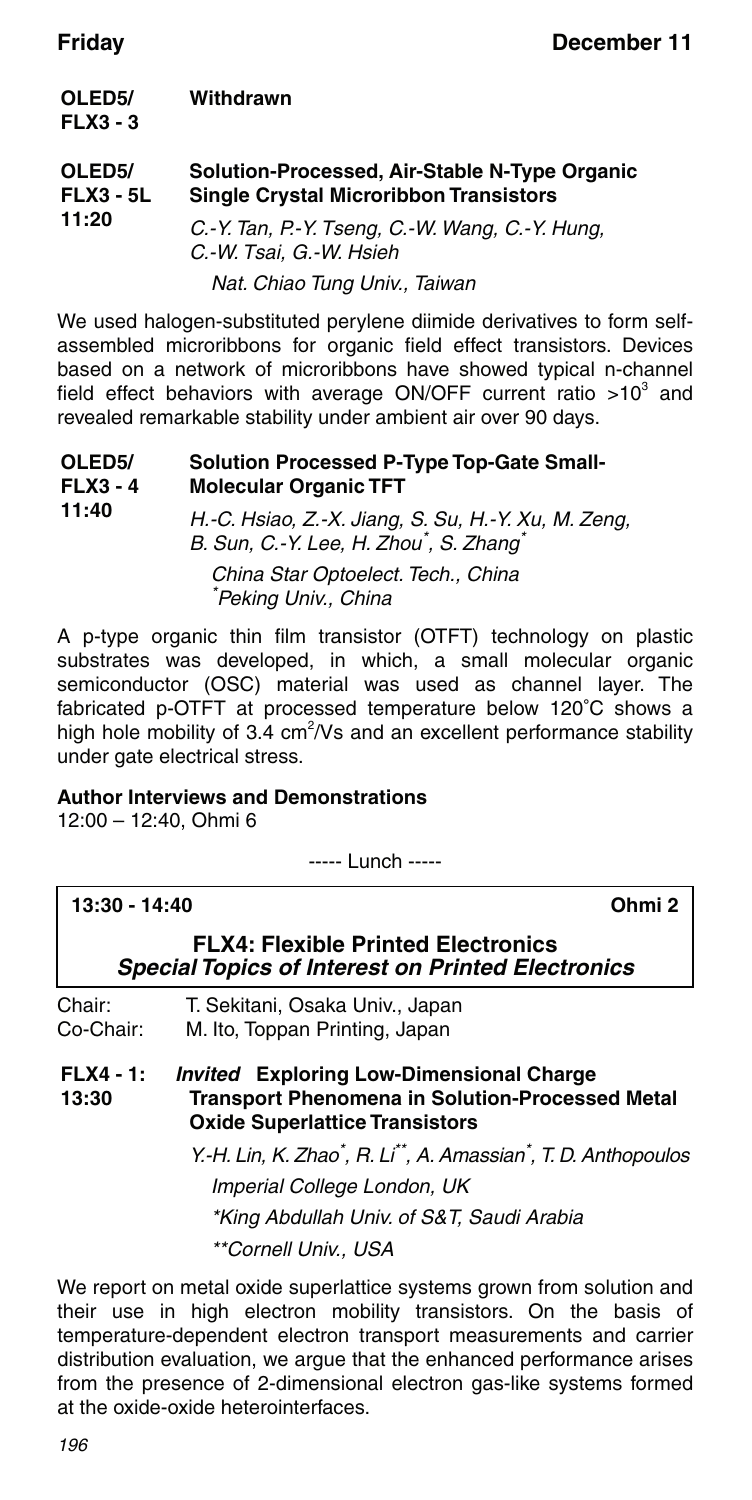| OLED <sub>5</sub> /<br>$FLX3 - 3$       | Withdrawn                                                                                      |
|-----------------------------------------|------------------------------------------------------------------------------------------------|
| OLED <sub>5</sub> /<br><b>FLX3 - 5L</b> | Solution-Processed, Air-Stable N-Type Organic<br><b>Single Crystal Microribbon Transistors</b> |
| 11:20                                   | C. Y. Tan, P. Y. Tseng, C. W. Wang, C. Y. Hung,<br>C.-W. Tsai, G.-W. Hsieh                     |
|                                         | Nat. Chiao Tung Univ., Taiwan                                                                  |

We used halogen-substituted perylene diimide derivatives to form selfassembled microribbons for organic field effect transistors. Devices based on a network of microribbons have showed typical n-channel field effect behaviors with average ON/OFF current ratio  $>10^3$  and revealed remarkable stability under ambient air over 90 days.

| OLED <sub>5</sub> /<br>$FLX3 - 4$ | <b>Solution Processed P-Type Top-Gate Small-</b><br><b>Molecular Organic TFT</b>                                       |
|-----------------------------------|------------------------------------------------------------------------------------------------------------------------|
| 11:40                             | H.-C. Hsiao, Z.-X. Jiang, S. Su, H.-Y. Xu, M. Zeng,<br>B. Sun, C.-Y. Lee, H. Zhou <sup>*</sup> , S. Zhang <sup>*</sup> |
|                                   | China Star Optoelect. Tech., China<br>*Peking Univ., China                                                             |

A p-type organic thin film transistor (OTFT) technology on plastic substrates was developed, in which, a small molecular organic semiconductor (OSC) material was used as channel layer. The fabricated p-OTFT at processed temperature below 120°C shows a high hole mobility of 3.4  $cm^2/Vs$  and an excellent performance stability under gate electrical stress.

### **Author Interviews and Demonstrations**

12:00 – 12:40, Ohmi 6

----- Lunch -----

| $13:30 - 14:40$      | Ohmi 2                                                                                                                                             |
|----------------------|----------------------------------------------------------------------------------------------------------------------------------------------------|
|                      | <b>FLX4: Flexible Printed Electronics</b><br><b>Special Topics of Interest on Printed Electronics</b>                                              |
| Chair:<br>Co-Chair:  | T. Sekitani, Osaka Univ., Japan<br>M. Ito, Toppan Printing, Japan                                                                                  |
| $FLX4 - 1:$<br>13:30 | <b>Invited</b> Exploring Low-Dimensional Charge<br><b>Transport Phenomena in Solution-Processed Metal</b><br><b>Oxide Superlattice Transistors</b> |
|                      | Y.-H. Lin, K. Zhao <sup>*</sup> , R. Li <sup>**</sup> , A. Amassian <sup>*</sup> , T. D. Anthopoulos<br>Imperial College London, UK                |
|                      | *King Abdullah Univ. of S&T, Saudi Arabia                                                                                                          |
|                      | **Cornell Univ USA                                                                                                                                 |

We report on metal oxide superlattice systems grown from solution and their use in high electron mobility transistors. On the basis of temperature-dependent electron transport measurements and carrier distribution evaluation, we argue that the enhanced performance arises from the presence of 2-dimensional electron gas-like systems formed at the oxide-oxide heterointerfaces.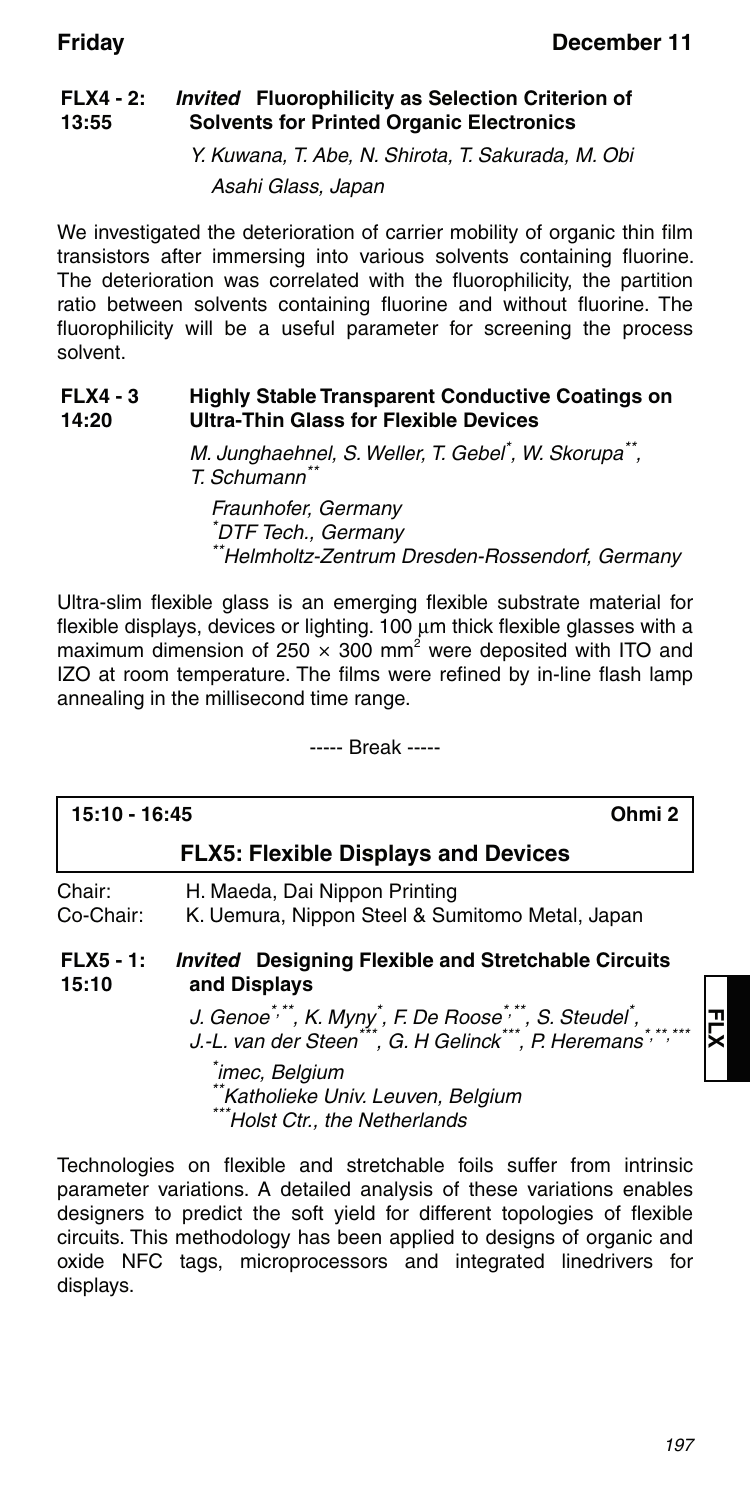#### **FLX4 - 2: 13:55** *Invited* **Fluorophilicity as Selection Criterion of Solvents for Printed Organic Electronics**

Y. Kuwana, T. Abe, N. Shirota, T. Sakurada, M. Obi Asahi Glass, Japan

We investigated the deterioration of carrier mobility of organic thin film transistors after immersing into various solvents containing fluorine. The deterioration was correlated with the fluorophilicity, the partition ratio between solvents containing fluorine and without fluorine. The fluorophilicity will be a useful parameter for screening the process solvent.

#### **FLX4 - 3 14:20 Highly Stable Transparent Conductive Coatings on Ultra-Thin Glass for Flexible Devices**

M. Junghaehnel, S. Weller, T. Gebel<sup>\*</sup>, W. Skorupa<sup>\*\*</sup>, T. Schumann\*\*

Fraunhofer, Germany \* DTF Tech., Germany \*\*Helmholtz-Zentrum Dresden-Rossendorf, Germany

Ultra-slim flexible glass is an emerging flexible substrate material for flexible displays, devices or lighting.  $100 \mu m$  thick flexible glasses with a maximum dimension of 250  $\times$  300 mm<sup>2</sup> were deposited with ITO and IZO at room temperature. The films were refined by in-line flash lamp annealing in the millisecond time range.

----- Break -----

|                      | Ohmi <sub>2</sub><br>15:10 - 16:45                                                                                                                                                                              |  |
|----------------------|-----------------------------------------------------------------------------------------------------------------------------------------------------------------------------------------------------------------|--|
|                      | <b>FLX5: Flexible Displays and Devices</b>                                                                                                                                                                      |  |
| Chair:<br>Co-Chair:  | H. Maeda, Dai Nippon Printing<br>K. Uemura, Nippon Steel & Sumitomo Metal, Japan                                                                                                                                |  |
| $FLX5 - 1:$<br>15:10 | <i>Invited</i> Designing Flexible and Stretchable Circuits<br>and Displays                                                                                                                                      |  |
|                      | J. Genoe <sup>*,**</sup> , K. Myny <sup>*</sup> , F. De Roose <sup>*,**</sup> , S. Steudel <sup>*</sup> ,<br>J.-L. van der Steen <sup>***</sup> , G. H Gelinck <sup>***</sup> , P. Heremans <sup>*,**,***</sup> |  |
|                      | <sup>*</sup> imec, Belgium<br>**Katholieke Univ. Leuven, Belgium<br>***Holst Ctr., the Netherlands                                                                                                              |  |

Technologies on flexible and stretchable foils suffer from intrinsic parameter variations. A detailed analysis of these variations enables designers to predict the soft yield for different topologies of flexible circuits. This methodology has been applied to designs of organic and oxide NFC tags, microprocessors and integrated linedrivers for displays.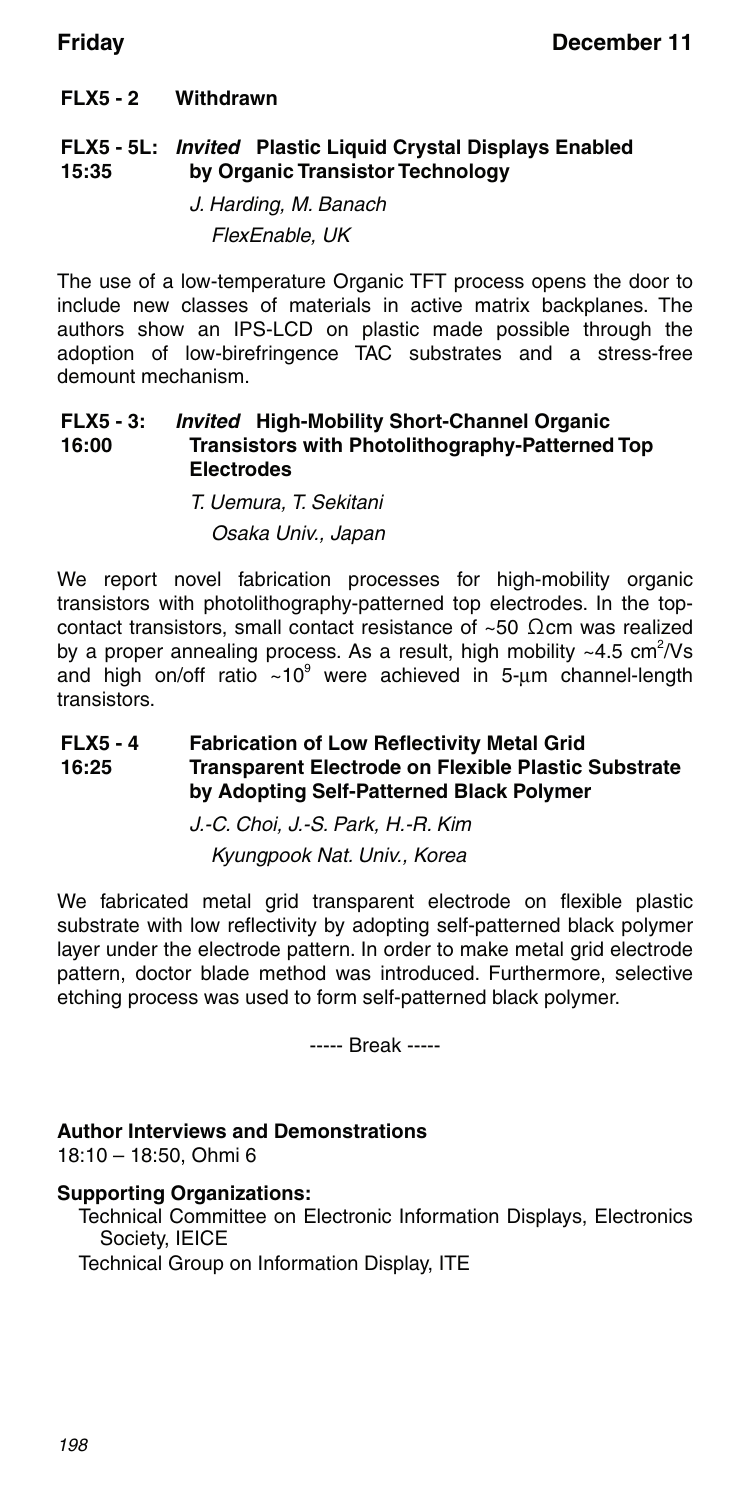### **FLX5 - 2 Withdrawn**

### **FLX5 - 5L:** *Invited* **Plastic Liquid Crystal Displays Enabled 15:35 by Organic Transistor Technology**

J. Harding, M. Banach FlexEnable, UK

The use of a low-temperature Organic TFT process opens the door to include new classes of materials in active matrix backplanes. The authors show an IPS-LCD on plastic made possible through the adoption of low-birefringence TAC substrates and a stress-free demount mechanism.

#### **FLX5 - 3: 16:00** *Invited* **High-Mobility Short-Channel Organic Transistors with Photolithography-Patterned Top Electrodes**

### T. Uemura, T. Sekitani Osaka Univ., Japan

We report novel fabrication processes for high-mobility organic transistors with photolithography-patterned top electrodes. In the topcontact transistors, small contact resistance of ~50 Ωcm was realized by a proper annealing process. As a result, high mobility  $\sim4.5$  cm<sup>2</sup>/Vs and high on/off ratio  $\sim$ 10 $^{\circ}$  were achieved in 5-µm channel-length transistors.

#### **FLX5 - 4 16:25 Fabrication of Low Reflectivity Metal Grid Transparent Electrode on Flexible Plastic Substrate by Adopting Self-Patterned Black Polymer**

J.-C. Choi, J.-S. Park, H.-R. Kim

Kyungpook Nat. Univ., Korea

We fabricated metal grid transparent electrode on flexible plastic substrate with low reflectivity by adopting self-patterned black polymer layer under the electrode pattern. In order to make metal grid electrode pattern, doctor blade method was introduced. Furthermore, selective etching process was used to form self-patterned black polymer.

----- Break -----

### **Author Interviews and Demonstrations**

18:10 – 18:50, Ohmi 6

### **Supporting Organizations:**

Technical Committee on Electronic Information Displays, Electronics Society, IEICE

Technical Group on Information Display, ITE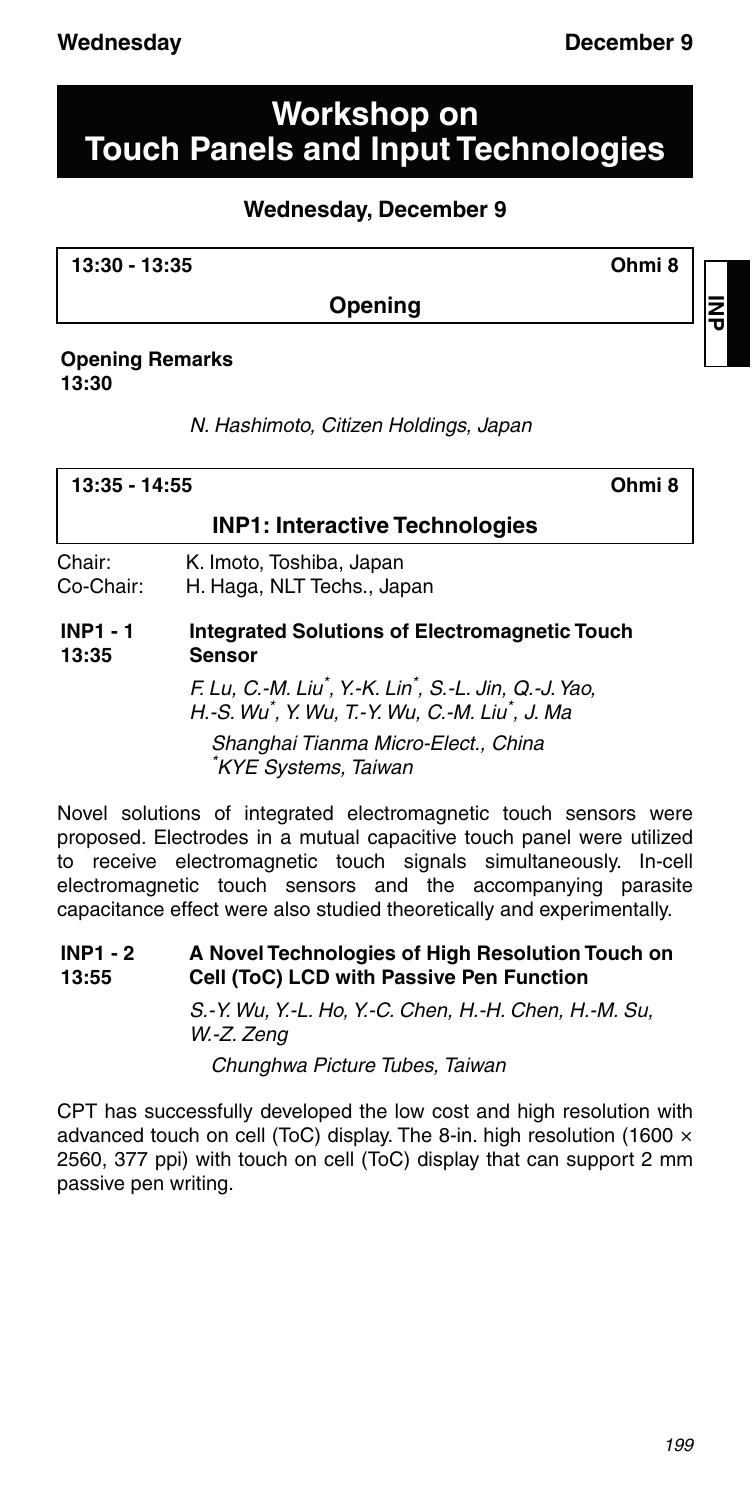## **Workshop on Touch Panels and Input Technologies**

### **Wednesday, December 9**

**13:30 - 13:35 Ohmi 8**

**Opening**

### **Opening Remarks 13:30**

N. Hashimoto, Citizen Holdings, Japan

|                          | Ohmi 8<br>$13:35 - 14:55$                                      |  |
|--------------------------|----------------------------------------------------------------|--|
|                          | <b>INP1: Interactive Technologies</b>                          |  |
| Chair:<br>Co-Chair:      | K. Imoto, Toshiba, Japan<br>H. Haga, NLT Techs., Japan         |  |
| <b>INP1 - 1</b><br>13:35 | Integrated Solutions of Electromagnetic Touch<br><b>Sensor</b> |  |

F. Lu, C.-M. Liu\* , Y.-K. Lin\* , S.-L. Jin, Q.-J. Yao, H.-S. Wu\* , Y. Wu, T.-Y. Wu, C.-M. Liu\* , J. Ma Shanghai Tianma Micro-Elect., China \* KYE Systems, Taiwan

Novel solutions of integrated electromagnetic touch sensors were proposed. Electrodes in a mutual capacitive touch panel were utilized to receive electromagnetic touch signals simultaneously. In-cell electromagnetic touch sensors and the accompanying parasite capacitance effect were also studied theoretically and experimentally.

#### **INP1 - 2 13:55 A Novel Technologies of High Resolution Touch on Cell (ToC) LCD with Passive Pen Function**

S.-Y. Wu, Y.-L. Ho, Y.-C. Chen, H.-H. Chen, H.-M. Su, W.-Z. Zeng

Chunghwa Picture Tubes, Taiwan

CPT has successfully developed the low cost and high resolution with advanced touch on cell (ToC) display. The 8-in. high resolution (1600 × 2560, 377 ppi) with touch on cell (ToC) display that can support 2 mm passive pen writing.

**INP**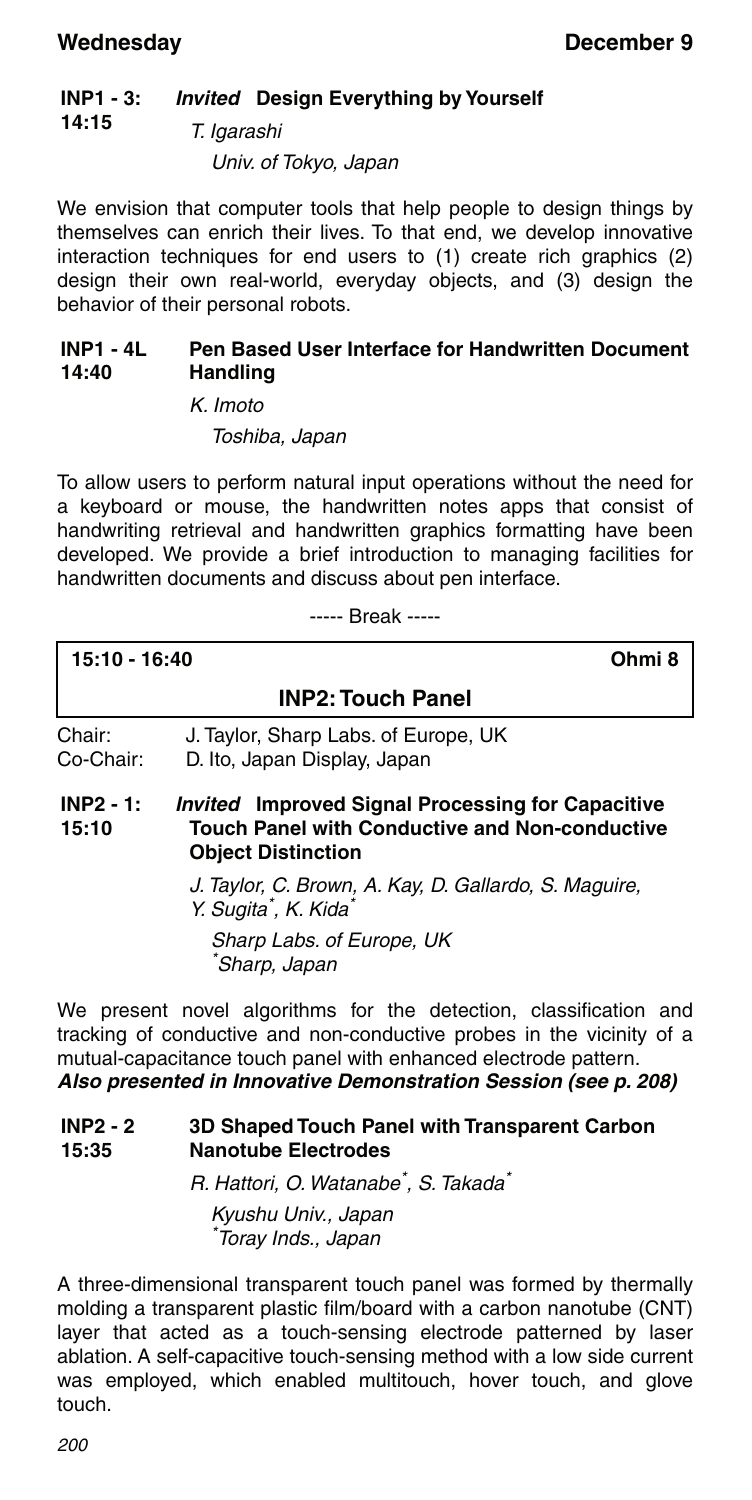#### **INP1 - 3:** *Invited* **Design Everything by Yourself**

### **14:15** T. Igarashi

Univ. of Tokyo, Japan

We envision that computer tools that help people to design things by themselves can enrich their lives. To that end, we develop innovative interaction techniques for end users to (1) create rich graphics (2) design their own real-world, everyday objects, and (3) design the behavior of their personal robots.

#### **INP1 - 4L 14:40 Pen Based User Interface for Handwritten Document Handling**

K. Imoto

Toshiba, Japan

To allow users to perform natural input operations without the need for a keyboard or mouse, the handwritten notes apps that consist of handwriting retrieval and handwritten graphics formatting have been developed. We provide a brief introduction to managing facilities for handwritten documents and discuss about pen interface.

----- Break -----

| 15:10 - 16:40            | Ohmi 8                                                                                                                                         |  |  |
|--------------------------|------------------------------------------------------------------------------------------------------------------------------------------------|--|--|
| <b>INP2: Touch Panel</b> |                                                                                                                                                |  |  |
| Chair:<br>Co-Chair:      | J. Taylor, Sharp Labs. of Europe, UK<br>D. Ito, Japan Display, Japan                                                                           |  |  |
| $INP2 - 1:$<br>15:10     | <i>Invited</i> Improved Signal Processing for Capacitive<br><b>Touch Panel with Conductive and Non-conductive</b><br><b>Object Distinction</b> |  |  |
|                          | J. Taylor, C. Brown, A. Kay, D. Gallardo, S. Maguire,<br>Y. Sugita <sup>*</sup> , K. Kida <sup>*</sup>                                         |  |  |
|                          | Sharp Labs. of Europe, UK<br><sup>*</sup> Sharp, Japan                                                                                         |  |  |

We present novel algorithms for the detection, classification and tracking of conductive and non-conductive probes in the vicinity of a mutual-capacitance touch panel with enhanced electrode pattern. *Also presented in Innovative Demonstration Session (see p. 208)*

#### **INP2 - 2 15:35 3D Shaped Touch Panel with Transparent Carbon Nanotube Electrodes**

R. Hattori, O. Watanabe<sup>\*</sup>, S. Takada<sup>\*</sup>

Kyushu Univ., Japan \* Toray Inds., Japan

A three-dimensional transparent touch panel was formed by thermally molding a transparent plastic film/board with a carbon nanotube (CNT) layer that acted as a touch-sensing electrode patterned by laser ablation. A self-capacitive touch-sensing method with a low side current was employed, which enabled multitouch, hover touch, and glove touch.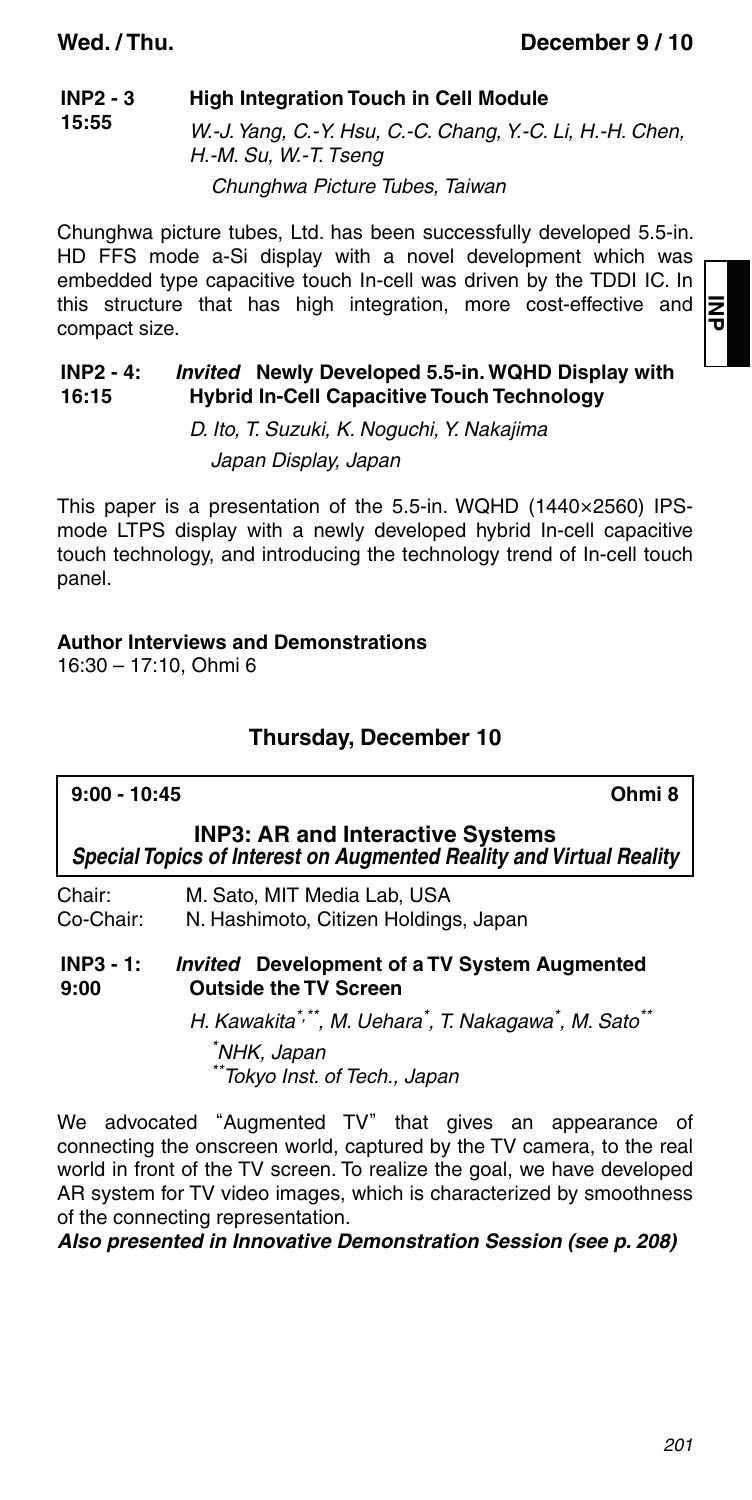**15:55**

#### **INP2 - 3 High Integration Touch in Cell Module**

W.-J. Yang, C.-Y. Hsu, C.-C. Chang, Y.-C. Li, H.-H. Chen, H.-M. Su, W.-T. Tseng

Chunghwa Picture Tubes, Taiwan

Chunghwa picture tubes, Ltd. has been successfully developed 5.5-in. HD FFS mode a-Si display with a novel development which was embedded type capacitive touch In-cell was driven by the TDDI IC. In this structure that has high integration, more cost-effective and compact size.

#### **INP2 - 4: 16:15** *Invited* **Newly Developed 5.5-in. WQHD Display with Hybrid In-Cell Capacitive Touch Technology**

D. Ito, T. Suzuki, K. Noguchi, Y. Nakajima Japan Display, Japan

This paper is a presentation of the 5.5-in. WQHD (1440×2560) IPSmode LTPS display with a newly developed hybrid In-cell capacitive touch technology, and introducing the technology trend of In-cell touch panel.

### **Author Interviews and Demonstrations**

16:30 – 17:10, Ohmi 6

### **Thursday, December 10**

| Ohmi 8<br>$9:00 - 10:45$                                                                                   |                                                                                                                                                        |  |
|------------------------------------------------------------------------------------------------------------|--------------------------------------------------------------------------------------------------------------------------------------------------------|--|
|                                                                                                            | <b>INP3: AR and Interactive Systems</b><br>Special Topics of Interest on Augmented Reality and Virtual Reality                                         |  |
| Chair:<br>Co-Chair:                                                                                        | M. Sato. MIT Media Lab. USA<br>N. Hashimoto, Citizen Holdings, Japan                                                                                   |  |
| $INP3 - 1:$<br><b>Invited</b> Development of a TV System Augmented<br><b>Outside the TV Screen</b><br>9:00 |                                                                                                                                                        |  |
|                                                                                                            | H. Kawakita*,**, M. Uehara*, T. Nakagawa*, M. Sato**<br>NHK, Japan<br>**Tokyo Inst. of Tech., Japan                                                    |  |
|                                                                                                            | We advocated "Augmented TV" that gives an appearance of<br>المتعر وعاليته المستحدث فالاترام والمتورية والمستخدم المارونين ويتحددون والمستخدم والمستخدم |  |

connecting the onscreen world, captured by the TV camera, to the real world in front of the TV screen. To realize the goal, we have developed AR system for TV video images, which is characterized by smoothness of the connecting representation.

*Also presented in Innovative Demonstration Session (see p. 208)*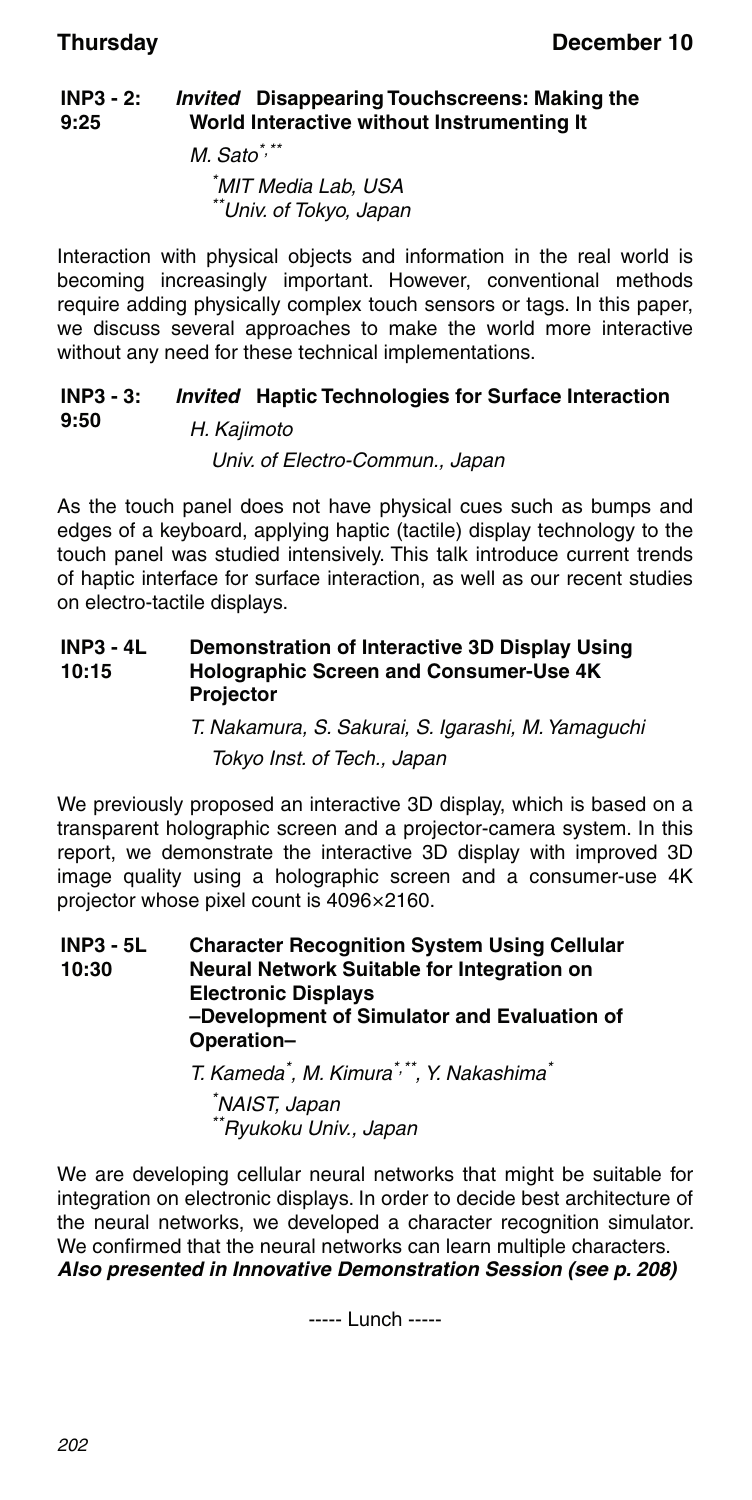#### **INP3 - 2: 9:25** *Invited* **Disappearing Touchscreens: Making the World Interactive without Instrumenting It**

 $M.$  Sato<sup>\*,\*\*</sup> \* MIT Media Lab, USA \*Univ. of Tokyo, Japan

Interaction with physical objects and information in the real world is becoming increasingly important. However, conventional methods require adding physically complex touch sensors or tags. In this paper, we discuss several approaches to make the world more interactive without any need for these technical implementations.

#### **INP3 - 3: 9:50** *Invited* **Haptic Technologies for Surface Interaction** H. Kajimoto

Univ. of Electro-Commun., Japan

As the touch panel does not have physical cues such as bumps and edges of a keyboard, applying haptic (tactile) display technology to the touch panel was studied intensively. This talk introduce current trends of haptic interface for surface interaction, as well as our recent studies on electro-tactile displays.

#### **INP3 - 4L 10:15 Demonstration of Interactive 3D Display Using Holographic Screen and Consumer-Use 4K Projector**

T. Nakamura, S. Sakurai, S. Igarashi, M. Yamaguchi Tokyo Inst. of Tech., Japan

We previously proposed an interactive 3D display, which is based on a transparent holographic screen and a projector-camera system. In this report, we demonstrate the interactive 3D display with improved 3D image quality using a holographic screen and a consumer-use 4K projector whose pixel count is 4096×2160.

**INP3 - 5L 10:30 Character Recognition System Using Cellular Neural Network Suitable for Integration on Electronic Displays –Development of Simulator and Evaluation of Operation–**

T. Kameda<sup>\*</sup>, M. Kimura<sup>\*,\*\*</sup>, Y. Nakashima<sup>\*</sup>

\* NAIST, Japan \*Ryukoku Univ., Japan

We are developing cellular neural networks that might be suitable for integration on electronic displays. In order to decide best architecture of the neural networks, we developed a character recognition simulator. We confirmed that the neural networks can learn multiple characters. *Also presented in Innovative Demonstration Session (see p. 208)*

----- Lunch -----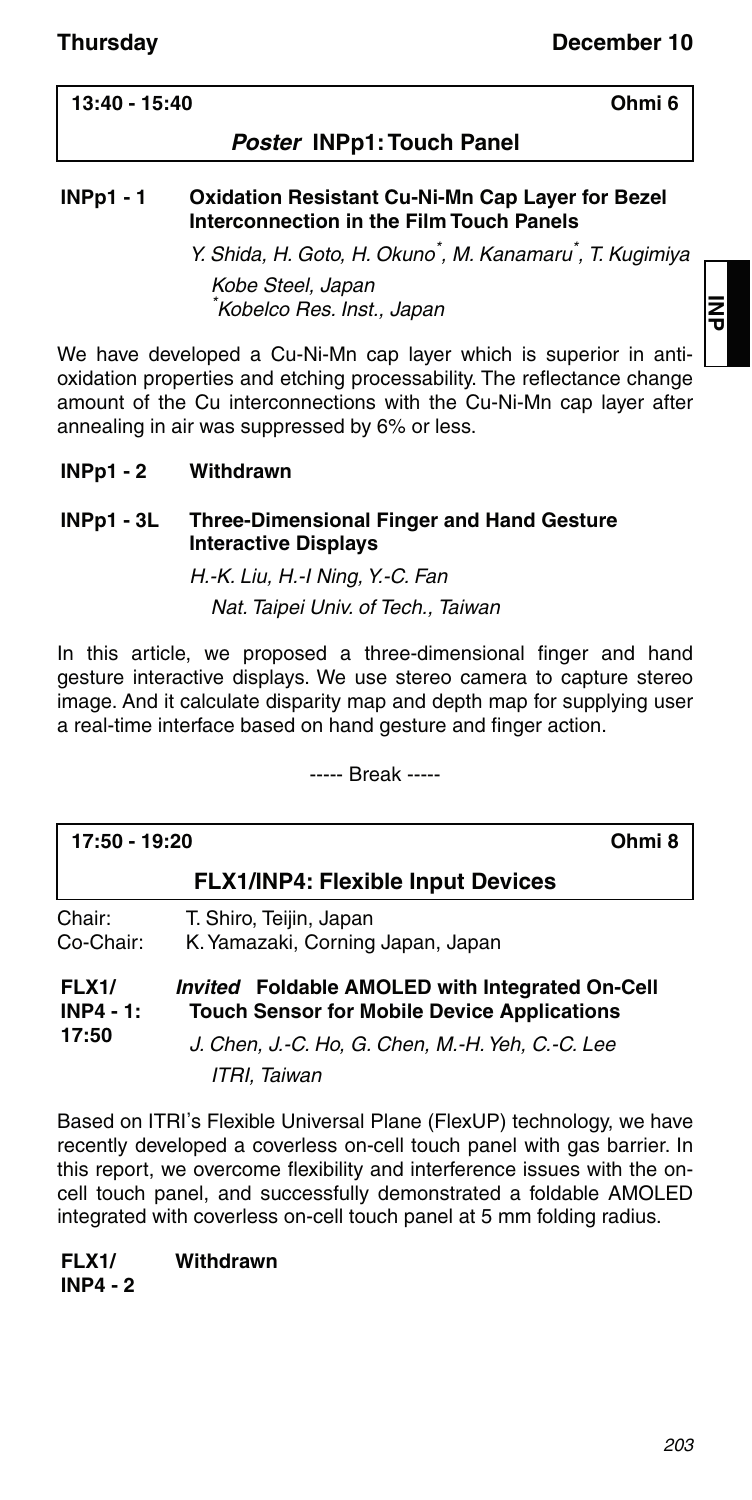### **13:40 - 15:40 Ohmi 6**

### *Poster* **INPp1: Touch Panel**

### **INPp1 - 1 Oxidation Resistant Cu-Ni-Mn Cap Layer for Bezel Interconnection in the Film Touch Panels**

Y. Shida, H. Goto, H. Okuno<sup>\*</sup>, M. Kanamaru<sup>\*</sup>, T. Kugimiya

Kobe Steel, Japan \* Kobelco Res. Inst., Japan

We have developed a Cu-Ni-Mn cap layer which is superior in antioxidation properties and etching processability. The reflectance change amount of the Cu interconnections with the Cu-Ni-Mn cap layer after annealing in air was suppressed by 6% or less.

### **INPp1 - 2 Withdrawn**

### **INPp1 - 3L Three-Dimensional Finger and Hand Gesture Interactive Displays**

H.-K. Liu, H.-I Ning, Y.-C. Fan

Nat. Taipei Univ. of Tech., Taiwan

In this article, we proposed a three-dimensional finger and hand gesture interactive displays. We use stereo camera to capture stereo image. And it calculate disparity map and depth map for supplying user a real-time interface based on hand gesture and finger action.

----- Break -----

| 17:50 - 19:20                        |                                                                                                                                                                           | Ohmi 8 |
|--------------------------------------|---------------------------------------------------------------------------------------------------------------------------------------------------------------------------|--------|
|                                      | <b>FLX1/INP4: Flexible Input Devices</b>                                                                                                                                  |        |
| Chair:<br>Co-Chair:                  | T. Shiro, Teijin, Japan<br>K. Yamazaki, Corning Japan, Japan                                                                                                              |        |
| <b>FLX1/</b><br>$INP4 - 1:$<br>17:50 | Invited Foldable AMOLED with Integrated On-Cell<br><b>Touch Sensor for Mobile Device Applications</b><br>J. Chen, J.-C. Ho, G. Chen, M.-H. Yeh, C.-C. Lee<br>ITRI. Taiwan |        |

Based on ITRI's Flexible Universal Plane (FlexUP) technology, we have recently developed a coverless on-cell touch panel with gas barrier. In this report, we overcome flexibility and interference issues with the oncell touch panel, and successfully demonstrated a foldable AMOLED integrated with coverless on-cell touch panel at 5 mm folding radius.

**FLX1/ INP4 - 2 Withdrawn**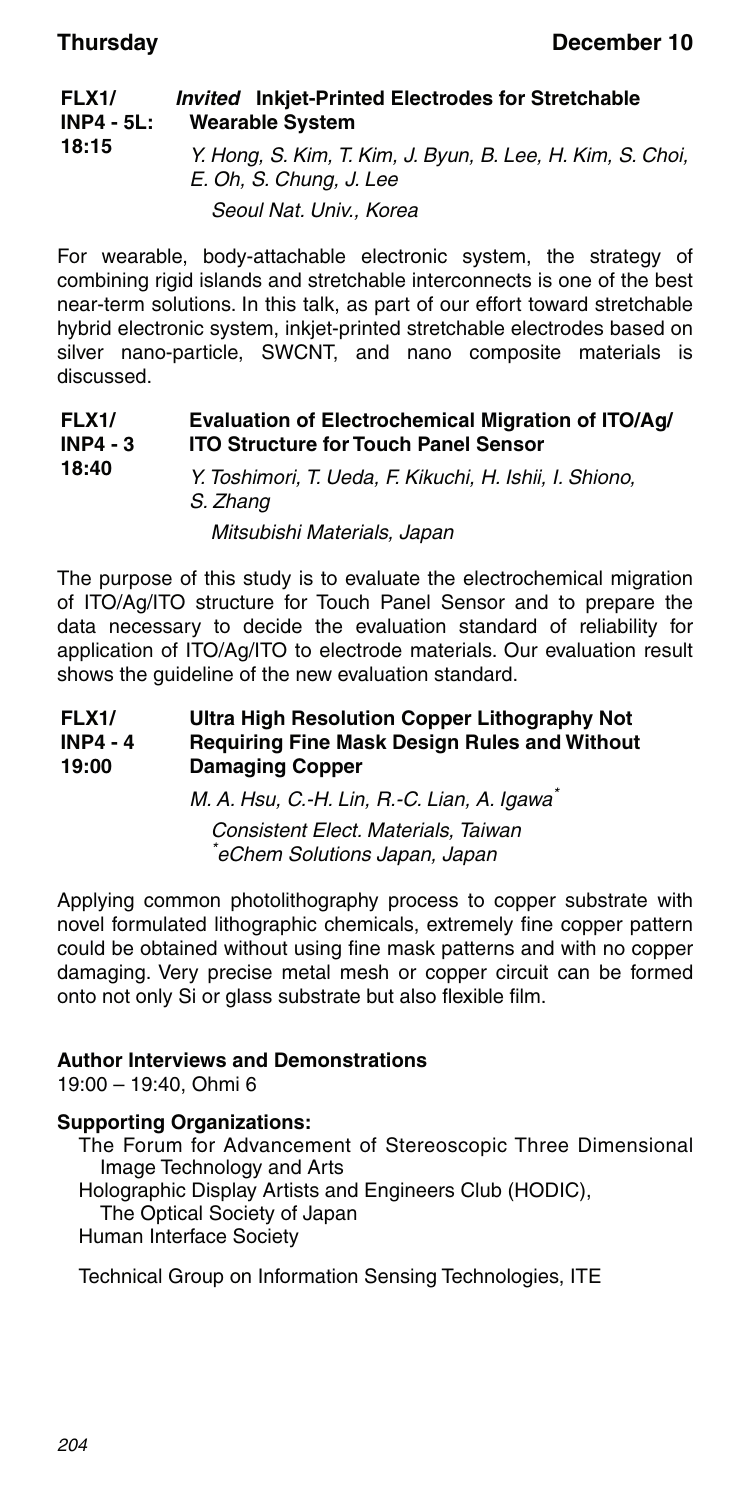#### **FLX1/ INP4 - 5L: 18:15** *Invited* **Inkjet-Printed Electrodes for Stretchable Wearable System** Y. Hong, S. Kim, T. Kim, J. Byun, B. Lee, H. Kim, S. Choi, E. Oh, S. Chung, J. Lee Seoul Nat. Univ., Korea

For wearable, body-attachable electronic system, the strategy of combining rigid islands and stretchable interconnects is one of the best near-term solutions. In this talk, as part of our effort toward stretchable hybrid electronic system, inkiet-printed stretchable electrodes based on silver nano-particle, SWCNT, and nano composite materials is discussed.

#### **FLX1/ INP4 - 3 18:40 Evaluation of Electrochemical Migration of ITO/Ag/ ITO Structure for Touch Panel Sensor** Y. Toshimori, T. Ueda, F. Kikuchi, H. Ishii, I. Shiono, S. Zhang

Mitsubishi Materials, Japan

The purpose of this study is to evaluate the electrochemical migration of ITO/Ag/ITO structure for Touch Panel Sensor and to prepare the data necessary to decide the evaluation standard of reliability for application of ITO/Ag/ITO to electrode materials. Our evaluation result shows the guideline of the new evaluation standard.

#### **FLX1/ INP4 - 4 19:00 Ultra High Resolution Copper Lithography Not Requiring Fine Mask Design Rules and Without Damaging Copper**

M. A. Hsu, C.-H. Lin, R.-C. Lian, A. Igawa\* Consistent Elect. Materials, Taiwan \* eChem Solutions Japan, Japan

Applying common photolithography process to copper substrate with novel formulated lithographic chemicals, extremely fine copper pattern could be obtained without using fine mask patterns and with no copper damaging. Very precise metal mesh or copper circuit can be formed onto not only Si or glass substrate but also flexible film.

### **Author Interviews and Demonstrations**

19:00 – 19:40, Ohmi 6

### **Supporting Organizations:**

The Forum for Advancement of Stereoscopic Three Dimensional Image Technology and Arts Holographic Display Artists and Engineers Club (HODIC), The Optical Society of Japan Human Interface Society

Technical Group on Information Sensing Technologies, ITE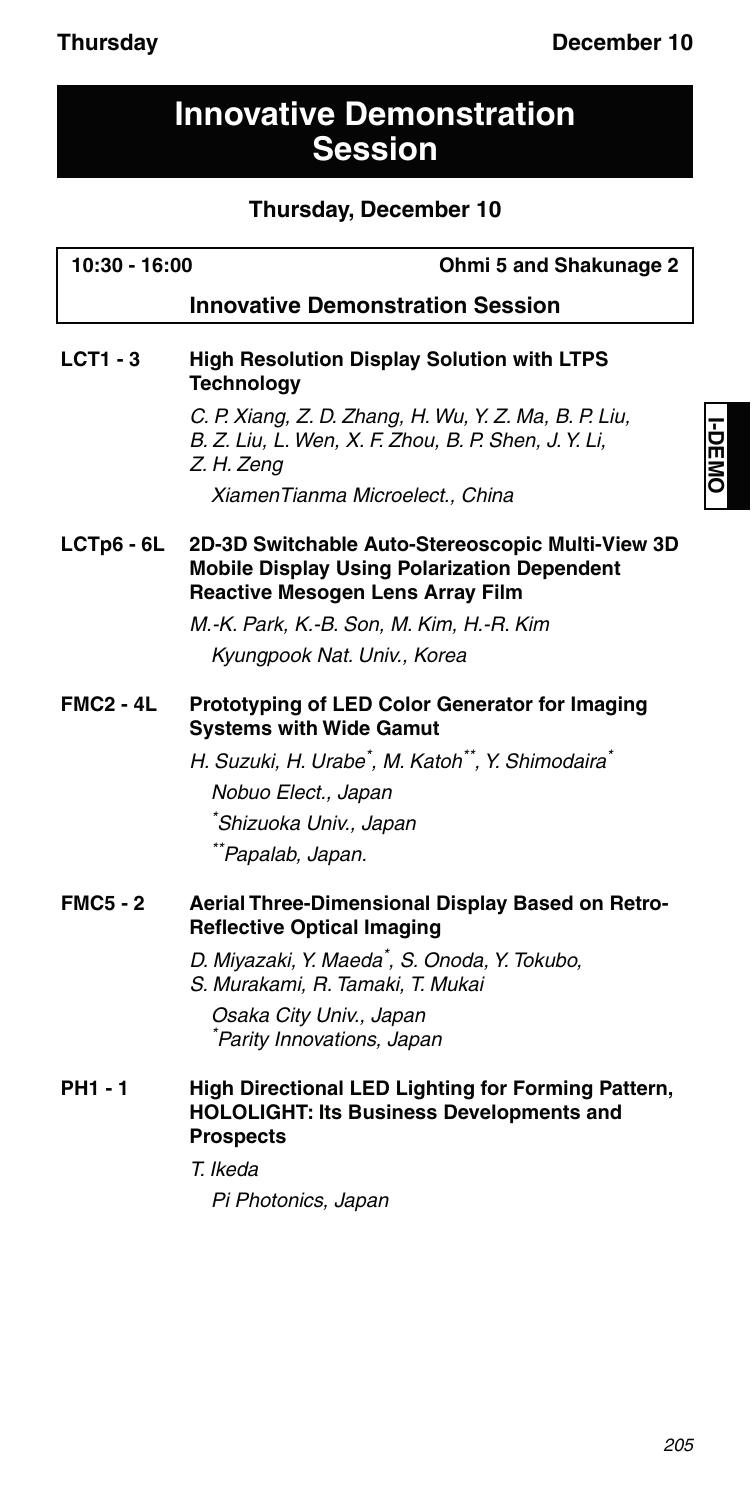## **Innovative Demonstration Session**

## **Thursday, December 10**

| 10:30 - 16:00    | Ohmi 5 and Shakunage 2                                                                                                                            |  |  |
|------------------|---------------------------------------------------------------------------------------------------------------------------------------------------|--|--|
|                  | <b>Innovative Demonstration Session</b>                                                                                                           |  |  |
| $LCT1 - 3$       | <b>High Resolution Display Solution with LTPS</b><br><b>Technology</b>                                                                            |  |  |
|                  | C. P. Xiang, Z. D. Zhang, H. Wu, Y. Z. Ma, B. P. Liu,<br>B. Z. Liu, L. Wen, X. F. Zhou, B. P. Shen, J. Y. Li,<br>Z. H. Zeng                       |  |  |
|                  | XiamenTianma Microelect., China                                                                                                                   |  |  |
| $LCTp6 - 6L$     | 2D-3D Switchable Auto-Stereoscopic Multi-View 3D<br><b>Mobile Display Using Polarization Dependent</b><br><b>Reactive Mesogen Lens Array Film</b> |  |  |
|                  | M.-K. Park, K.-B. Son, M. Kim, H.-R. Kim                                                                                                          |  |  |
|                  | Kyungpook Nat. Univ., Korea                                                                                                                       |  |  |
| <b>FMC2 - 4L</b> | Prototyping of LED Color Generator for Imaging<br><b>Systems with Wide Gamut</b>                                                                  |  |  |
|                  | H. Suzuki, H. Urabe <sup>*</sup> , M. Katoh**, Y. Shimodaira <sup>*</sup>                                                                         |  |  |
|                  | Nobuo Elect., Japan                                                                                                                               |  |  |
|                  | *Shizuoka Univ., Japan                                                                                                                            |  |  |
|                  | **Papalab, Japan.                                                                                                                                 |  |  |
| <b>FMC5 - 2</b>  | Aerial Three-Dimensional Display Based on Retro-<br><b>Reflective Optical Imaging</b>                                                             |  |  |
|                  | D. Miyazaki, Y. Maeda <sup>*</sup> , S. Onoda, Y. Tokubo,<br>S. Murakami, R. Tamaki, T. Mukai                                                     |  |  |
|                  | Osaka City Univ., Japan<br>Parity Innovations, Japan                                                                                              |  |  |
| PH1 - 1          | High Directional LED Lighting for Forming Pattern,<br><b>HOLOLIGHT: Its Business Developments and</b><br><b>Prospects</b>                         |  |  |
|                  | T. Ikeda                                                                                                                                          |  |  |
|                  | Pi Photonics, Japan                                                                                                                               |  |  |
|                  |                                                                                                                                                   |  |  |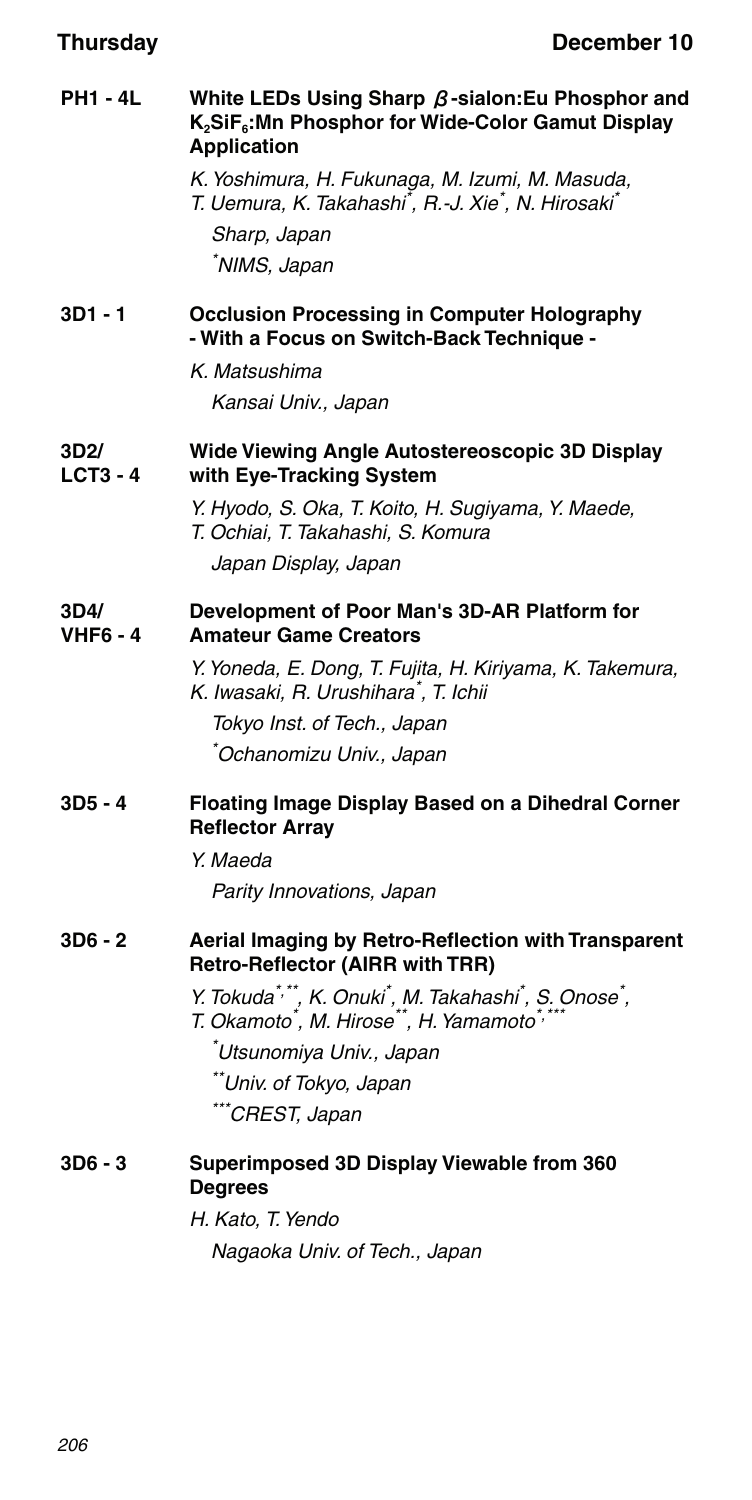### **PH1 - 4L White LEDs Using Sharp** β**-sialon:Eu Phosphor and K2SiF6:Mn Phosphor for Wide-Color Gamut Display Application**

K. Yoshimura, H. Fukunaga, M. Izumi, M. Masuda, T. Uemura, K. Takahashi<sup>\*</sup>, R.-J. Xie<sup>\*</sup>, N. Hirosaki<sup>\*</sup> Sharp, Japan \* NIMS, Japan

### **3D1 - 1 Occlusion Processing in Computer Holography - With a Focus on Switch-Back Technique -**

K. Matsushima Kansai Univ., Japan

#### **3D2/ LCT3 - 4 Wide Viewing Angle Autostereoscopic 3D Display with Eye-Tracking System**

Y. Hyodo, S. Oka, T. Koito, H. Sugiyama, Y. Maede, T. Ochiai, T. Takahashi, S. Komura Japan Display, Japan

#### **3D4/ VHF6 - 4 Development of Poor Man's 3D-AR Platform for Amateur Game Creators**

Y. Yoneda, E. Dong, T. Fujita, H. Kiriyama, K. Takemura, K. Iwasaki, R. Urushihara\* , T. Ichii

Tokyo Inst. of Tech., Japan \* Ochanomizu Univ., Japan

### **3D5 - 4 Floating Image Display Based on a Dihedral Corner Reflector Array**

Y. Maeda

Parity Innovations, Japan

### **3D6 - 2 Aerial Imaging by Retro-Reflection with Transparent Retro-Reflector (AIRR with TRR)**

- Y. Tokuda\*,\*\*, K. Onuki\*, M. Takahashi\*, S. Onose\*,<br>T. Okamoto\*, M. Hirose\*\*, H. Yamamoto\*,\*\*\*
- 

\* Utsunomiya Univ., Japan \*\*Univ. of Tokyo, Japan

\*\*\*CREST, Japan

### **3D6 - 3 Superimposed 3D Display Viewable from 360 Degrees**

H. Kato, T. Yendo Nagaoka Univ. of Tech., Japan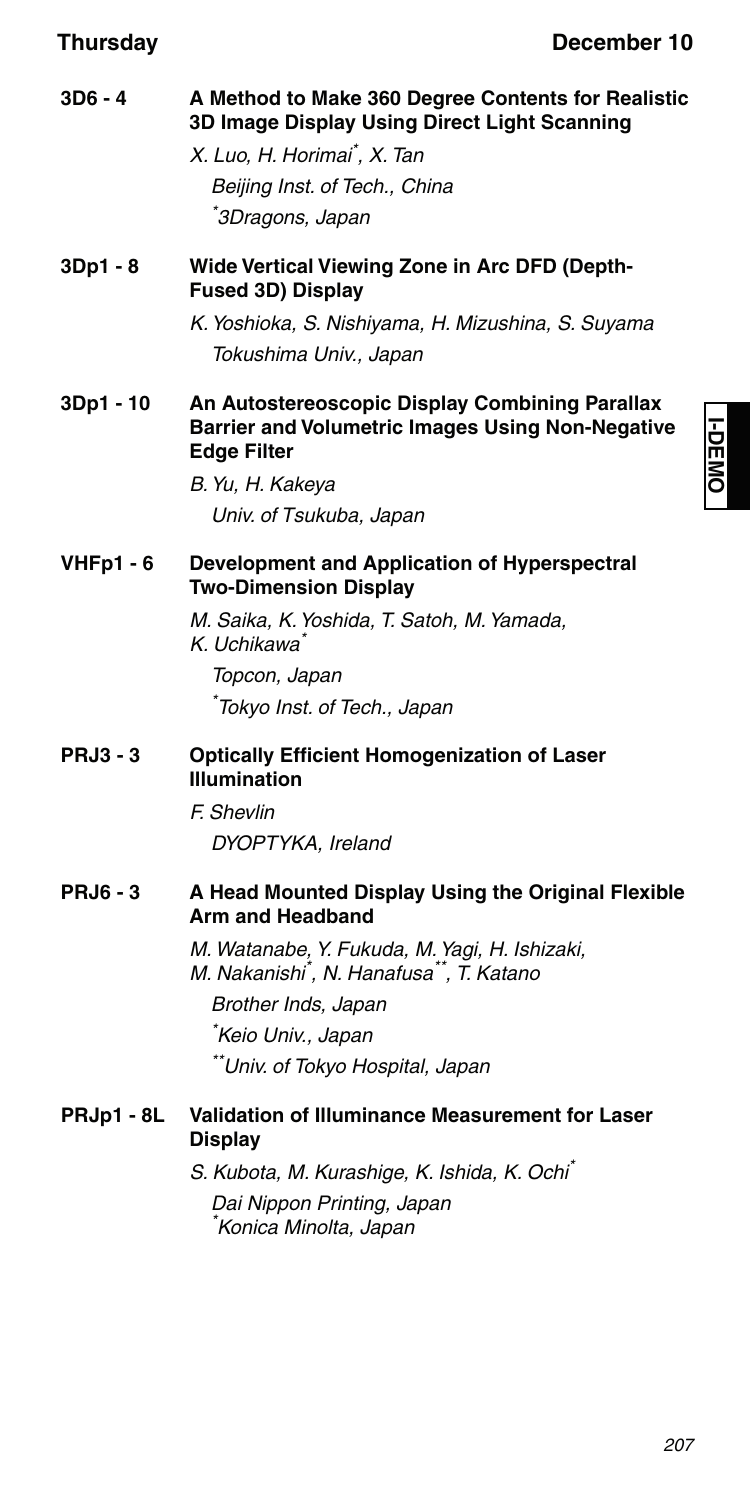**I-DEMO**

| $3D6 - 4$        | A Method to Make 360 Degree Contents for Realistic<br>3D Image Display Using Direct Light Scanning                              |
|------------------|---------------------------------------------------------------------------------------------------------------------------------|
|                  | X. Luo, H. Horimai ̇̃, X. Tan                                                                                                   |
|                  | Beijing Inst. of Tech., China                                                                                                   |
|                  | 3Dragons, Japan                                                                                                                 |
| 3Dp1 - 8         | Wide Vertical Viewing Zone in Arc DFD (Depth-<br>Fused 3D) Display                                                              |
|                  | K. Yoshioka, S. Nishiyama, H. Mizushina, S. Suyama                                                                              |
|                  | Tokushima Univ., Japan                                                                                                          |
| 3Dp1 - 10        | An Autostereoscopic Display Combining Parallax<br><b>Barrier and Volumetric Images Using Non-Negative</b><br><b>Edge Filter</b> |
|                  | B. Yu, H. Kakeya                                                                                                                |
|                  | Univ. of Tsukuba, Japan                                                                                                         |
| <b>VHFp1 - 6</b> | Development and Application of Hyperspectral<br><b>Two-Dimension Display</b>                                                    |
|                  | M. Saika, K. Yoshida, T. Satoh, M. Yamada,<br>K. Uchikawa`                                                                      |
|                  | Topcon, Japan                                                                                                                   |
|                  | *Tokyo Inst. of Tech., Japan                                                                                                    |
| <b>PRJ3 - 3</b>  | <b>Optically Efficient Homogenization of Laser</b><br><b>Illumination</b>                                                       |
|                  | F. Shevlin                                                                                                                      |
|                  | DYOPTYKA, Ireland                                                                                                               |
| <b>PRJ6 - 3</b>  | A Head Mounted Display Using the Original Flexible<br>Arm and Headband                                                          |
|                  | M. Watanabe, Y. Fukuda, M. Yagi, H. Ishizaki,<br>M. Nakanishi <sup>*</sup> , N. Hanafusa <sup>**</sup> , T. Katano              |
|                  | Brother Inds, Japan                                                                                                             |
|                  | Keio Univ., Japan                                                                                                               |
|                  | **Univ. of Tokyo Hospital, Japan                                                                                                |
| PRJp1 - 8L       | Validation of Illuminance Measurement for Laser<br><b>Display</b>                                                               |
|                  | S. Kubota, M. Kurashige, K. Ishida, K. Ochi*                                                                                    |
|                  | Dai Nippon Printing, Japan                                                                                                      |
|                  | *Konica Minolta, Japan                                                                                                          |
|                  |                                                                                                                                 |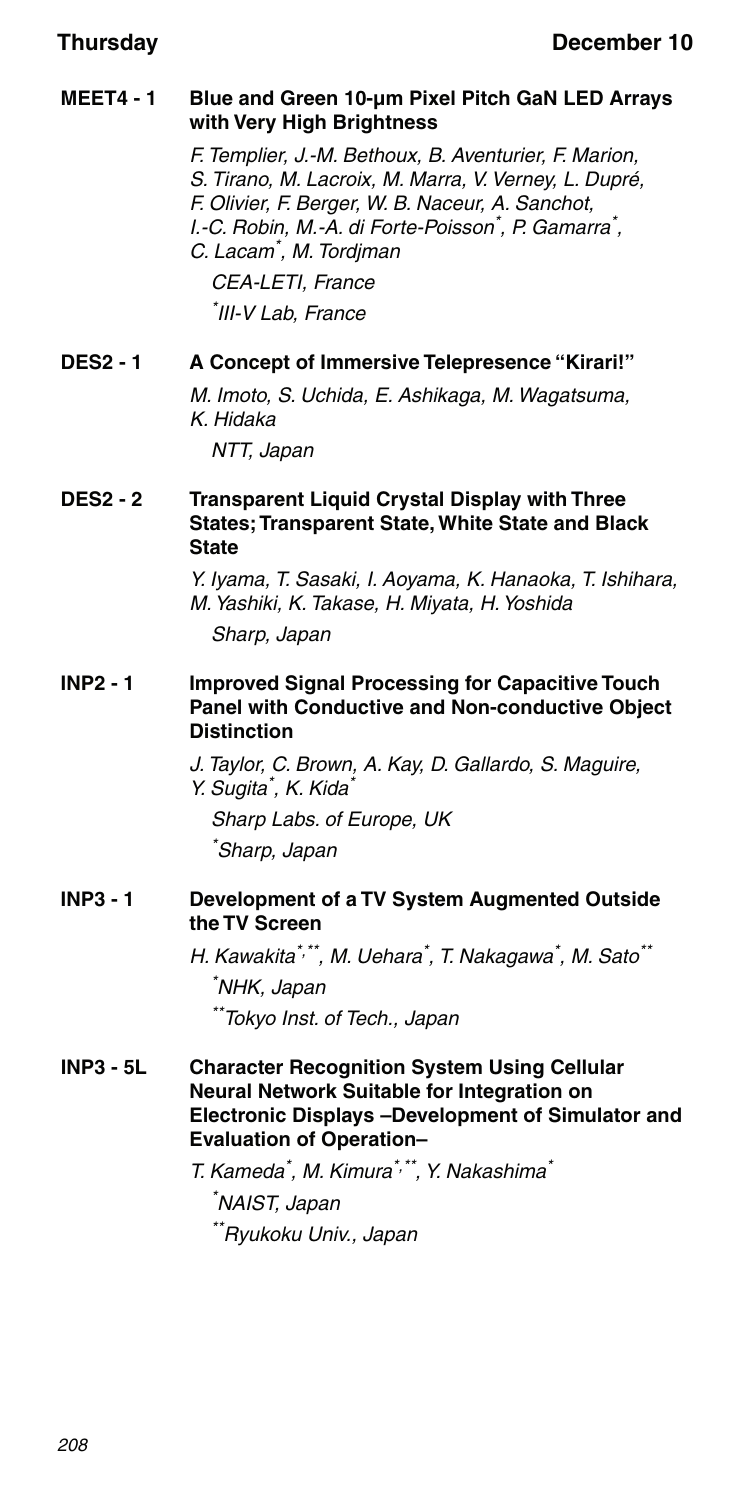### **MEET4 - 1 Blue and Green 10-μm Pixel Pitch GaN LED Arrays with Very High Brightness**

F. Templier, J.-M. Bethoux, B. Aventurier, F. Marion, S. Tirano, M. Lacroix, M. Marra, V. Verney, L. Dupré, F. Olivier, F. Berger, W. B. Naceur, A. Sanchot, I.-C. Robin, M.-A. di Forte-Poisson\*, P. Gamarra\*, C. Lacam\* , M. Tordjman CEA-LETI, France \* III-V Lab, France

### **DES2 - 1 A Concept of Immersive Telepresence "Kirari!"**

M. Imoto, S. Uchida, E. Ashikaga, M. Wagatsuma, K. Hidaka

NTT, Japan

### **DES2 - 2 Transparent Liquid Crystal Display with Three States; Transparent State, White State and Black State**

Y. Iyama, T. Sasaki, I. Aoyama, K. Hanaoka, T. Ishihara, M. Yashiki, K. Takase, H. Miyata, H. Yoshida

Sharp, Japan

### **INP2 - 1 Improved Signal Processing for Capacitive Touch Panel with Conductive and Non-conductive Object Distinction**

J. Taylor, C. Brown, A. Kay, D. Gallardo, S. Maguire, Y. Sugita<sup>\*</sup>, K. Kida<sup>\*</sup> Sharp Labs. of Europe, UK \* Sharp, Japan

### **INP3 - 1 Development of a TV System Augmented Outside the TV Screen**

H. Kawakita\*<sup>,\*\*</sup>, M. Uehara<sup>\*</sup>, T. Nakagawa<sup>\*</sup>, M. Sato<sup>\*\*</sup> \* NHK, Japan \*\*Tokyo Inst. of Tech., Japan

### **INP3 - 5L Character Recognition System Using Cellular Neural Network Suitable for Integration on Electronic Displays –Development of Simulator and Evaluation of Operation–**

T. Kameda\* , M. Kimura\*,\*\*, Y. Nakashima\*

\* NAIST, Japan \*\*Ryukoku Univ., Japan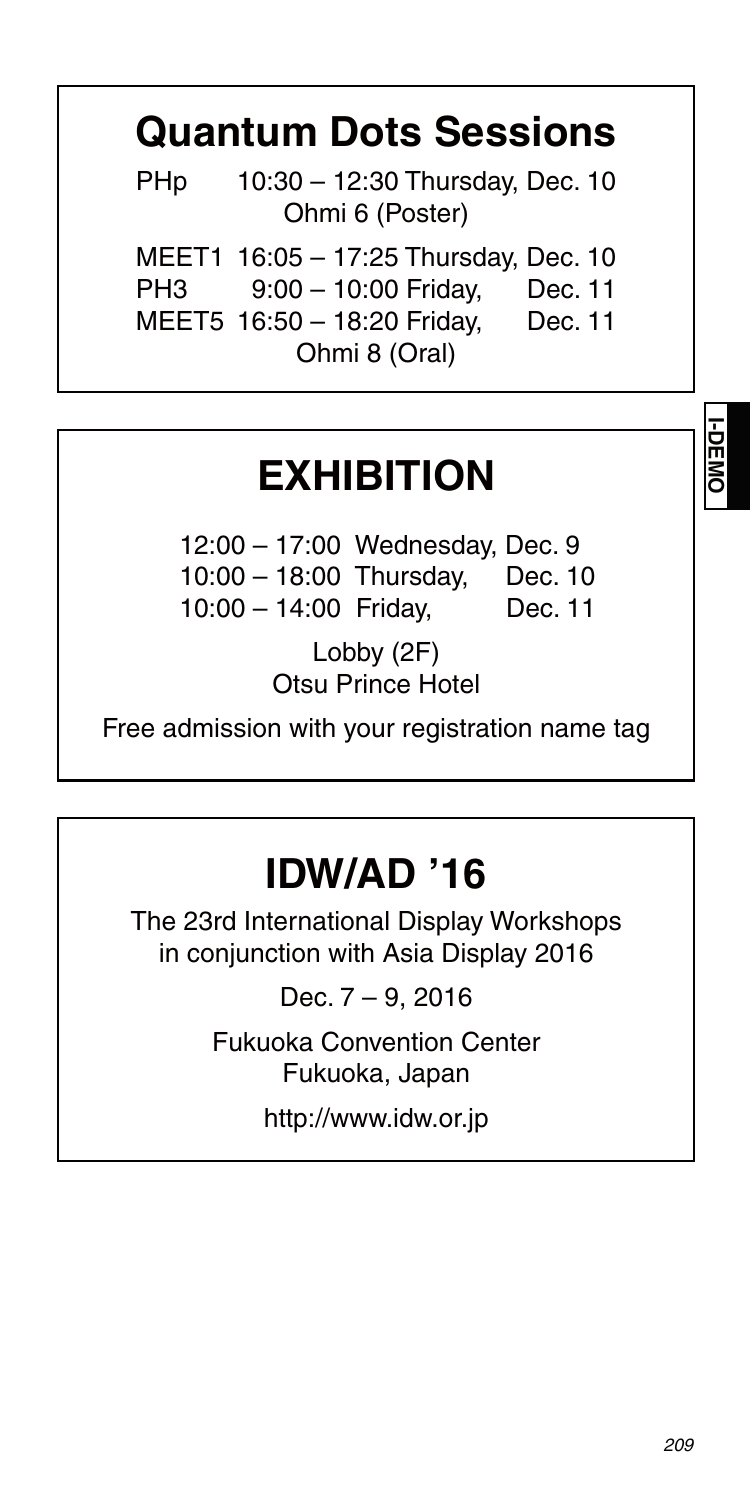# **Quantum Dots Sessions**

 PHp 10:30 – 12:30 Thursday, Dec. 10 Ohmi 6 (Poster)

MEET1 16:05 – 17:25 Thursday, Dec. 10

PH3 9:00 – 10:00 Friday, Dec. 11

 MEET5 16:50 – 18:20 Friday, Dec. 11 Ohmi 8 (Oral)

## **EXHIBITION**

 12:00 – 17:00 Wednesday, Dec. 9 10:00 – 18:00 Thursday, Dec. 10 10:00 – 14:00 Friday, Dec. 11

> Lobby (2F) Otsu Prince Hotel

Free admission with your registration name tag

# **IDW/AD '16**

The 23rd International Display Workshops in conjunction with Asia Display 2016

Dec. 7 – 9, 2016

Fukuoka Convention Center Fukuoka, Japan

http://www.idw.or.jp

**I-DEMO**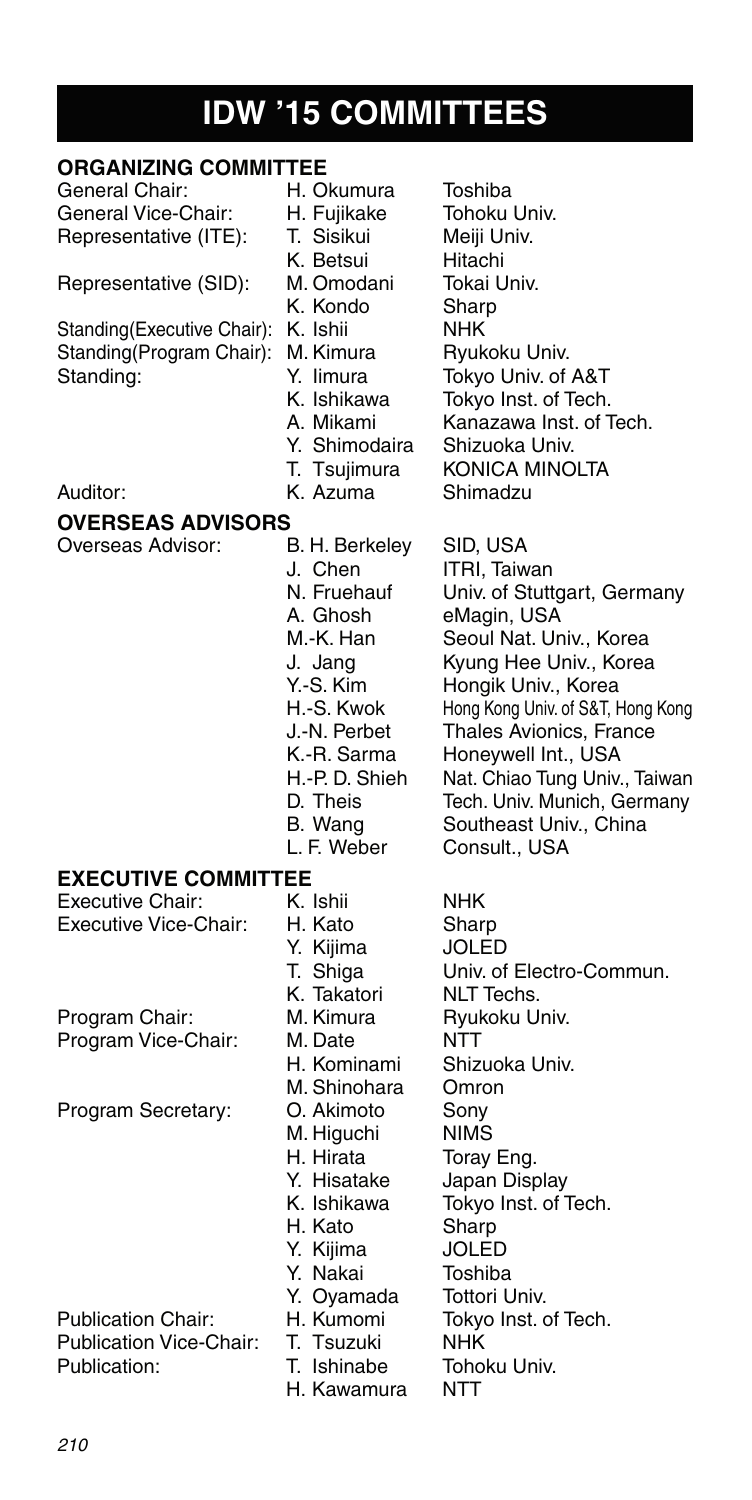# **IDW '15 COMMITTEES**

| <b>ORGANIZING COMMITTEE</b>         |                |                                   |
|-------------------------------------|----------------|-----------------------------------|
| General Chair:                      | H. Okumura     | Toshiba                           |
| General Vice-Chair:                 | H. Fujikake    | Tohoku Univ.                      |
| Representative (ITE):               | T. Sisikui     | Meiji Univ.                       |
|                                     | K. Betsui      | Hitachi                           |
| Representative (SID):               | M. Omodani     | Tokai Univ.                       |
|                                     | K. Kondo       | Sharp                             |
| Standing(Executive Chair): K. Ishii |                | <b>NHK</b>                        |
| Standing(Program Chair):            | M. Kimura      | Ryukoku Univ.                     |
| Standing:                           | Y. limura      | Tokyo Univ. of A&T                |
|                                     | K. Ishikawa    | Tokyo Inst. of Tech.              |
|                                     | A. Mikami      | Kanazawa Inst. of Tech.           |
|                                     | Y. Shimodaira  | Shizuoka Univ.                    |
|                                     | T. Tsujimura   | KONICA MINOLTA                    |
| Auditor:                            | K. Azuma       | Shimadzu                          |
| OVERSEAS ADVISORS                   |                |                                   |
| Overseas Advisor:                   | B. H. Berkeley | SID, USA                          |
|                                     | J. Chen        | ITRI, Taiwan                      |
|                                     | N. Fruehauf    | Univ. of Stuttgart, Germany       |
|                                     | A. Ghosh       | eMagin, USA                       |
|                                     | M.-K. Han      | Seoul Nat. Univ., Korea           |
|                                     | J. Jang        | Kyung Hee Univ., Korea            |
|                                     | Y.-S. Kim      | Hongik Univ., Korea               |
|                                     | H.-S. Kwok     | Hong Kong Univ. of S&T, Hong Kong |
|                                     | J.-N. Perbet   | Thales Avionics, France           |
|                                     | K.-R. Sarma    | Honeywell Int., USA               |
|                                     | H.-P.D. Shieh  | Nat. Chiao Tung Univ., Taiwan     |
|                                     | D. Theis       | Tech. Univ. Munich, Germany       |
|                                     | B. Wang        | Southeast Univ., China            |
|                                     | L. F. Weber    | Consult., USA                     |
| <b>EXECUTIVE COMMITTEE</b>          |                |                                   |
| <b>Executive Chair:</b>             | K. Ishii       | NHK                               |
| Executive Vice-Chair:               | H. Kato        | Sharp                             |
|                                     | Y. Kijima      | <b>JOLED</b>                      |
|                                     | T. Shiga       | Univ. of Electro-Commun.          |
|                                     | K. Takatori    | NLT Techs.                        |
| Program Chair:                      | M. Kimura      | Ryukoku Univ.                     |
| Program Vice-Chair:                 | M. Date        | NTT                               |
|                                     | H. Kominami    | Shizuoka Univ.                    |
|                                     | M. Shinohara   | Omron                             |
| Program Secretary:                  | O. Akimoto     | Sony                              |
|                                     | M. Higuchi     | <b>NIMS</b>                       |
|                                     | H. Hirata      | Toray Eng.                        |
|                                     | Y. Hisatake    | Japan Display                     |
|                                     | K. Ishikawa    | Tokyo Inst. of Tech.              |
|                                     | H. Kato        | Sharp                             |
|                                     | Y. Kijima      | JOLED                             |
|                                     | Y. Nakai       | Toshiba                           |
|                                     | Y. Oyamada     | Tottori Univ.                     |
| <b>Publication Chair:</b>           | H. Kumomi      | Tokyo Inst. of Tech.              |
| <b>Publication Vice-Chair:</b>      | T. Tsuzuki     | NHK                               |
| Publication:                        | T. Ishinabe    | Tohoku Univ.                      |
|                                     | H. Kawamura    | NTT                               |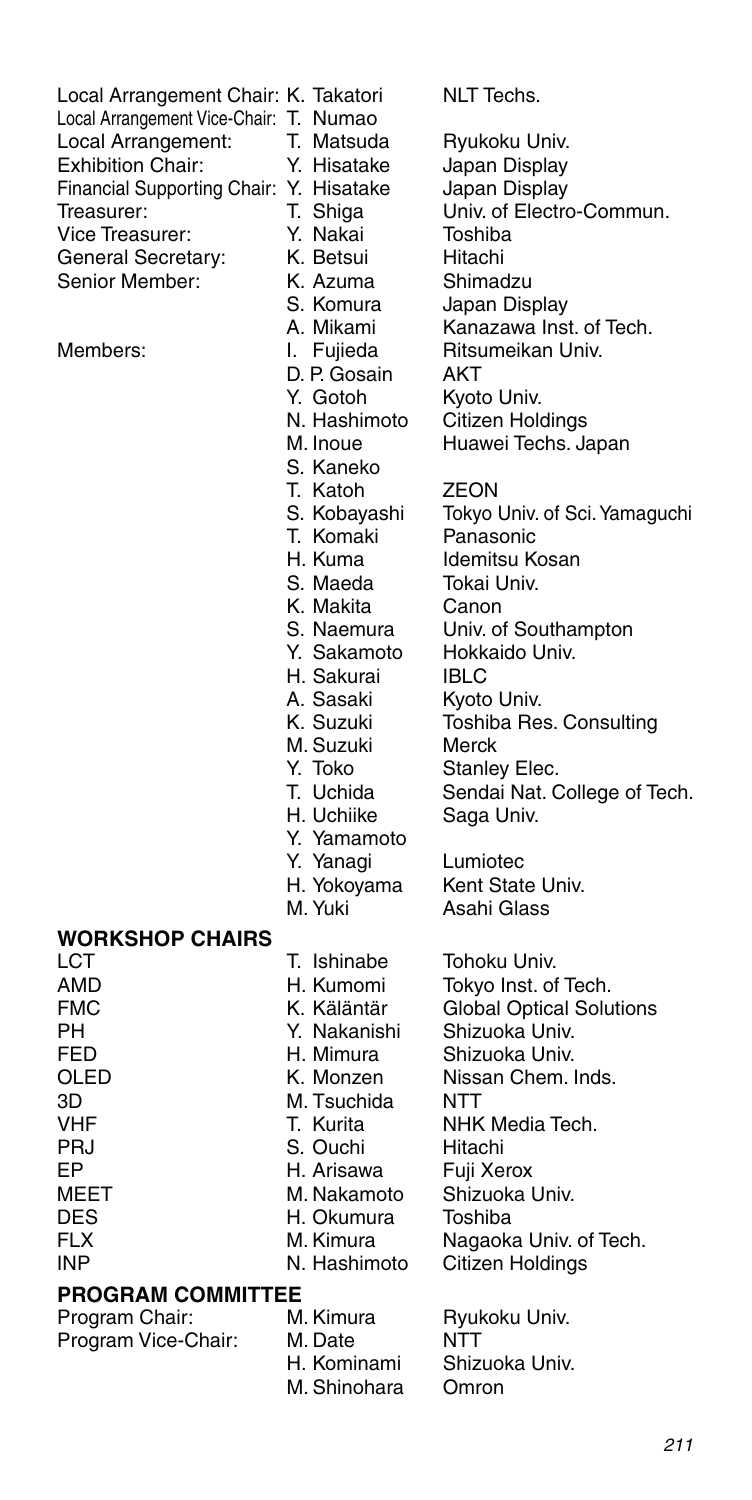| Local Arrangement Chair: K. Takatori<br>Local Arrangement Vice-Chair: T. Numao<br>Local Arrangement:<br><b>Exhibition Chair:</b> | T. Matsuda<br>Y. Hisatake | NLT Techs.<br>Ryukoku Univ.<br>Japan Display |
|----------------------------------------------------------------------------------------------------------------------------------|---------------------------|----------------------------------------------|
| Financial Supporting Chair: Y. Hisatake                                                                                          |                           | Japan Display                                |
| Treasurer:                                                                                                                       | T. Shiga                  | Univ. of Electro-Commun.                     |
| Vice Treasurer:                                                                                                                  | Y. Nakai                  | Toshiba                                      |
| General Secretary:                                                                                                               | K. Betsui                 | Hitachi                                      |
| Senior Member:                                                                                                                   | K. Azuma                  | Shimadzu                                     |
|                                                                                                                                  | S. Komura                 | Japan Display                                |
|                                                                                                                                  | A. Mikami                 | Kanazawa Inst. of Tech.                      |
| Members:                                                                                                                         | I. Fujieda                | Ritsumeikan Univ.                            |
|                                                                                                                                  | D. P. Gosain              | AKT                                          |
|                                                                                                                                  | Y. Gotoh                  | Kyoto Univ.                                  |
|                                                                                                                                  | N. Hashimoto              | Citizen Holdings                             |
|                                                                                                                                  | M. Inoue                  | Huawei Techs. Japan                          |
|                                                                                                                                  | S. Kaneko<br>T. Katoh     | ZEON                                         |
|                                                                                                                                  | S. Kobayashi              | Tokyo Univ. of Sci. Yamaguchi                |
|                                                                                                                                  | T. Komaki                 | Panasonic                                    |
|                                                                                                                                  | H. Kuma                   | Idemitsu Kosan                               |
|                                                                                                                                  | S. Maeda                  | Tokai Univ.                                  |
|                                                                                                                                  | K. Makita                 | Canon                                        |
|                                                                                                                                  | S. Naemura                | Univ. of Southampton                         |
|                                                                                                                                  | Y. Sakamoto               | Hokkaido Univ.                               |
|                                                                                                                                  | H. Sakurai                | <b>IBLC</b>                                  |
|                                                                                                                                  | A. Sasaki                 | Kyoto Univ.                                  |
|                                                                                                                                  | K. Suzuki                 | Toshiba Res. Consulting                      |
|                                                                                                                                  | M. Suzuki                 | Merck                                        |
|                                                                                                                                  | Y. Toko                   | Stanley Elec.                                |
|                                                                                                                                  | T. Uchida<br>H. Uchiike   | Sendai Nat. College of Tech.<br>Saga Univ.   |
|                                                                                                                                  | Y. Yamamoto               |                                              |
|                                                                                                                                  | Y. Yanagi                 | Lumiotec                                     |
|                                                                                                                                  | H. Yokoyama               | Kent State Univ.                             |
|                                                                                                                                  | M. Yuki                   | Asahi Glass                                  |
| <b>WORKSHOP CHAIRS</b>                                                                                                           |                           |                                              |
| LCT                                                                                                                              | T. Ishinabe               | Tohoku Univ.                                 |
| AMD                                                                                                                              | H. Kumomi                 | Tokyo Inst. of Tech.                         |
| FMC                                                                                                                              | K. Käläntär               | <b>Global Optical Solutions</b>              |
| PН                                                                                                                               | Y. Nakanishi              | Shizuoka Univ.                               |
| FED                                                                                                                              | H. Mimura                 | Shizuoka Univ.                               |
| OLED                                                                                                                             | K. Monzen                 | Nissan Chem. Inds.                           |
| 3D                                                                                                                               | M. Tsuchida               | NTT                                          |
| VHF<br>PRJ                                                                                                                       | T. Kurita<br>S. Ouchi     | NHK Media Tech.                              |
| EР                                                                                                                               | H. Arisawa                | Hitachi<br>Fuji Xerox                        |
| MEET                                                                                                                             | M. Nakamoto               | Shizuoka Univ.                               |
| DES                                                                                                                              | H. Okumura                | Toshiba                                      |
| FLX                                                                                                                              | M. Kimura                 | Nagaoka Univ. of Tech.                       |
| <b>INP</b>                                                                                                                       | N. Hashimoto              | Citizen Holdings                             |
| <b>PROGRAM COMMITTEE</b>                                                                                                         |                           |                                              |
| Program Chair:                                                                                                                   | M. Kimura                 | Ryukoku Univ.                                |
| Program Vice-Chair:                                                                                                              | M. Date                   | NTT                                          |
|                                                                                                                                  | H. Kominami               | Shizuoka Univ.                               |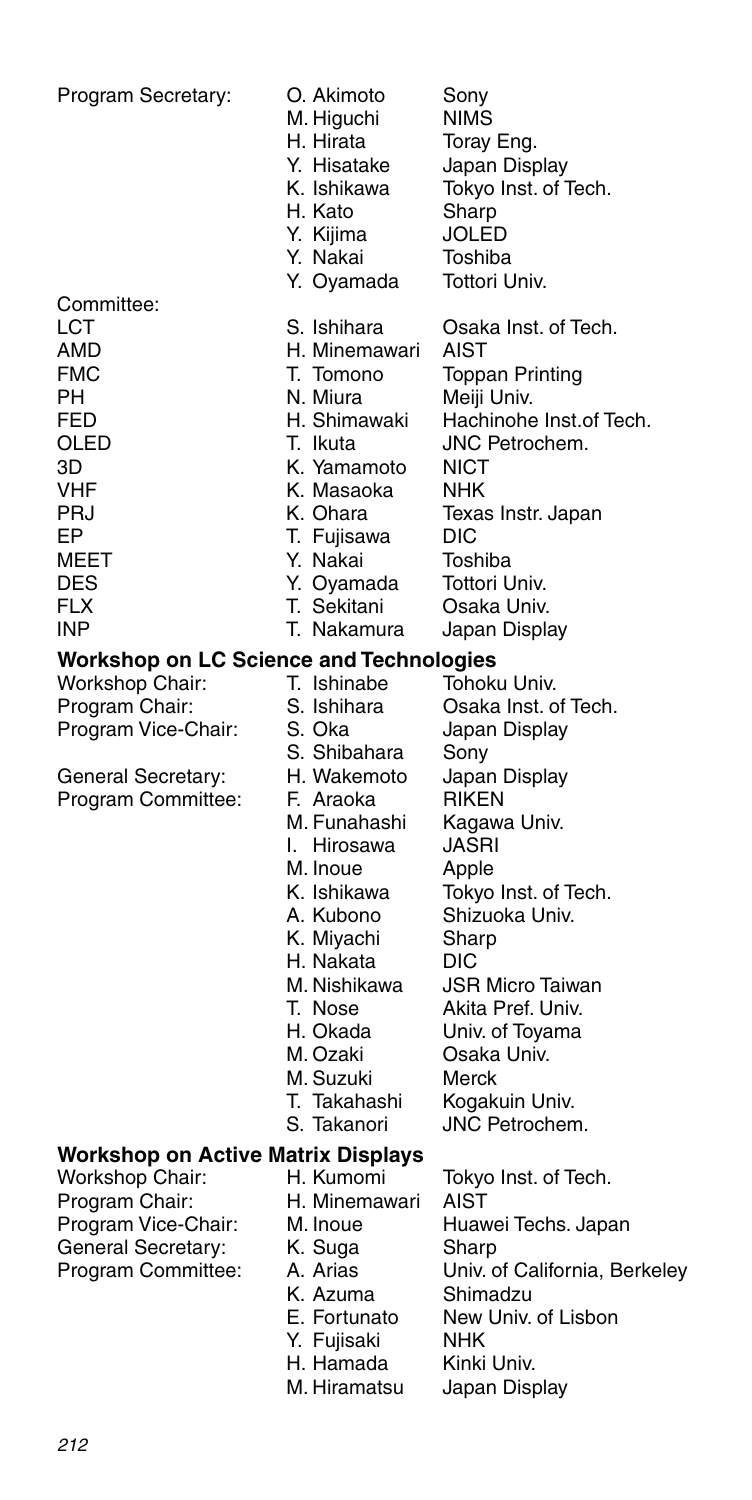| Program Secretary:                             | O. Akimoto<br>M. Higuchi<br>H. Hirata<br>Y. Hisatake<br>K. Ishikawa<br>H. Kato<br>Y. Kijima<br>Y. Nakai | Sony<br><b>NIMS</b><br>Toray Eng.<br>Japan Display<br>Tokyo Inst. of Tech.<br>Sharp<br>JOLED<br>Toshiba |
|------------------------------------------------|---------------------------------------------------------------------------------------------------------|---------------------------------------------------------------------------------------------------------|
| Committee:                                     | Y. Oyamada                                                                                              | Tottori Univ.                                                                                           |
| LCT                                            | S. Ishihara                                                                                             | Osaka Inst. of Tech.                                                                                    |
| AMD                                            | H. Minemawari                                                                                           | AIST                                                                                                    |
| <b>FMC</b>                                     | T. Tomono                                                                                               | <b>Toppan Printing</b>                                                                                  |
| PH                                             | N. Miura                                                                                                | Meiji Univ.                                                                                             |
| FED                                            | H. Shimawaki                                                                                            | Hachinohe Inst.of Tech.                                                                                 |
| OLED                                           | T. Ikuta                                                                                                | JNC Petrochem.                                                                                          |
| ЗD                                             | K. Yamamoto                                                                                             | NICT                                                                                                    |
| VHF                                            | K. Masaoka                                                                                              | NHK                                                                                                     |
| PRJ                                            | K. Ohara                                                                                                | Texas Instr. Japan                                                                                      |
| EP                                             | T. Fujisawa                                                                                             | DIC                                                                                                     |
| MEET<br><b>DES</b>                             | Y. Nakai<br>Y. Oyamada                                                                                  | Toshiba<br>Tottori Univ.                                                                                |
| <b>FLX</b>                                     | T. Sekitani                                                                                             | Osaka Univ.                                                                                             |
| <b>INP</b>                                     | T. Nakamura                                                                                             | Japan Display                                                                                           |
| <b>Workshop on LC Science and Technologies</b> |                                                                                                         |                                                                                                         |
| Workshop Chair:                                | T. Ishinabe                                                                                             | Tohoku Univ.                                                                                            |
| Program Chair:                                 | S. Ishihara                                                                                             | Osaka Inst. of Tech.                                                                                    |
| Program Vice-Chair:                            | S. Oka                                                                                                  | Japan Display                                                                                           |
|                                                | S. Shibahara                                                                                            | Sony                                                                                                    |
| General Secretary:                             | H. Wakemoto                                                                                             | Japan Display                                                                                           |
| Program Committee:                             | F. Araoka                                                                                               | <b>RIKEN</b>                                                                                            |
|                                                | M. Funahashi                                                                                            | Kagawa Univ.                                                                                            |
|                                                | I. Hirosawa                                                                                             | JASRI                                                                                                   |
|                                                | M. Inoue<br>K. Ishikawa                                                                                 | Apple<br>Tokyo Inst. of Tech.                                                                           |
|                                                | A. Kubono                                                                                               | Shizuoka Univ.                                                                                          |
|                                                | K. Miyachi                                                                                              | Sharp                                                                                                   |
|                                                | H. Nakata                                                                                               | DIC                                                                                                     |
|                                                | M. Nishikawa                                                                                            | <b>JSR Micro Taiwan</b>                                                                                 |
|                                                | T. Nose                                                                                                 | Akita Pref. Univ.                                                                                       |
|                                                | H. Okada                                                                                                | Univ. of Toyama                                                                                         |
|                                                | M. Ozaki                                                                                                | Osaka Univ.                                                                                             |
|                                                | M. Suzuki                                                                                               | Merck                                                                                                   |
|                                                | T. Takahashi                                                                                            | Kogakuin Univ.                                                                                          |
|                                                | S. Takanori                                                                                             | <b>JNC Petrochem.</b>                                                                                   |
| <b>Workshop on Active Matrix Displays</b>      |                                                                                                         |                                                                                                         |
| Workshop Chair:<br>Program Chair:              | H. Kumomi<br>H. Minemawari                                                                              | Tokyo Inst. of Tech.<br>AIST                                                                            |
| Program Vice-Chair:                            | M. Inoue                                                                                                | Huawei Techs. Japan                                                                                     |
| General Secretary:                             | K. Suga                                                                                                 | Sharp                                                                                                   |
| Program Committee:                             | A. Arias                                                                                                | Univ. of California, Berkeley                                                                           |
|                                                | K. Azuma                                                                                                | Shimadzu                                                                                                |
|                                                | E. Fortunato                                                                                            | New Univ. of Lisbon                                                                                     |
|                                                | Y. Fujisaki                                                                                             | NHK                                                                                                     |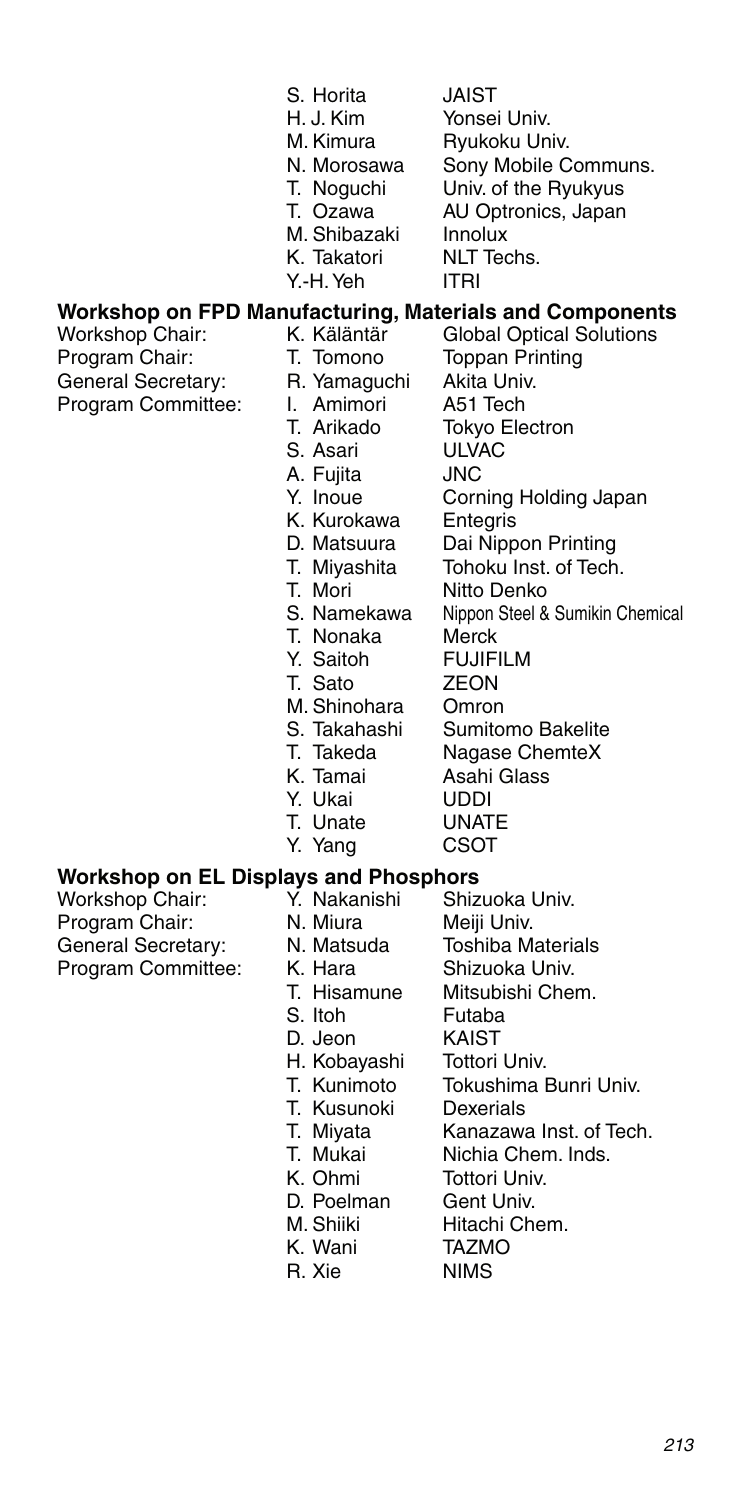| ıta<br>œ<br>. . |  |  |
|-----------------|--|--|
|                 |  |  |

- S. Horita JAIST<br>H. J. Kim Yonsei Yonsei Univ.
	-
- M. Kimura Ryukoku Univ.<br>N. Morosawa Sony Mobile C
- N. Morosawa Sony Mobile Communs.<br>T. Noquchi Univ. of the Ryukyus Univ. of the Ryukyus
- T. Ozawa AU Optronics, Japan<br>M. Shihazaki Innolux
	-
- M. Shibazaki Innolux<br>K. Takatori NLT Techs. K. Takatori
	-
- Y.-H. Yeh ITRI
- **Workshop on FPD Manufacturing, Materials and Components**
- General Secretary:
- 
- Workshop Chair: K. Käläntär Global Optical Solutions<br>Program Chair: T. Tomono Toppan Printing T. Tomono Toppan Printing<br>R. Yamaguchi Akita Univ. Program Committee: I. Amimori A51 Tech Tokyo Electron<br>ULVAC S. Asari A. Fujita JNC<br>Y. Inoue Corr
	-
	- Corning Holding Japan K. Kurokawa Entegris
	- D. Matsuura Dai Nippon Printing
	- T. Miyashita Tohoku Inst. of Tech.<br>T. Mori Nitto Denko

FUJIFILM<br>ZEON

Nagase ChemteX

Nippon Steel & Sumikin Chemical

- 
- T. Mori Nitto Denko<br>S. Namekawa Nippon Steel &
- T. Nonaka Merck<br>Y. Saitoh FUJIFI
- 
- T. Sato
- M. Shinohara Omron
- S. Takahashi Sumitomo Bakelite<br>T. Takeda Nagase ChemteX
	-
- K. Tamai Asahi Glass
- 
- Y. Ukai UDDI<br>T. Unate UNATE
- T. Unate Y. Yang CSOT
- 

## **Workshop on EL Displays and Phosphors**

Workshop Chair: Y. Nakanishi Shizuoka |<br>Program Chair: N. Miura Meiji Univ. Program Chair:  $N.$  Miura Meiji Univ.<br>General Secretary: N. Matsuda Toshiba Materials General Secretary: N. Matsuda<br>Program Committee: K. Hara

- -
	-
- Program Committee: K. Hara Shizuoka Univ.
	- Mitsubishi Chem.<br>Futaba S. Itoh
	- D. Jeon KAIST
		-
	- H. Kobayashi Tottori Univ. Tokushima Bunri Univ.<br>Dexerials
	- T. Kusunoki
	-
	- T. Miyata Kanazawa Inst. of Tech.<br>T. Mukai Nichia Chem. Inds.
	- T. Mukai Nichia Chem. Inds.<br>K. Ohmi Tottori Univ Tottori Univ.
		-
	- D. Poelman Gent Univ.
	- M. Shiiki Hitachi Chem.<br>K. Wani TAZMO K. Wani
		-
	- R. Xie NIMS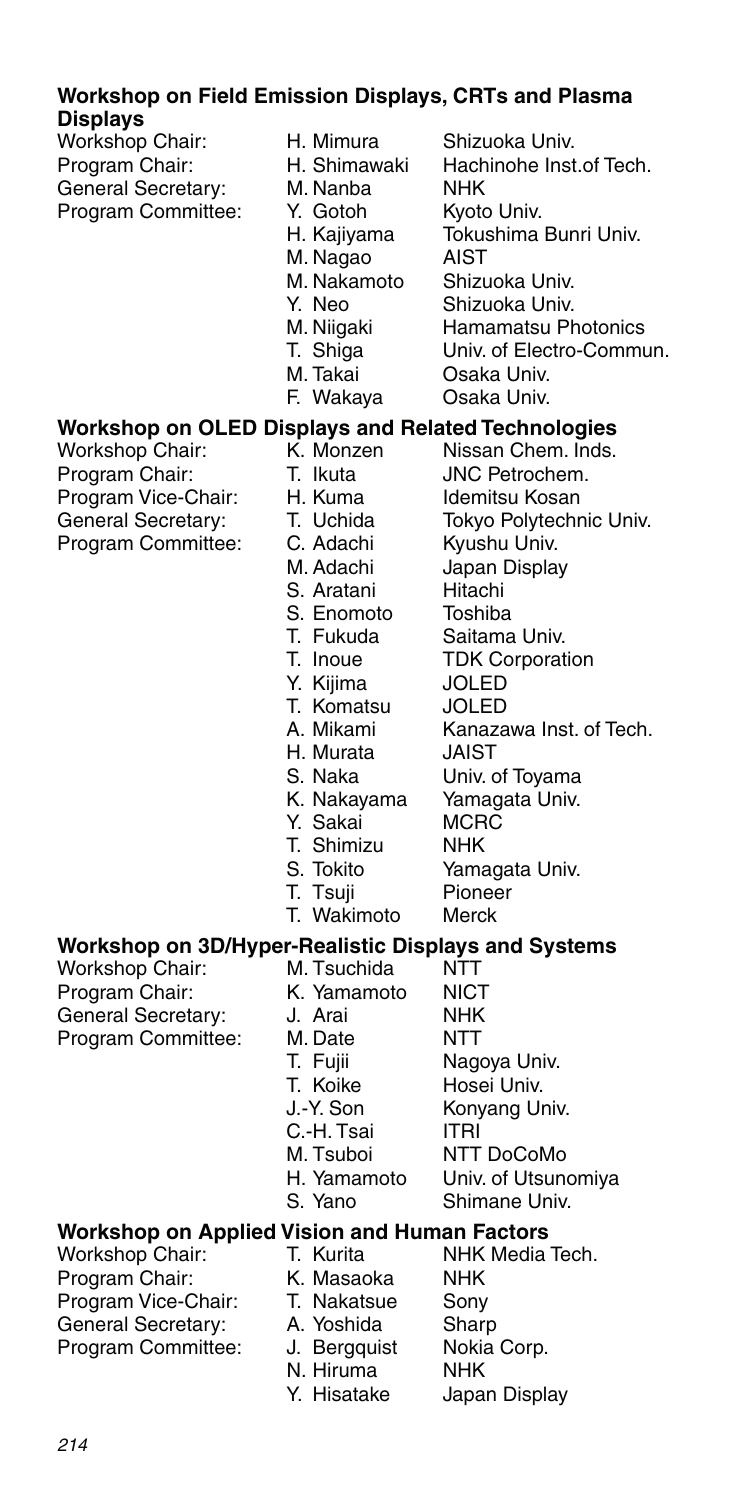### **Workshop on Field Emission Displays, CRTs and Plasma Displays**

| Workshop Chair:    |
|--------------------|
| Program Chair:     |
| General Secretary: |
| Program Committee: |

- H. Mimura Shizuoka Univ.<br>H. Shimawaki Hachinohe Inst
	-
- M. Nanha
- Y. Gotoh Kyoto Univ.<br>H. Kajiyama Tokushima
- 
- M. Nagao
	-
- M. Nakamoto Shizuoka Univ.
- Y. Neo Shizuoka Univ.<br>M. Niigaki Hamamatsu Ph
- M. Niigaki Hamamatsu Photonics<br>T. Shiga Univ. of Electro-Commu

Hachinohe Inst.of Tech.<br>NHK

Tokushima Bunri Univ.<br>AIST

- T. Shiga Univ. of Electro-Commun.<br>M. Takai Osaka Univ.
- F. Wakaya
- Osaka Univ.<br>Osaka Univ.

## **Workshop on OLED Displays and Related Technologies**

Workshop Chair: Program Chair: T. Ikuta JNC Petrochem.<br>Program Vice-Chair: H. Kuma Idemitsu Kosan Program Vice-Chair: H. Kuma<br>General Secretary: T. Uchida Program Committee: C. Adachi Kyushu Univ.<br>M. Adachi Japan Displa

- 
- 
- - Tokyo Polytechnic Univ.
- 
- 
- 
- Japan Display<br>Hitachi S. Aratani Hitachi<br>S. Enomoto Toshiba
- S. Enomoto<br>T. Fukuda
- T. Fukuda Saitama Univ.<br>T. Inoue TDK Corporat
- Y. Kiiima
- TDK Corporation<br>JOLED
- T. Komatsu JOLED
- Kanazawa Inst. of Tech.<br>JAIST H. Murata
	-

Yamagata Univ.<br>MCRC

- 
- S. Naka<br>K. Nakayama Yamagata Univ.
- Y. Sakai MCR<br>T. Shimizu NHK
- T. Shimizu<br>S. Tokito
	- Yamagata Univ.<br>Pioneer
- 
- T. Tsuji Pionee<br>T. Wakimoto Merck T. Wakimoto

## **Workshop on 3D/Hyper-Realistic Displays and Systems**

Workshop Chair: M. Tsuchida General Secretary: J. Arai<br>Program Committee: M. Date

- Program Chair: K. Yamamoto NICT<br>General Secretary: (J. Arai NHK) Program Committee: M. Date NTT T. Fujii Magoya Univ.<br>T. Koike Hosei Univ. T. Koike Hosei Univ.<br>J.-Y. Son Konvang Ur Konyang Univ. C.-H. Tsai ITRI<br>M. Tsuboi NTT
	-
	- M. Tsuboi NTT DoCoMo<br>H. Yamamoto Univ. of Utsung Univ. of Utsunomiya
	-
	- S. Yano Shimane Univ.

### **Workshop on Applied Vision and Human Factors**

| T. Kurita    | NHK Media Tech. |
|--------------|-----------------|
| K. Masaoka   | <b>NHK</b>      |
| T. Nakatsue  | Sony            |
| A. Yoshida   | Sharp           |
| J. Bergguist | Nokia Corp.     |
| N. Hiruma    | <b>NHK</b>      |
| Y. Hisatake  | Japan Display   |
|              |                 |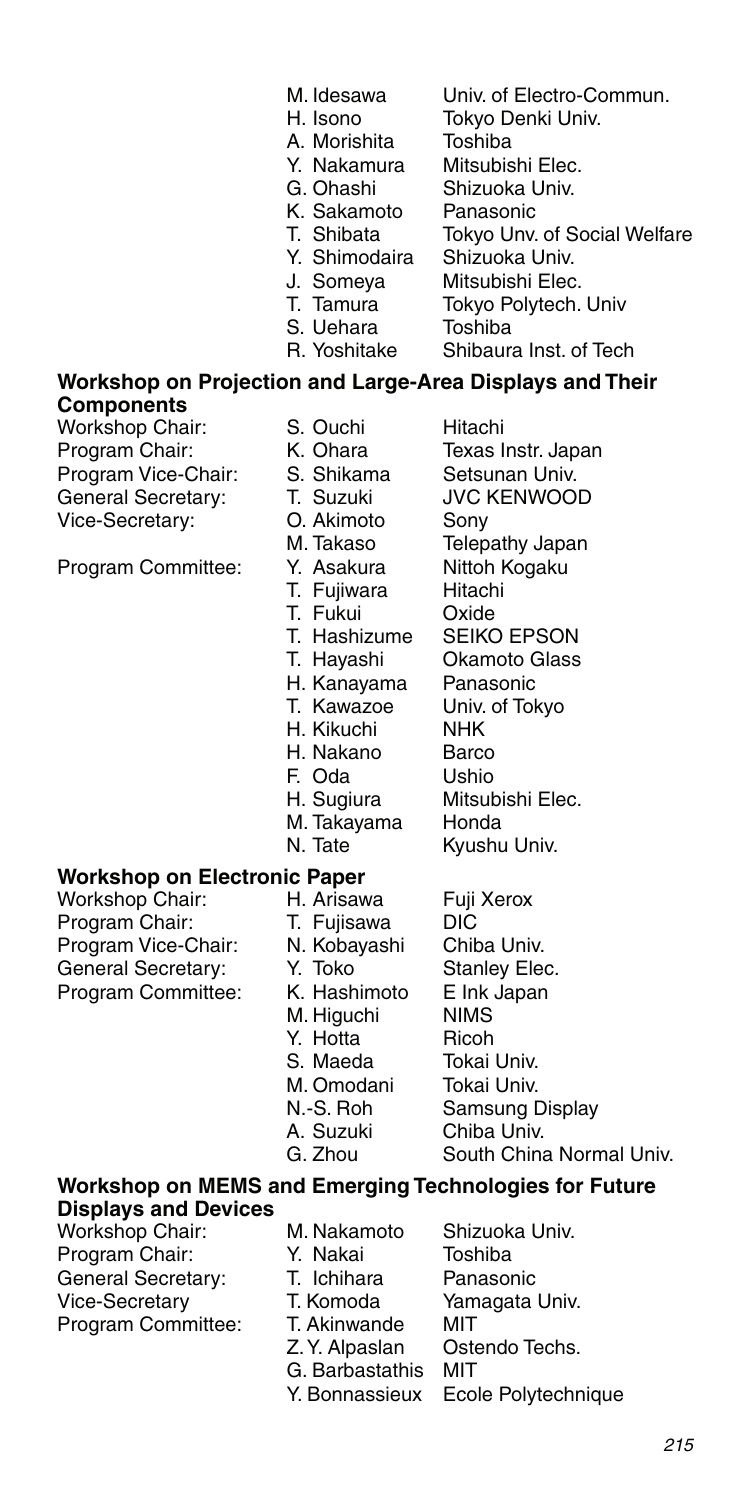- M. Idesawa Univ. of Electro-Commun. Tokyo Denki Univ.
	- -
- A. Morishita Toshiba Y. Nakamura Mitsubishi Elec.<br>G. Ohashi Shizuoka Univ.
	- - Shizuoka Univ.
- K. Sakamoto Panasonic<br>T. Shibata Tokvo Unv.
	- Tokyo Unv. of Social Welfare<br>Shizuoka Univ.
- Y. Shimodaira
- J. Someya Mitsubishi Elec.
- T. Tamura Tokyo Polytech. Univ<br>S. Uebara Toshiba
- S. Uehara<br>R. Yoshitake
- Shibaura Inst. of Tech

### **Workshop on Projection and Large-Area Displays and Their Components**

Workshop Chair: S. Ouchi Hitachi<br>Program Chair: K. Ohara Texas I Program Chair: K. Ohara Texas Instr. Japan Program Vice-Chair: S. Shikama Setsunan Univ. General Secretary: T. Suzuki<br>Vice-Secretary: 0. Akimoto Vice-Secretary: O. Akimoto Sony

Program Committee: Y. Asakura Nittoh Kogaku<br>T. Fuliwara Hitachi

- 
- 
- 
- 
- M. Takaso Telepathy Japan
- T. Fuiiwara
- T. Fukui Oxide
- 
- T. Hashizume SEIKO EPSON<br>T. Havashi Okamoto Glass
- 
- H. Kanayama<br>T. Kawazoe
- 
- H. Nakano
- Univ. of Tokyo<br>NHK H. Kikuchi NHK<br>H. Nakano Barco

Okamoto Glass<br>Panasonic

Mitsubishi Elec.<br>Honda

Kyushu Univ.

- 
- F. Oda Ushio<br>H. Sugiura Mitsul
- 
- M. Takayama<br>N. Tate

## **Workshop on Electronic Paper<br>Workshop Chair: H. Arisawa**

Workshop Chair: H. Arisawa Fuji Xerox Program Chair: T. Fujisawa DIC<br>Program Vice-Chair: N. Kobayashi Chiba Univ. Program Vice-Chair: N. Kobayashi<br>General Secretary: Y. Toko General Secretary: Y. Toko Stanley Elec.<br>Program Committee: K. Hashimoto Elnk Japan Program Committee:

- -
	-
	-
- M. Higuchi NIMS
- Y. Hotta **Ricoh** 
	-
- M. Omodani<br>N.-S. Roh
	-
- 
- 
- S. Maeda Tokai Univ.
	- Samsung Display
- A. Suzuki Chiba Univ.
- G. Zhou South China Normal Univ.

### **Workshop on MEMS and Emerging Technologies for Future Displays and Devices**

- Workshop Chair: M. Nakamoto Shizuoka Univ. General Secretary:
- Program Chair: Y. Nakai Toshiba<br>General Secretary: T. Ichihara Panasonic Vice-Secretary T. Komoda Yamagata Univ. Program Committee: T. Akinwande MIT Ostendo Techs.<br>MIT G. Barbastathis
	- Y. Bonnassieux Ecole Polytechnique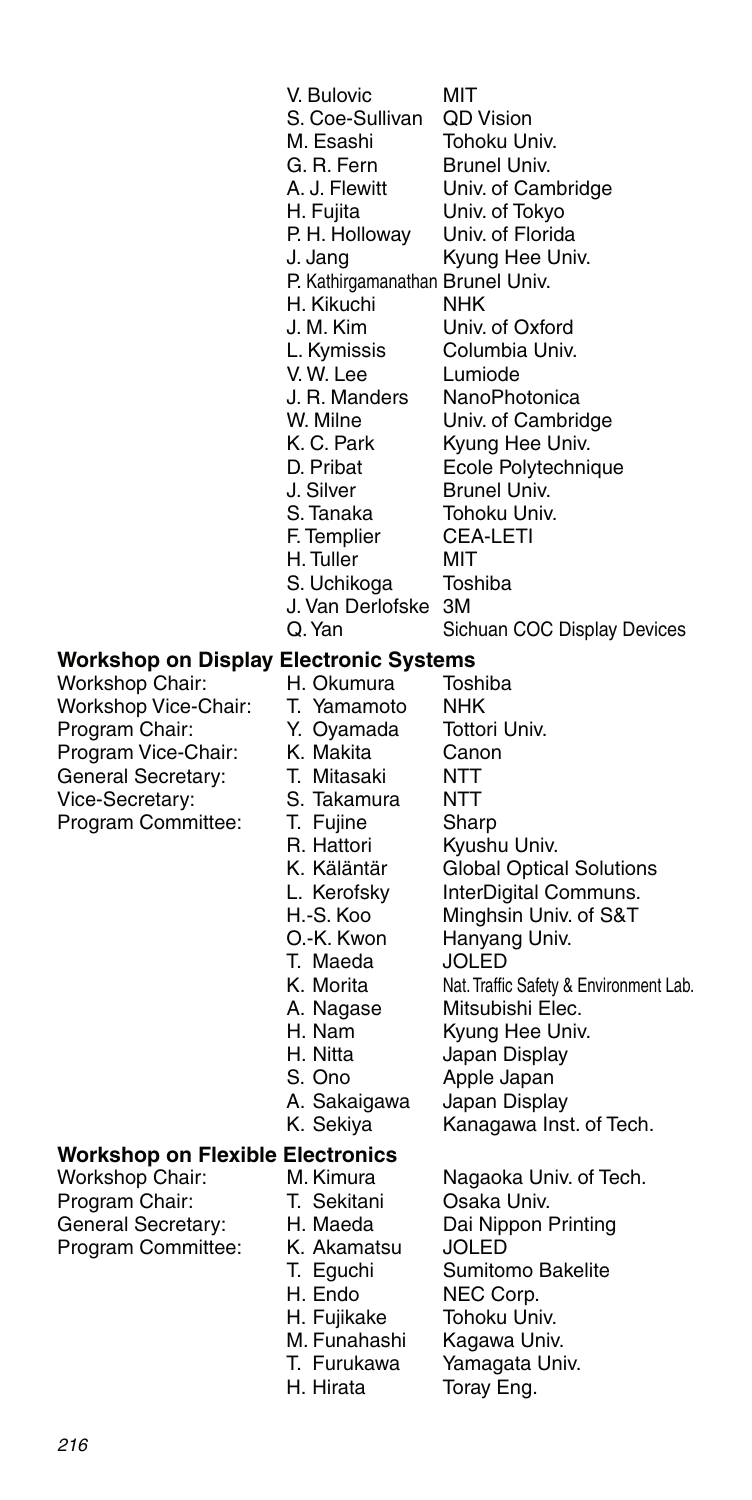|                                                                                                                                                 | V. Bulovic<br>S. Coe-Sullivan<br>M. Esashi<br>G. R. Fern<br>A. J. Flewitt<br>H. Fujita<br>P. H. Holloway<br>J. Jang<br>P. Kathirgamanathan Brunel Univ.<br>H. Kikuchi<br>J. M. Kim<br>L. Kymissis<br>V.W. Lee<br>J. R. Manders<br>W. Milne<br>K. C. Park<br>D. Pribat<br>J. Silver<br>S. Tanaka<br>F. Templier<br>H. Tuller<br>S. Uchikoga<br>J. Van Derlofske<br>Q. Yan | MIT<br><b>QD Vision</b><br>Tohoku Univ.<br>Brunel Univ.<br>Univ. of Cambridge<br>Univ. of Tokyo<br>Univ. of Florida<br>Kyung Hee Univ.<br><b>NHK</b><br>Univ. of Oxford<br>Columbia Univ.<br>Lumiode<br>NanoPhotonica<br>Univ. of Cambridge<br>Kyung Hee Univ.<br>Ecole Polytechnique<br>Brunel Univ.<br>Tohoku Univ.<br><b>CEA-LETI</b><br>MIT<br>Toshiba<br>3M<br>Sichuan COC Display Devices |
|-------------------------------------------------------------------------------------------------------------------------------------------------|--------------------------------------------------------------------------------------------------------------------------------------------------------------------------------------------------------------------------------------------------------------------------------------------------------------------------------------------------------------------------|-------------------------------------------------------------------------------------------------------------------------------------------------------------------------------------------------------------------------------------------------------------------------------------------------------------------------------------------------------------------------------------------------|
| Workshop on Display Electronic Systems                                                                                                          |                                                                                                                                                                                                                                                                                                                                                                          |                                                                                                                                                                                                                                                                                                                                                                                                 |
| Workshop Chair:<br>Workshop Vice-Chair:<br>Program Chair:<br>Program Vice-Chair:<br>General Secretary:<br>Vice-Secretary:<br>Program Committee: | H. Okumura<br>T. Yamamoto<br>Y. Oyamada<br>K. Makita<br>T. Mitasaki<br>S. Takamura<br>T. Fujine<br>R. Hattori<br>K. Käläntär<br>L. Kerofsky<br>H.-S. Koo<br>O.-K. Kwon<br>T. Maeda<br>K. Morita<br>A. Nagase<br>H. Nam<br>H. Nitta<br>S. Ono<br>A. Sakaigawa<br>K. Sekiya                                                                                                | Toshiba<br>NHK<br>Tottori Univ.<br>Canon<br>NTT<br><b>NTT</b><br>Sharp<br>Kyushu Univ.<br><b>Global Optical Solutions</b><br>InterDigital Communs.<br>Minghsin Univ. of S&T<br>Hanyang Univ.<br>JOLED<br>Nat. Traffic Safety & Environment Lab.<br>Mitsubishi Elec.<br>Kyung Hee Univ.<br>Japan Display<br>Apple Japan<br>Japan Display<br>Kanagawa Inst. of Tech.                              |
| <b>Workshop on Flexible Electronics</b>                                                                                                         |                                                                                                                                                                                                                                                                                                                                                                          |                                                                                                                                                                                                                                                                                                                                                                                                 |
| Workshop Chair:<br>Program Chair:<br>General Secretary:<br>Program Committee:                                                                   | M. Kimura<br>T. Sekitani<br>H. Maeda<br>K. Akamatsu<br>T. Eguchi                                                                                                                                                                                                                                                                                                         | Nagaoka Univ. of Tech.<br>Osaka Univ.<br>Dai Nippon Printing<br>JOLED<br>Sumitomo Bakelite                                                                                                                                                                                                                                                                                                      |

- -
- 
- H. Endo NEC Corp.<br>H. Fujikake Tohoku Uni H. Fujikake Tohoku Univ.<br>M. Funahashi Kagawa Univ
- M. Funahashi Kagawa Univ.<br>T. Furukawa Yamagata Uni
- T. Furukawa Yamagata Univ.<br>H. Hirata Toray Eng.
- 
- 
- Sumitomo Bakelite
- 
- 
- 
- 
- Toray Eng.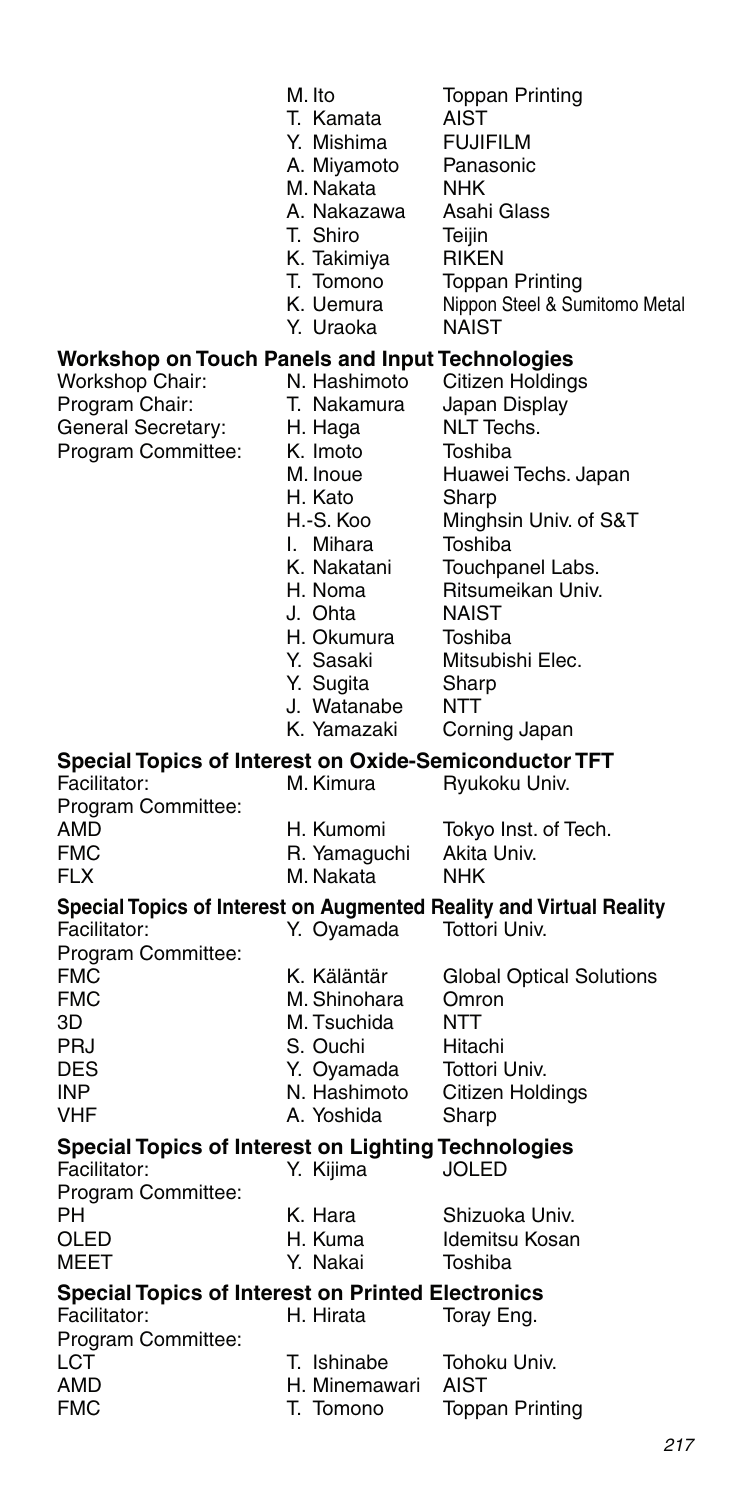|                                                                               | M. Ito<br>T. Kamata<br>Y. Mishima<br>A. Miyamoto<br>M. Nakata<br>A. Nakazawa<br>T. Shiro<br>K. Takimiya<br>T. Tomono<br>K. Uemura<br>Y. Uraoka                                                                 | <b>Toppan Printing</b><br>AIST<br><b>FUJIFILM</b><br>Panasonic<br>NHK<br>Asahi Glass<br>Teijin<br><b>RIKEN</b><br><b>Toppan Printing</b><br>Nippon Steel & Sumitomo Metal<br><b>NAIST</b>                                                                      |
|-------------------------------------------------------------------------------|----------------------------------------------------------------------------------------------------------------------------------------------------------------------------------------------------------------|----------------------------------------------------------------------------------------------------------------------------------------------------------------------------------------------------------------------------------------------------------------|
| Workshop on Touch Panels and Input Technologies                               |                                                                                                                                                                                                                |                                                                                                                                                                                                                                                                |
| Workshop Chair:<br>Program Chair:<br>General Secretary:<br>Program Committee: | N. Hashimoto<br>T. Nakamura<br>H. Haga<br>K. Imoto<br>M. Inoue<br>H. Kato<br>H.-S. Koo<br>I. Mihara<br>K. Nakatani<br>H. Noma<br>J. Ohta<br>H. Okumura<br>Y. Sasaki<br>Y. Sugita<br>J. Watanabe<br>K. Yamazaki | Citizen Holdings<br>Japan Display<br><b>NLT</b> Techs.<br>Toshiba<br>Huawei Techs. Japan<br>Sharp<br>Minghsin Univ. of S&T<br>Toshiba<br>Touchpanel Labs.<br>Ritsumeikan Univ.<br><b>NAIST</b><br>Toshiba<br>Mitsubishi Elec.<br>Sharp<br>NTT<br>Corning Japan |
| <b>Special Topics of Interest on Oxide-Semiconductor TFT</b>                  |                                                                                                                                                                                                                |                                                                                                                                                                                                                                                                |
| Facilitator:<br>Program Committee:<br>AMD<br>FMC                              | M. Kimura<br>H. Kumomi<br>R. Yamaguchi                                                                                                                                                                         | Ryukoku Univ.<br>Tokyo Inst. of Tech.<br>Akita Univ.                                                                                                                                                                                                           |
| FLX                                                                           | M. Nakata                                                                                                                                                                                                      | NHK                                                                                                                                                                                                                                                            |
| Facilitator:<br>Program Committee:                                            | Y. Oyamada                                                                                                                                                                                                     | Special Topics of Interest on Augmented Reality and Virtual Reality<br>Tottori Univ.                                                                                                                                                                           |
| FMC<br>FMC<br>ЗD<br>PRJ<br>DES<br>INP<br>VHF                                  | K. Käläntär<br>M. Shinohara<br>M. Tsuchida<br>S. Ouchi<br>Y. Oyamada<br>N. Hashimoto<br>A. Yoshida                                                                                                             | Global Optical Solutions<br>Omron<br>NTT<br>Hitachi<br>Tottori Univ.<br>Citizen Holdings<br>Sharp                                                                                                                                                              |
| Special Topics of Interest on Lighting Technologies<br>Facilitator:           | Y. Kijima                                                                                                                                                                                                      | JOLED                                                                                                                                                                                                                                                          |
| Program Committee:<br>PН<br>OLED<br>MEET                                      | K. Hara<br>H. Kuma<br>Y. Nakai                                                                                                                                                                                 | Shizuoka Univ.<br>Idemitsu Kosan<br>Toshiba                                                                                                                                                                                                                    |
| <b>Special Topics of Interest on Printed Electronics</b>                      |                                                                                                                                                                                                                |                                                                                                                                                                                                                                                                |
| Facilitator:                                                                  | H. Hirata                                                                                                                                                                                                      | Toray Eng.                                                                                                                                                                                                                                                     |
| Program Committee:<br>LCT<br>AMD                                              | T. Ishinabe<br>H. Minemawari                                                                                                                                                                                   | Tohoku Univ.<br>AIST                                                                                                                                                                                                                                           |

FMC T. Tomono T. Toppan Printing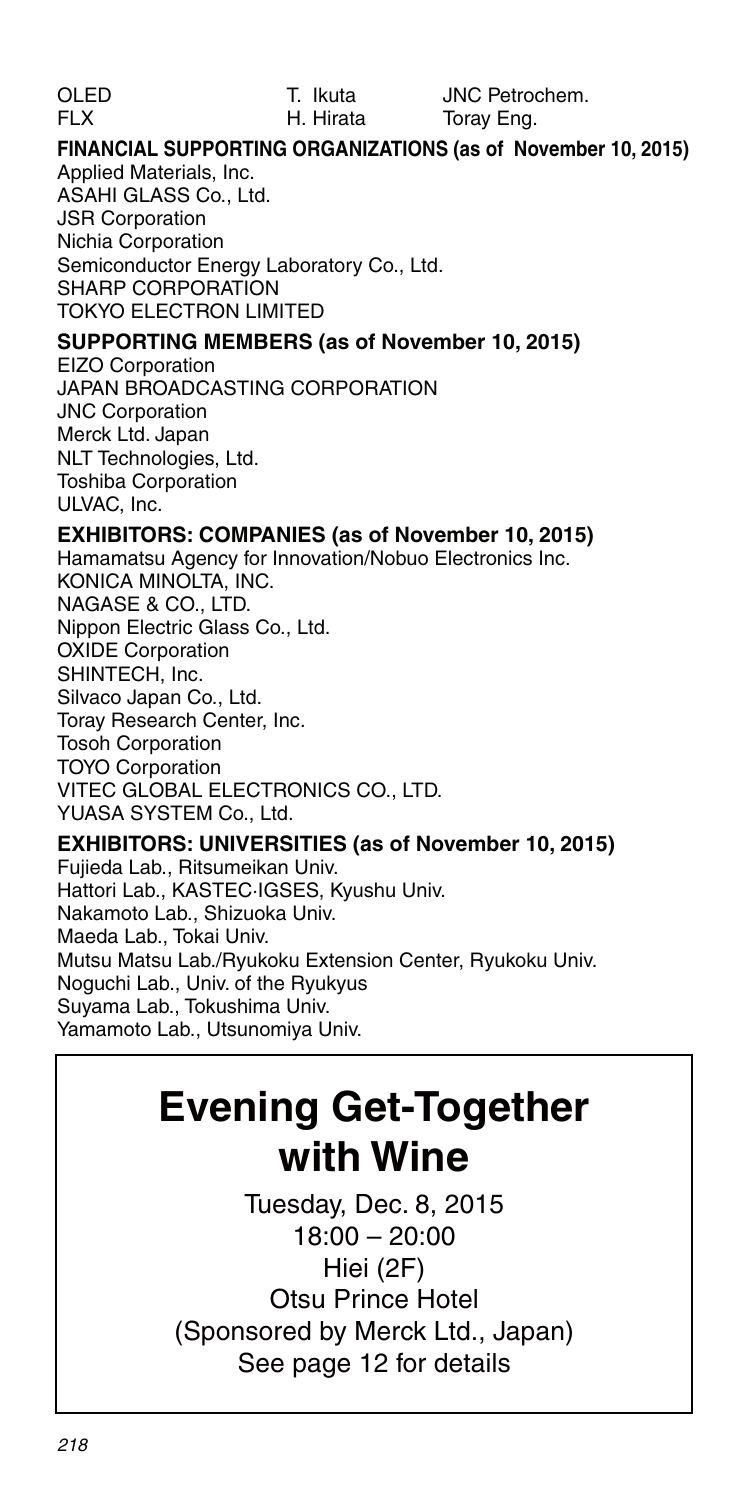#### **FINANCIAL SUPPORTING ORGANIZATIONS (as of November 10, 2015)** Applied Materials, Inc.

ASAHI GLASS Co., Ltd. JSR Corporation Nichia Corporation Semiconductor Energy Laboratory Co., Ltd. SHARP CORPORATION TOKYO ELECTRON LIMITED

#### **SUPPORTING MEMBERS (as of November 10, 2015)**

EIZO Corporation JAPAN BROADCASTING CORPORATION JNC Corporation Merck Ltd. Japan NLT Technologies, Ltd. Toshiba Corporation ULVAC, Inc.

#### **EXHIBITORS: COMPANIES (as of November 10, 2015)**

Hamamatsu Agency for Innovation/Nobuo Electronics Inc. KONICA MINOLTA, INC. NAGASE & CO., LTD. Nippon Electric Glass Co., Ltd. OXIDE Corporation SHINTECH, Inc. Silvaco Japan Co., Ltd. Toray Research Center, Inc. Tosoh Corporation TOYO Corporation VITEC GLOBAL ELECTRONICS CO., LTD. YUASA SYSTEM Co., Ltd.

#### **EXHIBITORS: UNIVERSITIES (as of November 10, 2015)**

Fujieda Lab., Ritsumeikan Univ. Hattori Lab., KASTEC·IGSES, Kyushu Univ. Nakamoto Lab., Shizuoka Univ. Maeda Lab., Tokai Univ. Mutsu Matsu Lab./Ryukoku Extension Center, Ryukoku Univ. Noguchi Lab., Univ. of the Ryukyus Suyama Lab., Tokushima Univ. Yamamoto Lab., Utsunomiya Univ.

### **Evening Get-Together with Wine**

Tuesday, Dec. 8, 2015 18:00 – 20:00 Hiei (2F) Otsu Prince Hotel (Sponsored by Merck Ltd., Japan) See page 12 for details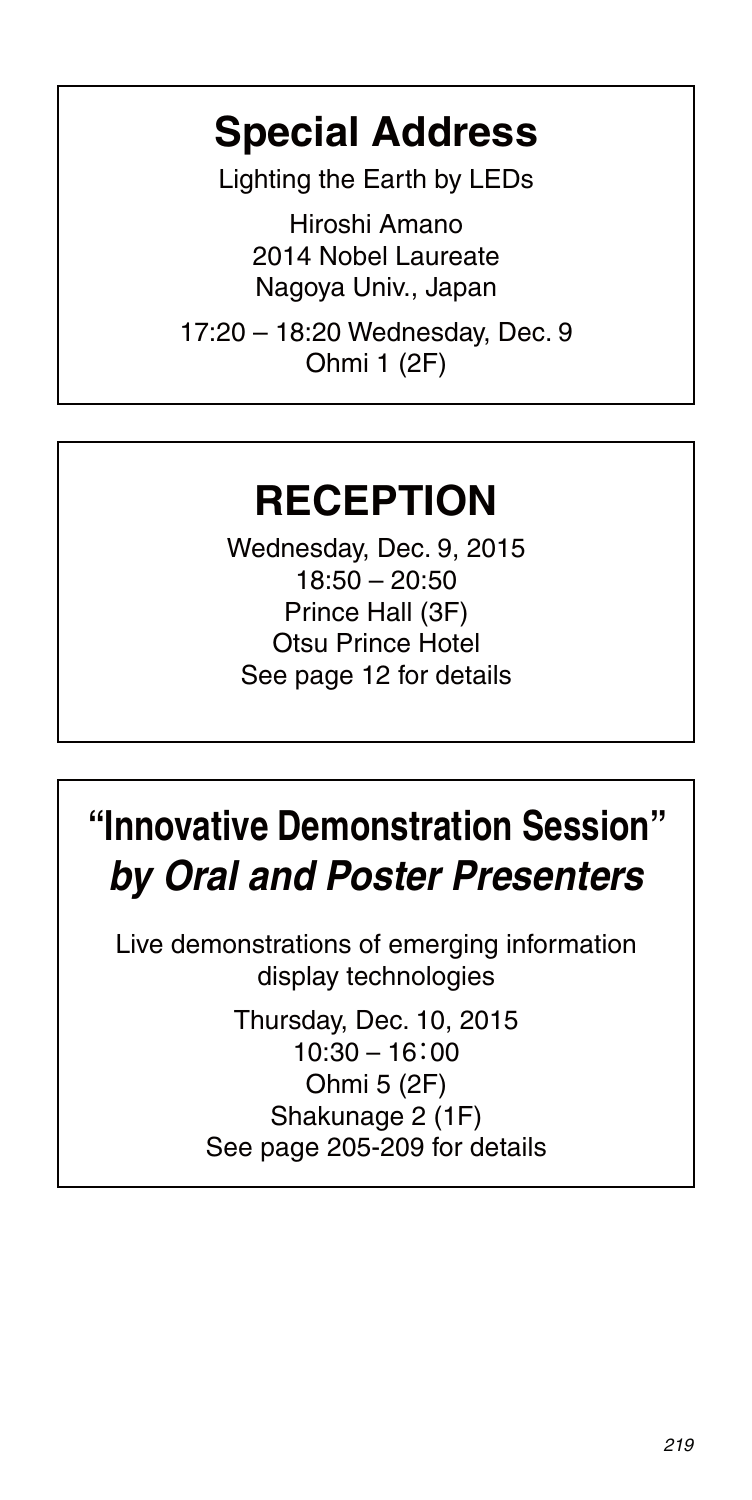### **Special Address**

Lighting the Earth by LEDs

Hiroshi Amano 2014 Nobel Laureate Nagoya Univ., Japan

17:20 – 18:20 Wednesday, Dec. 9 Ohmi 1 (2F)

### **RECEPTION**

Wednesday, Dec. 9, 2015 18:50 – 20:50 Prince Hall (3F) Otsu Prince Hotel See page 12 for details

# **"Innovative Demonstration Session"** *by Oral and Poster Presenters*

Live demonstrations of emerging information display technologies

> Thursday, Dec. 10, 2015 10:30 – 16:00 Ohmi 5 (2F) Shakunage 2 (1F) See page 205-209 for details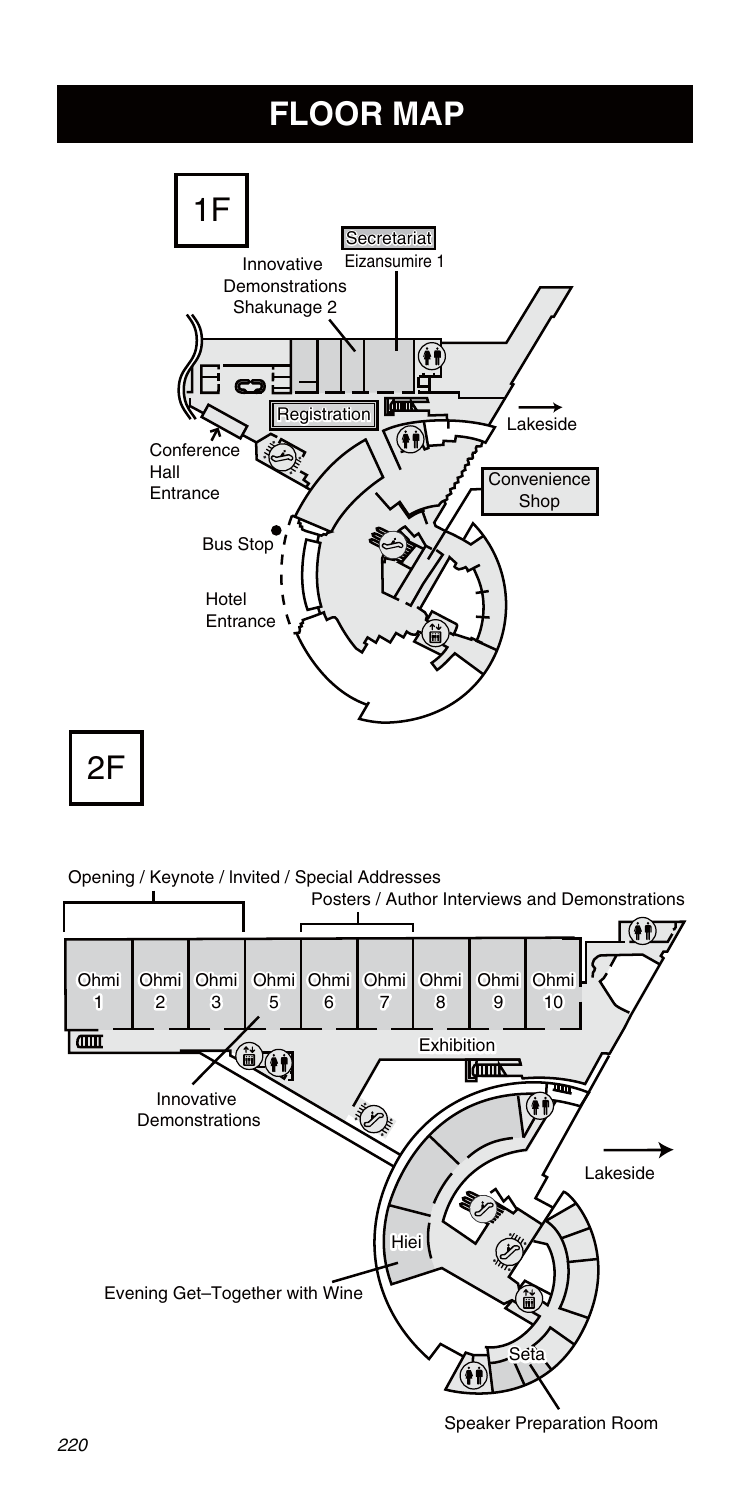### **FLOOR MAP**



2F

Opening / Keynote / Invited / Special Addresses



Speaker Preparation Room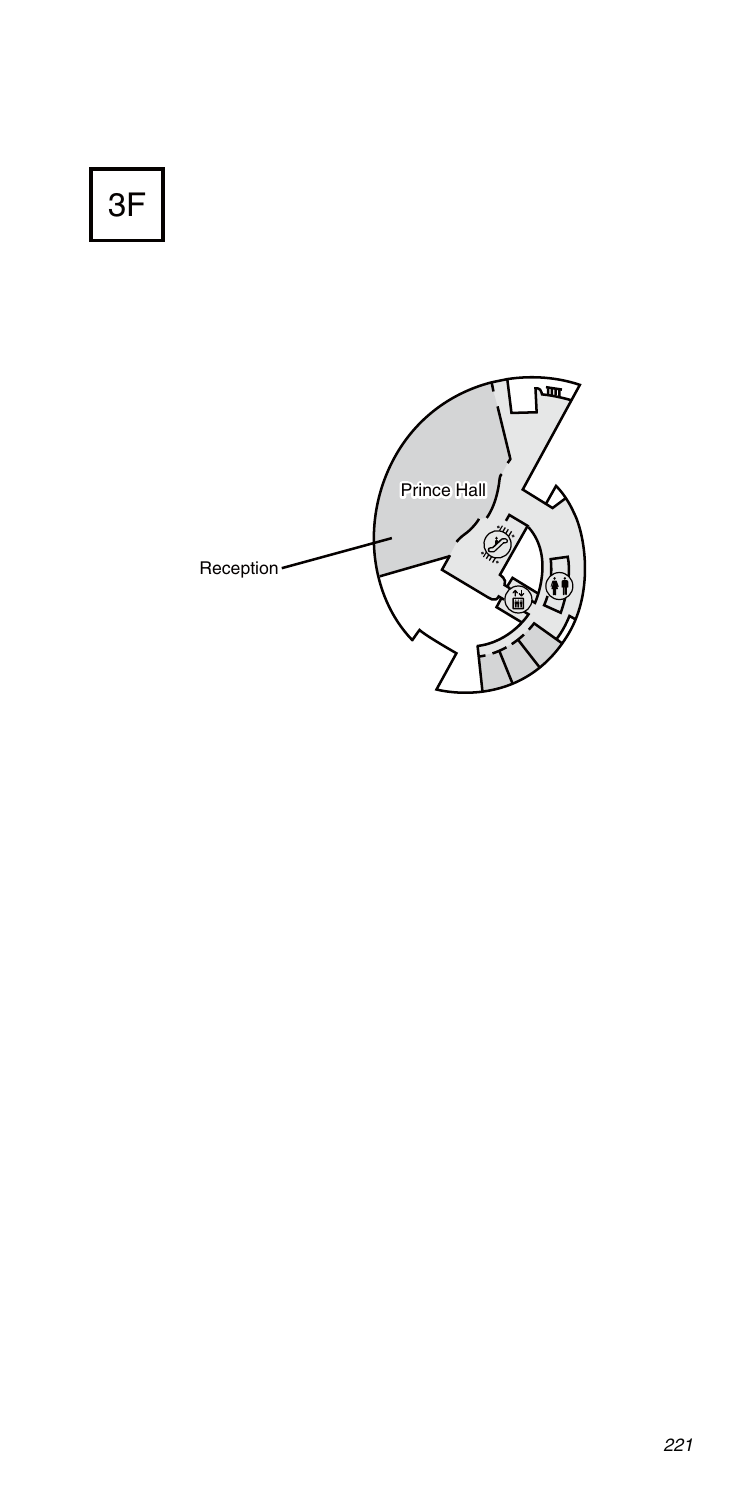3F

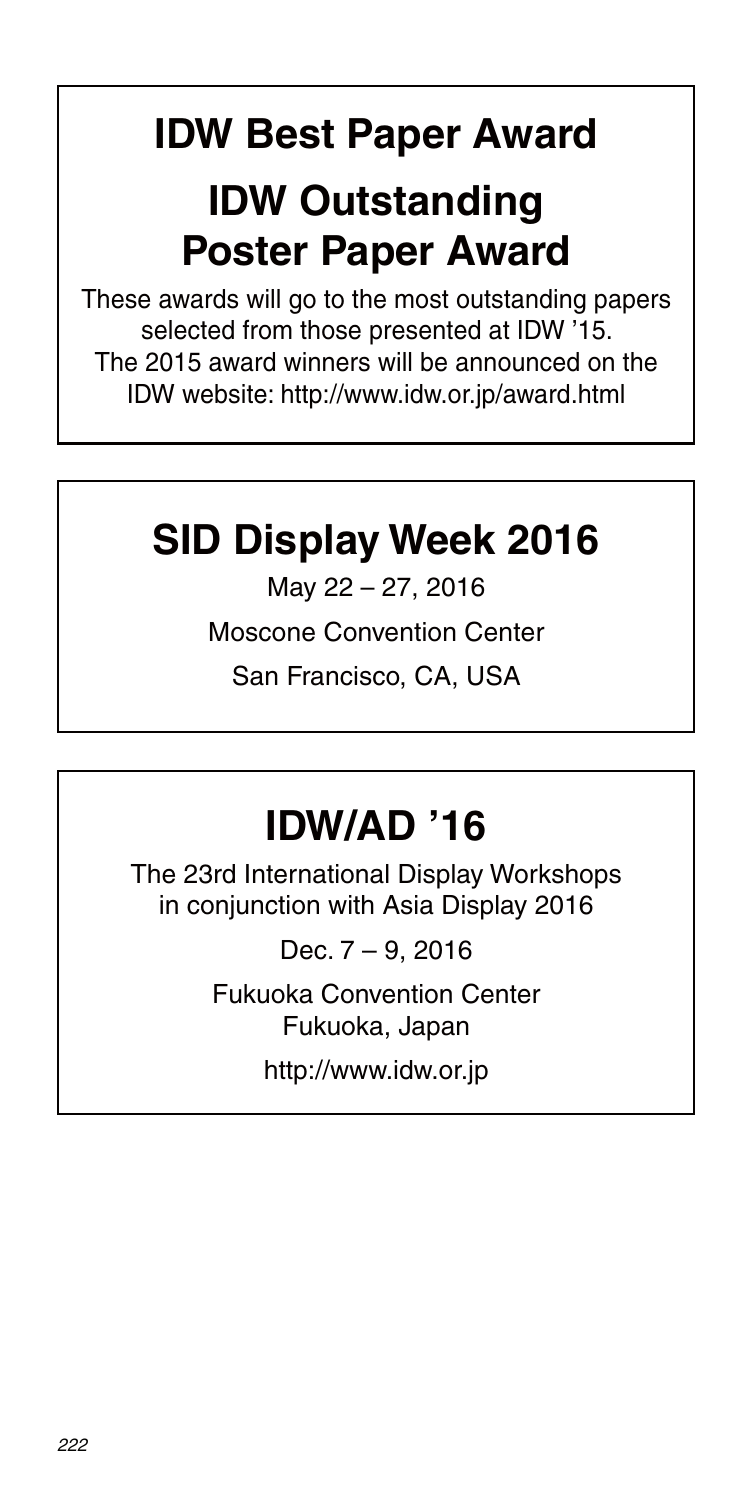# **IDW Best Paper Award**

## **IDW Outstanding Poster Paper Award**

These awards will go to the most outstanding papers selected from those presented at IDW '15. The 2015 award winners will be announced on the IDW website: http://www.idw.or.jp/award.html

# **SID Display Week 2016**

May 22 – 27, 2016

Moscone Convention Center

San Francisco, CA, USA

# **IDW/AD '16**

The 23rd International Display Workshops in conjunction with Asia Display 2016

Dec. 7 – 9, 2016

Fukuoka Convention Center Fukuoka, Japan

http://www.idw.or.jp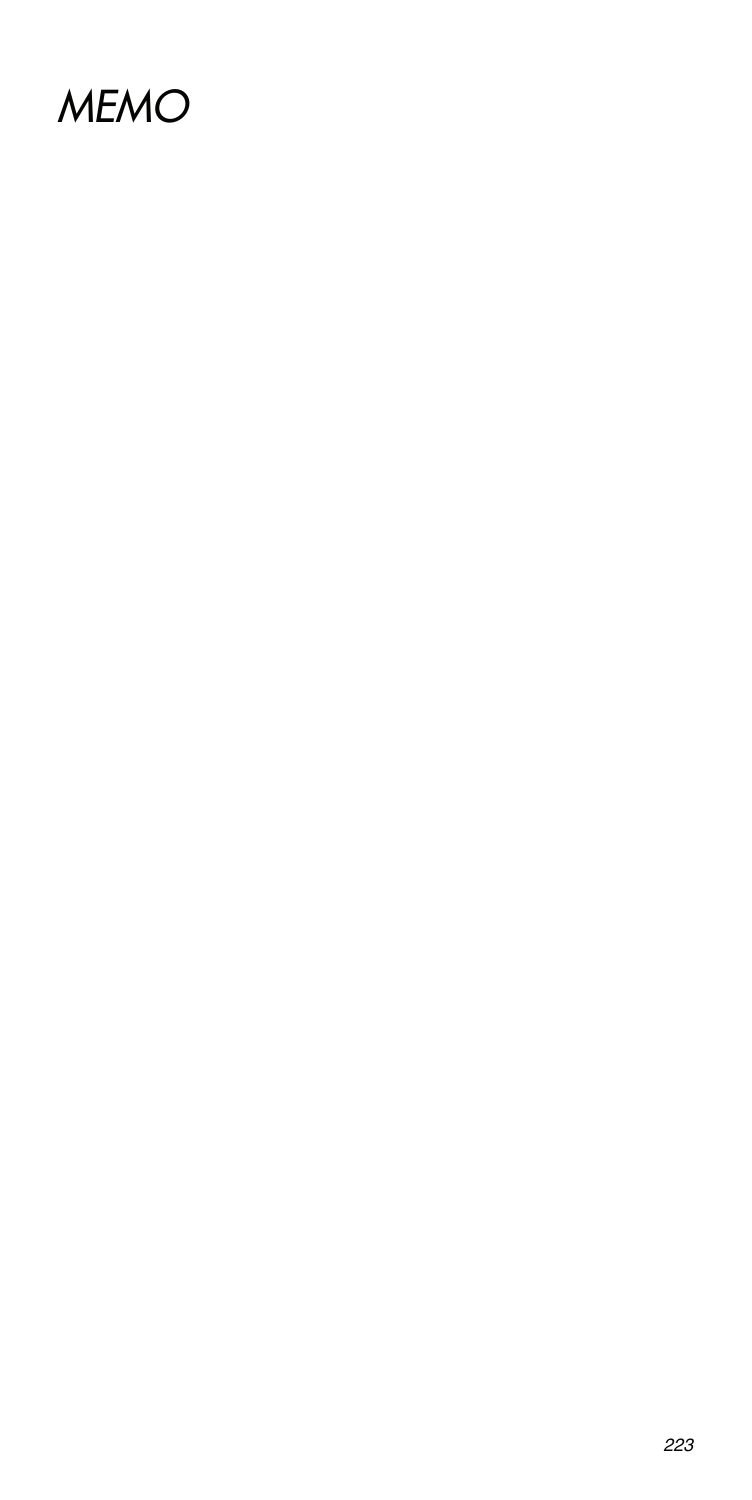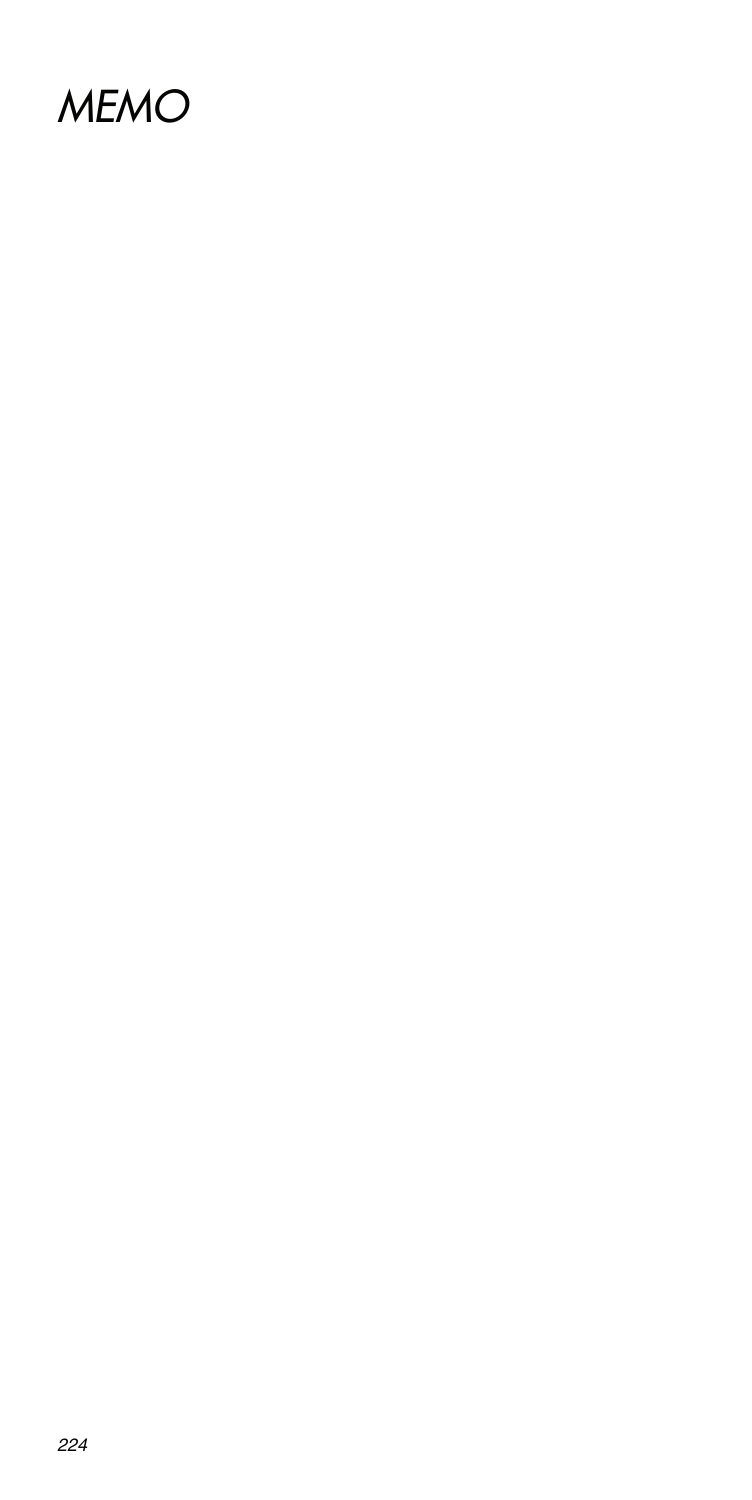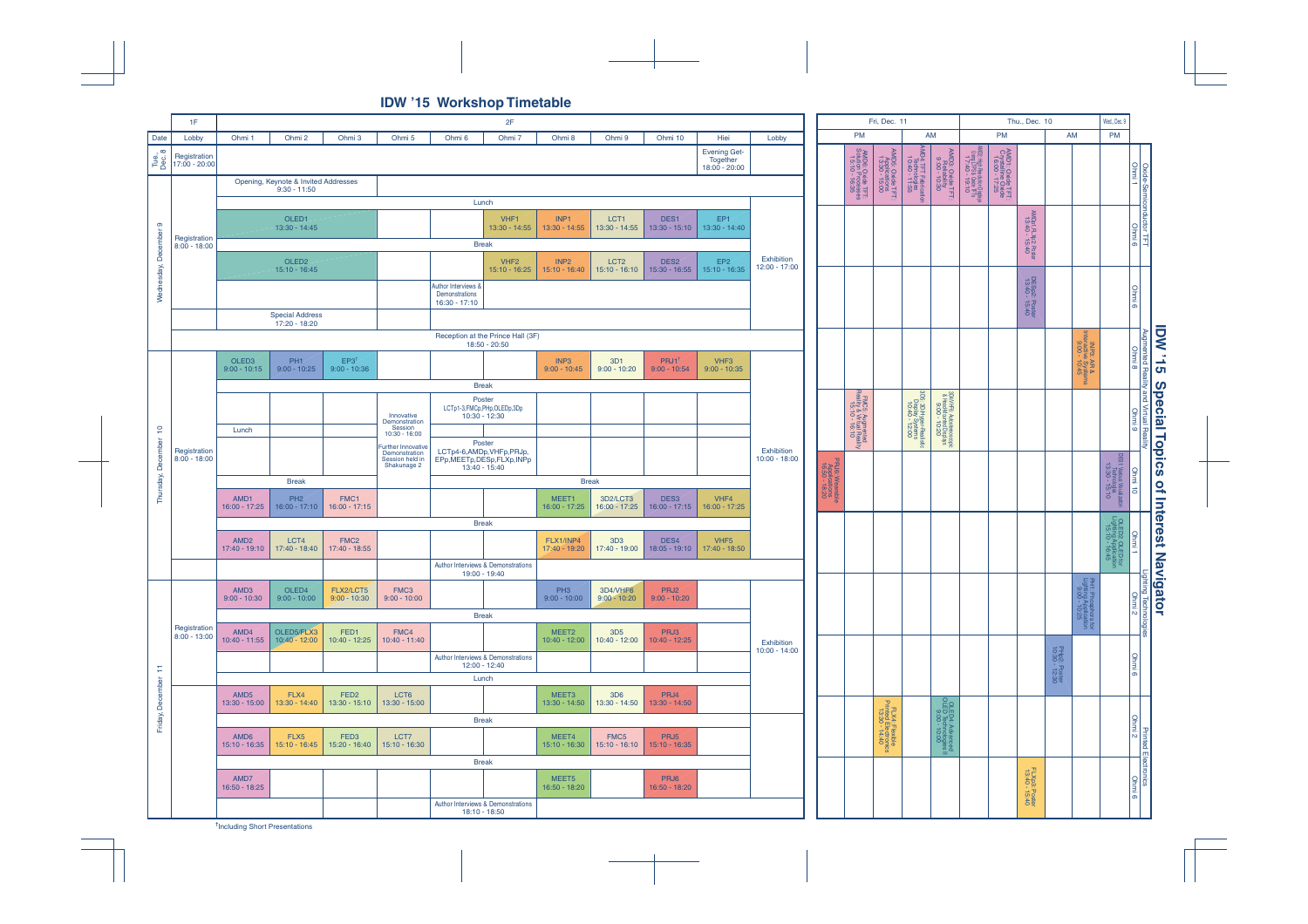**IDW '15 Workshop Timetable**



**†** Including Short Presentations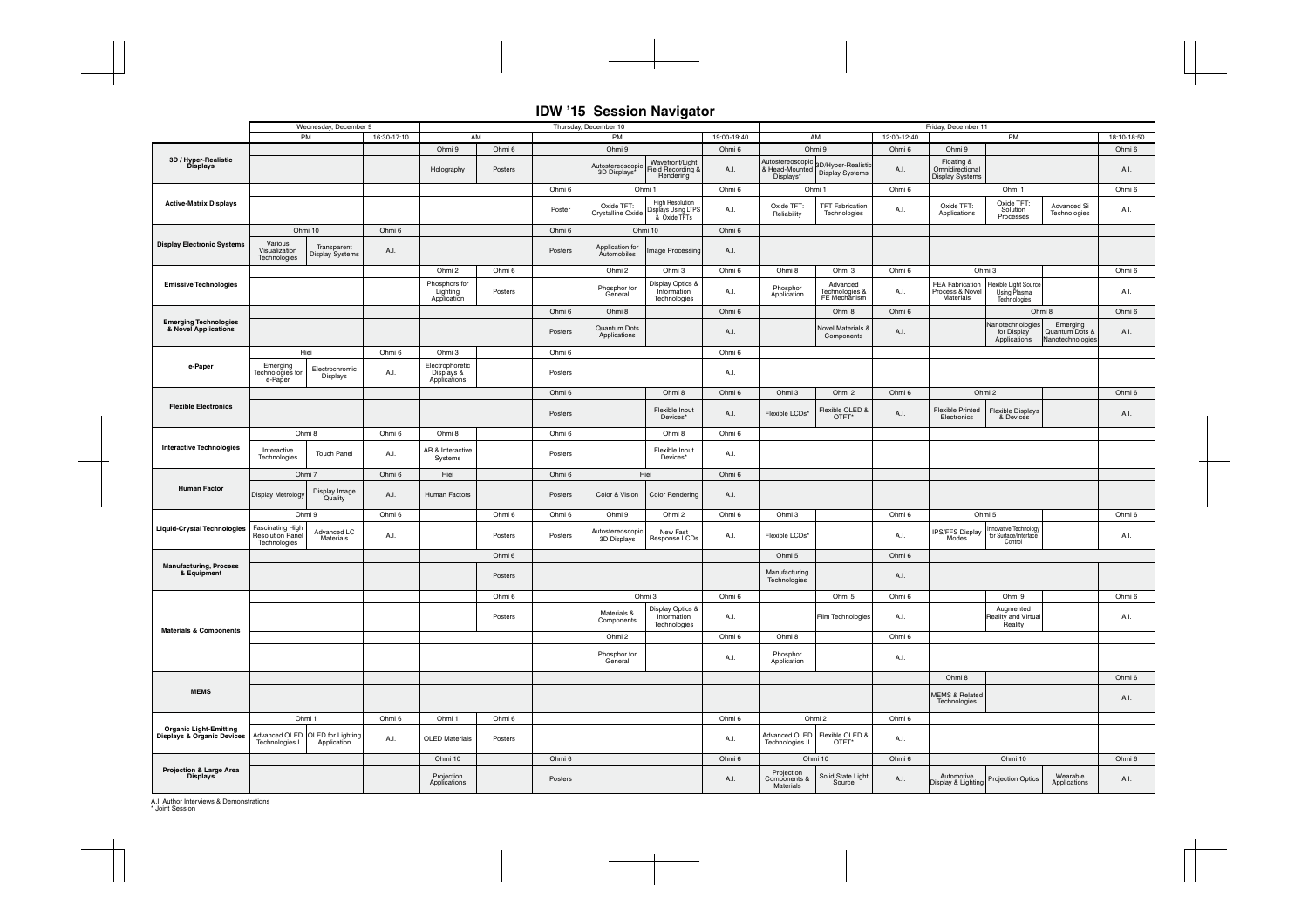#### **IDW '15 Session Navigator**

|                                                                        |                                                                       | Wednesday, December 9                                         |             | Thursday, December 10                         |         |                  |                                                   |                                                               |             |                                                              | Friday, December 11                                                                |             |                                                                                             |                                                                    |                                                |             |  |  |
|------------------------------------------------------------------------|-----------------------------------------------------------------------|---------------------------------------------------------------|-------------|-----------------------------------------------|---------|------------------|---------------------------------------------------|---------------------------------------------------------------|-------------|--------------------------------------------------------------|------------------------------------------------------------------------------------|-------------|---------------------------------------------------------------------------------------------|--------------------------------------------------------------------|------------------------------------------------|-------------|--|--|
|                                                                        |                                                                       | PM                                                            | 16:30-17:10 | AM                                            |         | PM               |                                                   |                                                               | 19:00-19:40 |                                                              | AM                                                                                 | 12:00-12:40 | PM                                                                                          |                                                                    |                                                | 18:10-18:50 |  |  |
|                                                                        |                                                                       |                                                               |             | Ohmi 9<br>Ohmi 6                              |         | Ohmi 9           |                                                   | Ohmi 6                                                        | Ohmi 9      |                                                              | Ohmi 6                                                                             | Ohmi 9      |                                                                                             |                                                                    | Ohmi 6                                         |             |  |  |
| 3D / Hyper-Realistic<br>Displays                                       |                                                                       |                                                               |             | Holography                                    | Posters |                  | Autostereoscopic<br>3D Displays*                  | Wavefront/Light<br>Field Recording &<br>Rendering             | A.I.        | Autostereoscopic<br>Displays*                                | Autostereoscopic<br>& Head-Mounted 8D/Hyper-Realistic<br>Displays* Display Systems | A.I.        | Floating &<br>Omnidirectional<br><b>Display Systems</b>                                     |                                                                    |                                                | A.I.        |  |  |
|                                                                        |                                                                       |                                                               |             |                                               |         | Ohmi 6           | Ohmi 1                                            |                                                               | Ohmi 6      |                                                              | Ohmi 1                                                                             | Ohmi 6      |                                                                                             | Ohmi 1                                                             |                                                | Ohmi 6      |  |  |
| <b>Active-Matrix Displays</b>                                          |                                                                       |                                                               |             |                                               |         | Poster           | Oxide TFT:<br>Crystalline Oxide                   | <b>High Resolution</b><br>Displays Using LTPS<br>& Oxide TFTs | A.I.        | Oxide TFT:<br>Reliability                                    | <b>TFT Fabrication</b><br>Technologies                                             | A.I.        | Oxide TFT:<br>Applications                                                                  | Oxide TFT:<br>Advanced Si<br>Solution<br>Technologies<br>Processes |                                                | A.I.        |  |  |
|                                                                        | Ohmi 10                                                               |                                                               | Ohmi 6      |                                               |         | Ohmi 6           |                                                   | Ohmi 10                                                       | Ohmi 6      |                                                              |                                                                                    |             |                                                                                             |                                                                    |                                                |             |  |  |
| <b>Display Electronic Systems</b>                                      | Various<br>Visualization<br>Technologies                              | Transparent<br><b>Display Systems</b>                         | A.I.        |                                               |         | Posters          | Application for<br>mage Processing<br>Automobiles |                                                               | A.I.        |                                                              |                                                                                    |             |                                                                                             |                                                                    |                                                |             |  |  |
|                                                                        |                                                                       |                                                               |             | Ohmi 2                                        | Ohmi 6  | Ohmi 2<br>Ohmi 3 |                                                   | Ohmi 6                                                        | Ohmi 8      | Ohmi 3                                                       | Ohmi 6                                                                             | Ohmi 3      |                                                                                             |                                                                    | Ohmi 6                                         |             |  |  |
| <b>Emissive Technologies</b>                                           |                                                                       |                                                               |             | Phosphors for<br>Lighting<br>Application      | Posters |                  | Phosphor for<br>General                           | Display Optics &<br>Information<br>Technologies               | A.I.        | Phosphor<br>Application                                      | Advanced<br>Technologies &<br>FE Mechanism                                         | A.I.        | <b>FEA Fabrication</b><br>Process & Novel<br>Materials                                      | Flexible Light Source<br><b>Using Plasma</b><br>Technologies       |                                                | A.I.        |  |  |
|                                                                        |                                                                       |                                                               |             |                                               |         | Ohmi 6           | Ohmi 8                                            |                                                               | Ohmi 6      |                                                              | Ohmi 8                                                                             | Ohmi 6      |                                                                                             |                                                                    | Ohmi 8                                         | Ohmi 6      |  |  |
| <b>Emerging Technologies</b><br>& Novel Applications                   |                                                                       |                                                               |             |                                               |         | Posters          | Quantum Dots<br>Applications                      |                                                               | A.I.        |                                                              | <b>Novel Materials &amp;</b><br>Components                                         | A.I.        |                                                                                             | Nanotechnologies<br>for Display<br>Applications                    | Emerging<br>Quantum Dots &<br>Nanotechnologies | A.I.        |  |  |
|                                                                        | Hiei                                                                  |                                                               | Ohmi 6      | Ohmi 3                                        |         | Ohmi 6           |                                                   |                                                               | Ohmi 6      |                                                              |                                                                                    |             |                                                                                             |                                                                    |                                                |             |  |  |
| e-Paper                                                                | Emerging<br>Technologies for<br>Electrochromic<br>Displays<br>e-Paper |                                                               | A.I.        | Electrophoretic<br>Displays &<br>Applications |         | Posters          |                                                   |                                                               | A.I.        |                                                              |                                                                                    |             |                                                                                             |                                                                    |                                                |             |  |  |
|                                                                        |                                                                       |                                                               |             |                                               |         | Ohmi 6           |                                                   | Ohmi 8                                                        | Ohmi 6      | Ohmi 3                                                       | Ohmi 2                                                                             | Ohmi 6      |                                                                                             | Ohmi 2                                                             |                                                | Ohmi 6      |  |  |
| <b>Flexible Electronics</b>                                            |                                                                       |                                                               |             |                                               |         | Posters          |                                                   | Flexible Input<br>Devices <sup>*</sup>                        | A.I.        | Flexible LCDs*                                               | Flexible OLED &<br>OTFT*                                                           | A.I.        | <b>Flexible Printed</b><br>Electronics                                                      | <b>Flexible Displays</b><br>& Devices                              |                                                | A.I.        |  |  |
|                                                                        |                                                                       | Ohmi 8                                                        | Ohmi 6      | Ohmi 8                                        |         | Ohmi 6           |                                                   | Ohmi 8                                                        | Ohmi 6      |                                                              |                                                                                    |             |                                                                                             |                                                                    |                                                |             |  |  |
| <b>Interactive Technologies</b>                                        | Interactive<br>Technologies                                           | <b>Touch Panel</b>                                            | A.I.        | AR & Interactive<br>Systems                   |         | Posters          |                                                   | Flexible Input<br>Devices*                                    | A.I.        |                                                              |                                                                                    |             |                                                                                             |                                                                    |                                                |             |  |  |
|                                                                        | Ohmi 7<br>Ohmi 6                                                      |                                                               |             | Hiei                                          |         | Hiei<br>Ohmi 6   |                                                   |                                                               | Ohmi 6      |                                                              |                                                                                    |             |                                                                                             |                                                                    |                                                |             |  |  |
| <b>Human Factor</b>                                                    | Display Metrology                                                     | Display Image<br>Quality                                      | A.I.        | Human Factors                                 |         | Posters          | Color & Vision                                    | <b>Color Rendering</b>                                        | A.I.        |                                                              |                                                                                    |             |                                                                                             |                                                                    |                                                |             |  |  |
|                                                                        |                                                                       | Ohmi 9                                                        | Ohmi 6      |                                               | Ohmi 6  | Ohmi 6           | Ohmi 9                                            | Ohmi 2                                                        | Ohmi 6      | Ohmi 3                                                       |                                                                                    | Ohmi 6      | Ohmi 5                                                                                      |                                                                    |                                                | Ohmi 6      |  |  |
| <b>Liquid-Crystal Technologies</b>                                     | <b>Fascinating High</b><br><b>Resolution Panel</b><br>Technologies    | Advanced LC<br>Materials                                      | A.I.        |                                               | Posters | Posters          | Autostereoscopic<br>3D Displays                   | <b>New Fast</b><br>Response LCDs                              | A.I.        | Flexible LCDs*                                               |                                                                                    | A.I.        | nnovative Technology<br><b>IPS/FFS Display</b><br>for Surface/Interface<br>Modes<br>Control |                                                                    |                                                | A.I.        |  |  |
|                                                                        |                                                                       |                                                               |             |                                               | Ohmi 6  |                  |                                                   |                                                               |             | Ohmi 5                                                       |                                                                                    | Ohmi 6      |                                                                                             |                                                                    |                                                |             |  |  |
| <b>Manufacturing, Process</b><br>& Equipment                           |                                                                       |                                                               |             |                                               | Posters |                  |                                                   |                                                               |             | Manufacturing<br>Technologies                                |                                                                                    | A.I.        |                                                                                             |                                                                    |                                                |             |  |  |
| <b>Materials &amp; Components</b>                                      |                                                                       |                                                               |             |                                               | Ohmi 6  |                  |                                                   | Ohmi 3                                                        | Ohmi 6      |                                                              | Ohmi 5                                                                             | Ohmi 6      |                                                                                             | Ohmi 9                                                             |                                                | Ohmi 6      |  |  |
|                                                                        |                                                                       |                                                               |             |                                               | Posters |                  | Materials &<br>Components                         | Display Optics &<br>Information<br>Technologies               | A.I.        |                                                              | Film Technologies                                                                  | A.I.        |                                                                                             | Augmented<br>Reality and Virtual<br>Reality                        |                                                | A.I.        |  |  |
|                                                                        |                                                                       |                                                               |             |                                               |         |                  | Ohmi 2                                            |                                                               | Ohmi 6      | Ohmi 8                                                       |                                                                                    | Ohmi 6      |                                                                                             |                                                                    |                                                |             |  |  |
|                                                                        |                                                                       |                                                               |             |                                               |         |                  | Phosphor for<br>General                           |                                                               | A.I.        | Phosphor<br>Application                                      |                                                                                    | A.I.        |                                                                                             |                                                                    |                                                |             |  |  |
| <b>MEMS</b>                                                            |                                                                       |                                                               |             |                                               |         |                  |                                                   |                                                               |             |                                                              |                                                                                    |             | Ohmi 8                                                                                      |                                                                    |                                                | Ohmi 6      |  |  |
|                                                                        |                                                                       |                                                               |             |                                               |         |                  |                                                   |                                                               |             |                                                              | <b>MEMS &amp; Related</b><br>Technologies                                          |             |                                                                                             | A.I.                                                               |                                                |             |  |  |
|                                                                        | Ohmi 1                                                                |                                                               | Ohmi 6      | Ohmi 1                                        | Ohmi 6  |                  |                                                   | Ohmi 6                                                        | Ohmi 2      |                                                              | Ohmi 6                                                                             |             |                                                                                             |                                                                    |                                                |             |  |  |
| <b>Organic Light-Emitting</b><br><b>Displays &amp; Organic Devices</b> |                                                                       | Advanced OLED OLED for Lighting<br>Technologies I Application | A.I.        | <b>OLED Materials</b>                         | Posters |                  |                                                   |                                                               | A.I.        | Flexible OLED &<br>Advanced OLED<br>Technologies II<br>OTFT* |                                                                                    | A.I.        |                                                                                             |                                                                    |                                                |             |  |  |
| Projection & Large Area<br><b>Displays</b>                             |                                                                       |                                                               |             | Ohmi 10                                       |         | Ohmi 6           |                                                   |                                                               | Ohmi 6      |                                                              | Ohmi 10                                                                            | Ohmi 6      |                                                                                             | Ohmi 10                                                            |                                                | Ohmi 6      |  |  |
|                                                                        |                                                                       |                                                               |             | Projection<br>Applications                    |         | Posters          |                                                   |                                                               | A.I.        | Projection<br>Components &<br>Materials                      | Solid State Light<br>Source                                                        | A.I.        | Automotive<br>Display & Lighting                                                            | <b>Projection Optics</b>                                           | Wearable<br>Applications                       | A.I.        |  |  |

A.I. Author Interviews & Demonstrations \* Joint Session